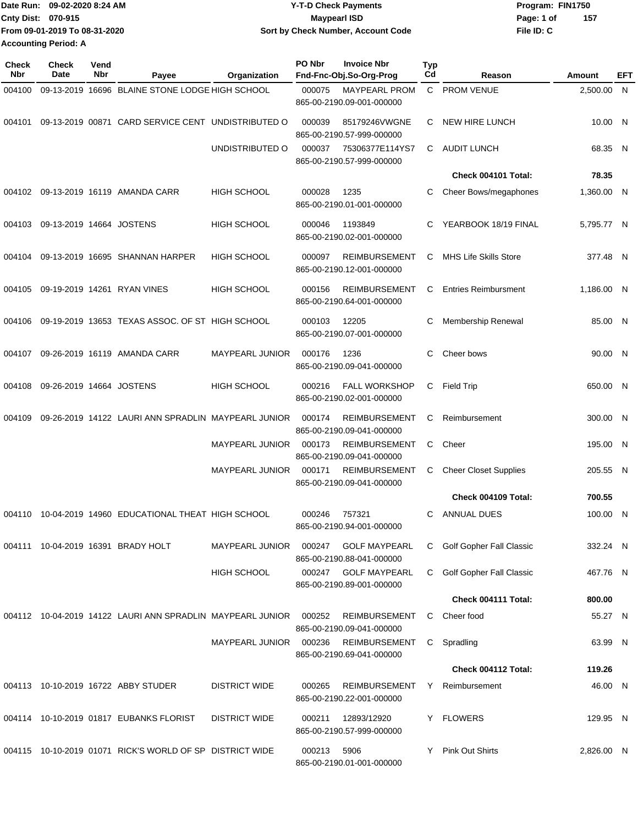|                             | Date Run: 09-02-2020 8:24 AM  | <b>Y-T-D Check Payments</b>        | Program: FIN1750 |     |
|-----------------------------|-------------------------------|------------------------------------|------------------|-----|
| Cnty Dist: 070-915          |                               | <b>Mavpearl ISD</b>                | Page: 1 of       | 157 |
|                             | From 09-01-2019 To 08-31-2020 | Sort by Check Number, Account Code | File ID: C       |     |
| <b>Accounting Period: A</b> |                               |                                    |                  |     |

| <b>Check</b><br>Nbr | <b>Check</b><br>Date     | Vend<br>Nbr | Payee                                                             | Organization           | PO Nbr | <b>Invoice Nbr</b><br>Fnd-Fnc-Obj.So-Org-Prog     | Typ<br>Cd | Reason                          | Amount     | EFT |
|---------------------|--------------------------|-------------|-------------------------------------------------------------------|------------------------|--------|---------------------------------------------------|-----------|---------------------------------|------------|-----|
| 004100              |                          |             | 09-13-2019 16696 BLAINE STONE LODGE HIGH SCHOOL                   |                        | 000075 | <b>MAYPEARL PROM</b><br>865-00-2190.09-001-000000 | C         | PROM VENUE                      | 2,500.00 N |     |
| 004101              |                          |             | 09-13-2019 00871 CARD SERVICE CENT UNDISTRIBUTED O                |                        | 000039 | 85179246VWGNE<br>865-00-2190.57-999-000000        | С         | <b>NEW HIRE LUNCH</b>           | 10.00 N    |     |
|                     |                          |             |                                                                   | UNDISTRIBUTED O        | 000037 | 75306377E114YS7<br>865-00-2190.57-999-000000      | С         | <b>AUDIT LUNCH</b>              | 68.35 N    |     |
|                     |                          |             |                                                                   |                        |        |                                                   |           | Check 004101 Total:             | 78.35      |     |
|                     |                          |             | 004102 09-13-2019 16119 AMANDA CARR                               | <b>HIGH SCHOOL</b>     | 000028 | 1235<br>865-00-2190.01-001-000000                 | С         | Cheer Bows/megaphones           | 1,360.00 N |     |
| 004103              | 09-13-2019 14664 JOSTENS |             |                                                                   | HIGH SCHOOL            | 000046 | 1193849<br>865-00-2190.02-001-000000              | С         | YEARBOOK 18/19 FINAL            | 5,795.77 N |     |
| 004104              |                          |             | 09-13-2019 16695 SHANNAN HARPER                                   | <b>HIGH SCHOOL</b>     | 000097 | <b>REIMBURSEMENT</b><br>865-00-2190.12-001-000000 | С         | <b>MHS Life Skills Store</b>    | 377.48 N   |     |
| 004105              |                          |             | 09-19-2019 14261 RYAN VINES                                       | <b>HIGH SCHOOL</b>     | 000156 | <b>REIMBURSEMENT</b><br>865-00-2190.64-001-000000 | С         | <b>Entries Reimbursment</b>     | 1,186.00 N |     |
| 004106              |                          |             | 09-19-2019 13653 TEXAS ASSOC. OF ST HIGH SCHOOL                   |                        | 000103 | 12205<br>865-00-2190.07-001-000000                | С         | Membership Renewal              | 85.00 N    |     |
| 004107              |                          |             | 09-26-2019 16119 AMANDA CARR                                      | <b>MAYPEARL JUNIOR</b> | 000176 | 1236<br>865-00-2190.09-041-000000                 | С         | Cheer bows                      | 90.00 N    |     |
| 004108              | 09-26-2019 14664 JOSTENS |             |                                                                   | <b>HIGH SCHOOL</b>     | 000216 | <b>FALL WORKSHOP</b><br>865-00-2190.02-001-000000 | С         | <b>Field Trip</b>               | 650.00 N   |     |
| 004109              |                          |             | 09-26-2019 14122 LAURI ANN SPRADLIN MAYPEARL JUNIOR               |                        | 000174 | <b>REIMBURSEMENT</b><br>865-00-2190.09-041-000000 | С         | Reimbursement                   | 300.00 N   |     |
|                     |                          |             |                                                                   | <b>MAYPEARL JUNIOR</b> | 000173 | <b>REIMBURSEMENT</b><br>865-00-2190.09-041-000000 | С         | Cheer                           | 195.00 N   |     |
|                     |                          |             |                                                                   | <b>MAYPEARL JUNIOR</b> | 000171 | <b>REIMBURSEMENT</b><br>865-00-2190.09-041-000000 | С         | <b>Cheer Closet Supplies</b>    | 205.55 N   |     |
|                     |                          |             |                                                                   |                        |        |                                                   |           | Check 004109 Total:             | 700.55     |     |
| 004110              |                          |             | 10-04-2019 14960 EDUCATIONAL THEAT HIGH SCHOOL                    |                        | 000246 | 757321<br>865-00-2190.94-001-000000               | С         | <b>ANNUAL DUES</b>              | 100.00 N   |     |
| 004111              |                          |             | 10-04-2019 16391 BRADY HOLT                                       | <b>MAYPEARL JUNIOR</b> | 000247 | <b>GOLF MAYPEARL</b><br>865-00-2190.88-041-000000 | C.        | <b>Golf Gopher Fall Classic</b> | 332.24 N   |     |
|                     |                          |             |                                                                   | <b>HIGH SCHOOL</b>     |        | 000247 GOLF MAYPEARL<br>865-00-2190.89-001-000000 | С         | Golf Gopher Fall Classic        | 467.76 N   |     |
|                     |                          |             |                                                                   |                        |        |                                                   |           | Check 004111 Total:             | 800.00     |     |
|                     |                          |             | 004112 10-04-2019 14122 LAURI ANN SPRADLIN MAYPEARL JUNIOR 000252 |                        |        | <b>REIMBURSEMENT</b><br>865-00-2190.09-041-000000 | С         | Cheer food                      | 55.27 N    |     |
|                     |                          |             |                                                                   | <b>MAYPEARL JUNIOR</b> | 000236 | <b>REIMBURSEMENT</b><br>865-00-2190.69-041-000000 | C.        | Spradling                       | 63.99 N    |     |
|                     |                          |             |                                                                   |                        |        |                                                   |           | Check 004112 Total:             | 119.26     |     |
|                     |                          |             | 004113 10-10-2019 16722 ABBY STUDER                               | <b>DISTRICT WIDE</b>   | 000265 | <b>REIMBURSEMENT</b><br>865-00-2190.22-001-000000 |           | Y Reimbursement                 | 46.00 N    |     |
|                     |                          |             | 004114 10-10-2019 01817 EUBANKS FLORIST                           | <b>DISTRICT WIDE</b>   | 000211 | 12893/12920<br>865-00-2190.57-999-000000          |           | Y FLOWERS                       | 129.95 N   |     |
|                     |                          |             | 004115 10-10-2019 01071 RICK'S WORLD OF SP DISTRICT WIDE          |                        | 000213 | 5906<br>865-00-2190.01-001-000000                 |           | Y Pink Out Shirts               | 2,826.00 N |     |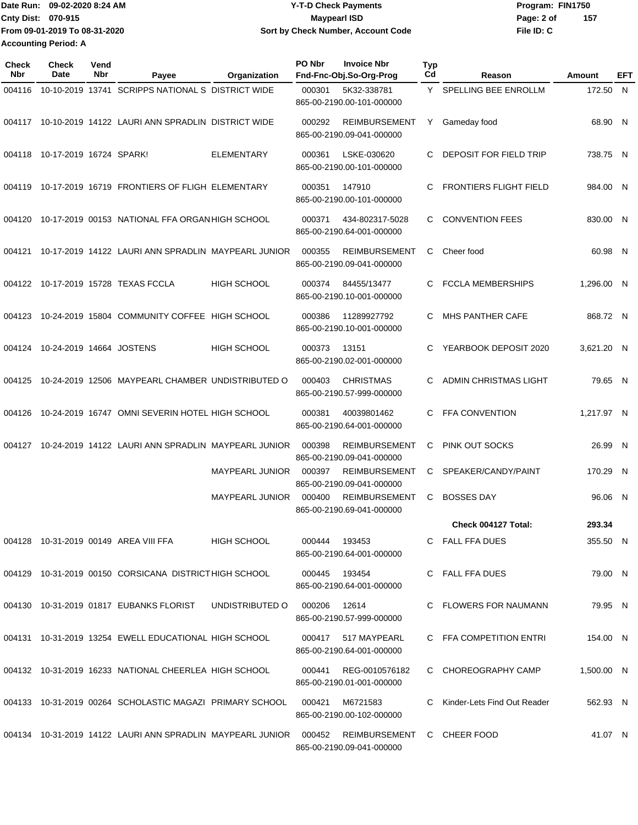|                             | lDate Run: 09-02-2020 8:24 AM | <b>Y-T-D Check Payments</b>        | Program: FIN1750  |  |
|-----------------------------|-------------------------------|------------------------------------|-------------------|--|
| <b>Cnty Dist: 070-915</b>   |                               | <b>Mavpearl ISD</b>                | 157<br>Page: 2 of |  |
|                             | From 09-01-2019 To 08-31-2020 | Sort by Check Number, Account Code | File ID: C        |  |
| <b>Accounting Period: A</b> |                               |                                    |                   |  |

| Check<br><b>Nbr</b> | Check<br>Date            | Vend<br>Nbr | Payee                                                                                        | Organization           | PO Nbr | <b>Invoice Nbr</b><br>Fnd-Fnc-Obj.So-Org-Prog     | Typ<br>Cd | Reason                        | Amount     | EFT |
|---------------------|--------------------------|-------------|----------------------------------------------------------------------------------------------|------------------------|--------|---------------------------------------------------|-----------|-------------------------------|------------|-----|
| 004116              |                          |             | 10-10-2019 13741 SCRIPPS NATIONAL S DISTRICT WIDE                                            |                        | 000301 | 5K32-338781<br>865-00-2190.00-101-000000          |           | Y SPELLING BEE ENROLLM        | 172.50 N   |     |
|                     |                          |             | 004117 10-10-2019 14122 LAURI ANN SPRADLIN DISTRICT WIDE                                     |                        | 000292 | <b>REIMBURSEMENT</b><br>865-00-2190.09-041-000000 | Y         | Gameday food                  | 68.90 N    |     |
| 004118              | 10-17-2019 16724 SPARK!  |             |                                                                                              | <b>ELEMENTARY</b>      | 000361 | LSKE-030620<br>865-00-2190.00-101-000000          | C         | DEPOSIT FOR FIELD TRIP        | 738.75 N   |     |
| 004119              |                          |             | 10-17-2019 16719 FRONTIERS OF FLIGH ELEMENTARY                                               |                        | 000351 | 147910<br>865-00-2190.00-101-000000               | C.        | <b>FRONTIERS FLIGHT FIELD</b> | 984.00 N   |     |
| 004120              |                          |             | 10-17-2019 00153 NATIONAL FFA ORGAN HIGH SCHOOL                                              |                        | 000371 | 434-802317-5028<br>865-00-2190.64-001-000000      | C         | <b>CONVENTION FEES</b>        | 830.00 N   |     |
| 004121              |                          |             | 10-17-2019 14122 LAURI ANN SPRADLIN MAYPEARL JUNIOR                                          |                        | 000355 | <b>REIMBURSEMENT</b><br>865-00-2190.09-041-000000 | C         | Cheer food                    | 60.98 N    |     |
|                     |                          |             | 004122 10-17-2019 15728 TEXAS FCCLA                                                          | <b>HIGH SCHOOL</b>     | 000374 | 84455/13477<br>865-00-2190.10-001-000000          | C         | <b>FCCLA MEMBERSHIPS</b>      | 1,296.00 N |     |
| 004123              |                          |             | 10-24-2019 15804 COMMUNITY COFFEE HIGH SCHOOL                                                |                        | 000386 | 11289927792<br>865-00-2190.10-001-000000          | C         | <b>MHS PANTHER CAFE</b>       | 868.72 N   |     |
| 004124              | 10-24-2019 14664 JOSTENS |             |                                                                                              | <b>HIGH SCHOOL</b>     | 000373 | 13151<br>865-00-2190.02-001-000000                | C         | YEARBOOK DEPOSIT 2020         | 3,621.20 N |     |
| 004125              |                          |             | 10-24-2019 12506 MAYPEARL CHAMBER UNDISTRIBUTED O                                            |                        | 000403 | <b>CHRISTMAS</b><br>865-00-2190.57-999-000000     | C.        | ADMIN CHRISTMAS LIGHT         | 79.65 N    |     |
| 004126              |                          |             | 10-24-2019 16747 OMNI SEVERIN HOTEL HIGH SCHOOL                                              |                        | 000381 | 40039801462<br>865-00-2190.64-001-000000          | C         | FFA CONVENTION                | 1,217.97 N |     |
| 004127              |                          |             | 10-24-2019 14122 LAURI ANN SPRADLIN MAYPEARL JUNIOR                                          |                        | 000398 | <b>REIMBURSEMENT</b><br>865-00-2190.09-041-000000 | С         | PINK OUT SOCKS                | 26.99 N    |     |
|                     |                          |             |                                                                                              | <b>MAYPEARL JUNIOR</b> | 000397 | <b>REIMBURSEMENT</b><br>865-00-2190.09-041-000000 | C         | SPEAKER/CANDY/PAINT           | 170.29 N   |     |
|                     |                          |             |                                                                                              | <b>MAYPEARL JUNIOR</b> | 000400 | <b>REIMBURSEMENT</b><br>865-00-2190.69-041-000000 | C         | <b>BOSSES DAY</b>             | 96.06 N    |     |
|                     |                          |             |                                                                                              |                        |        |                                                   |           | Check 004127 Total:           | 293.34     |     |
|                     |                          |             | 004128 10-31-2019 00149 AREA VIII FFA                                                        | <b>HIGH SCHOOL</b>     |        | 000444 193453<br>865-00-2190.64-001-000000        |           | C FALL FFA DUES               | 355.50 N   |     |
|                     |                          |             | 004129 10-31-2019 00150 CORSICANA DISTRICTHIGH SCHOOL                                        |                        | 000445 | 193454<br>865-00-2190.64-001-000000               |           | C FALL FFA DUES               | 79.00 N    |     |
|                     |                          |             | 004130 10-31-2019 01817 EUBANKS FLORIST                                                      | UNDISTRIBUTED O        | 000206 | 12614<br>865-00-2190.57-999-000000                |           | C FLOWERS FOR NAUMANN         | 79.95 N    |     |
|                     |                          |             | 004131 10-31-2019 13254 EWELL EDUCATIONAL HIGH SCHOOL                                        |                        |        | 000417 517 MAYPEARL<br>865-00-2190.64-001-000000  |           | C FFA COMPETITION ENTRI       | 154.00 N   |     |
|                     |                          |             | 004132 10-31-2019 16233 NATIONAL CHEERLEA HIGH SCHOOL                                        |                        | 000441 | REG-0010576182<br>865-00-2190.01-001-000000       |           | C CHOREOGRAPHY CAMP           | 1,500.00 N |     |
|                     |                          |             | 004133 10-31-2019 00264 SCHOLASTIC MAGAZI PRIMARY SCHOOL                                     |                        | 000421 | M6721583<br>865-00-2190.00-102-000000             |           | C Kinder-Lets Find Out Reader | 562.93 N   |     |
|                     |                          |             | 004134 10-31-2019 14122 LAURI ANN SPRADLIN MAYPEARL JUNIOR 000452 REIMBURSEMENT C CHEER FOOD |                        |        | 865-00-2190.09-041-000000                         |           |                               | 41.07 N    |     |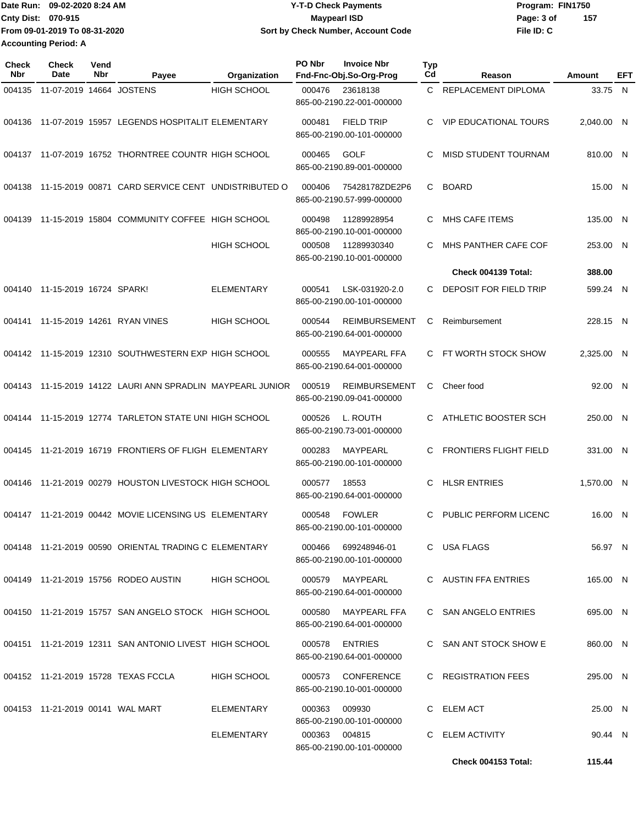Date Run: 09-02-2020 8:24 AM **Program:** FIN1750 **Cnty Dist: Page: 3 of File ID: C From 09-01-2019 To 08-31-2020 09-02-2020 8:24 AM Y-T-D Check Payments 070-915 Maypearl ISD Sort by Check Number, Account Code 157 Accounting Period: A**

| <b>Check</b><br>Nbr | Check<br>Date                    | Vend<br>Nbr | Payee                                                      | Organization       | PO Nbr | <b>Invoice Nbr</b><br>Fnd-Fnc-Obj.So-Org-Prog     | <b>Typ</b><br>Cd | Reason                        | <b>Amount</b> | EFT |
|---------------------|----------------------------------|-------------|------------------------------------------------------------|--------------------|--------|---------------------------------------------------|------------------|-------------------------------|---------------|-----|
| 004135              | 11-07-2019 14664 JOSTENS         |             |                                                            | <b>HIGH SCHOOL</b> | 000476 | 23618138<br>865-00-2190.22-001-000000             |                  | C REPLACEMENT DIPLOMA         | 33.75 N       |     |
| 004136              |                                  |             | 11-07-2019 15957 LEGENDS HOSPITALIT ELEMENTARY             |                    | 000481 | <b>FIELD TRIP</b><br>865-00-2190.00-101-000000    | C                | <b>VIP EDUCATIONAL TOURS</b>  | 2.040.00 N    |     |
|                     |                                  |             | 004137 11-07-2019 16752 THORNTREE COUNTR HIGH SCHOOL       |                    | 000465 | <b>GOLF</b><br>865-00-2190.89-001-000000          | C                | MISD STUDENT TOURNAM          | 810.00 N      |     |
| 004138              |                                  |             | 11-15-2019 00871 CARD SERVICE CENT UNDISTRIBUTED O         |                    | 000406 | 75428178ZDE2P6<br>865-00-2190.57-999-000000       | C.               | <b>BOARD</b>                  | 15.00 N       |     |
| 004139              |                                  |             | 11-15-2019 15804 COMMUNITY COFFEE HIGH SCHOOL              |                    | 000498 | 11289928954<br>865-00-2190.10-001-000000          | C                | MHS CAFE ITEMS                | 135.00 N      |     |
|                     |                                  |             |                                                            | <b>HIGH SCHOOL</b> | 000508 | 11289930340<br>865-00-2190.10-001-000000          | C                | MHS PANTHER CAFE COF          | 253.00 N      |     |
|                     |                                  |             |                                                            |                    |        |                                                   |                  | Check 004139 Total:           | 388.00        |     |
|                     | 004140 11-15-2019 16724 SPARK!   |             |                                                            | <b>ELEMENTARY</b>  | 000541 | LSK-031920-2.0<br>865-00-2190.00-101-000000       | C.               | <b>DEPOSIT FOR FIELD TRIP</b> | 599.24 N      |     |
| 004141              |                                  |             | 11-15-2019 14261 RYAN VINES                                | <b>HIGH SCHOOL</b> | 000544 | <b>REIMBURSEMENT</b><br>865-00-2190.64-001-000000 | C                | Reimbursement                 | 228.15 N      |     |
|                     |                                  |             | 004142 11-15-2019 12310 SOUTHWESTERN EXP HIGH SCHOOL       |                    | 000555 | <b>MAYPEARL FFA</b><br>865-00-2190.64-001-000000  | C.               | FT WORTH STOCK SHOW           | 2,325.00 N    |     |
|                     |                                  |             | 004143 11-15-2019 14122 LAURI ANN SPRADLIN MAYPEARL JUNIOR |                    | 000519 | <b>REIMBURSEMENT</b><br>865-00-2190.09-041-000000 | C.               | Cheer food                    | 92.00 N       |     |
|                     |                                  |             | 004144 11-15-2019 12774 TARLETON STATE UNI HIGH SCHOOL     |                    | 000526 | L. ROUTH<br>865-00-2190.73-001-000000             | C.               | ATHLETIC BOOSTER SCH          | 250.00 N      |     |
|                     |                                  |             | 004145 11-21-2019 16719 FRONTIERS OF FLIGH ELEMENTARY      |                    | 000283 | MAYPEARL<br>865-00-2190.00-101-000000             | C                | <b>FRONTIERS FLIGHT FIELD</b> | 331.00 N      |     |
|                     |                                  |             | 004146 11-21-2019 00279 HOUSTON LIVESTOCK HIGH SCHOOL      |                    | 000577 | 18553<br>865-00-2190.64-001-000000                | C                | <b>HLSR ENTRIES</b>           | 1.570.00 N    |     |
|                     |                                  |             | 004147 11-21-2019 00442 MOVIE LICENSING US ELEMENTARY      |                    | 000548 | <b>FOWLER</b><br>865-00-2190.00-101-000000        | C                | PUBLIC PERFORM LICENC         | 16.00 N       |     |
|                     |                                  |             | 004148 11-21-2019 00590 ORIENTAL TRADING C ELEMENTARY      |                    |        | 000466 699248946-01<br>865-00-2190.00-101-000000  |                  | C USA FLAGS                   | 56.97 N       |     |
|                     |                                  |             | 004149 11-21-2019 15756 RODEO AUSTIN                       | <b>HIGH SCHOOL</b> | 000579 | MAYPEARL<br>865-00-2190.64-001-000000             |                  | C AUSTIN FFA ENTRIES          | 165.00 N      |     |
|                     |                                  |             | 004150 11-21-2019 15757 SAN ANGELO STOCK HIGH SCHOOL       |                    | 000580 | MAYPEARL FFA<br>865-00-2190.64-001-000000         |                  | C SAN ANGELO ENTRIES          | 695.00 N      |     |
|                     |                                  |             | 004151 11-21-2019 12311 SAN ANTONIO LIVEST HIGH SCHOOL     |                    | 000578 | <b>ENTRIES</b><br>865-00-2190.64-001-000000       |                  | C SAN ANT STOCK SHOW E        | 860.00 N      |     |
|                     |                                  |             | 004152 11-21-2019 15728 TEXAS FCCLA                        | <b>HIGH SCHOOL</b> | 000573 | <b>CONFERENCE</b><br>865-00-2190.10-001-000000    |                  | C REGISTRATION FEES           | 295.00 N      |     |
|                     | 004153 11-21-2019 00141 WAL MART |             |                                                            | ELEMENTARY         | 000363 | 009930<br>865-00-2190.00-101-000000               |                  | C ELEM ACT                    | 25.00 N       |     |
|                     |                                  |             |                                                            | ELEMENTARY         |        | 000363 004815<br>865-00-2190.00-101-000000        |                  | C ELEM ACTIVITY               | 90.44 N       |     |
|                     |                                  |             |                                                            |                    |        |                                                   |                  | Check 004153 Total:           | 115.44        |     |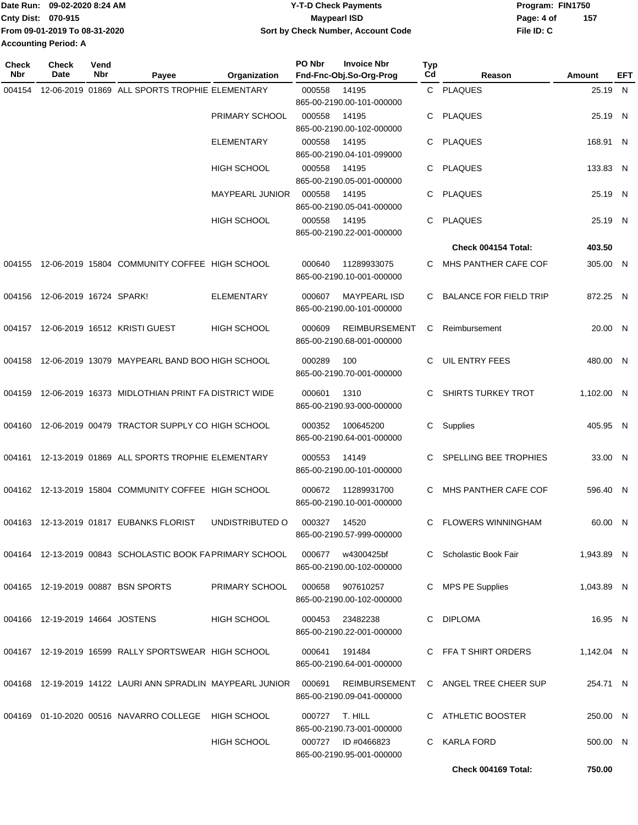|                             | Date Run: 09-02-2020 8:24 AM  | <b>Y-T-D Check Payments</b>        | Program: FIN1750 |     |
|-----------------------------|-------------------------------|------------------------------------|------------------|-----|
| <b>Cnty Dist: 070-915</b>   |                               | Maypearl ISD                       | Page: 4 of       | 157 |
|                             | From 09-01-2019 To 08-31-2020 | Sort by Check Number, Account Code | File ID: C       |     |
| <b>Accounting Period: A</b> |                               |                                    |                  |     |

| Check<br>Nbr | Check<br>Date                   | Vend<br>Nbr | Payee                                                         | Organization           | PO Nbr | <b>Invoice Nbr</b><br>Fnd-Fnc-Obj.So-Org-Prog     | <b>Typ</b><br>Cd | Reason                    | Amount     | EFT |
|--------------|---------------------------------|-------------|---------------------------------------------------------------|------------------------|--------|---------------------------------------------------|------------------|---------------------------|------------|-----|
| 004154       |                                 |             | 12-06-2019 01869 ALL SPORTS TROPHIE ELEMENTARY                |                        | 000558 | 14195<br>865-00-2190.00-101-000000                |                  | C PLAQUES                 | 25.19 N    |     |
|              |                                 |             |                                                               | PRIMARY SCHOOL         | 000558 | 14195<br>865-00-2190.00-102-000000                |                  | <b>PLAQUES</b>            | 25.19 N    |     |
|              |                                 |             |                                                               | <b>ELEMENTARY</b>      | 000558 | 14195<br>865-00-2190.04-101-099000                | C.               | PLAQUES                   | 168.91 N   |     |
|              |                                 |             |                                                               | <b>HIGH SCHOOL</b>     | 000558 | 14195<br>865-00-2190.05-001-000000                | C                | PLAQUES                   | 133.83 N   |     |
|              |                                 |             |                                                               | <b>MAYPEARL JUNIOR</b> | 000558 | 14195<br>865-00-2190.05-041-000000                | C                | <b>PLAQUES</b>            | 25.19 N    |     |
|              |                                 |             |                                                               | <b>HIGH SCHOOL</b>     | 000558 | 14195<br>865-00-2190.22-001-000000                | C.               | <b>PLAQUES</b>            | 25.19 N    |     |
|              |                                 |             |                                                               |                        |        |                                                   |                  | Check 004154 Total:       | 403.50     |     |
| 004155       |                                 |             | 12-06-2019 15804 COMMUNITY COFFEE HIGH SCHOOL                 |                        | 000640 | 11289933075<br>865-00-2190.10-001-000000          | C.               | MHS PANTHER CAFE COF      | 305.00 N   |     |
| 004156       | 12-06-2019 16724 SPARK!         |             |                                                               | <b>ELEMENTARY</b>      | 000607 | <b>MAYPEARL ISD</b><br>865-00-2190.00-101-000000  |                  | C BALANCE FOR FIELD TRIP  | 872.25 N   |     |
|              |                                 |             | 004157  12-06-2019  16512  KRISTI GUEST                       | <b>HIGH SCHOOL</b>     | 000609 | <b>REIMBURSEMENT</b><br>865-00-2190.68-001-000000 | C                | Reimbursement             | 20.00 N    |     |
| 004158       |                                 |             | 12-06-2019 13079 MAYPEARL BAND BOO HIGH SCHOOL                |                        | 000289 | 100<br>865-00-2190.70-001-000000                  | C                | <b>UIL ENTRY FEES</b>     | 480.00 N   |     |
| 004159       |                                 |             | 12-06-2019 16373 MIDLOTHIAN PRINT FA DISTRICT WIDE            |                        | 000601 | 1310<br>865-00-2190.93-000-000000                 | C                | <b>SHIRTS TURKEY TROT</b> | 1,102.00 N |     |
|              |                                 |             | 004160 12-06-2019 00479 TRACTOR SUPPLY CO HIGH SCHOOL         |                        | 000352 | 100645200<br>865-00-2190.64-001-000000            | C                | Supplies                  | 405.95 N   |     |
| 004161       |                                 |             | 12-13-2019 01869 ALL SPORTS TROPHIE ELEMENTARY                |                        | 000553 | 14149<br>865-00-2190.00-101-000000                | C.               | SPELLING BEE TROPHIES     | 33.00 N    |     |
|              |                                 |             | 004162 12-13-2019 15804 COMMUNITY COFFEE HIGH SCHOOL          |                        | 000672 | 11289931700<br>865-00-2190.10-001-000000          | C.               | MHS PANTHER CAFE COF      | 596.40 N   |     |
|              |                                 |             | 004163 12-13-2019 01817 EUBANKS FLORIST                       | UNDISTRIBUTED O        | 000327 | 14520<br>865-00-2190.57-999-000000                | C.               | <b>FLOWERS WINNINGHAM</b> | 60.00 N    |     |
|              |                                 |             | 004164 12-13-2019 00843 SCHOLASTIC BOOK FA PRIMARY SCHOOL     |                        | 000677 | w4300425bf<br>865-00-2190.00-102-000000           |                  | C Scholastic Book Fair    | 1,943.89 N |     |
|              |                                 |             | 004165 12-19-2019 00887 BSN SPORTS                            | PRIMARY SCHOOL         | 000658 | 907610257<br>865-00-2190.00-102-000000            |                  | C MPS PE Supplies         | 1,043.89 N |     |
|              | 004166 12-19-2019 14664 JOSTENS |             |                                                               | <b>HIGH SCHOOL</b>     | 000453 | 23482238<br>865-00-2190.22-001-000000             |                  | C DIPLOMA                 | 16.95 N    |     |
|              |                                 |             | 004167 12-19-2019 16599 RALLY SPORTSWEAR HIGH SCHOOL          |                        | 000641 | 191484<br>865-00-2190.64-001-000000               |                  | C FFA T SHIRT ORDERS      | 1.142.04 N |     |
|              |                                 |             | 004168  12-19-2019  14122  LAURI ANN SPRADLIN MAYPEARL JUNIOR |                        | 000691 | <b>REIMBURSEMENT</b><br>865-00-2190.09-041-000000 |                  | C ANGEL TREE CHEER SUP    | 254.71 N   |     |
|              |                                 |             | 004169   01-10-2020   00516   NAVARRO COLLEGE                 | HIGH SCHOOL            | 000727 | T. HILL<br>865-00-2190.73-001-000000              |                  | C ATHLETIC BOOSTER        | 250.00 N   |     |
|              |                                 |             |                                                               | HIGH SCHOOL            |        | 000727 ID #0466823<br>865-00-2190.95-001-000000   |                  | C KARLA FORD              | 500.00 N   |     |
|              |                                 |             |                                                               |                        |        |                                                   |                  | Check 004169 Total:       | 750.00     |     |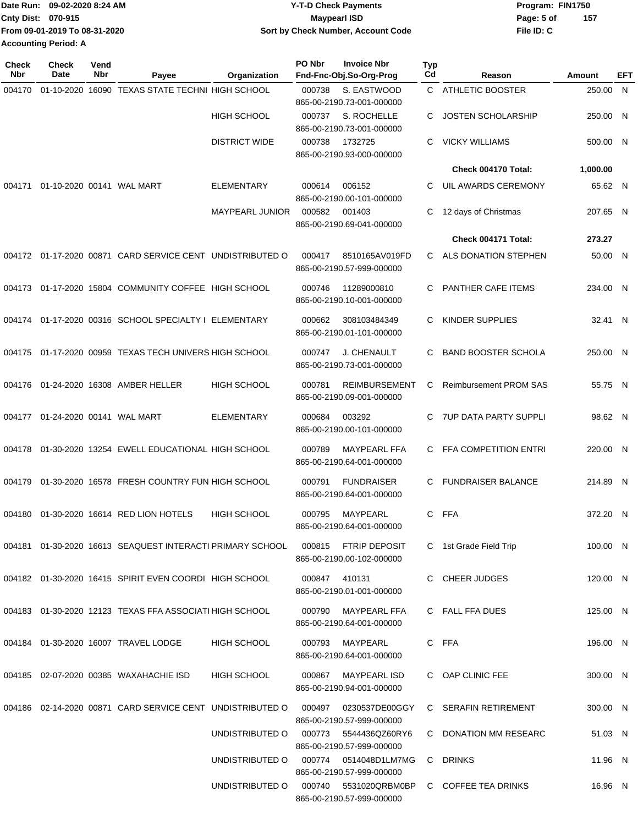| 157 |
|-----|
|     |
|     |
|     |

| <b>Check</b><br>Nbr | Check<br>Date             | Vend<br>Nbr | Payee                                                        | Organization           | PO Nbr | <b>Invoice Nbr</b><br>Fnd-Fnc-Obj.So-Org-Prog                     | Typ<br>Cd | Reason                                    | Amount   | EFT |
|---------------------|---------------------------|-------------|--------------------------------------------------------------|------------------------|--------|-------------------------------------------------------------------|-----------|-------------------------------------------|----------|-----|
| 004170              |                           |             | 01-10-2020 16090 TEXAS STATE TECHNI HIGH SCHOOL              |                        | 000738 | S. EASTWOOD<br>865-00-2190.73-001-000000                          |           | C ATHLETIC BOOSTER                        | 250.00   | - N |
|                     |                           |             |                                                              | <b>HIGH SCHOOL</b>     | 000737 | S. ROCHELLE                                                       | С         | <b>JOSTEN SCHOLARSHIP</b>                 | 250.00 N |     |
|                     |                           |             |                                                              | <b>DISTRICT WIDE</b>   | 000738 | 865-00-2190.73-001-000000<br>1732725<br>865-00-2190.93-000-000000 | С         | <b>VICKY WILLIAMS</b>                     | 500.00 N |     |
|                     |                           |             |                                                              |                        |        |                                                                   |           | Check 004170 Total:                       | 1,000.00 |     |
| 004171              |                           |             | 01-10-2020 00141 WAL MART                                    | <b>ELEMENTARY</b>      | 000614 | 006152<br>865-00-2190.00-101-000000                               | С         | UIL AWARDS CEREMONY                       | 65.62 N  |     |
|                     |                           |             |                                                              | <b>MAYPEARL JUNIOR</b> | 000582 | 001403<br>865-00-2190.69-041-000000                               | С         | 12 days of Christmas                      | 207.65 N |     |
|                     |                           |             |                                                              |                        |        |                                                                   |           | Check 004171 Total:                       | 273.27   |     |
|                     |                           |             | 004172 01-17-2020 00871 CARD SERVICE CENT UNDISTRIBUTED O    |                        | 000417 | 8510165AV019FD<br>865-00-2190.57-999-000000                       | C.        | ALS DONATION STEPHEN                      | 50.00 N  |     |
| 004173              |                           |             | 01-17-2020 15804 COMMUNITY COFFEE HIGH SCHOOL                |                        | 000746 | 11289000810<br>865-00-2190.10-001-000000                          | С         | <b>PANTHER CAFE ITEMS</b>                 | 234.00 N |     |
|                     |                           |             | 004174 01-17-2020 00316 SCHOOL SPECIALTY I ELEMENTARY        |                        | 000662 | 308103484349<br>865-00-2190.01-101-000000                         | C         | KINDER SUPPLIES                           | 32.41 N  |     |
| 004175              |                           |             | 01-17-2020 00959 TEXAS TECH UNIVERS HIGH SCHOOL              |                        | 000747 | <b>J. CHENAULT</b><br>865-00-2190.73-001-000000                   | С         | <b>BAND BOOSTER SCHOLA</b>                | 250.00 N |     |
| 004176              |                           |             | 01-24-2020 16308 AMBER HELLER                                | <b>HIGH SCHOOL</b>     | 000781 | <b>REIMBURSEMENT</b><br>865-00-2190.09-001-000000                 | С         | <b>Reimbursement PROM SAS</b>             | 55.75 N  |     |
| 004177              | 01-24-2020 00141 WAL MART |             |                                                              | <b>ELEMENTARY</b>      | 000684 | 003292<br>865-00-2190.00-101-000000                               | C         | <b>7UP DATA PARTY SUPPLI</b>              | 98.62 N  |     |
| 004178              |                           |             | 01-30-2020 13254 EWELL EDUCATIONAL HIGH SCHOOL               |                        | 000789 | <b>MAYPEARL FFA</b><br>865-00-2190.64-001-000000                  | C.        | FFA COMPETITION ENTRI                     | 220.00 N |     |
| 004179              |                           |             | 01-30-2020 16578 FRESH COUNTRY FUN HIGH SCHOOL               |                        | 000791 | <b>FUNDRAISER</b><br>865-00-2190.64-001-000000                    | C         | <b>FUNDRAISER BALANCE</b>                 | 214.89 N |     |
| 004180              |                           |             | 01-30-2020 16614 RED LION HOTELS                             | <b>HIGH SCHOOL</b>     | 000795 | MAYPEARL<br>865-00-2190.64-001-000000                             | C.        | FFA                                       | 372.20 N |     |
|                     |                           |             | 004181  01-30-2020  16613  SEAQUEST INTERACTI PRIMARY SCHOOL |                        | 000815 | FTRIP DEPOSIT<br>865-00-2190.00-102-000000                        |           | C 1st Grade Field Trip                    | 100.00 N |     |
|                     |                           |             | 004182 01-30-2020 16415 SPIRIT EVEN COORDI HIGH SCHOOL       |                        |        | 000847 410131<br>865-00-2190.01-001-000000                        |           | C CHEER JUDGES                            | 120.00 N |     |
|                     |                           |             | 004183 01-30-2020 12123 TEXAS FFA ASSOCIATI HIGH SCHOOL      |                        | 000790 | MAYPEARL FFA<br>865-00-2190.64-001-000000                         |           | C FALL FFA DUES                           | 125.00 N |     |
|                     |                           |             | 004184 01-30-2020 16007 TRAVEL LODGE                         | HIGH SCHOOL            |        | 000793 MAYPEARL<br>865-00-2190.64-001-000000                      |           | C FFA                                     | 196.00 N |     |
|                     |                           |             | 004185 02-07-2020 00385 WAXAHACHIE ISD                       | HIGH SCHOOL            |        | 000867 MAYPEARL ISD<br>865-00-2190.94-001-000000                  |           | C OAP CLINIC FEE                          | 300.00 N |     |
|                     |                           |             | 004186 02-14-2020 00871 CARD SERVICE CENT UNDISTRIBUTED O    |                        |        | 000497   0230537DE00GGY<br>865-00-2190.57-999-000000              |           | C SERAFIN RETIREMENT                      | 300.00 N |     |
|                     |                           |             |                                                              | UNDISTRIBUTED O        | 000773 | 5544436QZ60RY6<br>865-00-2190.57-999-000000                       |           | C DONATION MM RESEARC                     | 51.03 N  |     |
|                     |                           |             |                                                              | UNDISTRIBUTED O        |        | 000774   0514048D1LM7MG                                           |           | C DRINKS                                  | 11.96 N  |     |
|                     |                           |             |                                                              | UNDISTRIBUTED O        |        | 865-00-2190.57-999-000000<br>865-00-2190.57-999-000000            |           | 000740 5531020QRBM0BP C COFFEE TEA DRINKS | 16.96 N  |     |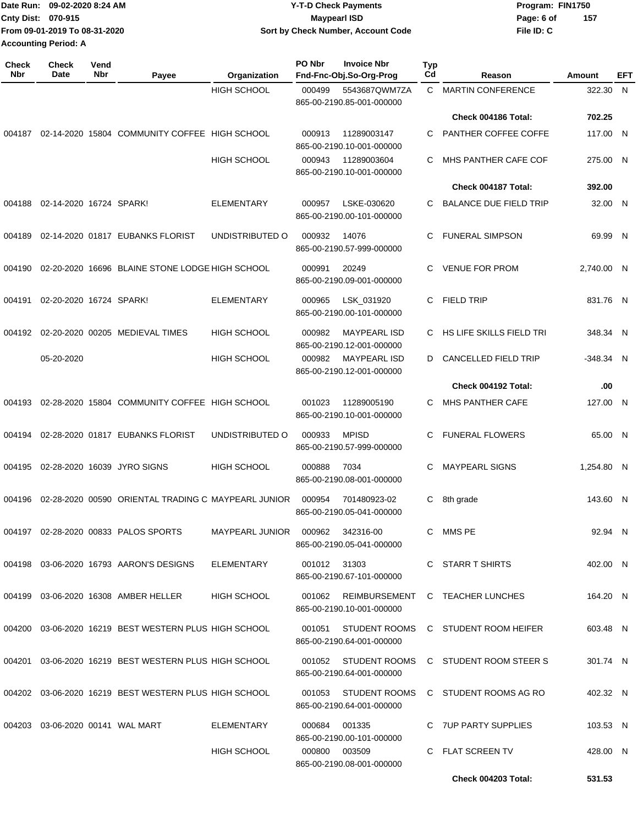|                             | Date Run: 09-02-2020 8:24 AM  | <b>Y-T-D Check Payments</b>        | Program: FIN1750 |     |
|-----------------------------|-------------------------------|------------------------------------|------------------|-----|
| <b>Cnty Dist: 070-915</b>   |                               | <b>Mavpearl ISD</b>                | Page: 6 of       | 157 |
|                             | From 09-01-2019 To 08-31-2020 | Sort by Check Number, Account Code | File ID: C       |     |
| <b>Accounting Period: A</b> |                               |                                    |                  |     |

| <b>Check</b><br><b>Nbr</b> | Check<br>Date                    | Vend<br>Nbr | Payee                                                 | Organization                       | PO Nbr       | <b>Invoice Nbr</b><br>Fnd-Fnc-Obj.So-Org-Prog                           | <b>Typ</b><br>Cd | Reason                                 | Amount     | EFT          |
|----------------------------|----------------------------------|-------------|-------------------------------------------------------|------------------------------------|--------------|-------------------------------------------------------------------------|------------------|----------------------------------------|------------|--------------|
|                            |                                  |             |                                                       | <b>HIGH SCHOOL</b>                 | 000499       | 5543687QWM7ZA<br>865-00-2190.85-001-000000                              | C                | <b>MARTIN CONFERENCE</b>               | 322.30     | N            |
|                            |                                  |             |                                                       |                                    |              |                                                                         |                  | Check 004186 Total:                    | 702.25     |              |
| 004187                     |                                  |             | 02-14-2020 15804 COMMUNITY COFFEE HIGH SCHOOL         |                                    | 000913       | 11289003147<br>865-00-2190.10-001-000000                                | C                | PANTHER COFFEE COFFE                   | 117.00 N   |              |
|                            |                                  |             |                                                       | <b>HIGH SCHOOL</b>                 | 000943       | 11289003604<br>865-00-2190.10-001-000000                                | C                | MHS PANTHER CAFE COF                   | 275.00 N   |              |
|                            |                                  |             |                                                       |                                    |              |                                                                         |                  | Check 004187 Total:                    | 392.00     |              |
| 004188                     | 02-14-2020 16724 SPARK!          |             |                                                       | <b>ELEMENTARY</b>                  | 000957       | LSKE-030620<br>865-00-2190.00-101-000000                                | C                | <b>BALANCE DUE FIELD TRIP</b>          | 32.00 N    |              |
| 004189                     |                                  |             | 02-14-2020 01817 EUBANKS FLORIST                      | UNDISTRIBUTED O                    | 000932       | 14076<br>865-00-2190.57-999-000000                                      | C                | <b>FUNERAL SIMPSON</b>                 | 69.99 N    |              |
| 004190                     |                                  |             | 02-20-2020 16696 BLAINE STONE LODGE HIGH SCHOOL       |                                    | 000991       | 20249<br>865-00-2190.09-001-000000                                      | C                | <b>VENUE FOR PROM</b>                  | 2,740.00 N |              |
| 004191                     | 02-20-2020 16724 SPARK!          |             |                                                       | <b>ELEMENTARY</b>                  | 000965       | LSK 031920<br>865-00-2190.00-101-000000                                 | C                | <b>FIELD TRIP</b>                      | 831.76 N   |              |
| 004192                     |                                  |             | 02-20-2020 00205 MEDIEVAL TIMES                       | <b>HIGH SCHOOL</b>                 | 000982       | <b>MAYPEARL ISD</b><br>865-00-2190.12-001-000000                        | C                | HS LIFE SKILLS FIELD TRI               | 348.34 N   |              |
|                            | 05-20-2020                       |             |                                                       | HIGH SCHOOL                        | 000982       | <b>MAYPEARL ISD</b><br>865-00-2190.12-001-000000                        | D.               | <b>CANCELLED FIELD TRIP</b>            | -348.34 N  |              |
|                            |                                  |             |                                                       |                                    |              |                                                                         |                  | Check 004192 Total:                    | .00        |              |
| 004193                     |                                  |             | 02-28-2020 15804 COMMUNITY COFFEE HIGH SCHOOL         |                                    | 001023       | 11289005190<br>865-00-2190.10-001-000000                                | C                | <b>MHS PANTHER CAFE</b>                | 127.00     | $\mathsf{N}$ |
| 004194                     |                                  |             | 02-28-2020 01817 EUBANKS FLORIST                      | UNDISTRIBUTED O                    | 000933       | <b>MPISD</b><br>865-00-2190.57-999-000000                               | C                | <b>FUNERAL FLOWERS</b>                 | 65.00 N    |              |
| 004195                     |                                  |             | 02-28-2020 16039 JYRO SIGNS                           | <b>HIGH SCHOOL</b>                 | 000888       | 7034<br>865-00-2190.08-001-000000                                       | C                | <b>MAYPEARL SIGNS</b>                  | 1,254.80 N |              |
| 004196                     |                                  |             | 02-28-2020 00590 ORIENTAL TRADING C MAYPEARL JUNIOR   |                                    | 000954       | 701480923-02<br>865-00-2190.05-041-000000                               | С                | 8th grade                              | 143.60 N   |              |
|                            |                                  |             | 004197 02-28-2020 00833 PALOS SPORTS                  | MAYPEARL JUNIOR  000962  342316-00 |              | 865-00-2190.05-041-000000                                               |                  | C MMS PE                               | 92.94 N    |              |
|                            |                                  |             | 004198 03-06-2020 16793 AARON'S DESIGNS               | ELEMENTARY                         | 001012 31303 | 865-00-2190.67-101-000000                                               |                  | C STARR T SHIRTS                       | 402.00 N   |              |
|                            |                                  |             | 004199 03-06-2020 16308 AMBER HELLER                  | HIGH SCHOOL                        |              | 865-00-2190.10-001-000000                                               |                  | 001062 REIMBURSEMENT C TEACHER LUNCHES | 164.20 N   |              |
|                            |                                  |             | 004200 03-06-2020 16219 BEST WESTERN PLUS HIGH SCHOOL |                                    | 001051       | 865-00-2190.64-001-000000                                               |                  | STUDENT ROOMS C STUDENT ROOM HEIFER    | 603.48 N   |              |
|                            |                                  |             | 004201 03-06-2020 16219 BEST WESTERN PLUS HIGH SCHOOL |                                    | 001052       | 865-00-2190.64-001-000000                                               |                  | STUDENT ROOMS C STUDENT ROOM STEER S   | 301.74 N   |              |
|                            |                                  |             | 004202 03-06-2020 16219 BEST WESTERN PLUS HIGH SCHOOL |                                    | 001053       | STUDENT ROOMS<br>865-00-2190.64-001-000000                              |                  | C STUDENT ROOMS AG RO                  | 402.32 N   |              |
|                            | 004203 03-06-2020 00141 WAL MART |             |                                                       | ELEMENTARY                         |              | 000684 001335                                                           |                  | C 7UP PARTY SUPPLIES                   | 103.53 N   |              |
|                            |                                  |             |                                                       | <b>HIGH SCHOOL</b>                 |              | 865-00-2190.00-101-000000<br>000800 003509<br>865-00-2190.08-001-000000 |                  | C FLAT SCREEN TV                       | 428.00 N   |              |
|                            |                                  |             |                                                       |                                    |              |                                                                         |                  | Check 004203 Total:                    | 531.53     |              |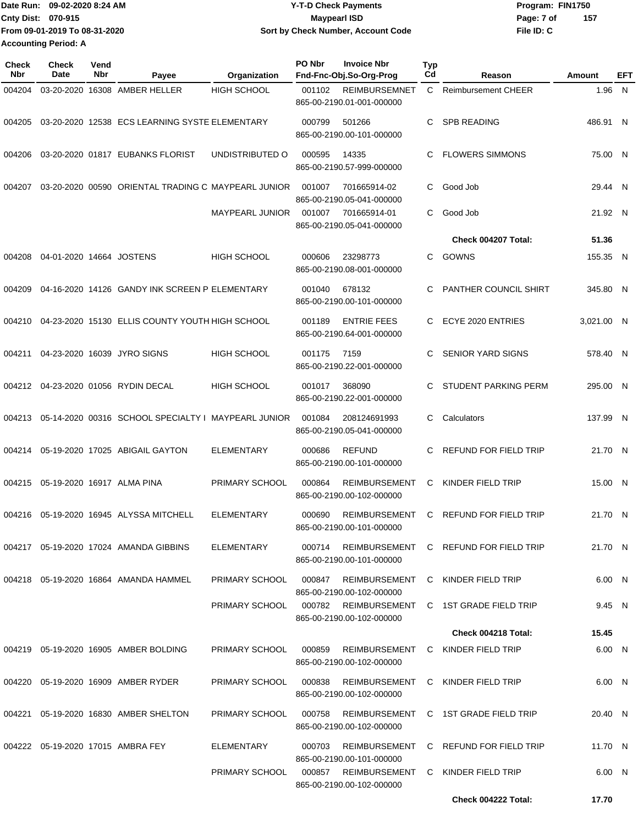| Date Run: 09-02-2020 8:24 AM  | <b>Y-T-D Check Payments</b>               | Program: FIN1750  |
|-------------------------------|-------------------------------------------|-------------------|
| <b>Cnty Dist: 070-915</b>     | <b>Mavpearl ISD</b>                       | 157<br>Page: 7 of |
| From 09-01-2019 To 08-31-2020 | <b>Sort by Check Number, Account Code</b> | File ID: C        |
| <b>Accounting Period: A</b>   |                                           |                   |

| Check<br>Nbr | <b>Check</b><br>Date     | Vend<br>Nbr | Payee                                               | Organization           | <b>PO Nbr</b> | <b>Invoice Nbr</b><br>Fnd-Fnc-Obj.So-Org-Prog                                            | <b>Typ</b><br>Cd | Reason                                      | Amount     | EFT |
|--------------|--------------------------|-------------|-----------------------------------------------------|------------------------|---------------|------------------------------------------------------------------------------------------|------------------|---------------------------------------------|------------|-----|
| 004204       |                          |             | 03-20-2020 16308 AMBER HELLER                       | <b>HIGH SCHOOL</b>     | 001102        | <b>REIMBURSEMNET</b><br>865-00-2190.01-001-000000                                        | C                | <b>Reimbursement CHEER</b>                  | 1.96 N     |     |
| 004205       |                          |             | 03-20-2020 12538 ECS LEARNING SYSTE ELEMENTARY      |                        | 000799        | 501266<br>865-00-2190.00-101-000000                                                      | C.               | <b>SPB READING</b>                          | 486.91 N   |     |
| 004206       |                          |             | 03-20-2020 01817 EUBANKS FLORIST                    | UNDISTRIBUTED O        | 000595        | 14335<br>865-00-2190.57-999-000000                                                       | C                | <b>FLOWERS SIMMONS</b>                      | 75.00 N    |     |
| 004207       |                          |             | 03-20-2020 00590 ORIENTAL TRADING C MAYPEARL JUNIOR |                        | 001007        | 701665914-02<br>865-00-2190.05-041-000000                                                | C                | Good Job                                    | 29.44 N    |     |
|              |                          |             |                                                     | <b>MAYPEARL JUNIOR</b> | 001007        | 701665914-01<br>865-00-2190.05-041-000000                                                | C                | Good Job                                    | 21.92 N    |     |
|              |                          |             |                                                     |                        |               |                                                                                          |                  | Check 004207 Total:                         | 51.36      |     |
| 004208       | 04-01-2020 14664 JOSTENS |             |                                                     | <b>HIGH SCHOOL</b>     | 000606        | 23298773<br>865-00-2190.08-001-000000                                                    | C                | GOWNS                                       | 155.35 N   |     |
| 004209       |                          |             | 04-16-2020 14126 GANDY INK SCREEN P ELEMENTARY      |                        | 001040        | 678132<br>865-00-2190.00-101-000000                                                      | C                | PANTHER COUNCIL SHIRT                       | 345.80 N   |     |
| 004210       |                          |             | 04-23-2020 15130 ELLIS COUNTY YOUTH HIGH SCHOOL     |                        | 001189        | <b>ENTRIE FEES</b><br>865-00-2190.64-001-000000                                          | C                | ECYE 2020 ENTRIES                           | 3.021.00 N |     |
| 004211       |                          |             | 04-23-2020 16039 JYRO SIGNS                         | <b>HIGH SCHOOL</b>     | 001175        | 7159<br>865-00-2190.22-001-000000                                                        | C.               | <b>SENIOR YARD SIGNS</b>                    | 578.40 N   |     |
|              |                          |             | 004212 04-23-2020 01056 RYDIN DECAL                 | <b>HIGH SCHOOL</b>     | 001017        | 368090<br>865-00-2190.22-001-000000                                                      | C.               | STUDENT PARKING PERM                        | 295.00 N   |     |
| 004213       |                          |             | 05-14-2020 00316 SCHOOL SPECIALTY I MAYPEARL JUNIOR |                        | 001084        | 208124691993<br>865-00-2190.05-041-000000                                                | C.               | Calculators                                 | 137.99 N   |     |
| 004214       |                          |             | 05-19-2020 17025 ABIGAIL GAYTON                     | <b>ELEMENTARY</b>      | 000686        | <b>REFUND</b><br>865-00-2190.00-101-000000                                               | C                | REFUND FOR FIELD TRIP                       | 21.70 N    |     |
| 004215       |                          |             | 05-19-2020 16917 ALMA PINA                          | PRIMARY SCHOOL         | 000864        | <b>REIMBURSEMENT</b><br>865-00-2190.00-102-000000                                        | С                | KINDER FIELD TRIP                           | 15.00 N    |     |
| 004216       |                          |             | 05-19-2020 16945 ALYSSA MITCHELL                    | <b>ELEMENTARY</b>      | 000690        | <b>REIMBURSEMENT</b><br>865-00-2190.00-101-000000                                        | C                | REFUND FOR FIELD TRIP                       | 21.70 N    |     |
|              |                          |             | 004217  05-19-2020  17024  AMANDA GIBBINS           | ELEMENTARY             | 000714        | 865-00-2190.00-101-000000                                                                |                  | REIMBURSEMENT C REFUND FOR FIELD TRIP       | 21.70 N    |     |
|              |                          |             | 004218  05-19-2020  16864  AMANDA HAMMEL            | PRIMARY SCHOOL         | 000847        | 865-00-2190.00-102-000000                                                                |                  | REIMBURSEMENT C KINDER FIELD TRIP           | 6.00 N     |     |
|              |                          |             |                                                     | PRIMARY SCHOOL         |               | 865-00-2190.00-102-000000                                                                |                  | 000782 REIMBURSEMENT C 1ST GRADE FIELD TRIP | 9.45 N     |     |
|              |                          |             |                                                     |                        |               |                                                                                          |                  | Check 004218 Total:                         | 15.45      |     |
|              |                          |             | 004219 05-19-2020 16905 AMBER BOLDING               | PRIMARY SCHOOL         | 000859        | 865-00-2190.00-102-000000                                                                |                  | REIMBURSEMENT C KINDER FIELD TRIP           | 6.00 N     |     |
|              |                          |             | 004220 05-19-2020 16909 AMBER RYDER                 | PRIMARY SCHOOL         | 000838        | REIMBURSEMENT C KINDER FIELD TRIP<br>865-00-2190.00-102-000000                           |                  |                                             | 6.00 N     |     |
|              |                          |             | 004221 05-19-2020 16830 AMBER SHELTON               | PRIMARY SCHOOL         | 000758        | 865-00-2190.00-102-000000                                                                |                  | REIMBURSEMENT C 1ST GRADE FIELD TRIP        | 20.40 N    |     |
|              |                          |             | 004222 05-19-2020 17015 AMBRA FEY                   | ELEMENTARY             | 000703        | 865-00-2190.00-101-000000                                                                |                  | REIMBURSEMENT C REFUND FOR FIELD TRIP       | 11.70 N    |     |
|              |                          |             |                                                     |                        |               | PRIMARY SCHOOL  000857  REIMBURSEMENT  C  KINDER FIELD TRIP<br>865-00-2190.00-102-000000 |                  |                                             | 6.00 N     |     |
|              |                          |             |                                                     |                        |               |                                                                                          |                  | Check 004222 Total:                         | 17.70      |     |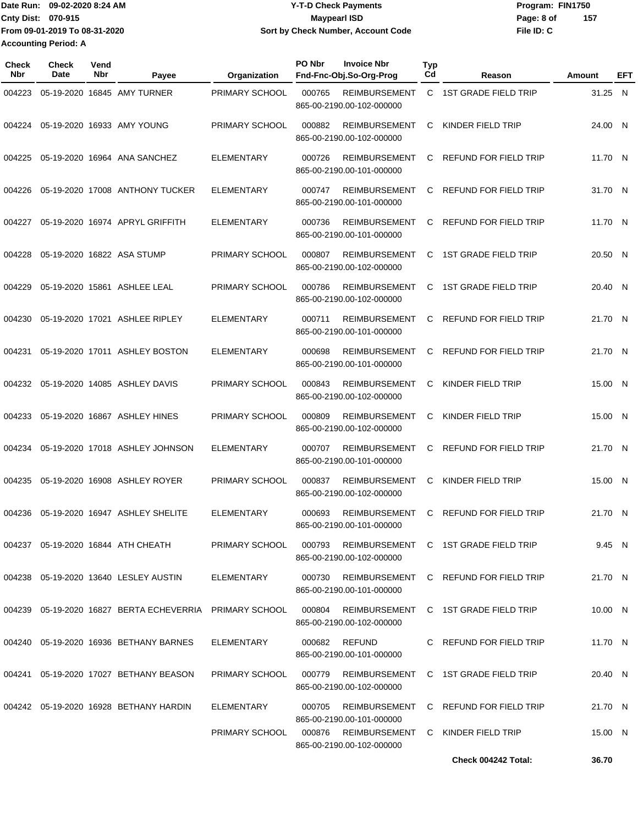|                             | Date Run: 09-02-2020 8:24 AM  | <b>Y-T-D Check Payments</b>        | Program: FIN1750 |     |
|-----------------------------|-------------------------------|------------------------------------|------------------|-----|
| Cnty Dist: 070-915          |                               | Mavpearl ISD                       | Page: 8 of       | 157 |
|                             | From 09-01-2019 To 08-31-2020 | Sort by Check Number, Account Code | File ID: C       |     |
| <b>Accounting Period: A</b> |                               |                                    |                  |     |

| <b>Check</b><br><b>Nbr</b> | Check<br>Date | Vend<br>Nbr | Payee                                                               | Organization      | PO Nbr<br><b>Invoice Nbr</b><br>Fnd-Fnc-Obj.So-Org-Prog                   | Typ<br>Cd | Reason                                | Amount  | EFT |
|----------------------------|---------------|-------------|---------------------------------------------------------------------|-------------------|---------------------------------------------------------------------------|-----------|---------------------------------------|---------|-----|
| 004223                     |               |             | 05-19-2020 16845 AMY TURNER                                         | PRIMARY SCHOOL    | 000765<br><b>REIMBURSEMENT</b><br>865-00-2190.00-102-000000               | C.        | <b>1ST GRADE FIELD TRIP</b>           | 31.25 N |     |
| 004224                     |               |             | 05-19-2020 16933 AMY YOUNG                                          | PRIMARY SCHOOL    | 000882<br><b>REIMBURSEMENT</b><br>865-00-2190.00-102-000000               | C         | KINDER FIELD TRIP                     | 24.00 N |     |
| 004225                     |               |             | 05-19-2020 16964 ANA SANCHEZ                                        | <b>ELEMENTARY</b> | 000726<br><b>REIMBURSEMENT</b><br>865-00-2190.00-101-000000               | C         | REFUND FOR FIELD TRIP                 | 11.70 N |     |
| 004226                     |               |             | 05-19-2020 17008 ANTHONY TUCKER                                     | <b>ELEMENTARY</b> | 000747<br><b>REIMBURSEMENT</b><br>865-00-2190.00-101-000000               | C         | REFUND FOR FIELD TRIP                 | 31.70 N |     |
| 004227                     |               |             | 05-19-2020 16974 APRYL GRIFFITH                                     | <b>ELEMENTARY</b> | <b>REIMBURSEMENT</b><br>000736<br>865-00-2190.00-101-000000               | C         | REFUND FOR FIELD TRIP                 | 11.70 N |     |
| 004228                     |               |             | 05-19-2020 16822 ASA STUMP                                          | PRIMARY SCHOOL    | 000807<br><b>REIMBURSEMENT</b><br>865-00-2190.00-102-000000               | C         | <b>1ST GRADE FIELD TRIP</b>           | 20.50 N |     |
| 004229                     |               |             | 05-19-2020 15861 ASHLEE LEAL                                        | PRIMARY SCHOOL    | 000786<br><b>REIMBURSEMENT</b><br>865-00-2190.00-102-000000               | C         | <b>1ST GRADE FIELD TRIP</b>           | 20.40 N |     |
| 004230                     |               |             | 05-19-2020 17021 ASHLEE RIPLEY                                      | <b>ELEMENTARY</b> | 000711<br><b>REIMBURSEMENT</b><br>865-00-2190.00-101-000000               | C         | REFUND FOR FIELD TRIP                 | 21.70 N |     |
| 004231                     |               |             | 05-19-2020 17011 ASHLEY BOSTON                                      | <b>ELEMENTARY</b> | 000698<br><b>REIMBURSEMENT</b><br>865-00-2190.00-101-000000               | C         | <b>REFUND FOR FIELD TRIP</b>          | 21.70 N |     |
| 004232                     |               |             | 05-19-2020 14085 ASHLEY DAVIS                                       | PRIMARY SCHOOL    | 000843<br><b>REIMBURSEMENT</b><br>865-00-2190.00-102-000000               | C         | KINDER FIELD TRIP                     | 15.00 N |     |
| 004233                     |               |             | 05-19-2020 16867 ASHLEY HINES                                       | PRIMARY SCHOOL    | 000809<br>REIMBURSEMENT<br>865-00-2190.00-102-000000                      | C         | KINDER FIELD TRIP                     | 15.00 N |     |
| 004234                     |               |             | 05-19-2020 17018 ASHLEY JOHNSON                                     | <b>ELEMENTARY</b> | 000707<br><b>REIMBURSEMENT</b><br>865-00-2190.00-101-000000               | C         | REFUND FOR FIELD TRIP                 | 21.70 N |     |
| 004235                     |               |             | 05-19-2020 16908 ASHLEY ROYER                                       | PRIMARY SCHOOL    | <b>REIMBURSEMENT</b><br>000837<br>865-00-2190.00-102-000000               | C         | KINDER FIELD TRIP                     | 15.00 N |     |
| 004236                     |               |             | 05-19-2020 16947 ASHLEY SHELITE                                     | <b>ELEMENTARY</b> | 000693<br><b>REIMBURSEMENT</b><br>865-00-2190.00-101-000000               | C         | <b>REFUND FOR FIELD TRIP</b>          | 21.70 N |     |
|                            |               |             | 004237 05-19-2020 16844 ATH CHEATH                                  | PRIMARY SCHOOL    | 000793<br>865-00-2190.00-102-000000                                       |           | REIMBURSEMENT C 1ST GRADE FIELD TRIP  | 9.45 N  |     |
|                            |               |             | 004238  05-19-2020  13640  LESLEY AUSTIN                            | ELEMENTARY        | 000730 REIMBURSEMENT C REFUND FOR FIELD TRIP<br>865-00-2190.00-101-000000 |           |                                       | 21.70 N |     |
|                            |               |             | 004239    05-19-2020    16827    BERTA ECHEVERRIA    PRIMARY SCHOOL |                   | 000804 REIMBURSEMENT C 1ST GRADE FIELD TRIP<br>865-00-2190.00-102-000000  |           |                                       | 10.00 N |     |
|                            |               |             | 004240  05-19-2020  16936  BETHANY BARNES                           | ELEMENTARY        | 000682 REFUND<br>865-00-2190.00-101-000000                                |           | C REFUND FOR FIELD TRIP               | 11.70 N |     |
|                            |               |             | 004241 05-19-2020 17027 BETHANY BEASON                              | PRIMARY SCHOOL    | 000779<br>865-00-2190.00-102-000000                                       |           | REIMBURSEMENT C 1ST GRADE FIELD TRIP  | 20.40 N |     |
|                            |               |             | 004242 05-19-2020 16928 BETHANY HARDIN                              | ELEMENTARY        | 000705                                                                    |           | REIMBURSEMENT C REFUND FOR FIELD TRIP | 21.70 N |     |
|                            |               |             |                                                                     | PRIMARY SCHOOL    | 865-00-2190.00-101-000000<br>000876<br>865-00-2190.00-102-000000          |           | REIMBURSEMENT C KINDER FIELD TRIP     | 15.00 N |     |
|                            |               |             |                                                                     |                   |                                                                           |           | Check 004242 Total:                   | 36.70   |     |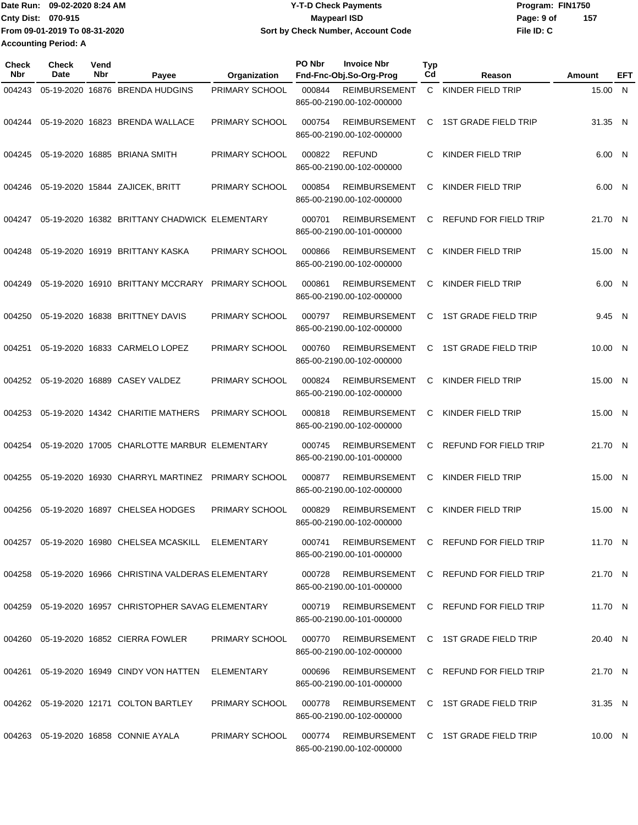|                             | Date Run: 09-02-2020 8:24 AM  | <b>Y-T-D Check Payments</b>               | Program: FIN1750  |
|-----------------------------|-------------------------------|-------------------------------------------|-------------------|
| <b>Cnty Dist: 070-915</b>   |                               | <b>Mavpearl ISD</b>                       | 157<br>Page: 9 of |
|                             | From 09-01-2019 To 08-31-2020 | <b>Sort by Check Number, Account Code</b> | File ID: C        |
| <b>Accounting Period: A</b> |                               |                                           |                   |

| <b>Check</b><br><b>Nbr</b> | Check<br>Date | Vend<br>Nbr | Payee                                                    | Organization          | PO Nbr | <b>Invoice Nbr</b><br>Fnd-Fnc-Obj.So-Org-Prog     | <b>Typ</b><br>Cd | Reason                                      | Amount  | EFT |
|----------------------------|---------------|-------------|----------------------------------------------------------|-----------------------|--------|---------------------------------------------------|------------------|---------------------------------------------|---------|-----|
| 004243                     |               |             | 05-19-2020 16876 BRENDA HUDGINS                          | PRIMARY SCHOOL        | 000844 | <b>REIMBURSEMENT</b><br>865-00-2190.00-102-000000 |                  | C KINDER FIELD TRIP                         | 15.00 N |     |
| 004244                     |               |             | 05-19-2020 16823 BRENDA WALLACE                          | PRIMARY SCHOOL        | 000754 | <b>REIMBURSEMENT</b><br>865-00-2190.00-102-000000 | C                | 1ST GRADE FIELD TRIP                        | 31.35 N |     |
| 004245                     |               |             | 05-19-2020 16885 BRIANA SMITH                            | PRIMARY SCHOOL        | 000822 | <b>REFUND</b><br>865-00-2190.00-102-000000        | C                | KINDER FIELD TRIP                           | 6.00 N  |     |
| 004246                     |               |             | 05-19-2020 15844 ZAJICEK, BRITT                          | PRIMARY SCHOOL        | 000854 | <b>REIMBURSEMENT</b><br>865-00-2190.00-102-000000 | C                | KINDER FIELD TRIP                           | 6.00 N  |     |
| 004247                     |               |             | 05-19-2020 16382 BRITTANY CHADWICK ELEMENTARY            |                       | 000701 | <b>REIMBURSEMENT</b><br>865-00-2190.00-101-000000 | C                | REFUND FOR FIELD TRIP                       | 21.70 N |     |
| 004248                     |               |             | 05-19-2020 16919 BRITTANY KASKA                          | PRIMARY SCHOOL        | 000866 | <b>REIMBURSEMENT</b><br>865-00-2190.00-102-000000 | C                | KINDER FIELD TRIP                           | 15.00 N |     |
| 004249                     |               |             | 05-19-2020 16910 BRITTANY MCCRARY                        | <b>PRIMARY SCHOOL</b> | 000861 | <b>REIMBURSEMENT</b><br>865-00-2190.00-102-000000 | C                | KINDER FIELD TRIP                           | 6.00 N  |     |
| 004250                     |               |             | 05-19-2020 16838 BRITTNEY DAVIS                          | PRIMARY SCHOOL        | 000797 | <b>REIMBURSEMENT</b><br>865-00-2190.00-102-000000 | C                | <b>1ST GRADE FIELD TRIP</b>                 | 9.45 N  |     |
| 004251                     |               |             | 05-19-2020 16833 CARMELO LOPEZ                           | PRIMARY SCHOOL        | 000760 | <b>REIMBURSEMENT</b><br>865-00-2190.00-102-000000 | C                | <b>1ST GRADE FIELD TRIP</b>                 | 10.00 N |     |
| 004252                     |               |             | 05-19-2020 16889 CASEY VALDEZ                            | PRIMARY SCHOOL        | 000824 | <b>REIMBURSEMENT</b><br>865-00-2190.00-102-000000 | C                | KINDER FIELD TRIP                           | 15.00 N |     |
| 004253                     |               |             | 05-19-2020 14342 CHARITIE MATHERS                        | PRIMARY SCHOOL        | 000818 | <b>REIMBURSEMENT</b><br>865-00-2190.00-102-000000 | C                | KINDER FIELD TRIP                           | 15.00 N |     |
| 004254                     |               |             | 05-19-2020 17005 CHARLOTTE MARBUR ELEMENTARY             |                       | 000745 | <b>REIMBURSEMENT</b><br>865-00-2190.00-101-000000 | C                | REFUND FOR FIELD TRIP                       | 21.70 N |     |
| 004255                     |               |             | 05-19-2020 16930 CHARRYL MARTINEZ PRIMARY SCHOOL         |                       | 000877 | <b>REIMBURSEMENT</b><br>865-00-2190.00-102-000000 | C                | KINDER FIELD TRIP                           | 15.00 N |     |
| 004256                     |               |             | 05-19-2020 16897 CHELSEA HODGES                          | PRIMARY SCHOOL        | 000829 | <b>REIMBURSEMENT</b><br>865-00-2190.00-102-000000 | C                | KINDER FIELD TRIP                           | 15.00 N |     |
|                            |               |             | 004257 05-19-2020 16980 CHELSEA MCASKILL ELEMENTARY      |                       | 000741 | 865-00-2190.00-101-000000                         |                  | REIMBURSEMENT C REFUND FOR FIELD TRIP       | 11.70 N |     |
|                            |               |             | 004258  05-19-2020  16966  CHRISTINA VALDERAS ELEMENTARY |                       | 000728 | 865-00-2190.00-101-000000                         |                  | REIMBURSEMENT C REFUND FOR FIELD TRIP       | 21.70 N |     |
|                            |               |             | 004259 05-19-2020 16957 CHRISTOPHER SAVAG ELEMENTARY     |                       | 000719 | 865-00-2190.00-101-000000                         |                  | REIMBURSEMENT C REFUND FOR FIELD TRIP       | 11.70 N |     |
|                            |               |             | 004260 05-19-2020 16852 CIERRA FOWLER                    | <b>PRIMARY SCHOOL</b> |        | 865-00-2190.00-102-000000                         |                  | 000770 REIMBURSEMENT C 1ST GRADE FIELD TRIP | 20.40 N |     |
|                            |               |             | 004261 05-19-2020 16949 CINDY VON HATTEN                 | ELEMENTARY            | 000696 | 865-00-2190.00-101-000000                         |                  | REIMBURSEMENT C REFUND FOR FIELD TRIP       | 21.70 N |     |
|                            |               |             | 004262 05-19-2020 12171 COLTON BARTLEY                   | <b>PRIMARY SCHOOL</b> | 000778 | 865-00-2190.00-102-000000                         |                  | REIMBURSEMENT C 1ST GRADE FIELD TRIP        | 31.35 N |     |
|                            |               |             | 004263 05-19-2020 16858 CONNIE AYALA                     | PRIMARY SCHOOL        |        | 865-00-2190.00-102-000000                         |                  | 000774 REIMBURSEMENT C 1ST GRADE FIELD TRIP | 10.00 N |     |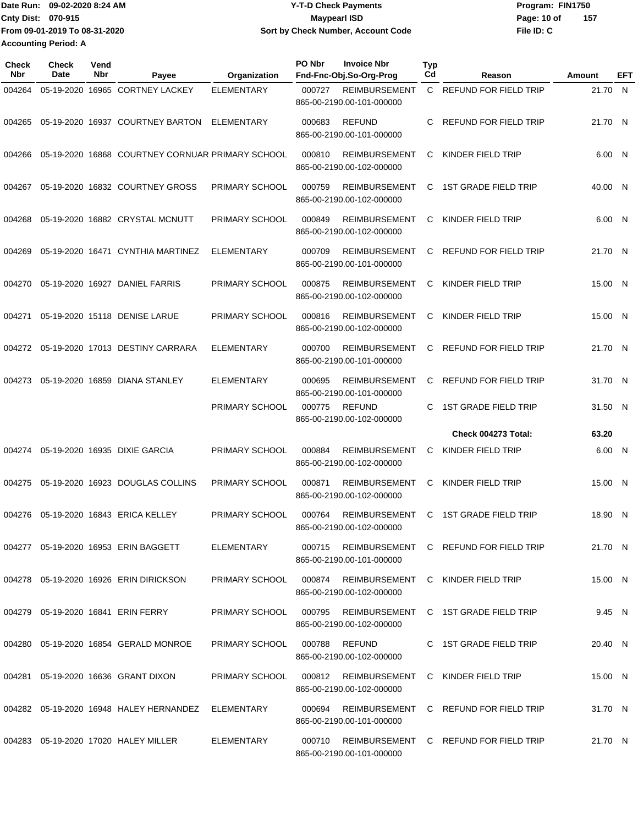| ∎Date Run: 09-02-2020 8:24 AM | Y-T-D Check Payments               | Program: FIN1750    |
|-------------------------------|------------------------------------|---------------------|
| <b>Cnty Dist: 070-915</b>     | <b>Mavpearl ISD</b>                | -157<br>Page: 10 of |
| From 09-01-2019 To 08-31-2020 | Sort by Check Number, Account Code | File ID: C          |
| <b>Accounting Period: A</b>   |                                    |                     |

| Check<br>Nbr | Check<br><b>Date</b> | Vend<br>Nbr | Payee                                            | Organization          | PO Nbr | <b>Invoice Nbr</b><br>Fnd-Fnc-Obj.So-Org-Prog     | <b>Typ</b><br>Cd | Reason                                       | Amount  | EFT |
|--------------|----------------------|-------------|--------------------------------------------------|-----------------------|--------|---------------------------------------------------|------------------|----------------------------------------------|---------|-----|
| 004264       |                      |             | 05-19-2020 16965 CORTNEY LACKEY                  | <b>ELEMENTARY</b>     | 000727 | <b>REIMBURSEMENT</b><br>865-00-2190.00-101-000000 | $\mathsf{C}$     | <b>REFUND FOR FIELD TRIP</b>                 | 21.70 N |     |
| 004265       |                      |             | 05-19-2020 16937 COURTNEY BARTON                 | ELEMENTARY            | 000683 | <b>REFUND</b><br>865-00-2190.00-101-000000        | C.               | REFUND FOR FIELD TRIP                        | 21.70 N |     |
| 004266       |                      |             | 05-19-2020 16868 COURTNEY CORNUAR PRIMARY SCHOOL |                       | 000810 | <b>REIMBURSEMENT</b><br>865-00-2190.00-102-000000 | C                | KINDER FIELD TRIP                            | 6.00 N  |     |
| 004267       |                      |             | 05-19-2020 16832 COURTNEY GROSS                  | PRIMARY SCHOOL        | 000759 | <b>REIMBURSEMENT</b><br>865-00-2190.00-102-000000 | C                | <b>1ST GRADE FIELD TRIP</b>                  | 40.00 N |     |
| 004268       |                      |             | 05-19-2020 16882 CRYSTAL MCNUTT                  | PRIMARY SCHOOL        | 000849 | <b>REIMBURSEMENT</b><br>865-00-2190.00-102-000000 | C                | KINDER FIELD TRIP                            | 6.00 N  |     |
| 004269       |                      |             | 05-19-2020 16471 CYNTHIA MARTINEZ                | <b>ELEMENTARY</b>     | 000709 | <b>REIMBURSEMENT</b><br>865-00-2190.00-101-000000 | C                | REFUND FOR FIELD TRIP                        | 21.70 N |     |
| 004270       |                      |             | 05-19-2020 16927 DANIEL FARRIS                   | PRIMARY SCHOOL        | 000875 | <b>REIMBURSEMENT</b><br>865-00-2190.00-102-000000 | C                | KINDER FIELD TRIP                            | 15.00 N |     |
| 004271       |                      |             | 05-19-2020 15118 DENISE LARUE                    | PRIMARY SCHOOL        | 000816 | <b>REIMBURSEMENT</b><br>865-00-2190.00-102-000000 | C                | KINDER FIELD TRIP                            | 15.00 N |     |
| 004272       |                      |             | 05-19-2020 17013 DESTINY CARRARA                 | ELEMENTARY            | 000700 | <b>REIMBURSEMENT</b><br>865-00-2190.00-101-000000 | C                | REFUND FOR FIELD TRIP                        | 21.70 N |     |
| 004273       |                      |             | 05-19-2020 16859 DIANA STANLEY                   | ELEMENTARY            | 000695 | REIMBURSEMENT<br>865-00-2190.00-101-000000        | C                | REFUND FOR FIELD TRIP                        | 31.70 N |     |
|              |                      |             |                                                  | PRIMARY SCHOOL        | 000775 | <b>REFUND</b><br>865-00-2190.00-102-000000        | C                | <b>1ST GRADE FIELD TRIP</b>                  | 31.50 N |     |
|              |                      |             |                                                  |                       |        |                                                   |                  | Check 004273 Total:                          | 63.20   |     |
| 004274       |                      |             | 05-19-2020 16935 DIXIE GARCIA                    | PRIMARY SCHOOL        | 000884 | <b>REIMBURSEMENT</b><br>865-00-2190.00-102-000000 | C                | KINDER FIELD TRIP                            | 6.00 N  |     |
| 004275       |                      |             | 05-19-2020 16923 DOUGLAS COLLINS                 | PRIMARY SCHOOL        | 000871 | <b>REIMBURSEMENT</b><br>865-00-2190.00-102-000000 | C                | KINDER FIELD TRIP                            | 15.00 N |     |
| 004276       |                      |             | 05-19-2020 16843 ERICA KELLEY                    | PRIMARY SCHOOL        | 000764 | <b>REIMBURSEMENT</b><br>865-00-2190.00-102-000000 | C                | <b>1ST GRADE FIELD TRIP</b>                  | 18.90 N |     |
|              |                      |             | 004277 05-19-2020 16953 ERIN BAGGETT             | ELEMENTARY            |        | 865-00-2190.00-101-000000                         |                  | 000715 REIMBURSEMENT C REFUND FOR FIELD TRIP | 21.70 N |     |
|              |                      |             | 004278 05-19-2020 16926 ERIN DIRICKSON           | <b>PRIMARY SCHOOL</b> |        | 865-00-2190.00-102-000000                         |                  | 000874 REIMBURSEMENT C KINDER FIELD TRIP     | 15.00 N |     |
|              |                      |             | 004279  05-19-2020  16841  ERIN FERRY            | PRIMARY SCHOOL        | 000795 | 865-00-2190.00-102-000000                         |                  | REIMBURSEMENT C 1ST GRADE FIELD TRIP         | 9.45 N  |     |
|              |                      |             | 004280 05-19-2020 16854 GERALD MONROE            | PRIMARY SCHOOL        |        | 000788 REFUND<br>865-00-2190.00-102-000000        |                  | C 1ST GRADE FIELD TRIP                       | 20.40 N |     |
|              |                      |             | 004281  05-19-2020  16636  GRANT DIXON           | PRIMARY SCHOOL        |        | 865-00-2190.00-102-000000                         |                  | 000812 REIMBURSEMENT C KINDER FIELD TRIP     | 15.00 N |     |
|              |                      |             | 004282  05-19-2020  16948  HALEY HERNANDEZ       | ELEMENTARY            | 000694 | 865-00-2190.00-101-000000                         |                  | REIMBURSEMENT C REFUND FOR FIELD TRIP        | 31.70 N |     |
|              |                      |             | 004283 05-19-2020 17020 HALEY MILLER             | ELEMENTARY            | 000710 | 865-00-2190.00-101-000000                         |                  | REIMBURSEMENT C REFUND FOR FIELD TRIP        | 21.70 N |     |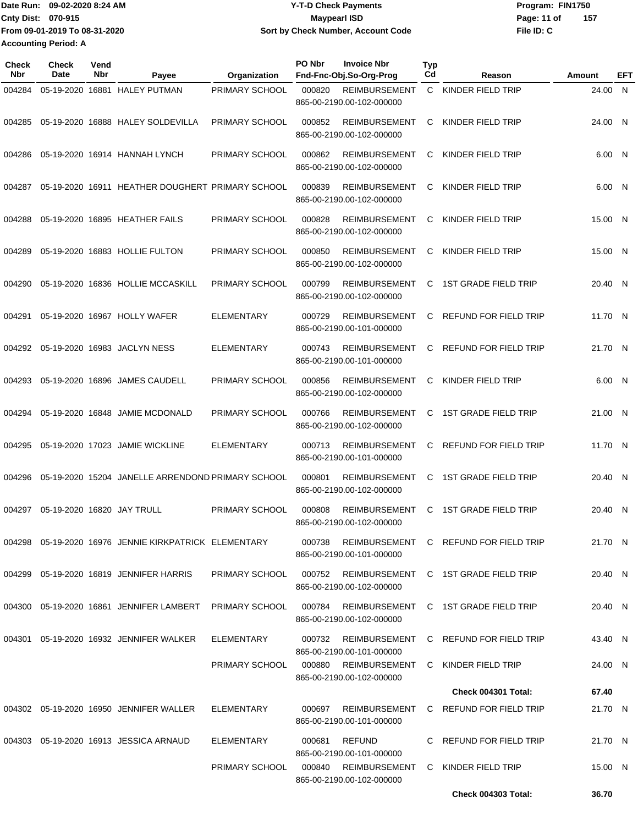|                             | Date Run: 09-02-2020 8:24 AM  | <b>Y-T-D Check Payments</b>        | Program: FIN1750   |
|-----------------------------|-------------------------------|------------------------------------|--------------------|
| <b>Cnty Dist: 070-915</b>   |                               | Maypearl ISD                       | 157<br>Page: 11 of |
|                             | From 09-01-2019 To 08-31-2020 | Sort by Check Number, Account Code | File ID: C         |
| <b>Accounting Period: A</b> |                               |                                    |                    |

| Check<br>Nbr | <b>Check</b><br>Date | Vend<br>Nbr | Payee                                                    | Organization          | PO Nbr | <b>Invoice Nbr</b><br>Fnd-Fnc-Obj.So-Org-Prog     | <b>Typ</b><br>Cd | Reason                                | Amount  | EFT |
|--------------|----------------------|-------------|----------------------------------------------------------|-----------------------|--------|---------------------------------------------------|------------------|---------------------------------------|---------|-----|
| 004284       |                      |             | 05-19-2020 16881 HALEY PUTMAN                            | PRIMARY SCHOOL        | 000820 | <b>REIMBURSEMENT</b><br>865-00-2190.00-102-000000 | C                | KINDER FIELD TRIP                     | 24.00 N |     |
| 004285       |                      |             | 05-19-2020 16888 HALEY SOLDEVILLA                        | PRIMARY SCHOOL        | 000852 | <b>REIMBURSEMENT</b><br>865-00-2190.00-102-000000 | C                | KINDER FIELD TRIP                     | 24.00 N |     |
| 004286       |                      |             | 05-19-2020 16914 HANNAH LYNCH                            | PRIMARY SCHOOL        | 000862 | <b>REIMBURSEMENT</b><br>865-00-2190.00-102-000000 | C                | KINDER FIELD TRIP                     | 6.00 N  |     |
| 004287       |                      |             | 05-19-2020 16911 HEATHER DOUGHERT PRIMARY SCHOOL         |                       | 000839 | <b>REIMBURSEMENT</b><br>865-00-2190.00-102-000000 | C                | KINDER FIELD TRIP                     | 6.00 N  |     |
| 004288       |                      |             | 05-19-2020 16895 HEATHER FAILS                           | PRIMARY SCHOOL        | 000828 | <b>REIMBURSEMENT</b><br>865-00-2190.00-102-000000 | C                | KINDER FIELD TRIP                     | 15.00 N |     |
| 004289       |                      |             | 05-19-2020 16883 HOLLIE FULTON                           | PRIMARY SCHOOL        | 000850 | <b>REIMBURSEMENT</b><br>865-00-2190.00-102-000000 | C                | KINDER FIELD TRIP                     | 15.00 N |     |
| 004290       |                      |             | 05-19-2020 16836 HOLLIE MCCASKILL                        | PRIMARY SCHOOL        | 000799 | <b>REIMBURSEMENT</b><br>865-00-2190.00-102-000000 | C                | <b>1ST GRADE FIELD TRIP</b>           | 20.40 N |     |
| 004291       |                      |             | 05-19-2020 16967 HOLLY WAFER                             | <b>ELEMENTARY</b>     | 000729 | <b>REIMBURSEMENT</b><br>865-00-2190.00-101-000000 | C                | <b>REFUND FOR FIELD TRIP</b>          | 11.70 N |     |
| 004292       |                      |             | 05-19-2020 16983 JACLYN NESS                             | <b>ELEMENTARY</b>     | 000743 | <b>REIMBURSEMENT</b><br>865-00-2190.00-101-000000 | C                | REFUND FOR FIELD TRIP                 | 21.70 N |     |
| 004293       |                      |             | 05-19-2020 16896 JAMES CAUDELL                           | PRIMARY SCHOOL        | 000856 | <b>REIMBURSEMENT</b><br>865-00-2190.00-102-000000 | C                | KINDER FIELD TRIP                     | 6.00 N  |     |
| 004294       |                      |             | 05-19-2020 16848 JAMIE MCDONALD                          | PRIMARY SCHOOL        | 000766 | <b>REIMBURSEMENT</b><br>865-00-2190.00-102-000000 | C                | <b>1ST GRADE FIELD TRIP</b>           | 21.00 N |     |
| 004295       |                      |             | 05-19-2020 17023 JAMIE WICKLINE                          | <b>ELEMENTARY</b>     | 000713 | <b>REIMBURSEMENT</b><br>865-00-2190.00-101-000000 | C                | REFUND FOR FIELD TRIP                 | 11.70 N |     |
| 004296       |                      |             | 05-19-2020 15204 JANELLE ARRENDOND PRIMARY SCHOOL        |                       | 000801 | <b>REIMBURSEMENT</b><br>865-00-2190.00-102-000000 | C                | <b>1ST GRADE FIELD TRIP</b>           | 20.40 N |     |
| 004297       |                      |             | 05-19-2020 16820 JAY TRULL                               | PRIMARY SCHOOL        | 000808 | <b>REIMBURSEMENT</b><br>865-00-2190.00-102-000000 | C                | <b>1ST GRADE FIELD TRIP</b>           | 20.40 N |     |
|              |                      |             | 004298  05-19-2020  16976  JENNIE KIRKPATRICK ELEMENTARY |                       | 000738 | 865-00-2190.00-101-000000                         |                  | REIMBURSEMENT C REFUND FOR FIELD TRIP | 21.70 N |     |
|              |                      |             | 004299 05-19-2020 16819 JENNIFER HARRIS                  | PRIMARY SCHOOL        | 000752 | 865-00-2190.00-102-000000                         |                  | REIMBURSEMENT C 1ST GRADE FIELD TRIP  | 20.40 N |     |
|              |                      |             | 004300 05-19-2020 16861 JENNIFER LAMBERT                 | PRIMARY SCHOOL        | 000784 | 865-00-2190.00-102-000000                         |                  | REIMBURSEMENT C 1ST GRADE FIELD TRIP  | 20.40 N |     |
|              |                      |             | 004301 05-19-2020 16932 JENNIFER WALKER                  | ELEMENTARY            | 000732 | 865-00-2190.00-101-000000                         |                  | REIMBURSEMENT C REFUND FOR FIELD TRIP | 43.40 N |     |
|              |                      |             |                                                          | PRIMARY SCHOOL        |        | 000880 REIMBURSEMENT<br>865-00-2190.00-102-000000 |                  | C KINDER FIELD TRIP                   | 24.00 N |     |
|              |                      |             |                                                          |                       |        |                                                   |                  | <b>Check 004301 Total:</b>            | 67.40   |     |
|              |                      |             | 004302  05-19-2020  16950  JENNIFER WALLER               | ELEMENTARY            | 000697 | REIMBURSEMENT<br>865-00-2190.00-101-000000        |                  | C REFUND FOR FIELD TRIP               | 21.70 N |     |
|              |                      |             | 004303 05-19-2020 16913 JESSICA ARNAUD                   | ELEMENTARY            | 000681 | <b>REFUND</b><br>865-00-2190.00-101-000000        |                  | C REFUND FOR FIELD TRIP               | 21.70 N |     |
|              |                      |             |                                                          | <b>PRIMARY SCHOOL</b> | 000840 | REIMBURSEMENT<br>865-00-2190.00-102-000000        |                  | C KINDER FIELD TRIP                   | 15.00 N |     |
|              |                      |             |                                                          |                       |        |                                                   |                  | <b>Check 004303 Total:</b>            | 36.70   |     |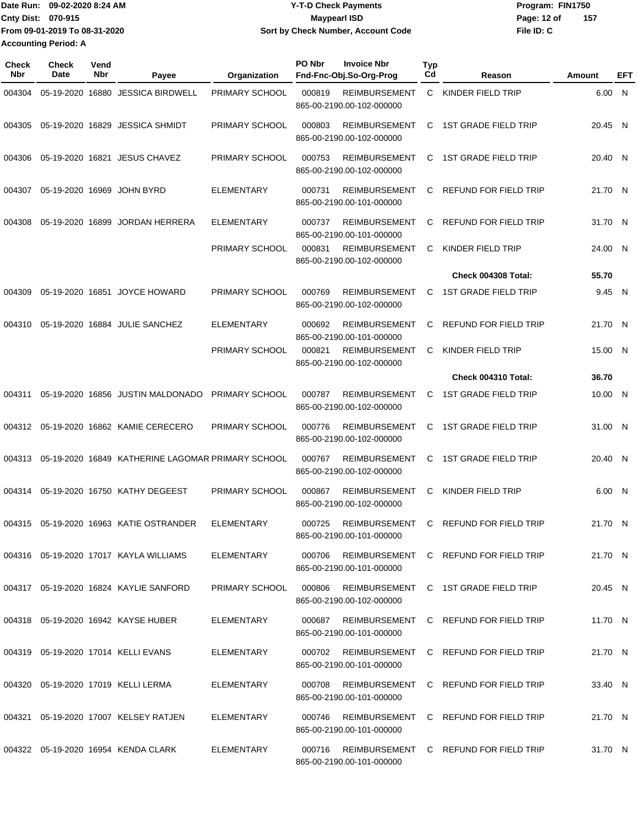|                             | Date Run: 09-02-2020 8:24 AM  | <b>Y-T-D Check Payments</b>        | Program: FIN1750 |     |
|-----------------------------|-------------------------------|------------------------------------|------------------|-----|
| Cnty Dist: 070-915          |                               | Maypearl ISD                       | Page: 12 of      | 157 |
|                             | From 09-01-2019 To 08-31-2020 | Sort by Check Number, Account Code | File ID: C       |     |
| <b>Accounting Period: A</b> |                               |                                    |                  |     |

| Check<br>Nbr | <b>Check</b><br>Date | Vend<br>Nbr | Payee                                             | Organization      | PO Nbr<br><b>Invoice Nbr</b><br>Fnd-Fnc-Obj.So-Org-Prog                   | <b>Typ</b><br>Cd | Reason                                | Amount  | EFT |
|--------------|----------------------|-------------|---------------------------------------------------|-------------------|---------------------------------------------------------------------------|------------------|---------------------------------------|---------|-----|
| 004304       |                      |             | 05-19-2020 16880 JESSICA BIRDWELL                 | PRIMARY SCHOOL    | 000819<br><b>REIMBURSEMENT</b><br>865-00-2190.00-102-000000               | C                | KINDER FIELD TRIP                     | 6.00 N  |     |
| 004305       |                      |             | 05-19-2020 16829 JESSICA SHMIDT                   | PRIMARY SCHOOL    | 000803<br>REIMBURSEMENT<br>865-00-2190.00-102-000000                      | C                | <b>1ST GRADE FIELD TRIP</b>           | 20.45 N |     |
| 004306       |                      |             | 05-19-2020 16821 JESUS CHAVEZ                     | PRIMARY SCHOOL    | 000753<br><b>REIMBURSEMENT</b><br>865-00-2190.00-102-000000               | C                | <b>1ST GRADE FIELD TRIP</b>           | 20.40 N |     |
| 004307       |                      |             | 05-19-2020 16969 JOHN BYRD                        | <b>ELEMENTARY</b> | 000731<br><b>REIMBURSEMENT</b><br>865-00-2190.00-101-000000               | C                | REFUND FOR FIELD TRIP                 | 21.70 N |     |
| 004308       |                      |             | 05-19-2020 16899 JORDAN HERRERA                   | ELEMENTARY        | 000737<br><b>REIMBURSEMENT</b><br>865-00-2190.00-101-000000               | C                | REFUND FOR FIELD TRIP                 | 31.70 N |     |
|              |                      |             |                                                   | PRIMARY SCHOOL    | <b>REIMBURSEMENT</b><br>000831<br>865-00-2190.00-102-000000               | C                | KINDER FIELD TRIP                     | 24.00 N |     |
|              |                      |             |                                                   |                   |                                                                           |                  | Check 004308 Total:                   | 55.70   |     |
| 004309       |                      |             | 05-19-2020 16851 JOYCE HOWARD                     | PRIMARY SCHOOL    | <b>REIMBURSEMENT</b><br>000769<br>865-00-2190.00-102-000000               | C                | <b>1ST GRADE FIELD TRIP</b>           | 9.45 N  |     |
| 004310       |                      |             | 05-19-2020 16884 JULIE SANCHEZ                    | <b>ELEMENTARY</b> | 000692<br><b>REIMBURSEMENT</b><br>865-00-2190.00-101-000000               | C                | REFUND FOR FIELD TRIP                 | 21.70 N |     |
|              |                      |             |                                                   | PRIMARY SCHOOL    | 000821<br><b>REIMBURSEMENT</b><br>865-00-2190.00-102-000000               | C                | KINDER FIELD TRIP                     | 15.00 N |     |
|              |                      |             |                                                   |                   |                                                                           |                  | Check 004310 Total:                   | 36.70   |     |
| 004311       |                      |             | 05-19-2020 16856 JUSTIN MALDONADO                 | PRIMARY SCHOOL    | <b>REIMBURSEMENT</b><br>000787<br>865-00-2190.00-102-000000               | C                | <b>1ST GRADE FIELD TRIP</b>           | 10.00 N |     |
|              |                      |             | 004312 05-19-2020 16862 KAMIE CERECERO            | PRIMARY SCHOOL    | 000776<br><b>REIMBURSEMENT</b><br>865-00-2190.00-102-000000               | C                | <b>1ST GRADE FIELD TRIP</b>           | 31.00 N |     |
| 004313       |                      |             | 05-19-2020 16849 KATHERINE LAGOMAR PRIMARY SCHOOL |                   | 000767<br><b>REIMBURSEMENT</b><br>865-00-2190.00-102-000000               | C                | <b>1ST GRADE FIELD TRIP</b>           | 20.40 N |     |
| 004314       |                      |             | 05-19-2020 16750 KATHY DEGEEST                    | PRIMARY SCHOOL    | 000867<br><b>REIMBURSEMENT</b><br>865-00-2190.00-102-000000               | C                | KINDER FIELD TRIP                     | 6.00 N  |     |
| 004315       |                      |             | 05-19-2020 16963 KATIE OSTRANDER                  | <b>ELEMENTARY</b> | 000725<br><b>REIMBURSEMENT</b><br>865-00-2190.00-101-000000               | C                | REFUND FOR FIELD TRIP                 | 21.70 N |     |
|              |                      |             | 004316 05-19-2020 17017 KAYLA WILLIAMS            | ELEMENTARY        | 000706 REIMBURSEMENT C REFUND FOR FIELD TRIP<br>865-00-2190.00-101-000000 |                  |                                       | 21.70 N |     |
|              |                      |             | 004317 05-19-2020 16824 KAYLIE SANFORD            | PRIMARY SCHOOL    | 000806<br>865-00-2190.00-102-000000                                       |                  | REIMBURSEMENT C 1ST GRADE FIELD TRIP  | 20.45 N |     |
|              |                      |             | 004318 05-19-2020 16942 KAYSE HUBER               | ELEMENTARY        | 000687<br>865-00-2190.00-101-000000                                       |                  | REIMBURSEMENT C REFUND FOR FIELD TRIP | 11.70 N |     |
|              |                      |             | 004319 05-19-2020 17014 KELLI EVANS               | ELEMENTARY        | 000702 REIMBURSEMENT C REFUND FOR FIELD TRIP<br>865-00-2190.00-101-000000 |                  |                                       | 21.70 N |     |
|              |                      |             | 004320 05-19-2020 17019 KELLI LERMA               | ELEMENTARY        | 000708<br>865-00-2190.00-101-000000                                       |                  | REIMBURSEMENT C REFUND FOR FIELD TRIP | 33.40 N |     |
|              |                      |             | 004321 05-19-2020 17007 KELSEY RATJEN             | ELEMENTARY        | 000746<br>865-00-2190.00-101-000000                                       |                  | REIMBURSEMENT C REFUND FOR FIELD TRIP | 21.70 N |     |
|              |                      |             | 004322 05-19-2020 16954 KENDA CLARK               | ELEMENTARY        | 000716 REIMBURSEMENT C REFUND FOR FIELD TRIP<br>865-00-2190.00-101-000000 |                  |                                       | 31.70 N |     |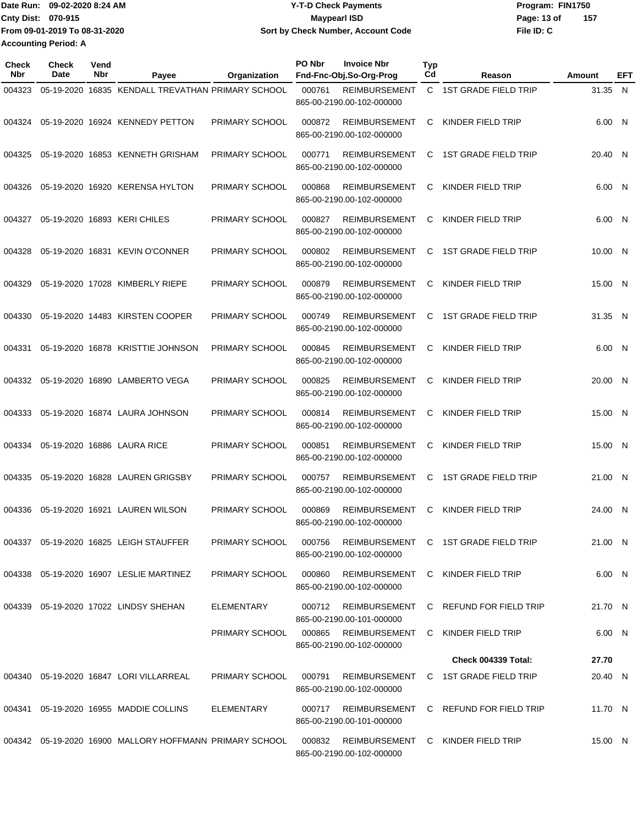| Date Run: 09-02-2020 8:24 AM  | <b>Y-T-D Check Payments</b>        | Program: FIN1750    |
|-------------------------------|------------------------------------|---------------------|
| <b>Cnty Dist: 070-915</b>     | <b>Mavpearl ISD</b>                | -157<br>Page: 13 of |
| From 09-01-2019 To 08-31-2020 | Sort by Check Number, Account Code | File ID: C          |
| <b>Accounting Period: A</b>   |                                    |                     |

| <b>Check</b><br><b>Nbr</b> | Check<br>Date | Vend<br>Nbr | Payee                                                   | Organization          | PO Nbr | <b>Invoice Nbr</b><br>Fnd-Fnc-Obj.So-Org-Prog     | <b>Typ</b><br>Cd | Reason                                | Amount  | EFT |
|----------------------------|---------------|-------------|---------------------------------------------------------|-----------------------|--------|---------------------------------------------------|------------------|---------------------------------------|---------|-----|
| 004323                     |               |             | 05-19-2020 16835 KENDALL TREVATHAN PRIMARY SCHOOL       |                       | 000761 | <b>REIMBURSEMENT</b><br>865-00-2190.00-102-000000 |                  | C 1ST GRADE FIELD TRIP                | 31.35 N |     |
| 004324                     |               |             | 05-19-2020 16924 KENNEDY PETTON                         | PRIMARY SCHOOL        | 000872 | <b>REIMBURSEMENT</b><br>865-00-2190.00-102-000000 | C                | KINDER FIELD TRIP                     | 6.00 N  |     |
| 004325                     |               |             | 05-19-2020 16853 KENNETH GRISHAM                        | PRIMARY SCHOOL        | 000771 | <b>REIMBURSEMENT</b><br>865-00-2190.00-102-000000 | C                | <b>1ST GRADE FIELD TRIP</b>           | 20.40 N |     |
| 004326                     |               |             | 05-19-2020 16920 KERENSA HYLTON                         | PRIMARY SCHOOL        | 000868 | <b>REIMBURSEMENT</b><br>865-00-2190.00-102-000000 | C                | KINDER FIELD TRIP                     | 6.00 N  |     |
| 004327                     |               |             | 05-19-2020 16893 KERI CHILES                            | PRIMARY SCHOOL        | 000827 | <b>REIMBURSEMENT</b><br>865-00-2190.00-102-000000 | C                | KINDER FIELD TRIP                     | 6.00 N  |     |
| 004328                     |               |             | 05-19-2020 16831 KEVIN O'CONNER                         | PRIMARY SCHOOL        | 000802 | <b>REIMBURSEMENT</b><br>865-00-2190.00-102-000000 | C                | <b>1ST GRADE FIELD TRIP</b>           | 10.00 N |     |
| 004329                     |               |             | 05-19-2020 17028 KIMBERLY RIEPE                         | PRIMARY SCHOOL        | 000879 | <b>REIMBURSEMENT</b><br>865-00-2190.00-102-000000 | C                | KINDER FIELD TRIP                     | 15.00 N |     |
| 004330                     |               |             | 05-19-2020 14483 KIRSTEN COOPER                         | PRIMARY SCHOOL        | 000749 | <b>REIMBURSEMENT</b><br>865-00-2190.00-102-000000 | C                | <b>1ST GRADE FIELD TRIP</b>           | 31.35 N |     |
| 004331                     |               |             | 05-19-2020 16878 KRISTTIE JOHNSON                       | PRIMARY SCHOOL        | 000845 | <b>REIMBURSEMENT</b><br>865-00-2190.00-102-000000 | C                | KINDER FIELD TRIP                     | 6.00 N  |     |
|                            |               |             | 004332 05-19-2020 16890 LAMBERTO VEGA                   | PRIMARY SCHOOL        | 000825 | <b>REIMBURSEMENT</b><br>865-00-2190.00-102-000000 | C                | KINDER FIELD TRIP                     | 20.00 N |     |
| 004333                     |               |             | 05-19-2020 16874 LAURA JOHNSON                          | PRIMARY SCHOOL        | 000814 | <b>REIMBURSEMENT</b><br>865-00-2190.00-102-000000 | C                | KINDER FIELD TRIP                     | 15.00 N |     |
| 004334                     |               |             | 05-19-2020 16886 LAURA RICE                             | PRIMARY SCHOOL        | 000851 | <b>REIMBURSEMENT</b><br>865-00-2190.00-102-000000 | C                | KINDER FIELD TRIP                     | 15.00 N |     |
| 004335                     |               |             | 05-19-2020 16828 LAUREN GRIGSBY                         | PRIMARY SCHOOL        | 000757 | <b>REIMBURSEMENT</b><br>865-00-2190.00-102-000000 | C                | <b>1ST GRADE FIELD TRIP</b>           | 21.00 N |     |
| 004336                     |               |             | 05-19-2020 16921 LAUREN WILSON                          | PRIMARY SCHOOL        | 000869 | <b>REIMBURSEMENT</b><br>865-00-2190.00-102-000000 | C                | KINDER FIELD TRIP                     | 24.00 N |     |
|                            |               |             | 004337 05-19-2020 16825 LEIGH STAUFFER                  | <b>PRIMARY SCHOOL</b> | 000756 | 865-00-2190.00-102-000000                         |                  | REIMBURSEMENT C 1ST GRADE FIELD TRIP  | 21.00 N |     |
|                            |               |             | 004338  05-19-2020  16907  LESLIE MARTINEZ              | PRIMARY SCHOOL        | 000860 | 865-00-2190.00-102-000000                         |                  | REIMBURSEMENT C KINDER FIELD TRIP     | 6.00 N  |     |
|                            |               |             | 004339 05-19-2020 17022 LINDSY SHEHAN                   | ELEMENTARY            | 000712 | 865-00-2190.00-101-000000                         |                  | REIMBURSEMENT C REFUND FOR FIELD TRIP | 21.70 N |     |
|                            |               |             |                                                         | PRIMARY SCHOOL        |        | 000865 REIMBURSEMENT<br>865-00-2190.00-102-000000 |                  | C KINDER FIELD TRIP                   | 6.00 N  |     |
|                            |               |             |                                                         |                       |        |                                                   |                  | <b>Check 004339 Total:</b>            | 27.70   |     |
|                            |               |             | 004340  05-19-2020  16847  LORI VILLARREAL              | <b>PRIMARY SCHOOL</b> | 000791 | 865-00-2190.00-102-000000                         |                  | REIMBURSEMENT C 1ST GRADE FIELD TRIP  | 20.40 N |     |
|                            |               |             | 004341 05-19-2020 16955 MADDIE COLLINS                  | ELEMENTARY            | 000717 | 865-00-2190.00-101-000000                         |                  | REIMBURSEMENT C REFUND FOR FIELD TRIP | 11.70 N |     |
|                            |               |             | 004342 05-19-2020 16900 MALLORY HOFFMANN PRIMARY SCHOOL |                       | 000832 | 865-00-2190.00-102-000000                         |                  | REIMBURSEMENT C KINDER FIELD TRIP     | 15.00 N |     |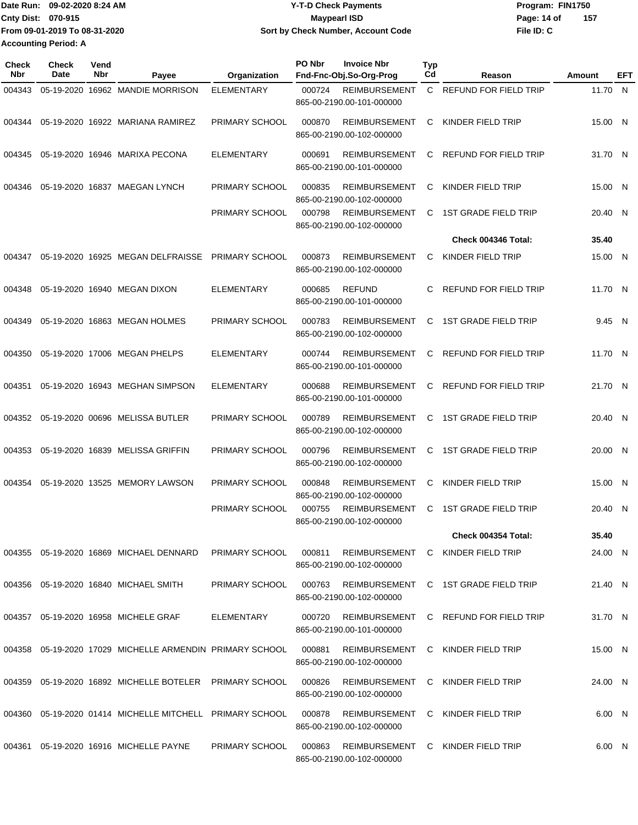| Date Run: 09-02-2020 8:24 AM  | <b>Y-T-D Check Payments</b>        | Program: FIN1750   |
|-------------------------------|------------------------------------|--------------------|
| Cnty Dist: 070-915            | <b>Mavpearl ISD</b>                | 157<br>Page: 14 of |
| From 09-01-2019 To 08-31-2020 | Sort by Check Number, Account Code | File ID: C         |
| Accounting Period: A          |                                    |                    |

| Check<br><b>Nbr</b> | <b>Check</b><br>Date | Vend<br>Nbr | Payee                                                    | Organization      | PO Nbr | <b>Invoice Nbr</b><br>Fnd-Fnc-Obj.So-Org-Prog     | <b>Typ</b><br>Cd | Reason                                | Amount  | EFT |
|---------------------|----------------------|-------------|----------------------------------------------------------|-------------------|--------|---------------------------------------------------|------------------|---------------------------------------|---------|-----|
| 004343              |                      |             | 05-19-2020 16962 MANDIE MORRISON                         | <b>ELEMENTARY</b> | 000724 | <b>REIMBURSEMENT</b><br>865-00-2190.00-101-000000 | C.               | <b>REFUND FOR FIELD TRIP</b>          | 11.70 N |     |
| 004344              |                      |             | 05-19-2020 16922 MARIANA RAMIREZ                         | PRIMARY SCHOOL    | 000870 | <b>REIMBURSEMENT</b><br>865-00-2190.00-102-000000 | C                | KINDER FIELD TRIP                     | 15.00 N |     |
| 004345              |                      |             | 05-19-2020 16946 MARIXA PECONA                           | <b>ELEMENTARY</b> | 000691 | <b>REIMBURSEMENT</b><br>865-00-2190.00-101-000000 | C                | REFUND FOR FIELD TRIP                 | 31.70 N |     |
| 004346              |                      |             | 05-19-2020 16837 MAEGAN LYNCH                            | PRIMARY SCHOOL    | 000835 | <b>REIMBURSEMENT</b><br>865-00-2190.00-102-000000 | C                | KINDER FIELD TRIP                     | 15.00 N |     |
|                     |                      |             |                                                          | PRIMARY SCHOOL    | 000798 | <b>REIMBURSEMENT</b><br>865-00-2190.00-102-000000 | C                | <b>1ST GRADE FIELD TRIP</b>           | 20.40 N |     |
|                     |                      |             |                                                          |                   |        |                                                   |                  | Check 004346 Total:                   | 35.40   |     |
| 004347              |                      |             | 05-19-2020 16925 MEGAN DELFRAISSE PRIMARY SCHOOL         |                   | 000873 | <b>REIMBURSEMENT</b><br>865-00-2190.00-102-000000 | C                | KINDER FIELD TRIP                     | 15.00 N |     |
| 004348              |                      |             | 05-19-2020 16940 MEGAN DIXON                             | <b>ELEMENTARY</b> | 000685 | <b>REFUND</b><br>865-00-2190.00-101-000000        | C                | <b>REFUND FOR FIELD TRIP</b>          | 11.70 N |     |
| 004349              |                      |             | 05-19-2020 16863 MEGAN HOLMES                            | PRIMARY SCHOOL    | 000783 | <b>REIMBURSEMENT</b><br>865-00-2190.00-102-000000 | C                | <b>1ST GRADE FIELD TRIP</b>           | 9.45 N  |     |
| 004350              |                      |             | 05-19-2020 17006 MEGAN PHELPS                            | <b>ELEMENTARY</b> | 000744 | <b>REIMBURSEMENT</b><br>865-00-2190.00-101-000000 | C                | <b>REFUND FOR FIELD TRIP</b>          | 11.70 N |     |
| 004351              |                      |             | 05-19-2020 16943 MEGHAN SIMPSON                          | <b>ELEMENTARY</b> | 000688 | <b>REIMBURSEMENT</b><br>865-00-2190.00-101-000000 | C                | REFUND FOR FIELD TRIP                 | 21.70 N |     |
| 004352              |                      |             | 05-19-2020 00696 MELISSA BUTLER                          | PRIMARY SCHOOL    | 000789 | <b>REIMBURSEMENT</b><br>865-00-2190.00-102-000000 | C                | <b>1ST GRADE FIELD TRIP</b>           | 20.40 N |     |
| 004353              |                      |             | 05-19-2020 16839 MELISSA GRIFFIN                         | PRIMARY SCHOOL    | 000796 | <b>REIMBURSEMENT</b><br>865-00-2190.00-102-000000 | C                | <b>1ST GRADE FIELD TRIP</b>           | 20.00 N |     |
| 004354              |                      |             | 05-19-2020 13525 MEMORY LAWSON                           | PRIMARY SCHOOL    | 000848 | <b>REIMBURSEMENT</b><br>865-00-2190.00-102-000000 | C                | KINDER FIELD TRIP                     | 15.00 N |     |
|                     |                      |             |                                                          | PRIMARY SCHOOL    | 000755 | <b>REIMBURSEMENT</b><br>865-00-2190.00-102-000000 | C                | <b>1ST GRADE FIELD TRIP</b>           | 20.40 N |     |
|                     |                      |             |                                                          |                   |        |                                                   |                  | <b>Check 004354 Total:</b>            | 35.40   |     |
|                     |                      |             | 004355 05-19-2020 16869 MICHAEL DENNARD                  | PRIMARY SCHOOL    | 000811 | 865-00-2190.00-102-000000                         |                  | REIMBURSEMENT C KINDER FIELD TRIP     | 24.00 N |     |
|                     |                      |             | 004356 05-19-2020 16840 MICHAEL SMITH                    | PRIMARY SCHOOL    | 000763 | 865-00-2190.00-102-000000                         |                  | REIMBURSEMENT C 1ST GRADE FIELD TRIP  | 21.40 N |     |
|                     |                      |             | 004357 05-19-2020 16958 MICHELE GRAF                     | ELEMENTARY        | 000720 | 865-00-2190.00-101-000000                         |                  | REIMBURSEMENT C REFUND FOR FIELD TRIP | 31.70 N |     |
|                     |                      |             | 004358 05-19-2020 17029 MICHELLE ARMENDIN PRIMARY SCHOOL |                   | 000881 | 865-00-2190.00-102-000000                         |                  | REIMBURSEMENT C KINDER FIELD TRIP     | 15.00 N |     |
| 004359              |                      |             | 05-19-2020 16892 MICHELLE BOTELER PRIMARY SCHOOL         |                   | 000826 | 865-00-2190.00-102-000000                         |                  | REIMBURSEMENT C KINDER FIELD TRIP     | 24.00 N |     |
|                     |                      |             | 004360 05-19-2020 01414 MICHELLE MITCHELL PRIMARY SCHOOL |                   | 000878 | 865-00-2190.00-102-000000                         |                  | REIMBURSEMENT C KINDER FIELD TRIP     | 6.00 N  |     |
|                     |                      |             | 004361 05-19-2020 16916 MICHELLE PAYNE                   | PRIMARY SCHOOL    | 000863 | 865-00-2190.00-102-000000                         |                  | REIMBURSEMENT C KINDER FIELD TRIP     | 6.00 N  |     |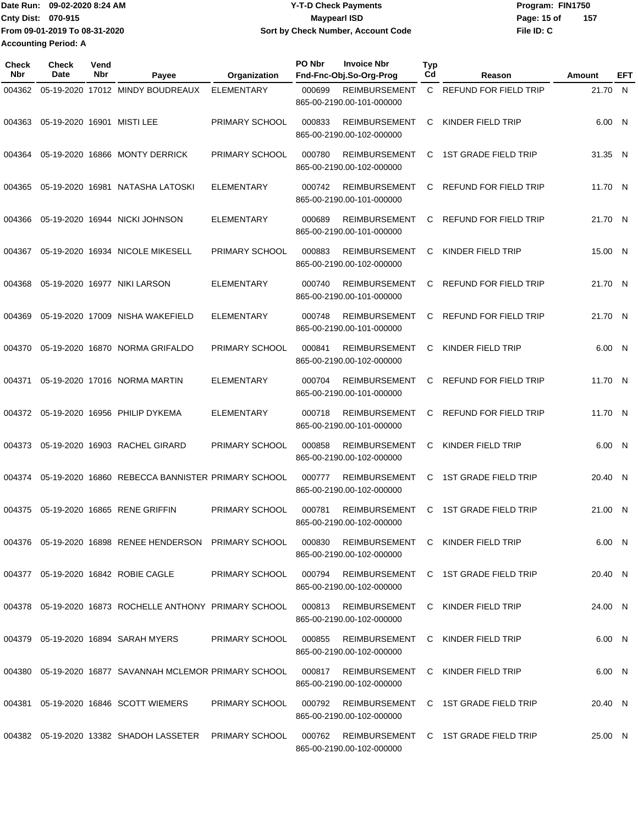|                             | Date Run: 09-02-2020 8:24 AM  | <b>Y-T-D Check Payments</b>        | Program: FIN1750   |
|-----------------------------|-------------------------------|------------------------------------|--------------------|
| <b>Cnty Dist: 070-915</b>   |                               | Maypearl ISD                       | 157<br>Page: 15 of |
|                             | From 09-01-2019 To 08-31-2020 | Sort by Check Number, Account Code | File ID: C         |
| <b>Accounting Period: A</b> |                               |                                    |                    |

| <b>Check</b><br>Nbr | <b>Check</b><br>Date       | Vend<br>Nbr | Payee                                                      | Organization          | PO Nbr | <b>Invoice Nbr</b><br>Fnd-Fnc-Obj.So-Org-Prog     | <b>Typ</b><br>Cd | Reason                                      | Amount  | EFT |
|---------------------|----------------------------|-------------|------------------------------------------------------------|-----------------------|--------|---------------------------------------------------|------------------|---------------------------------------------|---------|-----|
| 004362              |                            |             | 05-19-2020 17012 MINDY BOUDREAUX                           | <b>ELEMENTARY</b>     | 000699 | <b>REIMBURSEMENT</b><br>865-00-2190.00-101-000000 | C.               | REFUND FOR FIELD TRIP                       | 21.70 N |     |
| 004363              | 05-19-2020 16901 MISTI LEE |             |                                                            | PRIMARY SCHOOL        | 000833 | <b>REIMBURSEMENT</b><br>865-00-2190.00-102-000000 | С                | KINDER FIELD TRIP                           | 6.00 N  |     |
| 004364              |                            |             | 05-19-2020 16866 MONTY DERRICK                             | PRIMARY SCHOOL        | 000780 | <b>REIMBURSEMENT</b><br>865-00-2190.00-102-000000 | С                | <b>1ST GRADE FIELD TRIP</b>                 | 31.35 N |     |
| 004365              |                            |             | 05-19-2020 16981 NATASHA LATOSKI                           | <b>ELEMENTARY</b>     | 000742 | <b>REIMBURSEMENT</b><br>865-00-2190.00-101-000000 | С                | <b>REFUND FOR FIELD TRIP</b>                | 11.70 N |     |
| 004366              |                            |             | 05-19-2020 16944 NICKI JOHNSON                             | <b>ELEMENTARY</b>     | 000689 | <b>REIMBURSEMENT</b><br>865-00-2190.00-101-000000 | C                | REFUND FOR FIELD TRIP                       | 21.70 N |     |
| 004367              |                            |             | 05-19-2020 16934 NICOLE MIKESELL                           | PRIMARY SCHOOL        | 000883 | <b>REIMBURSEMENT</b><br>865-00-2190.00-102-000000 | С                | KINDER FIELD TRIP                           | 15.00 N |     |
| 004368              |                            |             | 05-19-2020 16977 NIKI LARSON                               | <b>ELEMENTARY</b>     | 000740 | <b>REIMBURSEMENT</b><br>865-00-2190.00-101-000000 | С                | REFUND FOR FIELD TRIP                       | 21.70 N |     |
| 004369              |                            |             | 05-19-2020 17009 NISHA WAKEFIELD                           | <b>ELEMENTARY</b>     | 000748 | <b>REIMBURSEMENT</b><br>865-00-2190.00-101-000000 | C                | REFUND FOR FIELD TRIP                       | 21.70 N |     |
| 004370              |                            |             | 05-19-2020 16870 NORMA GRIFALDO                            | PRIMARY SCHOOL        | 000841 | <b>REIMBURSEMENT</b><br>865-00-2190.00-102-000000 | С                | KINDER FIELD TRIP                           | 6.00 N  |     |
| 004371              |                            |             | 05-19-2020 17016 NORMA MARTIN                              | <b>ELEMENTARY</b>     | 000704 | <b>REIMBURSEMENT</b><br>865-00-2190.00-101-000000 | С                | REFUND FOR FIELD TRIP                       | 11.70 N |     |
| 004372              |                            |             | 05-19-2020 16956 PHILIP DYKEMA                             | <b>ELEMENTARY</b>     | 000718 | REIMBURSEMENT<br>865-00-2190.00-101-000000        | C                | REFUND FOR FIELD TRIP                       | 11.70 N |     |
| 004373              |                            |             | 05-19-2020 16903 RACHEL GIRARD                             | PRIMARY SCHOOL        | 000858 | <b>REIMBURSEMENT</b><br>865-00-2190.00-102-000000 | С                | KINDER FIELD TRIP                           | 6.00 N  |     |
| 004374              |                            |             | 05-19-2020 16860 REBECCA BANNISTER PRIMARY SCHOOL          |                       | 000777 | <b>REIMBURSEMENT</b><br>865-00-2190.00-102-000000 | С                | <b>1ST GRADE FIELD TRIP</b>                 | 20.40 N |     |
| 004375              |                            |             | 05-19-2020 16865 RENE GRIFFIN                              | PRIMARY SCHOOL        | 000781 | <b>REIMBURSEMENT</b><br>865-00-2190.00-102-000000 | C                | <b>1ST GRADE FIELD TRIP</b>                 | 21.00 N |     |
|                     |                            |             | 004376  05-19-2020  16898  RENEE HENDERSON  PRIMARY SCHOOL |                       | 000830 | 865-00-2190.00-102-000000                         |                  | REIMBURSEMENT C KINDER FIELD TRIP           | 6.00 N  |     |
|                     |                            |             | 004377 05-19-2020 16842 ROBIE CAGLE                        | PRIMARY SCHOOL        |        | 865-00-2190.00-102-000000                         |                  | 000794 REIMBURSEMENT C 1ST GRADE FIELD TRIP | 20.40 N |     |
|                     |                            |             | 004378 05-19-2020 16873 ROCHELLE ANTHONY PRIMARY SCHOOL    |                       |        | 865-00-2190.00-102-000000                         |                  | 000813 REIMBURSEMENT C KINDER FIELD TRIP    | 24.00 N |     |
|                     |                            |             | 004379 05-19-2020 16894 SARAH MYERS                        | <b>PRIMARY SCHOOL</b> | 000855 | 865-00-2190.00-102-000000                         |                  | REIMBURSEMENT C KINDER FIELD TRIP           | 6.00 N  |     |
| 004380              |                            |             | 05-19-2020_16877_SAVANNAH MCLEMOR_PRIMARY SCHOOL           |                       | 000817 | 865-00-2190.00-102-000000                         |                  | REIMBURSEMENT C KINDER FIELD TRIP           | 6.00 N  |     |
| 004381              |                            |             | 05-19-2020 16846 SCOTT WIEMERS                             | <b>PRIMARY SCHOOL</b> | 000792 | 865-00-2190.00-102-000000                         |                  | REIMBURSEMENT C 1ST GRADE FIELD TRIP        | 20.40 N |     |
|                     |                            |             | 004382  05-19-2020  13382  SHADOH LASSETER  PRIMARY SCHOOL |                       | 000762 | 865-00-2190.00-102-000000                         |                  | REIMBURSEMENT C 1ST GRADE FIELD TRIP        | 25.00 N |     |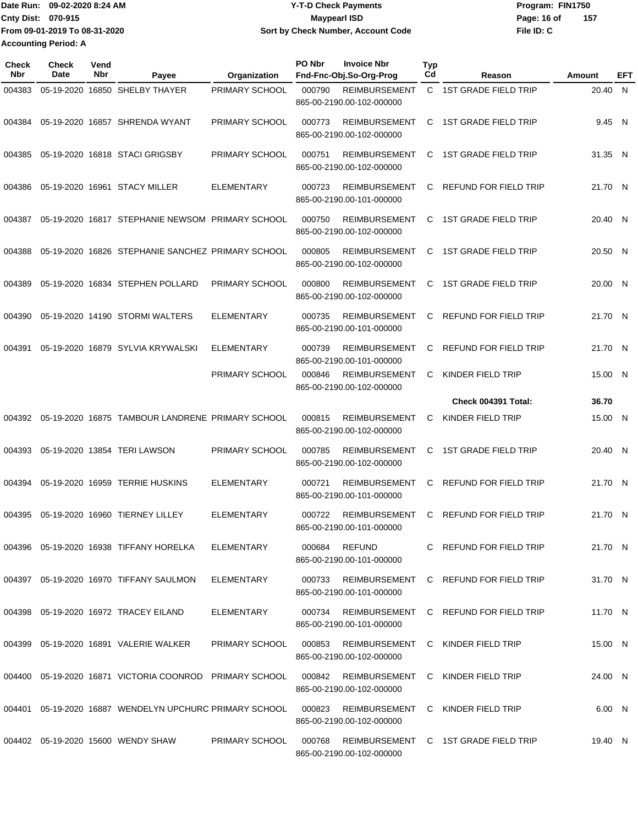|                             | Date Run: 09-02-2020 8:24 AM  | <b>Y-T-D Check Payments</b>               | Program: FIN1750   |  |  |  |
|-----------------------------|-------------------------------|-------------------------------------------|--------------------|--|--|--|
| Cnty Dist: 070-915          |                               | Mavpearl ISD                              | 157<br>Page: 16 of |  |  |  |
|                             | From 09-01-2019 To 08-31-2020 | <b>Sort by Check Number, Account Code</b> | File ID: C         |  |  |  |
| <b>Accounting Period: A</b> |                               |                                           |                    |  |  |  |

**Typ**

**Check**

**Check**

**Vend**

| Nbr    | Date | Nbr | Payee                                                      | Organization      | Fnd-Fnc-Obj.So-Org-Prog                                                   | Cd | Reason                               | <b>Amount</b> | EFT |
|--------|------|-----|------------------------------------------------------------|-------------------|---------------------------------------------------------------------------|----|--------------------------------------|---------------|-----|
| 004383 |      |     | 05-19-2020 16850 SHELBY THAYER                             | PRIMARY SCHOOL    | 000790<br><b>REIMBURSEMENT</b><br>865-00-2190.00-102-000000               |    | C 1ST GRADE FIELD TRIP               | 20.40 N       |     |
| 004384 |      |     | 05-19-2020 16857 SHRENDA WYANT                             | PRIMARY SCHOOL    | 000773<br><b>REIMBURSEMENT</b><br>865-00-2190.00-102-000000               |    | C 1ST GRADE FIELD TRIP               | 9.45 N        |     |
| 004385 |      |     | 05-19-2020 16818 STACI GRIGSBY                             | PRIMARY SCHOOL    | 000751<br><b>REIMBURSEMENT</b><br>865-00-2190.00-102-000000               | C. | 1ST GRADE FIELD TRIP                 | 31.35 N       |     |
| 004386 |      |     | 05-19-2020 16961 STACY MILLER                              | <b>ELEMENTARY</b> | 000723<br>REIMBURSEMENT<br>865-00-2190.00-101-000000                      | C. | REFUND FOR FIELD TRIP                | 21.70 N       |     |
| 004387 |      |     | 05-19-2020 16817 STEPHANIE NEWSOM PRIMARY SCHOOL           |                   | 000750<br><b>REIMBURSEMENT</b><br>865-00-2190.00-102-000000               | C  | <b>1ST GRADE FIELD TRIP</b>          | 20.40 N       |     |
| 004388 |      |     | 05-19-2020 16826 STEPHANIE SANCHEZ PRIMARY SCHOOL          |                   | 000805<br>REIMBURSEMENT<br>865-00-2190.00-102-000000                      | C  | <b>1ST GRADE FIELD TRIP</b>          | 20.50 N       |     |
| 004389 |      |     | 05-19-2020 16834 STEPHEN POLLARD                           | PRIMARY SCHOOL    | 000800<br>REIMBURSEMENT<br>865-00-2190.00-102-000000                      |    | C 1ST GRADE FIELD TRIP               | 20.00 N       |     |
| 004390 |      |     | 05-19-2020 14190 STORMI WALTERS                            | ELEMENTARY        | <b>REIMBURSEMENT</b><br>000735<br>865-00-2190.00-101-000000               | C. | <b>REFUND FOR FIELD TRIP</b>         | 21.70 N       |     |
| 004391 |      |     | 05-19-2020 16879 SYLVIA KRYWALSKI                          | <b>ELEMENTARY</b> | 000739<br><b>REIMBURSEMENT</b><br>865-00-2190.00-101-000000               | C  | REFUND FOR FIELD TRIP                | 21.70 N       |     |
|        |      |     |                                                            | PRIMARY SCHOOL    | <b>REIMBURSEMENT</b><br>000846<br>865-00-2190.00-102-000000               | C  | KINDER FIELD TRIP                    | 15.00 N       |     |
|        |      |     |                                                            |                   |                                                                           |    | Check 004391 Total:                  | 36.70         |     |
|        |      |     | 004392 05-19-2020 16875 TAMBOUR LANDRENE PRIMARY SCHOOL    |                   | <b>REIMBURSEMENT</b><br>000815<br>865-00-2190.00-102-000000               | C  | KINDER FIELD TRIP                    | 15.00 N       |     |
| 004393 |      |     | 05-19-2020 13854 TERI LAWSON                               | PRIMARY SCHOOL    | 000785<br><b>REIMBURSEMENT</b><br>865-00-2190.00-102-000000               | C  | <b>1ST GRADE FIELD TRIP</b>          | 20.40 N       |     |
| 004394 |      |     | 05-19-2020 16959 TERRIE HUSKINS                            | ELEMENTARY        | 000721<br><b>REIMBURSEMENT</b><br>865-00-2190.00-101-000000               | C  | REFUND FOR FIELD TRIP                | 21.70 N       |     |
| 004395 |      |     | 05-19-2020 16960 TIERNEY LILLEY                            | <b>ELEMENTARY</b> | 000722<br>REIMBURSEMENT<br>865-00-2190.00-101-000000                      | C. | REFUND FOR FIELD TRIP                | 21.70 N       |     |
|        |      |     | 004396  05-19-2020  16938  TIFFANY HORELKA                 | ELEMENTARY        | 000684<br>REFUND<br>865-00-2190.00-101-000000                             |    | C REFUND FOR FIELD TRIP              | 21.70 N       |     |
|        |      |     | 004397 05-19-2020 16970 TIFFANY SAULMON                    | ELEMENTARY        | 000733 REIMBURSEMENT C REFUND FOR FIELD TRIP<br>865-00-2190.00-101-000000 |    |                                      | 31.70 N       |     |
|        |      |     | 004398  05-19-2020  16972  TRACEY EILAND                   | ELEMENTARY        | 000734 REIMBURSEMENT C REFUND FOR FIELD TRIP<br>865-00-2190.00-101-000000 |    |                                      | 11.70 N       |     |
|        |      |     | 004399  05-19-2020  16891  VALERIE WALKER                  | PRIMARY SCHOOL    | 000853 REIMBURSEMENT C KINDER FIELD TRIP<br>865-00-2190.00-102-000000     |    |                                      | 15.00 N       |     |
|        |      |     | 004400 05-19-2020 16871 VICTORIA COONROD PRIMARY SCHOOL    |                   | 000842 REIMBURSEMENT C KINDER FIELD TRIP<br>865-00-2190.00-102-000000     |    |                                      | 24.00 N       |     |
|        |      |     | 004401  05-19-2020  16887  WENDELYN UPCHURC PRIMARY SCHOOL |                   | 000823<br>865-00-2190.00-102-000000                                       |    | REIMBURSEMENT C KINDER FIELD TRIP    | 6.00 N        |     |
|        |      |     | 004402 05-19-2020 15600 WENDY SHAW                         | PRIMARY SCHOOL    | 000768<br>865-00-2190.00-102-000000                                       |    | REIMBURSEMENT C 1ST GRADE FIELD TRIP | 19.40 N       |     |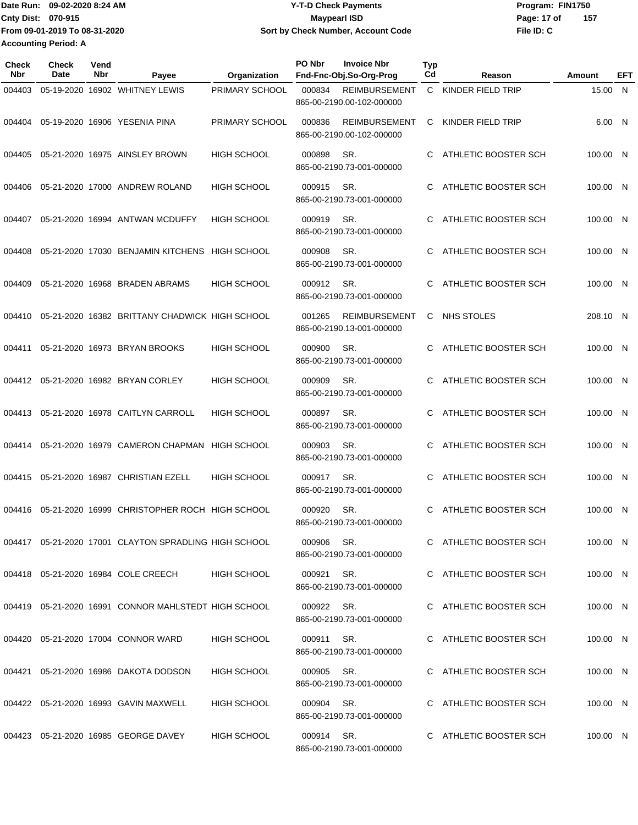|                             | Date Run: 09-02-2020 8:24 AM  | <b>Y-T-D Check Payments</b>        | Program: FIN1750   |  |  |  |
|-----------------------------|-------------------------------|------------------------------------|--------------------|--|--|--|
| Cnty Dist: 070-915          |                               | Maypearl ISD                       | 157<br>Page: 17 of |  |  |  |
|                             | From 09-01-2019 To 08-31-2020 | Sort by Check Number, Account Code | File ID: C         |  |  |  |
| <b>Accounting Period: A</b> |                               |                                    |                    |  |  |  |

| Check<br><b>Nbr</b> | <b>Check</b><br>Date | Vend<br>Nbr | Payee                                                   | Organization       | PO Nbr     | <b>Invoice Nbr</b><br>Fnd-Fnc-Obj.So-Org-Prog     | <b>Typ</b><br>Cd | Reason                 | Amount   | EFT |
|---------------------|----------------------|-------------|---------------------------------------------------------|--------------------|------------|---------------------------------------------------|------------------|------------------------|----------|-----|
| 004403              |                      |             | 05-19-2020 16902 WHITNEY LEWIS                          | PRIMARY SCHOOL     | 000834     | <b>REIMBURSEMENT</b><br>865-00-2190.00-102-000000 |                  | C KINDER FIELD TRIP    | 15.00 N  |     |
| 004404              |                      |             | 05-19-2020 16906 YESENIA PINA                           | PRIMARY SCHOOL     | 000836     | <b>REIMBURSEMENT</b><br>865-00-2190.00-102-000000 | C                | KINDER FIELD TRIP      | 6.00 N   |     |
| 004405              |                      |             | 05-21-2020 16975 AINSLEY BROWN                          | <b>HIGH SCHOOL</b> | 000898     | SR.<br>865-00-2190.73-001-000000                  | C.               | ATHLETIC BOOSTER SCH   | 100.00 N |     |
| 004406              |                      |             | 05-21-2020 17000 ANDREW ROLAND                          | <b>HIGH SCHOOL</b> | 000915     | SR.<br>865-00-2190.73-001-000000                  | C                | ATHLETIC BOOSTER SCH   | 100.00 N |     |
| 004407              |                      |             | 05-21-2020 16994 ANTWAN MCDUFFY                         | <b>HIGH SCHOOL</b> | 000919     | SR.<br>865-00-2190.73-001-000000                  | C                | ATHLETIC BOOSTER SCH   | 100.00 N |     |
| 004408              |                      |             | 05-21-2020 17030 BENJAMIN KITCHENS HIGH SCHOOL          |                    | 000908     | SR.<br>865-00-2190.73-001-000000                  | C                | ATHLETIC BOOSTER SCH   | 100.00 N |     |
| 004409              |                      |             | 05-21-2020 16968 BRADEN ABRAMS                          | <b>HIGH SCHOOL</b> | 000912     | SR.<br>865-00-2190.73-001-000000                  | C.               | ATHLETIC BOOSTER SCH   | 100.00 N |     |
| 004410              |                      |             | 05-21-2020 16382 BRITTANY CHADWICK HIGH SCHOOL          |                    | 001265     | <b>REIMBURSEMENT</b><br>865-00-2190.13-001-000000 | C                | NHS STOLES             | 208.10 N |     |
| 004411              |                      |             | 05-21-2020 16973 BRYAN BROOKS                           | <b>HIGH SCHOOL</b> | 000900     | SR.<br>865-00-2190.73-001-000000                  | C.               | ATHLETIC BOOSTER SCH   | 100.00 N |     |
| 004412              |                      |             | 05-21-2020 16982 BRYAN CORLEY                           | <b>HIGH SCHOOL</b> | 000909     | SR.<br>865-00-2190.73-001-000000                  | C                | ATHLETIC BOOSTER SCH   | 100.00 N |     |
| 004413              |                      |             | 05-21-2020 16978 CAITLYN CARROLL                        | <b>HIGH SCHOOL</b> | 000897     | SR.<br>865-00-2190.73-001-000000                  |                  | ATHLETIC BOOSTER SCH   | 100.00 N |     |
| 004414              |                      |             | 05-21-2020 16979 CAMERON CHAPMAN HIGH SCHOOL            |                    | 000903     | SR.<br>865-00-2190.73-001-000000                  | C                | ATHLETIC BOOSTER SCH   | 100.00 N |     |
| 004415              |                      |             | 05-21-2020 16987 CHRISTIAN EZELL                        | <b>HIGH SCHOOL</b> | 000917     | SR.<br>865-00-2190.73-001-000000                  | C.               | ATHLETIC BOOSTER SCH   | 100.00 N |     |
| 004416              |                      |             | 05-21-2020 16999 CHRISTOPHER ROCH HIGH SCHOOL           |                    | 000920     | SR.<br>865-00-2190.73-001-000000                  | C.               | ATHLETIC BOOSTER SCH   | 100.00 N |     |
|                     |                      |             | 004417 05-21-2020 17001 CLAYTON SPRADLING HIGH SCHOOL   |                    | 000906     | SR.<br>865-00-2190.73-001-000000                  |                  | C ATHLETIC BOOSTER SCH | 100.00 N |     |
|                     |                      |             | 004418 05-21-2020 16984 COLE CREECH                     | <b>HIGH SCHOOL</b> | 000921 SR. | 865-00-2190.73-001-000000                         |                  | C ATHLETIC BOOSTER SCH | 100.00 N |     |
|                     |                      |             | 004419  05-21-2020  16991  CONNOR MAHLSTEDT HIGH SCHOOL |                    | 000922 SR. | 865-00-2190.73-001-000000                         |                  | C ATHLETIC BOOSTER SCH | 100.00 N |     |
|                     |                      |             | 004420 05-21-2020 17004 CONNOR WARD                     | <b>HIGH SCHOOL</b> | 000911     | SR.<br>865-00-2190.73-001-000000                  |                  | C ATHLETIC BOOSTER SCH | 100.00 N |     |
|                     |                      |             | 004421 05-21-2020 16986 DAKOTA DODSON                   | <b>HIGH SCHOOL</b> | 000905 SR. | 865-00-2190.73-001-000000                         |                  | C ATHLETIC BOOSTER SCH | 100.00 N |     |
|                     |                      |             | 004422 05-21-2020 16993 GAVIN MAXWELL                   | <b>HIGH SCHOOL</b> | 000904     | SR.<br>865-00-2190.73-001-000000                  |                  | C ATHLETIC BOOSTER SCH | 100.00 N |     |
|                     |                      |             | 004423 05-21-2020 16985 GEORGE DAVEY                    | HIGH SCHOOL        | 000914 SR. | 865-00-2190.73-001-000000                         |                  | C ATHLETIC BOOSTER SCH | 100.00 N |     |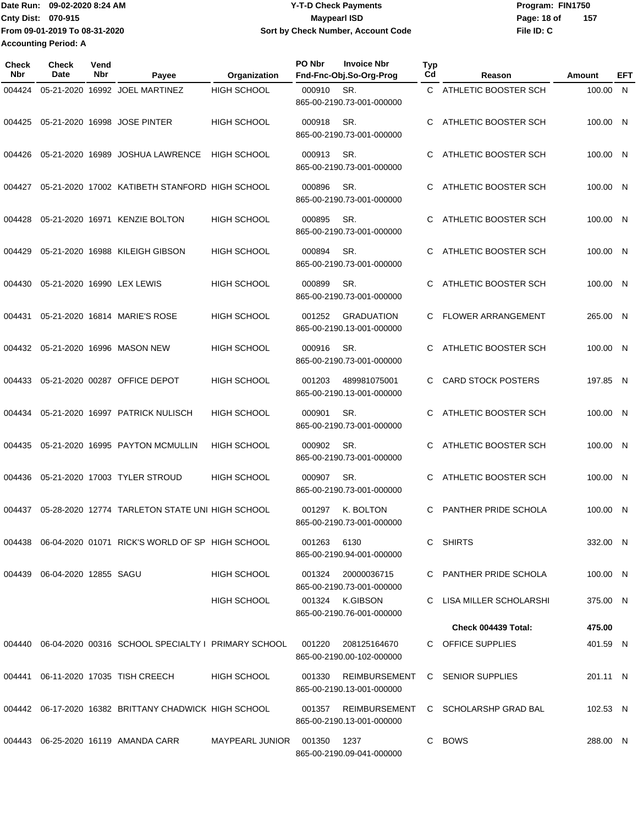**From 09-01-2019 To 08-31-2020 Accounting Period: A**

## Date Run: 09-02-2020 8:24 AM **Date Run:** 09-02-2020 8:24 AM **Program:** FIN1750 **Cnty Dist:** 070-915 **Page: 18 of** Maypearl ISD **CONTEX 18 of** Maypearl ISD **Page: 18 of 09-02-2020 8:24 AM Y-T-D Check Payments 070-915 Maypearl ISD Sort by Check Number, Account Code**

**File ID: C 157**

| Check<br>Nbr | Check<br><b>Date</b>              | Vend<br>Nbr | Payee                                                         | Organization           | PO Nbr | <b>Invoice Nbr</b><br>Fnd-Fnc-Obj.So-Org-Prog                      | <b>Typ</b><br>Cd | Reason                    | Amount   | EFT |
|--------------|-----------------------------------|-------------|---------------------------------------------------------------|------------------------|--------|--------------------------------------------------------------------|------------------|---------------------------|----------|-----|
| 004424       |                                   |             | 05-21-2020 16992 JOEL MARTINEZ                                | <b>HIGH SCHOOL</b>     | 000910 | SR.<br>865-00-2190.73-001-000000                                   | C                | ATHLETIC BOOSTER SCH      | 100.00 N |     |
| 004425       |                                   |             | 05-21-2020 16998 JOSE PINTER                                  | <b>HIGH SCHOOL</b>     | 000918 | SR.<br>865-00-2190.73-001-000000                                   | C                | ATHLETIC BOOSTER SCH      | 100.00 N |     |
| 004426       |                                   |             | 05-21-2020 16989 JOSHUA LAWRENCE                              | <b>HIGH SCHOOL</b>     | 000913 | SR.<br>865-00-2190.73-001-000000                                   | С                | ATHLETIC BOOSTER SCH      | 100.00 N |     |
| 004427       |                                   |             | 05-21-2020 17002 KATIBETH STANFORD HIGH SCHOOL                |                        | 000896 | SR.<br>865-00-2190.73-001-000000                                   | С                | ATHLETIC BOOSTER SCH      | 100.00 N |     |
| 004428       |                                   |             | 05-21-2020 16971 KENZIE BOLTON                                | <b>HIGH SCHOOL</b>     | 000895 | SR.<br>865-00-2190.73-001-000000                                   | C                | ATHLETIC BOOSTER SCH      | 100.00 N |     |
| 004429       |                                   |             | 05-21-2020 16988 KILEIGH GIBSON                               | <b>HIGH SCHOOL</b>     | 000894 | SR.<br>865-00-2190.73-001-000000                                   |                  | ATHLETIC BOOSTER SCH      | 100.00 N |     |
| 004430       |                                   |             | 05-21-2020 16990 LEX LEWIS                                    | <b>HIGH SCHOOL</b>     | 000899 | SR.<br>865-00-2190.73-001-000000                                   | C                | ATHLETIC BOOSTER SCH      | 100.00 N |     |
| 004431       |                                   |             | 05-21-2020 16814 MARIE'S ROSE                                 | <b>HIGH SCHOOL</b>     | 001252 | <b>GRADUATION</b><br>865-00-2190.13-001-000000                     | C                | <b>FLOWER ARRANGEMENT</b> | 265.00 N |     |
| 004432       |                                   |             | 05-21-2020 16996 MASON NEW                                    | <b>HIGH SCHOOL</b>     | 000916 | SR.<br>865-00-2190.73-001-000000                                   | С                | ATHLETIC BOOSTER SCH      | 100.00 N |     |
| 004433       |                                   |             | 05-21-2020 00287 OFFICE DEPOT                                 | <b>HIGH SCHOOL</b>     | 001203 | 489981075001<br>865-00-2190.13-001-000000                          | C.               | <b>CARD STOCK POSTERS</b> | 197.85 N |     |
| 004434       |                                   |             | 05-21-2020 16997 PATRICK NULISCH                              | <b>HIGH SCHOOL</b>     | 000901 | SR.<br>865-00-2190.73-001-000000                                   | C                | ATHLETIC BOOSTER SCH      | 100.00 N |     |
| 004435       |                                   |             | 05-21-2020 16995 PAYTON MCMULLIN                              | <b>HIGH SCHOOL</b>     | 000902 | SR.<br>865-00-2190.73-001-000000                                   | C                | ATHLETIC BOOSTER SCH      | 100.00 N |     |
| 004436       |                                   |             | 05-21-2020 17003 TYLER STROUD                                 | <b>HIGH SCHOOL</b>     | 000907 | SR.<br>865-00-2190.73-001-000000                                   | С                | ATHLETIC BOOSTER SCH      | 100.00 N |     |
| 004437       |                                   |             | 05-28-2020 12774 TARLETON STATE UNI HIGH SCHOOL               |                        | 001297 | K. BOLTON<br>865-00-2190.73-001-000000                             | C                | PANTHER PRIDE SCHOLA      | 100.00 N |     |
|              |                                   |             | 004438  06-04-2020  01071  RICK'S WORLD OF SP  HIGH SCHOOL    |                        | 001263 | 6130<br>865-00-2190.94-001-000000                                  |                  | C SHIRTS                  | 332.00 N |     |
|              | 004439   06-04-2020  12855   SAGU |             |                                                               | <b>HIGH SCHOOL</b>     | 001324 | 20000036715                                                        |                  | C PANTHER PRIDE SCHOLA    | 100.00 N |     |
|              |                                   |             |                                                               | <b>HIGH SCHOOL</b>     | 001324 | 865-00-2190.73-001-000000<br>K.GIBSON<br>865-00-2190.76-001-000000 |                  | C LISA MILLER SCHOLARSHI  | 375.00 N |     |
|              |                                   |             |                                                               |                        |        |                                                                    |                  | Check 004439 Total:       | 475.00   |     |
|              |                                   |             | 004440  06-04-2020  00316  SCHOOL SPECIALTY I  PRIMARY SCHOOL |                        | 001220 | 208125164670<br>865-00-2190.00-102-000000                          |                  | C OFFICE SUPPLIES         | 401.59 N |     |
|              |                                   |             | 004441 06-11-2020 17035 TISH CREECH                           | <b>HIGH SCHOOL</b>     | 001330 | REIMBURSEMENT<br>865-00-2190.13-001-000000                         |                  | C SENIOR SUPPLIES         | 201.11 N |     |
|              |                                   |             | 004442 06-17-2020 16382 BRITTANY CHADWICK HIGH SCHOOL         |                        | 001357 | <b>REIMBURSEMENT</b><br>865-00-2190.13-001-000000                  |                  | C SCHOLARSHP GRAD BAL     | 102.53 N |     |
|              |                                   |             | 004443 06-25-2020 16119 AMANDA CARR                           | MAYPEARL JUNIOR 001350 |        | 1237<br>865-00-2190.09-041-000000                                  |                  | C BOWS                    | 288.00 N |     |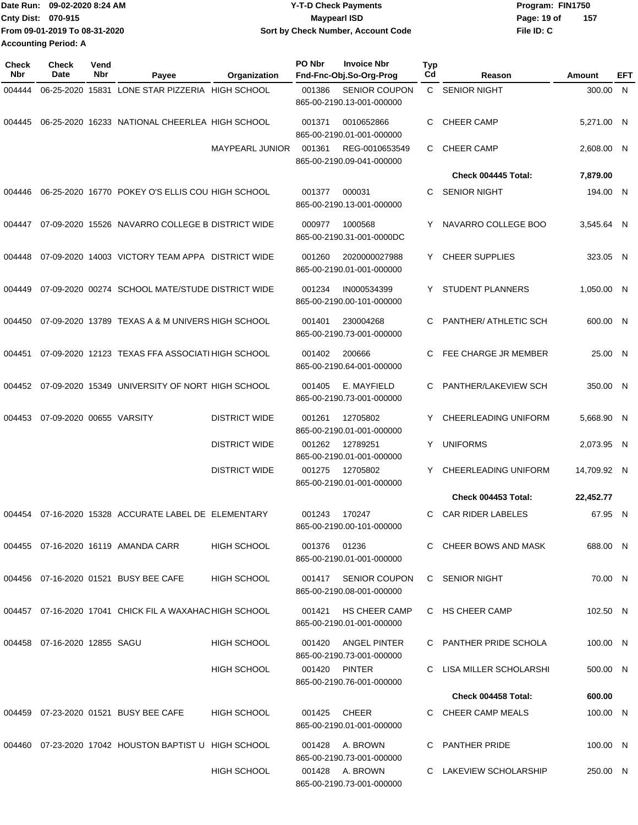|                             | Date Run: 09-02-2020 8:24 AM  | <b>Y-T-D Check Payments</b>        | Program: FIN1750    |  |  |  |
|-----------------------------|-------------------------------|------------------------------------|---------------------|--|--|--|
| <b>Cnty Dist: 070-915</b>   |                               | <b>Mavpearl ISD</b>                | -157<br>Page: 19 of |  |  |  |
|                             | From 09-01-2019 To 08-31-2020 | Sort by Check Number, Account Code | File ID: C          |  |  |  |
| <b>Accounting Period: A</b> |                               |                                    |                     |  |  |  |

| <b>Check</b><br>Nbr | Check<br>Date                | Vend<br>Nbr | Payee                                                   | Organization           | PO Nbr       | <b>Invoice Nbr</b><br>Fnd-Fnc-Obj.So-Org-Prog     | <b>Typ</b><br>Cd | Reason                       | Amount      | EFT |
|---------------------|------------------------------|-------------|---------------------------------------------------------|------------------------|--------------|---------------------------------------------------|------------------|------------------------------|-------------|-----|
| 004444              |                              |             | 06-25-2020 15831 LONE STAR PIZZERIA HIGH SCHOOL         |                        | 001386       | <b>SENIOR COUPON</b><br>865-00-2190.13-001-000000 |                  | C SENIOR NIGHT               | 300.00 N    |     |
| 004445              |                              |             | 06-25-2020 16233 NATIONAL CHEERLEA HIGH SCHOOL          |                        | 001371       | 0010652866<br>865-00-2190.01-001-000000           | C                | <b>CHEER CAMP</b>            | 5,271.00 N  |     |
|                     |                              |             |                                                         | <b>MAYPEARL JUNIOR</b> | 001361       | REG-0010653549<br>865-00-2190.09-041-000000       | C.               | <b>CHEER CAMP</b>            | 2,608.00 N  |     |
|                     |                              |             |                                                         |                        |              |                                                   |                  | Check 004445 Total:          | 7,879.00    |     |
| 004446              |                              |             | 06-25-2020 16770 POKEY O'S ELLIS COU HIGH SCHOOL        |                        | 001377       | 000031<br>865-00-2190.13-001-000000               | C.               | <b>SENIOR NIGHT</b>          | 194.00 N    |     |
| 004447              |                              |             | 07-09-2020 15526 NAVARRO COLLEGE B DISTRICT WIDE        |                        | 000977       | 1000568<br>865-00-2190.31-001-0000DC              | Y                | NAVARRO COLLEGE BOO          | 3,545.64 N  |     |
| 004448              |                              |             | 07-09-2020 14003 VICTORY TEAM APPA DISTRICT WIDE        |                        | 001260       | 2020000027988<br>865-00-2190.01-001-000000        | Y.               | <b>CHEER SUPPLIES</b>        | 323.05 N    |     |
| 004449              |                              |             | 07-09-2020 00274 SCHOOL MATE/STUDE DISTRICT WIDE        |                        | 001234       | IN000534399<br>865-00-2190.00-101-000000          | Y                | <b>STUDENT PLANNERS</b>      | 1.050.00 N  |     |
| 004450              |                              |             | 07-09-2020 13789 TEXAS A & M UNIVERS HIGH SCHOOL        |                        | 001401       | 230004268<br>865-00-2190.73-001-000000            | C.               | <b>PANTHER/ ATHLETIC SCH</b> | 600.00 N    |     |
| 004451              |                              |             | 07-09-2020 12123 TEXAS FFA ASSOCIATI HIGH SCHOOL        |                        | 001402       | 200666<br>865-00-2190.64-001-000000               | C                | FEE CHARGE JR MEMBER         | 25.00 N     |     |
|                     |                              |             | 004452 07-09-2020 15349 UNIVERSITY OF NORT HIGH SCHOOL  |                        | 001405       | E. MAYFIELD<br>865-00-2190.73-001-000000          | C                | PANTHER/LAKEVIEW SCH         | 350.00 N    |     |
| 004453              | 07-09-2020 00655 VARSITY     |             |                                                         | <b>DISTRICT WIDE</b>   | 001261       | 12705802<br>865-00-2190.01-001-000000             | Y.               | CHEERLEADING UNIFORM         | 5,668.90 N  |     |
|                     |                              |             |                                                         | <b>DISTRICT WIDE</b>   | 001262       | 12789251<br>865-00-2190.01-001-000000             | Y                | <b>UNIFORMS</b>              | 2,073.95 N  |     |
|                     |                              |             |                                                         | <b>DISTRICT WIDE</b>   | 001275       | 12705802<br>865-00-2190.01-001-000000             | Y                | CHEERLEADING UNIFORM         | 14,709.92 N |     |
|                     |                              |             |                                                         |                        |              |                                                   |                  | Check 004453 Total:          | 22,452.77   |     |
|                     |                              |             | 004454 07-16-2020 15328 ACCURATE LABEL DE ELEMENTARY    |                        | 001243       | 170247<br>865-00-2190.00-101-000000               | C.               | <b>CAR RIDER LABELES</b>     | 67.95 N     |     |
|                     |                              |             | 004455 07-16-2020 16119 AMANDA CARR                     | <b>HIGH SCHOOL</b>     | 001376 01236 | 865-00-2190.01-001-000000                         |                  | C CHEER BOWS AND MASK        | 688.00 N    |     |
|                     |                              |             | 004456 07-16-2020 01521 BUSY BEE CAFE                   | <b>HIGH SCHOOL</b>     |              | 001417 SENIOR COUPON<br>865-00-2190.08-001-000000 |                  | C SENIOR NIGHT               | 70.00 N     |     |
|                     |                              |             | 004457 07-16-2020 17041 CHICK FIL A WAXAHAC HIGH SCHOOL |                        | 001421       | <b>HS CHEER CAMP</b><br>865-00-2190.01-001-000000 |                  | C HS CHEER CAMP              | 102.50 N    |     |
|                     | 004458 07-16-2020 12855 SAGU |             |                                                         | <b>HIGH SCHOOL</b>     | 001420       | ANGEL PINTER<br>865-00-2190.73-001-000000         |                  | C PANTHER PRIDE SCHOLA       | 100.00 N    |     |
|                     |                              |             |                                                         | <b>HIGH SCHOOL</b>     |              | 001420 PINTER<br>865-00-2190.76-001-000000        |                  | C LISA MILLER SCHOLARSHI     | 500.00 N    |     |
|                     |                              |             |                                                         |                        |              |                                                   |                  | Check 004458 Total:          | 600.00      |     |
|                     |                              |             | 004459 07-23-2020 01521 BUSY BEE CAFE                   | HIGH SCHOOL            | 001425       | CHEER<br>865-00-2190.01-001-000000                |                  | C CHEER CAMP MEALS           | 100.00 N    |     |
|                     |                              |             | 004460 07-23-2020 17042 HOUSTON BAPTIST U HIGH SCHOOL   |                        | 001428       | A. BROWN<br>865-00-2190.73-001-000000             | C.               | <b>PANTHER PRIDE</b>         | 100.00 N    |     |
|                     |                              |             |                                                         | <b>HIGH SCHOOL</b>     |              | 001428 A. BROWN<br>865-00-2190.73-001-000000      |                  | C LAKEVIEW SCHOLARSHIP       | 250.00 N    |     |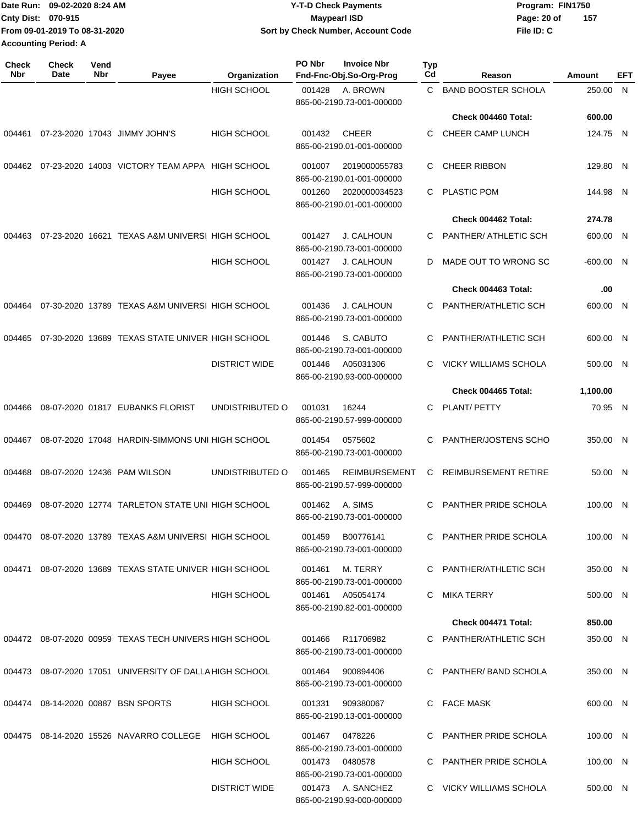|                             | TDate Run: 09-02-2020 8:24 AM | <b>Y-T-D Check Payments</b>        | Program: FIN1750   |
|-----------------------------|-------------------------------|------------------------------------|--------------------|
| Cnty Dist: 070-915          |                               | <b>Mavpearl ISD</b>                | 157<br>Page: 20 of |
|                             | From 09-01-2019 To 08-31-2020 | Sort by Check Number, Account Code | File ID: C         |
| <b>Accounting Period: A</b> |                               |                                    |                    |

| <b>Check</b><br><b>Nbr</b> | <b>Check</b><br>Date | Vend<br>Nbr | Payee                                                   | Organization         | PO Nbr | <b>Invoice Nbr</b><br>Fnd-Fnc-Obj.So-Org-Prog     | <b>Typ</b><br>Cd | Reason                       | Amount      | EFT          |
|----------------------------|----------------------|-------------|---------------------------------------------------------|----------------------|--------|---------------------------------------------------|------------------|------------------------------|-------------|--------------|
|                            |                      |             |                                                         | <b>HIGH SCHOOL</b>   | 001428 | A. BROWN<br>865-00-2190.73-001-000000             | C                | <b>BAND BOOSTER SCHOLA</b>   | 250.00      | $\mathsf{N}$ |
|                            |                      |             |                                                         |                      |        |                                                   |                  | Check 004460 Total:          | 600.00      |              |
| 004461                     |                      |             | 07-23-2020 17043 JIMMY JOHN'S                           | <b>HIGH SCHOOL</b>   | 001432 | <b>CHEER</b><br>865-00-2190.01-001-000000         | C                | CHEER CAMP LUNCH             | 124.75 N    |              |
| 004462                     |                      |             | 07-23-2020 14003 VICTORY TEAM APPA HIGH SCHOOL          |                      | 001007 | 2019000055783<br>865-00-2190.01-001-000000        | С                | <b>CHEER RIBBON</b>          | 129.80 N    |              |
|                            |                      |             |                                                         | <b>HIGH SCHOOL</b>   | 001260 | 2020000034523<br>865-00-2190.01-001-000000        | C                | <b>PLASTIC POM</b>           | 144.98 N    |              |
|                            |                      |             |                                                         |                      |        |                                                   |                  | Check 004462 Total:          | 274.78      |              |
| 004463                     |                      |             | 07-23-2020 16621 TEXAS A&M UNIVERSI HIGH SCHOOL         |                      | 001427 | J. CALHOUN<br>865-00-2190.73-001-000000           | C                | PANTHER/ ATHLETIC SCH        | 600.00 N    |              |
|                            |                      |             |                                                         | <b>HIGH SCHOOL</b>   | 001427 | <b>J. CALHOUN</b><br>865-00-2190.73-001-000000    | D                | MADE OUT TO WRONG SC         | $-600.00$ N |              |
|                            |                      |             |                                                         |                      |        |                                                   |                  | Check 004463 Total:          | .00         |              |
| 004464                     |                      |             | 07-30-2020 13789 TEXAS A&M UNIVERSI HIGH SCHOOL         |                      | 001436 | <b>J. CALHOUN</b><br>865-00-2190.73-001-000000    | С                | PANTHER/ATHLETIC SCH         | 600.00 N    |              |
| 004465                     |                      |             | 07-30-2020 13689 TEXAS STATE UNIVER HIGH SCHOOL         |                      | 001446 | S. CABUTO<br>865-00-2190.73-001-000000            | С                | PANTHER/ATHLETIC SCH         | 600.00 N    |              |
|                            |                      |             |                                                         | <b>DISTRICT WIDE</b> | 001446 | A05031306<br>865-00-2190.93-000-000000            | C                | <b>VICKY WILLIAMS SCHOLA</b> | 500.00 N    |              |
|                            |                      |             |                                                         |                      |        |                                                   |                  | Check 004465 Total:          | 1,100.00    |              |
| 004466                     |                      |             | 08-07-2020 01817 EUBANKS FLORIST                        | UNDISTRIBUTED O      | 001031 | 16244<br>865-00-2190.57-999-000000                | C                | PLANT/ PETTY                 | 70.95 N     |              |
| 004467                     |                      |             | 08-07-2020 17048 HARDIN-SIMMONS UNI HIGH SCHOOL         |                      | 001454 | 0575602<br>865-00-2190.73-001-000000              | С                | PANTHER/JOSTENS SCHO         | 350.00 N    |              |
| 004468                     |                      |             | 08-07-2020 12436 PAM WILSON                             | UNDISTRIBUTED O      | 001465 | <b>REIMBURSEMENT</b><br>865-00-2190.57-999-000000 | С                | <b>REIMBURSEMENT RETIRE</b>  | 50.00 N     |              |
| 004469                     |                      |             | 08-07-2020 12774 TARLETON STATE UNI HIGH SCHOOL         |                      | 001462 | A. SIMS<br>865-00-2190.73-001-000000              | C                | PANTHER PRIDE SCHOLA         | 100.00 N    |              |
|                            |                      |             | 004470 08-07-2020 13789 TEXAS A&M UNIVERSI HIGH SCHOOL  |                      | 001459 | B00776141<br>865-00-2190.73-001-000000            |                  | PANTHER PRIDE SCHOLA         | 100.00 N    |              |
|                            |                      |             | 004471 08-07-2020 13689 TEXAS STATE UNIVER HIGH SCHOOL  |                      | 001461 | M. TERRY<br>865-00-2190.73-001-000000             |                  | C PANTHER/ATHLETIC SCH       | 350.00 N    |              |
|                            |                      |             |                                                         | HIGH SCHOOL          |        | 001461 A05054174<br>865-00-2190.82-001-000000     |                  | C MIKA TERRY                 | 500.00 N    |              |
|                            |                      |             |                                                         |                      |        |                                                   |                  | Check 004471 Total:          | 850.00      |              |
|                            |                      |             | 004472 08-07-2020 00959 TEXAS TECH UNIVERS HIGH SCHOOL  |                      |        | 001466 R11706982<br>865-00-2190.73-001-000000     |                  | C PANTHER/ATHLETIC SCH       | 350.00 N    |              |
|                            |                      |             | 004473 08-07-2020 17051 UNIVERSITY OF DALLA HIGH SCHOOL |                      |        | 001464 900894406<br>865-00-2190.73-001-000000     |                  | C PANTHER/ BAND SCHOLA       | 350.00 N    |              |
|                            |                      |             | 004474 08-14-2020 00887 BSN SPORTS                      | <b>HIGH SCHOOL</b>   | 001331 | 909380067<br>865-00-2190.13-001-000000            |                  | C FACE MASK                  | 600.00 N    |              |
|                            |                      |             | 004475 08-14-2020 15526 NAVARRO COLLEGE HIGH SCHOOL     |                      |        | 001467 0478226<br>865-00-2190.73-001-000000       |                  | C PANTHER PRIDE SCHOLA       | 100.00 N    |              |
|                            |                      |             |                                                         | <b>HIGH SCHOOL</b>   |        | 001473 0480578<br>865-00-2190.73-001-000000       |                  | C PANTHER PRIDE SCHOLA       | 100.00 N    |              |
|                            |                      |             |                                                         | <b>DISTRICT WIDE</b> |        | 001473 A. SANCHEZ<br>865-00-2190.93-000-000000    |                  | C VICKY WILLIAMS SCHOLA      | 500.00 N    |              |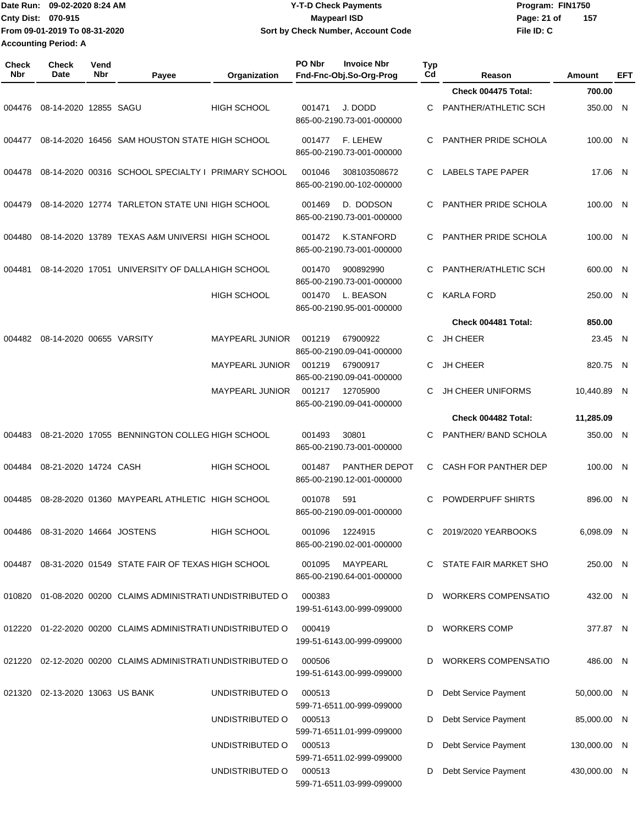| Date Run: 09-02-2020 8:24 AM  | <b>Y-T-D Check Payments</b>        | Program: FIN1750 |     |  |
|-------------------------------|------------------------------------|------------------|-----|--|
| <b>Cnty Dist: 070-915</b>     | Maypearl ISD                       | Page: 21 of      | 157 |  |
| From 09-01-2019 To 08-31-2020 | Sort by Check Number, Account Code | File ID: C       |     |  |
| <b>Accounting Period: A</b>   |                                    |                  |     |  |

| <b>Check</b><br><b>Nbr</b> | Check<br>Date                   | Vend<br><b>Nbr</b> | Payee                                                       | Organization           | PO Nbr | <b>Invoice Nbr</b><br>Fnd-Fnc-Obj.So-Org-Prog     | <b>Typ</b><br>Cd | Reason                      | Amount       | EFT |
|----------------------------|---------------------------------|--------------------|-------------------------------------------------------------|------------------------|--------|---------------------------------------------------|------------------|-----------------------------|--------------|-----|
|                            |                                 |                    |                                                             |                        |        |                                                   |                  | Check 004475 Total:         | 700.00       |     |
| 004476                     | 08-14-2020 12855 SAGU           |                    |                                                             | <b>HIGH SCHOOL</b>     | 001471 | J. DODD<br>865-00-2190.73-001-000000              | C                | PANTHER/ATHLETIC SCH        | 350.00 N     |     |
| 004477                     |                                 |                    | 08-14-2020 16456 SAM HOUSTON STATE HIGH SCHOOL              |                        | 001477 | F. LEHEW<br>865-00-2190.73-001-000000             | C                | PANTHER PRIDE SCHOLA        | 100.00 N     |     |
| 004478                     |                                 |                    | 08-14-2020 00316 SCHOOL SPECIALTY I PRIMARY SCHOOL          |                        | 001046 | 308103508672<br>865-00-2190.00-102-000000         | C.               | LABELS TAPE PAPER           | 17.06 N      |     |
| 004479                     |                                 |                    | 08-14-2020 12774 TARLETON STATE UNI HIGH SCHOOL             |                        | 001469 | D. DODSON<br>865-00-2190.73-001-000000            | C.               | PANTHER PRIDE SCHOLA        | 100.00 N     |     |
| 004480                     |                                 |                    | 08-14-2020 13789 TEXAS A&M UNIVERSI HIGH SCHOOL             |                        | 001472 | <b>K.STANFORD</b><br>865-00-2190.73-001-000000    | C.               | PANTHER PRIDE SCHOLA        | 100.00 N     |     |
| 004481                     |                                 |                    | 08-14-2020 17051 UNIVERSITY OF DALLA HIGH SCHOOL            |                        | 001470 | 900892990<br>865-00-2190.73-001-000000            | C                | PANTHER/ATHLETIC SCH        | 600.00 N     |     |
|                            |                                 |                    |                                                             | <b>HIGH SCHOOL</b>     | 001470 | L. BEASON<br>865-00-2190.95-001-000000            | C.               | <b>KARLA FORD</b>           | 250.00 N     |     |
|                            |                                 |                    |                                                             |                        |        |                                                   |                  | Check 004481 Total:         | 850.00       |     |
| 004482                     | 08-14-2020 00655 VARSITY        |                    |                                                             | <b>MAYPEARL JUNIOR</b> | 001219 | 67900922<br>865-00-2190.09-041-000000             | C.               | <b>JH CHEER</b>             | 23.45 N      |     |
|                            |                                 |                    |                                                             | MAYPEARL JUNIOR        | 001219 | 67900917<br>865-00-2190.09-041-000000             | C                | <b>JH CHEER</b>             | 820.75 N     |     |
|                            |                                 |                    |                                                             | <b>MAYPEARL JUNIOR</b> | 001217 | 12705900<br>865-00-2190.09-041-000000             | С                | <b>JH CHEER UNIFORMS</b>    | 10,440.89 N  |     |
|                            |                                 |                    |                                                             |                        |        |                                                   |                  | Check 004482 Total:         | 11,285.09    |     |
| 004483                     |                                 |                    | 08-21-2020 17055 BENNINGTON COLLEG HIGH SCHOOL              |                        | 001493 | 30801<br>865-00-2190.73-001-000000                | C                | PANTHER/ BAND SCHOLA        | 350.00 N     |     |
| 004484                     | 08-21-2020 14724 CASH           |                    |                                                             | <b>HIGH SCHOOL</b>     | 001487 | <b>PANTHER DEPOT</b><br>865-00-2190.12-001-000000 | C                | <b>CASH FOR PANTHER DEP</b> | 100.00 N     |     |
| 004485                     |                                 |                    | 08-28-2020 01360 MAYPEARL ATHLETIC HIGH SCHOOL              |                        | 001078 | 591<br>865-00-2190.09-001-000000                  | C.               | POWDERPUFF SHIRTS           | 896.00 N     |     |
|                            | 004486 08-31-2020 14664 JOSTENS |                    |                                                             | HIGH SCHOOL            | 001096 | 1224915<br>865-00-2190.02-001-000000              |                  | 2019/2020 YEARBOOKS         | 6,098.09 N   |     |
|                            |                                 |                    | 004487 08-31-2020 01549 STATE FAIR OF TEXAS HIGH SCHOOL     |                        | 001095 | MAYPEARL<br>865-00-2190.64-001-000000             |                  | C STATE FAIR MARKET SHO     | 250.00 N     |     |
|                            |                                 |                    | 010820 01-08-2020 00200 CLAIMS ADMINISTRATI UNDISTRIBUTED O |                        | 000383 | 199-51-6143.00-999-099000                         |                  | D WORKERS COMPENSATIO       | 432.00 N     |     |
|                            |                                 |                    | 012220 01-22-2020 00200 CLAIMS ADMINISTRATI UNDISTRIBUTED O |                        | 000419 | 199-51-6143.00-999-099000                         |                  | D WORKERS COMP              | 377.87 N     |     |
| 021220                     |                                 |                    | 02-12-2020 00200 CLAIMS ADMINISTRATI UNDISTRIBUTED O        |                        | 000506 | 199-51-6143.00-999-099000                         | D                | <b>WORKERS COMPENSATIO</b>  | 486.00 N     |     |
|                            | 021320 02-13-2020 13063 US BANK |                    |                                                             | UNDISTRIBUTED O        | 000513 | 599-71-6511.00-999-099000                         | D                | Debt Service Payment        | 50,000.00 N  |     |
|                            |                                 |                    |                                                             | UNDISTRIBUTED O        | 000513 | 599-71-6511.01-999-099000                         | D                | Debt Service Payment        | 85,000.00 N  |     |
|                            |                                 |                    |                                                             | UNDISTRIBUTED O        | 000513 | 599-71-6511.02-999-099000                         | D                | Debt Service Payment        | 130,000.00 N |     |
|                            |                                 |                    |                                                             | UNDISTRIBUTED O        | 000513 | 599-71-6511.03-999-099000                         | D                | Debt Service Payment        | 430,000.00 N |     |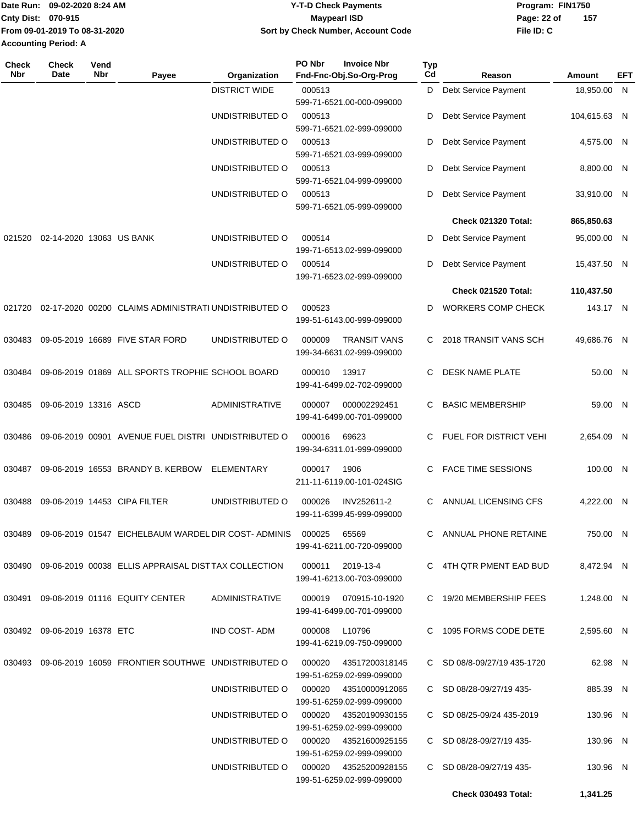|                             | 1Date Run: 09-02-2020 8:24 AM | <b>Y-T-D Check Payments</b>        | Program: FIN1750 |     |
|-----------------------------|-------------------------------|------------------------------------|------------------|-----|
| <b>Cnty Dist: 070-915</b>   |                               | Maypearl ISD                       | Page: 22 of      | 157 |
|                             | From 09-01-2019 To 08-31-2020 | Sort by Check Number, Account Code | File ID: C       |     |
| <b>Accounting Period: A</b> |                               |                                    |                  |     |

| <b>Check</b><br>Nbr | Check<br>Date               | Vend<br>Nbr | Payee                                                                          | Organization                             | PO Nbr        | <b>Invoice Nbr</b><br>Fnd-Fnc-Obj.So-Org-Prog | <b>Typ</b><br>Cd | Reason                      | Amount       | EFT |
|---------------------|-----------------------------|-------------|--------------------------------------------------------------------------------|------------------------------------------|---------------|-----------------------------------------------|------------------|-----------------------------|--------------|-----|
|                     |                             |             |                                                                                | <b>DISTRICT WIDE</b>                     | 000513        |                                               | D                | <b>Debt Service Payment</b> | 18,950.00 N  |     |
|                     |                             |             |                                                                                |                                          |               | 599-71-6521.00-000-099000                     |                  |                             |              |     |
|                     |                             |             |                                                                                | UNDISTRIBUTED O                          | 000513        | 599-71-6521.02-999-099000                     | D                | Debt Service Payment        | 104,615.63 N |     |
|                     |                             |             |                                                                                | UNDISTRIBUTED O                          | 000513        |                                               | D                | Debt Service Payment        | 4,575.00 N   |     |
|                     |                             |             |                                                                                |                                          |               | 599-71-6521.03-999-099000                     |                  |                             |              |     |
|                     |                             |             |                                                                                | UNDISTRIBUTED O                          | 000513        |                                               | D                | Debt Service Payment        | 8,800.00 N   |     |
|                     |                             |             |                                                                                | UNDISTRIBUTED O                          | 000513        | 599-71-6521.04-999-099000                     | D                | Debt Service Payment        | 33,910.00 N  |     |
|                     |                             |             |                                                                                |                                          |               | 599-71-6521.05-999-099000                     |                  |                             |              |     |
|                     |                             |             |                                                                                |                                          |               |                                               |                  | Check 021320 Total:         | 865,850.63   |     |
| 021520              | 02-14-2020 13063 US BANK    |             |                                                                                | UNDISTRIBUTED O                          | 000514        |                                               | D                | Debt Service Payment        | 95,000.00 N  |     |
|                     |                             |             |                                                                                |                                          |               | 199-71-6513.02-999-099000                     |                  |                             |              |     |
|                     |                             |             |                                                                                | UNDISTRIBUTED O                          | 000514        | 199-71-6523.02-999-099000                     | D                | Debt Service Payment        | 15,437.50 N  |     |
|                     |                             |             |                                                                                |                                          |               |                                               |                  | Check 021520 Total:         | 110,437.50   |     |
| 021720              |                             |             | 02-17-2020 00200 CLAIMS ADMINISTRATI UNDISTRIBUTED O                           |                                          | 000523        |                                               | D                | <b>WORKERS COMP CHECK</b>   | 143.17 N     |     |
|                     |                             |             |                                                                                |                                          |               | 199-51-6143.00-999-099000                     |                  |                             |              |     |
| 030483              |                             |             | 09-05-2019 16689 FIVE STAR FORD                                                | UNDISTRIBUTED O                          | 000009        | <b>TRANSIT VANS</b>                           | C                | 2018 TRANSIT VANS SCH       | 49,686.76 N  |     |
|                     |                             |             |                                                                                |                                          |               | 199-34-6631.02-999-099000                     |                  |                             |              |     |
| 030484              |                             |             | 09-06-2019 01869 ALL SPORTS TROPHIE SCHOOL BOARD                               |                                          | 000010        | 13917                                         | C                | <b>DESK NAME PLATE</b>      | 50.00 N      |     |
|                     |                             |             |                                                                                |                                          |               | 199-41-6499.02-702-099000                     |                  |                             |              |     |
| 030485              | 09-06-2019 13316 ASCD       |             |                                                                                | <b>ADMINISTRATIVE</b>                    | 000007        | 000002292451                                  | C                | <b>BASIC MEMBERSHIP</b>     | 59.00 N      |     |
|                     |                             |             |                                                                                |                                          |               | 199-41-6499.00-701-099000                     |                  |                             |              |     |
| 030486              |                             |             | 09-06-2019 00901 AVENUE FUEL DISTRI UNDISTRIBUTED O                            |                                          | 000016        | 69623                                         | C.               | FUEL FOR DISTRICT VEHI      | 2,654.09 N   |     |
|                     |                             |             |                                                                                |                                          |               | 199-34-6311.01-999-099000                     |                  |                             |              |     |
| 030487              |                             |             | 09-06-2019 16553 BRANDY B. KERBOW                                              | ELEMENTARY                               | 000017        | 1906                                          | C                | <b>FACE TIME SESSIONS</b>   | 100.00 N     |     |
|                     |                             |             |                                                                                |                                          |               | 211-11-6119.00-101-024SIG                     |                  |                             |              |     |
| 030488              |                             |             | 09-06-2019 14453 CIPA FILTER                                                   | UNDISTRIBUTED O                          | 000026        | INV252611-2                                   | C                | ANNUAL LICENSING CFS        | 4,222.00 N   |     |
|                     |                             |             |                                                                                |                                          |               | 199-11-6399.45-999-099000                     |                  |                             |              |     |
|                     |                             |             | 030489  09-06-2019  01547  EICHELBAUM WARDEL DIR COST- ADMINIS  000025         |                                          |               | 65569                                         |                  | C ANNUAL PHONE RETAINE      | 750.00 N     |     |
|                     |                             |             |                                                                                |                                          |               | 199-41-6211.00-720-099000                     |                  |                             |              |     |
|                     |                             |             | 030490 09-06-2019 00038 ELLIS APPRAISAL DISTTAX COLLECTION                     |                                          |               | 000011 2019-13-4                              |                  | C 4TH QTR PMENT EAD BUD     | 8,472.94 N   |     |
|                     |                             |             |                                                                                |                                          |               | 199-41-6213.00-703-099000                     |                  |                             |              |     |
|                     |                             |             | 030491 09-06-2019 01116 EQUITY CENTER                                          | ADMINISTRATIVE                           |               | 000019 070915-10-1920                         |                  | C 19/20 MEMBERSHIP FEES     | 1,248.00 N   |     |
|                     |                             |             |                                                                                |                                          |               | 199-41-6499.00-701-099000                     |                  |                             |              |     |
|                     | 030492 09-06-2019 16378 ETC |             |                                                                                | IND COST- ADM                            | 000008 L10796 |                                               |                  | C 1095 FORMS CODE DETE      | 2,595.60 N   |     |
|                     |                             |             |                                                                                |                                          |               | 199-41-6219.09-750-099000                     |                  |                             |              |     |
|                     |                             |             | 030493 09-06-2019 16059 FRONTIER SOUTHWE UNDISTRIBUTED O 000020 43517200318145 |                                          |               |                                               |                  | C SD 08/8-09/27/19 435-1720 | 62.98 N      |     |
|                     |                             |             |                                                                                |                                          |               | 199-51-6259.02-999-099000                     |                  |                             |              |     |
|                     |                             |             |                                                                                | UNDISTRIBUTED O 000020 43510000912065    |               |                                               |                  | C SD 08/28-09/27/19 435-    | 885.39 N     |     |
|                     |                             |             |                                                                                |                                          |               | 199-51-6259.02-999-099000                     |                  |                             |              |     |
|                     |                             |             |                                                                                | UNDISTRIBUTED O   000020  43520190930155 |               | 199-51-6259.02-999-099000                     |                  | C SD 08/25-09/24 435-2019   | 130.96 N     |     |
|                     |                             |             |                                                                                | UNDISTRIBUTED O 000020 43521600925155    |               |                                               |                  | C SD 08/28-09/27/19 435-    | 130.96 N     |     |
|                     |                             |             |                                                                                |                                          |               | 199-51-6259.02-999-099000                     |                  |                             |              |     |
|                     |                             |             |                                                                                | UNDISTRIBUTED O 000020 43525200928155    |               | 199-51-6259.02-999-099000                     |                  | C SD 08/28-09/27/19 435-    | 130.96 N     |     |
|                     |                             |             |                                                                                |                                          |               |                                               |                  | <b>Check 030493 Total:</b>  | 1,341.25     |     |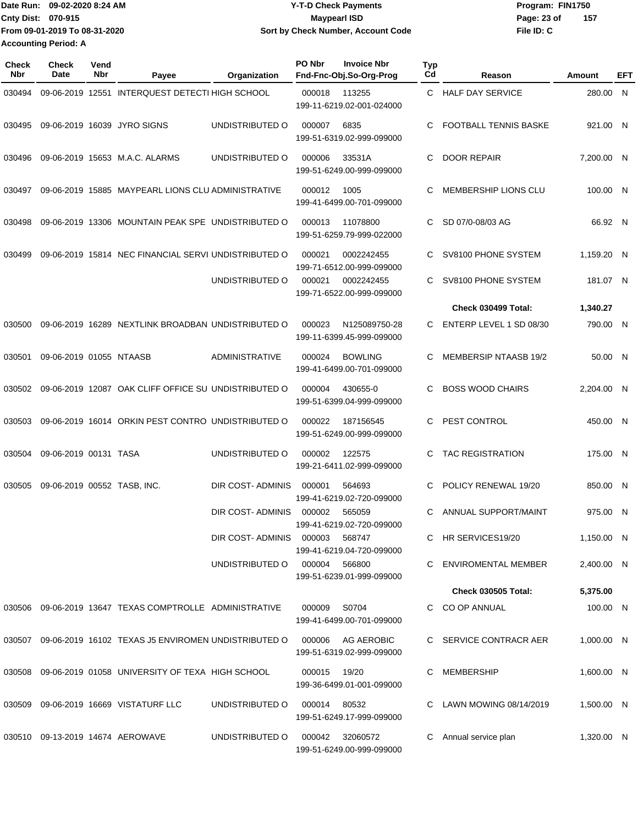|                               | IDate Run: 09-02-2020 8:24 AM | <b>Y-T-D Check Payments</b>        | Program: FIN1750 |     |  |  |
|-------------------------------|-------------------------------|------------------------------------|------------------|-----|--|--|
| <b>Cnty Dist: 070-915</b>     |                               | <b>Maypearl ISD</b>                | Page: 23 of      | 157 |  |  |
| From 09-01-2019 To 08-31-2020 |                               | Sort by Check Number, Account Code | File ID: C       |     |  |  |
| <b>Accounting Period: A</b>   |                               |                                    |                  |     |  |  |

| Check<br>Nbr | <b>Check</b><br>Date        | Vend<br>Nbr | Payee                                                      | Organization            | PO Nbr<br>Fnd-Fnc-Obj.So-Org-Prog | <b>Invoice Nbr</b>                             | <b>Typ</b><br>Cd | Reason                       | Amount     | EFT |
|--------------|-----------------------------|-------------|------------------------------------------------------------|-------------------------|-----------------------------------|------------------------------------------------|------------------|------------------------------|------------|-----|
| 030494       |                             |             | 09-06-2019 12551 INTERQUEST DETECTI HIGH SCHOOL            |                         | 000018                            | 113255<br>199-11-6219.02-001-024000            | C.               | <b>HALF DAY SERVICE</b>      | 280.00 N   |     |
| 030495       |                             |             | 09-06-2019 16039 JYRO SIGNS                                | UNDISTRIBUTED O         | 000007                            | 6835<br>199-51-6319.02-999-099000              | C                | FOOTBALL TENNIS BASKE        | 921.00 N   |     |
| 030496       |                             |             | 09-06-2019 15653 M.A.C. ALARMS                             | UNDISTRIBUTED O         | 000006                            | 33531A<br>199-51-6249.00-999-099000            | C                | <b>DOOR REPAIR</b>           | 7,200.00 N |     |
| 030497       |                             |             | 09-06-2019 15885 MAYPEARL LIONS CLU ADMINISTRATIVE         |                         | 000012                            | 1005<br>199-41-6499.00-701-099000              | C                | MEMBERSHIP LIONS CLU         | 100.00 N   |     |
| 030498       |                             |             | 09-06-2019 13306 MOUNTAIN PEAK SPE UNDISTRIBUTED O         |                         | 000013                            | 11078800<br>199-51-6259.79-999-022000          | C.               | SD 07/0-08/03 AG             | 66.92 N    |     |
| 030499       |                             |             | 09-06-2019 15814 NEC FINANCIAL SERVI UNDISTRIBUTED O       |                         | 000021                            | 0002242455<br>199-71-6512.00-999-099000        | C                | SV8100 PHONE SYSTEM          | 1,159.20 N |     |
|              |                             |             |                                                            | UNDISTRIBUTED O         | 000021                            | 0002242455<br>199-71-6522.00-999-099000        | C.               | SV8100 PHONE SYSTEM          | 181.07 N   |     |
|              |                             |             |                                                            |                         |                                   |                                                |                  | Check 030499 Total:          | 1,340.27   |     |
| 030500       |                             |             | 09-06-2019 16289 NEXTLINK BROADBAN UNDISTRIBUTED O         |                         | 000023                            | N125089750-28<br>199-11-6399.45-999-099000     | C.               | ENTERP LEVEL 1 SD 08/30      | 790.00 N   |     |
| 030501       | 09-06-2019 01055 NTAASB     |             |                                                            | <b>ADMINISTRATIVE</b>   | 000024                            | <b>BOWLING</b><br>199-41-6499.00-701-099000    | C                | <b>MEMBERSIP NTAASB 19/2</b> | 50.00 N    |     |
| 030502       |                             |             | 09-06-2019 12087 OAK CLIFF OFFICE SU UNDISTRIBUTED O       |                         | 000004                            | 430655-0<br>199-51-6399.04-999-099000          | C                | <b>BOSS WOOD CHAIRS</b>      | 2,204.00 N |     |
| 030503       |                             |             | 09-06-2019 16014 ORKIN PEST CONTRO UNDISTRIBUTED O         |                         | 000022                            | 187156545<br>199-51-6249.00-999-099000         | C                | PEST CONTROL                 | 450.00 N   |     |
| 030504       | 09-06-2019 00131 TASA       |             |                                                            | UNDISTRIBUTED O         | 000002                            | 122575<br>199-21-6411.02-999-099000            | C                | <b>TAC REGISTRATION</b>      | 175.00 N   |     |
| 030505       | 09-06-2019 00552 TASB, INC. |             |                                                            | <b>DIR COST-ADMINIS</b> | 000001                            | 564693<br>199-41-6219.02-720-099000            | C                | POLICY RENEWAL 19/20         | 850.00 N   |     |
|              |                             |             |                                                            | DIR COST-ADMINIS        | 000002                            | 565059<br>199-41-6219.02-720-099000            | C                | ANNUAL SUPPORT/MAINT         | 975.00 N   |     |
|              |                             |             |                                                            | DIR COST-ADMINIS        | 000003                            | 568747<br>199-41-6219.04-720-099000            |                  | HR SERVICES19/20             | 1,150.00 N |     |
|              |                             |             |                                                            | UNDISTRIBUTED O         | 000004 566800                     | 199-51-6239.01-999-099000                      | C.               | ENVIROMENTAL MEMBER          | 2,400.00 N |     |
|              |                             |             |                                                            |                         |                                   |                                                |                  | <b>Check 030505 Total:</b>   | 5,375.00   |     |
|              |                             |             | 030506 09-06-2019 13647 TEXAS COMPTROLLE ADMINISTRATIVE    |                         | 000009                            | S0704<br>199-41-6499.00-701-099000             |                  | C CO OP ANNUAL               | 100.00 N   |     |
|              |                             |             | 030507 09-06-2019 16102 TEXAS J5 ENVIROMEN UNDISTRIBUTED O |                         |                                   | 000006 AG AEROBIC<br>199-51-6319.02-999-099000 |                  | C SERVICE CONTRACR AER       | 1,000.00 N |     |
| 030508       |                             |             | 09-06-2019 01058 UNIVERSITY OF TEXA HIGH SCHOOL            |                         | 000015                            | 19/20<br>199-36-6499.01-001-099000             |                  | MEMBERSHIP                   | 1,600.00 N |     |
|              |                             |             | 030509 09-06-2019 16669 VISTATURF LLC                      | UNDISTRIBUTED O         | 000014 80532                      | 199-51-6249.17-999-099000                      |                  | C LAWN MOWING 08/14/2019     | 1,500.00 N |     |
|              |                             |             | 030510  09-13-2019  14674  AEROWAVE                        | UNDISTRIBUTED O         | 000042                            | 32060572<br>199-51-6249.00-999-099000          | C                | Annual service plan          | 1,320.00 N |     |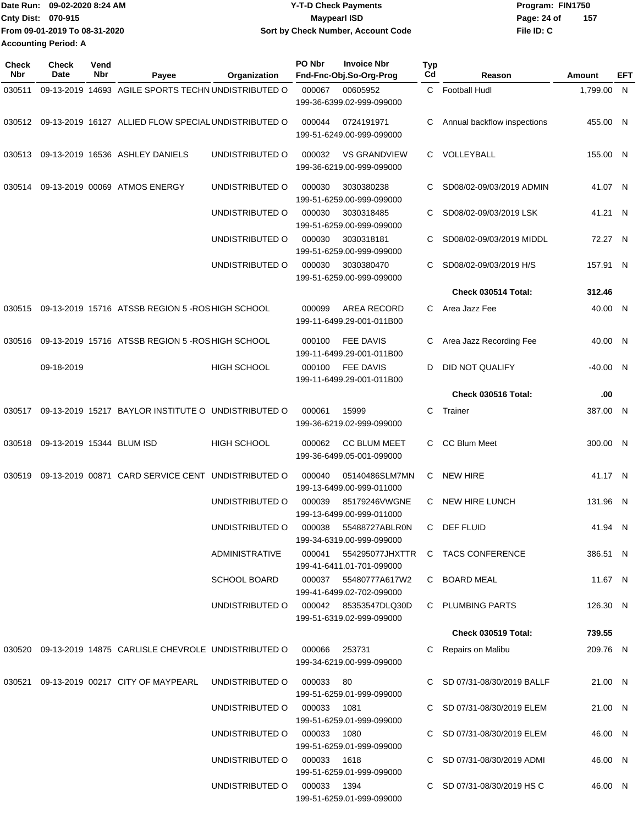| Date Run: 09-02-2020 8:24 AM |                               | <b>Y-T-D Check Payments</b>        | Program: FIN1750   |  |  |  |
|------------------------------|-------------------------------|------------------------------------|--------------------|--|--|--|
| Cnty Dist: 070-915           |                               | Maypearl ISD                       | 157<br>Page: 24 of |  |  |  |
|                              | From 09-01-2019 To 08-31-2020 | Sort by Check Number, Account Code | File ID: C         |  |  |  |
| <b>Accounting Period: A</b>  |                               |                                    |                    |  |  |  |

| Check<br>Nbr | <b>Check</b><br>Date      | Vend<br>Nbr | Payee                                                                   | Organization                          | PO Nbr                      | <b>Invoice Nbr</b><br>Fnd-Fnc-Obj.So-Org-Prog      | Typ<br>Cd                 | Reason                                   | Amount                     | EFT     |  |
|--------------|---------------------------|-------------|-------------------------------------------------------------------------|---------------------------------------|-----------------------------|----------------------------------------------------|---------------------------|------------------------------------------|----------------------------|---------|--|
| 030511       |                           |             | 09-13-2019 14693 AGILE SPORTS TECHN UNDISTRIBUTED O                     |                                       | 000067                      | 00605952                                           |                           | C Football Hudl                          | 1,799.00 N                 |         |  |
|              |                           |             |                                                                         |                                       |                             | 199-36-6399.02-999-099000                          |                           |                                          |                            |         |  |
|              |                           |             | 030512 09-13-2019 16127 ALLIED FLOW SPECIAL UNDISTRIBUTED O             |                                       | 000044                      | 0724191971<br>199-51-6249.00-999-099000            | C                         | Annual backflow inspections              | 455.00 N                   |         |  |
| 030513       |                           |             | 09-13-2019 16536 ASHLEY DANIELS                                         | UNDISTRIBUTED O                       | 000032                      | <b>VS GRANDVIEW</b><br>199-36-6219.00-999-099000   | C.                        | VOLLEYBALL                               | 155.00 N                   |         |  |
| 030514       |                           |             | 09-13-2019 00069 ATMOS ENERGY                                           | UNDISTRIBUTED O                       | 000030                      | 3030380238<br>199-51-6259.00-999-099000            | C                         | SD08/02-09/03/2019 ADMIN                 | 41.07 N                    |         |  |
|              |                           |             |                                                                         | UNDISTRIBUTED O                       | 000030                      | 3030318485<br>199-51-6259.00-999-099000            | C                         | SD08/02-09/03/2019 LSK                   | 41.21 N                    |         |  |
|              |                           |             |                                                                         | UNDISTRIBUTED O                       | 000030                      | 3030318181<br>199-51-6259.00-999-099000            | C                         | SD08/02-09/03/2019 MIDDL                 | 72.27 N                    |         |  |
|              |                           |             |                                                                         | UNDISTRIBUTED O                       | 000030                      | 3030380470<br>199-51-6259.00-999-099000            | C                         | SD08/02-09/03/2019 H/S                   | 157.91 N                   |         |  |
|              |                           |             |                                                                         |                                       |                             |                                                    |                           | Check 030514 Total:                      | 312.46                     |         |  |
| 030515       |                           |             | 09-13-2019 15716 ATSSB REGION 5-ROS HIGH SCHOOL                         |                                       | 000099                      | AREA RECORD<br>199-11-6499.29-001-011B00           | C                         | Area Jazz Fee                            | 40.00 N                    |         |  |
| 030516       |                           |             | 09-13-2019 15716 ATSSB REGION 5-ROS HIGH SCHOOL                         |                                       | 000100                      | <b>FEE DAVIS</b><br>199-11-6499.29-001-011B00      | C                         | Area Jazz Recording Fee                  | 40.00 N                    |         |  |
|              | 09-18-2019                |             |                                                                         | <b>HIGH SCHOOL</b>                    | 000100                      | <b>FEE DAVIS</b><br>199-11-6499.29-001-011B00      | D                         | DID NOT QUALIFY                          | $-40.00$ N                 |         |  |
|              |                           |             |                                                                         |                                       |                             |                                                    |                           | Check 030516 Total:                      | .00                        |         |  |
| 030517       |                           |             | 09-13-2019 15217 BAYLOR INSTITUTE O UNDISTRIBUTED O                     |                                       | 000061                      | 15999<br>199-36-6219.02-999-099000                 | C                         | Trainer                                  | 387.00 N                   |         |  |
| 030518       | 09-13-2019 15344 BLUM ISD |             |                                                                         | <b>HIGH SCHOOL</b>                    | 000062                      | <b>CC BLUM MEET</b><br>199-36-6499.05-001-099000   |                           | C CC Blum Meet                           | 300.00 N                   |         |  |
| 030519       |                           |             | 09-13-2019 00871 CARD SERVICE CENT UNDISTRIBUTED O                      |                                       | 000040                      | 05140486SLM7MN<br>199-13-6499.00-999-011000        | C                         | <b>NEW HIRE</b>                          | 41.17 N                    |         |  |
|              |                           |             |                                                                         | UNDISTRIBUTED O                       | 000039                      | 85179246VWGNE<br>199-13-6499.00-999-011000         | C.                        | <b>NEW HIRE LUNCH</b>                    | 131.96 N                   |         |  |
|              |                           |             |                                                                         | UNDISTRIBUTED O                       |                             | 000038 55488727ABLR0N<br>199-34-6319.00-999-099000 | C.                        | DEF FLUID                                | 41.94 N                    |         |  |
|              |                           |             |                                                                         | ADMINISTRATIVE                        |                             | 199-41-6411.01-701-099000                          |                           | 000041 554295077JHXTTR C TACS CONFERENCE | 386.51 N                   |         |  |
|              |                           |             |                                                                         | <b>SCHOOL BOARD</b>                   |                             | 000037 55480777A617W2<br>199-41-6499.02-702-099000 |                           | C BOARD MEAL                             | 11.67 N                    |         |  |
|              |                           |             |                                                                         | UNDISTRIBUTED O 000042 85353547DLQ30D |                             | 199-51-6319.02-999-099000                          |                           | C PLUMBING PARTS                         | 126.30 N                   |         |  |
|              |                           |             |                                                                         |                                       |                             |                                                    |                           | <b>Check 030519 Total:</b>               | 739.55                     |         |  |
|              |                           |             | 030520 09-13-2019 14875 CARLISLE CHEVROLE UNDISTRIBUTED O 000066 253731 |                                       |                             | 199-34-6219.00-999-099000                          |                           | C Repairs on Malibu                      | 209.76 N                   |         |  |
|              |                           |             | 030521 09-13-2019 00217 CITY OF MAYPEARL                                | UNDISTRIBUTED O                       | 000033 80                   | 199-51-6259.01-999-099000                          |                           | C SD 07/31-08/30/2019 BALLF              | 21.00 N                    |         |  |
|              |                           |             |                                                                         | UNDISTRIBUTED O 000033 1081           |                             | 199-51-6259.01-999-099000                          |                           | C SD 07/31-08/30/2019 ELEM               | 21.00 N                    |         |  |
|              |                           |             |                                                                         |                                       | UNDISTRIBUTED O 000033 1080 |                                                    | 199-51-6259.01-999-099000 |                                          | C SD 07/31-08/30/2019 ELEM | 46.00 N |  |
|              |                           |             |                                                                         | UNDISTRIBUTED O 000033 1618           |                             | 199-51-6259.01-999-099000                          |                           | C SD 07/31-08/30/2019 ADMI               | 46.00 N                    |         |  |
|              |                           |             |                                                                         | UNDISTRIBUTED O 000033 1394           |                             | 199-51-6259.01-999-099000                          |                           | C SD 07/31-08/30/2019 HS C               | 46.00 N                    |         |  |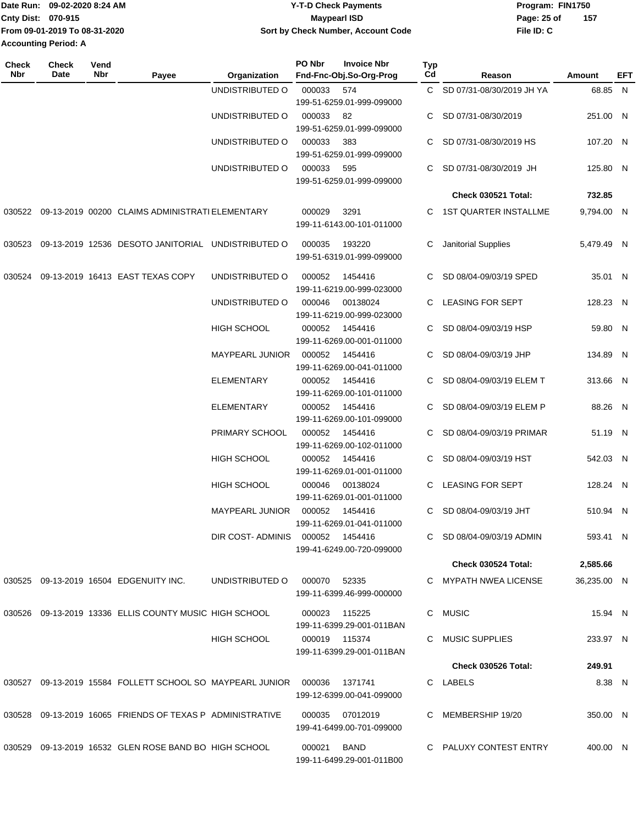|                             | lDate Run: 09-02-2020 8:24 AM | <b>Y-T-D Check Payments</b>        | Program: FIN1750 |     |  |
|-----------------------------|-------------------------------|------------------------------------|------------------|-----|--|
| <b>Cnty Dist: 070-915</b>   |                               | <b>Mavpearl ISD</b>                | Page: 25 of      | 157 |  |
|                             | From 09-01-2019 To 08-31-2020 | Sort by Check Number, Account Code | File ID: C       |     |  |
| <b>Accounting Period: A</b> |                               |                                    |                  |     |  |

**Typ**

**Check**

**Check**

**Vend**

| Nbr | Date | Nbr | Payee                                                                    | Organization      | Fnd-Fnc-Obj.So-Org-Prog                      | Cd | Reason                      | Amount      | EFT |
|-----|------|-----|--------------------------------------------------------------------------|-------------------|----------------------------------------------|----|-----------------------------|-------------|-----|
|     |      |     |                                                                          | UNDISTRIBUTED O   | 000033<br>574                                |    | C SD 07/31-08/30/2019 JH YA | 68.85 N     |     |
|     |      |     |                                                                          |                   | 199-51-6259.01-999-099000                    |    |                             |             |     |
|     |      |     |                                                                          | UNDISTRIBUTED O   | 000033<br>82                                 |    | C SD 07/31-08/30/2019       | 251.00 N    |     |
|     |      |     |                                                                          |                   | 199-51-6259.01-999-099000                    |    |                             |             |     |
|     |      |     |                                                                          | UNDISTRIBUTED O   | 000033<br>383                                |    | SD 07/31-08/30/2019 HS      | 107.20 N    |     |
|     |      |     |                                                                          |                   | 199-51-6259.01-999-099000                    |    |                             |             |     |
|     |      |     |                                                                          | UNDISTRIBUTED O   | 000033<br>595<br>199-51-6259.01-999-099000   |    | SD 07/31-08/30/2019 JH      | 125.80 N    |     |
|     |      |     |                                                                          |                   |                                              |    |                             |             |     |
|     |      |     |                                                                          |                   |                                              |    | Check 030521 Total:         | 732.85      |     |
|     |      |     | 030522 09-13-2019 00200 CLAIMS ADMINISTRATI ELEMENTARY                   |                   | 000029<br>3291<br>199-11-6143.00-101-011000  |    | C 1ST QUARTER INSTALLME     | 9,794.00 N  |     |
|     |      |     | 030523 09-13-2019 12536 DESOTO JANITORIAL UNDISTRIBUTED O                |                   | 193220<br>000035                             | С  | Janitorial Supplies         | 5,479.49 N  |     |
|     |      |     |                                                                          |                   | 199-51-6319.01-999-099000                    |    |                             |             |     |
|     |      |     | 030524 09-13-2019 16413 EAST TEXAS COPY                                  | UNDISTRIBUTED O   | 000052<br>1454416                            |    | C SD 08/04-09/03/19 SPED    | 35.01 N     |     |
|     |      |     |                                                                          |                   | 199-11-6219.00-999-023000                    |    |                             |             |     |
|     |      |     |                                                                          | UNDISTRIBUTED O   | 000046<br>00138024                           |    | C LEASING FOR SEPT          | 128.23 N    |     |
|     |      |     |                                                                          |                   | 199-11-6219.00-999-023000                    |    |                             |             |     |
|     |      |     |                                                                          | HIGH SCHOOL       | 000052<br>1454416                            |    | SD 08/04-09/03/19 HSP       | 59.80 N     |     |
|     |      |     |                                                                          |                   | 199-11-6269.00-001-011000                    |    |                             |             |     |
|     |      |     |                                                                          | MAYPEARL JUNIOR   | 000052<br>1454416                            |    | SD 08/04-09/03/19 JHP       | 134.89 N    |     |
|     |      |     |                                                                          |                   | 199-11-6269.00-041-011000                    |    |                             |             |     |
|     |      |     |                                                                          | <b>ELEMENTARY</b> | 000052<br>1454416                            |    | SD 08/04-09/03/19 ELEM T    | 313.66 N    |     |
|     |      |     |                                                                          |                   | 199-11-6269.00-101-011000                    |    |                             |             |     |
|     |      |     |                                                                          | <b>ELEMENTARY</b> | 000052<br>1454416                            |    | SD 08/04-09/03/19 ELEM P    | 88.26 N     |     |
|     |      |     |                                                                          |                   | 199-11-6269.00-101-099000                    |    |                             |             |     |
|     |      |     |                                                                          | PRIMARY SCHOOL    | 000052 1454416<br>199-11-6269.00-102-011000  |    | C SD 08/04-09/03/19 PRIMAR  | 51.19 N     |     |
|     |      |     |                                                                          | HIGH SCHOOL       | 000052 1454416                               |    | C SD 08/04-09/03/19 HST     | 542.03 N    |     |
|     |      |     |                                                                          |                   | 199-11-6269.01-001-011000                    |    |                             |             |     |
|     |      |     |                                                                          | HIGH SCHOOL       | 000046<br>00138024                           |    | C LEASING FOR SEPT          | 128.24 N    |     |
|     |      |     |                                                                          |                   | 199-11-6269.01-001-011000                    |    |                             |             |     |
|     |      |     |                                                                          | MAYPEARL JUNIOR   | 000052<br>1454416                            | C. | SD 08/04-09/03/19 JHT       | 510.94 N    |     |
|     |      |     |                                                                          |                   | 199-11-6269.01-041-011000                    |    |                             |             |     |
|     |      |     |                                                                          |                   | DIR COST-ADMINIS 000052 1454416              |    | C SD 08/04-09/03/19 ADMIN   | 593.41 N    |     |
|     |      |     |                                                                          |                   | 199-41-6249.00-720-099000                    |    |                             |             |     |
|     |      |     |                                                                          |                   |                                              |    | Check 030524 Total:         | 2,585.66    |     |
|     |      |     | 030525 09-13-2019 16504 EDGENUITY INC.                                   | UNDISTRIBUTED O   | 000070 52335                                 |    | C MYPATH NWEA LICENSE       | 36,235.00 N |     |
|     |      |     |                                                                          |                   | 199-11-6399.46-999-000000                    |    |                             |             |     |
|     |      |     | 030526 09-13-2019 13336 ELLIS COUNTY MUSIC HIGH SCHOOL                   |                   | 000023 115225                                |    | C MUSIC                     | 15.94 N     |     |
|     |      |     |                                                                          |                   | 199-11-6399.29-001-011BAN                    |    |                             |             |     |
|     |      |     |                                                                          | HIGH SCHOOL       | 000019 115374                                |    | C MUSIC SUPPLIES            | 233.97 N    |     |
|     |      |     |                                                                          |                   | 199-11-6399.29-001-011BAN                    |    |                             |             |     |
|     |      |     |                                                                          |                   |                                              |    | <b>Check 030526 Total:</b>  | 249.91      |     |
|     |      |     | 030527 09-13-2019 15584 FOLLETT SCHOOL SO MAYPEARL JUNIOR 000036 1371741 |                   |                                              |    | C LABELS                    | 8.38 N      |     |
|     |      |     |                                                                          |                   | 199-12-6399.00-041-099000                    |    |                             |             |     |
|     |      |     |                                                                          |                   |                                              |    |                             |             |     |
|     |      |     | 030528 09-13-2019 16065 FRIENDS OF TEXAS P ADMINISTRATIVE                |                   | 000035 07012019<br>199-41-6499.00-701-099000 |    | C MEMBERSHIP 19/20          | 350.00 N    |     |
|     |      |     |                                                                          |                   |                                              |    |                             |             |     |
|     |      |     | 030529 09-13-2019 16532 GLEN ROSE BAND BO HIGH SCHOOL                    |                   | 000021 BAND                                  |    | C PALUXY CONTEST ENTRY      | 400.00 N    |     |
|     |      |     |                                                                          |                   | 199-11-6499.29-001-011B00                    |    |                             |             |     |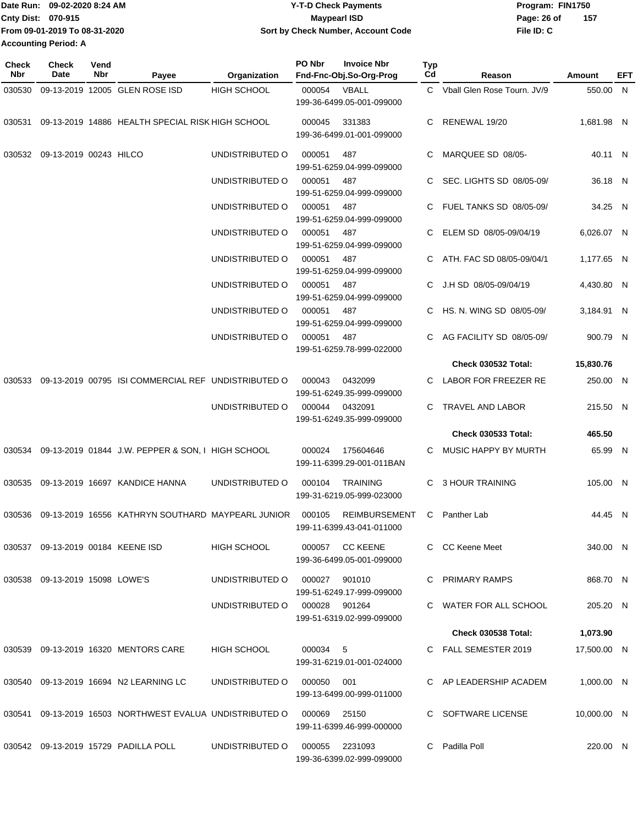| Date Run: 09-02-2020 8:24 AM  | <b>Y-T-D Check Payments</b>        | Program: FIN1750   |
|-------------------------------|------------------------------------|--------------------|
| <b>Cnty Dist: 070-915</b>     | Maypearl ISD                       | Page: 26 of<br>157 |
| From 09-01-2019 To 08-31-2020 | Sort by Check Number, Account Code | File ID: C         |
| <b>Accounting Period: A</b>   |                                    |                    |

| <b>Check</b><br><b>Nbr</b> | <b>Check</b><br>Date           | Vend<br>Nbr | Payee                                                                      | Organization                  | PO Nbr                                    | <b>Invoice Nbr</b><br>Fnd-Fnc-Obj.So-Org-Prog | Typ<br>Cd | Reason                         | Amount      | EFT |
|----------------------------|--------------------------------|-------------|----------------------------------------------------------------------------|-------------------------------|-------------------------------------------|-----------------------------------------------|-----------|--------------------------------|-------------|-----|
| 030530                     |                                |             | 09-13-2019 12005 GLEN ROSE ISD                                             | <b>HIGH SCHOOL</b>            | 000054 VBALL<br>199-36-6499.05-001-099000 |                                               |           | C Vball Glen Rose Tourn, JV/9  | 550.00 N    |     |
| 030531                     |                                |             | 09-13-2019 14886 HEALTH SPECIAL RISK HIGH SCHOOL                           |                               | 000045                                    | 331383<br>199-36-6499.01-001-099000           | C.        | RENEWAL 19/20                  | 1,681.98 N  |     |
|                            | 030532 09-13-2019 00243 HILCO  |             |                                                                            | UNDISTRIBUTED O               | 000051                                    | 487<br>199-51-6259.04-999-099000              |           | MARQUEE SD 08/05-              | 40.11 N     |     |
|                            |                                |             |                                                                            | UNDISTRIBUTED O               | 000051                                    | 487<br>199-51-6259.04-999-099000              | C.        | SEC. LIGHTS SD 08/05-09/       | 36.18 N     |     |
|                            |                                |             |                                                                            | UNDISTRIBUTED O               | 000051                                    | 487<br>199-51-6259.04-999-099000              | C.        | <b>FUEL TANKS SD 08/05-09/</b> | 34.25 N     |     |
|                            |                                |             |                                                                            | UNDISTRIBUTED O               | 000051                                    | 487<br>199-51-6259.04-999-099000              |           | ELEM SD 08/05-09/04/19         | 6,026.07 N  |     |
|                            |                                |             |                                                                            | UNDISTRIBUTED O               | 000051                                    | 487<br>199-51-6259.04-999-099000              |           | ATH. FAC SD 08/05-09/04/1      | 1,177.65 N  |     |
|                            |                                |             |                                                                            | UNDISTRIBUTED O               | 000051                                    | - 487<br>199-51-6259.04-999-099000            |           | C J.H SD 08/05-09/04/19        | 4,430.80 N  |     |
|                            |                                |             |                                                                            | UNDISTRIBUTED O               | 000051                                    | 487<br>199-51-6259.04-999-099000              |           | C HS. N. WING SD 08/05-09/     | 3,184.91 N  |     |
|                            |                                |             |                                                                            | UNDISTRIBUTED O               | 000051                                    | 487<br>199-51-6259.78-999-022000              |           | C AG FACILITY SD 08/05-09/     | 900.79 N    |     |
|                            |                                |             |                                                                            |                               |                                           |                                               |           | <b>Check 030532 Total:</b>     | 15,830.76   |     |
| 030533                     |                                |             | 09-13-2019 00795 ISI COMMERCIAL REF UNDISTRIBUTED O                        |                               | 000043                                    | 0432099<br>199-51-6249.35-999-099000          | C.        | LABOR FOR FREEZER RE           | 250.00 N    |     |
|                            |                                |             |                                                                            | UNDISTRIBUTED O               |                                           | 000044 0432091<br>199-51-6249.35-999-099000   | C.        | TRAVEL AND LABOR               | 215.50 N    |     |
|                            |                                |             |                                                                            |                               |                                           |                                               |           | <b>Check 030533 Total:</b>     | 465.50      |     |
|                            |                                |             | 030534 09-13-2019 01844 J.W. PEPPER & SON, I HIGH SCHOOL                   |                               | 000024                                    | 175604646<br>199-11-6399.29-001-011BAN        | C.        | MUSIC HAPPY BY MURTH           | 65.99 N     |     |
|                            |                                |             | 030535 09-13-2019 16697 KANDICE HANNA                                      | UNDISTRIBUTED O               | 000104                                    | TRAINING<br>199-31-6219.05-999-023000         | С         | 3 HOUR TRAINING                | 105.00 N    |     |
|                            |                                |             | 030536  09-13-2019  16556  KATHRYN SOUTHARD MAYPEARL JUNIOR                |                               | 000105                                    | REIMBURSEMENT<br>199-11-6399.43-041-011000    |           | C Panther Lab                  | 44.45 N     |     |
|                            |                                |             | 030537 09-13-2019 00184 KEENE ISD                                          | <b>HIGH SCHOOL</b>            |                                           | 000057 CC KEENE<br>199-36-6499.05-001-099000  |           | C CC Keene Meet                | 340.00 N    |     |
|                            | 030538 09-13-2019 15098 LOWE'S |             |                                                                            | UNDISTRIBUTED 0 000027 901010 |                                           | 199-51-6249.17-999-099000                     |           | C PRIMARY RAMPS                | 868.70 N    |     |
|                            |                                |             |                                                                            | UNDISTRIBUTED O 000028 901264 |                                           | 199-51-6319.02-999-099000                     |           | C WATER FOR ALL SCHOOL         | 205.20 N    |     |
|                            |                                |             |                                                                            |                               |                                           |                                               |           | <b>Check 030538 Total:</b>     | 1,073.90    |     |
|                            |                                |             | 030539 09-13-2019 16320 MENTORS CARE                                       | HIGH SCHOOL                   | 000034 5                                  | 199-31-6219.01-001-024000                     |           | C FALL SEMESTER 2019           | 17,500.00 N |     |
|                            |                                |             | 030540 09-13-2019 16694 N2 LEARNING LC                                     | UNDISTRIBUTED O 000050 001    |                                           | 199-13-6499.00-999-011000                     |           | C AP LEADERSHIP ACADEM         | 1,000.00 N  |     |
|                            |                                |             | 030541  09-13-2019  16503  NORTHWEST EVALUA  UNDISTRIBUTED   000069  25150 |                               |                                           | 199-11-6399.46-999-000000                     |           | C SOFTWARE LICENSE             | 10,000.00 N |     |
|                            |                                |             | 030542  09-13-2019  15729  PADILLA POLL                                    | UNDISTRIBUTED O               |                                           | 000055 2231093<br>199-36-6399.02-999-099000   |           | C Padilla Poll                 | 220.00 N    |     |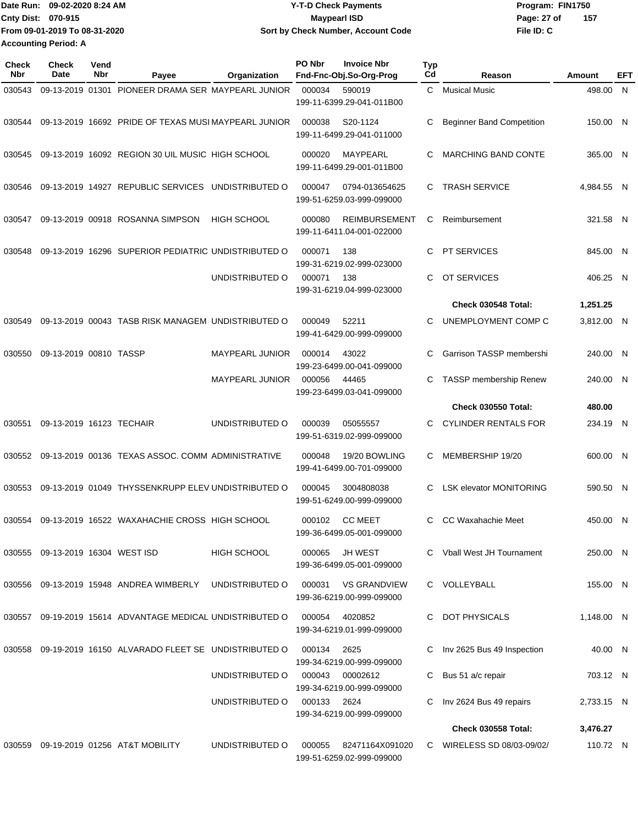|                             | Date Run: 09-02-2020 8:24 AM  | <b>Y-T-D Check Payments</b>        | Program: FIN1750   |
|-----------------------------|-------------------------------|------------------------------------|--------------------|
| <b>Cnty Dist: 070-915</b>   |                               | <b>Mavpearl ISD</b>                | 157<br>Page: 27 of |
|                             | From 09-01-2019 To 08-31-2020 | Sort by Check Number, Account Code | File ID: C         |
| <b>Accounting Period: A</b> |                               |                                    |                    |

| Check<br>Nbr | <b>Check</b><br>Date             | Vend<br>Nbr | Payee                                                     | Organization           | PO Nbr      | <b>Invoice Nbr</b><br>Fnd-Fnc-Obj.So-Org-Prog     | <b>Typ</b><br>Cd | Reason                           | Amount     | EFT |
|--------------|----------------------------------|-------------|-----------------------------------------------------------|------------------------|-------------|---------------------------------------------------|------------------|----------------------------------|------------|-----|
| 030543       | 09-13-2019 01301                 |             | PIONEER DRAMA SER MAYPEARL JUNIOR                         |                        | 000034      | 590019<br>199-11-6399.29-041-011B00               | $\mathbf{C}$     | <b>Musical Music</b>             | 498.00 N   |     |
| 030544       |                                  |             | 09-13-2019 16692 PRIDE OF TEXAS MUSI MAYPEARL JUNIOR      |                        | 000038      | S20-1124<br>199-11-6499.29-041-011000             | C                | <b>Beginner Band Competition</b> | 150.00 N   |     |
| 030545       |                                  |             | 09-13-2019 16092 REGION 30 UIL MUSIC HIGH SCHOOL          |                        | 000020      | MAYPEARL<br>199-11-6499.29-001-011B00             | C                | <b>MARCHING BAND CONTE</b>       | 365.00 N   |     |
| 030546       |                                  |             | 09-13-2019 14927 REPUBLIC SERVICES UNDISTRIBUTED O        |                        | 000047      | 0794-013654625<br>199-51-6259.03-999-099000       | C                | <b>TRASH SERVICE</b>             | 4,984.55 N |     |
| 030547       |                                  |             | 09-13-2019 00918 ROSANNA SIMPSON                          | <b>HIGH SCHOOL</b>     | 000080      | <b>REIMBURSEMENT</b><br>199-11-6411.04-001-022000 | С                | Reimbursement                    | 321.58 N   |     |
| 030548       |                                  |             | 09-13-2019 16296 SUPERIOR PEDIATRIC UNDISTRIBUTED O       |                        | 000071      | 138<br>199-31-6219.02-999-023000                  | C                | <b>PT SERVICES</b>               | 845.00 N   |     |
|              |                                  |             |                                                           | UNDISTRIBUTED O        | 000071      | 138<br>199-31-6219.04-999-023000                  | C.               | OT SERVICES                      | 406.25 N   |     |
|              |                                  |             |                                                           |                        |             |                                                   |                  | <b>Check 030548 Total:</b>       | 1,251.25   |     |
| 030549       |                                  |             | 09-13-2019 00043 TASB RISK MANAGEM UNDISTRIBUTED O        |                        | 000049      | 52211<br>199-41-6429.00-999-099000                | C                | UNEMPLOYMENT COMP C              | 3,812.00 N |     |
| 030550       | 09-13-2019 00810 TASSP           |             |                                                           | MAYPEARL JUNIOR        | 000014      | 43022<br>199-23-6499.00-041-099000                | C                | Garrison TASSP membershi         | 240.00 N   |     |
|              |                                  |             |                                                           | <b>MAYPEARL JUNIOR</b> | 000056      | 44465<br>199-23-6499.03-041-099000                | C                | TASSP membership Renew           | 240.00 N   |     |
|              |                                  |             |                                                           |                        |             |                                                   |                  | Check 030550 Total:              | 480.00     |     |
| 030551       | 09-13-2019 16123 TECHAIR         |             |                                                           | UNDISTRIBUTED O        | 000039      | 05055557<br>199-51-6319.02-999-099000             | C.               | <b>CYLINDER RENTALS FOR</b>      | 234.19 N   |     |
| 030552       |                                  |             | 09-13-2019 00136 TEXAS ASSOC. COMM ADMINISTRATIVE         |                        | 000048      | 19/20 BOWLING<br>199-41-6499.00-701-099000        | C                | MEMBERSHIP 19/20                 | 600.00 N   |     |
| 030553       |                                  |             | 09-13-2019 01049 THYSSENKRUPP ELEV UNDISTRIBUTED O        |                        | 000045      | 3004808038<br>199-51-6249.00-999-099000           | C                | <b>LSK elevator MONITORING</b>   | 590.50 N   |     |
| 030554       |                                  |             | 09-13-2019 16522 WAXAHACHIE CROSS HIGH SCHOOL             |                        | 000102      | <b>CC MEET</b><br>199-36-6499.05-001-099000       | C.               | CC Waxahachie Meet               | 450.00 N   |     |
|              | 030555 09-13-2019 16304 WEST ISD |             |                                                           | HIGH SCHOOL            | 000065      | JH WEST<br>199-36-6499.05-001-099000              |                  | C Vball West JH Tournament       | 250.00 N   |     |
| 030556       |                                  |             | 09-13-2019 15948 ANDREA WIMBERLY                          | UNDISTRIBUTED O        | 000031      | <b>VS GRANDVIEW</b><br>199-36-6219.00-999-099000  |                  | C VOLLEYBALL                     | 155.00 N   |     |
|              |                                  |             | 030557 09-19-2019 15614 ADVANTAGE MEDICAL UNDISTRIBUTED O |                        | 000054      | 4020852<br>199-34-6219.01-999-099000              | C.               | <b>DOT PHYSICALS</b>             | 1,148.00 N |     |
|              |                                  |             | 030558 09-19-2019 16150 ALVARADO FLEET SE UNDISTRIBUTED O |                        | 000134      | 2625<br>199-34-6219.00-999-099000                 |                  | Inv 2625 Bus 49 Inspection       | 40.00 N    |     |
|              |                                  |             |                                                           | UNDISTRIBUTED O        | 000043      | 00002612<br>199-34-6219.00-999-099000             | C                | Bus 51 a/c repair                | 703.12 N   |     |
|              |                                  |             |                                                           | UNDISTRIBUTED O        | 000133 2624 | 199-34-6219.00-999-099000                         | C                | Inv 2624 Bus 49 repairs          | 2,733.15 N |     |
|              |                                  |             |                                                           |                        |             |                                                   |                  | <b>Check 030558 Total:</b>       | 3,476.27   |     |
|              |                                  |             | 030559 09-19-2019 01256 AT&T MOBILITY                     | UNDISTRIBUTED O        | 000055      | 82471164X091020<br>199-51-6259.02-999-099000      |                  | C WIRELESS SD 08/03-09/02/       | 110.72 N   |     |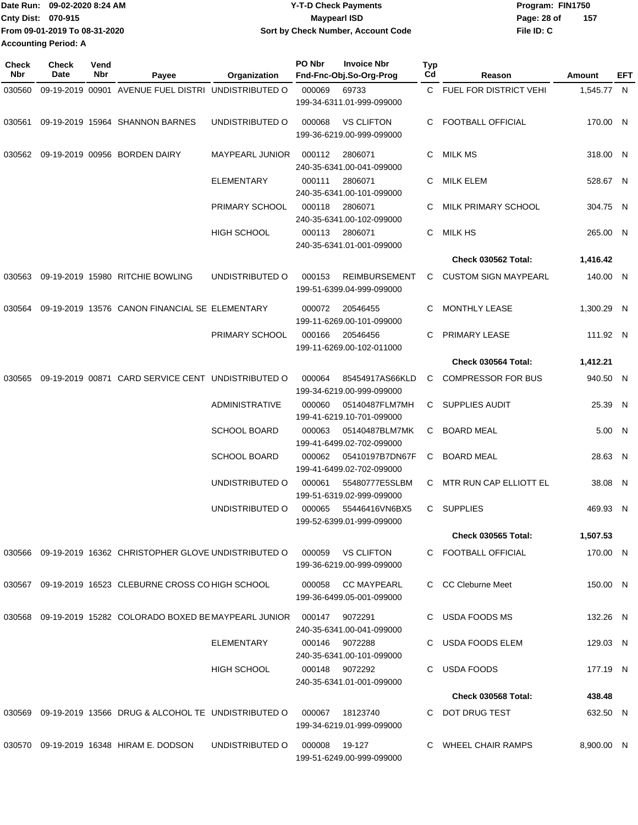|                             | IDate Run: 09-02-2020 8:24 AM | <b>Y-T-D Check Payments</b>        | Program: FIN1750 |     |  |  |
|-----------------------------|-------------------------------|------------------------------------|------------------|-----|--|--|
| <b>Cnty Dist: 070-915</b>   |                               | <b>Maypearl ISD</b>                | Page: 28 of      | 157 |  |  |
|                             | From 09-01-2019 To 08-31-2020 | Sort by Check Number, Account Code | File ID: C       |     |  |  |
| <b>Accounting Period: A</b> |                               |                                    |                  |     |  |  |

| 09-19-2019 00901 AVENUE FUEL DISTRI UNDISTRIBUTED O<br>C FUEL FOR DISTRICT VEHI<br>000069<br>69733<br>1.545.77 N<br>030560<br>199-34-6311.01-999-099000<br>09-19-2019 15964 SHANNON BARNES<br>UNDISTRIBUTED O<br><b>VS CLIFTON</b><br><b>FOOTBALL OFFICIAL</b><br>170.00 N<br>000068<br>030561<br>C.<br>199-36-6219.00-999-099000<br>09-19-2019 00956 BORDEN DAIRY<br>2806071<br>MILK MS<br><b>MAYPEARL JUNIOR</b><br>000112<br>C.<br>318.00 N<br>030562<br>240-35-6341.00-041-099000<br><b>ELEMENTARY</b><br>000111<br>2806071<br>C MILK ELEM<br>528.67 N<br>240-35-6341.00-101-099000<br>PRIMARY SCHOOL<br>000118<br>2806071<br>MILK PRIMARY SCHOOL<br>304.75 N<br>C.<br>240-35-6341.00-102-099000<br><b>HIGH SCHOOL</b><br>2806071<br>MILK HS<br>265.00 N<br>000113<br>C.<br>240-35-6341.01-001-099000<br><b>Check 030562 Total:</b><br>1,416.42<br>09-19-2019 15980 RITCHIE BOWLING<br>UNDISTRIBUTED O<br>000153<br><b>REIMBURSEMENT</b><br><b>CUSTOM SIGN MAYPEARL</b><br>140.00 N<br>030563<br>C<br>199-51-6399.04-999-099000<br>09-19-2019 13576 CANON FINANCIAL SE ELEMENTARY<br><b>MONTHLY LEASE</b><br>1,300.29 N<br>000072<br>20546455<br>030564<br>C<br>199-11-6269.00-101-099000<br>PRIMARY SCHOOL<br>000166<br>20546456<br>PRIMARY LEASE<br>111.92 N<br>С<br>199-11-6269.00-102-011000<br>Check 030564 Total:<br>1,412.21<br>09-19-2019 00871 CARD SERVICE CENT UNDISTRIBUTED O<br><b>COMPRESSOR FOR BUS</b><br>940.50 N<br>000064<br>85454917AS66KLD<br>C<br>030565<br>199-34-6219.00-999-099000<br><b>ADMINISTRATIVE</b><br>05140487FLM7MH<br>SUPPLIES AUDIT<br>25.39 N<br>000060<br>C<br>199-41-6219.10-701-099000<br><b>SCHOOL BOARD</b><br>05140487BLM7MK<br><b>BOARD MEAL</b><br>000063<br>C<br>5.00 N<br>199-41-6499.02-702-099000<br>05410197B7DN67F<br><b>BOARD MEAL</b><br>28.63 N<br><b>SCHOOL BOARD</b><br>000062<br>C<br>199-41-6499.02-702-099000<br>UNDISTRIBUTED O<br>55480777E5SLBM<br>MTR RUN CAP ELLIOTT EL<br>38.08 N<br>000061<br>C.<br>199-51-6319.02-999-099000<br>C SUPPLIES<br>UNDISTRIBUTED O<br>469.93 N<br>000065<br>55446416VN6BX5<br>199-52-6399.01-999-099000<br><b>Check 030565 Total:</b><br>1,507.53<br>030566 09-19-2019 16362 CHRISTOPHER GLOVE UNDISTRIBUTED O<br>VS CLIFTON<br>C FOOTBALL OFFICIAL<br>000059<br>170.00 N<br>199-36-6219.00-999-099000<br>030567 09-19-2019 16523 CLEBURNE CROSS CO HIGH SCHOOL<br>C CC Cleburne Meet<br>000058 CC MAYPEARL<br>150.00 N<br>199-36-6499.05-001-099000<br>030568 09-19-2019 15282 COLORADO BOXED BE MAYPEARL JUNIOR<br>000147 9072291<br>C USDA FOODS MS<br>132.26 N<br>240-35-6341.00-041-099000<br>C USDA FOODS ELEM<br>ELEMENTARY<br>000146 9072288<br>129.03 N<br>240-35-6341.00-101-099000<br><b>HIGH SCHOOL</b><br>USDA FOODS<br>000148 9072292<br>C.<br>177.19 N<br>240-35-6341.01-001-099000<br><b>Check 030568 Total:</b><br>438.48<br>030569 09-19-2019 13566 DRUG & ALCOHOL TE UNDISTRIBUTED O<br>DOT DRUG TEST<br>632.50 N<br>000067<br>18123740<br>C.<br>199-34-6219.01-999-099000<br>030570 09-19-2019 16348 HIRAM E. DODSON<br>UNDISTRIBUTED O<br>8,900.00 N<br>000008<br>19-127<br>C WHEEL CHAIR RAMPS<br>199-51-6249.00-999-099000 | <b>Check</b><br>Nbr | <b>Check</b><br>Date | Vend<br>Nbr | Payee | Organization | PO Nbr | <b>Invoice Nbr</b><br>Fnd-Fnc-Obj.So-Org-Prog | Typ<br>Cd | Reason | Amount | EFT |
|------------------------------------------------------------------------------------------------------------------------------------------------------------------------------------------------------------------------------------------------------------------------------------------------------------------------------------------------------------------------------------------------------------------------------------------------------------------------------------------------------------------------------------------------------------------------------------------------------------------------------------------------------------------------------------------------------------------------------------------------------------------------------------------------------------------------------------------------------------------------------------------------------------------------------------------------------------------------------------------------------------------------------------------------------------------------------------------------------------------------------------------------------------------------------------------------------------------------------------------------------------------------------------------------------------------------------------------------------------------------------------------------------------------------------------------------------------------------------------------------------------------------------------------------------------------------------------------------------------------------------------------------------------------------------------------------------------------------------------------------------------------------------------------------------------------------------------------------------------------------------------------------------------------------------------------------------------------------------------------------------------------------------------------------------------------------------------------------------------------------------------------------------------------------------------------------------------------------------------------------------------------------------------------------------------------------------------------------------------------------------------------------------------------------------------------------------------------------------------------------------------------------------------------------------------------------------------------------------------------------------------------------------------------------------------------------------------------------------------------------------------------------------------------------------------------------------------------------------------------------------------------------------------------------------------------------------------------------------------------------------------------------------------------------------------------------------------------------------------------------------------------------------|---------------------|----------------------|-------------|-------|--------------|--------|-----------------------------------------------|-----------|--------|--------|-----|
|                                                                                                                                                                                                                                                                                                                                                                                                                                                                                                                                                                                                                                                                                                                                                                                                                                                                                                                                                                                                                                                                                                                                                                                                                                                                                                                                                                                                                                                                                                                                                                                                                                                                                                                                                                                                                                                                                                                                                                                                                                                                                                                                                                                                                                                                                                                                                                                                                                                                                                                                                                                                                                                                                                                                                                                                                                                                                                                                                                                                                                                                                                                                                      |                     |                      |             |       |              |        |                                               |           |        |        |     |
|                                                                                                                                                                                                                                                                                                                                                                                                                                                                                                                                                                                                                                                                                                                                                                                                                                                                                                                                                                                                                                                                                                                                                                                                                                                                                                                                                                                                                                                                                                                                                                                                                                                                                                                                                                                                                                                                                                                                                                                                                                                                                                                                                                                                                                                                                                                                                                                                                                                                                                                                                                                                                                                                                                                                                                                                                                                                                                                                                                                                                                                                                                                                                      |                     |                      |             |       |              |        |                                               |           |        |        |     |
|                                                                                                                                                                                                                                                                                                                                                                                                                                                                                                                                                                                                                                                                                                                                                                                                                                                                                                                                                                                                                                                                                                                                                                                                                                                                                                                                                                                                                                                                                                                                                                                                                                                                                                                                                                                                                                                                                                                                                                                                                                                                                                                                                                                                                                                                                                                                                                                                                                                                                                                                                                                                                                                                                                                                                                                                                                                                                                                                                                                                                                                                                                                                                      |                     |                      |             |       |              |        |                                               |           |        |        |     |
|                                                                                                                                                                                                                                                                                                                                                                                                                                                                                                                                                                                                                                                                                                                                                                                                                                                                                                                                                                                                                                                                                                                                                                                                                                                                                                                                                                                                                                                                                                                                                                                                                                                                                                                                                                                                                                                                                                                                                                                                                                                                                                                                                                                                                                                                                                                                                                                                                                                                                                                                                                                                                                                                                                                                                                                                                                                                                                                                                                                                                                                                                                                                                      |                     |                      |             |       |              |        |                                               |           |        |        |     |
|                                                                                                                                                                                                                                                                                                                                                                                                                                                                                                                                                                                                                                                                                                                                                                                                                                                                                                                                                                                                                                                                                                                                                                                                                                                                                                                                                                                                                                                                                                                                                                                                                                                                                                                                                                                                                                                                                                                                                                                                                                                                                                                                                                                                                                                                                                                                                                                                                                                                                                                                                                                                                                                                                                                                                                                                                                                                                                                                                                                                                                                                                                                                                      |                     |                      |             |       |              |        |                                               |           |        |        |     |
|                                                                                                                                                                                                                                                                                                                                                                                                                                                                                                                                                                                                                                                                                                                                                                                                                                                                                                                                                                                                                                                                                                                                                                                                                                                                                                                                                                                                                                                                                                                                                                                                                                                                                                                                                                                                                                                                                                                                                                                                                                                                                                                                                                                                                                                                                                                                                                                                                                                                                                                                                                                                                                                                                                                                                                                                                                                                                                                                                                                                                                                                                                                                                      |                     |                      |             |       |              |        |                                               |           |        |        |     |
|                                                                                                                                                                                                                                                                                                                                                                                                                                                                                                                                                                                                                                                                                                                                                                                                                                                                                                                                                                                                                                                                                                                                                                                                                                                                                                                                                                                                                                                                                                                                                                                                                                                                                                                                                                                                                                                                                                                                                                                                                                                                                                                                                                                                                                                                                                                                                                                                                                                                                                                                                                                                                                                                                                                                                                                                                                                                                                                                                                                                                                                                                                                                                      |                     |                      |             |       |              |        |                                               |           |        |        |     |
|                                                                                                                                                                                                                                                                                                                                                                                                                                                                                                                                                                                                                                                                                                                                                                                                                                                                                                                                                                                                                                                                                                                                                                                                                                                                                                                                                                                                                                                                                                                                                                                                                                                                                                                                                                                                                                                                                                                                                                                                                                                                                                                                                                                                                                                                                                                                                                                                                                                                                                                                                                                                                                                                                                                                                                                                                                                                                                                                                                                                                                                                                                                                                      |                     |                      |             |       |              |        |                                               |           |        |        |     |
|                                                                                                                                                                                                                                                                                                                                                                                                                                                                                                                                                                                                                                                                                                                                                                                                                                                                                                                                                                                                                                                                                                                                                                                                                                                                                                                                                                                                                                                                                                                                                                                                                                                                                                                                                                                                                                                                                                                                                                                                                                                                                                                                                                                                                                                                                                                                                                                                                                                                                                                                                                                                                                                                                                                                                                                                                                                                                                                                                                                                                                                                                                                                                      |                     |                      |             |       |              |        |                                               |           |        |        |     |
|                                                                                                                                                                                                                                                                                                                                                                                                                                                                                                                                                                                                                                                                                                                                                                                                                                                                                                                                                                                                                                                                                                                                                                                                                                                                                                                                                                                                                                                                                                                                                                                                                                                                                                                                                                                                                                                                                                                                                                                                                                                                                                                                                                                                                                                                                                                                                                                                                                                                                                                                                                                                                                                                                                                                                                                                                                                                                                                                                                                                                                                                                                                                                      |                     |                      |             |       |              |        |                                               |           |        |        |     |
|                                                                                                                                                                                                                                                                                                                                                                                                                                                                                                                                                                                                                                                                                                                                                                                                                                                                                                                                                                                                                                                                                                                                                                                                                                                                                                                                                                                                                                                                                                                                                                                                                                                                                                                                                                                                                                                                                                                                                                                                                                                                                                                                                                                                                                                                                                                                                                                                                                                                                                                                                                                                                                                                                                                                                                                                                                                                                                                                                                                                                                                                                                                                                      |                     |                      |             |       |              |        |                                               |           |        |        |     |
|                                                                                                                                                                                                                                                                                                                                                                                                                                                                                                                                                                                                                                                                                                                                                                                                                                                                                                                                                                                                                                                                                                                                                                                                                                                                                                                                                                                                                                                                                                                                                                                                                                                                                                                                                                                                                                                                                                                                                                                                                                                                                                                                                                                                                                                                                                                                                                                                                                                                                                                                                                                                                                                                                                                                                                                                                                                                                                                                                                                                                                                                                                                                                      |                     |                      |             |       |              |        |                                               |           |        |        |     |
|                                                                                                                                                                                                                                                                                                                                                                                                                                                                                                                                                                                                                                                                                                                                                                                                                                                                                                                                                                                                                                                                                                                                                                                                                                                                                                                                                                                                                                                                                                                                                                                                                                                                                                                                                                                                                                                                                                                                                                                                                                                                                                                                                                                                                                                                                                                                                                                                                                                                                                                                                                                                                                                                                                                                                                                                                                                                                                                                                                                                                                                                                                                                                      |                     |                      |             |       |              |        |                                               |           |        |        |     |
|                                                                                                                                                                                                                                                                                                                                                                                                                                                                                                                                                                                                                                                                                                                                                                                                                                                                                                                                                                                                                                                                                                                                                                                                                                                                                                                                                                                                                                                                                                                                                                                                                                                                                                                                                                                                                                                                                                                                                                                                                                                                                                                                                                                                                                                                                                                                                                                                                                                                                                                                                                                                                                                                                                                                                                                                                                                                                                                                                                                                                                                                                                                                                      |                     |                      |             |       |              |        |                                               |           |        |        |     |
|                                                                                                                                                                                                                                                                                                                                                                                                                                                                                                                                                                                                                                                                                                                                                                                                                                                                                                                                                                                                                                                                                                                                                                                                                                                                                                                                                                                                                                                                                                                                                                                                                                                                                                                                                                                                                                                                                                                                                                                                                                                                                                                                                                                                                                                                                                                                                                                                                                                                                                                                                                                                                                                                                                                                                                                                                                                                                                                                                                                                                                                                                                                                                      |                     |                      |             |       |              |        |                                               |           |        |        |     |
|                                                                                                                                                                                                                                                                                                                                                                                                                                                                                                                                                                                                                                                                                                                                                                                                                                                                                                                                                                                                                                                                                                                                                                                                                                                                                                                                                                                                                                                                                                                                                                                                                                                                                                                                                                                                                                                                                                                                                                                                                                                                                                                                                                                                                                                                                                                                                                                                                                                                                                                                                                                                                                                                                                                                                                                                                                                                                                                                                                                                                                                                                                                                                      |                     |                      |             |       |              |        |                                               |           |        |        |     |
|                                                                                                                                                                                                                                                                                                                                                                                                                                                                                                                                                                                                                                                                                                                                                                                                                                                                                                                                                                                                                                                                                                                                                                                                                                                                                                                                                                                                                                                                                                                                                                                                                                                                                                                                                                                                                                                                                                                                                                                                                                                                                                                                                                                                                                                                                                                                                                                                                                                                                                                                                                                                                                                                                                                                                                                                                                                                                                                                                                                                                                                                                                                                                      |                     |                      |             |       |              |        |                                               |           |        |        |     |
|                                                                                                                                                                                                                                                                                                                                                                                                                                                                                                                                                                                                                                                                                                                                                                                                                                                                                                                                                                                                                                                                                                                                                                                                                                                                                                                                                                                                                                                                                                                                                                                                                                                                                                                                                                                                                                                                                                                                                                                                                                                                                                                                                                                                                                                                                                                                                                                                                                                                                                                                                                                                                                                                                                                                                                                                                                                                                                                                                                                                                                                                                                                                                      |                     |                      |             |       |              |        |                                               |           |        |        |     |
|                                                                                                                                                                                                                                                                                                                                                                                                                                                                                                                                                                                                                                                                                                                                                                                                                                                                                                                                                                                                                                                                                                                                                                                                                                                                                                                                                                                                                                                                                                                                                                                                                                                                                                                                                                                                                                                                                                                                                                                                                                                                                                                                                                                                                                                                                                                                                                                                                                                                                                                                                                                                                                                                                                                                                                                                                                                                                                                                                                                                                                                                                                                                                      |                     |                      |             |       |              |        |                                               |           |        |        |     |
|                                                                                                                                                                                                                                                                                                                                                                                                                                                                                                                                                                                                                                                                                                                                                                                                                                                                                                                                                                                                                                                                                                                                                                                                                                                                                                                                                                                                                                                                                                                                                                                                                                                                                                                                                                                                                                                                                                                                                                                                                                                                                                                                                                                                                                                                                                                                                                                                                                                                                                                                                                                                                                                                                                                                                                                                                                                                                                                                                                                                                                                                                                                                                      |                     |                      |             |       |              |        |                                               |           |        |        |     |
|                                                                                                                                                                                                                                                                                                                                                                                                                                                                                                                                                                                                                                                                                                                                                                                                                                                                                                                                                                                                                                                                                                                                                                                                                                                                                                                                                                                                                                                                                                                                                                                                                                                                                                                                                                                                                                                                                                                                                                                                                                                                                                                                                                                                                                                                                                                                                                                                                                                                                                                                                                                                                                                                                                                                                                                                                                                                                                                                                                                                                                                                                                                                                      |                     |                      |             |       |              |        |                                               |           |        |        |     |
|                                                                                                                                                                                                                                                                                                                                                                                                                                                                                                                                                                                                                                                                                                                                                                                                                                                                                                                                                                                                                                                                                                                                                                                                                                                                                                                                                                                                                                                                                                                                                                                                                                                                                                                                                                                                                                                                                                                                                                                                                                                                                                                                                                                                                                                                                                                                                                                                                                                                                                                                                                                                                                                                                                                                                                                                                                                                                                                                                                                                                                                                                                                                                      |                     |                      |             |       |              |        |                                               |           |        |        |     |
|                                                                                                                                                                                                                                                                                                                                                                                                                                                                                                                                                                                                                                                                                                                                                                                                                                                                                                                                                                                                                                                                                                                                                                                                                                                                                                                                                                                                                                                                                                                                                                                                                                                                                                                                                                                                                                                                                                                                                                                                                                                                                                                                                                                                                                                                                                                                                                                                                                                                                                                                                                                                                                                                                                                                                                                                                                                                                                                                                                                                                                                                                                                                                      |                     |                      |             |       |              |        |                                               |           |        |        |     |
|                                                                                                                                                                                                                                                                                                                                                                                                                                                                                                                                                                                                                                                                                                                                                                                                                                                                                                                                                                                                                                                                                                                                                                                                                                                                                                                                                                                                                                                                                                                                                                                                                                                                                                                                                                                                                                                                                                                                                                                                                                                                                                                                                                                                                                                                                                                                                                                                                                                                                                                                                                                                                                                                                                                                                                                                                                                                                                                                                                                                                                                                                                                                                      |                     |                      |             |       |              |        |                                               |           |        |        |     |
|                                                                                                                                                                                                                                                                                                                                                                                                                                                                                                                                                                                                                                                                                                                                                                                                                                                                                                                                                                                                                                                                                                                                                                                                                                                                                                                                                                                                                                                                                                                                                                                                                                                                                                                                                                                                                                                                                                                                                                                                                                                                                                                                                                                                                                                                                                                                                                                                                                                                                                                                                                                                                                                                                                                                                                                                                                                                                                                                                                                                                                                                                                                                                      |                     |                      |             |       |              |        |                                               |           |        |        |     |
|                                                                                                                                                                                                                                                                                                                                                                                                                                                                                                                                                                                                                                                                                                                                                                                                                                                                                                                                                                                                                                                                                                                                                                                                                                                                                                                                                                                                                                                                                                                                                                                                                                                                                                                                                                                                                                                                                                                                                                                                                                                                                                                                                                                                                                                                                                                                                                                                                                                                                                                                                                                                                                                                                                                                                                                                                                                                                                                                                                                                                                                                                                                                                      |                     |                      |             |       |              |        |                                               |           |        |        |     |
|                                                                                                                                                                                                                                                                                                                                                                                                                                                                                                                                                                                                                                                                                                                                                                                                                                                                                                                                                                                                                                                                                                                                                                                                                                                                                                                                                                                                                                                                                                                                                                                                                                                                                                                                                                                                                                                                                                                                                                                                                                                                                                                                                                                                                                                                                                                                                                                                                                                                                                                                                                                                                                                                                                                                                                                                                                                                                                                                                                                                                                                                                                                                                      |                     |                      |             |       |              |        |                                               |           |        |        |     |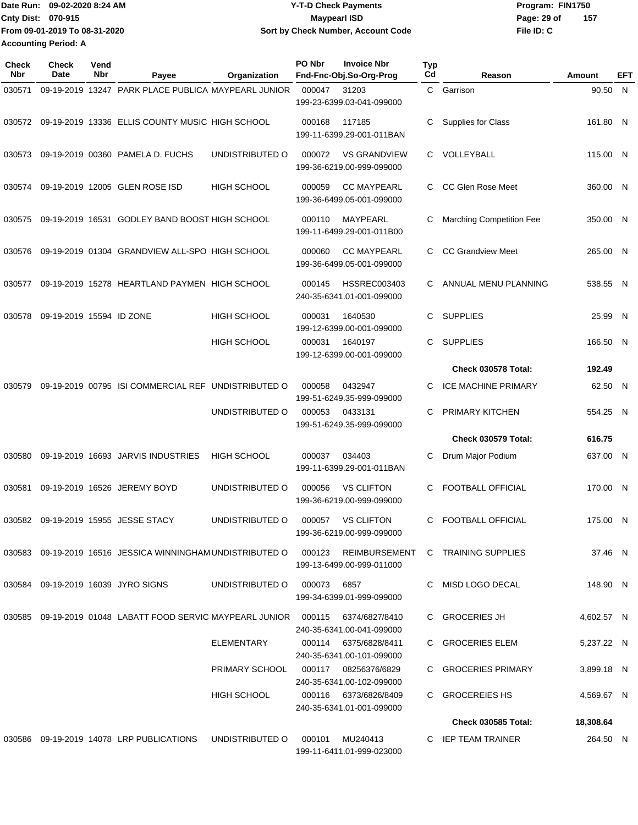Date Run: 09-02-2020 8:24 AM **Program:** FIN1750 **Cnty Dist:** 070-915 **Page: 29 of** Maypearl ISD **CONTEX 150 Page: 29 of File ID: C From 09-01-2019 To 08-31-2020 09-02-2020 8:24 AM Y-T-D Check Payments 070-915 Maypearl ISD Sort by Check Number, Account Code 157 Accounting Period: A**

| Check<br>Nbr | <b>Check</b><br>Date     | Vend<br>Nbr | Payee                                                      | Organization       | PO Nbr | <b>Invoice Nbr</b><br>Fnd-Fnc-Obj.So-Org-Prog      | Typ<br>Cd | Reason                          | Amount     | EFT |
|--------------|--------------------------|-------------|------------------------------------------------------------|--------------------|--------|----------------------------------------------------|-----------|---------------------------------|------------|-----|
| 030571       |                          |             | 09-19-2019 13247 PARK PLACE PUBLICA MAYPEARL JUNIOR        |                    | 000047 | 31203<br>199-23-6399.03-041-099000                 | C         | Garrison                        | 90.50 N    |     |
| 030572       |                          |             | 09-19-2019 13336 ELLIS COUNTY MUSIC HIGH SCHOOL            |                    | 000168 | 117185<br>199-11-6399.29-001-011BAN                | С         | Supplies for Class              | 161.80 N   |     |
| 030573       |                          |             | 09-19-2019 00360 PAMELA D. FUCHS                           | UNDISTRIBUTED O    | 000072 | <b>VS GRANDVIEW</b><br>199-36-6219.00-999-099000   | C         | VOLLEYBALL                      | 115.00 N   |     |
| 030574       |                          |             | 09-19-2019 12005 GLEN ROSE ISD                             | <b>HIGH SCHOOL</b> | 000059 | <b>CC MAYPEARL</b><br>199-36-6499.05-001-099000    |           | CC Glen Rose Meet               | 360.00 N   |     |
| 030575       |                          |             | 09-19-2019 16531 GODLEY BAND BOOST HIGH SCHOOL             |                    | 000110 | MAYPEARL<br>199-11-6499.29-001-011B00              | С         | <b>Marching Competition Fee</b> | 350.00 N   |     |
| 030576       |                          |             | 09-19-2019 01304 GRANDVIEW ALL-SPO HIGH SCHOOL             |                    | 000060 | <b>CC MAYPEARL</b><br>199-36-6499.05-001-099000    | C.        | <b>CC Grandview Meet</b>        | 265.00 N   |     |
| 030577       |                          |             | 09-19-2019 15278 HEARTLAND PAYMEN HIGH SCHOOL              |                    | 000145 | <b>HSSREC003403</b><br>240-35-6341.01-001-099000   | C.        | ANNUAL MENU PLANNING            | 538.55 N   |     |
| 030578       | 09-19-2019 15594 ID ZONE |             |                                                            | <b>HIGH SCHOOL</b> | 000031 | 1640530<br>199-12-6399.00-001-099000               | C         | <b>SUPPLIES</b>                 | 25.99 N    |     |
|              |                          |             |                                                            | <b>HIGH SCHOOL</b> | 000031 | 1640197<br>199-12-6399.00-001-099000               | C         | <b>SUPPLIES</b>                 | 166.50 N   |     |
|              |                          |             |                                                            |                    |        |                                                    |           | Check 030578 Total:             | 192.49     |     |
| 030579       |                          |             | 09-19-2019 00795 ISI COMMERCIAL REF UNDISTRIBUTED O        |                    | 000058 | 0432947<br>199-51-6249.35-999-099000               | C         | <b>ICE MACHINE PRIMARY</b>      | 62.50 N    |     |
|              |                          |             |                                                            | UNDISTRIBUTED O    | 000053 | 0433131<br>199-51-6249.35-999-099000               | C         | PRIMARY KITCHEN                 | 554.25     | - N |
|              |                          |             |                                                            |                    |        |                                                    |           | <b>Check 030579 Total:</b>      | 616.75     |     |
| 030580       |                          |             | 09-19-2019 16693 JARVIS INDUSTRIES                         | <b>HIGH SCHOOL</b> | 000037 | 034403<br>199-11-6399.29-001-011BAN                | С         | Drum Major Podium               | 637.00 N   |     |
| 030581       |                          |             | 09-19-2019 16526 JEREMY BOYD                               | UNDISTRIBUTED O    | 000056 | <b>VS CLIFTON</b><br>199-36-6219.00-999-099000     | С         | <b>FOOTBALL OFFICIAL</b>        | 170.00 N   |     |
| 030582       |                          |             | 09-19-2019 15955 JESSE STACY                               | UNDISTRIBUTED O    | 000057 | <b>VS CLIFTON</b><br>199-36-6219.00-999-099000     | C         | FOOTBALL OFFICIAL               | 175.00 N   |     |
|              |                          |             | 030583 09-19-2019 16516 JESSICA WINNINGHAM UNDISTRIBUTED O |                    | 000123 | REIMBURSEMENT<br>199-13-6499.00-999-011000         |           | C TRAINING SUPPLIES             | 37.46 N    |     |
|              |                          |             | 030584 09-19-2019 16039 JYRO SIGNS                         | UNDISTRIBUTED O    | 000073 | 6857<br>199-34-6399.01-999-099000                  |           | MISD LOGO DECAL                 | 148.90 N   |     |
| 030585       |                          |             | 09-19-2019 01048 LABATT FOOD SERVIC MAYPEARL JUNIOR 000115 |                    |        | 6374/6827/8410<br>240-35-6341.00-041-099000        |           | C GROCERIES JH                  | 4,602.57 N |     |
|              |                          |             |                                                            | ELEMENTARY         |        | 000114 6375/6828/8411<br>240-35-6341.00-101-099000 |           | C GROCERIES ELEM                | 5,237.22 N |     |
|              |                          |             |                                                            | PRIMARY SCHOOL     |        | 000117 08256376/6829<br>240-35-6341.00-102-099000  |           | C GROCERIES PRIMARY             | 3,899.18 N |     |
|              |                          |             |                                                            | HIGH SCHOOL        |        | 000116 6373/6826/8409<br>240-35-6341.01-001-099000 |           | C GROCEREIES HS                 | 4,569.67 N |     |
|              |                          |             |                                                            |                    |        |                                                    |           | <b>Check 030585 Total:</b>      | 18,308.64  |     |
|              |                          |             | 030586 09-19-2019 14078 LRP PUBLICATIONS                   | UNDISTRIBUTED O    | 000101 | MU240413<br>199-11-6411.01-999-023000              |           | C IEP TEAM TRAINER              | 264.50 N   |     |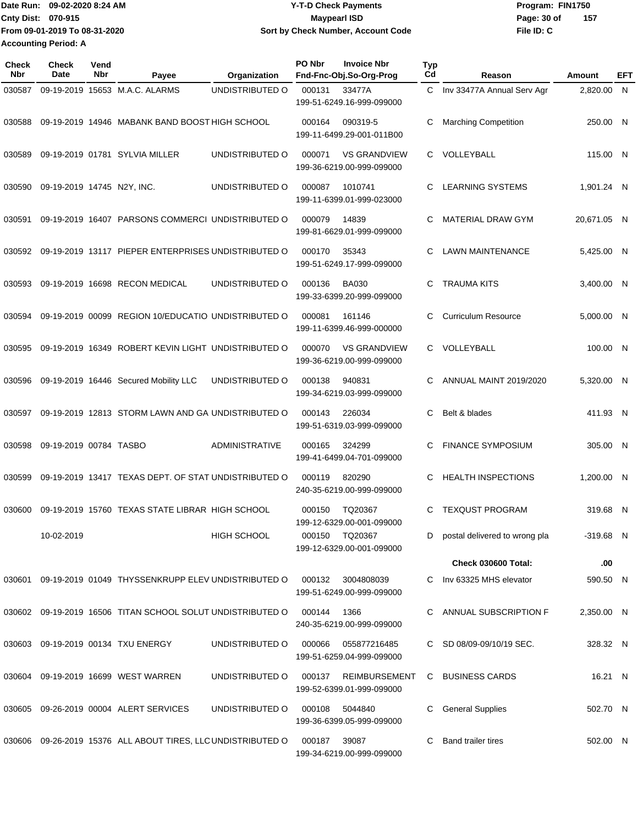**From 09-01-2019 To 08-31-2020 Accounting Period: A**

## Date Run: 09-02-2020 8:24 AM **Date Run:** 09-02-2020 8:24 AM **Program:** FIN1750 **Cnty Dist:** 070-915 **Page: 30 of** Maypearl ISD **CONTEX 150 Page: 30 of 09-02-2020 8:24 AM Y-T-D Check Payments 070-915 Maypearl ISD Sort by Check Number, Account Code**

**File ID: C 157**

| <b>Check</b><br><b>Nbr</b> | <b>Check</b><br>Date       | Vend<br><b>Nbr</b> | Payee                                                        | Organization          | PO Nbr | <b>Invoice Nbr</b><br>Fnd-Fnc-Obj.So-Org-Prog    | <b>Typ</b><br>Cd | Reason                        | Amount      | EFT |
|----------------------------|----------------------------|--------------------|--------------------------------------------------------------|-----------------------|--------|--------------------------------------------------|------------------|-------------------------------|-------------|-----|
| 030587                     |                            |                    | 09-19-2019 15653 M.A.C. ALARMS                               | UNDISTRIBUTED O       | 000131 | 33477A<br>199-51-6249.16-999-099000              | C.               | Inv 33477A Annual Serv Agr    | 2.820.00 N  |     |
| 030588                     |                            |                    | 09-19-2019 14946 MABANK BAND BOOST HIGH SCHOOL               |                       | 000164 | 090319-5<br>199-11-6499.29-001-011B00            | С                | <b>Marching Competition</b>   | 250.00 N    |     |
| 030589                     |                            |                    | 09-19-2019 01781 SYLVIA MILLER                               | UNDISTRIBUTED O       | 000071 | <b>VS GRANDVIEW</b><br>199-36-6219.00-999-099000 | C.               | VOLLEYBALL                    | 115.00 N    |     |
| 030590                     | 09-19-2019 14745 N2Y, INC. |                    |                                                              | UNDISTRIBUTED O       | 000087 | 1010741<br>199-11-6399.01-999-023000             | C                | <b>LEARNING SYSTEMS</b>       | 1,901.24 N  |     |
| 030591                     |                            |                    | 09-19-2019 16407 PARSONS COMMERCI UNDISTRIBUTED O            |                       | 000079 | 14839<br>199-81-6629.01-999-099000               | C                | <b>MATERIAL DRAW GYM</b>      | 20,671.05 N |     |
| 030592                     |                            |                    | 09-19-2019 13117 PIEPER ENTERPRISES UNDISTRIBUTED O          |                       | 000170 | 35343<br>199-51-6249.17-999-099000               | С                | <b>LAWN MAINTENANCE</b>       | 5,425.00 N  |     |
| 030593                     |                            |                    | 09-19-2019 16698 RECON MEDICAL                               | UNDISTRIBUTED O       | 000136 | <b>BA030</b><br>199-33-6399.20-999-099000        | C                | <b>TRAUMA KITS</b>            | 3,400.00 N  |     |
| 030594                     |                            |                    | 09-19-2019 00099 REGION 10/EDUCATIO UNDISTRIBUTED O          |                       | 000081 | 161146<br>199-11-6399.46-999-000000              | С                | <b>Curriculum Resource</b>    | 5.000.00 N  |     |
| 030595                     |                            |                    | 09-19-2019 16349 ROBERT KEVIN LIGHT UNDISTRIBUTED O          |                       | 000070 | <b>VS GRANDVIEW</b><br>199-36-6219.00-999-099000 | C.               | VOLLEYBALL                    | 100.00 N    |     |
| 030596                     |                            |                    | 09-19-2019 16446 Secured Mobility LLC                        | UNDISTRIBUTED O       | 000138 | 940831<br>199-34-6219.03-999-099000              | C                | ANNUAL MAINT 2019/2020        | 5,320.00 N  |     |
| 030597                     |                            |                    | 09-19-2019 12813 STORM LAWN AND GA UNDISTRIBUTED O           |                       | 000143 | 226034<br>199-51-6319.03-999-099000              | С                | Belt & blades                 | 411.93 N    |     |
| 030598                     | 09-19-2019 00784 TASBO     |                    |                                                              | <b>ADMINISTRATIVE</b> | 000165 | 324299<br>199-41-6499.04-701-099000              | C                | <b>FINANCE SYMPOSIUM</b>      | 305.00 N    |     |
| 030599                     |                            |                    | 09-19-2019 13417 TEXAS DEPT. OF STAT UNDISTRIBUTED O         |                       | 000119 | 820290<br>240-35-6219.00-999-099000              | C                | <b>HEALTH INSPECTIONS</b>     | 1.200.00 N  |     |
|                            |                            |                    | 030600 09-19-2019 15760 TEXAS STATE LIBRAR HIGH SCHOOL       |                       | 000150 | TQ20367<br>199-12-6329.00-001-099000             | С                | <b>TEXQUST PROGRAM</b>        | 319.68 N    |     |
|                            | 10-02-2019                 |                    |                                                              | <b>HIGH SCHOOL</b>    | 000150 | TQ20367<br>199-12-6329.00-001-099000             | D                | postal delivered to wrong pla | $-319.68$ N |     |
|                            |                            |                    |                                                              |                       |        |                                                  |                  | <b>Check 030600 Total:</b>    | .00         |     |
|                            |                            |                    | 030601 09-19-2019 01049 THYSSENKRUPP ELEV UNDISTRIBUTED O    |                       | 000132 | 3004808039<br>199-51-6249.00-999-099000          | C                | Inv 63325 MHS elevator        | 590.50 N    |     |
|                            |                            |                    | 030602 09-19-2019 16506 TITAN SCHOOL SOLUT UNDISTRIBUTED O   |                       | 000144 | 1366<br>240-35-6219.00-999-099000                | C                | ANNUAL SUBSCRIPTION F         | 2.350.00 N  |     |
|                            |                            |                    | 030603 09-19-2019 00134 TXU ENERGY                           | UNDISTRIBUTED O       | 000066 | 055877216485<br>199-51-6259.04-999-099000        |                  | C SD 08/09-09/10/19 SEC.      | 328.32 N    |     |
|                            |                            |                    | 030604 09-19-2019 16699 WEST WARREN                          | UNDISTRIBUTED O       | 000137 | REIMBURSEMENT<br>199-52-6399.01-999-099000       | C.               | <b>BUSINESS CARDS</b>         | 16.21 N     |     |
|                            |                            |                    | 030605 09-26-2019 00004 ALERT SERVICES                       | UNDISTRIBUTED O       | 000108 | 5044840<br>199-36-6399.05-999-099000             | С                | <b>General Supplies</b>       | 502.70 N    |     |
|                            |                            |                    | 030606 09-26-2019 15376 ALL ABOUT TIRES, LLC UNDISTRIBUTED O |                       | 000187 | 39087<br>199-34-6219.00-999-099000               |                  | Band trailer tires            | 502.00 N    |     |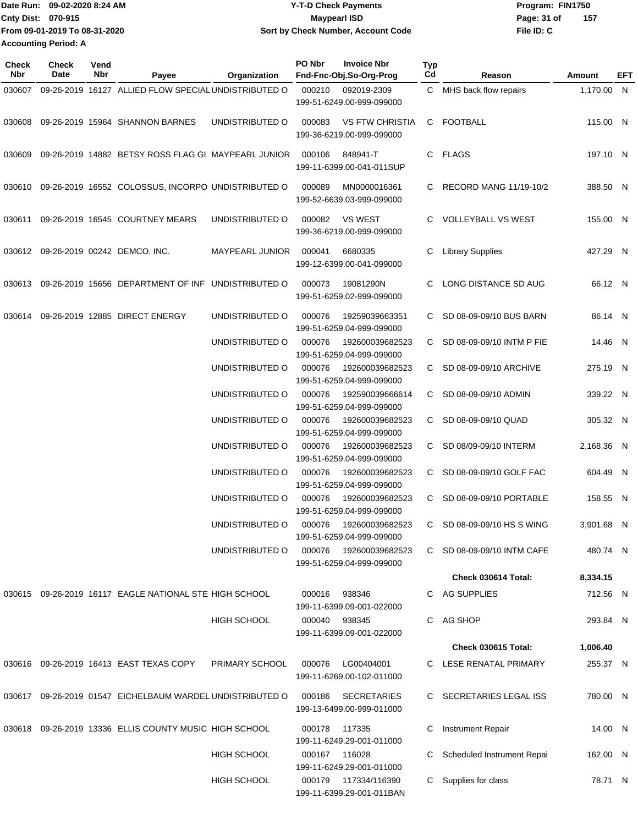|                             | IDate Run: 09-02-2020 8:24 AM | <b>Y-T-D Check Payments</b>               | Program: FIN1750   |
|-----------------------------|-------------------------------|-------------------------------------------|--------------------|
| <b>Cnty Dist: 070-915</b>   |                               | <b>Maypearl ISD</b>                       | 157<br>Page: 31 of |
|                             | From 09-01-2019 To 08-31-2020 | <b>Sort by Check Number, Account Code</b> | File ID: C         |
| <b>Accounting Period: A</b> |                               |                                           |                    |

| Check<br>Nbr | Check<br>Date | Vend<br>Nbr | Payee                                                | Organization                           | PO Nbr | <b>Invoice Nbr</b><br>Fnd-Fnc-Obj.So-Org-Prog       | <b>Typ</b><br>Cd | Reason                      | Amount     | EFT |
|--------------|---------------|-------------|------------------------------------------------------|----------------------------------------|--------|-----------------------------------------------------|------------------|-----------------------------|------------|-----|
| 030607       |               |             | 09-26-2019 16127 ALLIED FLOW SPECIAL UNDISTRIBUTED O |                                        | 000210 | 092019-2309<br>199-51-6249.00-999-099000            |                  | C MHS back flow repairs     | 1,170.00 N |     |
| 030608       |               |             | 09-26-2019 15964 SHANNON BARNES                      | UNDISTRIBUTED O                        | 000083 | <b>VS FTW CHRISTIA</b><br>199-36-6219.00-999-099000 |                  | C FOOTBALL                  | 115.00 N   |     |
| 030609       |               |             | 09-26-2019 14882 BETSY ROSS FLAG GI MAYPEARL JUNIOR  |                                        | 000106 | 848941-T<br>199-11-6399.00-041-011SUP               |                  | C FLAGS                     | 197.10 N   |     |
| 030610       |               |             | 09-26-2019 16552 COLOSSUS, INCORPO UNDISTRIBUTED O   |                                        | 000089 | MN0000016361<br>199-52-6639.03-999-099000           |                  | C RECORD MANG 11/19-10/2    | 388.50 N   |     |
| 030611       |               |             | 09-26-2019 16545 COURTNEY MEARS                      | UNDISTRIBUTED O                        | 000082 | <b>VS WEST</b><br>199-36-6219.00-999-099000         |                  | C VOLLEYBALL VS WEST        | 155.00 N   |     |
|              |               |             | 030612 09-26-2019 00242 DEMCO, INC.                  | MAYPEARL JUNIOR                        | 000041 | 6680335<br>199-12-6399.00-041-099000                | C.               | <b>Library Supplies</b>     | 427.29 N   |     |
| 030613       |               |             | 09-26-2019 15656 DEPARTMENT OF INF UNDISTRIBUTED O   |                                        | 000073 | 19081290N<br>199-51-6259.02-999-099000              | C.               | LONG DISTANCE SD AUG        | 66.12 N    |     |
| 030614       |               |             | 09-26-2019 12885 DIRECT ENERGY                       | UNDISTRIBUTED O                        | 000076 | 19259039663351<br>199-51-6259.04-999-099000         |                  | C SD 08-09-09/10 BUS BARN   | 86.14 N    |     |
|              |               |             |                                                      | UNDISTRIBUTED O                        | 000076 | 192600039682523<br>199-51-6259.04-999-099000        |                  | C SD 08-09-09/10 INTM P FIE | 14.46 N    |     |
|              |               |             |                                                      | UNDISTRIBUTED O                        | 000076 | 192600039682523<br>199-51-6259.04-999-099000        |                  | C SD 08-09-09/10 ARCHIVE    | 275.19 N   |     |
|              |               |             |                                                      | UNDISTRIBUTED O                        | 000076 | 192590039666614<br>199-51-6259.04-999-099000        |                  | C SD 08-09-09/10 ADMIN      | 339.22 N   |     |
|              |               |             |                                                      | UNDISTRIBUTED O                        | 000076 | 192600039682523<br>199-51-6259.04-999-099000        |                  | C SD 08-09-09/10 QUAD       | 305.32 N   |     |
|              |               |             |                                                      | UNDISTRIBUTED O                        | 000076 | 192600039682523<br>199-51-6259.04-999-099000        |                  | C SD 08/09-09/10 INTERM     | 2,168.36 N |     |
|              |               |             |                                                      | UNDISTRIBUTED O                        | 000076 | 192600039682523<br>199-51-6259.04-999-099000        |                  | C SD 08-09-09/10 GOLF FAC   | 604.49 N   |     |
|              |               |             |                                                      | UNDISTRIBUTED O                        | 000076 | 192600039682523<br>199-51-6259.04-999-099000        |                  | C SD 08-09-09/10 PORTABLE   | 158.55 N   |     |
|              |               |             |                                                      | UNDISTRIBUTED O 000076 192600039682523 |        | 199-51-6259.04-999-099000                           |                  | C SD 08-09-09/10 HS S WING  | 3,901.68 N |     |
|              |               |             |                                                      | UNDISTRIBUTED O                        | 000076 | 192600039682523<br>199-51-6259.04-999-099000        |                  | C SD 08-09-09/10 INTM CAFE  | 480.74 N   |     |
|              |               |             |                                                      |                                        |        |                                                     |                  | Check 030614 Total:         | 8,334.15   |     |
| 030615       |               |             | 09-26-2019 16117 EAGLE NATIONAL STE HIGH SCHOOL      |                                        | 000016 | 938346<br>199-11-6399.09-001-022000                 |                  | C AG SUPPLIES               | 712.56 N   |     |
|              |               |             |                                                      | <b>HIGH SCHOOL</b>                     | 000040 | 938345<br>199-11-6399.09-001-022000                 |                  | C AG SHOP                   | 293.84 N   |     |
|              |               |             |                                                      |                                        |        |                                                     |                  | Check 030615 Total:         | 1,006.40   |     |
|              |               |             | 030616 09-26-2019 16413 EAST TEXAS COPY              | PRIMARY SCHOOL                         | 000076 | LG00404001<br>199-11-6269.00-102-011000             |                  | C LESE RENATAL PRIMARY      | 255.37 N   |     |
| 030617       |               |             | 09-26-2019 01547 EICHELBAUM WARDEL UNDISTRIBUTED O   |                                        | 000186 | <b>SECRETARIES</b><br>199-13-6499.00-999-011000     |                  | C SECRETARIES LEGAL ISS     | 780.00 N   |     |
| 030618       |               |             | 09-26-2019 13336 ELLIS COUNTY MUSIC HIGH SCHOOL      |                                        | 000178 | 117335<br>199-11-6249.29-001-011000                 |                  | Instrument Repair           | 14.00 N    |     |
|              |               |             |                                                      | HIGH SCHOOL                            |        | 000167 116028<br>199-11-6249.29-001-011000          | C.               | Scheduled Instrument Repai  | 162.00 N   |     |
|              |               |             |                                                      | <b>HIGH SCHOOL</b>                     |        | 000179 117334/116390<br>199-11-6399.29-001-011BAN   |                  | C Supplies for class        | 78.71 N    |     |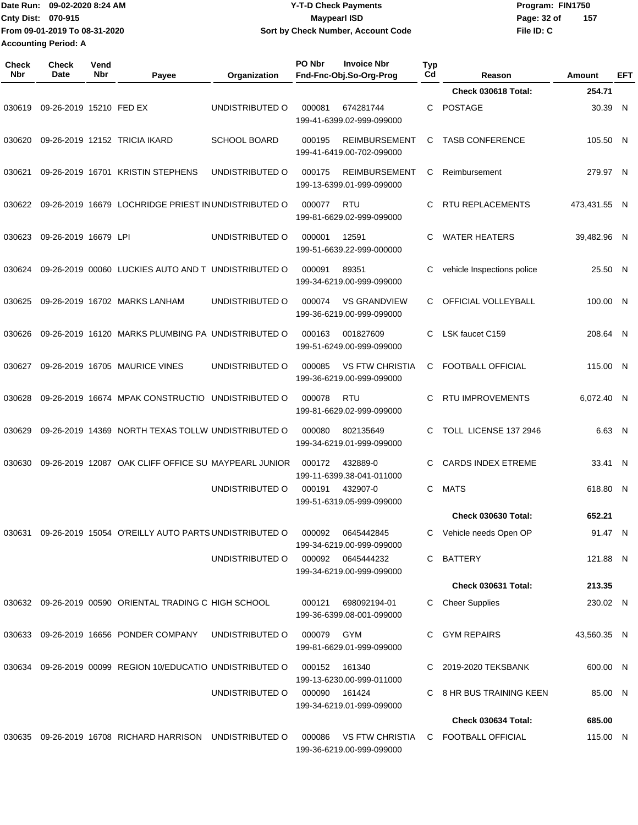|                             | Date Run: 09-02-2020 8:24 AM  | <b>Y-T-D Check Payments</b>        | Program: FIN1750   |
|-----------------------------|-------------------------------|------------------------------------|--------------------|
| <b>Cnty Dist: 070-915</b>   |                               | Maypearl ISD                       | 157<br>Page: 32 of |
|                             | Trom 09-01-2019 To 08-31-2020 | Sort by Check Number, Account Code | File ID: C         |
| <b>Accounting Period: A</b> |                               |                                    |                    |

| Check<br>Nbr | <b>Check</b><br><b>Date</b> | Vend<br>Nbr | Payee                                                    | Organization        | PO Nbr | <b>Invoice Nbr</b><br>Fnd-Fnc-Obj.So-Org-Prog       | <b>Typ</b><br>Cd | Reason                     | Amount       | EFT |
|--------------|-----------------------------|-------------|----------------------------------------------------------|---------------------|--------|-----------------------------------------------------|------------------|----------------------------|--------------|-----|
|              |                             |             |                                                          |                     |        |                                                     |                  | <b>Check 030618 Total:</b> | 254.71       |     |
| 030619       | 09-26-2019 15210 FED EX     |             |                                                          | UNDISTRIBUTED O     | 000081 | 674281744<br>199-41-6399.02-999-099000              | C                | <b>POSTAGE</b>             | 30.39 N      |     |
| 030620       |                             |             | 09-26-2019 12152 TRICIA IKARD                            | <b>SCHOOL BOARD</b> | 000195 | <b>REIMBURSEMENT</b><br>199-41-6419.00-702-099000   | C                | <b>TASB CONFERENCE</b>     | 105.50 N     |     |
| 030621       |                             |             | 09-26-2019 16701 KRISTIN STEPHENS                        | UNDISTRIBUTED O     | 000175 | <b>REIMBURSEMENT</b><br>199-13-6399.01-999-099000   | С                | Reimbursement              | 279.97 N     |     |
| 030622       |                             |             | 09-26-2019 16679 LOCHRIDGE PRIEST IN UNDISTRIBUTED O     |                     | 000077 | RTU<br>199-81-6629.02-999-099000                    | С                | <b>RTU REPLACEMENTS</b>    | 473.431.55 N |     |
| 030623       | 09-26-2019 16679 LPI        |             |                                                          | UNDISTRIBUTED O     | 000001 | 12591<br>199-51-6639.22-999-000000                  | C                | <b>WATER HEATERS</b>       | 39,482.96 N  |     |
| 030624       |                             |             | 09-26-2019 00060 LUCKIES AUTO AND T UNDISTRIBUTED O      |                     | 000091 | 89351<br>199-34-6219.00-999-099000                  | С                | vehicle Inspections police | 25.50 N      |     |
| 030625       |                             |             | 09-26-2019 16702 MARKS LANHAM                            | UNDISTRIBUTED O     | 000074 | <b>VS GRANDVIEW</b><br>199-36-6219.00-999-099000    | C.               | OFFICIAL VOLLEYBALL        | 100.00 N     |     |
| 030626       |                             |             | 09-26-2019 16120 MARKS PLUMBING PA UNDISTRIBUTED O       |                     | 000163 | 001827609<br>199-51-6249.00-999-099000              | C                | LSK faucet C159            | 208.64 N     |     |
| 030627       |                             |             | 09-26-2019 16705 MAURICE VINES                           | UNDISTRIBUTED O     | 000085 | <b>VS FTW CHRISTIA</b><br>199-36-6219.00-999-099000 | С                | FOOTBALL OFFICIAL          | 115.00 N     |     |
| 030628       |                             |             | 09-26-2019 16674 MPAK CONSTRUCTIO UNDISTRIBUTED O        |                     | 000078 | <b>RTU</b><br>199-81-6629.02-999-099000             | С                | <b>RTU IMPROVEMENTS</b>    | 6,072.40 N   |     |
| 030629       |                             |             | 09-26-2019 14369 NORTH TEXAS TOLLW UNDISTRIBUTED O       |                     | 000080 | 802135649<br>199-34-6219.01-999-099000              | C.               | TOLL LICENSE 137 2946      | 6.63 N       |     |
| 030630       |                             |             | 09-26-2019 12087 OAK CLIFF OFFICE SU MAYPEARL JUNIOR     |                     | 000172 | 432889-0<br>199-11-6399.38-041-011000               | С                | <b>CARDS INDEX ETREME</b>  | 33.41 N      |     |
|              |                             |             |                                                          | UNDISTRIBUTED O     | 000191 | 432907-0<br>199-51-6319.05-999-099000               | C                | <b>MATS</b>                | 618.80 N     |     |
|              |                             |             |                                                          |                     |        |                                                     |                  | <b>Check 030630 Total:</b> | 652.21       |     |
| 030631       |                             |             | 09-26-2019 15054 O'REILLY AUTO PARTS UNDISTRIBUTED O     |                     | 000092 | 0645442845<br>199-34-6219.00-999-099000             |                  | C Vehicle needs Open OP    | 91.47 N      |     |
|              |                             |             |                                                          | UNDISTRIBUTED O     |        | 000092 0645444232<br>199-34-6219.00-999-099000      |                  | C BATTERY                  | 121.88 N     |     |
|              |                             |             |                                                          |                     |        |                                                     |                  | Check 030631 Total:        | 213.35       |     |
|              |                             |             | 030632 09-26-2019 00590 ORIENTAL TRADING C HIGH SCHOOL   |                     | 000121 | 698092194-01<br>199-36-6399.08-001-099000           |                  | C Cheer Supplies           | 230.02 N     |     |
|              |                             |             | 030633 09-26-2019 16656 PONDER COMPANY                   | UNDISTRIBUTED O     | 000079 | GYM<br>199-81-6629.01-999-099000                    |                  | <b>GYM REPAIRS</b>         | 43,560.35 N  |     |
| 030634       |                             |             | 09-26-2019 00099 REGION 10/EDUCATIO UNDISTRIBUTED O      |                     | 000152 | 161340<br>199-13-6230.00-999-011000                 |                  | C 2019-2020 TEKSBANK       | 600.00 N     |     |
|              |                             |             |                                                          | UNDISTRIBUTED O     | 000090 | 161424<br>199-34-6219.01-999-099000                 |                  | C 8 HR BUS TRAINING KEEN   | 85.00 N      |     |
|              |                             |             |                                                          |                     |        |                                                     |                  | Check 030634 Total:        | 685.00       |     |
|              |                             |             | 030635 09-26-2019 16708 RICHARD HARRISON UNDISTRIBUTED O |                     | 000086 | VS FTW CHRISTIA<br>199-36-6219.00-999-099000        |                  | C FOOTBALL OFFICIAL        | 115.00 N     |     |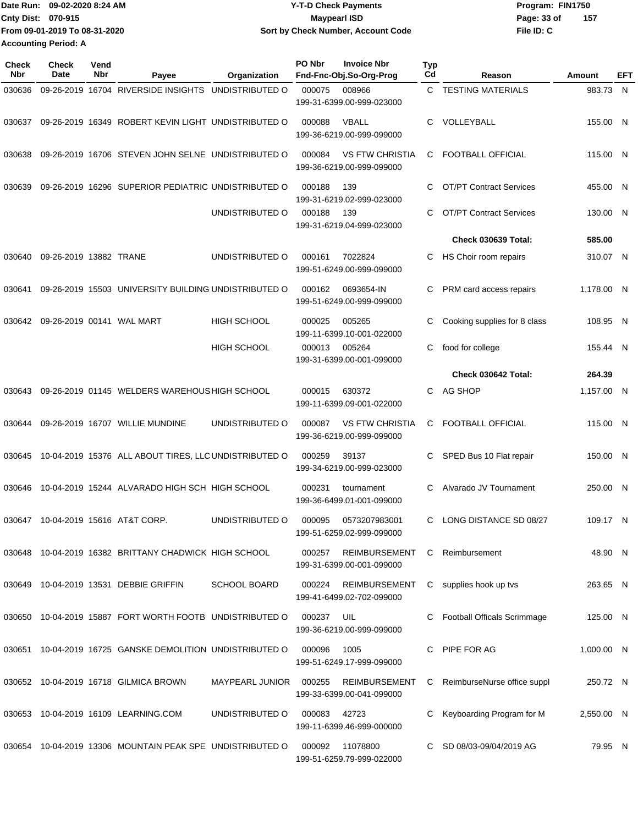| lDate Run: 09-02-2020 8:24 AM |                               | <b>Y-T-D Check Payments</b>        | Program: FIN1750   |  |  |
|-------------------------------|-------------------------------|------------------------------------|--------------------|--|--|
| <b>Cnty Dist: 070-915</b>     |                               | <b>Mavpearl ISD</b>                | 157<br>Page: 33 of |  |  |
|                               | From 09-01-2019 To 08-31-2020 | Sort by Check Number, Account Code | File ID: C         |  |  |
| <b>Accounting Period: A</b>   |                               |                                    |                    |  |  |

| <b>Check</b><br>Nbr | <b>Check</b><br>Date   | Vend<br>Nbr | Payee                                                    | Organization           | PO Nbr | <b>Invoice Nbr</b><br>Fnd-Fnc-Obj.So-Org-Prog       | <b>Typ</b><br>Cd | Reason                         | Amount       | EFT |
|---------------------|------------------------|-------------|----------------------------------------------------------|------------------------|--------|-----------------------------------------------------|------------------|--------------------------------|--------------|-----|
| 030636              |                        |             | 09-26-2019 16704 RIVERSIDE INSIGHTS                      | UNDISTRIBUTED O        | 000075 | 008966                                              | C.               | <b>TESTING MATERIALS</b>       | 983.73       | N   |
|                     |                        |             |                                                          |                        |        | 199-31-6399.00-999-023000                           |                  |                                |              |     |
| 030637              |                        |             | 09-26-2019 16349 ROBERT KEVIN LIGHT UNDISTRIBUTED O      |                        | 000088 | VBALL<br>199-36-6219.00-999-099000                  | C                | VOLLEYBALL                     | 155.00 N     |     |
| 030638              |                        |             | 09-26-2019 16706 STEVEN JOHN SELNE UNDISTRIBUTED O       |                        | 000084 | <b>VS FTW CHRISTIA</b><br>199-36-6219.00-999-099000 | C                | <b>FOOTBALL OFFICIAL</b>       | 115.00 N     |     |
| 030639              |                        |             | 09-26-2019 16296 SUPERIOR PEDIATRIC UNDISTRIBUTED O      |                        | 000188 | 139<br>199-31-6219.02-999-023000                    | C                | <b>OT/PT Contract Services</b> | 455.00 N     |     |
|                     |                        |             |                                                          | UNDISTRIBUTED O        | 000188 | 139<br>199-31-6219.04-999-023000                    | C                | <b>OT/PT Contract Services</b> | 130.00 N     |     |
|                     |                        |             |                                                          |                        |        |                                                     |                  | <b>Check 030639 Total:</b>     | 585.00       |     |
| 030640              | 09-26-2019 13882 TRANE |             |                                                          | UNDISTRIBUTED O        | 000161 | 7022824<br>199-51-6249.00-999-099000                | С                | HS Choir room repairs          | 310.07 N     |     |
| 030641              |                        |             | 09-26-2019 15503 UNIVERSITY BUILDING UNDISTRIBUTED O     |                        | 000162 | 0693654-IN<br>199-51-6249.00-999-099000             | С                | PRM card access repairs        | 1,178.00 N   |     |
| 030642              |                        |             | 09-26-2019 00141 WAL MART                                | <b>HIGH SCHOOL</b>     | 000025 | 005265<br>199-11-6399.10-001-022000                 | С                | Cooking supplies for 8 class   | 108.95 N     |     |
|                     |                        |             |                                                          | <b>HIGH SCHOOL</b>     | 000013 | 005264<br>199-31-6399.00-001-099000                 | С                | food for college               | 155.44 N     |     |
|                     |                        |             |                                                          |                        |        |                                                     |                  | Check 030642 Total:            | 264.39       |     |
| 030643              |                        |             | 09-26-2019 01145 WELDERS WAREHOUS HIGH SCHOOL            |                        | 000015 | 630372<br>199-11-6399.09-001-022000                 | C                | AG SHOP                        | 1,157.00 N   |     |
| 030644              |                        |             | 09-26-2019 16707 WILLIE MUNDINE                          | UNDISTRIBUTED O        | 000087 | <b>VS FTW CHRISTIA</b><br>199-36-6219.00-999-099000 | C                | <b>FOOTBALL OFFICIAL</b>       | 115.00 N     |     |
| 030645              |                        |             | 10-04-2019 15376 ALL ABOUT TIRES, LLC UNDISTRIBUTED O    |                        | 000259 | 39137<br>199-34-6219.00-999-023000                  | C                | SPED Bus 10 Flat repair        | 150.00 N     |     |
| 030646              |                        |             | 10-04-2019 15244 ALVARADO HIGH SCH HIGH SCHOOL           |                        | 000231 | tournament<br>199-36-6499.01-001-099000             | С                | Alvarado JV Tournament         | 250.00 N     |     |
| 030647              |                        |             | 10-04-2019 15616 AT&T CORP.                              | UNDISTRIBUTED O        | 000095 | 0573207983001<br>199-51-6259.02-999-099000          | C                | LONG DISTANCE SD 08/27         | 109.17 N     |     |
|                     |                        |             | 030648 10-04-2019 16382 BRITTANY CHADWICK HIGH SCHOOL    |                        | 000257 | <b>REIMBURSEMENT</b><br>199-31-6399.00-001-099000   | C                | Reimbursement                  | 48.90 N      |     |
| 030649              |                        |             | 10-04-2019 13531 DEBBIE GRIFFIN                          | <b>SCHOOL BOARD</b>    | 000224 | <b>REIMBURSEMENT</b><br>199-41-6499.02-702-099000   | С                | supplies hook up tvs           | 263.65 N     |     |
|                     |                        |             | 030650 10-04-2019 15887 FORT WORTH FOOTB UNDISTRIBUTED O |                        | 000237 | UIL<br>199-36-6219.00-999-099000                    |                  | Football Officals Scrimmage    | 125.00 N     |     |
| 030651              |                        |             | 10-04-2019 16725 GANSKE DEMOLITION UNDISTRIBUTED O       |                        | 000096 | 1005<br>199-51-6249.17-999-099000                   |                  | PIPE FOR AG                    | $1,000.00$ N |     |
|                     |                        |             | 030652 10-04-2019 16718 GILMICA BROWN                    | <b>MAYPEARL JUNIOR</b> | 000255 | <b>REIMBURSEMENT</b><br>199-33-6399.00-041-099000   | С                | ReimburseNurse office suppl    | 250.72 N     |     |
|                     |                        |             | 030653 10-04-2019 16109 LEARNING.COM                     | UNDISTRIBUTED O        | 000083 | 42723<br>199-11-6399.46-999-000000                  |                  | Keyboarding Program for M      | 2,550.00 N   |     |
| 030654              |                        |             | 10-04-2019 13306 MOUNTAIN PEAK SPE UNDISTRIBUTED O       |                        | 000092 | 11078800<br>199-51-6259.79-999-022000               | C                | SD 08/03-09/04/2019 AG         | 79.95 N      |     |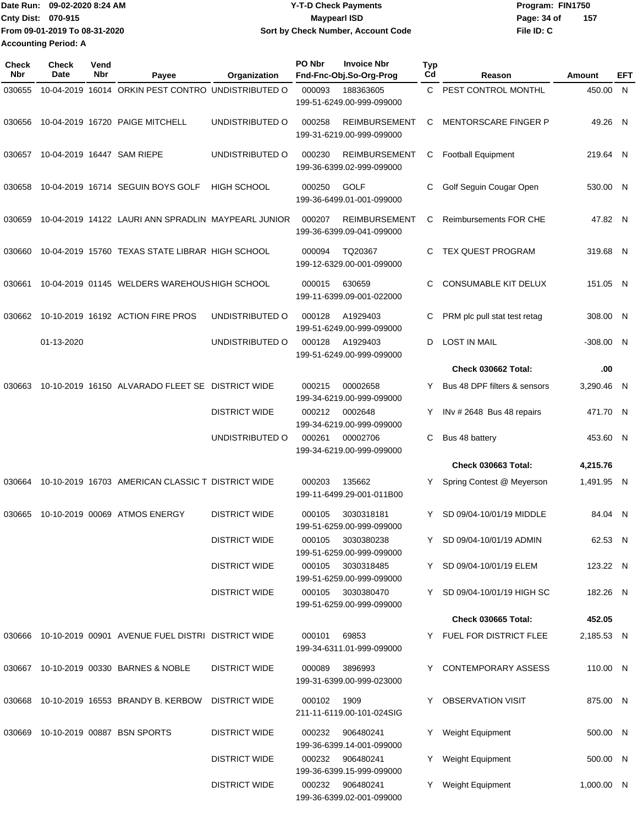| IDate Run: 09-02-2020 8:24 AM |                               | <b>Y-T-D Check Payments</b>        | Program: FIN1750   |  |  |
|-------------------------------|-------------------------------|------------------------------------|--------------------|--|--|
| <b>Cnty Dist: 070-915</b>     |                               | <b>Mavpearl ISD</b>                | 157<br>Page: 34 of |  |  |
|                               | From 09-01-2019 To 08-31-2020 | Sort by Check Number, Account Code | File ID: C         |  |  |
| <b>Accounting Period: A</b>   |                               |                                    |                    |  |  |

| Check<br>Nbr | <b>Check</b><br>Date | Vend<br>Nbr                                      | Payee                                                    | Organization         | PO Nbr                                | <b>Invoice Nbr</b><br>Fnd-Fnc-Obj.So-Org-Prog     | <b>Typ</b><br>Cd             | Reason                        | <b>Amount</b> | EFT |
|--------------|----------------------|--------------------------------------------------|----------------------------------------------------------|----------------------|---------------------------------------|---------------------------------------------------|------------------------------|-------------------------------|---------------|-----|
| 030655       |                      |                                                  | 10-04-2019 16014 ORKIN PEST CONTRO UNDISTRIBUTED O       |                      | 000093                                | 188363605<br>199-51-6249.00-999-099000            |                              | C PEST CONTROL MONTHL         | 450.00 N      |     |
| 030656       |                      |                                                  | 10-04-2019 16720 PAIGE MITCHELL                          | UNDISTRIBUTED O      | 000258                                | <b>REIMBURSEMENT</b><br>199-31-6219.00-999-099000 | C                            | <b>MENTORSCARE FINGER P</b>   | 49.26 N       |     |
| 030657       |                      |                                                  | 10-04-2019 16447 SAM RIEPE                               | UNDISTRIBUTED O      | 000230                                | <b>REIMBURSEMENT</b><br>199-36-6399.02-999-099000 | C                            | <b>Football Equipment</b>     | 219.64 N      |     |
| 030658       |                      |                                                  | 10-04-2019 16714 SEGUIN BOYS GOLF                        | <b>HIGH SCHOOL</b>   | 000250                                | <b>GOLF</b><br>199-36-6499.01-001-099000          | C                            | Golf Seguin Cougar Open       | 530.00 N      |     |
| 030659       |                      |                                                  | 10-04-2019 14122 LAURI ANN SPRADLIN MAYPEARL JUNIOR      |                      | 000207                                | <b>REIMBURSEMENT</b><br>199-36-6399.09-041-099000 | C                            | <b>Reimbursements FOR CHE</b> | 47.82 N       |     |
| 030660       |                      |                                                  | 10-04-2019 15760 TEXAS STATE LIBRAR HIGH SCHOOL          |                      | 000094                                | TQ20367<br>199-12-6329.00-001-099000              | C                            | TEX QUEST PROGRAM             | 319.68 N      |     |
| 030661       |                      |                                                  | 10-04-2019 01145 WELDERS WAREHOUS HIGH SCHOOL            |                      | 000015                                | 630659<br>199-11-6399.09-001-022000               | C                            | <b>CONSUMABLE KIT DELUX</b>   | 151.05 N      |     |
| 030662       |                      |                                                  | 10-10-2019 16192 ACTION FIRE PROS                        | UNDISTRIBUTED O      | 000128                                | A1929403<br>199-51-6249.00-999-099000             | С                            | PRM plc pull stat test retag  | 308.00 N      |     |
|              | 01-13-2020           |                                                  |                                                          | UNDISTRIBUTED O      | 000128                                | A1929403<br>199-51-6249.00-999-099000             | D                            | <b>LOST IN MAIL</b>           | -308.00 N     |     |
|              |                      |                                                  |                                                          |                      |                                       |                                                   |                              | Check 030662 Total:           | .00           |     |
| 030663       |                      | 10-10-2019 16150 ALVARADO FLEET SE DISTRICT WIDE |                                                          | 000215               | 00002658<br>199-34-6219.00-999-099000 |                                                   | Bus 48 DPF filters & sensors | 3,290.46 N                    |               |     |
|              |                      |                                                  |                                                          | <b>DISTRICT WIDE</b> | 000212                                | 0002648<br>199-34-6219.00-999-099000              | Y                            | INv # 2648 Bus 48 repairs     | 471.70 N      |     |
|              |                      |                                                  |                                                          | UNDISTRIBUTED O      | 000261                                | 00002706<br>199-34-6219.00-999-099000             | С                            | Bus 48 battery                | 453.60 N      |     |
|              |                      |                                                  |                                                          |                      |                                       |                                                   |                              | <b>Check 030663 Total:</b>    | 4,215.76      |     |
| 030664       |                      |                                                  | 10-10-2019 16703 AMERICAN CLASSIC T DISTRICT WIDE        |                      | 000203                                | 135662<br>199-11-6499.29-001-011B00               |                              | Spring Contest @ Meyerson     | 1,491.95 N    |     |
| 030665       |                      |                                                  | 10-10-2019 00069 ATMOS ENERGY                            | <b>DISTRICT WIDE</b> | 000105                                | 3030318181<br>199-51-6259.00-999-099000           | Y                            | SD 09/04-10/01/19 MIDDLE      | 84.04 N       |     |
|              |                      |                                                  |                                                          | <b>DISTRICT WIDE</b> |                                       | 000105 3030380238<br>199-51-6259.00-999-099000    |                              | Y SD 09/04-10/01/19 ADMIN     | 62.53 N       |     |
|              |                      |                                                  |                                                          | <b>DISTRICT WIDE</b> |                                       | 000105 3030318485<br>199-51-6259.00-999-099000    |                              | Y SD 09/04-10/01/19 ELEM      | 123.22 N      |     |
|              |                      |                                                  |                                                          | <b>DISTRICT WIDE</b> |                                       | 000105 3030380470<br>199-51-6259.00-999-099000    |                              | Y SD 09/04-10/01/19 HIGH SC   | 182.26 N      |     |
|              |                      |                                                  |                                                          |                      |                                       |                                                   |                              | <b>Check 030665 Total:</b>    | 452.05        |     |
|              |                      |                                                  | 030666 10-10-2019 00901 AVENUE FUEL DISTRI DISTRICT WIDE |                      | 000101                                | 69853<br>199-34-6311.01-999-099000                |                              | Y FUEL FOR DISTRICT FLEE      | 2,185.53 N    |     |
|              |                      |                                                  | 030667 10-10-2019 00330 BARNES & NOBLE                   | <b>DISTRICT WIDE</b> | 000089                                | 3896993<br>199-31-6399.00-999-023000              |                              | Y CONTEMPORARY ASSESS         | 110.00 N      |     |
|              |                      |                                                  | 030668 10-10-2019 16553 BRANDY B. KERBOW                 | <b>DISTRICT WIDE</b> | 000102                                | 1909<br>211-11-6119.00-101-024SIG                 |                              | Y OBSERVATION VISIT           | 875.00 N      |     |
| 030669       |                      |                                                  | 10-10-2019 00887 BSN SPORTS                              | <b>DISTRICT WIDE</b> | 000232                                | 906480241<br>199-36-6399.14-001-099000            |                              | Y Weight Equipment            | 500.00 N      |     |
|              |                      |                                                  |                                                          | <b>DISTRICT WIDE</b> |                                       | 000232 906480241<br>199-36-6399.15-999-099000     |                              | Y Weight Equipment            | 500.00 N      |     |
|              |                      |                                                  |                                                          | <b>DISTRICT WIDE</b> |                                       | 000232 906480241<br>199-36-6399.02-001-099000     |                              | Y Weight Equipment            | 1,000.00 N    |     |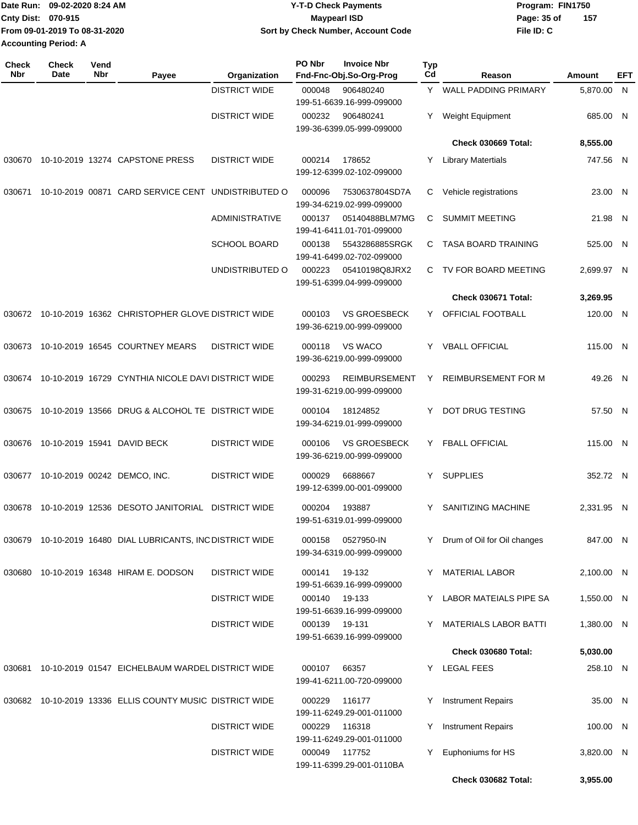| lDate Run: 09-02-2020 8:24 AM |                               | <b>Y-T-D Check Payments</b>        | Program: FIN1750   |  |  |
|-------------------------------|-------------------------------|------------------------------------|--------------------|--|--|
| <b>Cnty Dist: 070-915</b>     |                               | <b>Mavpearl ISD</b>                | 157<br>Page: 35 of |  |  |
|                               | From 09-01-2019 To 08-31-2020 | Sort by Check Number, Account Code | File ID: C         |  |  |
| <b>Accounting Period: A</b>   |                               |                                    |                    |  |  |

| <b>Check</b><br>Nbr | Check<br>Vend<br>Nbr<br>Date        | Payee                                                      | Organization          | PO Nbr<br><b>Invoice Nbr</b><br>Fnd-Fnc-Obj.So-Org-Prog     | <b>Typ</b><br>Cd | Reason                        | Amount     | EFT |
|---------------------|-------------------------------------|------------------------------------------------------------|-----------------------|-------------------------------------------------------------|------------------|-------------------------------|------------|-----|
|                     |                                     |                                                            | <b>DISTRICT WIDE</b>  | 000048<br>906480240<br>199-51-6639.16-999-099000            |                  | Y WALL PADDING PRIMARY        | 5,870.00 N |     |
|                     |                                     |                                                            | <b>DISTRICT WIDE</b>  | 000232<br>906480241<br>199-36-6399.05-999-099000            | Y.               | Weight Equipment              | 685.00 N   |     |
|                     |                                     |                                                            |                       |                                                             |                  | Check 030669 Total:           | 8,555.00   |     |
| 030670              |                                     | 10-10-2019 13274 CAPSTONE PRESS                            | <b>DISTRICT WIDE</b>  | 000214<br>178652<br>199-12-6399.02-102-099000               | Y.               | <b>Library Matertials</b>     | 747.56 N   |     |
| 030671              |                                     | 10-10-2019 00871 CARD SERVICE CENT UNDISTRIBUTED O         |                       | 000096<br>7530637804SD7A<br>199-34-6219.02-999-099000       | C                | Vehicle registrations         | 23.00 N    |     |
|                     |                                     |                                                            | <b>ADMINISTRATIVE</b> | 05140488BLM7MG<br>000137<br>199-41-6411.01-701-099000       | C.               | <b>SUMMIT MEETING</b>         | 21.98 N    |     |
|                     |                                     |                                                            | <b>SCHOOL BOARD</b>   | 000138<br>5543286885SRGK<br>199-41-6499.02-702-099000       | C.               | <b>TASA BOARD TRAINING</b>    | 525.00 N   |     |
|                     |                                     |                                                            | UNDISTRIBUTED O       | 000223<br>05410198Q8JRX2<br>199-51-6399.04-999-099000       |                  | C TV FOR BOARD MEETING        | 2,699.97 N |     |
|                     |                                     |                                                            |                       |                                                             |                  | Check 030671 Total:           | 3,269.95   |     |
|                     |                                     | 030672 10-10-2019 16362 CHRISTOPHER GLOVE DISTRICT WIDE    |                       | 000103<br><b>VS GROESBECK</b><br>199-36-6219.00-999-099000  | Y                | OFFICIAL FOOTBALL             | 120.00 N   |     |
| 030673              |                                     | 10-10-2019 16545 COURTNEY MEARS                            | <b>DISTRICT WIDE</b>  | 000118<br>VS WACO<br>199-36-6219.00-999-099000              | Y                | <b>VBALL OFFICIAL</b>         | 115.00 N   |     |
|                     |                                     | 030674 10-10-2019 16729 CYNTHIA NICOLE DAVI DISTRICT WIDE  |                       | 000293<br><b>REIMBURSEMENT</b><br>199-31-6219.00-999-099000 | Y                | <b>REIMBURSEMENT FOR M</b>    | 49.26 N    |     |
| 030675              |                                     | 10-10-2019 13566 DRUG & ALCOHOL TE DISTRICT WIDE           |                       | 18124852<br>000104<br>199-34-6219.01-999-099000             | Y                | DOT DRUG TESTING              | 57.50 N    |     |
| 030676              | 10-10-2019 15941 DAVID BECK         |                                                            | <b>DISTRICT WIDE</b>  | <b>VS GROESBECK</b><br>000106<br>199-36-6219.00-999-099000  |                  | Y FBALL OFFICIAL              | 115.00 N   |     |
|                     | 030677 10-10-2019 00242 DEMCO, INC. |                                                            | <b>DISTRICT WIDE</b>  | 000029<br>6688667<br>199-12-6399.00-001-099000              | Y                | <b>SUPPLIES</b>               | 352.72 N   |     |
| 030678              |                                     | 10-10-2019 12536 DESOTO JANITORIAL                         | <b>DISTRICT WIDE</b>  | 193887<br>000204<br>199-51-6319.01-999-099000               | Y                | SANITIZING MACHINE            | 2,331.95 N |     |
|                     |                                     | 030679 10-10-2019 16480 DIAL LUBRICANTS, INC DISTRICT WIDE |                       | 0527950-IN<br>000158<br>199-34-6319.00-999-099000           |                  | Y Drum of Oil for Oil changes | 847.00 N   |     |
|                     |                                     | 030680 10-10-2019 16348 HIRAM E. DODSON                    | <b>DISTRICT WIDE</b>  | 000141 19-132<br>199-51-6639.16-999-099000                  |                  | Y MATERIAL LABOR              | 2,100.00 N |     |
|                     |                                     |                                                            | <b>DISTRICT WIDE</b>  | 000140<br>19-133<br>199-51-6639.16-999-099000               |                  | Y LABOR MATEIALS PIPE SA      | 1,550.00 N |     |
|                     |                                     |                                                            | <b>DISTRICT WIDE</b>  | 000139<br>19-131<br>199-51-6639.16-999-099000               |                  | Y MATERIALS LABOR BATTI       | 1,380.00 N |     |
|                     |                                     |                                                            |                       |                                                             |                  | Check 030680 Total:           | 5,030.00   |     |
|                     |                                     | 030681 10-10-2019 01547 EICHELBAUM WARDEL DISTRICT WIDE    |                       | 000107<br>66357<br>199-41-6211.00-720-099000                |                  | Y LEGAL FEES                  | 258.10 N   |     |
|                     |                                     | 030682 10-10-2019 13336 ELLIS COUNTY MUSIC DISTRICT WIDE   |                       | 116177<br>000229<br>199-11-6249.29-001-011000               |                  | <b>Instrument Repairs</b>     | 35.00 N    |     |
|                     |                                     |                                                            | <b>DISTRICT WIDE</b>  | 116318<br>000229<br>199-11-6249.29-001-011000               | Y.               | <b>Instrument Repairs</b>     | 100.00 N   |     |
|                     |                                     |                                                            | <b>DISTRICT WIDE</b>  | 000049 117752<br>199-11-6399.29-001-0110BA                  | Y.               | Euphoniums for HS             | 3,820.00 N |     |
|                     |                                     |                                                            |                       |                                                             |                  | Check 030682 Total:           | 3,955.00   |     |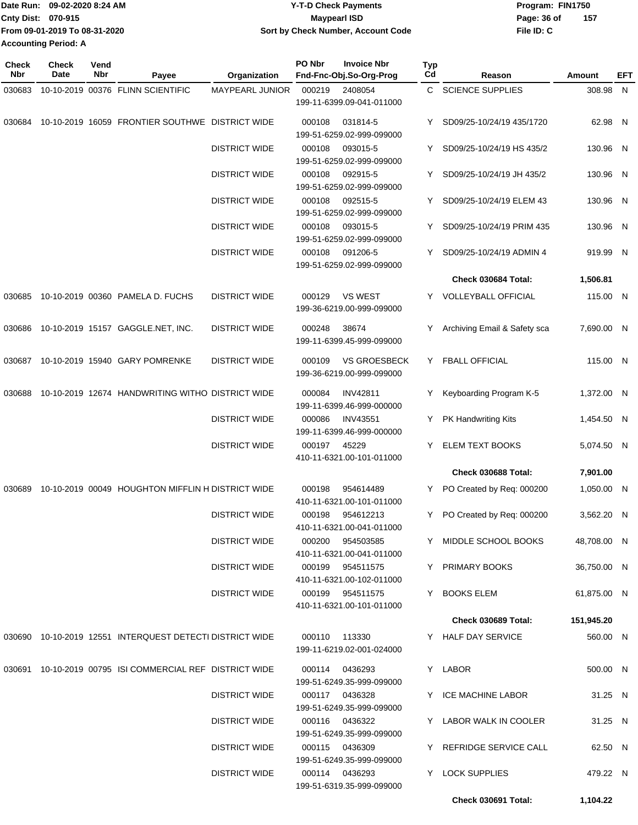|                             | Date Run: 09-02-2020 8:24 AM  | <b>Y-T-D Check Payments</b>        | Program: FIN1750 |     |
|-----------------------------|-------------------------------|------------------------------------|------------------|-----|
| <b>Cnty Dist: 070-915</b>   |                               | Maypearl ISD                       | Page: 36 of      | 157 |
|                             | From 09-01-2019 To 08-31-2020 | Sort by Check Number, Account Code | File ID: C       |     |
| <b>Accounting Period: A</b> |                               |                                    |                  |     |

| Check<br>Nbr | <b>Check</b><br>Date | Vend<br>Nbr | Payee                                                        | Organization                                    | PO Nbr<br><b>Invoice Nbr</b><br>Fnd-Fnc-Obj.So-Org-Prog    | <b>Typ</b><br>Cd          | Reason                       | Amount      | EFT |
|--------------|----------------------|-------------|--------------------------------------------------------------|-------------------------------------------------|------------------------------------------------------------|---------------------------|------------------------------|-------------|-----|
| 030683       |                      |             | 10-10-2019 00376 FLINN SCIENTIFIC                            | <b>MAYPEARL JUNIOR</b>                          | 000219<br>2408054                                          | C.                        | <b>SCIENCE SUPPLIES</b>      | 308.98 N    |     |
|              |                      |             |                                                              |                                                 | 199-11-6399.09-041-011000                                  |                           |                              |             |     |
| 030684       |                      |             | 10-10-2019 16059 FRONTIER SOUTHWE DISTRICT WIDE              |                                                 | 000108<br>031814-5<br>199-51-6259.02-999-099000            | Y                         | SD09/25-10/24/19 435/1720    | 62.98 N     |     |
|              |                      |             | <b>DISTRICT WIDE</b>                                         | 000108<br>093015-5<br>199-51-6259.02-999-099000 | Y                                                          | SD09/25-10/24/19 HS 435/2 | 130.96 N                     |             |     |
|              |                      |             |                                                              | <b>DISTRICT WIDE</b>                            | 000108<br>092915-5<br>199-51-6259.02-999-099000            | Y.                        | SD09/25-10/24/19 JH 435/2    | 130.96 N    |     |
|              |                      |             |                                                              | <b>DISTRICT WIDE</b>                            | 000108<br>092515-5<br>199-51-6259.02-999-099000            | Y.                        | SD09/25-10/24/19 ELEM 43     | 130.96 N    |     |
|              |                      |             |                                                              | <b>DISTRICT WIDE</b>                            | 000108<br>093015-5<br>199-51-6259.02-999-099000            | Y.                        | SD09/25-10/24/19 PRIM 435    | 130.96 N    |     |
|              |                      |             |                                                              | <b>DISTRICT WIDE</b>                            | 000108<br>091206-5<br>199-51-6259.02-999-099000            | Y.                        | SD09/25-10/24/19 ADMIN 4     | 919.99 N    |     |
|              |                      |             |                                                              |                                                 |                                                            |                           | Check 030684 Total:          | 1,506.81    |     |
| 030685       |                      |             | 10-10-2019 00360 PAMELA D. FUCHS                             | <b>DISTRICT WIDE</b>                            | 000129<br><b>VS WEST</b><br>199-36-6219.00-999-099000      | Y.                        | <b>VOLLEYBALL OFFICIAL</b>   | 115.00 N    |     |
| 030686       |                      |             | 10-10-2019 15157 GAGGLE.NET, INC.                            | <b>DISTRICT WIDE</b>                            | 000248<br>38674<br>199-11-6399.45-999-099000               |                           | Archiving Email & Safety sca | 7,690.00 N  |     |
| 030687       |                      |             | 10-10-2019 15940 GARY POMRENKE                               | <b>DISTRICT WIDE</b>                            | <b>VS GROESBECK</b><br>000109<br>199-36-6219.00-999-099000 | Y.                        | <b>FBALL OFFICIAL</b>        | 115.00 N    |     |
| 030688       |                      |             | 10-10-2019 12674 HANDWRITING WITHO DISTRICT WIDE             |                                                 | 000084<br><b>INV42811</b><br>199-11-6399.46-999-000000     | Y.                        | Keyboarding Program K-5      | 1,372.00 N  |     |
|              |                      |             |                                                              | <b>DISTRICT WIDE</b>                            | 000086<br><b>INV43551</b><br>199-11-6399.46-999-000000     | Y                         | PK Handwriting Kits          | 1,454.50 N  |     |
|              |                      |             |                                                              | <b>DISTRICT WIDE</b>                            | 000197<br>45229<br>410-11-6321.00-101-011000               | Y.                        | ELEM TEXT BOOKS              | 5,074.50 N  |     |
|              |                      |             |                                                              |                                                 |                                                            |                           | <b>Check 030688 Total:</b>   | 7,901.00    |     |
| 030689       |                      |             | 10-10-2019 00049 HOUGHTON MIFFLIN H DISTRICT WIDE            |                                                 | 000198<br>954614489<br>410-11-6321.00-101-011000           | Y.                        | PO Created by Req: 000200    | 1,050.00 N  |     |
|              |                      |             |                                                              | <b>DISTRICT WIDE</b>                            | 000198<br>954612213<br>410-11-6321.00-041-011000           | Y                         | PO Created by Req: 000200    | 3,562.20 N  |     |
|              |                      |             |                                                              | <b>DISTRICT WIDE</b>                            | 000200 954503585<br>410-11-6321.00-041-011000              |                           | Y MIDDLE SCHOOL BOOKS        | 48,708.00 N |     |
|              |                      |             |                                                              | <b>DISTRICT WIDE</b>                            | 000199 954511575<br>410-11-6321.00-102-011000              |                           | Y PRIMARY BOOKS              | 36,750.00 N |     |
|              |                      |             |                                                              | <b>DISTRICT WIDE</b>                            | 000199 954511575<br>410-11-6321.00-101-011000              |                           | Y BOOKS ELEM                 | 61,875.00 N |     |
|              |                      |             |                                                              |                                                 |                                                            |                           | Check 030689 Total:          | 151,945.20  |     |
|              |                      |             | 030690  10-10-2019  12551  INTERQUEST DETECTI DISTRICT WIDE  |                                                 | 000110<br>113330<br>199-11-6219.02-001-024000              |                           | Y HALF DAY SERVICE           | 560.00 N    |     |
|              |                      |             | 030691  10-10-2019  00795  ISI COMMERCIAL REF  DISTRICT WIDE |                                                 | 000114 0436293<br>199-51-6249.35-999-099000                |                           | Y LABOR                      | 500.00 N    |     |
|              |                      |             |                                                              | DISTRICT WIDE                                   | 000117 0436328<br>199-51-6249.35-999-099000                |                           | Y ICE MACHINE LABOR          | 31.25 N     |     |
|              |                      |             |                                                              | <b>DISTRICT WIDE</b>                            | 000116 0436322<br>199-51-6249.35-999-099000                |                           | Y LABOR WALK IN COOLER       | 31.25 N     |     |
|              |                      |             |                                                              | <b>DISTRICT WIDE</b>                            | 000115 0436309<br>199-51-6249.35-999-099000                |                           | Y REFRIDGE SERVICE CALL      | 62.50 N     |     |
|              |                      |             |                                                              | <b>DISTRICT WIDE</b>                            | 000114 0436293<br>199-51-6319.35-999-099000                |                           | Y LOCK SUPPLIES              | 479.22 N    |     |
|              |                      |             |                                                              |                                                 |                                                            |                           | Check 030691 Total:          | 1,104.22    |     |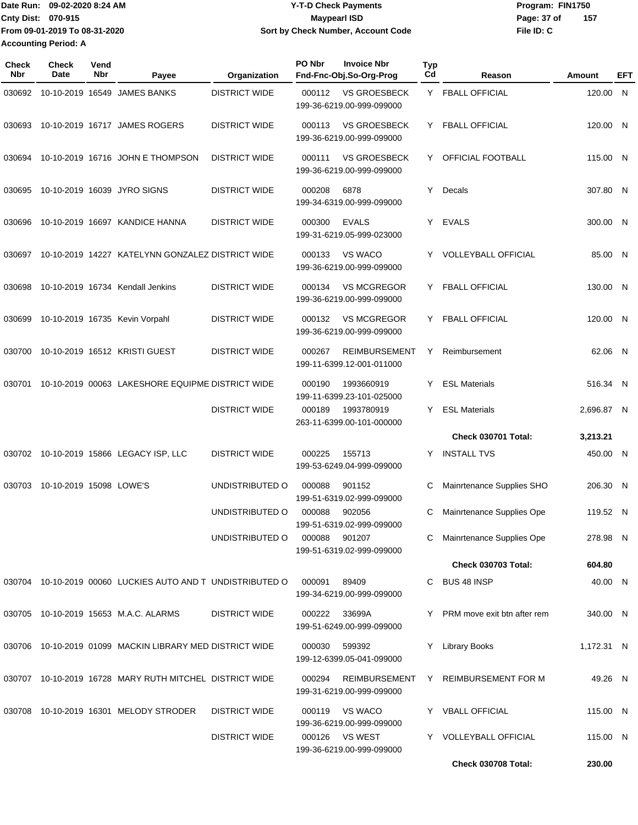Date Run: 09-02-2020 8:24 AM **Program:** FIN1750 **Cnty Dist:** 070-915 **Page: 37 of** Maypearl ISD **CONTEX 150 Page: 37 of File ID: C From 09-01-2019 To 08-31-2020 09-02-2020 8:24 AM Y-T-D Check Payments 070-915 Maypearl ISD Sort by Check Number, Account Code 157 Accounting Period: A**

| <b>Check</b><br>Nbr | <b>Check</b><br>Date    | Vend<br>Nbr | Payee                                                      | Organization         | PO Nbr | <b>Invoice Nbr</b><br>Fnd-Fnc-Obj.So-Org-Prog     | <b>Typ</b><br>Cd | Reason                        | Amount     | EFT |
|---------------------|-------------------------|-------------|------------------------------------------------------------|----------------------|--------|---------------------------------------------------|------------------|-------------------------------|------------|-----|
| 030692              |                         |             | 10-10-2019 16549 JAMES BANKS                               | <b>DISTRICT WIDE</b> | 000112 | <b>VS GROESBECK</b><br>199-36-6219.00-999-099000  |                  | Y FBALL OFFICIAL              | 120.00 N   |     |
| 030693              |                         |             | 10-10-2019 16717 JAMES ROGERS                              | <b>DISTRICT WIDE</b> | 000113 | VS GROESBECK<br>199-36-6219.00-999-099000         |                  | Y FBALL OFFICIAL              | 120.00 N   |     |
| 030694              |                         |             | 10-10-2019 16716 JOHN E THOMPSON                           | <b>DISTRICT WIDE</b> | 000111 | <b>VS GROESBECK</b><br>199-36-6219.00-999-099000  |                  | Y OFFICIAL FOOTBALL           | 115.00 N   |     |
| 030695              |                         |             | 10-10-2019 16039 JYRO SIGNS                                | <b>DISTRICT WIDE</b> | 000208 | 6878<br>199-34-6319.00-999-099000                 | Y.               | Decals                        | 307.80 N   |     |
| 030696              |                         |             | 10-10-2019 16697 KANDICE HANNA                             | <b>DISTRICT WIDE</b> | 000300 | <b>EVALS</b><br>199-31-6219.05-999-023000         |                  | Y EVALS                       | 300.00 N   |     |
| 030697              |                         |             | 10-10-2019 14227 KATELYNN GONZALEZ DISTRICT WIDE           |                      | 000133 | <b>VS WACO</b><br>199-36-6219.00-999-099000       |                  | Y VOLLEYBALL OFFICIAL         | 85.00 N    |     |
| 030698              |                         |             | 10-10-2019 16734 Kendall Jenkins                           | <b>DISTRICT WIDE</b> | 000134 | <b>VS MCGREGOR</b><br>199-36-6219.00-999-099000   |                  | Y FBALL OFFICIAL              | 130.00 N   |     |
| 030699              |                         |             | 10-10-2019 16735 Kevin Vorpahl                             | <b>DISTRICT WIDE</b> | 000132 | <b>VS MCGREGOR</b><br>199-36-6219.00-999-099000   |                  | Y FBALL OFFICIAL              | 120.00 N   |     |
| 030700              |                         |             | 10-10-2019 16512 KRISTI GUEST                              | <b>DISTRICT WIDE</b> | 000267 | <b>REIMBURSEMENT</b><br>199-11-6399.12-001-011000 | Y.               | Reimbursement                 | 62.06 N    |     |
| 030701              |                         |             | 10-10-2019 00063 LAKESHORE EQUIPME DISTRICT WIDE           |                      | 000190 | 1993660919<br>199-11-6399.23-101-025000           | Y.               | <b>ESL Materials</b>          | 516.34 N   |     |
|                     |                         |             |                                                            | <b>DISTRICT WIDE</b> | 000189 | 1993780919<br>263-11-6399.00-101-000000           | Y.               | <b>ESL Materials</b>          | 2,696.87 N |     |
|                     |                         |             |                                                            |                      |        |                                                   |                  | Check 030701 Total:           | 3,213.21   |     |
|                     |                         |             | 030702 10-10-2019 15866 LEGACY ISP, LLC                    | <b>DISTRICT WIDE</b> | 000225 | 155713<br>199-53-6249.04-999-099000               | Y.               | <b>INSTALL TVS</b>            | 450.00 N   |     |
| 030703              | 10-10-2019 15098 LOWE'S |             |                                                            | UNDISTRIBUTED O      | 000088 | 901152<br>199-51-6319.02-999-099000               | C                | Mainrtenance Supplies SHO     | 206.30 N   |     |
|                     |                         |             |                                                            | UNDISTRIBUTED O      | 000088 | 902056<br>199-51-6319.02-999-099000               | C.               | Mainrtenance Supplies Ope     | 119.52 N   |     |
|                     |                         |             |                                                            | UNDISTRIBUTED O      | 000088 | 901207<br>199-51-6319.02-999-099000               |                  | Mainrtenance Supplies Ope     | 278.98 N   |     |
|                     |                         |             |                                                            |                      |        |                                                   |                  | <b>Check 030703 Total:</b>    | 604.80     |     |
|                     |                         |             | 030704 10-10-2019 00060 LUCKIES AUTO AND T UNDISTRIBUTED O |                      | 000091 | 89409<br>199-34-6219.00-999-099000                |                  | C BUS 48 INSP                 | 40.00 N    |     |
|                     |                         |             | 030705 10-10-2019 15653 M.A.C. ALARMS                      | <b>DISTRICT WIDE</b> | 000222 | 33699A<br>199-51-6249.00-999-099000               |                  | Y PRM move exit btn after rem | 340.00 N   |     |
|                     |                         |             | 030706 10-10-2019 01099 MACKIN LIBRARY MED DISTRICT WIDE   |                      | 000030 | 599392<br>199-12-6399.05-041-099000               | Y                | <b>Library Books</b>          | 1,172.31 N |     |
|                     |                         |             | 030707 10-10-2019 16728 MARY RUTH MITCHEL DISTRICT WIDE    |                      | 000294 | <b>REIMBURSEMENT</b><br>199-31-6219.00-999-099000 |                  | Y REIMBURSEMENT FOR M         | 49.26 N    |     |
|                     |                         |             | 030708 10-10-2019 16301 MELODY STRODER                     | <b>DISTRICT WIDE</b> |        | 000119 VS WACO<br>199-36-6219.00-999-099000       |                  | Y VBALL OFFICIAL              | 115.00 N   |     |
|                     |                         |             |                                                            | <b>DISTRICT WIDE</b> |        | 000126 VS WEST<br>199-36-6219.00-999-099000       |                  | Y VOLLEYBALL OFFICIAL         | 115.00 N   |     |
|                     |                         |             |                                                            |                      |        |                                                   |                  | Check 030708 Total:           | 230.00     |     |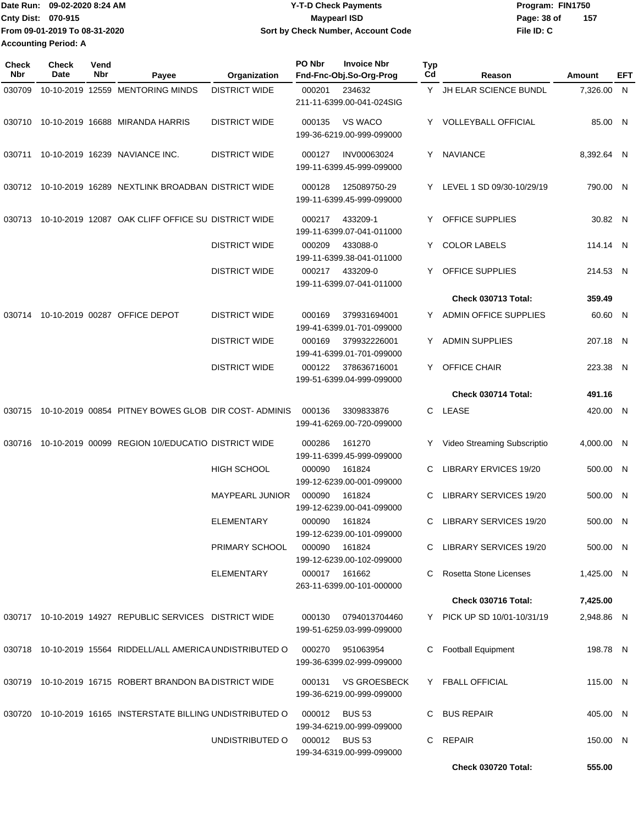|                             | Date Run: 09-02-2020 8:24 AM  | <b>Y-T-D Check Payments</b>        | Program: FIN1750 |     |
|-----------------------------|-------------------------------|------------------------------------|------------------|-----|
| <b>Cnty Dist: 070-915</b>   |                               | Maypearl ISD                       | Page: 38 of      | 157 |
|                             | From 09-01-2019 To 08-31-2020 | Sort by Check Number, Account Code | File ID: C       |     |
| <b>Accounting Period: A</b> |                               |                                    |                  |     |

| <b>Check</b><br>Nbr | Check<br>Date | Vend<br>Nbr | Payee                                                       | Organization           | PO Nbr        | <b>Invoice Nbr</b><br>Fnd-Fnc-Obj.So-Org-Prog    | <b>Typ</b><br>Cd | Reason                       | Amount     | EFT |
|---------------------|---------------|-------------|-------------------------------------------------------------|------------------------|---------------|--------------------------------------------------|------------------|------------------------------|------------|-----|
| 030709              |               |             | 10-10-2019 12559 MENTORING MINDS                            | <b>DISTRICT WIDE</b>   | 000201        | 234632<br>211-11-6399.00-041-024SIG              |                  | Y JH ELAR SCIENCE BUNDL      | 7,326.00   | N   |
| 030710              |               |             | 10-10-2019 16688 MIRANDA HARRIS                             | <b>DISTRICT WIDE</b>   | 000135        | VS WACO<br>199-36-6219.00-999-099000             |                  | Y VOLLEYBALL OFFICIAL        | 85.00 N    |     |
| 030711              |               |             | 10-10-2019 16239 NAVIANCE INC.                              | <b>DISTRICT WIDE</b>   | 000127        | INV00063024<br>199-11-6399.45-999-099000         |                  | Y NAVIANCE                   | 8,392.64 N |     |
| 030712              |               |             | 10-10-2019 16289 NEXTLINK BROADBAN DISTRICT WIDE            |                        | 000128        | 125089750-29<br>199-11-6399.45-999-099000        |                  | Y LEVEL 1 SD 09/30-10/29/19  | 790.00 N   |     |
| 030713              |               |             | 10-10-2019 12087 OAK CLIFF OFFICE SU DISTRICT WIDE          |                        | 000217        | 433209-1<br>199-11-6399.07-041-011000            | Y                | <b>OFFICE SUPPLIES</b>       | 30.82 N    |     |
|                     |               |             |                                                             | <b>DISTRICT WIDE</b>   | 000209        | 433088-0<br>199-11-6399.38-041-011000            | Y                | <b>COLOR LABELS</b>          | 114.14 N   |     |
|                     |               |             |                                                             | <b>DISTRICT WIDE</b>   | 000217        | 433209-0<br>199-11-6399.07-041-011000            | Y                | OFFICE SUPPLIES              | 214.53 N   |     |
|                     |               |             |                                                             |                        |               |                                                  |                  | Check 030713 Total:          | 359.49     |     |
| 030714              |               |             | 10-10-2019 00287 OFFICE DEPOT                               | <b>DISTRICT WIDE</b>   | 000169        | 379931694001<br>199-41-6399.01-701-099000        | Y                | <b>ADMIN OFFICE SUPPLIES</b> | 60.60 N    |     |
|                     |               |             |                                                             | <b>DISTRICT WIDE</b>   | 000169        | 379932226001<br>199-41-6399.01-701-099000        | Y                | <b>ADMIN SUPPLIES</b>        | 207.18 N   |     |
|                     |               |             |                                                             | <b>DISTRICT WIDE</b>   | 000122        | 378636716001<br>199-51-6399.04-999-099000        | Y.               | <b>OFFICE CHAIR</b>          | 223.38 N   |     |
|                     |               |             |                                                             |                        |               |                                                  |                  | Check 030714 Total:          | 491.16     |     |
| 030715              |               |             | 10-10-2019 00854 PITNEY BOWES GLOB DIR COST-ADMINIS         |                        | 000136        | 3309833876<br>199-41-6269.00-720-099000          | C.               | LEASE                        | 420.00 N   |     |
| 030716              |               |             | 10-10-2019 00099 REGION 10/EDUCATIO DISTRICT WIDE           |                        | 000286        | 161270<br>199-11-6399.45-999-099000              | Y                | Video Streaming Subscriptio  | 4,000.00 N |     |
|                     |               |             |                                                             | <b>HIGH SCHOOL</b>     | 000090        | 161824<br>199-12-6239.00-001-099000              | C                | LIBRARY ERVICES 19/20        | 500.00     | - N |
|                     |               |             |                                                             | <b>MAYPEARL JUNIOR</b> | 000090        | 161824<br>199-12-6239.00-041-099000              | C                | LIBRARY SERVICES 19/20       | 500.00     | N   |
|                     |               |             |                                                             | <b>ELEMENTARY</b>      | 000090        | 161824<br>199-12-6239.00-101-099000              | C                | LIBRARY SERVICES 19/20       | 500.00 N   |     |
|                     |               |             |                                                             | PRIMARY SCHOOL         | 000090        | 161824<br>199-12-6239.00-102-099000              |                  | C LIBRARY SERVICES 19/20     | 500.00 N   |     |
|                     |               |             |                                                             | <b>ELEMENTARY</b>      | 000017 161662 | 263-11-6399.00-101-000000                        | C                | Rosetta Stone Licenses       | 1,425.00 N |     |
|                     |               |             |                                                             |                        |               |                                                  |                  | Check 030716 Total:          | 7,425.00   |     |
|                     |               |             | 030717 10-10-2019 14927 REPUBLIC SERVICES DISTRICT WIDE     |                        | 000130        | 0794013704460<br>199-51-6259.03-999-099000       |                  | Y PICK UP SD 10/01-10/31/19  | 2,948.86 N |     |
|                     |               |             | 030718 10-10-2019 15564 RIDDELL/ALL AMERICA UNDISTRIBUTED O |                        | 000270        | 951063954<br>199-36-6399.02-999-099000           | С                | <b>Football Equipment</b>    | 198.78 N   |     |
|                     |               |             | 030719 10-10-2019 16715 ROBERT BRANDON BA DISTRICT WIDE     |                        | 000131        | <b>VS GROESBECK</b><br>199-36-6219.00-999-099000 |                  | Y FBALL OFFICIAL             | 115.00 N   |     |
|                     |               |             | 030720 10-10-2019 16165 INSTERSTATE BILLING UNDISTRIBUTED O |                        | 000012        | <b>BUS 53</b><br>199-34-6219.00-999-099000       | C.               | <b>BUS REPAIR</b>            | 405.00 N   |     |
|                     |               |             |                                                             | UNDISTRIBUTED O        |               | 000012 BUS 53<br>199-34-6319.00-999-099000       | C.               | <b>REPAIR</b>                | 150.00 N   |     |
|                     |               |             |                                                             |                        |               |                                                  |                  | Check 030720 Total:          | 555.00     |     |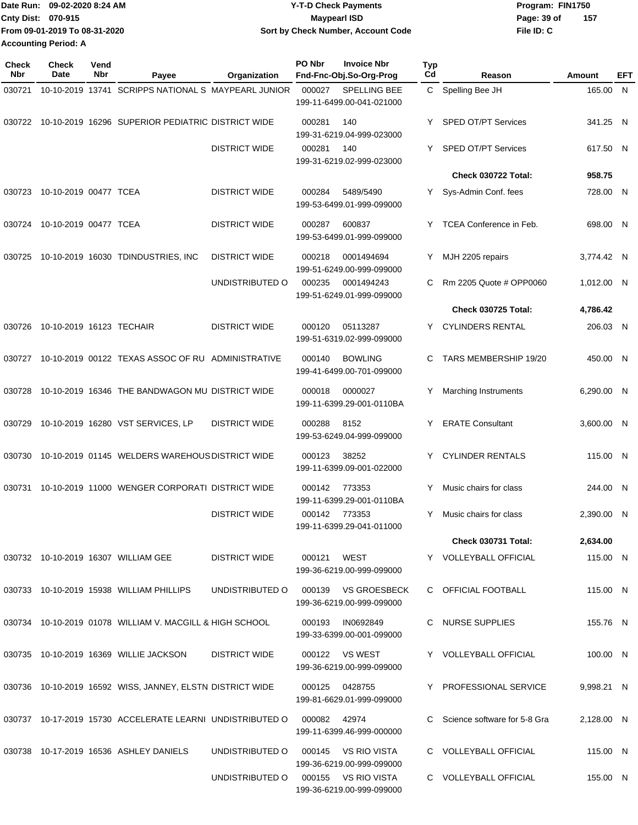|                             | Date Run: 09-02-2020 8:24 AM  | <b>Y-T-D Check Payments</b>               | Program: FIN1750   |  |  |
|-----------------------------|-------------------------------|-------------------------------------------|--------------------|--|--|
| <b>Cnty Dist: 070-915</b>   |                               | <b>Mavpearl ISD</b>                       | 157<br>Page: 39 of |  |  |
|                             | From 09-01-2019 To 08-31-2020 | <b>Sort by Check Number, Account Code</b> | File ID: C         |  |  |
| <b>Accounting Period: A</b> |                               |                                           |                    |  |  |

| <b>Check</b><br>Nbr | <b>Check</b><br>Date         | Vend<br>Nbr | Payee                                                     | Organization         | PO Nbr        | <b>Invoice Nbr</b><br>Fnd-Fnc-Obj.So-Org-Prog    | Typ<br>Cd | Reason                         | Amount     | EFT |
|---------------------|------------------------------|-------------|-----------------------------------------------------------|----------------------|---------------|--------------------------------------------------|-----------|--------------------------------|------------|-----|
| 030721              |                              |             | 10-10-2019 13741 SCRIPPS NATIONAL S MAYPEARL JUNIOR       |                      | 000027        | SPELLING BEE<br>199-11-6499.00-041-021000        |           | C Spelling Bee JH              | 165.00 N   |     |
| 030722              |                              |             | 10-10-2019 16296 SUPERIOR PEDIATRIC DISTRICT WIDE         |                      | 000281        | 140<br>199-31-6219.04-999-023000                 |           | <b>SPED OT/PT Services</b>     | 341.25 N   |     |
|                     |                              |             |                                                           | <b>DISTRICT WIDE</b> | 000281        | 140<br>199-31-6219.02-999-023000                 | Y         | SPED OT/PT Services            | 617.50 N   |     |
|                     |                              |             |                                                           |                      |               |                                                  |           | Check 030722 Total:            | 958.75     |     |
|                     | 030723 10-10-2019 00477 TCEA |             |                                                           | <b>DISTRICT WIDE</b> | 000284        | 5489/5490<br>199-53-6499.01-999-099000           | Y.        | Sys-Admin Conf. fees           | 728.00 N   |     |
| 030724              | 10-10-2019 00477 TCEA        |             |                                                           | <b>DISTRICT WIDE</b> | 000287        | 600837<br>199-53-6499.01-999-099000              | Y         | TCEA Conference in Feb.        | 698.00 N   |     |
| 030725              |                              |             | 10-10-2019 16030 TDINDUSTRIES, INC                        | <b>DISTRICT WIDE</b> | 000218        | 0001494694<br>199-51-6249.00-999-099000          |           | MJH 2205 repairs               | 3,774.42 N |     |
|                     |                              |             |                                                           | UNDISTRIBUTED O      | 000235        | 0001494243<br>199-51-6249.01-999-099000          | C.        | Rm 2205 Quote # OPP0060        | 1,012.00 N |     |
|                     |                              |             |                                                           |                      |               |                                                  |           | <b>Check 030725 Total:</b>     | 4,786.42   |     |
| 030726              | 10-10-2019 16123 TECHAIR     |             |                                                           | <b>DISTRICT WIDE</b> | 000120        | 05113287<br>199-51-6319.02-999-099000            | Y.        | <b>CYLINDERS RENTAL</b>        | 206.03 N   |     |
| 030727              |                              |             | 10-10-2019 00122 TEXAS ASSOC OF RU ADMINISTRATIVE         |                      | 000140        | <b>BOWLING</b><br>199-41-6499.00-701-099000      | C.        | TARS MEMBERSHIP 19/20          | 450.00 N   |     |
| 030728              |                              |             | 10-10-2019 16346 THE BANDWAGON MU DISTRICT WIDE           |                      | 000018        | 0000027<br>199-11-6399.29-001-0110BA             |           | Marching Instruments           | 6,290.00 N |     |
| 030729              |                              |             | 10-10-2019 16280 VST SERVICES, LP                         | <b>DISTRICT WIDE</b> | 000288        | 8152<br>199-53-6249.04-999-099000                | Y         | <b>ERATE Consultant</b>        | 3,600.00 N |     |
| 030730              |                              |             | 10-10-2019 01145 WELDERS WAREHOUS DISTRICT WIDE           |                      | 000123        | 38252<br>199-11-6399.09-001-022000               |           | <b>CYLINDER RENTALS</b>        | 115.00 N   |     |
| 030731              |                              |             | 10-10-2019 11000 WENGER CORPORATI DISTRICT WIDE           |                      | 000142        | 773353<br>199-11-6399.29-001-0110BA              | Y         | Music chairs for class         | 244.00 N   |     |
|                     |                              |             |                                                           | <b>DISTRICT WIDE</b> | 000142 773353 | 199-11-6399.29-041-011000                        | Y         | Music chairs for class         | 2,390.00 N |     |
|                     |                              |             |                                                           |                      |               |                                                  |           | <b>Check 030731 Total:</b>     | 2,634.00   |     |
|                     |                              |             | 030732 10-10-2019 16307 WILLIAM GEE                       | <b>DISTRICT WIDE</b> | 000121        | WEST<br>199-36-6219.00-999-099000                |           | Y VOLLEYBALL OFFICIAL          | 115.00 N   |     |
|                     |                              |             | 030733 10-10-2019 15938 WILLIAM PHILLIPS                  | UNDISTRIBUTED O      | 000139        | VS GROESBECK<br>199-36-6219.00-999-099000        |           | C OFFICIAL FOOTBALL            | 115.00 N   |     |
|                     |                              |             | 030734 10-10-2019 01078 WILLIAM V. MACGILL & HIGH SCHOOL  |                      | 000193        | IN0692849<br>199-33-6399.00-001-099000           |           | C NURSE SUPPLIES               | 155.76 N   |     |
|                     |                              |             | 030735 10-10-2019 16369 WILLIE JACKSON                    | <b>DISTRICT WIDE</b> |               | 000122 VS WEST<br>199-36-6219.00-999-099000      |           | Y VOLLEYBALL OFFICIAL          | 100.00 N   |     |
|                     |                              |             | 030736 10-10-2019 16592 WISS, JANNEY, ELSTN DISTRICT WIDE |                      |               | 000125 0428755<br>199-81-6629.01-999-099000      |           | Y PROFESSIONAL SERVICE         | 9,998.21 N |     |
|                     |                              |             | 030737 10-17-2019 15730 ACCELERATE LEARNI UNDISTRIBUTED O |                      | 000082 42974  | 199-11-6399.46-999-000000                        |           | C Science software for 5-8 Gra | 2,128.00 N |     |
|                     |                              |             | 030738 10-17-2019 16536 ASHLEY DANIELS                    | UNDISTRIBUTED O      | 000145        | VS RIO VISTA<br>199-36-6219.00-999-099000        |           | C VOLLEYBALL OFFICIAL          | 115.00 N   |     |
|                     |                              |             |                                                           | UNDISTRIBUTED O      |               | 000155 VS RIO VISTA<br>199-36-6219.00-999-099000 |           | C VOLLEYBALL OFFICIAL          | 155.00 N   |     |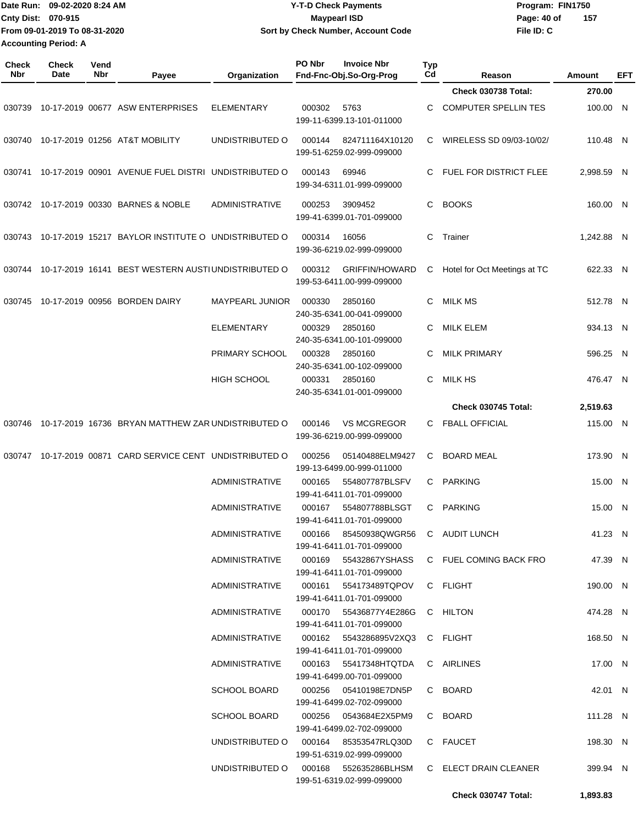|                             | Date Run: 09-02-2020 8:24 AM  |                    |                                |                 | <b>Y-T-D Check Payments</b> |                                               |                    | Program: FIN1750            |          |      |  |
|-----------------------------|-------------------------------|--------------------|--------------------------------|-----------------|-----------------------------|-----------------------------------------------|--------------------|-----------------------------|----------|------|--|
|                             | Cnty Dist: 070-915            |                    |                                |                 | <b>Maypearl ISD</b>         |                                               |                    | 157<br>Page: 40 of          |          |      |  |
|                             | From 09-01-2019 To 08-31-2020 |                    |                                |                 |                             | Sort by Check Number, Account Code            |                    | File ID: C                  |          |      |  |
| <b>Accounting Period: A</b> |                               |                    |                                |                 |                             |                                               |                    |                             |          |      |  |
| <b>Check</b><br><b>Nbr</b>  | <b>Check</b><br>Date          | Vend<br><b>Nbr</b> | Payee                          | Organization    | PO Nbr                      | <b>Invoice Nbr</b><br>Fnd-Fnc-Obj.So-Org-Prog | Typ<br>$_{\rm Cd}$ | Reason                      | Amount   | EFT. |  |
|                             |                               |                    |                                |                 |                             |                                               |                    | <b>Check 030738 Total:</b>  | 270.00   |      |  |
| 030739                      | 10-17-2019 00677              |                    | <b>ASW ENTERPRISES</b>         | ELEMENTARY      | 000302                      | 5763                                          | C.                 | <b>COMPUTER SPELLIN TES</b> | 100.00   | - N  |  |
|                             |                               |                    |                                |                 |                             | 199-11-6399.13-101-011000                     |                    |                             |          |      |  |
| 030740                      |                               |                    | 10-17-2019 01256 AT&T MOBILITY | UNDISTRIBUTED O | 000144                      | 824711164X10120<br>199-51-6259.02-999-099000  | C.                 | WIRELESS SD 09/03-10/02/    | 110.48   | - N  |  |
| 030741                      | 10-17-2019 00901              |                    | AVENUE FUEL DISTRI             | UNDISTRIBUTED O | 000143                      | 69946<br>100.21.0211.01.000.00000             | C.                 | FUEL FOR DISTRICT FLEE      | 2,998.59 | N    |  |

|                                         |                                                                                     |                                       |                |                                                                 | Check 030747 Total:                                                                                            | 1,893.83   |  |
|-----------------------------------------|-------------------------------------------------------------------------------------|---------------------------------------|----------------|-----------------------------------------------------------------|----------------------------------------------------------------------------------------------------------------|------------|--|
|                                         |                                                                                     | UNDISTRIBUTED O 000168 552635286BLHSM |                | 199-51-6319.02-999-099000                                       | C ELECT DRAIN CLEANER                                                                                          | 399.94 N   |  |
|                                         |                                                                                     | UNDISTRIBUTED O 000164 85353547RLQ30D |                | 199-51-6319.02-999-099000                                       | C FAUCET                                                                                                       | 198.30 N   |  |
|                                         |                                                                                     |                                       |                | 199-41-6499.02-702-099000                                       |                                                                                                                |            |  |
|                                         |                                                                                     | <b>SCHOOL BOARD</b>                   |                |                                                                 | C BOARD                                                                                                        | 111.28 N   |  |
|                                         |                                                                                     | <b>SCHOOL BOARD</b>                   |                | 199-41-6499.02-702-099000                                       | C BOARD                                                                                                        | 42.01 N    |  |
|                                         |                                                                                     | <b>ADMINISTRATIVE</b>                 |                | 000163 55417348HTQTDA<br>199-41-6499.00-701-099000              | C AIRLINES                                                                                                     | 17.00 N    |  |
|                                         |                                                                                     | ADMINISTRATIVE                        |                | 000162 5543286895V2XQ3<br>199-41-6411.01-701-099000             | C FLIGHT                                                                                                       | 168.50 N   |  |
|                                         |                                                                                     |                                       |                | 199-41-6411.01-701-099000                                       |                                                                                                                |            |  |
|                                         |                                                                                     | ADMINISTRATIVE                        |                | 199-41-6411.01-701-099000<br>000170  55436877Y4E286G  C  HILTON |                                                                                                                | 474.28 N   |  |
|                                         |                                                                                     | ADMINISTRATIVE                        |                | 000161 554173489TQPOV                                           | C FLIGHT                                                                                                       | 190.00 N   |  |
|                                         |                                                                                     | ADMINISTRATIVE                        |                | 000169 55432867YSHASS<br>199-41-6411.01-701-099000              | C FUEL COMING BACK FRO                                                                                         | 47.39 N    |  |
|                                         |                                                                                     | ADMINISTRATIVE                        | 000166         | 85450938QWGR56<br>199-41-6411.01-701-099000                     | C AUDIT LUNCH                                                                                                  | 41.23 N    |  |
|                                         |                                                                                     | ADMINISTRATIVE                        |                | 000167  554807788BLSGT<br>199-41-6411.01-701-099000             | C PARKING                                                                                                      | 15.00 N    |  |
|                                         |                                                                                     |                                       |                | 199-41-6411.01-701-099000                                       |                                                                                                                |            |  |
|                                         |                                                                                     | ADMINISTRATIVE                        | 000165         | 199-13-6499.00-999-011000<br>554807787BLSFV                     | C PARKING                                                                                                      | 15.00 N    |  |
|                                         | 030747 10-17-2019 00871 CARD SERVICE CENT UNDISTRIBUTED O                           |                                       | 000256         | 05140488ELM9427                                                 | C BOARD MEAL                                                                                                   | 173.90 N   |  |
|                                         | 030746 10-17-2019  16736  BRYAN MATTHEW ZAR UNDISTRIBUTED O  000146  VS MCGREGOR    |                                       |                | 199-36-6219.00-999-099000                                       | C FBALL OFFICIAL                                                                                               | 115.00 N   |  |
|                                         |                                                                                     |                                       |                |                                                                 | <b>Check 030745 Total:</b>                                                                                     | 2,519.63   |  |
|                                         |                                                                                     | HIGH SCHOOL                           |                | 000331 2850160<br>240-35-6341.01-001-099000                     | C MILK HS                                                                                                      | 476.47 N   |  |
|                                         |                                                                                     |                                       |                | 240-35-6341.00-102-099000                                       |                                                                                                                |            |  |
|                                         |                                                                                     | PRIMARY SCHOOL  000328  2850160       |                | 240-35-6341.00-101-099000                                       | C MILK PRIMARY                                                                                                 | 596.25 N   |  |
|                                         |                                                                                     | ELEMENTARY                            | 000329 2850160 | 240-35-6341.00-041-099000                                       | C MILK ELEM                                                                                                    | 934.13 N   |  |
| 030745  10-17-2019  00956  BORDEN DAIRY |                                                                                     | MAYPEARL JUNIOR 000330                |                | 2850160                                                         | C MILK MS                                                                                                      | 512.78 N   |  |
|                                         |                                                                                     |                                       |                | 199-53-6411.00-999-099000                                       | 030744 10-17-2019 16141 BEST WESTERN AUSTIUNDISTRIBUTED O 000312 GRIFFIN/HOWARD C Hotel for Oct Meetings at TC | 622.33 N   |  |
|                                         | 030743  10-17-2019  15217  BAYLOR INSTITUTE O  UNDISTRIBUTED O     000314     16056 |                                       |                | 199-36-6219.02-999-099000                                       | C Trainer                                                                                                      | 1,242.88 N |  |
|                                         | 030742  10-17-2019  00330  BARNES & NOBLE  ADMINISTRATIVE                           |                                       |                | 000253 3909452<br>199-41-6399.01-701-099000                     | C BOOKS                                                                                                        | 160.00 N   |  |
|                                         | 030741 10-17-2019 00901 AVENUE FUEL DISTRI UNDISTRIBUTED O 000143 69946             |                                       |                | 199-34-6311.01-999-099000                                       | C FUEL FOR DISTRICT FLEE                                                                                       | 2,998.59 N |  |
|                                         |                                                                                     |                                       |                | 199-51-6259.02-999-099000                                       |                                                                                                                |            |  |
|                                         | 030740  10-17-2019  01256  AT&T MOBILITY  UNDISTRIBUTED O                           |                                       |                | 199-11-6399.13-101-011000<br>000144  824711164X10120            | C WIRELESS SD 09/03-10/02/                                                                                     | 110.48 N   |  |
|                                         |                                                                                     |                                       |                |                                                                 |                                                                                                                |            |  |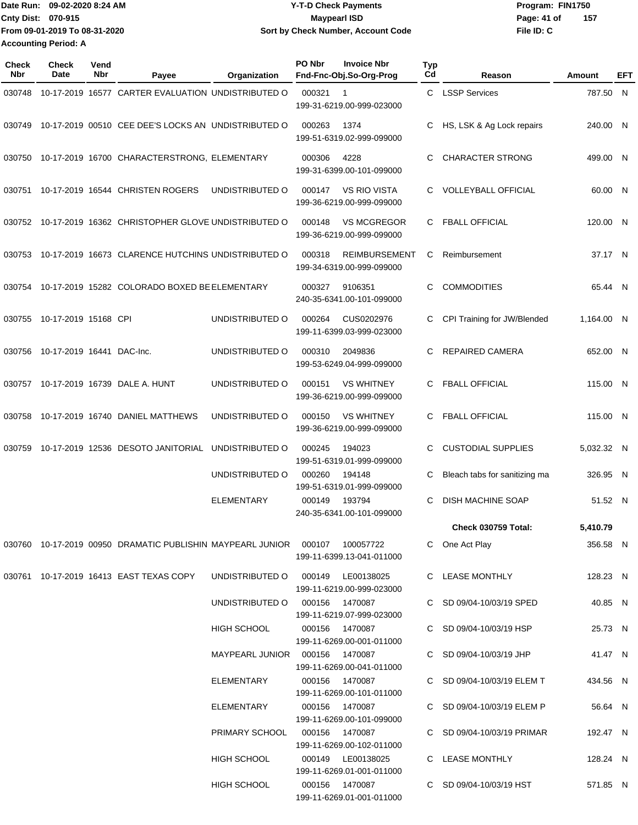Date Run: 09-02-2020 8:24 AM **Date Run:** 09-02-2020 8:24 AM **Program:** FIN1750 **Cnty Dist: Page: 41 of File ID: C From 09-01-2019 To 08-31-2020 09-02-2020 8:24 AM Y-T-D Check Payments 070-915 Maypearl ISD Sort by Check Number, Account Code 157 Accounting Period: A**

| <b>Check</b><br><b>Nbr</b> | <b>Check</b><br>Date             | Vend<br>Nbr | Payee                                                     | Organization                     | PO Nbr         | <b>Invoice Nbr</b><br>Fnd-Fnc-Obj.So-Org-Prog     | <b>Typ</b><br>Cd | Reason                        | Amount     | EFT |
|----------------------------|----------------------------------|-------------|-----------------------------------------------------------|----------------------------------|----------------|---------------------------------------------------|------------------|-------------------------------|------------|-----|
| 030748                     |                                  |             | 10-17-2019 16577 CARTER EVALUATION UNDISTRIBUTED O        |                                  | 000321         | -1<br>199-31-6219.00-999-023000                   | C.               | <b>LSSP Services</b>          | 787.50 N   |     |
| 030749                     |                                  |             | 10-17-2019 00510 CEE DEE'S LOCKS AN UNDISTRIBUTED O       |                                  | 000263         | 1374<br>199-51-6319.02-999-099000                 | C                | HS, LSK & Ag Lock repairs     | 240.00 N   |     |
|                            |                                  |             | 030750 10-17-2019 16700 CHARACTERSTRONG, ELEMENTARY       |                                  | 000306         | 4228<br>199-31-6399.00-101-099000                 | C.               | <b>CHARACTER STRONG</b>       | 499.00 N   |     |
| 030751                     |                                  |             | 10-17-2019 16544 CHRISTEN ROGERS                          | UNDISTRIBUTED O                  | 000147         | <b>VS RIO VISTA</b><br>199-36-6219.00-999-099000  | C.               | <b>VOLLEYBALL OFFICIAL</b>    | 60.00 N    |     |
|                            |                                  |             | 030752 10-17-2019 16362 CHRISTOPHER GLOVE UNDISTRIBUTED O |                                  | 000148         | <b>VS MCGREGOR</b><br>199-36-6219.00-999-099000   | C                | <b>FBALL OFFICIAL</b>         | 120.00 N   |     |
|                            |                                  |             | 030753 10-17-2019 16673 CLARENCE HUTCHINS UNDISTRIBUTED O |                                  | 000318         | <b>REIMBURSEMENT</b><br>199-34-6319.00-999-099000 | C                | Reimbursement                 | 37.17 N    |     |
|                            |                                  |             | 030754 10-17-2019 15282 COLORADO BOXED BE ELEMENTARY      |                                  | 000327         | 9106351<br>240-35-6341.00-101-099000              | C.               | <b>COMMODITIES</b>            | 65.44 N    |     |
|                            | 030755 10-17-2019 15168 CPI      |             |                                                           | UNDISTRIBUTED O                  | 000264         | CUS0202976<br>199-11-6399.03-999-023000           | C                | CPI Training for JW/Blended   | 1,164.00 N |     |
|                            | 030756 10-17-2019 16441 DAC-Inc. |             |                                                           | UNDISTRIBUTED O                  | 000310         | 2049836<br>199-53-6249.04-999-099000              | C                | <b>REPAIRED CAMERA</b>        | 652.00 N   |     |
|                            |                                  |             | 030757 10-17-2019 16739 DALE A. HUNT                      | UNDISTRIBUTED O                  | 000151         | <b>VS WHITNEY</b><br>199-36-6219.00-999-099000    | C                | <b>FBALL OFFICIAL</b>         | 115.00 N   |     |
| 030758                     |                                  |             | 10-17-2019 16740 DANIEL MATTHEWS                          | UNDISTRIBUTED O                  | 000150         | <b>VS WHITNEY</b><br>199-36-6219.00-999-099000    | C.               | <b>FBALL OFFICIAL</b>         | 115.00 N   |     |
| 030759                     |                                  |             | 10-17-2019 12536 DESOTO JANITORIAL                        | UNDISTRIBUTED O                  | 000245         | 194023<br>199-51-6319.01-999-099000               | C                | <b>CUSTODIAL SUPPLIES</b>     | 5,032.32 N |     |
|                            |                                  |             |                                                           | UNDISTRIBUTED O                  | 000260         | 194148<br>199-51-6319.01-999-099000               | C                | Bleach tabs for sanitizing ma | 326.95 N   |     |
|                            |                                  |             |                                                           | <b>ELEMENTARY</b>                | 000149         | 193794<br>240-35-6341.00-101-099000               | C                | DISH MACHINE SOAP             | 51.52 N    |     |
|                            |                                  |             |                                                           |                                  |                |                                                   |                  | Check 030759 Total:           | 5,410.79   |     |
|                            |                                  |             |                                                           |                                  |                | 100057722<br>199-11-6399.13-041-011000            |                  | C One Act Play                | 356.58 N   |     |
|                            |                                  |             | 030761 10-17-2019 16413 EAST TEXAS COPY                   | UNDISTRIBUTED O                  |                | 000149 LE00138025<br>199-11-6219.00-999-023000    |                  | C LEASE MONTHLY               | 128.23 N   |     |
|                            |                                  |             |                                                           | UNDISTRIBUTED O                  | 000156 1470087 | 199-11-6219.07-999-023000                         |                  | C SD 09/04-10/03/19 SPED      | 40.85 N    |     |
|                            |                                  |             |                                                           | HIGH SCHOOL                      |                | 000156 1470087<br>199-11-6269.00-001-011000       |                  | C SD 09/04-10/03/19 HSP       | 25.73 N    |     |
|                            |                                  |             |                                                           | MAYPEARL JUNIOR  000156  1470087 |                | 199-11-6269.00-041-011000                         |                  | C SD 09/04-10/03/19 JHP       | 41.47 N    |     |
|                            |                                  |             |                                                           | ELEMENTARY                       |                | 000156 1470087<br>199-11-6269.00-101-011000       |                  | C SD 09/04-10/03/19 ELEM T    | 434.56 N   |     |
|                            |                                  |             |                                                           | ELEMENTARY                       |                | 000156 1470087<br>199-11-6269.00-101-099000       |                  | C SD 09/04-10/03/19 ELEM P    | 56.64 N    |     |
|                            |                                  |             |                                                           | PRIMARY SCHOOL                   |                | 000156 1470087<br>199-11-6269.00-102-011000       |                  | C SD 09/04-10/03/19 PRIMAR    | 192.47 N   |     |
|                            |                                  |             |                                                           | <b>HIGH SCHOOL</b>               |                | 000149 LE00138025<br>199-11-6269.01-001-011000    |                  | C LEASE MONTHLY               | 128.24 N   |     |
|                            |                                  |             |                                                           | HIGH SCHOOL                      |                | 000156 1470087<br>199-11-6269.01-001-011000       |                  | C SD 09/04-10/03/19 HST       | 571.85 N   |     |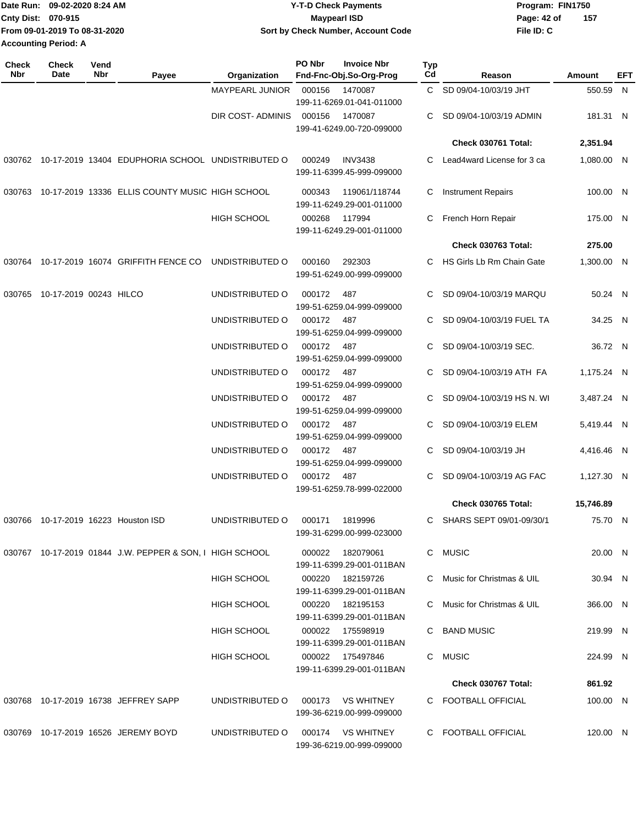| IDate Run: 09-02-2020 8:24 AM | <b>Y-T-D Check Payments</b>        | Program: FIN1750   |  |  |
|-------------------------------|------------------------------------|--------------------|--|--|
| <b>Cnty Dist: 070-915</b>     | <b>Mavpearl ISD</b>                | 157<br>Page: 42 of |  |  |
| From 09-01-2019 To 08-31-2020 | Sort by Check Number, Account Code | File ID: C         |  |  |
| <b>Accounting Period: A</b>   |                                    |                    |  |  |

| <b>Check</b><br>Nbr | Check<br>Date                 | Vend<br>Nbr | Payee                                                    | Organization                       | PO Nbr               | <b>Invoice Nbr</b><br>Fnd-Fnc-Obj.So-Org-Prog  | <b>Typ</b><br>Cd | Reason                                           | Amount                   | EFT |
|---------------------|-------------------------------|-------------|----------------------------------------------------------|------------------------------------|----------------------|------------------------------------------------|------------------|--------------------------------------------------|--------------------------|-----|
|                     |                               |             |                                                          | MAYPEARL JUNIOR                    | 000156               | 1470087<br>199-11-6269.01-041-011000           |                  | C SD 09/04-10/03/19 JHT                          | 550.59 N                 |     |
|                     |                               |             |                                                          | DIR COST- ADMINIS                  | 000156               | 1470087<br>199-41-6249.00-720-099000           | C.               | SD 09/04-10/03/19 ADMIN                          | 181.31 N                 |     |
|                     |                               |             |                                                          |                                    |                      |                                                |                  | Check 030761 Total:                              | 2,351.94                 |     |
|                     |                               |             | 030762 10-17-2019 13404 EDUPHORIA SCHOOL UNDISTRIBUTED O |                                    | 000249               | <b>INV3438</b><br>199-11-6399.45-999-099000    | C.               | Lead4ward License for 3 ca                       | 1,080.00 N               |     |
|                     |                               |             | 030763 10-17-2019 13336 ELLIS COUNTY MUSIC HIGH SCHOOL   |                                    | 000343               | 119061/118744<br>199-11-6249.29-001-011000     | C                | <b>Instrument Repairs</b>                        | 100.00 N                 |     |
|                     |                               |             |                                                          | HIGH SCHOOL                        | 000268               | 117994<br>199-11-6249.29-001-011000            | C.               | French Horn Repair                               | 175.00 N                 |     |
|                     |                               |             |                                                          |                                    |                      |                                                |                  | Check 030763 Total:                              | 275.00                   |     |
| 030764              |                               |             | 10-17-2019 16074 GRIFFITH FENCE CO                       | UNDISTRIBUTED O                    | 000160               | 292303<br>199-51-6249.00-999-099000            | C.               | HS Girls Lb Rm Chain Gate                        | 1,300.00 N               |     |
|                     | 030765 10-17-2019 00243 HILCO |             |                                                          | UNDISTRIBUTED O                    | 000172               | 487<br>199-51-6259.04-999-099000               |                  | SD 09/04-10/03/19 MARQU                          | 50.24 N                  |     |
|                     |                               |             |                                                          | UNDISTRIBUTED O                    | 000172               | 487<br>199-51-6259.04-999-099000               | C                | SD 09/04-10/03/19 FUEL TA                        | 34.25 N                  |     |
|                     |                               |             |                                                          | UNDISTRIBUTED O                    | 000172               | 487<br>199-51-6259.04-999-099000               |                  | SD 09/04-10/03/19 SEC.                           | 36.72 N                  |     |
|                     |                               |             |                                                          | UNDISTRIBUTED O                    | 000172               | 487<br>199-51-6259.04-999-099000               |                  | SD 09/04-10/03/19 ATH FA                         | 1,175.24 N               |     |
|                     |                               |             |                                                          | UNDISTRIBUTED O                    | 000172               | 487<br>199-51-6259.04-999-099000               | C.               | SD 09/04-10/03/19 HS N. WI                       | 3,487.24 N               |     |
|                     |                               |             |                                                          | UNDISTRIBUTED O                    | 000172               | 487<br>199-51-6259.04-999-099000               | C.               | SD 09/04-10/03/19 ELEM                           | 5,419.44 N               |     |
|                     |                               |             |                                                          | UNDISTRIBUTED O<br>UNDISTRIBUTED O | 000172 487<br>000172 | 199-51-6259.04-999-099000                      | C<br>C.          | SD 09/04-10/03/19 JH<br>SD 09/04-10/03/19 AG FAC | 4,416.46 N<br>1,127.30 N |     |
|                     |                               |             |                                                          |                                    |                      | 487<br>199-51-6259.78-999-022000               |                  | Check 030765 Total:                              | 15,746.89                |     |
|                     |                               |             |                                                          |                                    |                      |                                                |                  |                                                  |                          |     |
|                     |                               |             | 030766 10-17-2019 16223 Houston ISD                      | UNDISTRIBUTED O                    | 000171               | 1819996<br>199-31-6299.00-999-023000           |                  | C SHARS SEPT 09/01-09/30/1                       | 75.70 N                  |     |
|                     |                               |             | 030767 10-17-2019 01844 J.W. PEPPER & SON, I HIGH SCHOOL |                                    |                      | 000022 182079061<br>199-11-6399.29-001-011BAN  |                  | C MUSIC                                          | 20.00 N                  |     |
|                     |                               |             |                                                          | <b>HIGH SCHOOL</b>                 | 000220               | 182159726<br>199-11-6399.29-001-011BAN         |                  | C Music for Christmas & UIL                      | 30.94 N                  |     |
|                     |                               |             |                                                          | <b>HIGH SCHOOL</b>                 |                      | 000220 182195153<br>199-11-6399.29-001-011BAN  |                  | C Music for Christmas & UIL                      | 366.00 N                 |     |
|                     |                               |             |                                                          | <b>HIGH SCHOOL</b>                 |                      | 000022 175598919<br>199-11-6399.29-001-011BAN  |                  | C BAND MUSIC                                     | 219.99 N                 |     |
|                     |                               |             |                                                          | <b>HIGH SCHOOL</b>                 |                      | 000022 175497846<br>199-11-6399.29-001-011BAN  |                  | C MUSIC                                          | 224.99 N                 |     |
|                     |                               |             |                                                          |                                    |                      |                                                |                  | Check 030767 Total:                              | 861.92                   |     |
|                     |                               |             | 030768 10-17-2019 16738 JEFFREY SAPP                     | UNDISTRIBUTED O                    |                      | 000173 VS WHITNEY<br>199-36-6219.00-999-099000 |                  | C FOOTBALL OFFICIAL                              | 100.00 N                 |     |
|                     |                               |             | 030769 10-17-2019 16526 JEREMY BOYD                      | UNDISTRIBUTED O                    |                      | 000174 VS WHITNEY<br>199-36-6219.00-999-099000 |                  | C FOOTBALL OFFICIAL                              | 120.00 N                 |     |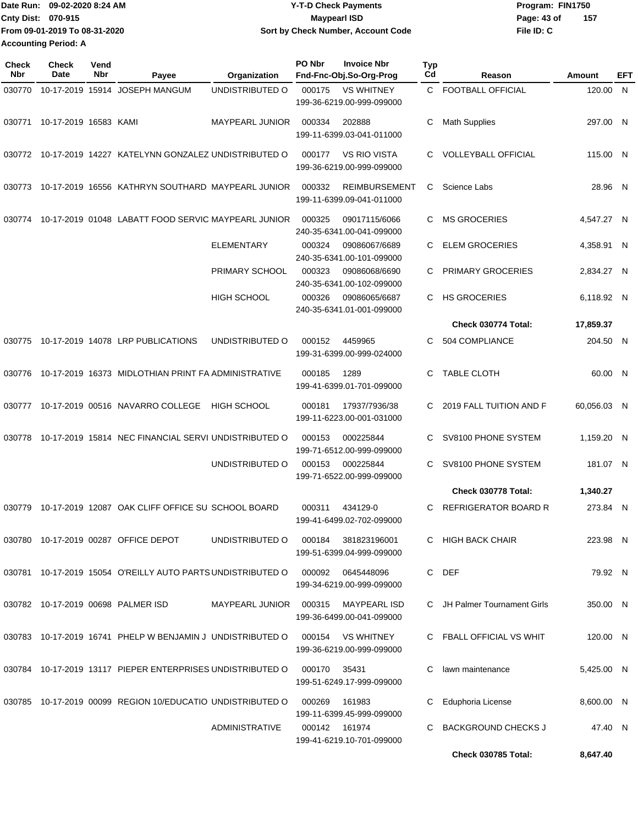|                             | Date Run: 09-02-2020 8:24 AM  | <b>Y-T-D Check Payments</b>        | Program: FIN1750 |     |  |  |
|-----------------------------|-------------------------------|------------------------------------|------------------|-----|--|--|
| Cnty Dist: 070-915          |                               | Maypearl ISD                       | Page: 43 of      | 157 |  |  |
|                             | From 09-01-2019 To 08-31-2020 | Sort by Check Number, Account Code | File ID: C       |     |  |  |
| <b>Accounting Period: A</b> |                               |                                    |                  |     |  |  |

**PO Nbr Invoice Nbr**

| <b>Check</b><br><b>Nbr</b> | <b>Check</b><br>Date  | Vend<br>Nbr | Payee                                                       | Organization           | PO Nbr        | <b>Invoice Nbr</b><br>Fnd-Fnc-Obj.So-Org-Prog     | <b>Typ</b><br>Cd | Reason                       | Amount      | EFT |
|----------------------------|-----------------------|-------------|-------------------------------------------------------------|------------------------|---------------|---------------------------------------------------|------------------|------------------------------|-------------|-----|
| 030770                     |                       |             | 10-17-2019 15914 JOSEPH MANGUM                              | UNDISTRIBUTED O        | 000175        | <b>VS WHITNEY</b><br>199-36-6219.00-999-099000    |                  | C FOOTBALL OFFICIAL          | 120.00 N    |     |
| 030771                     | 10-17-2019 16583 KAMI |             |                                                             | <b>MAYPEARL JUNIOR</b> | 000334        | 202888<br>199-11-6399.03-041-011000               | C                | <b>Math Supplies</b>         | 297.00 N    |     |
|                            |                       |             | 030772 10-17-2019 14227 KATELYNN GONZALEZ UNDISTRIBUTED O   |                        | 000177        | <b>VS RIO VISTA</b><br>199-36-6219.00-999-099000  | C                | <b>VOLLEYBALL OFFICIAL</b>   | 115.00 N    |     |
| 030773                     |                       |             | 10-17-2019 16556 KATHRYN SOUTHARD MAYPEARL JUNIOR           |                        | 000332        | <b>REIMBURSEMENT</b><br>199-11-6399.09-041-011000 | C                | Science Labs                 | 28.96 N     |     |
| 030774                     |                       |             | 10-17-2019 01048 LABATT FOOD SERVIC MAYPEARL JUNIOR         |                        | 000325        | 09017115/6066<br>240-35-6341.00-041-099000        | C                | <b>MS GROCERIES</b>          | 4,547.27 N  |     |
|                            |                       |             |                                                             | <b>ELEMENTARY</b>      | 000324        | 09086067/6689<br>240-35-6341.00-101-099000        | C                | <b>ELEM GROCERIES</b>        | 4,358.91 N  |     |
|                            |                       |             |                                                             | PRIMARY SCHOOL         | 000323        | 09086068/6690<br>240-35-6341.00-102-099000        | C.               | PRIMARY GROCERIES            | 2,834.27 N  |     |
|                            |                       |             |                                                             | <b>HIGH SCHOOL</b>     | 000326        | 09086065/6687<br>240-35-6341.01-001-099000        | C.               | <b>HS GROCERIES</b>          | 6,118.92 N  |     |
|                            |                       |             |                                                             |                        |               |                                                   |                  | Check 030774 Total:          | 17,859.37   |     |
| 030775                     |                       |             | 10-17-2019 14078 LRP PUBLICATIONS                           | UNDISTRIBUTED O        | 000152        | 4459965<br>199-31-6399.00-999-024000              | C.               | 504 COMPLIANCE               | 204.50 N    |     |
| 030776                     |                       |             | 10-17-2019 16373 MIDLOTHIAN PRINT FA ADMINISTRATIVE         |                        | 000185        | 1289<br>199-41-6399.01-701-099000                 | C                | <b>TABLE CLOTH</b>           | 60.00 N     |     |
| 030777                     |                       |             | 10-17-2019 00516 NAVARRO COLLEGE                            | <b>HIGH SCHOOL</b>     | 000181        | 17937/7936/38<br>199-11-6223.00-001-031000        | C.               | 2019 FALL TUITION AND F      | 60,056.03 N |     |
| 030778                     |                       |             | 10-17-2019 15814 NEC FINANCIAL SERVI UNDISTRIBUTED O        |                        | 000153        | 000225844<br>199-71-6512.00-999-099000            | C                | SV8100 PHONE SYSTEM          | 1,159.20 N  |     |
|                            |                       |             |                                                             | UNDISTRIBUTED O        | 000153        | 000225844<br>199-71-6522.00-999-099000            | C.               | SV8100 PHONE SYSTEM          | 181.07 N    |     |
|                            |                       |             |                                                             |                        |               |                                                   |                  | Check 030778 Total:          | 1,340.27    |     |
| 030779                     |                       |             | 10-17-2019 12087 OAK CLIFF OFFICE SU SCHOOL BOARD           |                        | 000311        | 434129-0<br>199-41-6499.02-702-099000             | C.               | <b>REFRIGERATOR BOARD R</b>  | 273.84 N    |     |
|                            |                       |             | 030780 10-17-2019 00287 OFFICE DEPOT                        | UNDISTRIBUTED O        |               | 000184 381823196001<br>199-51-6399.04-999-099000  |                  | C HIGH BACK CHAIR            | 223.98 N    |     |
|                            |                       |             | 030781 10-17-2019 15054 O'REILLY AUTO PARTS UNDISTRIBUTED O |                        | 000092        | 0645448096<br>199-34-6219.00-999-099000           |                  | C DEF                        | 79.92 N     |     |
|                            |                       |             | 030782 10-17-2019 00698 PALMER ISD                          | MAYPEARL JUNIOR        | 000315        | MAYPEARL ISD<br>199-36-6499.00-041-099000         |                  | C JH Palmer Tournament Girls | 350.00 N    |     |
|                            |                       |             | 030783 10-17-2019 16741 PHELP W BENJAMIN J UNDISTRIBUTED O  |                        |               | 000154 VS WHITNEY<br>199-36-6219.00-999-099000    |                  | C FBALL OFFICIAL VS WHIT     | 120.00 N    |     |
|                            |                       |             | 030784 10-17-2019 13117 PIEPER ENTERPRISES UNDISTRIBUTED O  |                        | 000170        | 35431<br>199-51-6249.17-999-099000                | C                | lawn maintenance             | 5,425.00 N  |     |
|                            |                       |             | 030785 10-17-2019 00099 REGION 10/EDUCATIO UNDISTRIBUTED O  |                        | 000269        | 161983<br>199-11-6399.45-999-099000               | C                | Eduphoria License            | 8,600.00 N  |     |
|                            |                       |             |                                                             | <b>ADMINISTRATIVE</b>  | 000142 161974 | 199-41-6219.10-701-099000                         | C                | <b>BACKGROUND CHECKS J</b>   | 47.40 N     |     |
|                            |                       |             |                                                             |                        |               |                                                   |                  | <b>Check 030785 Total:</b>   | 8,647.40    |     |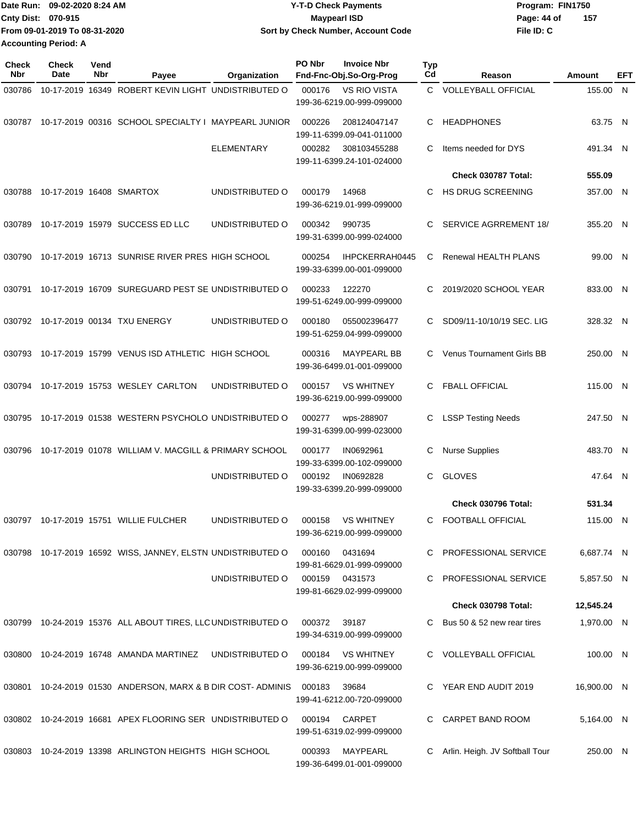| Date Run: 09-02-2020 8:24 AM  | <b>Y-T-D Check Payments</b>        | Program: FIN1750   |
|-------------------------------|------------------------------------|--------------------|
| Cnty Dist: 070-915            | <b>Mavpearl ISD</b>                | 157<br>Page: 44 of |
| From 09-01-2019 To 08-31-2020 | Sort by Check Number, Account Code | File ID: C         |
| <b>Accounting Period: A</b>   |                                    |                    |

| <b>Check</b><br>Nbr | <b>Check</b><br>Date     | Vend<br><b>Nbr</b> | Payee                                                        | Organization      | PO Nbr | <b>Invoice Nbr</b><br>Fnd-Fnc-Obj.So-Org-Prog    | Typ<br>Cd    | Reason                           | Amount      | EFT |
|---------------------|--------------------------|--------------------|--------------------------------------------------------------|-------------------|--------|--------------------------------------------------|--------------|----------------------------------|-------------|-----|
| 030786              |                          |                    | 10-17-2019 16349 ROBERT KEVIN LIGHT UNDISTRIBUTED O          |                   | 000176 | <b>VS RIO VISTA</b><br>199-36-6219.00-999-099000 | $\mathbf{C}$ | <b>VOLLEYBALL OFFICIAL</b>       | 155.00 N    |     |
| 030787              |                          |                    | 10-17-2019 00316 SCHOOL SPECIALTY I MAYPEARL JUNIOR          |                   | 000226 | 208124047147<br>199-11-6399.09-041-011000        | C            | <b>HEADPHONES</b>                | 63.75 N     |     |
|                     |                          |                    |                                                              | <b>ELEMENTARY</b> | 000282 | 308103455288<br>199-11-6399.24-101-024000        | C            | Items needed for DYS             | 491.34 N    |     |
|                     |                          |                    |                                                              |                   |        |                                                  |              | Check 030787 Total:              | 555.09      |     |
| 030788              | 10-17-2019 16408 SMARTOX |                    |                                                              | UNDISTRIBUTED O   | 000179 | 14968<br>199-36-6219.01-999-099000               | C.           | <b>HS DRUG SCREENING</b>         | 357.00 N    |     |
| 030789              |                          |                    | 10-17-2019 15979 SUCCESS ED LLC                              | UNDISTRIBUTED O   | 000342 | 990735<br>199-31-6399.00-999-024000              | C            | <b>SERVICE AGRREMENT 18/</b>     | 355.20 N    |     |
| 030790              |                          |                    | 10-17-2019 16713 SUNRISE RIVER PRES HIGH SCHOOL              |                   | 000254 | IHPCKERRAH0445<br>199-33-6399.00-001-099000      | C            | Renewal HEALTH PLANS             | 99.00 N     |     |
| 030791              |                          |                    | 10-17-2019 16709 SUREGUARD PEST SE UNDISTRIBUTED O           |                   | 000233 | 122270<br>199-51-6249.00-999-099000              | C            | 2019/2020 SCHOOL YEAR            | 833.00 N    |     |
|                     |                          |                    | 030792 10-17-2019 00134 TXU ENERGY                           | UNDISTRIBUTED O   | 000180 | 055002396477<br>199-51-6259.04-999-099000        | C            | SD09/11-10/10/19 SEC. LIG        | 328.32 N    |     |
| 030793              |                          |                    | 10-17-2019 15799 VENUS ISD ATHLETIC HIGH SCHOOL              |                   | 000316 | <b>MAYPEARL BB</b><br>199-36-6499.01-001-099000  | C.           | <b>Venus Tournament Girls BB</b> | 250.00 N    |     |
| 030794              |                          |                    | 10-17-2019 15753 WESLEY CARLTON                              | UNDISTRIBUTED O   | 000157 | <b>VS WHITNEY</b><br>199-36-6219.00-999-099000   | C.           | <b>FBALL OFFICIAL</b>            | 115.00 N    |     |
| 030795              |                          |                    | 10-17-2019 01538 WESTERN PSYCHOLO UNDISTRIBUTED O            |                   | 000277 | wps-288907<br>199-31-6399.00-999-023000          | C            | <b>LSSP Testing Needs</b>        | 247.50 N    |     |
| 030796              |                          |                    | 10-17-2019 01078 WILLIAM V. MACGILL & PRIMARY SCHOOL         |                   | 000177 | IN0692961<br>199-33-6399.00-102-099000           | С            | <b>Nurse Supplies</b>            | 483.70 N    |     |
|                     |                          |                    |                                                              | UNDISTRIBUTED O   | 000192 | IN0692828<br>199-33-6399.20-999-099000           | C            | <b>GLOVES</b>                    | 47.64 N     |     |
|                     |                          |                    |                                                              |                   |        |                                                  |              | Check 030796 Total:              | 531.34      |     |
|                     |                          |                    | 030797 10-17-2019 15751 WILLIE FULCHER                       | UNDISTRIBUTED O   | 000158 | <b>VS WHITNEY</b><br>199-36-6219.00-999-099000   | C            | <b>FOOTBALL OFFICIAL</b>         | 115.00 N    |     |
|                     |                          |                    | 030798 10-17-2019 16592 WISS, JANNEY, ELSTN UNDISTRIBUTED O  |                   | 000160 | 0431694<br>199-81-6629.01-999-099000             | C.           | <b>PROFESSIONAL SERVICE</b>      | 6,687.74 N  |     |
|                     |                          |                    |                                                              | UNDISTRIBUTED O   |        | 000159 0431573<br>199-81-6629.02-999-099000      | C            | PROFESSIONAL SERVICE             | 5,857.50 N  |     |
|                     |                          |                    |                                                              |                   |        |                                                  |              | Check 030798 Total:              | 12,545.24   |     |
|                     |                          |                    | 030799 10-24-2019 15376 ALL ABOUT TIRES, LLC UNDISTRIBUTED O |                   | 000372 | 39187<br>199-34-6319.00-999-099000               | C.           | Bus 50 & 52 new rear tires       | 1,970.00 N  |     |
|                     |                          |                    |                                                              |                   | 000184 | VS WHITNEY<br>199-36-6219.00-999-099000          |              | C VOLLEYBALL OFFICIAL            | 100.00 N    |     |
| 030801              |                          |                    | 10-24-2019 01530 ANDERSON, MARX & B DIR COST-ADMINIS         |                   | 000183 | 39684<br>199-41-6212.00-720-099000               |              | YEAR END AUDIT 2019              | 16,900.00 N |     |
|                     |                          |                    | 030802 10-24-2019 16681 APEX FLOORING SER UNDISTRIBUTED O    |                   | 000194 | <b>CARPET</b><br>199-51-6319.02-999-099000       | C.           | CARPET BAND ROOM                 | 5,164.00 N  |     |
|                     |                          |                    | 030803 10-24-2019 13398 ARLINGTON HEIGHTS HIGH SCHOOL        |                   | 000393 | MAYPEARL<br>199-36-6499.01-001-099000            | C            | Arlin. Heigh. JV Softball Tour   | 250.00 N    |     |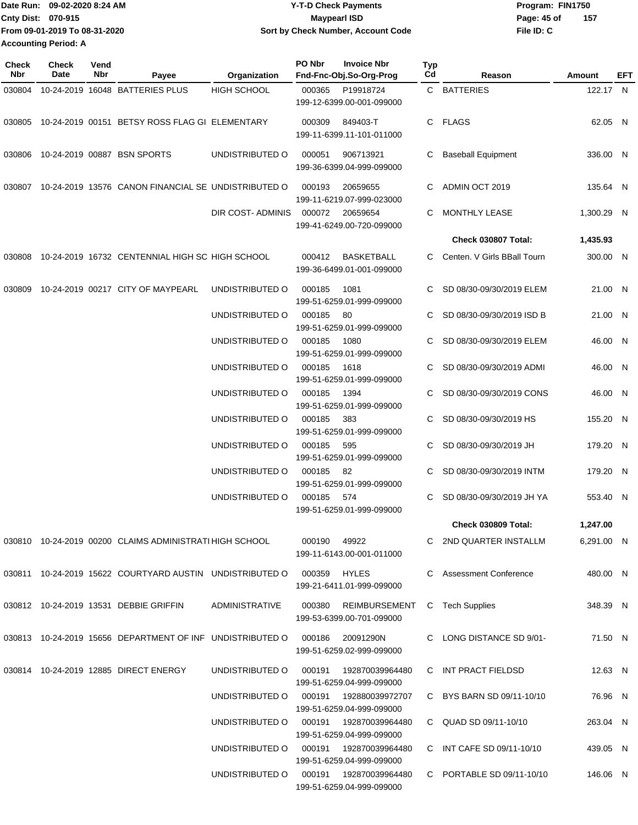Date Run: 09-02-2020 8:24 AM **Date Run:** 09-02-2020 8:24 AM **Program:** FIN1750 **Cnty Dist:** 070-915 **Page: 45 of MaypearI ISD Page: 45 of File ID: C From 09-01-2019 To 08-31-2020 09-02-2020 8:24 AM Y-T-D Check Payments 070-915 Maypearl ISD Sort by Check Number, Account Code 157 Accounting Period: A**

| Check<br><b>Nbr</b> | Check<br>Date | Vend<br>Nbr | Payee                                                                      | Organization           | PO Nbr       | <b>Invoice Nbr</b><br>Fnd-Fnc-Obj.So-Org-Prog        | Typ<br>Cd | Reason                      | Amount     | EFT |
|---------------------|---------------|-------------|----------------------------------------------------------------------------|------------------------|--------------|------------------------------------------------------|-----------|-----------------------------|------------|-----|
| 030804              |               |             | 10-24-2019 16048 BATTERIES PLUS                                            | <b>HIGH SCHOOL</b>     | 000365       | P19918724<br>199-12-6399.00-001-099000               |           | C BATTERIES                 | 122.17 N   |     |
| 030805              |               |             | 10-24-2019 00151 BETSY ROSS FLAG GI ELEMENTARY                             |                        | 000309       | 849403-T<br>199-11-6399.11-101-011000                |           | C FLAGS                     | 62.05 N    |     |
| 030806              |               |             | 10-24-2019 00887 BSN SPORTS                                                | UNDISTRIBUTED O        | 000051       | 906713921<br>199-36-6399.04-999-099000               | C         | <b>Baseball Equipment</b>   | 336.00 N   |     |
| 030807              |               |             | 10-24-2019 13576 CANON FINANCIAL SE UNDISTRIBUTED O                        |                        | 000193       | 20659655<br>199-11-6219.07-999-023000                | C         | ADMIN OCT 2019              | 135.64 N   |     |
|                     |               |             |                                                                            | DIR COST- ADMINIS      | 000072       | 20659654<br>199-41-6249.00-720-099000                | C         | <b>MONTHLY LEASE</b>        | 1,300.29 N |     |
|                     |               |             |                                                                            |                        |              |                                                      |           | Check 030807 Total:         | 1,435.93   |     |
| 030808              |               |             | 10-24-2019 16732 CENTENNIAL HIGH SC HIGH SCHOOL                            |                        | 000412       | BASKETBALL<br>199-36-6499.01-001-099000              | C         | Centen. V Girls BBall Tourn | 300.00 N   |     |
| 030809              |               |             | 10-24-2019 00217 CITY OF MAYPEARL                                          | UNDISTRIBUTED O        | 000185       | 1081<br>199-51-6259.01-999-099000                    | C         | SD 08/30-09/30/2019 ELEM    | 21.00 N    |     |
|                     |               |             |                                                                            | UNDISTRIBUTED O        | 000185       | 80<br>199-51-6259.01-999-099000                      |           | SD 08/30-09/30/2019 ISD B   | 21.00 N    |     |
|                     |               |             |                                                                            | UNDISTRIBUTED O        | 000185       | 1080<br>199-51-6259.01-999-099000                    |           | SD 08/30-09/30/2019 ELEM    | 46.00 N    |     |
|                     |               |             |                                                                            | UNDISTRIBUTED O        | 000185       | 1618<br>199-51-6259.01-999-099000                    |           | SD 08/30-09/30/2019 ADMI    | 46.00 N    |     |
|                     |               |             |                                                                            | UNDISTRIBUTED O        | 000185       | 1394<br>199-51-6259.01-999-099000                    | C         | SD 08/30-09/30/2019 CONS    | 46.00 N    |     |
|                     |               |             |                                                                            | UNDISTRIBUTED O        | 000185       | 383<br>199-51-6259.01-999-099000                     |           | SD 08/30-09/30/2019 HS      | 155.20 N   |     |
|                     |               |             |                                                                            | UNDISTRIBUTED O        | 000185       | 595<br>199-51-6259.01-999-099000                     | C         | SD 08/30-09/30/2019 JH      | 179.20 N   |     |
|                     |               |             |                                                                            | UNDISTRIBUTED O        | 000185       | 82<br>199-51-6259.01-999-099000                      | C         | SD 08/30-09/30/2019 INTM    | 179.20 N   |     |
|                     |               |             |                                                                            | UNDISTRIBUTED O        | 000185       | 574<br>199-51-6259.01-999-099000                     | C         | SD 08/30-09/30/2019 JH YA   | 553.40 N   |     |
|                     |               |             |                                                                            |                        |              |                                                      |           | <b>Check 030809 Total:</b>  | 1,247.00   |     |
|                     |               |             | 030810 10-24-2019 00200 CLAIMS ADMINISTRATI HIGH SCHOOL                    |                        | 000190 49922 | 199-11-6143.00-001-011000                            |           | C 2ND QUARTER INSTALLM      | 6.291.00 N |     |
|                     |               |             | 030811 10-24-2019 15622 COURTYARD AUSTIN UNDISTRIBUTED O 000359 HYLES      |                        |              | 199-21-6411.01-999-099000                            |           | C Assessment Conference     | 480.00 N   |     |
|                     |               |             | 030812 10-24-2019 13531 DEBBIE GRIFFIN                                     | ADMINISTRATIVE         | 000380       | REIMBURSEMENT<br>199-53-6399.00-701-099000           | C         | <b>Tech Supplies</b>        | 348.39 N   |     |
|                     |               |             | 030813 10-24-2019 15656 DEPARTMENT OF INF UNDISTRIBUTED O 000186 20091290N |                        |              | 199-51-6259.02-999-099000                            |           | C LONG DISTANCE SD 9/01-    | 71.50 N    |     |
|                     |               |             | 030814 10-24-2019 12885 DIRECT ENERGY                                      | UNDISTRIBUTED O        |              | 199-51-6259.04-999-099000                            |           | C INT PRACT FIELDSD         | 12.63 N    |     |
|                     |               |             |                                                                            | UNDISTRIBUTED O        |              | 000191  192880039972707<br>199-51-6259.04-999-099000 |           | C BYS BARN SD 09/11-10/10   | 76.96 N    |     |
|                     |               |             |                                                                            | UNDISTRIBUTED O        |              | 000191  192870039964480<br>199-51-6259.04-999-099000 |           | C QUAD SD 09/11-10/10       | 263.04 N   |     |
|                     |               |             |                                                                            | UNDISTRIBUTED O 000191 |              | 192870039964480<br>199-51-6259.04-999-099000         |           | C INT CAFE SD 09/11-10/10   | 439.05 N   |     |
|                     |               |             |                                                                            |                        |              | 199-51-6259.04-999-099000                            |           | C PORTABLE SD 09/11-10/10   | 146.06 N   |     |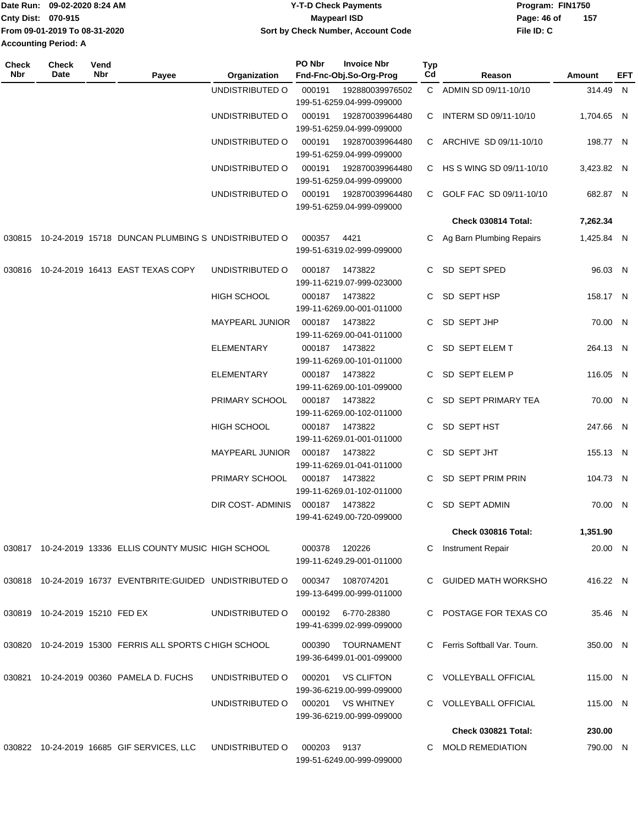|                             | Date Run: 09-02-2020 8:24 AM  | <b>Y-T-D Check Payments</b>        | Program: FIN1750 |     |  |  |
|-----------------------------|-------------------------------|------------------------------------|------------------|-----|--|--|
| <b>Cnty Dist: 070-915</b>   |                               | <b>Mavpearl ISD</b>                | Page: 46 of      | 157 |  |  |
|                             | From 09-01-2019 To 08-31-2020 | Sort by Check Number, Account Code | File ID: C       |     |  |  |
| <b>Accounting Period: A</b> |                               |                                    |                  |     |  |  |

| Check<br>Nbr | <b>Check</b><br>Date           | Vend<br>Nbr | Payee                                                      | Organization           | PO Nbr | <b>Invoice Nbr</b><br>Fnd-Fnc-Obj.So-Org-Prog  | Typ<br>Cd | Reason                        | Amount     | EFT |
|--------------|--------------------------------|-------------|------------------------------------------------------------|------------------------|--------|------------------------------------------------|-----------|-------------------------------|------------|-----|
|              |                                |             |                                                            | UNDISTRIBUTED O        | 000191 | 192880039976502<br>199-51-6259.04-999-099000   |           | C ADMIN SD 09/11-10/10        | 314.49 N   |     |
|              |                                |             |                                                            | UNDISTRIBUTED O        | 000191 | 192870039964480<br>199-51-6259.04-999-099000   | C.        | INTERM SD 09/11-10/10         | 1,704.65 N |     |
|              |                                |             |                                                            | UNDISTRIBUTED O        | 000191 | 192870039964480<br>199-51-6259.04-999-099000   |           | C ARCHIVE SD 09/11-10/10      | 198.77 N   |     |
|              |                                |             |                                                            | UNDISTRIBUTED O        | 000191 | 192870039964480<br>199-51-6259.04-999-099000   |           | C HS S WING SD 09/11-10/10    | 3,423.82 N |     |
|              |                                |             |                                                            | UNDISTRIBUTED O        | 000191 | 192870039964480<br>199-51-6259.04-999-099000   |           | C GOLF FAC SD 09/11-10/10     | 682.87 N   |     |
|              |                                |             |                                                            |                        |        |                                                |           | Check 030814 Total:           | 7,262.34   |     |
|              |                                |             | 030815 10-24-2019 15718 DUNCAN PLUMBING S UNDISTRIBUTED O  |                        | 000357 | 4421<br>199-51-6319.02-999-099000              |           | Ag Barn Plumbing Repairs      | 1,425.84 N |     |
|              |                                |             | 030816 10-24-2019 16413 EAST TEXAS COPY                    | UNDISTRIBUTED O        | 000187 | 1473822<br>199-11-6219.07-999-023000           | C.        | SD SEPT SPED                  | 96.03 N    |     |
|              |                                |             |                                                            | <b>HIGH SCHOOL</b>     | 000187 | 1473822<br>199-11-6269.00-001-011000           | C.        | SD SEPT HSP                   | 158.17 N   |     |
|              |                                |             |                                                            | MAYPEARL JUNIOR        | 000187 | 1473822<br>199-11-6269.00-041-011000           | C.        | SD SEPT JHP                   | 70.00 N    |     |
|              |                                |             |                                                            | <b>ELEMENTARY</b>      | 000187 | 1473822<br>199-11-6269.00-101-011000           |           | C SD SEPT ELEM T              | 264.13 N   |     |
|              |                                |             |                                                            | <b>ELEMENTARY</b>      | 000187 | 1473822<br>199-11-6269.00-101-099000           |           | C SD SEPT ELEM P              | 116.05 N   |     |
|              |                                |             |                                                            | PRIMARY SCHOOL         | 000187 | 1473822<br>199-11-6269.00-102-011000           |           | C SD SEPT PRIMARY TEA         | 70.00 N    |     |
|              |                                |             |                                                            | <b>HIGH SCHOOL</b>     | 000187 | 1473822<br>199-11-6269.01-001-011000           | C.        | SD SEPT HST                   | 247.66 N   |     |
|              |                                |             |                                                            | <b>MAYPEARL JUNIOR</b> | 000187 | 1473822<br>199-11-6269.01-041-011000           | C.        | SD SEPT JHT                   | 155.13 N   |     |
|              |                                |             |                                                            | PRIMARY SCHOOL         | 000187 | 1473822<br>199-11-6269.01-102-011000           |           | SD SEPT PRIM PRIN             | 104.73 N   |     |
|              |                                |             |                                                            | DIR COST-ADMINIS       | 000187 | 1473822<br>199-41-6249.00-720-099000           | C.        | <b>SD SEPT ADMIN</b>          | 70.00 N    |     |
|              |                                |             |                                                            |                        |        |                                                |           | Check 030816 Total:           | 1,351.90   |     |
|              |                                |             | 030817 10-24-2019 13336 ELLIS COUNTY MUSIC HIGH SCHOOL     |                        | 000378 | 120226<br>199-11-6249.29-001-011000            | C         | <b>Instrument Repair</b>      | 20.00 N    |     |
|              |                                |             | 030818 10-24-2019 16737 EVENTBRITE: GUIDED UNDISTRIBUTED O |                        | 000347 | 1087074201<br>199-13-6499.00-999-011000        |           | C GUIDED MATH WORKSHO         | 416.22 N   |     |
|              | 030819 10-24-2019 15210 FED EX |             |                                                            | UNDISTRIBUTED O        | 000192 | 6-770-28380<br>199-41-6399.02-999-099000       |           | POSTAGE FOR TEXAS CO          | 35.46 N    |     |
| 030820       |                                |             | 10-24-2019 15300 FERRIS ALL SPORTS CHIGH SCHOOL            |                        | 000390 | <b>TOURNAMENT</b><br>199-36-6499.01-001-099000 |           | C Ferris Softball Var. Tourn. | 350.00 N   |     |
|              |                                |             | 030821 10-24-2019 00360 PAMELA D. FUCHS                    | UNDISTRIBUTED O        | 000201 | <b>VS CLIFTON</b><br>199-36-6219.00-999-099000 |           | C VOLLEYBALL OFFICIAL         | 115.00 N   |     |
|              |                                |             |                                                            | UNDISTRIBUTED O        | 000201 | <b>VS WHITNEY</b><br>199-36-6219.00-999-099000 |           | C VOLLEYBALL OFFICIAL         | 115.00 N   |     |
|              |                                |             |                                                            |                        |        |                                                |           | Check 030821 Total:           | 230.00     |     |
|              |                                |             | 030822 10-24-2019 16685 GIF SERVICES, LLC                  | UNDISTRIBUTED O        | 000203 | 9137<br>199-51-6249.00-999-099000              | C.        | <b>MOLD REMEDIATION</b>       | 790.00 N   |     |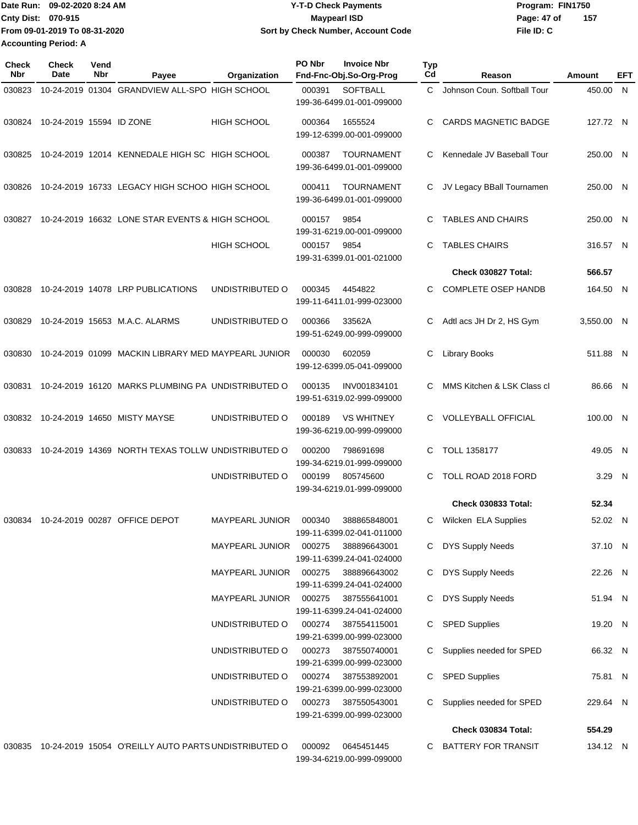| <b>Date Run:</b>            | 09-02-2020 8:24 AM            | <b>Y-T-D Check Payments</b>        | Program: FIN1750     |  |  |
|-----------------------------|-------------------------------|------------------------------------|----------------------|--|--|
| <b>Cnty Dist: 070-915</b>   | Maypearl ISD                  |                                    | - 157<br>Page: 47 of |  |  |
|                             | From 09-01-2019 To 08-31-2020 | Sort by Check Number, Account Code | File ID: C           |  |  |
| <b>Accounting Period: A</b> |                               |                                    |                      |  |  |

| Check<br>Nbr | Check<br><b>Date</b>     | Vend<br>Nbr | Payee                                                | Organization                       | PO Nbr           | <b>Invoice Nbr</b><br>Fnd-Fnc-Obj.So-Org-Prog             | <b>Typ</b><br>Cd | Reason                                           | Amount              | EFT          |
|--------------|--------------------------|-------------|------------------------------------------------------|------------------------------------|------------------|-----------------------------------------------------------|------------------|--------------------------------------------------|---------------------|--------------|
| 030823       |                          |             | 10-24-2019 01304 GRANDVIEW ALL-SPO HIGH SCHOOL       |                                    | 000391           | <b>SOFTBALL</b><br>199-36-6499.01-001-099000              | C.               | Johnson Coun. Softball Tour                      | 450.00              | $\mathsf{N}$ |
| 030824       | 10-24-2019 15594 ID ZONE |             |                                                      | <b>HIGH SCHOOL</b>                 | 000364           | 1655524<br>199-12-6399.00-001-099000                      | С                | <b>CARDS MAGNETIC BADGE</b>                      | 127.72 N            |              |
| 030825       |                          |             | 10-24-2019 12014 KENNEDALE HIGH SC HIGH SCHOOL       |                                    | 000387           | <b>TOURNAMENT</b><br>199-36-6499.01-001-099000            | С                | Kennedale JV Baseball Tour                       | 250.00 N            |              |
| 030826       |                          |             | 10-24-2019 16733 LEGACY HIGH SCHOO HIGH SCHOOL       |                                    | 000411           | <b>TOURNAMENT</b><br>199-36-6499.01-001-099000            | С                | JV Legacy BBall Tournamen                        | 250.00 N            |              |
| 030827       |                          |             | 10-24-2019 16632 LONE STAR EVENTS & HIGH SCHOOL      |                                    | 000157           | 9854<br>199-31-6219.00-001-099000                         | С                | <b>TABLES AND CHAIRS</b>                         | 250.00 N            |              |
|              |                          |             |                                                      | <b>HIGH SCHOOL</b>                 | 000157           | 9854<br>199-31-6399.01-001-021000                         | С                | <b>TABLES CHAIRS</b>                             | 316.57 N            |              |
|              |                          |             |                                                      |                                    |                  |                                                           |                  | Check 030827 Total:                              | 566.57              |              |
| 030828       |                          |             | 10-24-2019 14078 LRP PUBLICATIONS                    | UNDISTRIBUTED O                    | 000345           | 4454822<br>199-11-6411.01-999-023000                      | С                | <b>COMPLETE OSEP HANDB</b>                       | 164.50 N            |              |
| 030829       |                          |             | 10-24-2019 15653 M.A.C. ALARMS                       | UNDISTRIBUTED O                    | 000366           | 33562A<br>199-51-6249.00-999-099000                       | С                | Adtl acs JH Dr 2, HS Gym                         | 3,550.00 N          |              |
| 030830       |                          |             | 10-24-2019 01099 MACKIN LIBRARY MED MAYPEARL JUNIOR  |                                    | 000030           | 602059<br>199-12-6399.05-041-099000                       | С                | Library Books                                    | 511.88 N            |              |
| 030831       |                          |             | 10-24-2019 16120 MARKS PLUMBING PA UNDISTRIBUTED O   |                                    | 000135           | INV001834101<br>199-51-6319.02-999-099000                 | С                | MMS Kitchen & LSK Class cl                       | 86.66 N             |              |
| 030832       |                          |             | 10-24-2019 14650 MISTY MAYSE                         | UNDISTRIBUTED O                    | 000189           | <b>VS WHITNEY</b><br>199-36-6219.00-999-099000            | С                | <b>VOLLEYBALL OFFICIAL</b>                       | 100.00 N            |              |
| 030833       |                          |             | 10-24-2019 14369 NORTH TEXAS TOLLW UNDISTRIBUTED O   |                                    | 000200           | 798691698<br>199-34-6219.01-999-099000                    | С                | <b>TOLL 1358177</b>                              | 49.05 N             |              |
|              |                          |             |                                                      | UNDISTRIBUTED O                    | 000199           | 805745600<br>199-34-6219.01-999-099000                    | С                | TOLL ROAD 2018 FORD                              | 3.29 N              |              |
|              |                          |             |                                                      |                                    |                  |                                                           |                  | <b>Check 030833 Total:</b>                       | 52.34               |              |
| 030834       |                          |             | 10-24-2019 00287 OFFICE DEPOT                        | <b>MAYPEARL JUNIOR</b>             | 000340           | 388865848001<br>199-11-6399.02-041-011000                 | C.               | Wilcken ELA Supplies                             | 52.02 N             |              |
|              |                          |             |                                                      | MAYPEARL JUNIOR                    | 000275           | 388896643001<br>199-11-6399.24-041-024000                 |                  | C DYS Supply Needs                               | 37.10 N             |              |
|              |                          |             |                                                      | MAYPEARL JUNIOR                    | 000275           | 388896643002<br>199-11-6399.24-041-024000                 | С                | <b>DYS Supply Needs</b>                          | 22.26 N             |              |
|              |                          |             |                                                      | MAYPEARL JUNIOR                    | 000275           | 387555641001<br>199-11-6399.24-041-024000                 | C.               | <b>DYS Supply Needs</b>                          | 51.94 N             |              |
|              |                          |             |                                                      | UNDISTRIBUTED O                    | 000274           | 387554115001<br>199-21-6399.00-999-023000                 | C.               | <b>SPED Supplies</b>                             | 19.20 N             |              |
|              |                          |             |                                                      | UNDISTRIBUTED O<br>UNDISTRIBUTED O | 000273           | 387550740001<br>199-21-6399.00-999-023000                 |                  | Supplies needed for SPED                         | 66.32 N             |              |
|              |                          |             |                                                      | UNDISTRIBUTED O                    | 000274<br>000273 | 387553892001<br>199-21-6399.00-999-023000<br>387550543001 | C.<br>C          | <b>SPED Supplies</b><br>Supplies needed for SPED | 75.81 N<br>229.64 N |              |
|              |                          |             |                                                      |                                    |                  | 199-21-6399.00-999-023000                                 |                  | Check 030834 Total:                              | 554.29              |              |
|              |                          |             |                                                      |                                    |                  |                                                           |                  |                                                  |                     |              |
| 030835       |                          |             | 10-24-2019 15054 O'REILLY AUTO PARTS UNDISTRIBUTED O |                                    | 000092           | 0645451445<br>199-34-6219.00-999-099000                   | C.               | BATTERY FOR TRANSIT                              | 134.12 N            |              |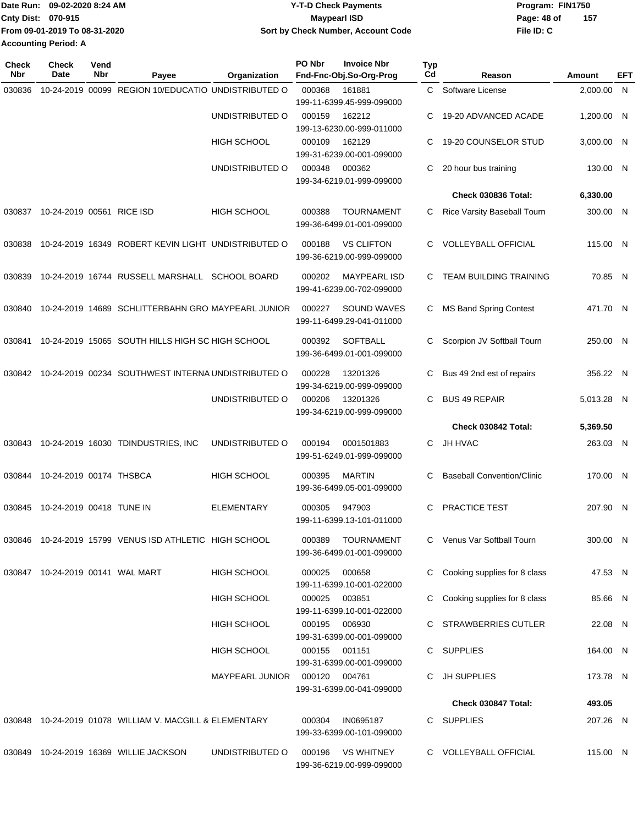|                             | Date Run: 09-02-2020 8:24 AM  | <b>Y-T-D Check Payments</b>        | Program: FIN1750   |
|-----------------------------|-------------------------------|------------------------------------|--------------------|
| <b>Cnty Dist: 070-915</b>   |                               | Maypearl ISD                       | 157<br>Page: 48 of |
|                             | From 09-01-2019 To 08-31-2020 | Sort by Check Number, Account Code | File ID: C         |
| <b>Accounting Period: A</b> |                               |                                    |                    |

| <b>Check</b><br>Nbr | Check<br>Date                    | Vend<br>Nbr | Payee                                                     | Organization       | PO Nbr        | <b>Invoice Nbr</b><br>Fnd-Fnc-Obj.So-Org-Prog  | <b>Typ</b><br>Cd | Reason                            | Amount     | EFT |
|---------------------|----------------------------------|-------------|-----------------------------------------------------------|--------------------|---------------|------------------------------------------------|------------------|-----------------------------------|------------|-----|
| 030836              |                                  |             | 10-24-2019 00099 REGION 10/EDUCATIO UNDISTRIBUTED O       |                    | 000368        | 161881                                         | C.               | Software License                  | 2,000.00 N |     |
|                     |                                  |             |                                                           |                    |               | 199-11-6399.45-999-099000                      |                  |                                   |            |     |
|                     |                                  |             |                                                           | UNDISTRIBUTED O    | 000159        | 162212                                         | С                | 19-20 ADVANCED ACADE              | 1.200.00 N |     |
|                     |                                  |             |                                                           |                    |               | 199-13-6230.00-999-011000                      |                  |                                   |            |     |
|                     |                                  |             |                                                           | HIGH SCHOOL        | 000109        | 162129                                         | С                | 19-20 COUNSELOR STUD              | 3,000.00 N |     |
|                     |                                  |             |                                                           | UNDISTRIBUTED O    | 000348        | 199-31-6239.00-001-099000<br>000362            | С                | 20 hour bus training              |            |     |
|                     |                                  |             |                                                           |                    |               | 199-34-6219.01-999-099000                      |                  |                                   | 130.00 N   |     |
|                     |                                  |             |                                                           |                    |               |                                                |                  | Check 030836 Total:               | 6,330.00   |     |
|                     |                                  |             |                                                           |                    |               |                                                |                  |                                   |            |     |
| 030837              | 10-24-2019 00561 RICE ISD        |             |                                                           | <b>HIGH SCHOOL</b> | 000388        | <b>TOURNAMENT</b><br>199-36-6499.01-001-099000 | C                | Rice Varsity Baseball Tourn       | 300.00 N   |     |
|                     |                                  |             |                                                           |                    |               |                                                |                  |                                   |            |     |
| 030838              |                                  |             | 10-24-2019 16349 ROBERT KEVIN LIGHT UNDISTRIBUTED O       |                    | 000188        | <b>VS CLIFTON</b>                              | С                | <b>VOLLEYBALL OFFICIAL</b>        | 115.00 N   |     |
|                     |                                  |             |                                                           |                    |               | 199-36-6219.00-999-099000                      |                  |                                   |            |     |
| 030839              |                                  |             | 10-24-2019 16744 RUSSELL MARSHALL SCHOOL BOARD            |                    | 000202        | <b>MAYPEARL ISD</b>                            | C                | <b>TEAM BUILDING TRAINING</b>     | 70.85 N    |     |
|                     |                                  |             |                                                           |                    |               | 199-41-6239.00-702-099000                      |                  |                                   |            |     |
| 030840              |                                  |             | 10-24-2019 14689 SCHLITTERBAHN GRO MAYPEARL JUNIOR        |                    | 000227        | SOUND WAVES                                    | С                | <b>MS Band Spring Contest</b>     | 471.70 N   |     |
|                     |                                  |             |                                                           |                    |               | 199-11-6499.29-041-011000                      |                  |                                   |            |     |
| 030841              |                                  |             | 10-24-2019 15065 SOUTH HILLS HIGH SC HIGH SCHOOL          |                    |               | <b>SOFTBALL</b>                                | С                | Scorpion JV Softball Tourn        | 250.00 N   |     |
|                     |                                  |             |                                                           |                    | 000392        | 199-36-6499.01-001-099000                      |                  |                                   |            |     |
|                     |                                  |             |                                                           |                    |               |                                                |                  |                                   |            |     |
|                     |                                  |             | 030842 10-24-2019 00234 SOUTHWEST INTERNA UNDISTRIBUTED O |                    | 000228        | 13201326                                       | С                | Bus 49 2nd est of repairs         | 356.22 N   |     |
|                     |                                  |             |                                                           |                    |               | 199-34-6219.00-999-099000                      | C                | <b>BUS 49 REPAIR</b>              |            |     |
|                     |                                  |             |                                                           | UNDISTRIBUTED O    | 000206        | 13201326<br>199-34-6219.00-999-099000          |                  |                                   | 5,013.28 N |     |
|                     |                                  |             |                                                           |                    |               |                                                |                  | Check 030842 Total:               | 5,369.50   |     |
| 030843              |                                  |             | 10-24-2019 16030 TDINDUSTRIES, INC                        | UNDISTRIBUTED O    | 000194        | 0001501883                                     | C                | JH HVAC                           | 263.03 N   |     |
|                     |                                  |             |                                                           |                    |               | 199-51-6249.01-999-099000                      |                  |                                   |            |     |
|                     |                                  |             |                                                           |                    |               |                                                |                  |                                   |            |     |
| 030844              | 10-24-2019 00174 THSBCA          |             |                                                           | <b>HIGH SCHOOL</b> | 000395        | <b>MARTIN</b>                                  | С                | <b>Baseball Convention/Clinic</b> | 170.00 N   |     |
|                     |                                  |             |                                                           |                    |               | 199-36-6499.05-001-099000                      |                  |                                   |            |     |
| 030845              | 10-24-2019 00418 TUNE IN         |             |                                                           | <b>ELEMENTARY</b>  | 000305        | 947903                                         | С                | PRACTICE TEST                     | 207.90 N   |     |
|                     |                                  |             |                                                           |                    |               | 199-11-6399.13-101-011000                      |                  |                                   |            |     |
|                     |                                  |             | 030846 10-24-2019 15799 VENUS ISD ATHLETIC HIGH SCHOOL    |                    | 000389        | TOURNAMENT                                     |                  | C Venus Var Softball Tourn        | 300.00 N   |     |
|                     |                                  |             |                                                           |                    |               | 199-36-6499.01-001-099000                      |                  |                                   |            |     |
|                     | 030847 10-24-2019 00141 WAL MART |             |                                                           | <b>HIGH SCHOOL</b> | 000025        | 000658                                         | С                | Cooking supplies for 8 class      | 47.53 N    |     |
|                     |                                  |             |                                                           |                    |               | 199-11-6399.10-001-022000                      |                  |                                   |            |     |
|                     |                                  |             |                                                           | HIGH SCHOOL        | 000025        | 003851                                         | С                | Cooking supplies for 8 class      | 85.66 N    |     |
|                     |                                  |             |                                                           |                    |               | 199-11-6399.10-001-022000                      |                  |                                   |            |     |
|                     |                                  |             |                                                           | HIGH SCHOOL        | 000195        | 006930                                         |                  | C STRAWBERRIES CUTLER             | 22.08 N    |     |
|                     |                                  |             |                                                           |                    |               | 199-31-6399.00-001-099000                      |                  |                                   |            |     |
|                     |                                  |             |                                                           | HIGH SCHOOL        | 000155        | 001151                                         |                  | C SUPPLIES                        | 164.00 N   |     |
|                     |                                  |             |                                                           |                    |               | 199-31-6399.00-001-099000                      |                  |                                   |            |     |
|                     |                                  |             |                                                           | MAYPEARL JUNIOR    | 000120 004761 |                                                | C                | JH SUPPLIES                       | 173.78 N   |     |
|                     |                                  |             |                                                           |                    |               | 199-31-6399.00-041-099000                      |                  |                                   |            |     |
|                     |                                  |             |                                                           |                    |               |                                                |                  | Check 030847 Total:               | 493.05     |     |
|                     |                                  |             | 030848 10-24-2019 01078 WILLIAM V. MACGILL & ELEMENTARY   |                    | 000304        | IN0695187                                      |                  | C SUPPLIES                        | 207.26 N   |     |
|                     |                                  |             |                                                           |                    |               | 199-33-6399.00-101-099000                      |                  |                                   |            |     |
|                     |                                  |             | 030849 10-24-2019 16369 WILLIE JACKSON                    | UNDISTRIBUTED O    | 000196        | VS WHITNEY                                     |                  | C VOLLEYBALL OFFICIAL             | 115.00 N   |     |
|                     |                                  |             |                                                           |                    |               | 199-36-6219.00-999-099000                      |                  |                                   |            |     |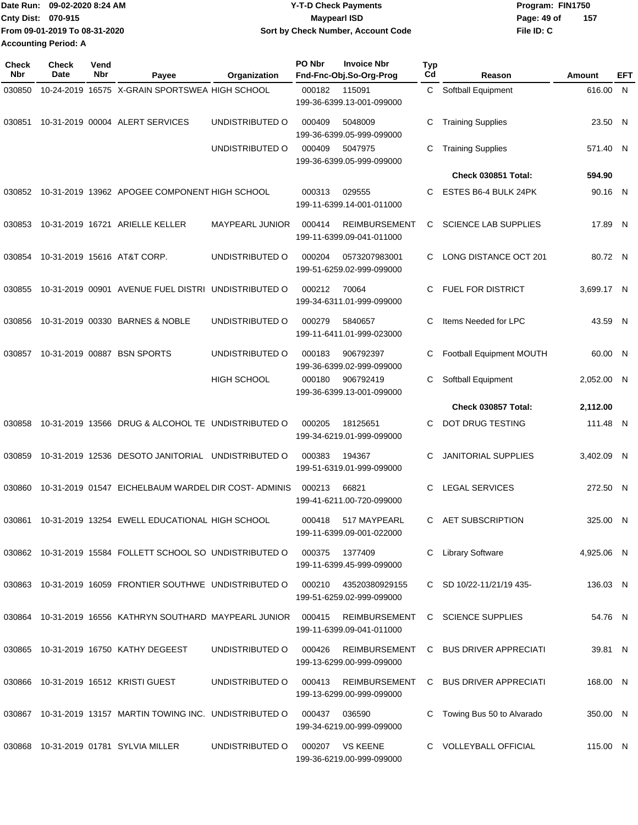|                             | Date Run: 09-02-2020 8:24 AM  | <b>Y-T-D Check Payments</b>        | Program: FIN1750   |  |  |  |
|-----------------------------|-------------------------------|------------------------------------|--------------------|--|--|--|
| <b>Cnty Dist: 070-915</b>   |                               | <b>Mavpearl ISD</b>                | 157<br>Page: 49 of |  |  |  |
|                             | From 09-01-2019 To 08-31-2020 | Sort by Check Number, Account Code | File ID: C         |  |  |  |
| <b>Accounting Period: A</b> |                               |                                    |                    |  |  |  |

| <b>Check</b><br>Nbr | <b>Check</b><br><b>Date</b> | Vend<br>Nbr | Payee                                                               | Organization           | PO Nbr | <b>Invoice Nbr</b><br>Fnd-Fnc-Obj.So-Org-Prog     | <b>Typ</b><br>Cd | Reason                      | Amount     | EFT |
|---------------------|-----------------------------|-------------|---------------------------------------------------------------------|------------------------|--------|---------------------------------------------------|------------------|-----------------------------|------------|-----|
| 030850              |                             |             | 10-24-2019 16575 X-GRAIN SPORTSWEA HIGH SCHOOL                      |                        | 000182 | 115091<br>199-36-6399.13-001-099000               | C.               | Softball Equipment          | 616.00 N   |     |
| 030851              |                             |             | 10-31-2019 00004 ALERT SERVICES                                     | UNDISTRIBUTED O        | 000409 | 5048009<br>199-36-6399.05-999-099000              | С                | <b>Training Supplies</b>    | 23.50 N    |     |
|                     |                             |             |                                                                     | UNDISTRIBUTED O        | 000409 | 5047975<br>199-36-6399.05-999-099000              | C                | <b>Training Supplies</b>    | 571.40 N   |     |
|                     |                             |             |                                                                     |                        |        |                                                   |                  | Check 030851 Total:         | 594.90     |     |
| 030852              |                             |             | 10-31-2019 13962 APOGEE COMPONENT HIGH SCHOOL                       |                        | 000313 | 029555<br>199-11-6399.14-001-011000               | C                | ESTES B6-4 BULK 24PK        | 90.16 N    |     |
| 030853              |                             |             | 10-31-2019 16721 ARIELLE KELLER                                     | <b>MAYPEARL JUNIOR</b> | 000414 | REIMBURSEMENT<br>199-11-6399.09-041-011000        | C                | <b>SCIENCE LAB SUPPLIES</b> | 17.89 N    |     |
| 030854              |                             |             | 10-31-2019 15616 AT&T CORP.                                         | UNDISTRIBUTED O        | 000204 | 0573207983001<br>199-51-6259.02-999-099000        | C.               | LONG DISTANCE OCT 201       | 80.72 N    |     |
| 030855              |                             |             | 10-31-2019 00901 AVENUE FUEL DISTRI UNDISTRIBUTED O                 |                        | 000212 | 70064<br>199-34-6311.01-999-099000                | C                | <b>FUEL FOR DISTRICT</b>    | 3.699.17 N |     |
| 030856              |                             |             | 10-31-2019 00330 BARNES & NOBLE                                     | UNDISTRIBUTED O        | 000279 | 5840657<br>199-11-6411.01-999-023000              | C                | Items Needed for LPC        | 43.59 N    |     |
| 030857              |                             |             | 10-31-2019 00887 BSN SPORTS                                         | UNDISTRIBUTED O        | 000183 | 906792397<br>199-36-6399.02-999-099000            | С                | Football Equipment MOUTH    | 60.00 N    |     |
|                     |                             |             |                                                                     | <b>HIGH SCHOOL</b>     | 000180 | 906792419<br>199-36-6399.13-001-099000            | C                | Softball Equipment          | 2,052.00 N |     |
|                     |                             |             |                                                                     |                        |        |                                                   |                  | Check 030857 Total:         | 2,112.00   |     |
| 030858              |                             |             | 10-31-2019 13566 DRUG & ALCOHOL TE UNDISTRIBUTED O                  |                        | 000205 | 18125651<br>199-34-6219.01-999-099000             | C                | DOT DRUG TESTING            | 111.48 N   |     |
| 030859              |                             |             | 10-31-2019 12536 DESOTO JANITORIAL                                  | UNDISTRIBUTED O        | 000383 | 194367<br>199-51-6319.01-999-099000               | C                | <b>JANITORIAL SUPPLIES</b>  | 3,402.09 N |     |
| 030860              |                             |             | 10-31-2019 01547 EICHELBAUM WARDEL DIR COST-ADMINIS                 |                        | 000213 | 66821<br>199-41-6211.00-720-099000                | C                | <b>LEGAL SERVICES</b>       | 272.50 N   |     |
| 030861              |                             |             | 10-31-2019 13254 EWELL EDUCATIONAL HIGH SCHOOL                      |                        | 000418 | 517 MAYPEARL<br>199-11-6399.09-001-022000         | C.               | <b>AET SUBSCRIPTION</b>     | 325.00 N   |     |
|                     |                             |             | 030862 10-31-2019 15584 FOLLETT SCHOOL SO UNDISTRIBUTED O           |                        | 000375 | 1377409<br>199-11-6399.45-999-099000              | C.               | <b>Library Software</b>     | 4,925.06 N |     |
|                     |                             |             | 030863 10-31-2019 16059 FRONTIER SOUTHWE UNDISTRIBUTED O            |                        | 000210 | 43520380929155<br>199-51-6259.02-999-099000       |                  | C SD 10/22-11/21/19 435-    | 136.03 N   |     |
|                     |                             |             | 030864  10-31-2019  16556  KATHRYN SOUTHARD MAYPEARL JUNIOR  000415 |                        |        | <b>REIMBURSEMENT</b><br>199-11-6399.09-041-011000 |                  | C SCIENCE SUPPLIES          | 54.76 N    |     |
|                     |                             |             | 030865 10-31-2019 16750 KATHY DEGEEST                               | UNDISTRIBUTED O        | 000426 | REIMBURSEMENT<br>199-13-6299.00-999-099000        |                  | C BUS DRIVER APPRECIATI     | 39.81 N    |     |
|                     |                             |             | 030866 10-31-2019 16512 KRISTI GUEST                                | UNDISTRIBUTED O        | 000413 | REIMBURSEMENT<br>199-13-6299.00-999-099000        |                  | C BUS DRIVER APPRECIATI     | 168.00 N   |     |
|                     |                             |             | 030867 10-31-2019 13157 MARTIN TOWING INC. UNDISTRIBUTED O          |                        | 000437 | 036590<br>199-34-6219.00-999-099000               | C.               | Towing Bus 50 to Alvarado   | 350.00 N   |     |
|                     |                             |             | 030868 10-31-2019 01781 SYLVIA MILLER                               | UNDISTRIBUTED O        |        | 000207 VS KEENE<br>199-36-6219.00-999-099000      |                  | C VOLLEYBALL OFFICIAL       | 115.00 N   |     |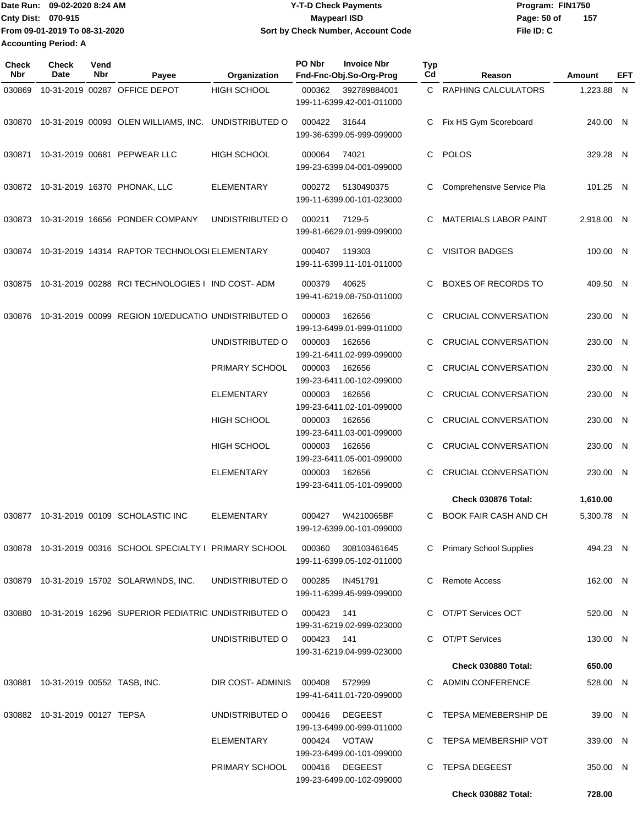**From 09-01-2019 To 08-31-2020 Accounting Period: A**

## Date Run: 09-02-2020 8:24 AM **Date Run:** 09-02-2020 8:24 AM **Program:** FIN1750 **Cnty Dist:** 070-915 **Page:** 50 of **09-02-2020 8:24 AM Y-T-D Check Payments 070-915 Maypearl ISD Sort by Check Number, Account Code**

**File ID: C 157**

| Check<br>Nbr | <b>Check</b><br>Date               | Vend<br>Nbr | Payee                                                                              | Organization            | PO Nbr     | <b>Invoice Nbr</b><br>Fnd-Fnc-Obj.So-Org-Prog | <b>Typ</b><br>Cd | Reason                       | Amount     | EFT |
|--------------|------------------------------------|-------------|------------------------------------------------------------------------------------|-------------------------|------------|-----------------------------------------------|------------------|------------------------------|------------|-----|
| 030869       |                                    |             | 10-31-2019 00287 OFFICE DEPOT                                                      | <b>HIGH SCHOOL</b>      | 000362     | 392789884001<br>199-11-6399.42-001-011000     |                  | C RAPHING CALCULATORS        | 1,223.88 N |     |
| 030870       |                                    |             | 10-31-2019 00093 OLEN WILLIAMS, INC.                                               | UNDISTRIBUTED O         | 000422     | 31644<br>199-36-6399.05-999-099000            | C                | Fix HS Gym Scoreboard        | 240.00 N   |     |
| 030871       |                                    |             | 10-31-2019 00681 PEPWEAR LLC                                                       | HIGH SCHOOL             | 000064     | 74021<br>199-23-6399.04-001-099000            | C.               | <b>POLOS</b>                 | 329.28 N   |     |
|              |                                    |             | 030872 10-31-2019 16370 PHONAK, LLC                                                | ELEMENTARY              | 000272     | 5130490375<br>199-11-6399.00-101-023000       | C                | Comprehensive Service Pla    | 101.25 N   |     |
| 030873       |                                    |             | 10-31-2019 16656 PONDER COMPANY                                                    | UNDISTRIBUTED O         | 000211     | 7129-5<br>199-81-6629.01-999-099000           | C                | <b>MATERIALS LABOR PAINT</b> | 2,918.00 N |     |
|              |                                    |             | 030874 10-31-2019 14314 RAPTOR TECHNOLOGI ELEMENTARY                               |                         | 000407     | 119303<br>199-11-6399.11-101-011000           | C.               | <b>VISITOR BADGES</b>        | 100.00 N   |     |
| 030875       |                                    |             | 10-31-2019 00288 RCI TECHNOLOGIES I IND COST-ADM                                   |                         | 000379     | 40625<br>199-41-6219.08-750-011000            | C                | <b>BOXES OF RECORDS TO</b>   | 409.50 N   |     |
| 030876       |                                    |             | 10-31-2019 00099 REGION 10/EDUCATIO UNDISTRIBUTED O                                |                         | 000003     | 162656<br>199-13-6499.01-999-011000           | C                | <b>CRUCIAL CONVERSATION</b>  | 230.00 N   |     |
|              |                                    |             |                                                                                    | UNDISTRIBUTED O         | 000003     | 162656<br>199-21-6411.02-999-099000           |                  | CRUCIAL CONVERSATION         | 230.00 N   |     |
|              |                                    |             |                                                                                    | PRIMARY SCHOOL          | 000003     | 162656<br>199-23-6411.00-102-099000           | C                | CRUCIAL CONVERSATION         | 230.00 N   |     |
|              |                                    |             |                                                                                    | <b>ELEMENTARY</b>       | 000003     | 162656<br>199-23-6411.02-101-099000           | C                | <b>CRUCIAL CONVERSATION</b>  | 230.00 N   |     |
|              |                                    |             |                                                                                    | HIGH SCHOOL             | 000003     | 162656<br>199-23-6411.03-001-099000           | C                | CRUCIAL CONVERSATION         | 230.00 N   |     |
|              |                                    |             |                                                                                    | <b>HIGH SCHOOL</b>      | 000003     | 162656<br>199-23-6411.05-001-099000           | C                | <b>CRUCIAL CONVERSATION</b>  | 230.00 N   |     |
|              |                                    |             |                                                                                    | <b>ELEMENTARY</b>       | 000003     | 162656<br>199-23-6411.05-101-099000           | C                | <b>CRUCIAL CONVERSATION</b>  | 230.00 N   |     |
|              |                                    |             |                                                                                    |                         |            |                                               |                  | Check 030876 Total:          | 1,610.00   |     |
|              |                                    |             | 030877 10-31-2019 00109 SCHOLASTIC INC                                             | <b>ELEMENTARY</b>       | 000427     | W4210065BF<br>199-12-6399.00-101-099000       | C                | <b>BOOK FAIR CASH AND CH</b> | 5,300.78 N |     |
|              |                                    |             | 030878  10-31-2019  00316  SCHOOL SPECIALTY   PRIMARY SCHOOL  000360  308103461645 |                         |            | 199-11-6399.05-102-011000                     |                  | C Primary School Supplies    | 494.23 N   |     |
|              |                                    |             | 030879 10-31-2019 15702 SOLARWINDS, INC.                                           | UNDISTRIBUTED O         | 000285     | IN451791<br>199-11-6399.45-999-099000         |                  | C Remote Access              | 162.00 N   |     |
|              |                                    |             | 030880 10-31-2019 16296 SUPERIOR PEDIATRIC UNDISTRIBUTED O                         |                         | 000423     | 141<br>199-31-6219.02-999-023000              |                  | C OT/PT Services OCT         | 520.00 N   |     |
|              |                                    |             |                                                                                    | UNDISTRIBUTED O         | 000423 141 | 199-31-6219.04-999-023000                     |                  | C OT/PT Services             | 130.00 N   |     |
|              |                                    |             |                                                                                    |                         |            |                                               |                  | Check 030880 Total:          | 650.00     |     |
|              | 030881 10-31-2019 00552 TASB, INC. |             |                                                                                    | DIR COST-ADMINIS 000408 |            | 572999<br>199-41-6411.01-720-099000           |                  | C ADMIN CONFERENCE           | 528.00 N   |     |
|              | 030882 10-31-2019 00127 TEPSA      |             |                                                                                    | UNDISTRIBUTED O         | 000416     | DEGEEST<br>199-13-6499.00-999-011000          |                  | C TEPSA MEMEBERSHIP DE       | 39.00 N    |     |
|              |                                    |             |                                                                                    | ELEMENTARY              |            | 000424 VOTAW<br>199-23-6499.00-101-099000     |                  | C TEPSA MEMBERSHIP VOT       | 339.00 N   |     |
|              |                                    |             |                                                                                    | PRIMARY SCHOOL          |            | 000416 DEGEEST<br>199-23-6499.00-102-099000   |                  | C TEPSA DEGEEST              | 350.00 N   |     |
|              |                                    |             |                                                                                    |                         |            |                                               |                  | Check 030882 Total:          | 728.00     |     |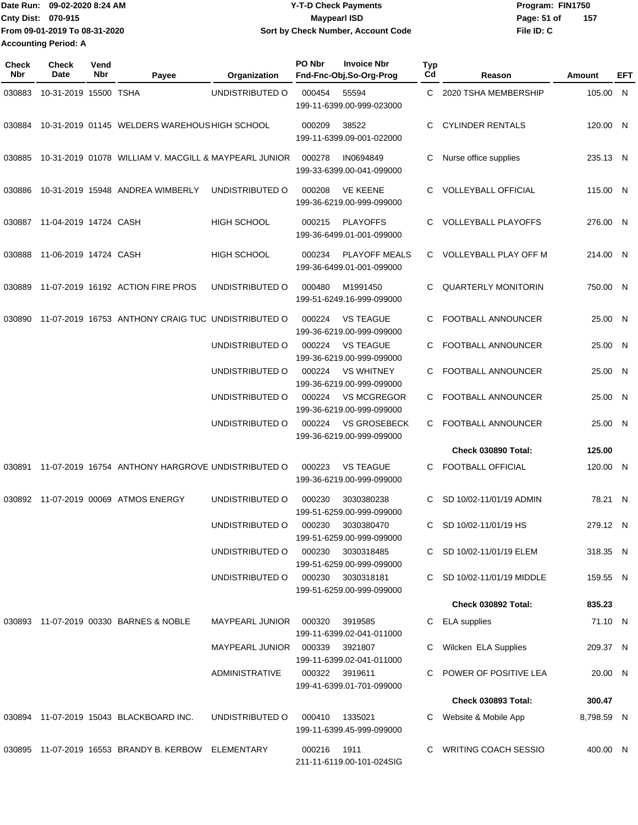Date Run: 09-02-2020 8:24 AM **Date Run:** 09-02-2020 8:24 AM **Program:** FIN1750 **Cnty Dist:** 070-915 **Page: 51 of** Maypearl ISD **CONTEX 150 Page: 51 of File ID: C From 09-01-2019 To 08-31-2020 09-02-2020 8:24 AM Y-T-D Check Payments 070-915 Maypearl ISD Sort by Check Number, Account Code 157**

**Accounting Period: A**

| <b>Check</b><br>Nbr | <b>Check</b><br>Date  | Vend<br>Nbr | Payee                                                           | Organization                     | PO Nbr | <b>Invoice Nbr</b><br>Fnd-Fnc-Obj.So-Org-Prog     | Typ<br>Cd | Reason                      | Amount     | EFT |
|---------------------|-----------------------|-------------|-----------------------------------------------------------------|----------------------------------|--------|---------------------------------------------------|-----------|-----------------------------|------------|-----|
| 030883              | 10-31-2019 15500 TSHA |             |                                                                 | UNDISTRIBUTED O                  | 000454 | 55594<br>199-11-6399.00-999-023000                | C         | 2020 TSHA MEMBERSHIP        | 105.00 N   |     |
| 030884              |                       |             | 10-31-2019 01145 WELDERS WAREHOUS HIGH SCHOOL                   |                                  | 000209 | 38522<br>199-11-6399.09-001-022000                | C         | <b>CYLINDER RENTALS</b>     | 120.00 N   |     |
| 030885              |                       |             | 10-31-2019 01078 WILLIAM V. MACGILL & MAYPEARL JUNIOR           |                                  | 000278 | IN0694849<br>199-33-6399.00-041-099000            | С         | Nurse office supplies       | 235.13 N   |     |
| 030886              |                       |             | 10-31-2019 15948 ANDREA WIMBERLY                                | UNDISTRIBUTED O                  | 000208 | <b>VE KEENE</b><br>199-36-6219.00-999-099000      | C         | <b>VOLLEYBALL OFFICIAL</b>  | 115.00 N   |     |
| 030887              | 11-04-2019 14724 CASH |             |                                                                 | <b>HIGH SCHOOL</b>               | 000215 | <b>PLAYOFFS</b><br>199-36-6499.01-001-099000      |           | <b>VOLLEYBALL PLAYOFFS</b>  | 276.00 N   |     |
| 030888              | 11-06-2019 14724 CASH |             |                                                                 | <b>HIGH SCHOOL</b>               | 000234 | <b>PLAYOFF MEALS</b><br>199-36-6499.01-001-099000 |           | C VOLLEYBALL PLAY OFF M     | 214.00 N   |     |
| 030889              |                       |             | 11-07-2019 16192 ACTION FIRE PROS                               | UNDISTRIBUTED O                  | 000480 | M1991450<br>199-51-6249.16-999-099000             | С         | <b>QUARTERLY MONITORIN</b>  | 750.00 N   |     |
| 030890              |                       |             | 11-07-2019 16753 ANTHONY CRAIG TUC UNDISTRIBUTED O              |                                  | 000224 | <b>VS TEAGUE</b><br>199-36-6219.00-999-099000     | C         | FOOTBALL ANNOUNCER          | 25.00 N    |     |
|                     |                       |             |                                                                 | UNDISTRIBUTED O                  | 000224 | <b>VS TEAGUE</b><br>199-36-6219.00-999-099000     | C         | FOOTBALL ANNOUNCER          | 25.00 N    |     |
|                     |                       |             |                                                                 | UNDISTRIBUTED O                  | 000224 | <b>VS WHITNEY</b><br>199-36-6219.00-999-099000    | C         | FOOTBALL ANNOUNCER          | 25.00 N    |     |
|                     |                       |             |                                                                 | UNDISTRIBUTED O                  | 000224 | <b>VS MCGREGOR</b><br>199-36-6219.00-999-099000   |           | FOOTBALL ANNOUNCER          | 25.00 N    |     |
|                     |                       |             |                                                                 | UNDISTRIBUTED O                  | 000224 | <b>VS GROSEBECK</b><br>199-36-6219.00-999-099000  | C         | FOOTBALL ANNOUNCER          | 25.00 N    |     |
|                     |                       |             |                                                                 |                                  |        |                                                   |           | Check 030890 Total:         | 125.00     |     |
| 030891              |                       |             | 11-07-2019 16754 ANTHONY HARGROVE UNDISTRIBUTED O               |                                  | 000223 | <b>VS TEAGUE</b><br>199-36-6219.00-999-099000     | С         | <b>FOOTBALL OFFICIAL</b>    | 120.00 N   |     |
| 030892              |                       |             | 11-07-2019 00069 ATMOS ENERGY                                   | UNDISTRIBUTED O                  | 000230 | 3030380238<br>199-51-6259.00-999-099000           | C         | SD 10/02-11/01/19 ADMIN     | 78.21 N    |     |
|                     |                       |             |                                                                 | UNDISTRIBUTED O                  | 000230 | 3030380470<br>199-51-6259.00-999-099000           | C         | SD 10/02-11/01/19 HS        | 279.12 N   |     |
|                     |                       |             |                                                                 | UNDISTRIBUTED O                  | 000230 | 3030318485<br>199-51-6259.00-999-099000           |           | C SD 10/02-11/01/19 ELEM    | 318.35 N   |     |
|                     |                       |             |                                                                 | UNDISTRIBUTED O                  |        | 000230 3030318181<br>199-51-6259.00-999-099000    | C         | SD 10/02-11/01/19 MIDDLE    | 159.55 N   |     |
|                     |                       |             |                                                                 |                                  |        |                                                   |           | Check 030892 Total:         | 835.23     |     |
|                     |                       |             | 030893 11-07-2019 00330 BARNES & NOBLE                          | MAYPEARL JUNIOR                  | 000320 | 3919585<br>199-11-6399.02-041-011000              | С         | <b>ELA</b> supplies         | 71.10 N    |     |
|                     |                       |             |                                                                 | MAYPEARL JUNIOR  000339  3921807 |        | 199-11-6399.02-041-011000                         | C         | Wilcken ELA Supplies        | 209.37 N   |     |
|                     |                       |             |                                                                 | ADMINISTRATIVE                   |        | 000322 3919611<br>199-41-6399.01-701-099000       |           | POWER OF POSITIVE LEA       | 20.00 N    |     |
|                     |                       |             |                                                                 |                                  |        |                                                   |           | <b>Check 030893 Total:</b>  | 300.47     |     |
|                     |                       |             | 030894 11-07-2019 15043 BLACKBOARD INC.                         | UNDISTRIBUTED O                  | 000410 | 1335021<br>199-11-6399.45-999-099000              | C         | Website & Mobile App        | 8,798.59 N |     |
|                     |                       |             | 030895    11-07-2019    16553    BRANDY B. KERBOW    ELEMENTARY |                                  | 000216 | 1911<br>211-11-6119.00-101-024SIG                 |           | <b>WRITING COACH SESSIO</b> | 400.00 N   |     |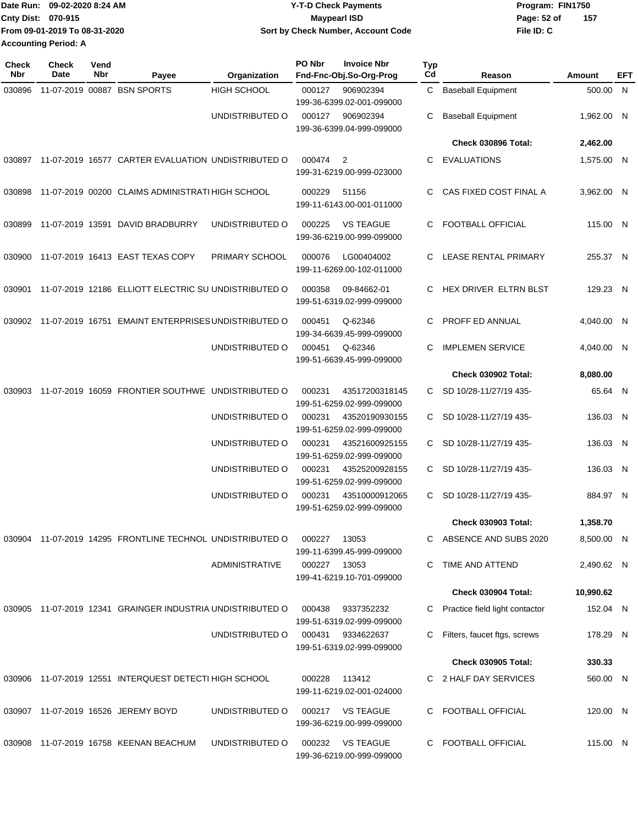|                             | 1Date Run: 09-02-2020 8:24 AM | <b>Y-T-D Check Payments</b>        | Program: FIN1750   |  |  |
|-----------------------------|-------------------------------|------------------------------------|--------------------|--|--|
| <b>Cnty Dist: 070-915</b>   |                               | Maypearl ISD                       | 157<br>Page: 52 of |  |  |
|                             | From 09-01-2019 To 08-31-2020 | Sort by Check Number, Account Code | File ID: C         |  |  |
| <b>Accounting Period: A</b> |                               |                                    |                    |  |  |

| <b>Check</b><br>Nbr | <b>Check</b><br>Date | Vend<br>Nbr | Payee                                                     | Organization          | PO Nbr | <b>Invoice Nbr</b><br>Fnd-Fnc-Obj.So-Org-Prog | <b>Typ</b><br>Cd | Reason                         | Amount     | EFT |
|---------------------|----------------------|-------------|-----------------------------------------------------------|-----------------------|--------|-----------------------------------------------|------------------|--------------------------------|------------|-----|
| 030896              |                      |             | 11-07-2019 00887 BSN SPORTS                               | <b>HIGH SCHOOL</b>    | 000127 | 906902394<br>199-36-6399.02-001-099000        | C                | <b>Baseball Equipment</b>      | 500.00 N   |     |
|                     |                      |             |                                                           | UNDISTRIBUTED O       | 000127 | 906902394<br>199-36-6399.04-999-099000        | С                | <b>Baseball Equipment</b>      | 1,962.00 N |     |
|                     |                      |             |                                                           |                       |        |                                               |                  | Check 030896 Total:            | 2,462.00   |     |
| 030897              |                      |             | 11-07-2019 16577 CARTER EVALUATION UNDISTRIBUTED O        |                       | 000474 | $\overline{2}$<br>199-31-6219.00-999-023000   | C.               | EVALUATIONS                    | 1,575.00 N |     |
| 030898              |                      |             | 11-07-2019 00200 CLAIMS ADMINISTRATI HIGH SCHOOL          |                       | 000229 | 51156<br>199-11-6143.00-001-011000            | C.               | CAS FIXED COST FINAL A         | 3,962.00 N |     |
| 030899              |                      |             | 11-07-2019 13591 DAVID BRADBURRY                          | UNDISTRIBUTED O       | 000225 | <b>VS TEAGUE</b><br>199-36-6219.00-999-099000 | C.               | <b>FOOTBALL OFFICIAL</b>       | 115.00 N   |     |
| 030900              |                      |             | 11-07-2019 16413 EAST TEXAS COPY                          | PRIMARY SCHOOL        | 000076 | LG00404002<br>199-11-6269.00-102-011000       | C.               | LEASE RENTAL PRIMARY           | 255.37 N   |     |
| 030901              |                      |             | 11-07-2019 12186 ELLIOTT ELECTRIC SU UNDISTRIBUTED O      |                       | 000358 | 09-84662-01<br>199-51-6319.02-999-099000      | C                | HEX DRIVER ELTRN BLST          | 129.23 N   |     |
| 030902              |                      |             | 11-07-2019 16751 EMAINT ENTERPRISES UNDISTRIBUTED O       |                       | 000451 | Q-62346<br>199-34-6639.45-999-099000          |                  | PROFF ED ANNUAL                | 4,040.00 N |     |
|                     |                      |             |                                                           | UNDISTRIBUTED O       | 000451 | Q-62346<br>199-51-6639.45-999-099000          | C                | <b>IMPLEMEN SERVICE</b>        | 4,040.00 N |     |
|                     |                      |             |                                                           |                       |        |                                               |                  | <b>Check 030902 Total:</b>     | 8,080.00   |     |
| 030903              |                      |             | 11-07-2019 16059 FRONTIER SOUTHWE UNDISTRIBUTED O         |                       | 000231 | 43517200318145<br>199-51-6259.02-999-099000   | C                | SD 10/28-11/27/19 435-         | 65.64 N    |     |
|                     |                      |             |                                                           | UNDISTRIBUTED O       | 000231 | 43520190930155<br>199-51-6259.02-999-099000   | C                | SD 10/28-11/27/19 435-         | 136.03 N   |     |
|                     |                      |             |                                                           | UNDISTRIBUTED O       | 000231 | 43521600925155<br>199-51-6259.02-999-099000   |                  | C SD 10/28-11/27/19 435-       | 136.03 N   |     |
|                     |                      |             |                                                           | UNDISTRIBUTED O       | 000231 | 43525200928155<br>199-51-6259.02-999-099000   | C.               | SD 10/28-11/27/19 435-         | 136.03 N   |     |
|                     |                      |             |                                                           | UNDISTRIBUTED O       | 000231 | 43510000912065<br>199-51-6259.02-999-099000   | C.               | SD 10/28-11/27/19 435-         | 884.97 N   |     |
|                     |                      |             |                                                           |                       |        |                                               |                  | <b>Check 030903 Total:</b>     | 1,358.70   |     |
|                     |                      |             | 030904 11-07-2019 14295 FRONTLINE TECHNOL UNDISTRIBUTED O |                       | 000227 | 13053<br>199-11-6399.45-999-099000            |                  | ABSENCE AND SUBS 2020          | 8,500.00 N |     |
|                     |                      |             |                                                           | <b>ADMINISTRATIVE</b> | 000227 | 13053<br>199-41-6219.10-701-099000            | C.               | TIME AND ATTEND                | 2,490.62 N |     |
|                     |                      |             |                                                           |                       |        |                                               |                  | Check 030904 Total:            | 10,990.62  |     |
| 030905              |                      |             | 11-07-2019 12341 GRAINGER INDUSTRIA UNDISTRIBUTED O       |                       | 000438 | 9337352232<br>199-51-6319.02-999-099000       | C.               | Practice field light contactor | 152.04 N   |     |
|                     |                      |             |                                                           | UNDISTRIBUTED O       | 000431 | 9334622637<br>199-51-6319.02-999-099000       | C.               | Filters, faucet ftgs, screws   | 178.29 N   |     |
|                     |                      |             |                                                           |                       |        |                                               |                  | <b>Check 030905 Total:</b>     | 330.33     |     |
|                     |                      |             | 030906 11-07-2019 12551 INTERQUEST DETECTI HIGH SCHOOL    |                       | 000228 | 113412<br>199-11-6219.02-001-024000           |                  | C 2 HALF DAY SERVICES          | 560.00 N   |     |
|                     |                      |             | 030907 11-07-2019 16526 JEREMY BOYD                       | UNDISTRIBUTED O       |        | 000217 VS TEAGUE<br>199-36-6219.00-999-099000 |                  | C FOOTBALL OFFICIAL            | 120.00 N   |     |
| 030908              |                      |             | 11-07-2019 16758 KEENAN BEACHUM                           | UNDISTRIBUTED O       | 000232 | <b>VS TEAGUE</b><br>199-36-6219.00-999-099000 | C.               | <b>FOOTBALL OFFICIAL</b>       | 115.00 N   |     |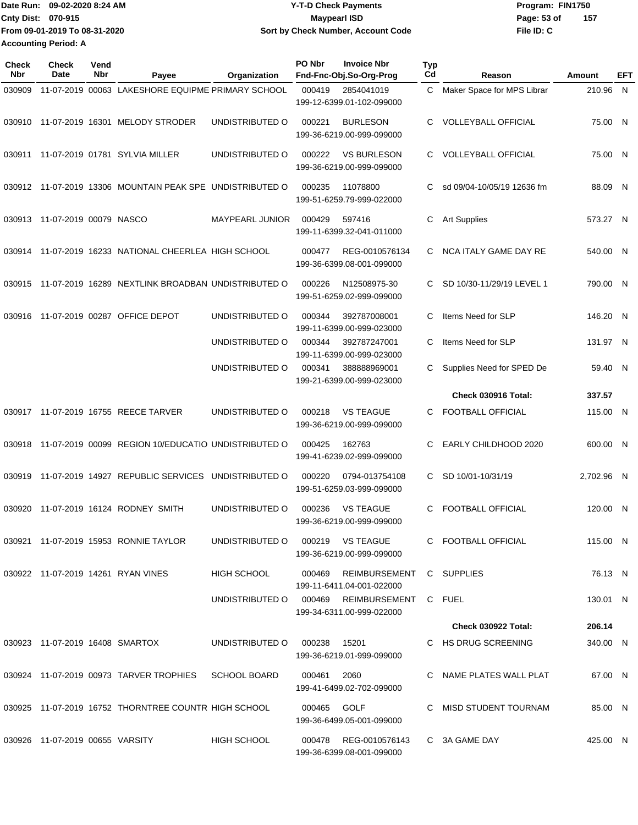|                             | IDate Run: 09-02-2020 8:24 AM | Y-T-D Check Payments               | Program: FIN1750   |
|-----------------------------|-------------------------------|------------------------------------|--------------------|
| <b>Cnty Dist: 070-915</b>   |                               | <b>Mavpearl ISD</b>                | 157<br>Page: 53 of |
|                             | From 09-01-2019 To 08-31-2020 | Sort by Check Number, Account Code | File ID: C         |
| <b>Accounting Period: A</b> |                               |                                    |                    |

| Check<br><b>Nbr</b> | <b>Check</b><br>Date            | Vend<br>Nbr | Payee                                                | Organization           | PO Nbr | <b>Invoice Nbr</b><br>Fnd-Fnc-Obj.So-Org-Prog                           | <b>Typ</b><br>Cd | Reason                     | Amount     | EFT |
|---------------------|---------------------------------|-------------|------------------------------------------------------|------------------------|--------|-------------------------------------------------------------------------|------------------|----------------------------|------------|-----|
| 030909              |                                 |             | 11-07-2019 00063 LAKESHORE EQUIPME PRIMARY SCHOOL    |                        | 000419 | 2854041019<br>199-12-6399.01-102-099000                                 | C                | Maker Space for MPS Librar | 210.96 N   |     |
| 030910              |                                 |             | 11-07-2019 16301 MELODY STRODER                      | UNDISTRIBUTED O        | 000221 | <b>BURLESON</b><br>199-36-6219.00-999-099000                            | C.               | <b>VOLLEYBALL OFFICIAL</b> | 75.00 N    |     |
| 030911              |                                 |             | 11-07-2019 01781 SYLVIA MILLER                       | UNDISTRIBUTED O        | 000222 | <b>VS BURLESON</b><br>199-36-6219.00-999-099000                         | C                | <b>VOLLEYBALL OFFICIAL</b> | 75.00 N    |     |
| 030912              |                                 |             | 11-07-2019 13306 MOUNTAIN PEAK SPE UNDISTRIBUTED O   |                        | 000235 | 11078800<br>199-51-6259.79-999-022000                                   | C.               | sd 09/04-10/05/19 12636 fm | 88.09 N    |     |
|                     | 030913 11-07-2019 00079 NASCO   |             |                                                      | <b>MAYPEARL JUNIOR</b> | 000429 | 597416<br>199-11-6399.32-041-011000                                     | С                | <b>Art Supplies</b>        | 573.27 N   |     |
| 030914              |                                 |             | 11-07-2019 16233 NATIONAL CHEERLEA HIGH SCHOOL       |                        | 000477 | REG-0010576134<br>199-36-6399.08-001-099000                             | C.               | NCA ITALY GAME DAY RE      | 540.00 N   |     |
| 030915              |                                 |             | 11-07-2019 16289 NEXTLINK BROADBAN UNDISTRIBUTED O   |                        | 000226 | N12508975-30<br>199-51-6259.02-999-099000                               | C.               | SD 10/30-11/29/19 LEVEL 1  | 790.00 N   |     |
| 030916              |                                 |             | 11-07-2019 00287 OFFICE DEPOT                        | UNDISTRIBUTED O        | 000344 | 392787008001<br>199-11-6399.00-999-023000                               | C                | Items Need for SLP         | 146.20 N   |     |
|                     |                                 |             |                                                      | UNDISTRIBUTED O        | 000344 | 392787247001<br>199-11-6399.00-999-023000                               | С                | Items Need for SLP         | 131.97 N   |     |
|                     |                                 |             |                                                      | UNDISTRIBUTED O        | 000341 | 388888969001<br>199-21-6399.00-999-023000                               | С                | Supplies Need for SPED De  | 59.40 N    |     |
|                     |                                 |             |                                                      |                        |        |                                                                         |                  | Check 030916 Total:        | 337.57     |     |
|                     |                                 |             | 030917 11-07-2019 16755 REECE TARVER                 | UNDISTRIBUTED O        | 000218 | <b>VS TEAGUE</b><br>199-36-6219.00-999-099000                           | C                | FOOTBALL OFFICIAL          | 115.00 N   |     |
| 030918              |                                 |             | 11-07-2019 00099 REGION 10/EDUCATIO UNDISTRIBUTED O  |                        | 000425 | 162763<br>199-41-6239.02-999-099000                                     | C                | EARLY CHILDHOOD 2020       | 600.00 N   |     |
| 030919              |                                 |             | 11-07-2019 14927 REPUBLIC SERVICES UNDISTRIBUTED O   |                        | 000220 | 0794-013754108<br>199-51-6259.03-999-099000                             | C.               | SD 10/01-10/31/19          | 2,702.96 N |     |
| 030920              |                                 |             | 11-07-2019 16124 RODNEY SMITH                        | UNDISTRIBUTED O        | 000236 | <b>VS TEAGUE</b><br>199-36-6219.00-999-099000                           | C.               | <b>FOOTBALL OFFICIAL</b>   | 120.00 N   |     |
|                     |                                 |             | 030921 11-07-2019 15953 RONNIE TAYLOR                | UNDISTRIBUTED O        |        | 000219 VS TEAGUE<br>199-36-6219.00-999-099000                           |                  | C FOOTBALL OFFICIAL        | 115.00 N   |     |
|                     |                                 |             | 030922 11-07-2019 14261 RYAN VINES                   | HIGH SCHOOL            | 000469 | REIMBURSEMENT C SUPPLIES                                                |                  |                            | 76.13 N    |     |
|                     |                                 |             |                                                      | UNDISTRIBUTED O 000469 |        | 199-11-6411.04-001-022000<br>REIMBURSEMENT<br>199-34-6311.00-999-022000 |                  | C FUEL                     | 130.01 N   |     |
|                     |                                 |             |                                                      |                        |        |                                                                         |                  | <b>Check 030922 Total:</b> | 206.14     |     |
|                     | 030923 11-07-2019 16408 SMARTOX |             |                                                      | UNDISTRIBUTED O        | 000238 | 15201<br>199-36-6219.01-999-099000                                      |                  | C HS DRUG SCREENING        | 340.00 N   |     |
|                     |                                 |             | 030924 11-07-2019 00973 TARVER TROPHIES SCHOOL BOARD |                        | 000461 | 2060<br>199-41-6499.02-702-099000                                       |                  | C NAME PLATES WALL PLAT    | 67.00 N    |     |
|                     |                                 |             | 030925 11-07-2019 16752 THORNTREE COUNTR HIGH SCHOOL |                        | 000465 | GOLF<br>199-36-6499.05-001-099000                                       |                  | C MISD STUDENT TOURNAM     | 85.00 N    |     |
|                     | 030926 11-07-2019 00655 VARSITY |             |                                                      | <b>HIGH SCHOOL</b>     | 000478 | REG-0010576143<br>199-36-6399.08-001-099000                             |                  | C 3A GAME DAY              | 425.00 N   |     |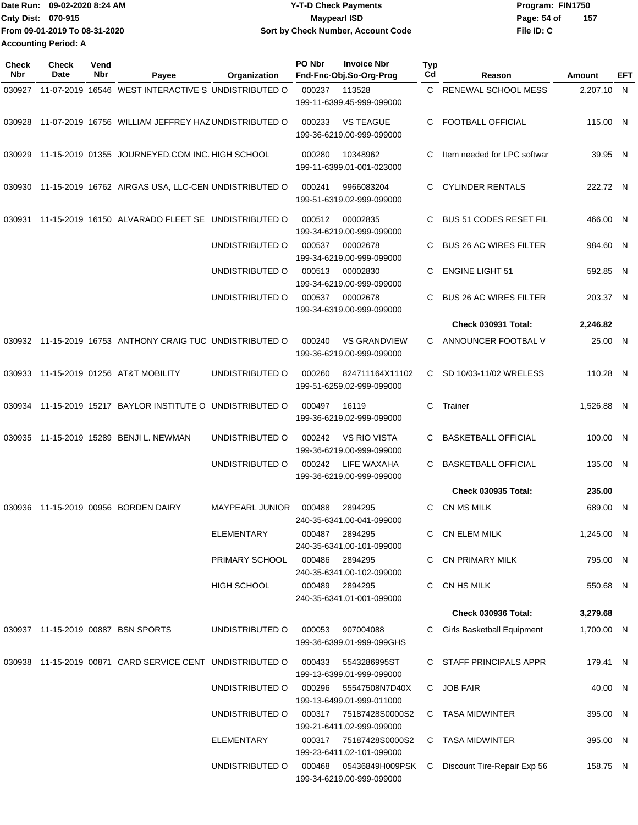|                             | Date Run: 09-02-2020 8:24 AM  | <b>Y-T-D Check Payments</b>        | Program: FIN1750   |
|-----------------------------|-------------------------------|------------------------------------|--------------------|
| <b>Cnty Dist: 070-915</b>   |                               | <b>Mavpearl ISD</b>                | 157<br>Page: 54 of |
|                             | From 09-01-2019 To 08-31-2020 | Sort by Check Number, Account Code | File ID: C         |
| <b>Accounting Period: A</b> |                               |                                    |                    |

| Check<br>Nbr | <b>Check</b><br>Date | Vend<br>Nbr | Payee                                                     | Organization           | PO Nbr | <b>Invoice Nbr</b><br>Fnd-Fnc-Obj.So-Org-Prog       | <b>Typ</b><br>Cd | Reason                        | Amount     | EFT |
|--------------|----------------------|-------------|-----------------------------------------------------------|------------------------|--------|-----------------------------------------------------|------------------|-------------------------------|------------|-----|
| 030927       |                      |             | 11-07-2019 16546 WEST INTERACTIVE S UNDISTRIBUTED O       |                        | 000237 | 113528<br>199-11-6399.45-999-099000                 |                  | C RENEWAL SCHOOL MESS         | 2,207.10 N |     |
| 030928       |                      |             | 11-07-2019 16756 WILLIAM JEFFREY HAZUNDISTRIBUTED O       |                        | 000233 | <b>VS TEAGUE</b><br>199-36-6219.00-999-099000       | C                | <b>FOOTBALL OFFICIAL</b>      | 115.00 N   |     |
| 030929       |                      |             | 11-15-2019 01355 JOURNEYED.COM INC. HIGH SCHOOL           |                        | 000280 | 10348962<br>199-11-6399.01-001-023000               | C                | Item needed for LPC softwar   | 39.95 N    |     |
| 030930       |                      |             | 11-15-2019 16762 AIRGAS USA, LLC-CEN UNDISTRIBUTED O      |                        | 000241 | 9966083204<br>199-51-6319.02-999-099000             | C.               | <b>CYLINDER RENTALS</b>       | 222.72 N   |     |
| 030931       |                      |             | 11-15-2019 16150 ALVARADO FLEET SE UNDISTRIBUTED O        |                        | 000512 | 00002835<br>199-34-6219.00-999-099000               | C                | <b>BUS 51 CODES RESET FIL</b> | 466.00 N   |     |
|              |                      |             |                                                           | UNDISTRIBUTED O        | 000537 | 00002678<br>199-34-6219.00-999-099000               | C                | <b>BUS 26 AC WIRES FILTER</b> | 984.60 N   |     |
|              |                      |             |                                                           | UNDISTRIBUTED O        | 000513 | 00002830<br>199-34-6219.00-999-099000               | C                | <b>ENGINE LIGHT 51</b>        | 592.85 N   |     |
|              |                      |             |                                                           | UNDISTRIBUTED O        | 000537 | 00002678<br>199-34-6319.00-999-099000               | C                | <b>BUS 26 AC WIRES FILTER</b> | 203.37 N   |     |
|              |                      |             |                                                           |                        |        |                                                     |                  | <b>Check 030931 Total:</b>    | 2,246.82   |     |
|              |                      |             | 030932 11-15-2019 16753 ANTHONY CRAIG TUC UNDISTRIBUTED O |                        | 000240 | <b>VS GRANDVIEW</b><br>199-36-6219.00-999-099000    | C                | ANNOUNCER FOOTBAL V           | 25.00 N    |     |
| 030933       |                      |             | 11-15-2019 01256 AT&T MOBILITY                            | UNDISTRIBUTED O        | 000260 | 824711164X11102<br>199-51-6259.02-999-099000        | C.               | SD 10/03-11/02 WRELESS        | 110.28 N   |     |
| 030934       |                      |             | 11-15-2019 15217 BAYLOR INSTITUTE O UNDISTRIBUTED O       |                        | 000497 | 16119<br>199-36-6219.02-999-099000                  | C                | Trainer                       | 1,526.88 N |     |
| 030935       |                      |             | 11-15-2019 15289 BENJI L. NEWMAN                          | UNDISTRIBUTED O        | 000242 | <b>VS RIO VISTA</b><br>199-36-6219.00-999-099000    | C                | <b>BASKETBALL OFFICIAL</b>    | 100.00 N   |     |
|              |                      |             |                                                           | UNDISTRIBUTED O        | 000242 | LIFE WAXAHA<br>199-36-6219.00-999-099000            | C                | <b>BASKETBALL OFFICIAL</b>    | 135.00 N   |     |
|              |                      |             |                                                           |                        |        |                                                     |                  | <b>Check 030935 Total:</b>    | 235.00     |     |
| 030936       |                      |             | 11-15-2019 00956 BORDEN DAIRY                             | <b>MAYPEARL JUNIOR</b> | 000488 | 2894295<br>240-35-6341.00-041-099000                | C                | CN MS MILK                    | 689.00     | -N  |
|              |                      |             |                                                           | ELEMENTARY             | 000487 | 2894295<br>240-35-6341.00-101-099000                |                  | C CN ELEM MILK                | 1,245.00 N |     |
|              |                      |             |                                                           | PRIMARY SCHOOL         | 000486 | 2894295<br>240-35-6341.00-102-099000                |                  | C CN PRIMARY MILK             | 795.00 N   |     |
|              |                      |             |                                                           | HIGH SCHOOL            | 000489 | 2894295<br>240-35-6341.01-001-099000                |                  | C CN HS MILK                  | 550.68 N   |     |
|              |                      |             |                                                           |                        |        |                                                     |                  | <b>Check 030936 Total:</b>    | 3,279.68   |     |
|              |                      |             | 030937 11-15-2019 00887 BSN SPORTS                        | UNDISTRIBUTED O        | 000053 | 907004088<br>199-36-6399.01-999-099GHS              | C.               | Girls Basketball Equipment    | 1,700.00 N |     |
|              |                      |             | 030938 11-15-2019 00871 CARD SERVICE CENT UNDISTRIBUTED O |                        | 000433 | 5543286995ST<br>199-13-6399.01-999-099000           |                  | C STAFF PRINCIPALS APPR       | 179.41 N   |     |
|              |                      |             |                                                           | UNDISTRIBUTED O        | 000296 | 55547508N7D40X<br>199-13-6499.01-999-011000         |                  | C JOB FAIR                    | 40.00 N    |     |
|              |                      |             |                                                           | UNDISTRIBUTED O        |        | 000317 75187428S0000S2<br>199-21-6411.02-999-099000 |                  | C TASA MIDWINTER              | 395.00 N   |     |
|              |                      |             |                                                           | ELEMENTARY             | 000317 | 75187428S0000S2<br>199-23-6411.02-101-099000        |                  | C TASA MIDWINTER              | 395.00 N   |     |
|              |                      |             |                                                           | UNDISTRIBUTED O        | 000468 | 05436849H009PSK<br>199-34-6219.00-999-099000        | C                | Discount Tire-Repair Exp 56   | 158.75 N   |     |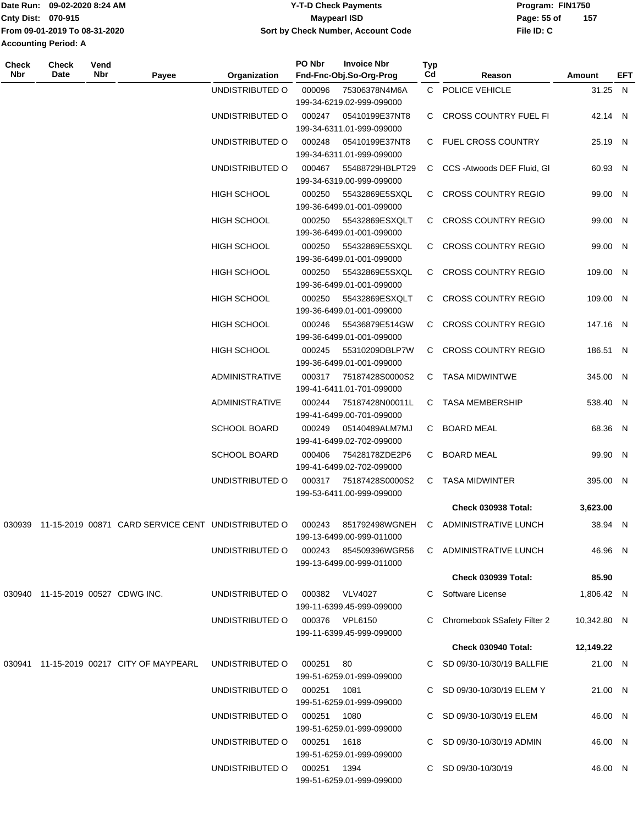| <b>Date Run:</b>            | 09-02-2020 8:24 AM            | <b>Y-T-D Check Payments</b>        | Program: FIN1750   |
|-----------------------------|-------------------------------|------------------------------------|--------------------|
| <b>Cnty Dist: 070-915</b>   |                               | Maypearl ISD                       | 157<br>Page: 55 of |
|                             | From 09-01-2019 To 08-31-2020 | Sort by Check Number, Account Code | File ID: C         |
| <b>Accounting Period: A</b> |                               |                                    |                    |
|                             |                               |                                    |                    |

**PO Nbr Invoice Nbr**

**Check**

| Check<br>Nbr | <b>Check</b><br>Date              | Vend<br>Nbr | Payee                                                     | Organization                   | PO Nbr      | <b>Invoice Nbr</b><br>Fnd-Fnc-Obj.So-Org-Prog                  | Typ<br>Cd | Reason                                       | <b>Amount</b> | <b>EFT</b> |
|--------------|-----------------------------------|-------------|-----------------------------------------------------------|--------------------------------|-------------|----------------------------------------------------------------|-----------|----------------------------------------------|---------------|------------|
|              |                                   |             |                                                           | UNDISTRIBUTED O                | 000096      | 75306378N4M6A<br>199-34-6219.02-999-099000                     |           | C POLICE VEHICLE                             | 31.25 N       |            |
|              |                                   |             |                                                           | UNDISTRIBUTED O                | 000247      | 05410199E37NT8<br>199-34-6311.01-999-099000                    |           | C CROSS COUNTRY FUEL FI                      | 42.14 N       |            |
|              |                                   |             |                                                           | UNDISTRIBUTED O                | 000248      | 05410199E37NT8<br>199-34-6311.01-999-099000                    |           | C FUEL CROSS COUNTRY                         | 25.19 N       |            |
|              |                                   |             |                                                           | UNDISTRIBUTED O                | 000467      | 55488729HBLPT29<br>199-34-6319.00-999-099000                   |           | C CCS - Atwoods DEF Fluid, GI                | 60.93 N       |            |
|              |                                   |             |                                                           | <b>HIGH SCHOOL</b>             | 000250      | 55432869E5SXQL<br>199-36-6499.01-001-099000                    |           | C CROSS COUNTRY REGIO                        | 99.00 N       |            |
|              |                                   |             |                                                           | <b>HIGH SCHOOL</b>             | 000250      | 55432869ESXQLT<br>199-36-6499.01-001-099000                    |           | C CROSS COUNTRY REGIO                        | 99.00 N       |            |
|              |                                   |             |                                                           | HIGH SCHOOL                    | 000250      | 55432869E5SXQL<br>199-36-6499.01-001-099000                    |           | C CROSS COUNTRY REGIO                        | 99.00 N       |            |
|              |                                   |             |                                                           | <b>HIGH SCHOOL</b>             | 000250      | 55432869E5SXQL<br>199-36-6499.01-001-099000                    |           | C CROSS COUNTRY REGIO                        | 109.00 N      |            |
|              |                                   |             |                                                           | HIGH SCHOOL                    | 000250      | 55432869ESXQLT<br>199-36-6499.01-001-099000                    |           | C CROSS COUNTRY REGIO                        | 109.00 N      |            |
|              |                                   |             |                                                           | <b>HIGH SCHOOL</b>             | 000246      | 55436879E514GW<br>199-36-6499.01-001-099000                    |           | C CROSS COUNTRY REGIO                        | 147.16 N      |            |
|              |                                   |             |                                                           | HIGH SCHOOL                    | 000245      | 55310209DBLP7W<br>199-36-6499.01-001-099000                    |           | C CROSS COUNTRY REGIO                        | 186.51 N      |            |
|              |                                   |             |                                                           | <b>ADMINISTRATIVE</b>          | 000317      | 75187428S0000S2<br>199-41-6411.01-701-099000                   |           | C TASA MIDWINTWE                             | 345.00 N      |            |
|              |                                   |             |                                                           | ADMINISTRATIVE                 | 000244      | 75187428N00011L<br>199-41-6499.00-701-099000                   |           | C TASA MEMBERSHIP                            | 538.40 N      |            |
|              |                                   |             |                                                           | <b>SCHOOL BOARD</b>            | 000249      | 05140489ALM7MJ<br>199-41-6499.02-702-099000                    |           | C BOARD MEAL                                 | 68.36 N       |            |
|              |                                   |             |                                                           | <b>SCHOOL BOARD</b>            | 000406      | 75428178ZDE2P6<br>199-41-6499.02-702-099000                    | C         | <b>BOARD MEAL</b>                            | 99.90 N       |            |
|              |                                   |             |                                                           | UNDISTRIBUTED O                | 000317      | 75187428S0000S2<br>199-53-6411.00-999-099000                   |           | C TASA MIDWINTER                             | 395.00 N      |            |
|              |                                   |             |                                                           |                                |             |                                                                |           | <b>Check 030938 Total:</b>                   | 3,623.00      |            |
|              |                                   |             | 030939 11-15-2019 00871 CARD SERVICE CENT UNDISTRIBUTED O |                                |             | 199-13-6499.00-999-011000                                      |           | 000243 851792498WGNEH C ADMINISTRATIVE LUNCH | 38.94 N       |            |
|              |                                   |             |                                                           | UNDISTRIBUTED O                |             | 000243 854509396WGR56<br>199-13-6499.00-999-011000             |           | C ADMINISTRATIVE LUNCH                       | 46.96 N       |            |
|              |                                   |             |                                                           |                                |             |                                                                |           | <b>Check 030939 Total:</b>                   | 85.90         |            |
|              | 030940 11-15-2019 00527 CDWG INC. |             |                                                           | UNDISTRIBUTED O                |             | 000382 VLV4027<br>199-11-6399.45-999-099000                    |           | C Software License                           | 1,806.42 N    |            |
|              |                                   |             |                                                           | UNDISTRIBUTED O 000376 VPL6150 |             | 199-11-6399.45-999-099000                                      |           | C Chromebook SSafety Filter 2                | 10,342.80 N   |            |
|              |                                   |             |                                                           |                                |             |                                                                |           | Check 030940 Total:                          | 12,149.22     |            |
|              |                                   |             | 030941 11-15-2019 00217 CITY OF MAYPEARL                  | UNDISTRIBUTED O                | 000251 80   |                                                                |           | C SD 09/30-10/30/19 BALLFIE                  | 21.00 N       |            |
|              |                                   |             |                                                           | UNDISTRIBUTED O                | 000251      | 199-51-6259.01-999-099000<br>1081                              |           | C SD 09/30-10/30/19 ELEM Y                   | 21.00 N       |            |
|              |                                   |             |                                                           | UNDISTRIBUTED O                | 000251 1080 | 199-51-6259.01-999-099000                                      |           | C SD 09/30-10/30/19 ELEM                     | 46.00 N       |            |
|              |                                   |             |                                                           | UNDISTRIBUTED O                | 000251      | 199-51-6259.01-999-099000<br>1618<br>199-51-6259.01-999-099000 |           | C SD 09/30-10/30/19 ADMIN                    | 46.00 N       |            |
|              |                                   |             |                                                           | UNDISTRIBUTED O                | 000251 1394 | 199-51-6259.01-999-099000                                      |           | C SD 09/30-10/30/19                          | 46.00 N       |            |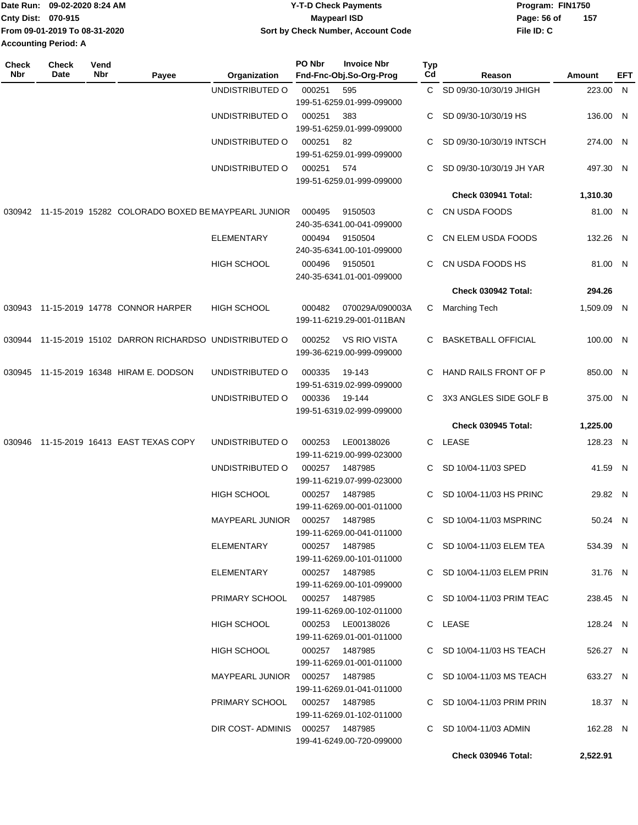|                             | Date Run: 09-02-2020 8:24 AM  | Y-T-D Check Payments               | Program: FIN1750 |     |
|-----------------------------|-------------------------------|------------------------------------|------------------|-----|
| Cnty Dist: 070-915          |                               | <b>Mavpearl ISD</b>                | Page: 56 of      | 157 |
|                             | From 09-01-2019 To 08-31-2020 | Sort by Check Number, Account Code | File ID: C       |     |
| <b>Accounting Period: A</b> |                               |                                    |                  |     |

| <b>Check</b><br>Nbr | Check<br>Date | Vend<br>Nbr | Payee                                                     | Organization                     | PO Nbr | <b>Invoice Nbr</b><br>Fnd-Fnc-Obj.So-Org-Prog    | Typ<br>Cd | Reason                     | Amount     | EFT |
|---------------------|---------------|-------------|-----------------------------------------------------------|----------------------------------|--------|--------------------------------------------------|-----------|----------------------------|------------|-----|
|                     |               |             |                                                           | UNDISTRIBUTED O                  | 000251 | 595                                              | C.        | SD 09/30-10/30/19 JHIGH    | 223.00 N   |     |
|                     |               |             |                                                           |                                  |        | 199-51-6259.01-999-099000                        |           |                            |            |     |
|                     |               |             |                                                           | UNDISTRIBUTED O                  | 000251 | 383                                              | С         | SD 09/30-10/30/19 HS       | 136.00 N   |     |
|                     |               |             |                                                           |                                  |        | 199-51-6259.01-999-099000                        |           |                            |            |     |
|                     |               |             |                                                           | UNDISTRIBUTED O                  | 000251 | 82                                               | С         | SD 09/30-10/30/19 INTSCH   | 274.00 N   |     |
|                     |               |             |                                                           |                                  |        | 199-51-6259.01-999-099000                        |           |                            |            |     |
|                     |               |             |                                                           | UNDISTRIBUTED O                  | 000251 | 574                                              | С         | SD 09/30-10/30/19 JH YAR   | 497.30 N   |     |
|                     |               |             |                                                           |                                  |        | 199-51-6259.01-999-099000                        |           |                            |            |     |
|                     |               |             |                                                           |                                  |        |                                                  |           | Check 030941 Total:        | 1,310.30   |     |
|                     |               |             |                                                           |                                  |        |                                                  |           |                            |            |     |
|                     |               |             | 030942 11-15-2019 15282 COLORADO BOXED BE MAYPEARL JUNIOR |                                  | 000495 | 9150503                                          | C         | CN USDA FOODS              | 81.00 N    |     |
|                     |               |             |                                                           |                                  |        | 240-35-6341.00-041-099000                        |           |                            |            |     |
|                     |               |             |                                                           | <b>ELEMENTARY</b>                | 000494 | 9150504                                          | C         | CN ELEM USDA FOODS         | 132.26 N   |     |
|                     |               |             |                                                           |                                  |        | 240-35-6341.00-101-099000                        |           |                            |            |     |
|                     |               |             |                                                           | <b>HIGH SCHOOL</b>               | 000496 | 9150501                                          | C         | CN USDA FOODS HS           | 81.00 N    |     |
|                     |               |             |                                                           |                                  |        | 240-35-6341.01-001-099000                        |           |                            |            |     |
|                     |               |             |                                                           |                                  |        |                                                  |           | Check 030942 Total:        | 294.26     |     |
|                     |               |             | 030943 11-15-2019 14778 CONNOR HARPER                     | <b>HIGH SCHOOL</b>               | 000482 | 070029A/090003A                                  | С         | <b>Marching Tech</b>       | 1,509.09 N |     |
|                     |               |             |                                                           |                                  |        | 199-11-6219.29-001-011BAN                        |           |                            |            |     |
|                     |               |             |                                                           |                                  |        |                                                  |           | <b>BASKETBALL OFFICIAL</b> |            |     |
| 030944              |               |             | 11-15-2019 15102 DARRON RICHARDSO UNDISTRIBUTED O         |                                  | 000252 | <b>VS RIO VISTA</b><br>199-36-6219.00-999-099000 | C         |                            | 100.00 N   |     |
|                     |               |             |                                                           |                                  |        |                                                  |           |                            |            |     |
|                     |               |             | 030945 11-15-2019 16348 HIRAM E. DODSON                   | UNDISTRIBUTED O                  | 000335 | 19-143                                           | C.        | HAND RAILS FRONT OF P      | 850.00 N   |     |
|                     |               |             |                                                           |                                  |        | 199-51-6319.02-999-099000                        |           |                            |            |     |
|                     |               |             |                                                           | UNDISTRIBUTED O                  | 000336 | 19-144                                           | C         | 3X3 ANGLES SIDE GOLF B     | 375.00 N   |     |
|                     |               |             |                                                           |                                  |        | 199-51-6319.02-999-099000                        |           |                            |            |     |
|                     |               |             |                                                           |                                  |        |                                                  |           | Check 030945 Total:        | 1,225.00   |     |
| 030946              |               |             | 11-15-2019 16413 EAST TEXAS COPY                          | UNDISTRIBUTED O                  | 000253 | LE00138026                                       |           | C LEASE                    | 128.23 N   |     |
|                     |               |             |                                                           |                                  |        | 199-11-6219.00-999-023000                        |           |                            |            |     |
|                     |               |             |                                                           | UNDISTRIBUTED O                  | 000257 | 1487985                                          | C         | SD 10/04-11/03 SPED        | 41.59 N    |     |
|                     |               |             |                                                           |                                  |        | 199-11-6219.07-999-023000                        |           |                            |            |     |
|                     |               |             |                                                           | <b>HIGH SCHOOL</b>               | 000257 | 1487985                                          | C         | SD 10/04-11/03 HS PRINC    | 29.82 N    |     |
|                     |               |             |                                                           |                                  |        | 199-11-6269.00-001-011000                        |           |                            |            |     |
|                     |               |             |                                                           | <b>MAYPEARL JUNIOR</b>           | 000257 | 1487985                                          | C         | SD 10/04-11/03 MSPRINC     | 50.24 N    |     |
|                     |               |             |                                                           |                                  |        | 199-11-6269.00-041-011000                        |           |                            |            |     |
|                     |               |             |                                                           | <b>ELEMENTARY</b>                |        | 000257 1487985                                   |           | C SD 10/04-11/03 ELEM TEA  | 534.39 N   |     |
|                     |               |             |                                                           |                                  |        | 199-11-6269.00-101-011000                        |           |                            |            |     |
|                     |               |             |                                                           | ELEMENTARY                       |        | 000257 1487985                                   |           | C SD 10/04-11/03 ELEM PRIN | 31.76 N    |     |
|                     |               |             |                                                           |                                  |        | 199-11-6269.00-101-099000                        |           |                            |            |     |
|                     |               |             |                                                           | PRIMARY SCHOOL                   |        | 000257 1487985                                   |           | C SD 10/04-11/03 PRIM TEAC | 238.45 N   |     |
|                     |               |             |                                                           |                                  |        | 199-11-6269.00-102-011000                        |           |                            |            |     |
|                     |               |             |                                                           | HIGH SCHOOL                      |        | 000253 LE00138026                                |           | C LEASE                    | 128.24 N   |     |
|                     |               |             |                                                           |                                  |        | 199-11-6269.01-001-011000                        |           |                            |            |     |
|                     |               |             |                                                           | HIGH SCHOOL                      |        | 000257 1487985                                   |           | C SD 10/04-11/03 HS TEACH  | 526.27 N   |     |
|                     |               |             |                                                           |                                  |        | 199-11-6269.01-001-011000                        |           |                            |            |     |
|                     |               |             |                                                           | MAYPEARL JUNIOR  000257  1487985 |        |                                                  |           | C SD 10/04-11/03 MS TEACH  | 633.27 N   |     |
|                     |               |             |                                                           |                                  |        | 199-11-6269.01-041-011000                        |           |                            |            |     |
|                     |               |             |                                                           | PRIMARY SCHOOL  000257  1487985  |        |                                                  |           | C SD 10/04-11/03 PRIM PRIN | 18.37 N    |     |
|                     |               |             |                                                           |                                  |        | 199-11-6269.01-102-011000                        |           |                            |            |     |
|                     |               |             |                                                           | DIR COST-ADMINIS 000257 1487985  |        |                                                  |           | C SD 10/04-11/03 ADMIN     | 162.28 N   |     |
|                     |               |             |                                                           |                                  |        | 199-41-6249.00-720-099000                        |           |                            |            |     |
|                     |               |             |                                                           |                                  |        |                                                  |           | Check 030946 Total:        | 2,522.91   |     |
|                     |               |             |                                                           |                                  |        |                                                  |           |                            |            |     |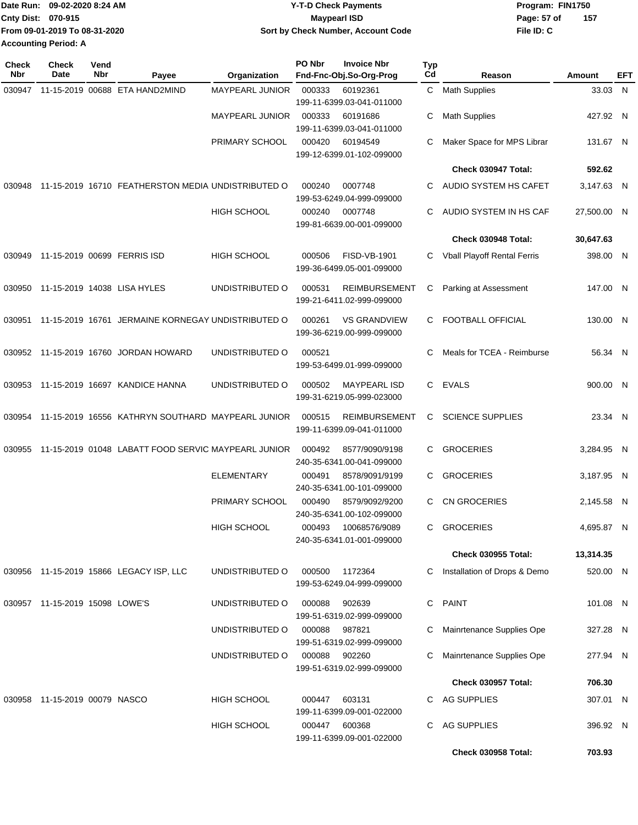|                             | Date Run: 09-02-2020 8:24 AM  | <b>Y-T-D Check Payments</b>        | Program: FIN1750 |     |
|-----------------------------|-------------------------------|------------------------------------|------------------|-----|
| Cnty Dist: 070-915          |                               | Maypearl ISD                       | Page: 57 of      | 157 |
|                             | From 09-01-2019 To 08-31-2020 | Sort by Check Number, Account Code | File ID: C       |     |
| <b>Accounting Period: A</b> |                               |                                    |                  |     |

| <b>Check</b><br>Nbr | <b>Check</b><br>Date           | Vend<br>Nbr | Payee                                               | Organization           | PO Nbr        | <b>Invoice Nbr</b><br>Fnd-Fnc-Obj.So-Org-Prog     | Typ<br>Cd | Reason                             | Amount      | EFT |
|---------------------|--------------------------------|-------------|-----------------------------------------------------|------------------------|---------------|---------------------------------------------------|-----------|------------------------------------|-------------|-----|
| 030947              |                                |             | 11-15-2019 00688 ETA HAND2MIND                      | MAYPEARL JUNIOR        | 000333        | 60192361<br>199-11-6399.03-041-011000             | C.        | <b>Math Supplies</b>               | 33.03 N     |     |
|                     |                                |             |                                                     | <b>MAYPEARL JUNIOR</b> | 000333        | 60191686<br>199-11-6399.03-041-011000             | С         | <b>Math Supplies</b>               | 427.92 N    |     |
|                     |                                |             |                                                     | PRIMARY SCHOOL         | 000420        | 60194549<br>199-12-6399.01-102-099000             | С         | Maker Space for MPS Librar         | 131.67 N    |     |
|                     |                                |             |                                                     |                        |               |                                                   |           | Check 030947 Total:                | 592.62      |     |
| 030948              |                                |             | 11-15-2019 16710 FEATHERSTON MEDIA UNDISTRIBUTED O  |                        | 000240        | 0007748<br>199-53-6249.04-999-099000              | C         | AUDIO SYSTEM HS CAFET              | 3,147.63 N  |     |
|                     |                                |             |                                                     | <b>HIGH SCHOOL</b>     | 000240        | 0007748<br>199-81-6639.00-001-099000              | C         | AUDIO SYSTEM IN HS CAF             | 27,500.00 N |     |
|                     |                                |             |                                                     |                        |               |                                                   |           | Check 030948 Total:                | 30,647.63   |     |
| 030949              |                                |             | 11-15-2019 00699 FERRIS ISD                         | <b>HIGH SCHOOL</b>     | 000506        | FISD-VB-1901<br>199-36-6499.05-001-099000         | C         | <b>Vball Playoff Rental Ferris</b> | 398.00 N    |     |
| 030950              |                                |             | 11-15-2019 14038 LISA HYLES                         | UNDISTRIBUTED O        | 000531        | <b>REIMBURSEMENT</b><br>199-21-6411.02-999-099000 | C         | Parking at Assessment              | 147.00 N    |     |
| 030951              |                                |             | 11-15-2019 16761 JERMAINE KORNEGAY UNDISTRIBUTED O  |                        | 000261        | <b>VS GRANDVIEW</b><br>199-36-6219.00-999-099000  | C.        | <b>FOOTBALL OFFICIAL</b>           | 130.00 N    |     |
| 030952              |                                |             | 11-15-2019 16760 JORDAN HOWARD                      | UNDISTRIBUTED O        | 000521        | 199-53-6499.01-999-099000                         | C         | Meals for TCEA - Reimburse         | 56.34 N     |     |
| 030953              |                                |             | 11-15-2019 16697 KANDICE HANNA                      | UNDISTRIBUTED O        | 000502        | <b>MAYPEARL ISD</b><br>199-31-6219.05-999-023000  | C.        | <b>EVALS</b>                       | 900.00 N    |     |
| 030954              |                                |             | 11-15-2019 16556 KATHRYN SOUTHARD MAYPEARL JUNIOR   |                        | 000515        | <b>REIMBURSEMENT</b><br>199-11-6399.09-041-011000 | C         | <b>SCIENCE SUPPLIES</b>            | 23.34 N     |     |
| 030955              |                                |             | 11-15-2019 01048 LABATT FOOD SERVIC MAYPEARL JUNIOR |                        | 000492        | 8577/9090/9198<br>240-35-6341.00-041-099000       | C         | <b>GROCERIES</b>                   | 3,284.95 N  |     |
|                     |                                |             |                                                     | <b>ELEMENTARY</b>      | 000491        | 8578/9091/9199<br>240-35-6341.00-101-099000       | C         | <b>GROCERIES</b>                   | 3,187.95 N  |     |
|                     |                                |             |                                                     | PRIMARY SCHOOL         | 000490        | 8579/9092/9200<br>240-35-6341.00-102-099000       | C.        | <b>CN GROCERIES</b>                | 2,145.58 N  |     |
|                     |                                |             |                                                     | HIGH SCHOOL            | 000493        | 10068576/9089<br>240-35-6341.01-001-099000        |           | <b>GROCERIES</b>                   | 4,695.87 N  |     |
|                     |                                |             |                                                     |                        |               |                                                   |           | <b>Check 030955 Total:</b>         | 13,314.35   |     |
|                     |                                |             | 030956 11-15-2019 15866 LEGACY ISP, LLC             | UNDISTRIBUTED O        | 000500        | 1172364<br>199-53-6249.04-999-099000              | C         | Installation of Drops & Demo       | 520.00 N    |     |
|                     | 030957 11-15-2019 15098 LOWE'S |             |                                                     | UNDISTRIBUTED O        | 000088        | 902639<br>199-51-6319.02-999-099000               | C         | <b>PAINT</b>                       | 101.08 N    |     |
|                     |                                |             |                                                     | UNDISTRIBUTED O        | 000088        | 987821<br>199-51-6319.02-999-099000               | C         | Mainrtenance Supplies Ope          | 327.28 N    |     |
|                     |                                |             |                                                     | UNDISTRIBUTED O        | 000088        | 902260<br>199-51-6319.02-999-099000               | C         | Mainrtenance Supplies Ope          | 277.94 N    |     |
|                     |                                |             |                                                     |                        |               |                                                   |           | <b>Check 030957 Total:</b>         | 706.30      |     |
|                     | 030958 11-15-2019 00079 NASCO  |             |                                                     | <b>HIGH SCHOOL</b>     | 000447        | 603131<br>199-11-6399.09-001-022000               |           | C AG SUPPLIES                      | 307.01 N    |     |
|                     |                                |             |                                                     | <b>HIGH SCHOOL</b>     | 000447 600368 | 199-11-6399.09-001-022000                         | C.        | AG SUPPLIES                        | 396.92 N    |     |
|                     |                                |             |                                                     |                        |               |                                                   |           | Check 030958 Total:                | 703.93      |     |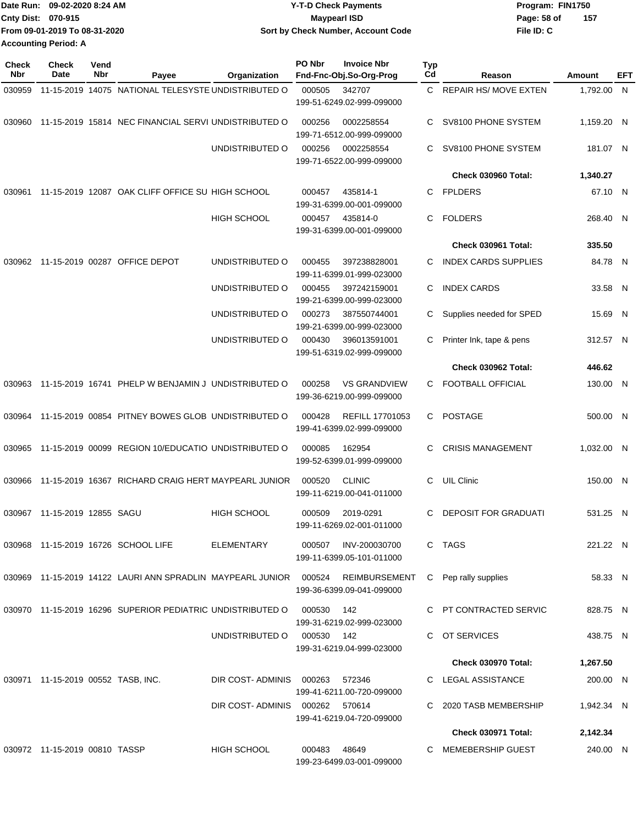|                             | Date Run: 09-02-2020 8:24 AM  | <b>Y-T-D Check Payments</b>        | Program: FIN1750    |
|-----------------------------|-------------------------------|------------------------------------|---------------------|
| <b>Cnty Dist: 070-915</b>   |                               | <b>Mavpearl ISD</b>                | -157<br>Page: 58 of |
|                             | From 09-01-2019 To 08-31-2020 | Sort by Check Number, Account Code | File ID: C          |
| <b>Accounting Period: A</b> |                               |                                    |                     |

| Check<br><b>Nbr</b> | Check<br>Date                      | Vend<br>Nbr | Payee                                                             | Organization                   | PO Nbr     | <b>Invoice Nbr</b><br>Fnd-Fnc-Obj.So-Org-Prog       | Typ<br>Cd | Reason                      | Amount     | EFT |
|---------------------|------------------------------------|-------------|-------------------------------------------------------------------|--------------------------------|------------|-----------------------------------------------------|-----------|-----------------------------|------------|-----|
| 030959              |                                    |             | 11-15-2019 14075 NATIONAL TELESYSTE UNDISTRIBUTED O               |                                | 000505     | 342707<br>199-51-6249.02-999-099000                 |           | C REPAIR HS/MOVE EXTEN      | 1,792.00 N |     |
| 030960              |                                    |             | 11-15-2019 15814 NEC FINANCIAL SERVI UNDISTRIBUTED O              |                                | 000256     | 0002258554<br>199-71-6512.00-999-099000             | C         | SV8100 PHONE SYSTEM         | 1,159.20 N |     |
|                     |                                    |             |                                                                   | UNDISTRIBUTED O                | 000256     | 0002258554<br>199-71-6522.00-999-099000             | C.        | SV8100 PHONE SYSTEM         | 181.07 N   |     |
|                     |                                    |             |                                                                   |                                |            |                                                     |           | <b>Check 030960 Total:</b>  | 1,340.27   |     |
| 030961              |                                    |             | 11-15-2019 12087 OAK CLIFF OFFICE SU HIGH SCHOOL                  |                                | 000457     | 435814-1<br>199-31-6399.00-001-099000               | C         | <b>FPLDERS</b>              | 67.10 N    |     |
|                     |                                    |             |                                                                   | <b>HIGH SCHOOL</b>             | 000457     | 435814-0<br>199-31-6399.00-001-099000               | C.        | <b>FOLDERS</b>              | 268.40 N   |     |
|                     |                                    |             |                                                                   |                                |            |                                                     |           | Check 030961 Total:         | 335.50     |     |
| 030962              |                                    |             | 11-15-2019 00287 OFFICE DEPOT                                     | UNDISTRIBUTED O                | 000455     | 397238828001<br>199-11-6399.01-999-023000           | C         | <b>INDEX CARDS SUPPLIES</b> | 84.78 N    |     |
|                     |                                    |             |                                                                   | UNDISTRIBUTED O                | 000455     | 397242159001<br>199-21-6399.00-999-023000           | C         | <b>INDEX CARDS</b>          | 33.58 N    |     |
|                     |                                    |             |                                                                   | UNDISTRIBUTED O                | 000273     | 387550744001<br>199-21-6399.00-999-023000           | С         | Supplies needed for SPED    | 15.69 N    |     |
|                     |                                    |             |                                                                   | UNDISTRIBUTED O                | 000430     | 396013591001<br>199-51-6319.02-999-099000           | С         | Printer Ink, tape & pens    | 312.57 N   |     |
|                     |                                    |             |                                                                   |                                |            |                                                     |           | Check 030962 Total:         | 446.62     |     |
| 030963              |                                    |             | 11-15-2019 16741 PHELP W BENJAMIN J UNDISTRIBUTED O               |                                | 000258     | <b>VS GRANDVIEW</b><br>199-36-6219.00-999-099000    |           | C FOOTBALL OFFICIAL         | 130.00 N   |     |
|                     |                                    |             | 030964 11-15-2019 00854 PITNEY BOWES GLOB UNDISTRIBUTED O         |                                | 000428     | <b>REFILL 17701053</b><br>199-41-6399.02-999-099000 | C.        | POSTAGE                     | 500.00 N   |     |
| 030965              |                                    |             | 11-15-2019 00099 REGION 10/EDUCATIO UNDISTRIBUTED O               |                                | 000085     | 162954<br>199-52-6399.01-999-099000                 | C.        | <b>CRISIS MANAGEMENT</b>    | 1,032.00 N |     |
| 030966              |                                    |             | 11-15-2019 16367 RICHARD CRAIG HERT MAYPEARL JUNIOR               |                                | 000520     | <b>CLINIC</b><br>199-11-6219.00-041-011000          | C.        | <b>UIL Clinic</b>           | 150.00 N   |     |
|                     | 030967 11-15-2019 12855 SAGU       |             |                                                                   | <b>HIGH SCHOOL</b>             | 000509     | 2019-0291<br>199-11-6269.02-001-011000              | C         | <b>DEPOSIT FOR GRADUATI</b> | 531.25 N   |     |
|                     |                                    |             | 030968 11-15-2019 16726 SCHOOL LIFE                               | ELEMENTARY                     | 000507     | INV-200030700<br>199-11-6399.05-101-011000          |           | C TAGS                      | 221.22 N   |     |
|                     |                                    |             | 030969 11-15-2019 14122 LAURI ANN SPRADLIN MAYPEARL JUNIOR 000524 |                                |            | REIMBURSEMENT<br>199-36-6399.09-041-099000          |           | C Pep rally supplies        | 58.33 N    |     |
|                     |                                    |             | 030970 11-15-2019 16296 SUPERIOR PEDIATRIC UNDISTRIBUTED O        |                                | 000530     | 142<br>199-31-6219.02-999-023000                    |           | C PT CONTRACTED SERVIC      | 828.75 N   |     |
|                     |                                    |             |                                                                   | UNDISTRIBUTED O                | 000530 142 | 199-31-6219.04-999-023000                           |           | C OT SERVICES               | 438.75 N   |     |
|                     |                                    |             |                                                                   |                                |            |                                                     |           | <b>Check 030970 Total:</b>  | 1,267.50   |     |
|                     | 030971 11-15-2019 00552 TASB, INC. |             |                                                                   | DIR COST-ADMINIS 000263        |            | 572346<br>199-41-6211.00-720-099000                 |           | C LEGAL ASSISTANCE          | 200.00 N   |     |
|                     |                                    |             |                                                                   | DIR COST-ADMINIS 000262 570614 |            | 199-41-6219.04-720-099000                           |           | 2020 TASB MEMBERSHIP        | 1,942.34 N |     |
|                     |                                    |             |                                                                   |                                |            |                                                     |           | <b>Check 030971 Total:</b>  | 2,142.34   |     |
|                     | 030972 11-15-2019 00810 TASSP      |             |                                                                   | <b>HIGH SCHOOL</b>             | 000483     | 48649<br>199-23-6499.03-001-099000                  |           | C MEMEBERSHIP GUEST         | 240.00 N   |     |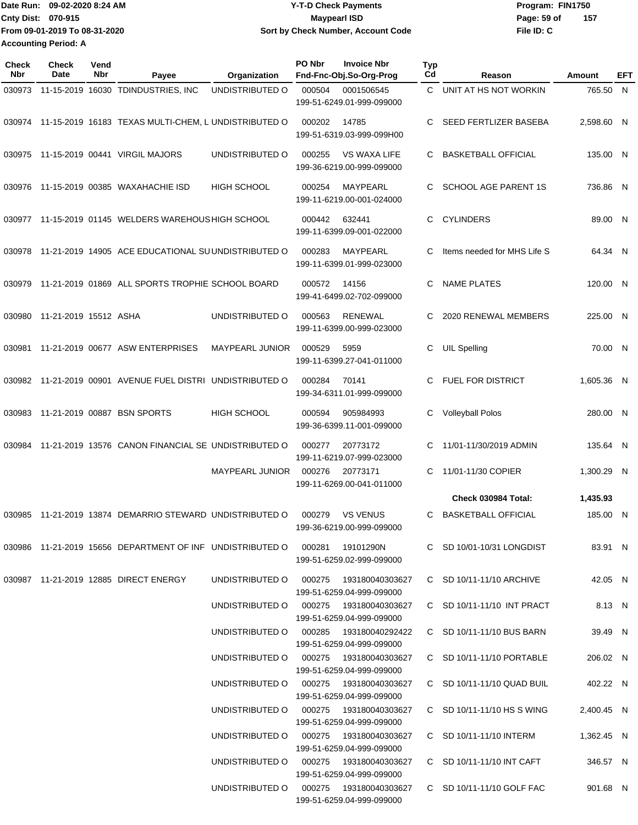**Date Run: Program: FIN1750 Cnty Dist: Page: 59 of From 09-01-2019 To 08-31-2020 09-02-2020 8:24 AM Y-T-D Check Payments 070-915 Maypearl ISD Sort by Check Number, Account Code Accounting Period: A**

**File ID: C 157**

| <b>Check</b><br>Nbr | Check<br>Date         | Vend<br>Nbr | Payee                                                                      | Organization                              | PO Nbr | <b>Invoice Nbr</b><br>Fnd-Fnc-Obj.So-Org-Prog    | Typ<br>Cd | Reason                       | Amount     | EFT |
|---------------------|-----------------------|-------------|----------------------------------------------------------------------------|-------------------------------------------|--------|--------------------------------------------------|-----------|------------------------------|------------|-----|
| 030973              |                       |             | 11-15-2019 16030 TDINDUSTRIES, INC                                         | UNDISTRIBUTED O                           | 000504 | 0001506545<br>199-51-6249.01-999-099000          | C.        | UNIT AT HS NOT WORKIN        | 765.50 N   |     |
| 030974              |                       |             | 11-15-2019 16183 TEXAS MULTI-CHEM, L UNDISTRIBUTED O                       |                                           | 000202 | 14785<br>199-51-6319.03-999-099H00               | C         | SEED FERTLIZER BASEBA        | 2,598.60 N |     |
|                     |                       |             | 030975 11-15-2019 00441 VIRGIL MAJORS                                      | UNDISTRIBUTED O                           | 000255 | <b>VS WAXA LIFE</b><br>199-36-6219.00-999-099000 | C.        | <b>BASKETBALL OFFICIAL</b>   | 135.00 N   |     |
| 030976              |                       |             | 11-15-2019 00385 WAXAHACHIE ISD                                            | HIGH SCHOOL                               | 000254 | MAYPEARL<br>199-11-6219.00-001-024000            | C.        | SCHOOL AGE PARENT 1S         | 736.86 N   |     |
| 030977              |                       |             | 11-15-2019 01145 WELDERS WAREHOUS HIGH SCHOOL                              |                                           | 000442 | 632441<br>199-11-6399.09-001-022000              | C         | <b>CYLINDERS</b>             | 89.00 N    |     |
| 030978              |                       |             | 11-21-2019 14905 ACE EDUCATIONAL SUUNDISTRIBUTED O                         |                                           | 000283 | <b>MAYPEARL</b><br>199-11-6399.01-999-023000     | C         | Items needed for MHS Life S  | 64.34 N    |     |
| 030979              |                       |             | 11-21-2019 01869 ALL SPORTS TROPHIE SCHOOL BOARD                           |                                           | 000572 | 14156<br>199-41-6499.02-702-099000               | C         | <b>NAME PLATES</b>           | 120.00 N   |     |
| 030980              | 11-21-2019 15512 ASHA |             |                                                                            | UNDISTRIBUTED O                           | 000563 | <b>RENEWAL</b><br>199-11-6399.00-999-023000      | С         | 2020 RENEWAL MEMBERS         | 225.00 N   |     |
| 030981              |                       |             | 11-21-2019 00677 ASW ENTERPRISES                                           | <b>MAYPEARL JUNIOR</b>                    | 000529 | 5959<br>199-11-6399.27-041-011000                | C         | <b>UIL Spelling</b>          | 70.00 N    |     |
|                     |                       |             | 030982 11-21-2019 00901 AVENUE FUEL DISTRI UNDISTRIBUTED O                 |                                           | 000284 | 70141<br>199-34-6311.01-999-099000               | C.        | <b>FUEL FOR DISTRICT</b>     | 1,605.36 N |     |
| 030983              |                       |             | 11-21-2019 00887 BSN SPORTS                                                | <b>HIGH SCHOOL</b>                        | 000594 | 905984993<br>199-36-6399.11-001-099000           | C         | <b>Volleyball Polos</b>      | 280.00 N   |     |
| 030984              |                       |             | 11-21-2019 13576 CANON FINANCIAL SE UNDISTRIBUTED O                        |                                           | 000277 | 20773172<br>199-11-6219.07-999-023000            | C         | 11/01-11/30/2019 ADMIN       | 135.64 N   |     |
|                     |                       |             |                                                                            | <b>MAYPEARL JUNIOR</b>                    | 000276 | 20773171<br>199-11-6269.00-041-011000            | C         | 11/01-11/30 COPIER           | 1,300.29 N |     |
|                     |                       |             |                                                                            |                                           |        |                                                  |           | Check 030984 Total:          | 1,435.93   |     |
|                     |                       |             | 030985 11-21-2019 13874 DEMARRIO STEWARD UNDISTRIBUTED O                   |                                           | 000279 | <b>VS VENUS</b><br>199-36-6219.00-999-099000     | C         | <b>BASKETBALL OFFICIAL</b>   | 185.00 N   |     |
|                     |                       |             | 030986 11-21-2019 15656 DEPARTMENT OF INF UNDISTRIBUTED O 000281 19101290N |                                           |        | 199-51-6259.02-999-099000                        |           | C SD 10/01-10/31 LONGDIST    | 83.91 N    |     |
|                     |                       |             | 030987 11-21-2019 12885 DIRECT ENERGY                                      | UNDISTRIBUTED O 000275 193180040303627    |        | 199-51-6259.04-999-099000                        |           | C SD 10/11-11/10 ARCHIVE     | 42.05 N    |     |
|                     |                       |             |                                                                            | UNDISTRIBUTED O 000275 193180040303627    |        | 199-51-6259.04-999-099000                        |           | C SD 10/11-11/10 INT PRACT   | 8.13 N     |     |
|                     |                       |             |                                                                            | UNDISTRIBUTED O                           |        | 199-51-6259.04-999-099000                        |           | C SD 10/11-11/10 BUS BARN    | 39.49 N    |     |
|                     |                       |             |                                                                            | UNDISTRIBUTED O                           |        | 199-51-6259.04-999-099000                        |           | C SD 10/11-11/10 PORTABLE    | 206.02 N   |     |
|                     |                       |             |                                                                            | UNDISTRIBUTED O                           |        | 199-51-6259.04-999-099000                        |           | $C$ SD 10/11-11/10 QUAD BUIL | 402.22 N   |     |
|                     |                       |             |                                                                            | UNDISTRIBUTED O                           |        | 199-51-6259.04-999-099000                        |           | C SD 10/11-11/10 HS S WING   | 2,400.45 N |     |
|                     |                       |             |                                                                            | UNDISTRIBUTED O 000275 193180040303627    |        | 199-51-6259.04-999-099000                        |           | C SD 10/11-11/10 INTERM      | 1,362.45 N |     |
|                     |                       |             |                                                                            | UNDISTRIBUTED O 000275 193180040303627    |        | 199-51-6259.04-999-099000                        |           | C SD 10/11-11/10 INT CAFT    | 346.57 N   |     |
|                     |                       |             |                                                                            | UNDISTRIBUTED O   000275  193180040303627 |        |                                                  |           | C SD 10/11-11/10 GOLF FAC    | 901.68 N   |     |

199-51-6259.04-999-099000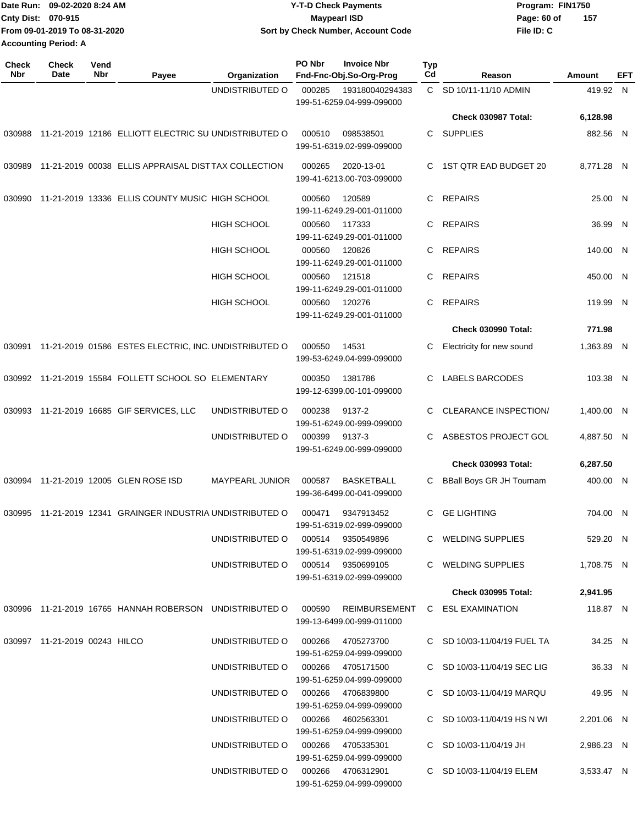|                             | Date Run: 09-02-2020 8:24 AM  | <b>Y-T-D Check Payments</b>        | Program: FIN1750   |  |
|-----------------------------|-------------------------------|------------------------------------|--------------------|--|
| <b>Cnty Dist: 070-915</b>   |                               | Maypearl ISD                       | 157<br>Page: 60 of |  |
|                             | From 09-01-2019 To 08-31-2020 | Sort by Check Number, Account Code | File ID: C         |  |
| <b>Accounting Period: A</b> |                               |                                    |                    |  |

| <b>Check</b><br><b>Nbr</b> | <b>Check</b><br>Date          | Vend<br><b>Nbr</b> | Payee                                                        | Organization                      | PO Nbr | <b>Invoice Nbr</b><br>Fnd-Fnc-Obj.So-Org-Prog     | Typ<br>Cd | Reason                          | Amount     | <b>EFT</b> |
|----------------------------|-------------------------------|--------------------|--------------------------------------------------------------|-----------------------------------|--------|---------------------------------------------------|-----------|---------------------------------|------------|------------|
|                            |                               |                    |                                                              | UNDISTRIBUTED O                   | 000285 | 193180040294383<br>199-51-6259.04-999-099000      |           | C SD 10/11-11/10 ADMIN          | 419.92 N   |            |
|                            |                               |                    |                                                              |                                   |        |                                                   |           | Check 030987 Total:             | 6,128.98   |            |
| 030988                     |                               |                    | 11-21-2019 12186 ELLIOTT ELECTRIC SU UNDISTRIBUTED O         |                                   | 000510 | 098538501<br>199-51-6319.02-999-099000            | С         | <b>SUPPLIES</b>                 | 882.56 N   |            |
| 030989                     |                               |                    | 11-21-2019 00038 ELLIS APPRAISAL DISTTAX COLLECTION          |                                   | 000265 | 2020-13-01<br>199-41-6213.00-703-099000           | C         | 1ST QTR EAD BUDGET 20           | 8,771.28 N |            |
| 030990                     |                               |                    | 11-21-2019 13336 ELLIS COUNTY MUSIC HIGH SCHOOL              |                                   | 000560 | 120589<br>199-11-6249.29-001-011000               | С         | <b>REPAIRS</b>                  | 25.00 N    |            |
|                            |                               |                    |                                                              | <b>HIGH SCHOOL</b>                | 000560 | 117333<br>199-11-6249.29-001-011000               | C         | <b>REPAIRS</b>                  | 36.99 N    |            |
|                            |                               |                    |                                                              | HIGH SCHOOL                       | 000560 | 120826<br>199-11-6249.29-001-011000               | С         | <b>REPAIRS</b>                  | 140.00 N   |            |
|                            |                               |                    |                                                              | HIGH SCHOOL                       | 000560 | 121518<br>199-11-6249.29-001-011000               | С         | <b>REPAIRS</b>                  | 450.00 N   |            |
|                            |                               |                    |                                                              | <b>HIGH SCHOOL</b>                | 000560 | 120276<br>199-11-6249.29-001-011000               | С         | <b>REPAIRS</b>                  | 119.99 N   |            |
|                            |                               |                    |                                                              |                                   |        |                                                   |           | <b>Check 030990 Total:</b>      | 771.98     |            |
|                            |                               |                    | 030991 11-21-2019 01586 ESTES ELECTRIC, INC. UNDISTRIBUTED O |                                   | 000550 | 14531<br>199-53-6249.04-999-099000                | С         | Electricity for new sound       | 1,363.89 N |            |
|                            |                               |                    | 030992 11-21-2019 15584 FOLLETT SCHOOL SO ELEMENTARY         |                                   | 000350 | 1381786<br>199-12-6399.00-101-099000              | C         | LABELS BARCODES                 | 103.38 N   |            |
| 030993                     |                               |                    | 11-21-2019 16685 GIF SERVICES, LLC                           | UNDISTRIBUTED O                   | 000238 | 9137-2<br>199-51-6249.00-999-099000               | С         | <b>CLEARANCE INSPECTION/</b>    | 1,400.00 N |            |
|                            |                               |                    |                                                              | UNDISTRIBUTED O                   | 000399 | 9137-3<br>199-51-6249.00-999-099000               | С         | ASBESTOS PROJECT GOL            | 4,887.50 N |            |
|                            |                               |                    |                                                              |                                   |        |                                                   |           | <b>Check 030993 Total:</b>      | 6,287.50   |            |
| 030994                     |                               |                    | 11-21-2019 12005 GLEN ROSE ISD                               | <b>MAYPEARL JUNIOR</b>            | 000587 | <b>BASKETBALL</b><br>199-36-6499.00-041-099000    | С         | <b>BBall Boys GR JH Tournam</b> | 400.00 N   |            |
|                            |                               |                    | 030995 11-21-2019 12341 GRAINGER INDUSTRIA UNDISTRIBUTED O   |                                   | 000471 | 9347913452<br>199-51-6319.02-999-099000           | С         | <b>GE LIGHTING</b>              | 704.00 N   |            |
|                            |                               |                    |                                                              | UNDISTRIBUTED O                   |        | 000514 9350549896<br>199-51-6319.02-999-099000    |           | C WELDING SUPPLIES              | 529.20 N   |            |
|                            |                               |                    |                                                              | UNDISTRIBUTED O 000514 9350699105 |        | 199-51-6319.02-999-099000                         |           | C WELDING SUPPLIES              | 1,708.75 N |            |
|                            |                               |                    |                                                              |                                   |        |                                                   |           | <b>Check 030995 Total:</b>      | 2,941.95   |            |
|                            |                               |                    | 030996 11-21-2019 16765 HANNAH ROBERSON UNDISTRIBUTED O      |                                   |        | 000590 REIMBURSEMENT<br>199-13-6499.00-999-011000 |           | C ESL EXAMINATION               | 118.87 N   |            |
|                            | 030997 11-21-2019 00243 HILCO |                    |                                                              | UNDISTRIBUTED O                   | 000266 | 4705273700<br>199-51-6259.04-999-099000           |           | C SD 10/03-11/04/19 FUEL TA     | 34.25 N    |            |
|                            |                               |                    |                                                              | UNDISTRIBUTED O                   |        | 000266 4705171500<br>199-51-6259.04-999-099000    |           | C SD 10/03-11/04/19 SEC LIG     | 36.33 N    |            |
|                            |                               |                    |                                                              | UNDISTRIBUTED O                   | 000266 | 4706839800<br>199-51-6259.04-999-099000           |           | C SD 10/03-11/04/19 MARQU       | 49.95 N    |            |
|                            |                               |                    |                                                              | UNDISTRIBUTED O                   | 000266 | 4602563301<br>199-51-6259.04-999-099000           |           | C SD 10/03-11/04/19 HS N WI     | 2,201.06 N |            |
|                            |                               |                    |                                                              | UNDISTRIBUTED O                   |        | 000266 4705335301<br>199-51-6259.04-999-099000    |           | C SD 10/03-11/04/19 JH          | 2,986.23 N |            |
|                            |                               |                    |                                                              | UNDISTRIBUTED O 000266 4706312901 |        | 199-51-6259.04-999-099000                         |           | C SD 10/03-11/04/19 ELEM        | 3,533.47 N |            |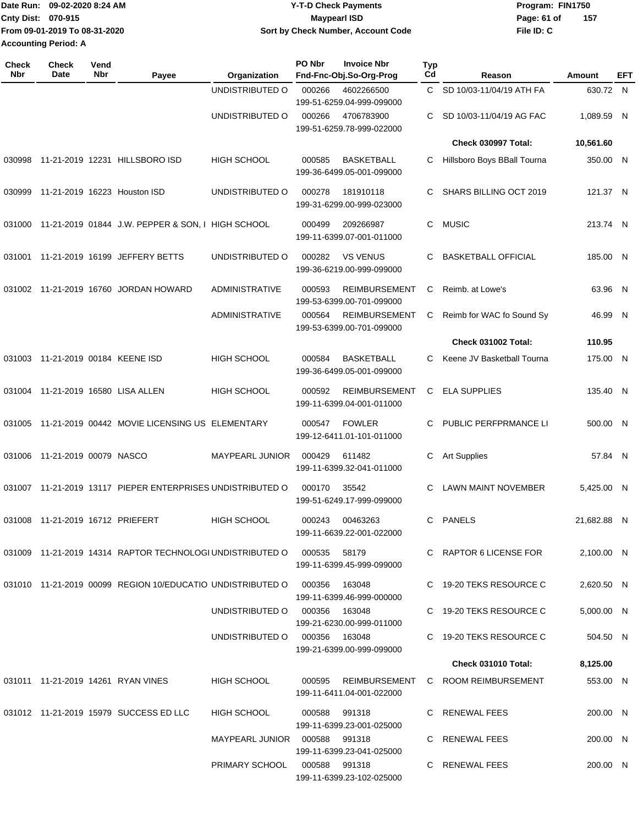|                             | Date Run: 09-02-2020 8:24 AM  | Y-T-D Check Payments               | Program: FIN1750 |     |  |  |
|-----------------------------|-------------------------------|------------------------------------|------------------|-----|--|--|
| <b>Cnty Dist: 070-915</b>   |                               | Maypearl ISD                       | Page: 61 of      | 157 |  |  |
|                             | From 09-01-2019 To 08-31-2020 | Sort by Check Number, Account Code | File ID: C       |     |  |  |
| <b>Accounting Period: A</b> |                               |                                    |                  |     |  |  |

| Check<br><b>Nbr</b> | <b>Check</b><br>Date              | Vend<br>Nbr | Payee                                                      | Organization                    | PO Nbr        | <b>Invoice Nbr</b><br>Fnd-Fnc-Obj.So-Org-Prog     | Typ<br>Cd    | Reason                      | Amount      | EFT |
|---------------------|-----------------------------------|-------------|------------------------------------------------------------|---------------------------------|---------------|---------------------------------------------------|--------------|-----------------------------|-------------|-----|
|                     |                                   |             |                                                            | UNDISTRIBUTED O                 | 000266        | 4602266500<br>199-51-6259.04-999-099000           | $\mathbf{C}$ | SD 10/03-11/04/19 ATH FA    | 630.72 N    |     |
|                     |                                   |             |                                                            | UNDISTRIBUTED O                 | 000266        | 4706783900<br>199-51-6259.78-999-022000           | C            | SD 10/03-11/04/19 AG FAC    | 1,089.59 N  |     |
|                     |                                   |             |                                                            |                                 |               |                                                   |              | Check 030997 Total:         | 10,561.60   |     |
|                     |                                   |             | 030998 11-21-2019 12231 HILLSBORO ISD                      | <b>HIGH SCHOOL</b>              | 000585        | <b>BASKETBALL</b><br>199-36-6499.05-001-099000    | С            | Hillsboro Boys BBall Tourna | 350.00 N    |     |
| 030999              |                                   |             | 11-21-2019 16223 Houston ISD                               | UNDISTRIBUTED O                 | 000278        | 181910118<br>199-31-6299.00-999-023000            | C            | SHARS BILLING OCT 2019      | 121.37 N    |     |
| 031000              |                                   |             | 11-21-2019 01844 J.W. PEPPER & SON, I HIGH SCHOOL          |                                 | 000499        | 209266987<br>199-11-6399.07-001-011000            | C            | <b>MUSIC</b>                | 213.74 N    |     |
| 031001              |                                   |             | 11-21-2019 16199 JEFFERY BETTS                             | UNDISTRIBUTED O                 | 000282        | <b>VS VENUS</b><br>199-36-6219.00-999-099000      | С            | <b>BASKETBALL OFFICIAL</b>  | 185.00 N    |     |
| 031002              |                                   |             | 11-21-2019 16760 JORDAN HOWARD                             | <b>ADMINISTRATIVE</b>           | 000593        | <b>REIMBURSEMENT</b><br>199-53-6399.00-701-099000 | С            | Reimb. at Lowe's            | 63.96 N     |     |
|                     |                                   |             |                                                            | <b>ADMINISTRATIVE</b>           | 000564        | <b>REIMBURSEMENT</b><br>199-53-6399.00-701-099000 | С            | Reimb for WAC fo Sound Sy   | 46.99 N     |     |
|                     |                                   |             |                                                            |                                 |               |                                                   |              | <b>Check 031002 Total:</b>  | 110.95      |     |
|                     | 031003 11-21-2019 00184 KEENE ISD |             |                                                            | <b>HIGH SCHOOL</b>              | 000584        | <b>BASKETBALL</b><br>199-36-6499.05-001-099000    | C            | Keene JV Basketball Tourna  | 175.00 N    |     |
|                     |                                   |             | 031004 11-21-2019 16580 LISA ALLEN                         | <b>HIGH SCHOOL</b>              | 000592        | <b>REIMBURSEMENT</b><br>199-11-6399.04-001-011000 | C            | <b>ELA SUPPLIES</b>         | 135.40 N    |     |
| 031005              |                                   |             | 11-21-2019 00442 MOVIE LICENSING US ELEMENTARY             |                                 | 000547        | <b>FOWLER</b><br>199-12-6411.01-101-011000        | C            | PUBLIC PERFPRMANCE LI       | 500.00 N    |     |
| 031006              | 11-21-2019 00079 NASCO            |             |                                                            | <b>MAYPEARL JUNIOR</b>          | 000429        | 611482<br>199-11-6399.32-041-011000               | С            | <b>Art Supplies</b>         | 57.84 N     |     |
| 031007              |                                   |             | 11-21-2019 13117 PIEPER ENTERPRISES UNDISTRIBUTED O        |                                 | 000170        | 35542<br>199-51-6249.17-999-099000                | С            | <b>LAWN MAINT NOVEMBER</b>  | 5,425.00 N  |     |
|                     | 031008 11-21-2019 16712 PRIEFERT  |             |                                                            | <b>HIGH SCHOOL</b>              | 000243        | 00463263<br>199-11-6639.22-001-022000             | C            | <b>PANELS</b>               | 21,682.88 N |     |
|                     |                                   |             | 031009 11-21-2019 14314 RAPTOR TECHNOLOGI UNDISTRIBUTED O  |                                 | 000535 58179  | 199-11-6399.45-999-099000                         |              | C RAPTOR 6 LICENSE FOR      | 2.100.00 N  |     |
|                     |                                   |             | 031010 11-21-2019 00099 REGION 10/EDUCATIO UNDISTRIBUTED O |                                 | 000356        | 163048<br>199-11-6399.46-999-000000               |              | C 19-20 TEKS RESOURCE C     | 2,620.50 N  |     |
|                     |                                   |             |                                                            | UNDISTRIBUTED O                 | 000356 163048 | 199-21-6230.00-999-011000                         |              | C 19-20 TEKS RESOURCE C     | 5,000.00 N  |     |
|                     |                                   |             |                                                            | UNDISTRIBUTED O                 | 000356 163048 | 199-21-6399.00-999-099000                         |              | C 19-20 TEKS RESOURCE C     | 504.50 N    |     |
|                     |                                   |             |                                                            |                                 |               |                                                   |              | <b>Check 031010 Total:</b>  | 8,125.00    |     |
|                     |                                   |             | 031011 11-21-2019 14261 RYAN VINES                         | <b>HIGH SCHOOL</b>              | 000595        | REIMBURSEMENT<br>199-11-6411.04-001-022000        |              | C ROOM REIMBURSEMENT        | 553.00 N    |     |
|                     |                                   |             | 031012 11-21-2019 15979 SUCCESS ED LLC                     | HIGH SCHOOL                     | 000588        | 991318<br>199-11-6399.23-001-025000               |              | C RENEWAL FEES              | 200.00 N    |     |
|                     |                                   |             |                                                            | MAYPEARL JUNIOR  000588  991318 |               | 199-11-6399.23-041-025000                         |              | C RENEWAL FEES              | 200.00 N    |     |
|                     |                                   |             |                                                            | PRIMARY SCHOOL                  | 000588 991318 | 199-11-6399.23-102-025000                         |              | C RENEWAL FEES              | 200.00 N    |     |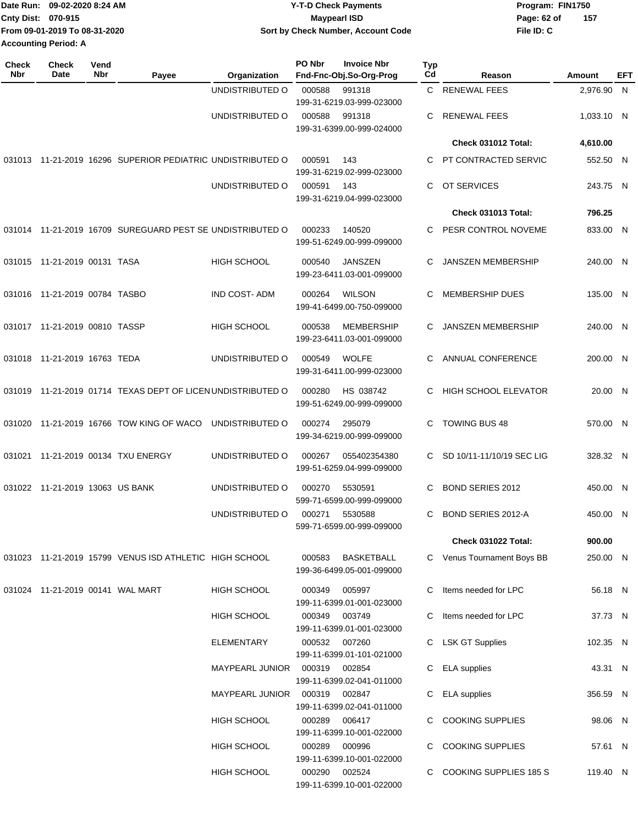| Date Run: 09-02-2020 8:24 AM  | Y-T-D Check Payments               | Program: FIN1750   |
|-------------------------------|------------------------------------|--------------------|
| <b>Cnty Dist: 070-915</b>     | <b>Mavpearl ISD</b>                | 157<br>Page: 62 of |
| From 09-01-2019 To 08-31-2020 | Sort by Check Number, Account Code | File ID: C         |
| <b>Accounting Period: A</b>   |                                    |                    |
|                               |                                    |                    |

| <b>Check</b><br>Nbr | <b>Check</b><br>Date             | Vend<br>Nbr | Payee                                                       | Organization        | PO Nbr        | <b>Invoice Nbr</b><br>Fnd-Fnc-Obj.So-Org-Prog  | <b>Typ</b><br>Cd | Reason                      | <b>Amount</b> | EFT |
|---------------------|----------------------------------|-------------|-------------------------------------------------------------|---------------------|---------------|------------------------------------------------|------------------|-----------------------------|---------------|-----|
|                     |                                  |             |                                                             | UNDISTRIBUTED O     | 000588        | 991318                                         | C.               | <b>RENEWAL FEES</b>         | 2,976.90 N    |     |
|                     |                                  |             |                                                             |                     |               | 199-31-6219.03-999-023000                      |                  |                             |               |     |
|                     |                                  |             |                                                             | UNDISTRIBUTED O     | 000588        | 991318<br>199-31-6399.00-999-024000            | C                | <b>RENEWAL FEES</b>         | 1,033.10 N    |     |
|                     |                                  |             |                                                             |                     |               |                                                |                  | Check 031012 Total:         | 4,610.00      |     |
|                     |                                  |             | 031013 11-21-2019 16296 SUPERIOR PEDIATRIC UNDISTRIBUTED O  |                     | 000591        | 143<br>199-31-6219.02-999-023000               | C                | PT CONTRACTED SERVIC        | 552.50 N      |     |
|                     |                                  |             |                                                             | UNDISTRIBUTED O     | 000591        | - 143<br>199-31-6219.04-999-023000             | C                | OT SERVICES                 | 243.75 N      |     |
|                     |                                  |             |                                                             |                     |               |                                                |                  | <b>Check 031013 Total:</b>  | 796.25        |     |
|                     |                                  |             | 031014 11-21-2019 16709 SUREGUARD PEST SE UNDISTRIBUTED O   |                     | 000233        | 140520<br>199-51-6249.00-999-099000            | C                | PESR CONTROL NOVEME         | 833.00 N      |     |
|                     | 031015 11-21-2019 00131 TASA     |             |                                                             | <b>HIGH SCHOOL</b>  | 000540        | <b>JANSZEN</b><br>199-23-6411.03-001-099000    | C.               | <b>JANSZEN MEMBERSHIP</b>   | 240.00 N      |     |
|                     | 031016 11-21-2019 00784 TASBO    |             |                                                             | <b>IND COST-ADM</b> | 000264        | <b>WILSON</b><br>199-41-6499.00-750-099000     | C                | <b>MEMBERSHIP DUES</b>      | 135.00 N      |     |
|                     | 031017 11-21-2019 00810 TASSP    |             |                                                             | <b>HIGH SCHOOL</b>  | 000538        | <b>MEMBERSHIP</b><br>199-23-6411.03-001-099000 | C                | <b>JANSZEN MEMBERSHIP</b>   | 240.00 N      |     |
|                     | 031018 11-21-2019 16763 TEDA     |             |                                                             | UNDISTRIBUTED O     | 000549        | <b>WOLFE</b><br>199-31-6411.00-999-023000      | C                | ANNUAL CONFERENCE           | 200.00 N      |     |
|                     |                                  |             | 031019 11-21-2019 01714 TEXAS DEPT OF LICEN UNDISTRIBUTED O |                     | 000280        | HS 038742<br>199-51-6249.00-999-099000         | C                | <b>HIGH SCHOOL ELEVATOR</b> | 20.00 N       |     |
| 031020              |                                  |             | 11-21-2019 16766 TOW KING OF WACO                           | UNDISTRIBUTED O     | 000274        | 295079<br>199-34-6219.00-999-099000            | C                | <b>TOWING BUS 48</b>        | 570.00 N      |     |
|                     |                                  |             | 031021 11-21-2019 00134 TXU ENERGY                          | UNDISTRIBUTED O     | 000267        | 055402354380<br>199-51-6259.04-999-099000      | C.               | SD 10/11-11/10/19 SEC LIG   | 328.32 N      |     |
|                     | 031022 11-21-2019 13063 US BANK  |             |                                                             | UNDISTRIBUTED O     | 000270        | 5530591<br>599-71-6599.00-999-099000           | C                | <b>BOND SERIES 2012</b>     | 450.00 N      |     |
|                     |                                  |             |                                                             | UNDISTRIBUTED O     | 000271        | 5530588<br>599-71-6599.00-999-099000           | C                | BOND SERIES 2012-A          | 450.00 N      |     |
|                     |                                  |             |                                                             |                     |               |                                                |                  | <b>Check 031022 Total:</b>  | 900.00        |     |
|                     |                                  |             | 031023 11-21-2019 15799 VENUS ISD ATHLETIC HIGH SCHOOL      |                     | 000583        | <b>BASKETBALL</b><br>199-36-6499.05-001-099000 |                  | C Venus Tournament Boys BB  | 250.00 N      |     |
|                     | 031024 11-21-2019 00141 WAL MART |             |                                                             | HIGH SCHOOL         | 000349        | 005997<br>199-11-6399.01-001-023000            | C                | Items needed for LPC        | 56.18 N       |     |
|                     |                                  |             |                                                             | <b>HIGH SCHOOL</b>  |               | 000349 003749<br>199-11-6399.01-001-023000     | C                | Items needed for LPC        | 37.73 N       |     |
|                     |                                  |             |                                                             | ELEMENTARY          |               | 000532 007260<br>199-11-6399.01-101-021000     |                  | C LSK GT Supplies           | 102.35 N      |     |
|                     |                                  |             |                                                             | MAYPEARL JUNIOR     | 000319 002854 | 199-11-6399.02-041-011000                      |                  | C ELA supplies              | 43.31 N       |     |
|                     |                                  |             |                                                             | MAYPEARL JUNIOR     | 000319 002847 | 199-11-6399.02-041-011000                      | C                | <b>ELA</b> supplies         | 356.59 N      |     |
|                     |                                  |             |                                                             | HIGH SCHOOL         | 000289        | 006417<br>199-11-6399.10-001-022000            |                  | C COOKING SUPPLIES          | 98.06 N       |     |
|                     |                                  |             |                                                             | <b>HIGH SCHOOL</b>  | 000289 000996 | 199-11-6399.10-001-022000                      |                  | C COOKING SUPPLIES          | 57.61 N       |     |
|                     |                                  |             |                                                             | <b>HIGH SCHOOL</b>  |               | 000290 002524<br>199-11-6399.10-001-022000     |                  | C COOKING SUPPLIES 185 S    | 119.40 N      |     |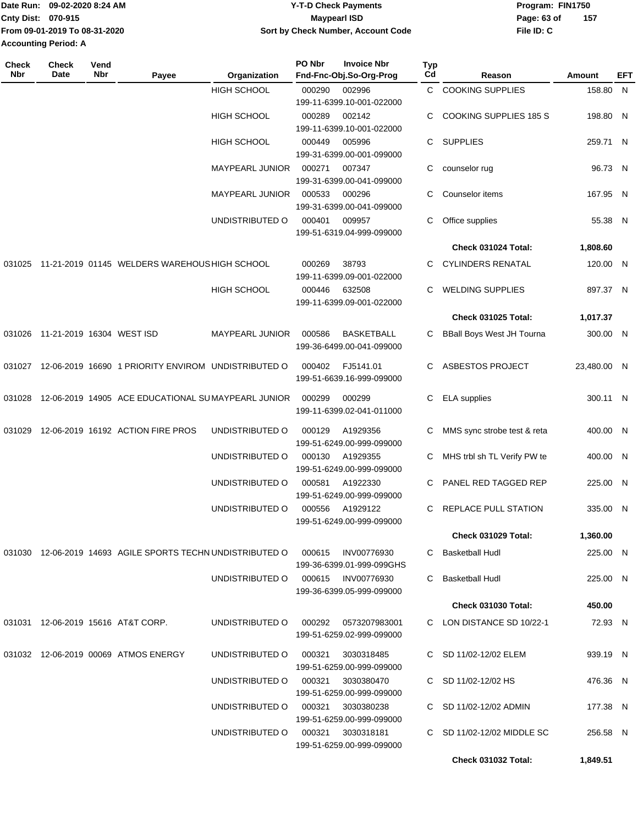| Date Run: 09-02-2020 8:24 AM  | <b>Y-T-D Check Payments</b>        | Program: FIN1750 |     |  |  |
|-------------------------------|------------------------------------|------------------|-----|--|--|
| <b>Cnty Dist: 070-915</b>     | Maypearl ISD                       | Page: 63 of      | 157 |  |  |
| From 09-01-2019 To 08-31-2020 | Sort by Check Number, Account Code | File ID: C       |     |  |  |
| <b>Accounting Period: A</b>   |                                    |                  |     |  |  |

| <b>Check</b><br>Nbr | <b>Check</b><br>Date             | Vend<br>Nbr | Payee                                                      | Organization           | PO Nbr | <b>Invoice Nbr</b><br>Fnd-Fnc-Obj.So-Org-Prog | <b>Typ</b><br>Cd | Reason                           | Amount      | EFT |
|---------------------|----------------------------------|-------------|------------------------------------------------------------|------------------------|--------|-----------------------------------------------|------------------|----------------------------------|-------------|-----|
|                     |                                  |             |                                                            | <b>HIGH SCHOOL</b>     | 000290 | 002996                                        | C                | <b>COOKING SUPPLIES</b>          | 158.80 N    |     |
|                     |                                  |             |                                                            |                        |        | 199-11-6399.10-001-022000                     |                  |                                  |             |     |
|                     |                                  |             |                                                            | <b>HIGH SCHOOL</b>     | 000289 | 002142                                        | C                | COOKING SUPPLIES 185 S           | 198.80 N    |     |
|                     |                                  |             |                                                            |                        |        | 199-11-6399.10-001-022000                     |                  |                                  |             |     |
|                     |                                  |             |                                                            | <b>HIGH SCHOOL</b>     | 000449 | 005996                                        | C.               | <b>SUPPLIES</b>                  | 259.71 N    |     |
|                     |                                  |             |                                                            |                        | 000271 | 199-31-6399.00-001-099000<br>007347           | С                |                                  | 96.73 N     |     |
|                     |                                  |             |                                                            | <b>MAYPEARL JUNIOR</b> |        | 199-31-6399.00-041-099000                     |                  | counselor rug                    |             |     |
|                     |                                  |             |                                                            | <b>MAYPEARL JUNIOR</b> | 000533 | 000296                                        | C                | Counselor items                  | 167.95 N    |     |
|                     |                                  |             |                                                            |                        |        | 199-31-6399.00-041-099000                     |                  |                                  |             |     |
|                     |                                  |             |                                                            | UNDISTRIBUTED O        | 000401 | 009957                                        | С                | Office supplies                  | 55.38 N     |     |
|                     |                                  |             |                                                            |                        |        | 199-51-6319.04-999-099000                     |                  |                                  |             |     |
|                     |                                  |             |                                                            |                        |        |                                               |                  | Check 031024 Total:              | 1,808.60    |     |
| 031025              |                                  |             | 11-21-2019 01145 WELDERS WAREHOUS HIGH SCHOOL              |                        | 000269 | 38793                                         | C                | <b>CYLINDERS RENATAL</b>         | 120.00 N    |     |
|                     |                                  |             |                                                            |                        |        | 199-11-6399.09-001-022000                     |                  |                                  |             |     |
|                     |                                  |             |                                                            | <b>HIGH SCHOOL</b>     | 000446 | 632508                                        | C                | <b>WELDING SUPPLIES</b>          | 897.37 N    |     |
|                     |                                  |             |                                                            |                        |        | 199-11-6399.09-001-022000                     |                  |                                  |             |     |
|                     |                                  |             |                                                            |                        |        |                                               |                  | Check 031025 Total:              | 1,017.37    |     |
|                     | 031026 11-21-2019 16304 WEST ISD |             |                                                            | MAYPEARL JUNIOR        | 000586 | <b>BASKETBALL</b>                             | C                | <b>BBall Boys West JH Tourna</b> | 300.00 N    |     |
|                     |                                  |             |                                                            |                        |        | 199-36-6499.00-041-099000                     |                  |                                  |             |     |
| 031027              |                                  |             | 12-06-2019 16690 1 PRIORITY ENVIROM UNDISTRIBUTED O        |                        | 000402 | FJ5141.01                                     | C                | ASBESTOS PROJECT                 | 23,480.00 N |     |
|                     |                                  |             |                                                            |                        |        | 199-51-6639.16-999-099000                     |                  |                                  |             |     |
| 031028              |                                  |             | 12-06-2019 14905 ACE EDUCATIONAL SUMAYPEARL JUNIOR         |                        | 000299 | 000299                                        | C                | <b>ELA</b> supplies              | 300.11 N    |     |
|                     |                                  |             |                                                            |                        |        | 199-11-6399.02-041-011000                     |                  |                                  |             |     |
| 031029              |                                  |             | 12-06-2019 16192 ACTION FIRE PROS                          | UNDISTRIBUTED O        | 000129 | A1929356                                      | С                | MMS sync strobe test & reta      | 400.00 N    |     |
|                     |                                  |             |                                                            |                        |        | 199-51-6249.00-999-099000                     |                  |                                  |             |     |
|                     |                                  |             |                                                            | UNDISTRIBUTED O        | 000130 | A1929355                                      | С                | MHS trbl sh TL Verify PW te      | 400.00 N    |     |
|                     |                                  |             |                                                            |                        |        | 199-51-6249.00-999-099000                     |                  |                                  |             |     |
|                     |                                  |             |                                                            | UNDISTRIBUTED O        | 000581 | A1922330                                      | C                | PANEL RED TAGGED REP             | 225.00 N    |     |
|                     |                                  |             |                                                            |                        |        | 199-51-6249.00-999-099000                     |                  |                                  |             |     |
|                     |                                  |             |                                                            | UNDISTRIBUTED O        | 000556 | A1929122<br>199-51-6249.00-999-099000         | C                | REPLACE PULL STATION             | 335.00 N    |     |
|                     |                                  |             |                                                            |                        |        |                                               |                  | Check 031029 Total:              | 1,360.00    |     |
|                     |                                  |             | 031030 12-06-2019 14693 AGILE SPORTS TECHN UNDISTRIBUTED O |                        |        |                                               |                  | C Basketball Hudl                |             |     |
|                     |                                  |             |                                                            |                        | 000615 | INV00776930<br>199-36-6399.01-999-099GHS      |                  |                                  | 225.00 N    |     |
|                     |                                  |             |                                                            | UNDISTRIBUTED O        |        | 000615 INV00776930                            | C                | <b>Basketball Hudl</b>           | 225.00 N    |     |
|                     |                                  |             |                                                            |                        |        | 199-36-6399.05-999-099000                     |                  |                                  |             |     |
|                     |                                  |             |                                                            |                        |        |                                               |                  | <b>Check 031030 Total:</b>       | 450.00      |     |
|                     |                                  |             | 031031 12-06-2019 15616 AT&T CORP.                         | UNDISTRIBUTED O        | 000292 | 0573207983001                                 |                  | C LON DISTANCE SD 10/22-1        | 72.93 N     |     |
|                     |                                  |             |                                                            |                        |        | 199-51-6259.02-999-099000                     |                  |                                  |             |     |
|                     |                                  |             | 031032 12-06-2019 00069 ATMOS ENERGY                       | UNDISTRIBUTED O        | 000321 | 3030318485                                    |                  | C SD 11/02-12/02 ELEM            | 939.19 N    |     |
|                     |                                  |             |                                                            |                        |        | 199-51-6259.00-999-099000                     |                  |                                  |             |     |
|                     |                                  |             |                                                            | UNDISTRIBUTED O        | 000321 | 3030380470                                    |                  | C SD 11/02-12/02 HS              | 476.36 N    |     |
|                     |                                  |             |                                                            |                        |        | 199-51-6259.00-999-099000                     |                  |                                  |             |     |
|                     |                                  |             |                                                            | UNDISTRIBUTED O        | 000321 | 3030380238                                    |                  | C SD 11/02-12/02 ADMIN           | 177.38 N    |     |
|                     |                                  |             |                                                            |                        |        | 199-51-6259.00-999-099000                     |                  |                                  |             |     |
|                     |                                  |             |                                                            | UNDISTRIBUTED O        | 000321 | 3030318181                                    |                  | C SD 11/02-12/02 MIDDLE SC       | 256.58 N    |     |
|                     |                                  |             |                                                            |                        |        | 199-51-6259.00-999-099000                     |                  |                                  |             |     |
|                     |                                  |             |                                                            |                        |        |                                               |                  | <b>Check 031032 Total:</b>       | 1,849.51    |     |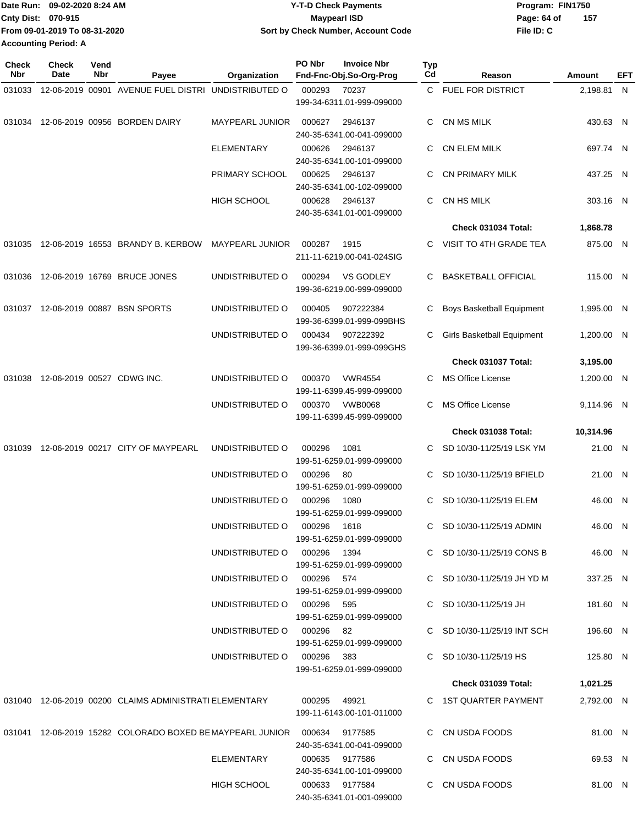|                             | Date Run: 09-02-2020 8:24 AM  | <b>Y-T-D Check Payments</b>        | Program: FIN1750   |  |
|-----------------------------|-------------------------------|------------------------------------|--------------------|--|
| <b>Cnty Dist: 070-915</b>   |                               | Maypearl ISD                       | 157<br>Page: 64 of |  |
|                             | From 09-01-2019 To 08-31-2020 | Sort by Check Number, Account Code | File ID: C         |  |
| <b>Accounting Period: A</b> |                               |                                    |                    |  |

| <b>Check</b><br>Nbr | Check<br>Date | Vend<br>Nbr | Payee                                                                      | Organization                | PO Nbr        | <b>Invoice Nbr</b><br>Fnd-Fnc-Obj.So-Org-Prog | <b>Typ</b><br>Cd | Reason                           | <b>Amount</b> | EFT |
|---------------------|---------------|-------------|----------------------------------------------------------------------------|-----------------------------|---------------|-----------------------------------------------|------------------|----------------------------------|---------------|-----|
| 031033              |               |             | 12-06-2019 00901 AVENUE FUEL DISTRI UNDISTRIBUTED O                        |                             | 000293        | 70237                                         |                  | C FUEL FOR DISTRICT              | 2,198.81 N    |     |
|                     |               |             |                                                                            |                             |               | 199-34-6311.01-999-099000                     |                  |                                  |               |     |
| 031034              |               |             | 12-06-2019 00956 BORDEN DAIRY                                              | <b>MAYPEARL JUNIOR</b>      | 000627        | 2946137<br>240-35-6341.00-041-099000          | C                | CN MS MILK                       | 430.63 N      |     |
|                     |               |             |                                                                            | ELEMENTARY                  | 000626        | 2946137<br>240-35-6341.00-101-099000          | C                | <b>CN ELEM MILK</b>              | 697.74 N      |     |
|                     |               |             |                                                                            | PRIMARY SCHOOL              | 000625        | 2946137<br>240-35-6341.00-102-099000          | C.               | <b>CN PRIMARY MILK</b>           | 437.25 N      |     |
|                     |               |             |                                                                            | <b>HIGH SCHOOL</b>          | 000628        | 2946137<br>240-35-6341.01-001-099000          | C                | CN HS MILK                       | 303.16 N      |     |
|                     |               |             |                                                                            |                             |               |                                               |                  | Check 031034 Total:              | 1,868.78      |     |
| 031035              |               |             | 12-06-2019 16553 BRANDY B. KERBOW                                          | MAYPEARL JUNIOR             | 000287        | 1915                                          | C.               | VISIT TO 4TH GRADE TEA           | 875.00 N      |     |
|                     |               |             |                                                                            |                             |               | 211-11-6219.00-041-024SIG                     |                  |                                  |               |     |
| 031036              |               |             | 12-06-2019 16769 BRUCE JONES                                               | UNDISTRIBUTED O             | 000294        | <b>VS GODLEY</b><br>199-36-6219.00-999-099000 | C.               | <b>BASKETBALL OFFICIAL</b>       | 115.00 N      |     |
| 031037              |               |             | 12-06-2019 00887 BSN SPORTS                                                | UNDISTRIBUTED O             | 000405        | 907222384<br>199-36-6399.01-999-099BHS        | C                | <b>Boys Basketball Equipment</b> | 1,995.00 N    |     |
|                     |               |             |                                                                            | UNDISTRIBUTED O             | 000434        | 907222392<br>199-36-6399.01-999-099GHS        | С                | Girls Basketball Equipment       | 1,200.00 N    |     |
|                     |               |             |                                                                            |                             |               |                                               |                  | Check 031037 Total:              | 3,195.00      |     |
| 031038              |               |             | 12-06-2019 00527 CDWG INC.                                                 | UNDISTRIBUTED O             | 000370        | <b>VWR4554</b><br>199-11-6399.45-999-099000   |                  | <b>MS Office License</b>         | 1,200.00 N    |     |
|                     |               |             |                                                                            | UNDISTRIBUTED O             | 000370        | <b>VWB0068</b><br>199-11-6399.45-999-099000   | C                | <b>MS Office License</b>         | 9,114.96 N    |     |
|                     |               |             |                                                                            |                             |               |                                               |                  | Check 031038 Total:              | 10,314.96     |     |
| 031039              |               |             | 12-06-2019 00217 CITY OF MAYPEARL                                          | UNDISTRIBUTED O             | 000296        | 1081                                          | C                | SD 10/30-11/25/19 LSK YM         | 21.00 N       |     |
|                     |               |             |                                                                            |                             |               | 199-51-6259.01-999-099000                     |                  |                                  |               |     |
|                     |               |             |                                                                            | UNDISTRIBUTED O             | 000296        | 80<br>199-51-6259.01-999-099000               | C.               | SD 10/30-11/25/19 BFIELD         | 21.00 N       |     |
|                     |               |             |                                                                            | UNDISTRIBUTED O             | 000296        | 1080<br>199-51-6259.01-999-099000             |                  | SD 10/30-11/25/19 ELEM           | 46.00 N       |     |
|                     |               |             |                                                                            | UNDISTRIBUTED O 000296 1618 |               | 199-51-6259.01-999-099000                     |                  | C SD 10/30-11/25/19 ADMIN        | 46.00 N       |     |
|                     |               |             |                                                                            | UNDISTRIBUTED O 000296 1394 |               | 199-51-6259.01-999-099000                     |                  | C SD 10/30-11/25/19 CONS B       | 46.00 N       |     |
|                     |               |             |                                                                            | UNDISTRIBUTED O 000296 574  |               | 199-51-6259.01-999-099000                     |                  | C SD 10/30-11/25/19 JH YD M      | 337.25 N      |     |
|                     |               |             |                                                                            | UNDISTRIBUTED O 000296 595  |               | 199-51-6259.01-999-099000                     |                  | C SD 10/30-11/25/19 JH           | 181.60 N      |     |
|                     |               |             |                                                                            | UNDISTRIBUTED O 000296 82   |               | 199-51-6259.01-999-099000                     |                  | C SD 10/30-11/25/19 INT SCH      | 196.60 N      |     |
|                     |               |             |                                                                            | UNDISTRIBUTED O 000296 383  |               | 199-51-6259.01-999-099000                     |                  | C SD 10/30-11/25/19 HS           | 125.80 N      |     |
|                     |               |             |                                                                            |                             |               |                                               |                  | <b>Check 031039 Total:</b>       | 1,021.25      |     |
|                     |               |             | 031040 12-06-2019 00200 CLAIMS ADMINISTRATI ELEMENTARY                     |                             | 000295  49921 |                                               |                  | C 1ST QUARTER PAYMENT            | 2,792.00 N    |     |
|                     |               |             |                                                                            |                             |               | 199-11-6143.00-101-011000                     |                  |                                  |               |     |
|                     |               |             | 031041 12-06-2019 15282 COLORADO BOXED BE MAYPEARL JUNIOR  000634  9177585 |                             |               | 240-35-6341.00-041-099000                     |                  | C CN USDA FOODS                  | 81.00 N       |     |
|                     |               |             |                                                                            | ELEMENTARY                  |               | 000635 9177586<br>240-35-6341.00-101-099000   |                  | C CN USDA FOODS                  | 69.53 N       |     |
|                     |               |             |                                                                            | HIGH SCHOOL                 |               | 000633 9177584<br>240-35-6341.01-001-099000   |                  | C CN USDA FOODS                  | 81.00 N       |     |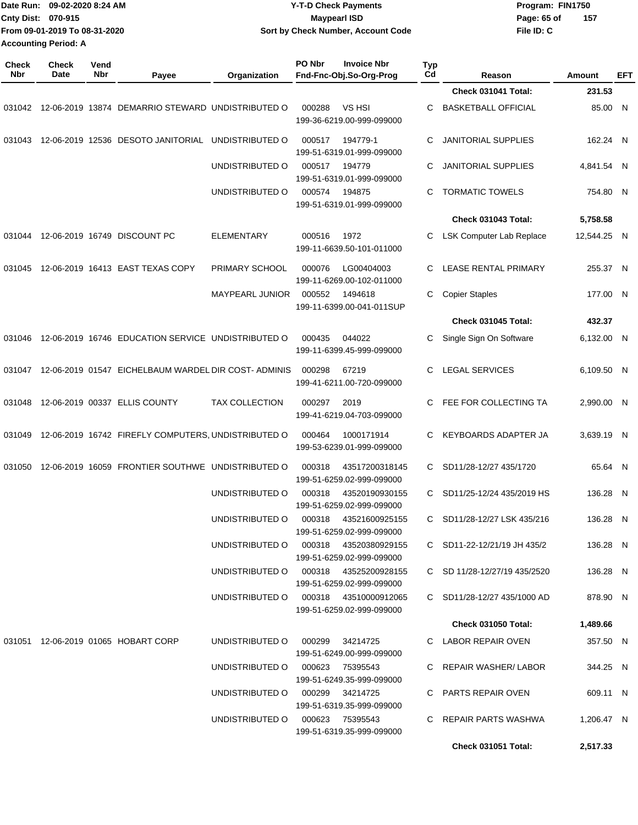|                     | Date Run: 09-02-2020 8:24 AM  |                    |                                                                                | <b>Y-T-D Check Payments</b>           |        |                                               |                  |                              | Program: FIN1750 |             |     |
|---------------------|-------------------------------|--------------------|--------------------------------------------------------------------------------|---------------------------------------|--------|-----------------------------------------------|------------------|------------------------------|------------------|-------------|-----|
|                     | Cnty Dist: 070-915            |                    |                                                                                |                                       |        | <b>Maypearl ISD</b>                           |                  | Page: 65 of                  |                  | 157         |     |
|                     | From 09-01-2019 To 08-31-2020 |                    |                                                                                |                                       |        | Sort by Check Number, Account Code            |                  | File ID: C                   |                  |             |     |
|                     | <b>Accounting Period: A</b>   |                    |                                                                                |                                       |        |                                               |                  |                              |                  |             |     |
| <b>Check</b><br>Nbr | Check<br>Date                 | Vend<br><b>Nbr</b> | Payee                                                                          | Organization                          | PO Nbr | <b>Invoice Nbr</b><br>Fnd-Fnc-Obj.So-Org-Prog | <b>Typ</b><br>Cd | Reason                       | <b>Amount</b>    |             | EFT |
|                     |                               |                    |                                                                                |                                       |        |                                               |                  | Check 031041 Total:          |                  | 231.53      |     |
| 031042              |                               |                    | 12-06-2019 13874 DEMARRIO STEWARD UNDISTRIBUTED O                              |                                       | 000288 | VS HSI<br>199-36-6219.00-999-099000           | С                | <b>BASKETBALL OFFICIAL</b>   |                  | 85.00 N     |     |
| 031043              |                               |                    | 12-06-2019 12536 DESOTO JANITORIAL                                             | UNDISTRIBUTED O                       | 000517 | 194779-1<br>199-51-6319.01-999-099000         | С                | JANITORIAL SUPPLIES          |                  | 162.24 N    |     |
|                     |                               |                    |                                                                                | UNDISTRIBUTED O                       | 000517 | 194779<br>199-51-6319.01-999-099000           | C                | <b>JANITORIAL SUPPLIES</b>   |                  | 4,841.54 N  |     |
|                     |                               |                    |                                                                                | UNDISTRIBUTED O                       | 000574 | 194875<br>199-51-6319.01-999-099000           | C                | <b>TORMATIC TOWELS</b>       |                  | 754.80 N    |     |
|                     |                               |                    |                                                                                |                                       |        |                                               |                  | Check 031043 Total:          |                  | 5,758.58    |     |
| 031044              |                               |                    | 12-06-2019 16749 DISCOUNT PC                                                   | <b>ELEMENTARY</b>                     | 000516 | 1972<br>199-11-6639.50-101-011000             | С                | LSK Computer Lab Replace     |                  | 12,544.25 N |     |
| 031045              |                               |                    | 12-06-2019 16413 EAST TEXAS COPY                                               | PRIMARY SCHOOL                        | 000076 | LG00404003<br>199-11-6269.00-102-011000       | C                | <b>LEASE RENTAL PRIMARY</b>  |                  | 255.37 N    |     |
|                     |                               |                    |                                                                                | <b>MAYPEARL JUNIOR</b>                | 000552 | 1494618<br>199-11-6399.00-041-011SUP          | C                | <b>Copier Staples</b>        |                  | 177.00 N    |     |
|                     |                               |                    |                                                                                |                                       |        |                                               |                  | Check 031045 Total:          |                  | 432.37      |     |
| 031046              |                               |                    | 12-06-2019 16746 EDUCATION SERVICE UNDISTRIBUTED O                             |                                       | 000435 | 044022<br>199-11-6399.45-999-099000           | С                | Single Sign On Software      |                  | 6,132.00 N  |     |
| 031047              |                               |                    | 12-06-2019 01547 EICHELBAUM WARDEL DIR COST-ADMINIS                            |                                       | 000298 | 67219<br>199-41-6211.00-720-099000            | C                | <b>LEGAL SERVICES</b>        |                  | 6,109.50 N  |     |
| 031048              |                               |                    | 12-06-2019 00337 ELLIS COUNTY                                                  | <b>TAX COLLECTION</b>                 | 000297 | 2019<br>199-41-6219.04-703-099000             | C                | FEE FOR COLLECTING TA        |                  | 2.990.00 N  |     |
| 031049              |                               |                    | 12-06-2019 16742 FIREFLY COMPUTERS, UNDISTRIBUTED O                            |                                       | 000464 | 1000171914<br>199-53-6239.01-999-099000       | C                | KEYBOARDS ADAPTER JA         |                  | 3,639.19 N  |     |
|                     |                               |                    | 031050 12-06-2019 16059 FRONTIER SOUTHWE UNDISTRIBUTED O 000318 43517200318145 |                                       |        | 199-51-6259.02-999-099000                     |                  | C SD11/28-12/27 435/1720     |                  | 65.64 N     |     |
|                     |                               |                    |                                                                                | UNDISTRIBUTED O 000318 43520190930155 |        | 199-51-6259.02-999-099000                     |                  | C SD11/25-12/24 435/2019 HS  |                  | 136.28 N    |     |
|                     |                               |                    |                                                                                | UNDISTRIBUTED O 000318 43521600925155 |        | 199-51-6259.02-999-099000                     |                  | C SD11/28-12/27 LSK 435/216  |                  | 136.28 N    |     |
|                     |                               |                    |                                                                                | UNDISTRIBUTED O 000318 43520380929155 |        | 199-51-6259.02-999-099000                     |                  | C SD11-22-12/21/19 JH 435/2  |                  | 136.28 N    |     |
|                     |                               |                    |                                                                                | UNDISTRIBUTED O 000318 43525200928155 |        | 199-51-6259.02-999-099000                     |                  | C SD 11/28-12/27/19 435/2520 |                  | 136.28 N    |     |
|                     |                               |                    |                                                                                |                                       |        | 199-51-6259.02-999-099000                     |                  | C SD11/28-12/27 435/1000 AD  |                  | 878.90 N    |     |
|                     |                               |                    |                                                                                |                                       |        |                                               |                  | <b>Check 031050 Total:</b>   |                  | 1,489.66    |     |
|                     |                               |                    | 031051 12-06-2019 01065 HOBART CORP                                            | UNDISTRIBUTED O 000299 34214725       |        | 199-51-6249.00-999-099000                     |                  | C LABOR REPAIR OVEN          |                  | 357.50 N    |     |
|                     |                               |                    |                                                                                | UNDISTRIBUTED O 000623 75395543       |        | 199-51-6249.35-999-099000                     |                  | C REPAIR WASHER/LABOR        |                  | 344.25 N    |     |
|                     |                               |                    |                                                                                | UNDISTRIBUTED O                       |        | 000299 34214725<br>199-51-6319.35-999-099000  |                  | C PARTS REPAIR OVEN          |                  | 609.11 N    |     |

UNDISTRIBUTED O 000623 75395543 C REPAIR PARTS WASHWA 1,206.47 N

**Check 031051 Total: 2,517.33**

199-51-6319.35-999-099000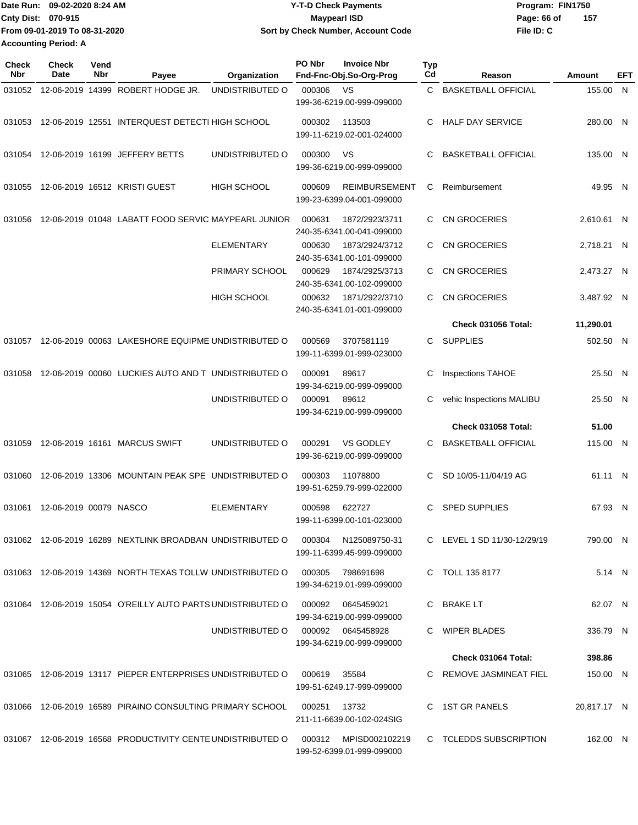| Date Run: 09-02-2020 8:24 AM  | <b>Y-T-D Check Payments</b>        | Program: FIN1750   |
|-------------------------------|------------------------------------|--------------------|
| <b>Cnty Dist: 070-915</b>     | Maypearl ISD                       | 157<br>Page: 66 of |
| From 09-01-2019 To 08-31-2020 | Sort by Check Number, Account Code | File ID: C         |
| <b>Accounting Period: A</b>   |                                    |                    |

| Check<br>Nbr | <b>Check</b><br>Date   | Vend<br>Nbr | Payee                                                                            | Organization       | PO Nbr       | <b>Invoice Nbr</b><br>Fnd-Fnc-Obj.So-Org-Prog     | <b>Typ</b><br>Cd | Reason                      | Amount      | EFT |
|--------------|------------------------|-------------|----------------------------------------------------------------------------------|--------------------|--------------|---------------------------------------------------|------------------|-----------------------------|-------------|-----|
| 031052       |                        |             | 12-06-2019 14399 ROBERT HODGE JR.                                                | UNDISTRIBUTED O    | 000306       | VS                                                | C                | <b>BASKETBALL OFFICIAL</b>  | 155.00 N    |     |
|              |                        |             |                                                                                  |                    |              | 199-36-6219.00-999-099000                         |                  |                             |             |     |
| 031053       |                        |             | 12-06-2019 12551 INTERQUEST DETECTI HIGH SCHOOL                                  |                    | 000302       | 113503<br>199-11-6219.02-001-024000               | C.               | <b>HALF DAY SERVICE</b>     | 280.00 N    |     |
| 031054       |                        |             | 12-06-2019 16199 JEFFERY BETTS                                                   | UNDISTRIBUTED O    | 000300       | VS<br>199-36-6219.00-999-099000                   | C                | <b>BASKETBALL OFFICIAL</b>  | 135.00 N    |     |
| 031055       |                        |             | 12-06-2019 16512 KRISTI GUEST                                                    | <b>HIGH SCHOOL</b> | 000609       | <b>REIMBURSEMENT</b><br>199-23-6399.04-001-099000 | C                | Reimbursement               | 49.95 N     |     |
| 031056       |                        |             | 12-06-2019 01048 LABATT FOOD SERVIC MAYPEARL JUNIOR                              |                    | 000631       | 1872/2923/3711<br>240-35-6341.00-041-099000       | C                | <b>CN GROCERIES</b>         | 2,610.61 N  |     |
|              |                        |             |                                                                                  | <b>ELEMENTARY</b>  | 000630       | 1873/2924/3712<br>240-35-6341.00-101-099000       | C                | <b>CN GROCERIES</b>         | 2,718.21 N  |     |
|              |                        |             |                                                                                  | PRIMARY SCHOOL     | 000629       | 1874/2925/3713<br>240-35-6341.00-102-099000       | C                | CN GROCERIES                | 2,473.27 N  |     |
|              |                        |             |                                                                                  | <b>HIGH SCHOOL</b> | 000632       | 1871/2922/3710<br>240-35-6341.01-001-099000       | C.               | <b>CN GROCERIES</b>         | 3,487.92 N  |     |
|              |                        |             |                                                                                  |                    |              |                                                   |                  | Check 031056 Total:         | 11,290.01   |     |
| 031057       |                        |             | 12-06-2019 00063 LAKESHORE EQUIPME UNDISTRIBUTED O                               |                    | 000569       | 3707581119<br>199-11-6399.01-999-023000           | C                | <b>SUPPLIES</b>             | 502.50 N    |     |
| 031058       |                        |             | 12-06-2019 00060 LUCKIES AUTO AND T UNDISTRIBUTED O                              |                    | 000091       | 89617<br>199-34-6219.00-999-099000                | С                | <b>Inspections TAHOE</b>    | 25.50 N     |     |
|              |                        |             |                                                                                  | UNDISTRIBUTED O    | 000091       | 89612<br>199-34-6219.00-999-099000                | C                | vehic Inspections MALIBU    | 25.50 N     |     |
|              |                        |             |                                                                                  |                    |              |                                                   |                  | <b>Check 031058 Total:</b>  | 51.00       |     |
| 031059       |                        |             | 12-06-2019 16161 MARCUS SWIFT                                                    | UNDISTRIBUTED O    | 000291       | <b>VS GODLEY</b><br>199-36-6219.00-999-099000     | C.               | <b>BASKETBALL OFFICIAL</b>  | 115.00 N    |     |
| 031060       |                        |             | 12-06-2019 13306 MOUNTAIN PEAK SPE UNDISTRIBUTED O                               |                    | 000303       | 11078800<br>199-51-6259.79-999-022000             | C                | SD 10/05-11/04/19 AG        | 61.11 N     |     |
| 031061       | 12-06-2019 00079 NASCO |             |                                                                                  | <b>ELEMENTARY</b>  | 000598       | 622727<br>199-11-6399.00-101-023000               | C                | <b>SPED SUPPLIES</b>        | 67.93 N     |     |
|              |                        |             | 031062 12-06-2019 16289 NEXTLINK BROADBAN UNDISTRIBUTED O 000304 N125089750-31   |                    |              | 199-11-6399.45-999-099000                         |                  | C LEVEL 1 SD 11/30-12/29/19 | 790.00 N    |     |
|              |                        |             | 031063 12-06-2019 14369 NORTH TEXAS TOLLW UNDISTRIBUTED O 000305 798691698       |                    |              | 199-34-6219.01-999-099000                         |                  | C TOLL 135 8177             | 5.14 N      |     |
|              |                        |             | 031064 12-06-2019 15054 O'REILLY AUTO PARTS UNDISTRIBUTED O 000092               |                    |              | 0645459021<br>199-34-6219.00-999-099000           |                  | C BRAKE LT                  | 62.07 N     |     |
|              |                        |             |                                                                                  | UNDISTRIBUTED O    |              | 199-34-6219.00-999-099000                         |                  | C WIPER BLADES              | 336.79 N    |     |
|              |                        |             |                                                                                  |                    |              |                                                   |                  | Check 031064 Total:         | 398.86      |     |
|              |                        |             | 031065 12-06-2019 13117 PIEPER ENTERPRISES UNDISTRIBUTED O                       |                    | 000619       | 35584<br>199-51-6249.17-999-099000                |                  | C REMOVE JASMINEAT FIEL     | 150.00 N    |     |
|              |                        |             | 031066 12-06-2019 16589 PIRAINO CONSULTING PRIMARY SCHOOL                        |                    | 000251 13732 | 211-11-6639.00-102-024SIG                         |                  | C 1ST GR PANELS             | 20,817.17 N |     |
|              |                        |             | 031067 12-06-2019 16568 PRODUCTIVITY CENTE UNDISTRIBUTED O 000312 MPISD002102219 |                    |              | 199-52-6399.01-999-099000                         |                  | C TCLEDDS SUBSCRIPTION      | 162.00 N    |     |
|              |                        |             |                                                                                  |                    |              |                                                   |                  |                             |             |     |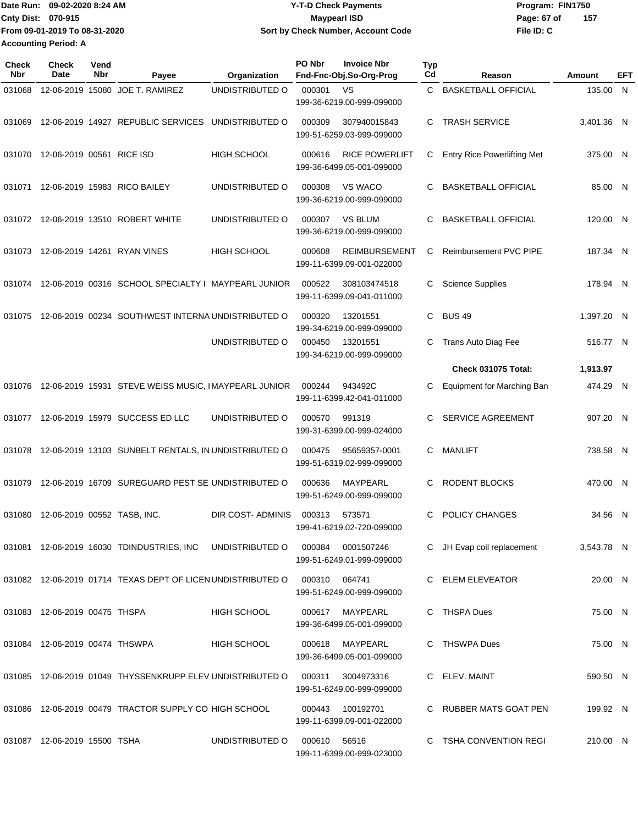Date Run: 09-02-2020 8:24 AM **Program: FIN1750** Y-T-D Check Payments **Cnty Dist:** 070-915 **Page: 67 of MaypearI ISD Page: 67 of File ID: C From 09-01-2019 To 08-31-2020 09-02-2020 8:24 AM Y-T-D Check Payments 070-915 Maypearl ISD Sort by Check Number, Account Code 157 Accounting Period: A**

| <b>Check</b><br><b>Nbr</b> | Check<br>Date                  | Vend<br>Nbr | Payee                                                       | Organization       | PO Nbr | <b>Invoice Nbr</b><br>Fnd-Fnc-Obj.So-Org-Prog      | <b>Typ</b><br>Cd | Reason                             | Amount     | EFT          |
|----------------------------|--------------------------------|-------------|-------------------------------------------------------------|--------------------|--------|----------------------------------------------------|------------------|------------------------------------|------------|--------------|
| 031068                     |                                |             | 12-06-2019 15080 JOE T. RAMIREZ                             | UNDISTRIBUTED O    | 000301 | VS<br>199-36-6219.00-999-099000                    | C                | <b>BASKETBALL OFFICIAL</b>         | 135.00     | $\mathsf{N}$ |
| 031069                     |                                |             | 12-06-2019 14927 REPUBLIC SERVICES                          | UNDISTRIBUTED O    | 000309 | 307940015843<br>199-51-6259.03-999-099000          | C.               | <b>TRASH SERVICE</b>               | 3.401.36 N |              |
| 031070                     | 12-06-2019 00561 RICE ISD      |             |                                                             | <b>HIGH SCHOOL</b> | 000616 | <b>RICE POWERLIFT</b><br>199-36-6499.05-001-099000 | С                | <b>Entry Rice Powerlifting Met</b> | 375.00 N   |              |
| 031071                     |                                |             | 12-06-2019 15983 RICO BAILEY                                | UNDISTRIBUTED O    | 000308 | VS WACO<br>199-36-6219.00-999-099000               | C                | <b>BASKETBALL OFFICIAL</b>         | 85.00 N    |              |
|                            |                                |             | 031072 12-06-2019 13510 ROBERT WHITE                        | UNDISTRIBUTED O    | 000307 | <b>VS BLUM</b><br>199-36-6219.00-999-099000        | C                | <b>BASKETBALL OFFICIAL</b>         | 120.00 N   |              |
| 031073                     |                                |             | 12-06-2019 14261 RYAN VINES                                 | <b>HIGH SCHOOL</b> | 000608 | REIMBURSEMENT<br>199-11-6399.09-001-022000         | С                | <b>Reimbursement PVC PIPE</b>      | 187.34 N   |              |
| 031074                     |                                |             | 12-06-2019 00316 SCHOOL SPECIALTY I MAYPEARL JUNIOR         |                    | 000522 | 308103474518<br>199-11-6399.09-041-011000          | C                | <b>Science Supplies</b>            | 178.94 N   |              |
| 031075                     |                                |             | 12-06-2019 00234 SOUTHWEST INTERNA UNDISTRIBUTED O          |                    | 000320 | 13201551<br>199-34-6219.00-999-099000              | C                | <b>BUS 49</b>                      | 1,397.20 N |              |
|                            |                                |             |                                                             | UNDISTRIBUTED O    | 000450 | 13201551<br>199-34-6219.00-999-099000              | С                | Trans Auto Diag Fee                | 516.77 N   |              |
|                            |                                |             |                                                             |                    |        |                                                    |                  | <b>Check 031075 Total:</b>         | 1,913.97   |              |
| 031076                     |                                |             | 12-06-2019 15931 STEVE WEISS MUSIC, IMAYPEARL JUNIOR        |                    | 000244 | 943492C<br>199-11-6399.42-041-011000               | С                | <b>Equipment for Marching Ban</b>  | 474.29 N   |              |
| 031077                     |                                |             | 12-06-2019 15979 SUCCESS ED LLC                             | UNDISTRIBUTED O    | 000570 | 991319<br>199-31-6399.00-999-024000                | С                | SERVICE AGREEMENT                  | 907.20 N   |              |
| 031078                     |                                |             | 12-06-2019 13103 SUNBELT RENTALS, IN UNDISTRIBUTED O        |                    | 000475 | 95659357-0001<br>199-51-6319.02-999-099000         | C                | <b>MANLIFT</b>                     | 738.58 N   |              |
| 031079                     |                                |             | 12-06-2019 16709 SUREGUARD PEST SE UNDISTRIBUTED O          |                    | 000636 | MAYPEARL<br>199-51-6249.00-999-099000              | C                | <b>RODENT BLOCKS</b>               | 470.00 N   |              |
| 031080                     | 12-06-2019 00552 TASB, INC.    |             |                                                             | DIR COST- ADMINIS  | 000313 | 573571<br>199-41-6219.02-720-099000                | C                | POLICY CHANGES                     | 34.56 N    |              |
|                            |                                |             | 031081 12-06-2019 16030 TDINDUSTRIES, INC                   | UNDISTRIBUTED O    | 000384 | 0001507246<br>199-51-6249.01-999-099000            |                  | C JH Evap coil replacement         | 3,543.78 N |              |
|                            |                                |             | 031082 12-06-2019 01714 TEXAS DEPT OF LICEN UNDISTRIBUTED O |                    | 000310 | 064741<br>199-51-6249.00-999-099000                |                  | C ELEM ELEVEATOR                   | 20.00 N    |              |
|                            | 031083 12-06-2019 00475 THSPA  |             |                                                             | HIGH SCHOOL        | 000617 | MAYPEARL<br>199-36-6499.05-001-099000              |                  | C THSPA Dues                       | 75.00 N    |              |
|                            | 031084 12-06-2019 00474 THSWPA |             |                                                             | <b>HIGH SCHOOL</b> |        | 000618 MAYPEARL<br>199-36-6499.05-001-099000       |                  | C THSWPA Dues                      | 75.00 N    |              |
|                            |                                |             | 031085 12-06-2019 01049 THYSSENKRUPP ELEV UNDISTRIBUTED O   |                    | 000311 | 3004973316<br>199-51-6249.00-999-099000            |                  | C ELEV. MAINT                      | 590.50 N   |              |
|                            |                                |             | 031086 12-06-2019 00479 TRACTOR SUPPLY CO HIGH SCHOOL       |                    | 000443 | 100192701<br>199-11-6399.09-001-022000             |                  | C RUBBER MATS GOAT PEN             | 199.92 N   |              |
|                            | 031087 12-06-2019 15500 TSHA   |             |                                                             | UNDISTRIBUTED O    | 000610 | 56516<br>199-11-6399.00-999-023000                 |                  | C TSHA CONVENTION REGI             | 210.00 N   |              |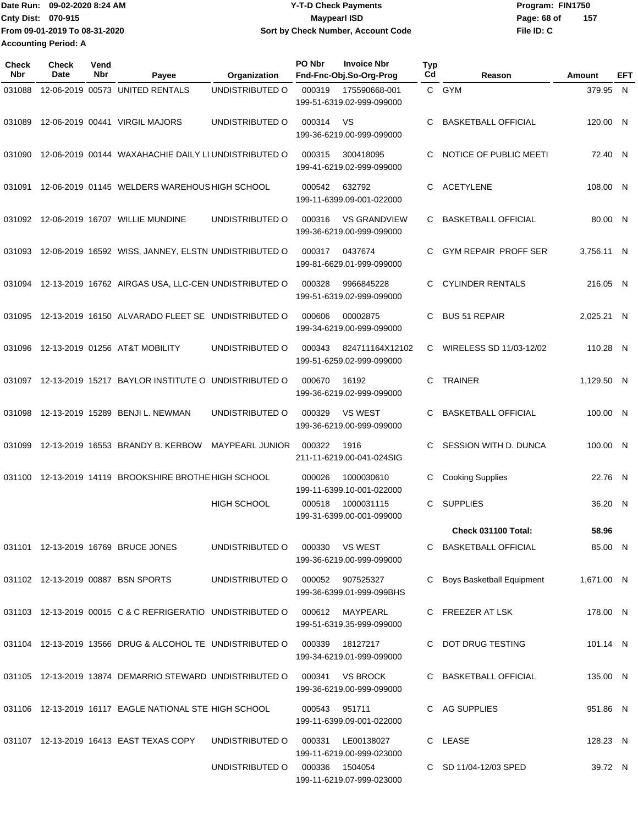Date Run: 09-02-2020 8:24 AM **Date Run:** 09-02-2020 8:24 AM **Program:** FIN1750 **Cnty Dist:** 070-915 **Page: 68 of MaypearI ISD MaypearI ISD File ID: C From 09-01-2019 To 08-31-2020 09-02-2020 8:24 AM Y-T-D Check Payments 070-915 Maypearl ISD Sort by Check Number, Account Code 157 Accounting Period: A**

| <b>Check</b><br>Nbr | Check<br>Date | Vend<br>Nbr | Payee                                                       | Organization           | PO Nbr | <b>Invoice Nbr</b><br>Fnd-Fnc-Obj.So-Org-Prog    | <b>Typ</b><br>Cd | Reason                           | Amount     | EFT |
|---------------------|---------------|-------------|-------------------------------------------------------------|------------------------|--------|--------------------------------------------------|------------------|----------------------------------|------------|-----|
| 031088              |               |             | 12-06-2019 00573 UNITED RENTALS                             | UNDISTRIBUTED O        | 000319 | 175590668-001<br>199-51-6319.02-999-099000       |                  | C GYM                            | 379.95     | - N |
| 031089              |               |             | 12-06-2019 00441 VIRGIL MAJORS                              | UNDISTRIBUTED O        | 000314 | VS<br>199-36-6219.00-999-099000                  | C                | <b>BASKETBALL OFFICIAL</b>       | 120.00 N   |     |
| 031090              |               |             | 12-06-2019 00144 WAXAHACHIE DAILY LI UNDISTRIBUTED O        |                        | 000315 | 300418095<br>199-41-6219.02-999-099000           | C                | NOTICE OF PUBLIC MEETI           | 72.40 N    |     |
| 031091              |               |             | 12-06-2019 01145 WELDERS WAREHOUS HIGH SCHOOL               |                        | 000542 | 632792<br>199-11-6399.09-001-022000              | C                | <b>ACETYLENE</b>                 | 108.00 N   |     |
| 031092              |               |             | 12-06-2019 16707 WILLIE MUNDINE                             | UNDISTRIBUTED O        | 000316 | <b>VS GRANDVIEW</b><br>199-36-6219.00-999-099000 | C                | <b>BASKETBALL OFFICIAL</b>       | 80.00 N    |     |
| 031093              |               |             | 12-06-2019 16592 WISS, JANNEY, ELSTN UNDISTRIBUTED O        |                        | 000317 | 0437674<br>199-81-6629.01-999-099000             | C                | <b>GYM REPAIR PROFF SER</b>      | 3,756.11 N |     |
|                     |               |             | 031094 12-13-2019 16762 AIRGAS USA, LLC-CEN UNDISTRIBUTED O |                        | 000328 | 9966845228<br>199-51-6319.02-999-099000          | C                | <b>CYLINDER RENTALS</b>          | 216.05 N   |     |
| 031095              |               |             | 12-13-2019 16150 ALVARADO FLEET SE UNDISTRIBUTED O          |                        | 000606 | 00002875<br>199-34-6219.00-999-099000            | C                | <b>BUS 51 REPAIR</b>             | 2.025.21 N |     |
| 031096              |               |             | 12-13-2019 01256 AT&T MOBILITY                              | UNDISTRIBUTED O        | 000343 | 824711164X12102<br>199-51-6259.02-999-099000     | C                | WIRELESS SD 11/03-12/02          | 110.28 N   |     |
| 031097              |               |             | 12-13-2019 15217 BAYLOR INSTITUTE O UNDISTRIBUTED O         |                        | 000670 | 16192<br>199-36-6219.02-999-099000               | С                | <b>TRAINER</b>                   | 1,129.50 N |     |
| 031098              |               |             | 12-13-2019 15289 BENJI L. NEWMAN                            | UNDISTRIBUTED O        | 000329 | <b>VS WEST</b><br>199-36-6219.00-999-099000      | С                | <b>BASKETBALL OFFICIAL</b>       | 100.00 N   |     |
| 031099              |               |             | 12-13-2019 16553 BRANDY B. KERBOW                           | <b>MAYPEARL JUNIOR</b> | 000322 | 1916<br>211-11-6219.00-041-024SIG                | С                | SESSION WITH D. DUNCA            | 100.00 N   |     |
| 031100              |               |             | 12-13-2019 14119 BROOKSHIRE BROTHE HIGH SCHOOL              |                        | 000026 | 1000030610<br>199-11-6399.10-001-022000          | С                | <b>Cooking Supplies</b>          | 22.76 N    |     |
|                     |               |             |                                                             | <b>HIGH SCHOOL</b>     | 000518 | 1000031115<br>199-31-6399.00-001-099000          | С                | <b>SUPPLIES</b>                  | 36.20 N    |     |
|                     |               |             |                                                             |                        |        |                                                  |                  | Check 031100 Total:              | 58.96      |     |
|                     |               |             | 031101 12-13-2019 16769 BRUCE JONES                         | UNDISTRIBUTED O        |        | 000330 VS WEST<br>199-36-6219.00-999-099000      |                  | C BASKETBALL OFFICIAL            | 85.00 N    |     |
|                     |               |             | 031102 12-13-2019 00887 BSN SPORTS                          | UNDISTRIBUTED O        | 000052 | 907525327<br>199-36-6399.01-999-099BHS           | C.               | <b>Boys Basketball Equipment</b> | 1,671.00 N |     |
|                     |               |             | 031103 12-13-2019 00015 C & C REFRIGERATIO UNDISTRIBUTED O  |                        |        | 000612 MAYPEARL<br>199-51-6319.35-999-099000     |                  | C FREEZER AT LSK                 | 178.00 N   |     |
|                     |               |             | 031104 12-13-2019 13566 DRUG & ALCOHOL TE UNDISTRIBUTED O   |                        | 000339 | 18127217<br>199-34-6219.01-999-099000            |                  | C DOT DRUG TESTING               | 101.14 N   |     |
|                     |               |             | 031105 12-13-2019 13874 DEMARRIO STEWARD UNDISTRIBUTED O    |                        | 000341 | VS BROCK<br>199-36-6219.00-999-099000            |                  | C BASKETBALL OFFICIAL            | 135.00 N   |     |
|                     |               |             | 031106 12-13-2019 16117 EAGLE NATIONAL STE HIGH SCHOOL      |                        | 000543 | 951711<br>199-11-6399.09-001-022000              |                  | C AG SUPPLIES                    | 951.86 N   |     |
|                     |               |             | 031107 12-13-2019 16413 EAST TEXAS COPY                     | UNDISTRIBUTED O        | 000331 | LE00138027<br>199-11-6219.00-999-023000          |                  | C LEASE                          | 128.23 N   |     |
|                     |               |             |                                                             | UNDISTRIBUTED O        |        | 000336 1504054<br>199-11-6219.07-999-023000      |                  | C SD 11/04-12/03 SPED            | 39.72 N    |     |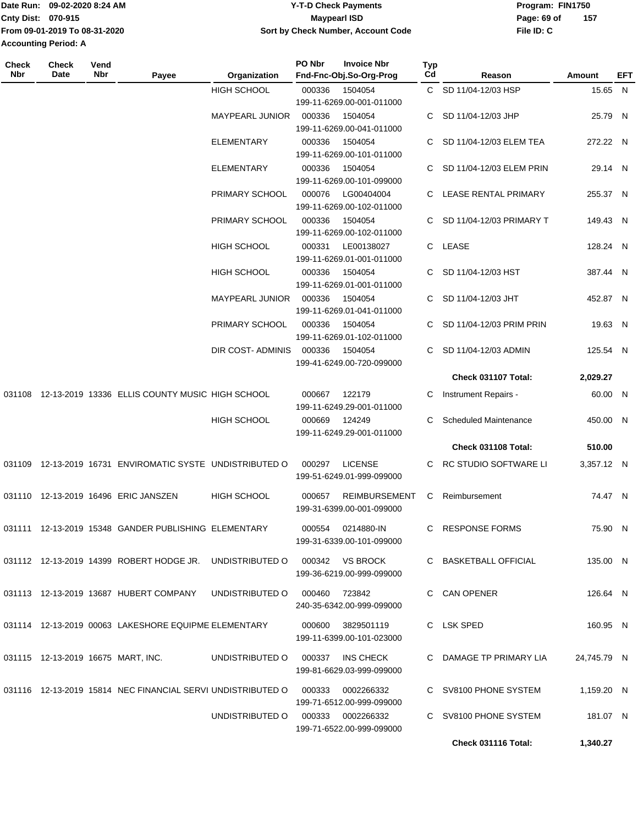|                             | lDate Run: 09-02-2020 8:24 AM | <b>Y-T-D Check Payments</b>        | Program: FIN1750 |     |
|-----------------------------|-------------------------------|------------------------------------|------------------|-----|
| <b>Cnty Dist: 070-915</b>   |                               | Maypearl ISD                       | Page: 69 of      | 157 |
|                             | From 09-01-2019 To 08-31-2020 | Sort by Check Number, Account Code | File ID: C       |     |
| <b>Accounting Period: A</b> |                               |                                    |                  |     |

**PO Nbr Invoice Nbr**

| Check<br>Nbr | <b>Check</b><br>Date | Vend<br>Nbr | Payee                                                                    | Organization                      | PO Nbr | <b>Invoice Nbr</b><br>Fnd-Fnc-Obj.So-Org-Prog | <b>Typ</b><br>Cd | Reason                       | Amount      | EFT |
|--------------|----------------------|-------------|--------------------------------------------------------------------------|-----------------------------------|--------|-----------------------------------------------|------------------|------------------------------|-------------|-----|
|              |                      |             |                                                                          |                                   |        |                                               |                  |                              |             |     |
|              |                      |             |                                                                          | <b>HIGH SCHOOL</b>                | 000336 | 1504054                                       |                  | C SD 11/04-12/03 HSP         | 15.65 N     |     |
|              |                      |             |                                                                          |                                   |        | 199-11-6269.00-001-011000                     |                  |                              |             |     |
|              |                      |             |                                                                          | <b>MAYPEARL JUNIOR</b>            | 000336 | 1504054                                       | C.               | SD 11/04-12/03 JHP           | 25.79 N     |     |
|              |                      |             |                                                                          |                                   |        | 199-11-6269.00-041-011000                     |                  |                              |             |     |
|              |                      |             |                                                                          | ELEMENTARY                        | 000336 | 1504054                                       |                  | SD 11/04-12/03 ELEM TEA      | 272.22 N    |     |
|              |                      |             |                                                                          |                                   |        | 199-11-6269.00-101-011000                     |                  |                              |             |     |
|              |                      |             |                                                                          | <b>ELEMENTARY</b>                 | 000336 | 1504054                                       | C                | SD 11/04-12/03 ELEM PRIN     | 29.14 N     |     |
|              |                      |             |                                                                          |                                   |        | 199-11-6269.00-101-099000                     |                  |                              |             |     |
|              |                      |             |                                                                          | PRIMARY SCHOOL                    | 000076 | LG00404004                                    | C                | LEASE RENTAL PRIMARY         | 255.37 N    |     |
|              |                      |             |                                                                          |                                   |        | 199-11-6269.00-102-011000                     |                  |                              |             |     |
|              |                      |             |                                                                          | PRIMARY SCHOOL                    | 000336 | 1504054                                       |                  | SD 11/04-12/03 PRIMARY T     | 149.43 N    |     |
|              |                      |             |                                                                          |                                   |        | 199-11-6269.00-102-011000                     |                  |                              |             |     |
|              |                      |             |                                                                          | <b>HIGH SCHOOL</b>                | 000331 | LE00138027                                    |                  | C LEASE                      | 128.24 N    |     |
|              |                      |             |                                                                          |                                   |        | 199-11-6269.01-001-011000                     |                  |                              |             |     |
|              |                      |             |                                                                          | <b>HIGH SCHOOL</b>                | 000336 | 1504054                                       |                  | C SD 11/04-12/03 HST         | 387.44 N    |     |
|              |                      |             |                                                                          |                                   |        | 199-11-6269.01-001-011000                     |                  |                              |             |     |
|              |                      |             |                                                                          | <b>MAYPEARL JUNIOR</b>            | 000336 | 1504054                                       | C.               | SD 11/04-12/03 JHT           | 452.87 N    |     |
|              |                      |             |                                                                          |                                   |        | 199-11-6269.01-041-011000                     |                  |                              |             |     |
|              |                      |             |                                                                          | PRIMARY SCHOOL                    | 000336 | 1504054                                       | C                | SD 11/04-12/03 PRIM PRIN     | 19.63 N     |     |
|              |                      |             |                                                                          |                                   |        | 199-11-6269.01-102-011000                     |                  |                              |             |     |
|              |                      |             |                                                                          | DIR COST- ADMINIS                 | 000336 | 1504054                                       | C.               | SD 11/04-12/03 ADMIN         | 125.54 N    |     |
|              |                      |             |                                                                          |                                   |        | 199-41-6249.00-720-099000                     |                  |                              |             |     |
|              |                      |             |                                                                          |                                   |        |                                               |                  | Check 031107 Total:          | 2,029.27    |     |
|              |                      |             |                                                                          |                                   |        |                                               |                  |                              |             |     |
|              |                      |             | 031108 12-13-2019 13336 ELLIS COUNTY MUSIC HIGH SCHOOL                   |                                   | 000667 | 122179                                        | C                | Instrument Repairs -         | 60.00 N     |     |
|              |                      |             |                                                                          |                                   |        | 199-11-6249.29-001-011000                     |                  |                              |             |     |
|              |                      |             |                                                                          | HIGH SCHOOL                       | 000669 | 124249                                        | C.               | <b>Scheduled Maintenance</b> | 450.00 N    |     |
|              |                      |             |                                                                          |                                   |        | 199-11-6249.29-001-011000                     |                  |                              |             |     |
|              |                      |             |                                                                          |                                   |        |                                               |                  | Check 031108 Total:          | 510.00      |     |
|              |                      |             | 031109 12-13-2019 16731 ENVIROMATIC SYSTE UNDISTRIBUTED O                |                                   | 000297 | <b>LICENSE</b>                                |                  | C RC STUDIO SOFTWARE LI      | 3,357.12 N  |     |
|              |                      |             |                                                                          |                                   |        | 199-51-6249.01-999-099000                     |                  |                              |             |     |
|              |                      |             |                                                                          |                                   |        |                                               |                  |                              |             |     |
|              |                      |             | 031110 12-13-2019 16496 ERIC JANSZEN                                     | <b>HIGH SCHOOL</b>                | 000657 | <b>REIMBURSEMENT</b>                          | C                | Reimbursement                | 74.47 N     |     |
|              |                      |             |                                                                          |                                   |        | 199-31-6399.00-001-099000                     |                  |                              |             |     |
|              |                      |             | 031111    12-13-2019    15348    GANDER PUBLISHING    ELEMENTARY         |                                   |        | 000554 0214880-IN                             |                  | C RESPONSE FORMS             | 75.90 N     |     |
|              |                      |             |                                                                          |                                   |        | 199-31-6339.00-101-099000                     |                  |                              |             |     |
|              |                      |             |                                                                          |                                   |        |                                               |                  |                              |             |     |
|              |                      |             | 031112 12-13-2019 14399 ROBERT HODGE JR. UNDISTRIBUTED O 000342 VS BROCK |                                   |        |                                               |                  | C BASKETBALL OFFICIAL        | 135.00 N    |     |
|              |                      |             |                                                                          |                                   |        | 199-36-6219.00-999-099000                     |                  |                              |             |     |
|              |                      |             | 031113  12-13-2019  13687  HUBERT COMPANY                                | UNDISTRIBUTED O 000460            |        | 723842                                        |                  | C CAN OPENER                 | 126.64 N    |     |
|              |                      |             |                                                                          |                                   |        | 240-35-6342.00-999-099000                     |                  |                              |             |     |
|              |                      |             |                                                                          |                                   |        |                                               |                  |                              |             |     |
|              |                      |             | 031114 12-13-2019 00063 LAKESHORE EQUIPME ELEMENTARY                     |                                   |        | 000600 3829501119                             |                  | C LSK SPED                   | 160.95 N    |     |
|              |                      |             |                                                                          |                                   |        | 199-11-6399.00-101-023000                     |                  |                              |             |     |
|              |                      |             |                                                                          |                                   |        |                                               |                  |                              |             |     |
|              |                      |             | 031115 12-13-2019 16675 MART, INC.                                       | UNDISTRIBUTED O 000337            |        | INS CHECK                                     |                  | C DAMAGE TP PRIMARY LIA      | 24,745.79 N |     |
|              |                      |             |                                                                          |                                   |        | 199-81-6629.03-999-099000                     |                  |                              |             |     |
|              |                      |             | 031116 12-13-2019 15814 NEC FINANCIAL SERVI UNDISTRIBUTED O 000333       |                                   |        | 0002266332                                    |                  | C SV8100 PHONE SYSTEM        | 1,159.20 N  |     |
|              |                      |             |                                                                          |                                   |        | 199-71-6512.00-999-099000                     |                  |                              |             |     |
|              |                      |             |                                                                          | UNDISTRIBUTED O 000333 0002266332 |        |                                               |                  | C SV8100 PHONE SYSTEM        | 181.07 N    |     |
|              |                      |             |                                                                          |                                   |        | 199-71-6522.00-999-099000                     |                  |                              |             |     |
|              |                      |             |                                                                          |                                   |        |                                               |                  | Check 031116 Total:          | 1,340.27    |     |
|              |                      |             |                                                                          |                                   |        |                                               |                  |                              |             |     |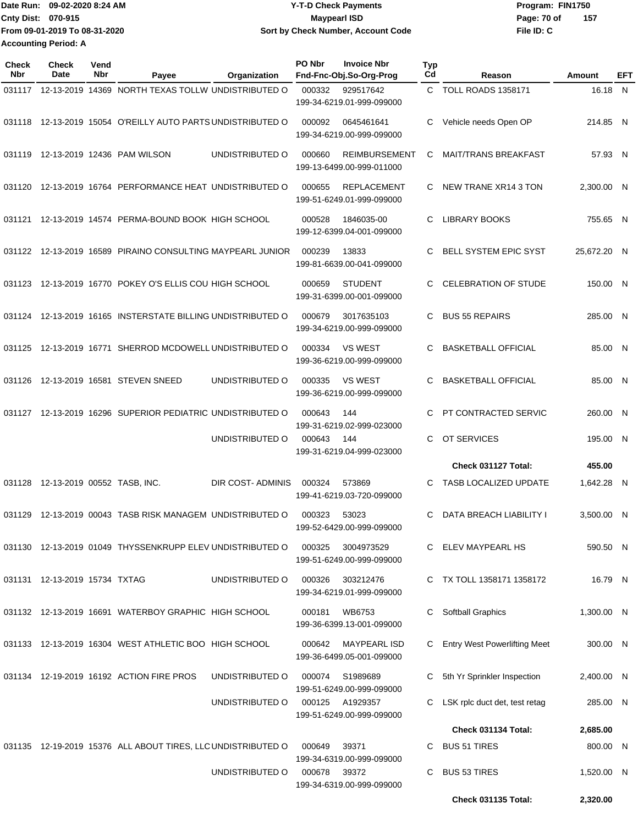|                             | Date Run: 09-02-2020 8:24 AM  | <b>Y-T-D Check Payments</b>        | Program: FIN1750 |     |
|-----------------------------|-------------------------------|------------------------------------|------------------|-----|
| <b>Cnty Dist: 070-915</b>   |                               | <b>Maypearl ISD</b>                | Page: 70 of      | 157 |
|                             | From 09-01-2019 To 08-31-2020 | Sort by Check Number, Account Code | File ID: C       |     |
| <b>Accounting Period: A</b> |                               |                                    |                  |     |

| Check<br>Nbr | <b>Check</b><br>Date          | Vend<br>Nbr | Payee                                                        | Organization     | PO Nbr | <b>Invoice Nbr</b><br>Fnd-Fnc-Obj.So-Org-Prog     | Typ<br>Cd | Reason                              | Amount             | EFT |
|--------------|-------------------------------|-------------|--------------------------------------------------------------|------------------|--------|---------------------------------------------------|-----------|-------------------------------------|--------------------|-----|
|              |                               |             | 031117 12-13-2019 14369 NORTH TEXAS TOLLW UNDISTRIBUTED O    |                  | 000332 | 929517642                                         |           | C TOLL ROADS 1358171                | 16.18 N            |     |
|              |                               |             |                                                              |                  |        | 199-34-6219.01-999-099000                         |           |                                     |                    |     |
|              |                               |             | 031118 12-13-2019 15054 O'REILLY AUTO PARTS UNDISTRIBUTED O  |                  | 000092 | 0645461641<br>199-34-6219.00-999-099000           | C         | Vehicle needs Open OP               | 214.85 N           |     |
| 031119       |                               |             | 12-13-2019 12436 PAM WILSON                                  | UNDISTRIBUTED O  | 000660 | <b>REIMBURSEMENT</b><br>199-13-6499.00-999-011000 | C         | <b>MAIT/TRANS BREAKFAST</b>         | 57.93 N            |     |
| 031120       |                               |             | 12-13-2019 16764 PERFORMANCE HEAT UNDISTRIBUTED O            |                  | 000655 | <b>REPLACEMENT</b><br>199-51-6249.01-999-099000   | C         | NEW TRANE XR14 3 TON                | 2.300.00 N         |     |
|              |                               |             | 031121 12-13-2019 14574 PERMA-BOUND BOOK HIGH SCHOOL         |                  | 000528 | 1846035-00<br>199-12-6399.04-001-099000           | C         | <b>LIBRARY BOOKS</b>                | 755.65 N           |     |
| 031122       |                               |             | 12-13-2019 16589 PIRAINO CONSULTING MAYPEARL JUNIOR          |                  | 000239 | 13833<br>199-81-6639.00-041-099000                | C         | <b>BELL SYSTEM EPIC SYST</b>        | 25,672.20 N        |     |
| 031123       |                               |             | 12-13-2019 16770 POKEY O'S ELLIS COU HIGH SCHOOL             |                  | 000659 | <b>STUDENT</b><br>199-31-6399.00-001-099000       | C         | <b>CELEBRATION OF STUDE</b>         | 150.00 N           |     |
|              |                               |             | 031124 12-13-2019 16165 INSTERSTATE BILLING UNDISTRIBUTED O  |                  | 000679 | 3017635103<br>199-34-6219.00-999-099000           | C         | <b>BUS 55 REPAIRS</b>               | 285.00 N           |     |
| 031125       |                               |             | 12-13-2019 16771 SHERROD MCDOWELL UNDISTRIBUTED O            |                  | 000334 | <b>VS WEST</b><br>199-36-6219.00-999-099000       | C.        | <b>BASKETBALL OFFICIAL</b>          | 85.00 N            |     |
| 031126       |                               |             | 12-13-2019 16581 STEVEN SNEED                                | UNDISTRIBUTED O  | 000335 | <b>VS WEST</b><br>199-36-6219.00-999-099000       | C         | <b>BASKETBALL OFFICIAL</b>          | 85.00 N            |     |
|              |                               |             | 031127 12-13-2019 16296 SUPERIOR PEDIATRIC UNDISTRIBUTED O   |                  | 000643 | 144<br>199-31-6219.02-999-023000                  | C         | PT CONTRACTED SERVIC                | 260.00 N           |     |
|              |                               |             |                                                              | UNDISTRIBUTED O  | 000643 | 144<br>199-31-6219.04-999-023000                  | C.        | OT SERVICES<br>Check 031127 Total:  | 195.00 N<br>455.00 |     |
|              |                               |             |                                                              |                  |        |                                                   |           |                                     |                    |     |
| 031128       | 12-13-2019 00552 TASB, INC.   |             |                                                              | DIR COST-ADMINIS | 000324 | 573869<br>199-41-6219.03-720-099000               | C         | TASB LOCALIZED UPDATE               | 1,642.28 N         |     |
| 031129       |                               |             | 12-13-2019 00043 TASB RISK MANAGEM UNDISTRIBUTED O           |                  | 000323 | 53023<br>199-52-6429.00-999-099000                | C         | DATA BREACH LIABILITY I             | 3,500.00 N         |     |
|              |                               |             | 031130 12-13-2019 01049 THYSSENKRUPP ELEV UNDISTRIBUTED O    |                  | 000325 | 3004973529<br>199-51-6249.00-999-099000           |           | C ELEV MAYPEARL HS                  | 590.50 N           |     |
|              | 031131 12-13-2019 15734 TXTAG |             |                                                              | UNDISTRIBUTED O  | 000326 | 303212476<br>199-34-6219.01-999-099000            |           | C TX TOLL 1358171 1358172           | 16.79 N            |     |
|              |                               |             | 031132 12-13-2019 16691 WATERBOY GRAPHIC HIGH SCHOOL         |                  | 000181 | WB6753<br>199-36-6399.13-001-099000               | C         | Softball Graphics                   | 1,300.00 N         |     |
|              |                               |             | 031133 12-13-2019 16304 WEST ATHLETIC BOO HIGH SCHOOL        |                  | 000642 | <b>MAYPEARL ISD</b><br>199-36-6499.05-001-099000  | C         | <b>Entry West Powerlifting Meet</b> | 300.00 N           |     |
|              |                               |             | 031134 12-19-2019 16192 ACTION FIRE PROS                     | UNDISTRIBUTED O  | 000074 | S1989689<br>199-51-6249.00-999-099000             | C         | 5th Yr Sprinkler Inspection         | 2,400.00 N         |     |
|              |                               |             |                                                              | UNDISTRIBUTED O  |        | 000125 A1929357<br>199-51-6249.00-999-099000      | C         | LSK rplc duct det, test retag       | 285.00 N           |     |
|              |                               |             |                                                              |                  |        |                                                   |           | Check 031134 Total:                 | 2,685.00           |     |
|              |                               |             | 031135 12-19-2019 15376 ALL ABOUT TIRES, LLC UNDISTRIBUTED O |                  | 000649 | 39371<br>199-34-6319.00-999-099000                | C         | <b>BUS 51 TIRES</b>                 | 800.00 N           |     |
|              |                               |             |                                                              | UNDISTRIBUTED O  | 000678 | 39372<br>199-34-6319.00-999-099000                | C         | <b>BUS 53 TIRES</b>                 | 1,520.00 N         |     |
|              |                               |             |                                                              |                  |        |                                                   |           | Check 031135 Total:                 | 2,320.00           |     |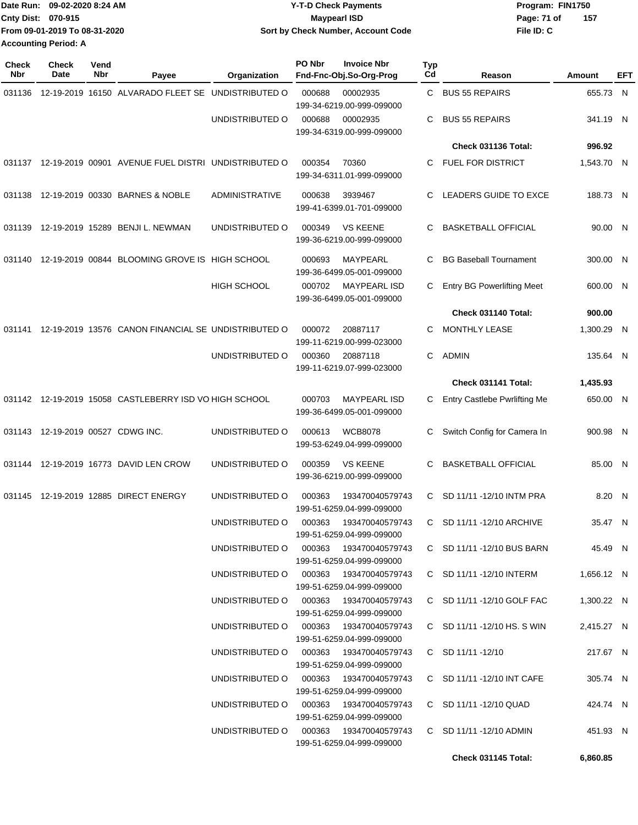|                             | Date Run: 09-02-2020 8:24 AM  | <b>Y-T-D Check Payments</b>        | Program: FIN1750   |
|-----------------------------|-------------------------------|------------------------------------|--------------------|
| <b>Cnty Dist: 070-915</b>   |                               | Maypearl ISD                       | 157<br>Page: 71 of |
|                             | From 09-01-2019 To 08-31-2020 | Sort by Check Number, Account Code | File ID: C         |
| <b>Accounting Period: A</b> |                               |                                    |                    |

| <b>Check</b><br>Nbr | Check<br>Date                     | Vend<br>Nbr | Payee                                                      | Organization                           | PO Nbr                                                     | <b>Invoice Nbr</b><br>Fnd-Fnc-Obj.So-Org-Prog        | Typ<br>Cd | Reason                            | Amount     | EFT |
|---------------------|-----------------------------------|-------------|------------------------------------------------------------|----------------------------------------|------------------------------------------------------------|------------------------------------------------------|-----------|-----------------------------------|------------|-----|
| 031136              |                                   |             | 12-19-2019 16150 ALVARADO FLEET SE UNDISTRIBUTED O         |                                        | 000688                                                     | 00002935<br>199-34-6219.00-999-099000                | С         | <b>BUS 55 REPAIRS</b>             | 655.73 N   |     |
|                     |                                   |             |                                                            | UNDISTRIBUTED O                        | 000688                                                     | 00002935<br>199-34-6319.00-999-099000                | С         | <b>BUS 55 REPAIRS</b>             | 341.19 N   |     |
|                     |                                   |             |                                                            |                                        |                                                            |                                                      |           | Check 031136 Total:               | 996.92     |     |
|                     |                                   |             | 031137 12-19-2019 00901 AVENUE FUEL DISTRI UNDISTRIBUTED O |                                        | 000354                                                     | 70360<br>199-34-6311.01-999-099000                   | С         | FUEL FOR DISTRICT                 | 1,543.70 N |     |
| 031138              |                                   |             | 12-19-2019 00330 BARNES & NOBLE                            | <b>ADMINISTRATIVE</b>                  | 000638<br>3939467<br>199-41-6399.01-701-099000             |                                                      | С         | LEADERS GUIDE TO EXCE             | 188.73 N   |     |
|                     |                                   |             | 031139 12-19-2019 15289 BENJI L. NEWMAN                    | UNDISTRIBUTED O                        | <b>VS KEENE</b><br>000349<br>199-36-6219.00-999-099000     |                                                      | С         | <b>BASKETBALL OFFICIAL</b>        | 90.00 N    |     |
| 031140              |                                   |             | 12-19-2019 00844 BLOOMING GROVE IS HIGH SCHOOL             |                                        | 000693                                                     | MAYPEARL<br>199-36-6499.05-001-099000                | С         | <b>BG Baseball Tournament</b>     | 300.00 N   |     |
|                     |                                   |             |                                                            | HIGH SCHOOL                            | 000702                                                     | <b>MAYPEARL ISD</b><br>199-36-6499.05-001-099000     | С         | <b>Entry BG Powerlifting Meet</b> | 600.00 N   |     |
|                     |                                   |             |                                                            |                                        |                                                            |                                                      |           | Check 031140 Total:               | 900.00     |     |
| 031141              |                                   |             | 12-19-2019 13576 CANON FINANCIAL SE UNDISTRIBUTED O        |                                        | 000072                                                     | 20887117<br>199-11-6219.00-999-023000                | С         | MONTHLY LEASE                     | 1,300.29 N |     |
|                     |                                   |             |                                                            | UNDISTRIBUTED O                        | 000360                                                     | 20887118<br>199-11-6219.07-999-023000                | C         | <b>ADMIN</b>                      | 135.64 N   |     |
|                     |                                   |             |                                                            |                                        |                                                            |                                                      |           | Check 031141 Total:               | 1,435.93   |     |
|                     |                                   |             | 031142 12-19-2019 15058 CASTLEBERRY ISD VO HIGH SCHOOL     |                                        | <b>MAYPEARL ISD</b><br>000703<br>199-36-6499.05-001-099000 |                                                      | С         | Entry Castlebe Pwrlifting Me      | 650.00 N   |     |
|                     | 031143 12-19-2019 00527 CDWG INC. |             |                                                            | UNDISTRIBUTED O                        | 000613                                                     | <b>WCB8078</b><br>199-53-6249.04-999-099000          | С         | Switch Config for Camera In       | 900.98 N   |     |
|                     |                                   |             | 031144 12-19-2019 16773 DAVID LEN CROW                     | UNDISTRIBUTED O                        | 000359<br><b>VS KEENE</b><br>199-36-6219.00-999-099000     |                                                      | С         | <b>BASKETBALL OFFICIAL</b>        | 85.00 N    |     |
| 031145              |                                   |             | 12-19-2019 12885 DIRECT ENERGY                             | UNDISTRIBUTED O                        | 000363                                                     | 193470040579743<br>199-51-6259.04-999-099000         | C.        | SD 11/11 -12/10 INTM PRA          | 8.20 N     |     |
|                     |                                   |             |                                                            |                                        |                                                            | 199-51-6259.04-999-099000                            |           | C SD 11/11 -12/10 ARCHIVE         | 35.47 N    |     |
|                     |                                   |             |                                                            | UNDISTRIBUTED O                        |                                                            | 000363  193470040579743<br>199-51-6259.04-999-099000 |           | C SD 11/11 -12/10 BUS BARN        | 45.49 N    |     |
|                     |                                   |             |                                                            | UNDISTRIBUTED O                        |                                                            | 000363 193470040579743<br>199-51-6259.04-999-099000  |           | C SD 11/11 -12/10 INTERM          | 1,656.12 N |     |
|                     |                                   |             |                                                            | UNDISTRIBUTED O 000363 193470040579743 |                                                            | 199-51-6259.04-999-099000                            |           | C SD 11/11 -12/10 GOLF FAC        | 1,300.22 N |     |
|                     |                                   |             |                                                            | UNDISTRIBUTED O 000363 193470040579743 |                                                            | 199-51-6259.04-999-099000                            |           | C SD 11/11 -12/10 HS. S WIN       | 2,415.27 N |     |
|                     |                                   |             |                                                            | UNDISTRIBUTED O 000363 193470040579743 |                                                            | 199-51-6259.04-999-099000                            |           | C SD 11/11-12/10                  | 217.67 N   |     |
|                     |                                   |             |                                                            | UNDISTRIBUTED O 000363 193470040579743 |                                                            | 199-51-6259.04-999-099000                            |           | C SD 11/11 -12/10 INT CAFE        | 305.74 N   |     |
|                     |                                   |             |                                                            | UNDISTRIBUTED O                        |                                                            | 000363 193470040579743<br>199-51-6259.04-999-099000  |           | C SD 11/11 -12/10 QUAD            | 424.74 N   |     |
|                     |                                   |             |                                                            | UNDISTRIBUTED O                        |                                                            | 000363 193470040579743<br>199-51-6259.04-999-099000  |           | C SD 11/11 -12/10 ADMIN           | 451.93 N   |     |
|                     |                                   |             |                                                            |                                        |                                                            |                                                      |           | Check 031145 Total:               | 6,860.85   |     |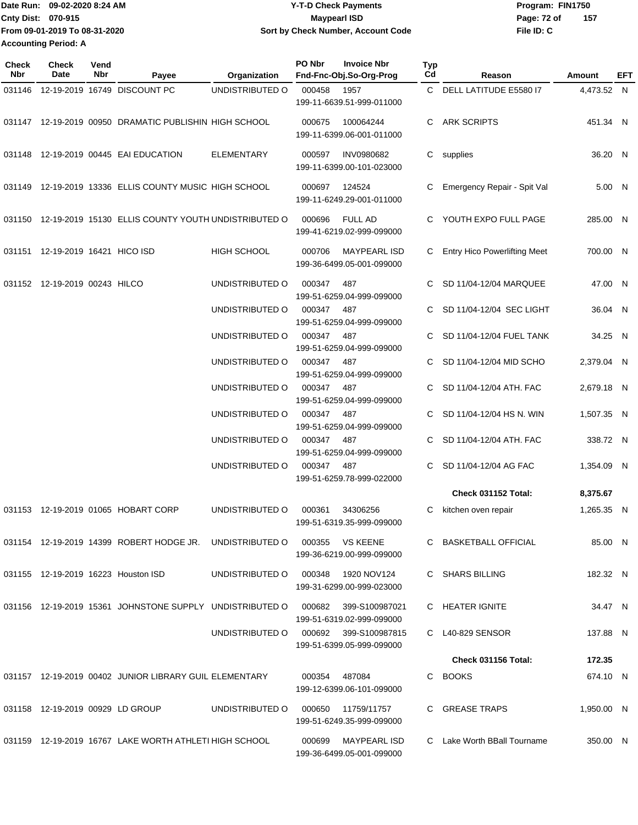Date Run: 09-02-2020 8:24 AM **Date Run:** 09-02-2020 8:24 AM **Program:** FIN1750 **Cnty Dist:** 070-915 **Page: 72 of** Maypearl ISD **CONTEX 150 Page: 72 of File ID: C From 09-01-2019 To 08-31-2020 09-02-2020 8:24 AM Y-T-D Check Payments 070-915 Maypearl ISD Sort by Check Number, Account Code 157 Accounting Period: A**

| Check<br><b>Nbr</b> | Check<br>Date                    | Vend<br>Nbr | Payee                                                      | Organization       | PO Nbr                                        | <b>Invoice Nbr</b><br>Fnd-Fnc-Obj.So-Org-Prog      | <b>Typ</b><br>Cd | Reason                              | Amount     | EFT |
|---------------------|----------------------------------|-------------|------------------------------------------------------------|--------------------|-----------------------------------------------|----------------------------------------------------|------------------|-------------------------------------|------------|-----|
| 031146              |                                  |             | 12-19-2019 16749 DISCOUNT PC                               | UNDISTRIBUTED O    | 000458                                        | 1957<br>199-11-6639.51-999-011000                  |                  | C DELL LATITUDE E5580 I7            | 4,473.52 N |     |
|                     |                                  |             | 031147 12-19-2019 00950 DRAMATIC PUBLISHIN HIGH SCHOOL     |                    | 000675                                        | 100064244<br>199-11-6399.06-001-011000             | C.               | <b>ARK SCRIPTS</b>                  | 451.34 N   |     |
|                     |                                  |             | 031148 12-19-2019 00445 EAI EDUCATION                      | ELEMENTARY         | 000597                                        | <b>INV0980682</b><br>199-11-6399.00-101-023000     |                  | C supplies                          | 36.20 N    |     |
|                     |                                  |             | 031149 12-19-2019 13336 ELLIS COUNTY MUSIC HIGH SCHOOL     |                    | 000697<br>124524<br>199-11-6249.29-001-011000 |                                                    | C                | Emergency Repair - Spit Val         | 5.00 N     |     |
|                     |                                  |             | 031150 12-19-2019 15130 ELLIS COUNTY YOUTH UNDISTRIBUTED O |                    | 000696                                        | <b>FULL AD</b><br>199-41-6219.02-999-099000        |                  | C YOUTH EXPO FULL PAGE              | 285.00 N   |     |
|                     | 031151 12-19-2019 16421 HICO ISD |             |                                                            | <b>HIGH SCHOOL</b> | 000706                                        | <b>MAYPEARL ISD</b><br>199-36-6499.05-001-099000   |                  | <b>Entry Hico Powerlifting Meet</b> | 700.00 N   |     |
|                     | 031152 12-19-2019 00243 HILCO    |             |                                                            | UNDISTRIBUTED O    | 000347                                        | 487<br>199-51-6259.04-999-099000                   | C                | SD 11/04-12/04 MARQUEE              | 47.00 N    |     |
|                     |                                  |             |                                                            | UNDISTRIBUTED O    | 000347                                        | 487<br>199-51-6259.04-999-099000                   | C                | SD 11/04-12/04 SEC LIGHT            | 36.04 N    |     |
|                     |                                  |             |                                                            | UNDISTRIBUTED O    | 000347                                        | 487<br>199-51-6259.04-999-099000                   | C                | SD 11/04-12/04 FUEL TANK            | 34.25 N    |     |
|                     |                                  |             |                                                            | UNDISTRIBUTED O    | 000347                                        | 487<br>199-51-6259.04-999-099000                   | C                | SD 11/04-12/04 MID SCHO             | 2,379.04 N |     |
|                     |                                  |             |                                                            | UNDISTRIBUTED O    | 000347                                        | 487<br>199-51-6259.04-999-099000                   | C.               | SD 11/04-12/04 ATH. FAC             | 2,679.18 N |     |
|                     |                                  |             |                                                            | UNDISTRIBUTED O    | 000347                                        | 487<br>199-51-6259.04-999-099000                   |                  | SD 11/04-12/04 HS N. WIN            | 1,507.35 N |     |
|                     |                                  |             |                                                            | UNDISTRIBUTED O    | 000347                                        | 487<br>199-51-6259.04-999-099000                   | C                | SD 11/04-12/04 ATH. FAC             | 338.72 N   |     |
|                     |                                  |             |                                                            | UNDISTRIBUTED O    | 000347                                        | 487<br>199-51-6259.78-999-022000                   | C                | SD 11/04-12/04 AG FAC               | 1,354.09 N |     |
|                     |                                  |             |                                                            |                    |                                               |                                                    |                  | Check 031152 Total:                 | 8,375.67   |     |
|                     |                                  |             | 031153 12-19-2019 01065 HOBART CORP                        | UNDISTRIBUTED O    | 000361                                        | 34306256<br>199-51-6319.35-999-099000              |                  | C kitchen oven repair               | 1,265.35 N |     |
|                     |                                  |             | 031154 12-19-2019 14399 ROBERT HODGE JR. UNDISTRIBUTED O   |                    |                                               | 000355 VS KEENE<br>199-36-6219.00-999-099000       |                  | C BASKETBALL OFFICIAL               | 85.00 N    |     |
|                     |                                  |             | 031155 12-19-2019 16223 Houston ISD                        | UNDISTRIBUTED O    |                                               | 000348 1920 NOV124<br>199-31-6299.00-999-023000    |                  | C SHARS BILLING                     | 182.32 N   |     |
|                     |                                  |             | 031156 12-19-2019 15361 JOHNSTONE SUPPLY UNDISTRIBUTED O   |                    |                                               | 000682 399-S100987021<br>199-51-6319.02-999-099000 |                  | C HEATER IGNITE                     | 34.47 N    |     |
|                     |                                  |             |                                                            | UNDISTRIBUTED O    |                                               | 000692 399-S100987815<br>199-51-6399.05-999-099000 |                  | C L40-829 SENSOR                    | 137.88 N   |     |
|                     |                                  |             |                                                            |                    |                                               |                                                    |                  | <b>Check 031156 Total:</b>          | 172.35     |     |
|                     |                                  |             | 031157 12-19-2019 00402 JUNIOR LIBRARY GUIL ELEMENTARY     |                    | 000354                                        | 487084<br>199-12-6399.06-101-099000                |                  | C BOOKS                             | 674.10 N   |     |
|                     | 031158 12-19-2019 00929 LD GROUP |             |                                                            | UNDISTRIBUTED O    | 000650                                        | 11759/11757<br>199-51-6249.35-999-099000           |                  | C GREASE TRAPS                      | 1,950.00 N |     |
|                     |                                  |             | 031159 12-19-2019 16767 LAKE WORTH ATHLETI HIGH SCHOOL     |                    |                                               | 000699 MAYPEARL ISD<br>199-36-6499.05-001-099000   |                  | C Lake Worth BBall Tourname         | 350.00 N   |     |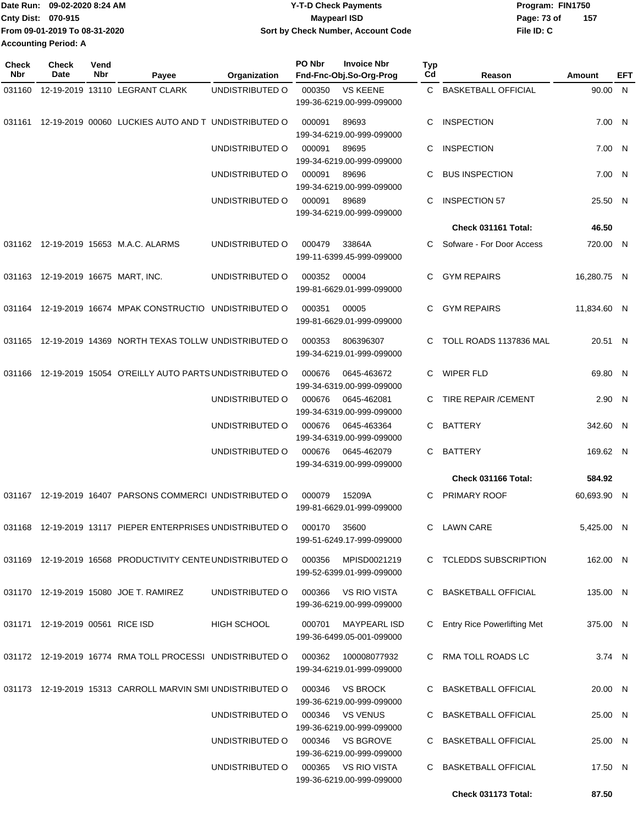|                             | TDate Run: 09-02-2020 8:24 AM | <b>Y-T-D Check Payments</b>        | Program: FIN1750 |     |
|-----------------------------|-------------------------------|------------------------------------|------------------|-----|
| <b>Cnty Dist: 070-915</b>   |                               | <b>Mavpearl ISD</b>                | Page: 73 of      | 157 |
|                             | From 09-01-2019 To 08-31-2020 | Sort by Check Number, Account Code | File ID: C       |     |
| <b>Accounting Period: A</b> |                               |                                    |                  |     |

| <b>Check</b><br><b>Nbr</b> | Check<br>Date                      | Vend<br>Nbr | Payee                                                      | Organization    | PO Nbr                                   | <b>Invoice Nbr</b><br>Fnd-Fnc-Obj.So-Org-Prog    | Typ<br>Cd      | Reason                        | Amount      | EFT |
|----------------------------|------------------------------------|-------------|------------------------------------------------------------|-----------------|------------------------------------------|--------------------------------------------------|----------------|-------------------------------|-------------|-----|
| 031160                     |                                    |             | 12-19-2019 13110 LEGRANT CLARK                             | UNDISTRIBUTED O | 000350                                   | <b>VS KEENE</b><br>199-36-6219.00-999-099000     | C.             | <b>BASKETBALL OFFICIAL</b>    | 90.00 N     |     |
| 031161                     |                                    |             | 12-19-2019 00060 LUCKIES AUTO AND T UNDISTRIBUTED O        |                 | 000091                                   | 89693<br>199-34-6219.00-999-099000               | C              | <b>INSPECTION</b>             | 7.00 N      |     |
|                            |                                    |             |                                                            | UNDISTRIBUTED O | 000091                                   | 89695<br>199-34-6219.00-999-099000               | C              | <b>INSPECTION</b>             | 7.00 N      |     |
|                            |                                    |             |                                                            | UNDISTRIBUTED O | 000091                                   | 89696<br>199-34-6219.00-999-099000               | C              | <b>BUS INSPECTION</b>         | 7.00 N      |     |
|                            |                                    |             |                                                            | UNDISTRIBUTED O | 000091                                   | 89689<br>199-34-6219.00-999-099000               | C              | <b>INSPECTION 57</b>          | 25.50 N     |     |
|                            |                                    |             |                                                            |                 |                                          |                                                  |                | Check 031161 Total:           | 46.50       |     |
|                            |                                    |             | 031162 12-19-2019 15653 M.A.C. ALARMS                      | UNDISTRIBUTED O | 000479                                   | 33864A<br>199-11-6399.45-999-099000              | C.             | Sofware - For Door Access     | 720.00 N    |     |
|                            | 031163 12-19-2019 16675 MART, INC. |             |                                                            | UNDISTRIBUTED O | 000352                                   | 00004<br>199-81-6629.01-999-099000               | C.             | <b>GYM REPAIRS</b>            | 16,280.75 N |     |
|                            |                                    |             | 031164 12-19-2019 16674 MPAK CONSTRUCTIO UNDISTRIBUTED O   |                 | 000351                                   | 00005<br>199-81-6629.01-999-099000               | C.             | <b>GYM REPAIRS</b>            | 11,834.60 N |     |
| 031165                     |                                    |             | 12-19-2019 14369 NORTH TEXAS TOLLW UNDISTRIBUTED O         |                 | 000353                                   | 806396307<br>199-34-6219.01-999-099000           | C              | TOLL ROADS 1137836 MAL        | 20.51 N     |     |
| 031166                     |                                    |             | 12-19-2019 15054 O'REILLY AUTO PARTS UNDISTRIBUTED O       |                 | 000676                                   | 0645-463672<br>199-34-6319.00-999-099000         | C              | <b>WIPER FLD</b>              | 69.80 N     |     |
|                            |                                    |             |                                                            | UNDISTRIBUTED O | 000676                                   | 0645-462081<br>199-34-6319.00-999-099000         | C              | TIRE REPAIR / CEMENT          | 2.90 N      |     |
|                            |                                    |             | UNDISTRIBUTED O                                            | 000676          | 0645-463364<br>199-34-6319.00-999-099000 | C.                                               | <b>BATTERY</b> | 342.60 N                      |             |     |
|                            |                                    |             |                                                            | UNDISTRIBUTED O | 000676                                   | 0645-462079<br>199-34-6319.00-999-099000         | C              | <b>BATTERY</b>                | 169.62 N    |     |
|                            |                                    |             |                                                            |                 |                                          |                                                  |                | Check 031166 Total:           | 584.92      |     |
|                            |                                    |             | 031167 12-19-2019 16407 PARSONS COMMERCI UNDISTRIBUTED O   |                 | 000079                                   | 15209A<br>199-81-6629.01-999-099000              | C.             | <b>PRIMARY ROOF</b>           | 60,693.90 N |     |
|                            |                                    |             | 031168 12-19-2019 13117 PIEPER ENTERPRISES UNDISTRIBUTED O |                 | 000170                                   | 35600<br>199-51-6249.17-999-099000               |                | C LAWN CARE                   | 5,425.00 N  |     |
|                            |                                    |             | 031169 12-19-2019 16568 PRODUCTIVITY CENTE UNDISTRIBUTED O |                 | 000356                                   | MPISD0021219<br>199-52-6399.01-999-099000        |                | C TCLEDDS SUBSCRIPTION        | 162.00 N    |     |
|                            |                                    |             | 031170 12-19-2019 15080 JOE T. RAMIREZ                     | UNDISTRIBUTED O | 000366                                   | VS RIO VISTA<br>199-36-6219.00-999-099000        |                | C BASKETBALL OFFICIAL         | 135.00 N    |     |
|                            | 031171 12-19-2019 00561 RICE ISD   |             |                                                            | HIGH SCHOOL     | 000701                                   | <b>MAYPEARL ISD</b><br>199-36-6499.05-001-099000 |                | C Entry Rice Powerlifting Met | 375.00 N    |     |
|                            |                                    |             | 031172 12-19-2019 16774 RMA TOLL PROCESSI UNDISTRIBUTED O  |                 | 000362                                   | 100008077932<br>199-34-6219.01-999-099000        |                | C RMA TOLL ROADS LC           | 3.74 N      |     |
|                            |                                    |             | 031173 12-19-2019 15313 CARROLL MARVIN SMI UNDISTRIBUTED O |                 | 000346                                   | VS BROCK<br>199-36-6219.00-999-099000            |                | C BASKETBALL OFFICIAL         | 20.00 N     |     |
|                            |                                    |             |                                                            | UNDISTRIBUTED O | 000346                                   | <b>VS VENUS</b><br>199-36-6219.00-999-099000     |                | C BASKETBALL OFFICIAL         | 25.00 N     |     |
|                            |                                    |             |                                                            | UNDISTRIBUTED O | 000346                                   | <b>VS BGROVE</b><br>199-36-6219.00-999-099000    |                | C BASKETBALL OFFICIAL         | 25.00 N     |     |
|                            |                                    |             |                                                            | UNDISTRIBUTED O |                                          | 000365 VS RIO VISTA<br>199-36-6219.00-999-099000 | C.             | <b>BASKETBALL OFFICIAL</b>    | 17.50 N     |     |
|                            |                                    |             |                                                            |                 |                                          |                                                  |                | Check 031173 Total:           | 87.50       |     |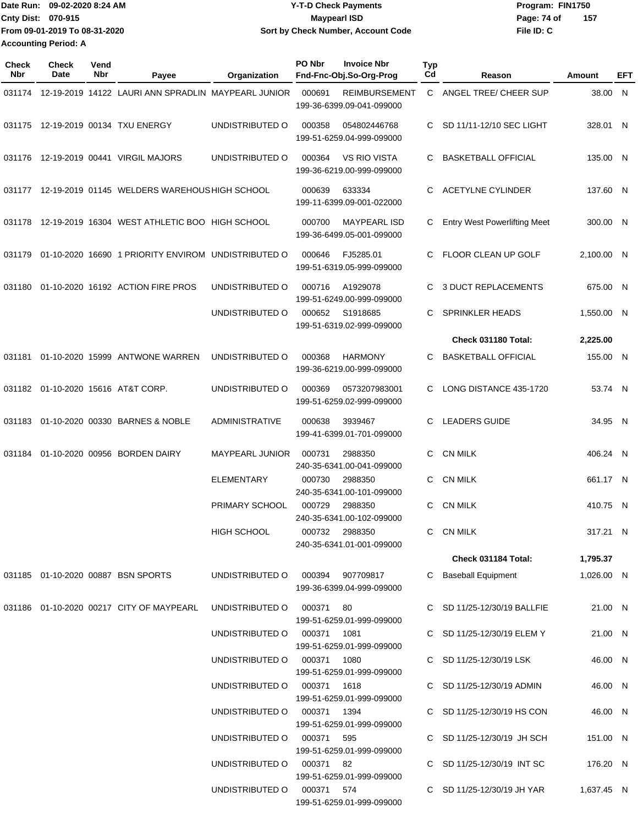| Date Run: 09-02-2020 8:24 AM |                               | <b>Y-T-D Check Payments</b>        | Program: FIN1750   |  |  |  |
|------------------------------|-------------------------------|------------------------------------|--------------------|--|--|--|
| <b>Cnty Dist: 070-915</b>    |                               | Maypearl ISD                       | 157<br>Page: 74 of |  |  |  |
|                              | From 09-01-2019 To 08-31-2020 | Sort by Check Number, Account Code | File ID: C         |  |  |  |
| <b>Accounting Period: A</b>  |                               |                                    |                    |  |  |  |

| <b>Check</b><br>Nbr | Check<br>Date | Vend<br>Nbr | Payee                                                      | Organization                                               | PO Nbr<br><b>Invoice Nbr</b><br>Fnd-Fnc-Obj.So-Org-Prog       | Typ<br>Cd | Reason                                               | Amount               | EFT |
|---------------------|---------------|-------------|------------------------------------------------------------|------------------------------------------------------------|---------------------------------------------------------------|-----------|------------------------------------------------------|----------------------|-----|
|                     |               |             | 031174 12-19-2019 14122 LAURI ANN SPRADLIN MAYPEARL JUNIOR |                                                            | 000691<br><b>REIMBURSEMENT</b><br>199-36-6399.09-041-099000   | C         | ANGEL TREE/ CHEER SUP                                | 38.00 N              |     |
|                     |               |             | 031175 12-19-2019 00134 TXU ENERGY                         | UNDISTRIBUTED O                                            | 000358<br>054802446768<br>199-51-6259.04-999-099000           | C.        | SD 11/11-12/10 SEC LIGHT                             | 328.01 N             |     |
|                     |               |             | 031176 12-19-2019 00441 VIRGIL MAJORS                      | UNDISTRIBUTED O                                            | 000364<br><b>VS RIO VISTA</b><br>199-36-6219.00-999-099000    | C         | <b>BASKETBALL OFFICIAL</b>                           | 135.00 N             |     |
| 031177              |               |             | 12-19-2019 01145 WELDERS WAREHOUS HIGH SCHOOL              |                                                            | 000639<br>633334<br>199-11-6399.09-001-022000                 | C         | <b>ACETYLNE CYLINDER</b>                             | 137.60 N             |     |
|                     |               |             | 031178 12-19-2019 16304 WEST ATHLETIC BOO HIGH SCHOOL      |                                                            | 000700<br><b>MAYPEARL ISD</b><br>199-36-6499.05-001-099000    | С         | <b>Entry West Powerlifting Meet</b>                  | 300.00 N             |     |
| 031179              |               |             | 01-10-2020 16690 1 PRIORITY ENVIROM UNDISTRIBUTED O        |                                                            | FJ5285.01<br>000646<br>199-51-6319.05-999-099000              | С         | FLOOR CLEAN UP GOLF                                  | 2,100.00 N           |     |
| 031180              |               |             | 01-10-2020 16192 ACTION FIRE PROS                          | UNDISTRIBUTED O                                            | A1929078<br>000716<br>199-51-6249.00-999-099000               | С         | <b>3 DUCT REPLACEMENTS</b>                           | 675.00 N             |     |
|                     |               |             |                                                            | UNDISTRIBUTED O                                            | 000652<br>S1918685<br>199-51-6319.02-999-099000               | С         | SPRINKLER HEADS                                      | 1,550.00 N           |     |
|                     |               |             |                                                            |                                                            |                                                               |           | Check 031180 Total:                                  | 2,225.00             |     |
| 031181              |               |             | 01-10-2020 15999 ANTWONE WARREN                            | UNDISTRIBUTED O                                            | 000368<br><b>HARMONY</b><br>199-36-6219.00-999-099000         | С         | <b>BASKETBALL OFFICIAL</b>                           | 155.00 N             |     |
|                     |               |             | 031182  01-10-2020  15616  AT&T CORP.                      | UNDISTRIBUTED O                                            | 000369<br>0573207983001<br>199-51-6259.02-999-099000          | C         | LONG DISTANCE 435-1720                               | 53.74 N              |     |
| 031183              |               |             | 01-10-2020 00330 BARNES & NOBLE                            | <b>ADMINISTRATIVE</b>                                      | 000638<br>3939467<br>199-41-6399.01-701-099000                | С         | <b>LEADERS GUIDE</b>                                 | 34.95 N              |     |
| 031184              |               |             | 01-10-2020 00956 BORDEN DAIRY                              | <b>MAYPEARL JUNIOR</b>                                     | 2988350<br>000731<br>240-35-6341.00-041-099000                | С         | <b>CN MILK</b>                                       | 406.24 N             |     |
|                     |               |             |                                                            | ELEMENTARY                                                 | 000730<br>2988350<br>240-35-6341.00-101-099000                | C         | <b>CN MILK</b>                                       | 661.17 N             |     |
|                     |               |             |                                                            | PRIMARY SCHOOL                                             | 000729<br>2988350<br>240-35-6341.00-102-099000                | C         | <b>CN MILK</b>                                       | 410.75 N             |     |
|                     |               |             |                                                            | <b>HIGH SCHOOL</b>                                         | 000732 2988350<br>240-35-6341.01-001-099000                   |           | C CN MILK<br>Check 031184 Total:                     | 317.21 N<br>1,795.37 |     |
|                     |               |             |                                                            |                                                            |                                                               |           |                                                      |                      |     |
|                     |               |             | 031185  01-10-2020  00887  BSN SPORTS                      |                                                            | UNDISTRIBUTED O 000394 907709817<br>199-36-6399.04-999-099000 | C         | Baseball Equipment                                   | 1,026.00 N           |     |
|                     |               |             | 031186  01-10-2020  00217  CITY OF MAYPEARL                | UNDISTRIBUTED O 000371 80                                  | 199-51-6259.01-999-099000                                     |           | C SD 11/25-12/30/19 BALLFIE                          | 21.00 N              |     |
|                     |               |             |                                                            | UNDISTRIBUTED O 000371 1081                                | 199-51-6259.01-999-099000                                     |           | C SD 11/25-12/30/19 ELEM Y                           | 21.00 N              |     |
|                     |               |             |                                                            | UNDISTRIBUTED O 000371 1080<br>UNDISTRIBUTED O 000371 1618 | 199-51-6259.01-999-099000                                     |           | C SD 11/25-12/30/19 LSK<br>C SD 11/25-12/30/19 ADMIN | 46.00 N<br>46.00 N   |     |
|                     |               |             |                                                            | UNDISTRIBUTED O 000371 1394                                | 199-51-6259.01-999-099000                                     |           | C SD 11/25-12/30/19 HS CON                           | 46.00 N              |     |
|                     |               |             |                                                            | UNDISTRIBUTED O 000371 595                                 | 199-51-6259.01-999-099000                                     |           | C SD 11/25-12/30/19 JH SCH                           | 151.00 N             |     |
|                     |               |             |                                                            | UNDISTRIBUTED O 000371 82                                  | 199-51-6259.01-999-099000                                     |           | C SD 11/25-12/30/19 INT SC                           | 176.20 N             |     |
|                     |               |             |                                                            | UNDISTRIBUTED O 000371 574                                 | 199-51-6259.01-999-099000                                     |           | C SD 11/25-12/30/19 JH YAR                           | 1,637.45 N           |     |
|                     |               |             |                                                            |                                                            | 199-51-6259.01-999-099000                                     |           |                                                      |                      |     |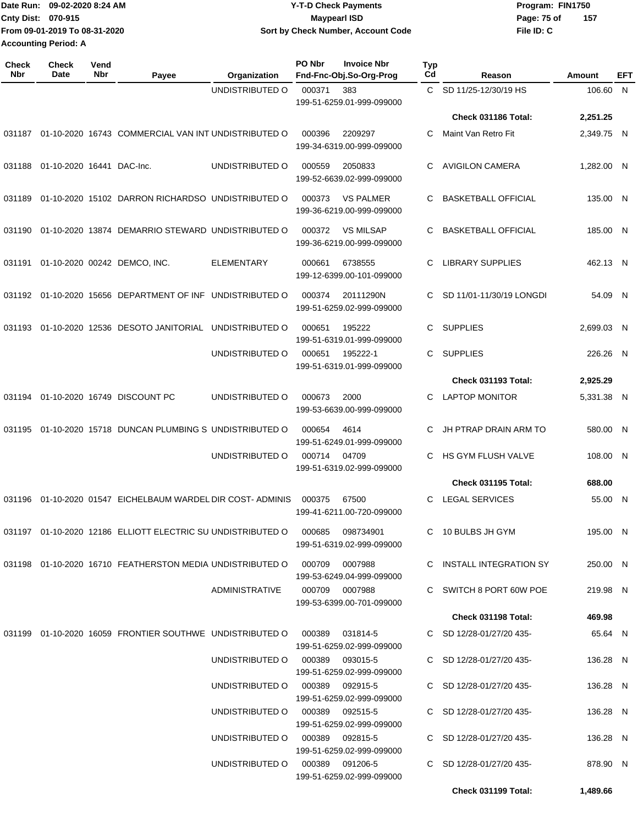| Date Run: 09-02-2020 8:24 AM |                               | <b>Y-T-D Check Payments</b>        | Program: FIN1750   |  |  |
|------------------------------|-------------------------------|------------------------------------|--------------------|--|--|
| Cnty Dist: 070-915           |                               | <b>Maypearl ISD</b>                | 157<br>Page: 75 of |  |  |
|                              | From 09-01-2019 To 08-31-2020 | Sort by Check Number, Account Code | File ID: C         |  |  |
| <b>Accounting Period: A</b>  |                               |                                    |                    |  |  |

| <b>Check</b><br>Nbr | <b>Check</b><br>Date      | Vend<br><b>Nbr</b> | Payee                                                                         | Organization                    | PO Nbr         | <b>Invoice Nbr</b><br>Fnd-Fnc-Obj.So-Org-Prog | <b>Typ</b><br>Cd | Reason                     | Amount     | EFT |
|---------------------|---------------------------|--------------------|-------------------------------------------------------------------------------|---------------------------------|----------------|-----------------------------------------------|------------------|----------------------------|------------|-----|
|                     |                           |                    |                                                                               | UNDISTRIBUTED O                 | 000371         | 383<br>199-51-6259.01-999-099000              |                  | C SD 11/25-12/30/19 HS     | 106.60 N   |     |
|                     |                           |                    |                                                                               |                                 |                |                                               |                  | Check 031186 Total:        | 2,251.25   |     |
| 031187              |                           |                    | 01-10-2020 16743 COMMERCIAL VAN INT UNDISTRIBUTED O                           |                                 | 000396         | 2209297<br>199-34-6319.00-999-099000          | C.               | Maint Van Retro Fit        | 2,349.75 N |     |
| 031188              | 01-10-2020 16441 DAC-Inc. |                    |                                                                               | UNDISTRIBUTED O                 | 000559         | 2050833<br>199-52-6639.02-999-099000          | C                | <b>AVIGILON CAMERA</b>     | 1.282.00 N |     |
| 031189              |                           |                    | 01-10-2020 15102 DARRON RICHARDSO UNDISTRIBUTED O                             |                                 | 000373         | <b>VS PALMER</b><br>199-36-6219.00-999-099000 | C                | <b>BASKETBALL OFFICIAL</b> | 135.00 N   |     |
| 031190              |                           |                    | 01-10-2020 13874 DEMARRIO STEWARD UNDISTRIBUTED O                             |                                 | 000372         | <b>VS MILSAP</b><br>199-36-6219.00-999-099000 | C                | <b>BASKETBALL OFFICIAL</b> | 185.00 N   |     |
| 031191              |                           |                    | 01-10-2020 00242 DEMCO, INC.                                                  | <b>ELEMENTARY</b>               | 000661         | 6738555<br>199-12-6399.00-101-099000          | C                | <b>LIBRARY SUPPLIES</b>    | 462.13 N   |     |
| 031192              |                           |                    | 01-10-2020 15656 DEPARTMENT OF INF UNDISTRIBUTED O                            |                                 | 000374         | 20111290N<br>199-51-6259.02-999-099000        | C                | SD 11/01-11/30/19 LONGDI   | 54.09 N    |     |
| 031193              |                           |                    | 01-10-2020 12536 DESOTO JANITORIAL UNDISTRIBUTED O                            |                                 | 000651         | 195222<br>199-51-6319.01-999-099000           | C.               | <b>SUPPLIES</b>            | 2,699.03 N |     |
|                     |                           |                    |                                                                               | UNDISTRIBUTED O                 | 000651         | 195222-1<br>199-51-6319.01-999-099000         | C.               | <b>SUPPLIES</b>            | 226.26 N   |     |
|                     |                           |                    |                                                                               |                                 |                |                                               |                  | Check 031193 Total:        | 2,925.29   |     |
| 031194              |                           |                    | 01-10-2020 16749 DISCOUNT PC                                                  | UNDISTRIBUTED O                 | 000673         | 2000<br>199-53-6639.00-999-099000             | C                | <b>LAPTOP MONITOR</b>      | 5,331.38 N |     |
| 031195              |                           |                    | 01-10-2020 15718 DUNCAN PLUMBING S UNDISTRIBUTED O                            |                                 | 000654         | 4614<br>199-51-6249.01-999-099000             | C                | JH PTRAP DRAIN ARM TO      | 580.00 N   |     |
|                     |                           |                    |                                                                               | UNDISTRIBUTED O                 | 000714         | 04709<br>199-51-6319.02-999-099000            | C                | HS GYM FLUSH VALVE         | 108.00 N   |     |
|                     |                           |                    |                                                                               |                                 |                |                                               |                  | Check 031195 Total:        | 688.00     |     |
| 031196              |                           |                    | 01-10-2020 01547 EICHELBAUM WARDEL DIR COST-ADMINIS                           |                                 | 000375         | 67500<br>199-41-6211.00-720-099000            | C                | <b>LEGAL SERVICES</b>      | 55.00 N    |     |
|                     |                           |                    | 031197  01-10-2020  12186  ELLIOTT ELECTRIC SU UNDISTRIBUTED   000685         |                                 |                | 098734901<br>199-51-6319.02-999-099000        |                  | C 10 BULBS JH GYM          | 195.00 N   |     |
|                     |                           |                    | 031198  01-10-2020  16710  FEATHERSTON MEDIA UNDISTRIBUTED   000709  0007988  |                                 |                | 199-53-6249.04-999-099000                     |                  | C INSTALL INTEGRATION SY   | 250.00 N   |     |
|                     |                           |                    |                                                                               | <b>ADMINISTRATIVE</b>           | 000709 0007988 | 199-53-6399.00-701-099000                     |                  | C SWITCH 8 PORT 60W POE    | 219.98 N   |     |
|                     |                           |                    |                                                                               |                                 |                |                                               |                  | Check 031198 Total:        | 469.98     |     |
|                     |                           |                    | 031199  01-10-2020  16059  FRONTIER SOUTHWE  UNDISTRIBUTED   000389  031814-5 |                                 |                | 199-51-6259.02-999-099000                     |                  | C SD 12/28-01/27/20 435-   | 65.64 N    |     |
|                     |                           |                    |                                                                               | UNDISTRIBUTED O 000389 093015-5 |                | 199-51-6259.02-999-099000                     |                  | C SD $12/28-01/27/20$ 435- | 136.28 N   |     |
|                     |                           |                    |                                                                               | UNDISTRIBUTED O 000389 092915-5 |                | 199-51-6259.02-999-099000                     |                  | C SD 12/28-01/27/20 435-   | 136.28 N   |     |
|                     |                           |                    |                                                                               | UNDISTRIBUTED O 000389 092515-5 |                | 199-51-6259.02-999-099000                     |                  | C SD 12/28-01/27/20 435-   | 136.28 N   |     |
|                     |                           |                    |                                                                               | UNDISTRIBUTED O 000389 092815-5 |                | 199-51-6259.02-999-099000                     |                  | C SD 12/28-01/27/20 435-   | 136.28 N   |     |
|                     |                           |                    |                                                                               | UNDISTRIBUTED O 000389 091206-5 |                | 199-51-6259.02-999-099000                     |                  | C SD 12/28-01/27/20 435-   | 878.90 N   |     |
|                     |                           |                    |                                                                               |                                 |                |                                               |                  | Check 031199 Total:        | 1,489.66   |     |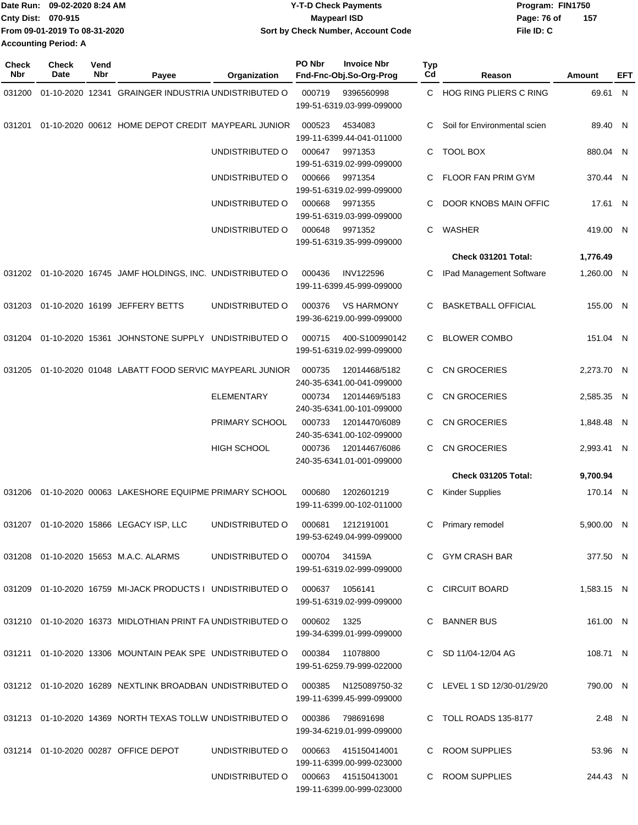| Date Run: 09-02-2020 8:24 AM  | <b>Y-T-D Check Payments</b>        | Program: FIN1750 |       |  |
|-------------------------------|------------------------------------|------------------|-------|--|
| <b>Cnty Dist: 070-915</b>     | <b>Mavpearl ISD</b>                | Page: 76 of      | - 157 |  |
| From 09-01-2019 To 08-31-2020 | Sort by Check Number, Account Code | File ID: C       |       |  |
| <b>Accounting Period: A</b>   |                                    |                  |       |  |

| <b>Check</b><br><b>Nbr</b> | Check<br>Date | Vend<br>Nbr | Payee                                                                         | Organization                        | PO Nbr                                     | <b>Invoice Nbr</b><br>Fnd-Fnc-Obj.So-Org-Prog    | <b>Typ</b><br>Cd    | Reason                       | Amount     | EFT |
|----------------------------|---------------|-------------|-------------------------------------------------------------------------------|-------------------------------------|--------------------------------------------|--------------------------------------------------|---------------------|------------------------------|------------|-----|
| 031200                     |               |             | 01-10-2020 12341 GRAINGER INDUSTRIA UNDISTRIBUTED O                           |                                     | 000719                                     | 9396560998<br>199-51-6319.03-999-099000          |                     | C HOG RING PLIERS C RING     | 69.61 N    |     |
| 031201                     |               |             | 01-10-2020 00612 HOME DEPOT CREDIT MAYPEARL JUNIOR                            |                                     | 000523                                     | 4534083<br>199-11-6399.44-041-011000             | С                   | Soil for Environmental scien | 89.40 N    |     |
|                            |               |             |                                                                               | UNDISTRIBUTED O                     | 000647                                     | 9971353<br>199-51-6319.02-999-099000             | C                   | <b>TOOL BOX</b>              | 880.04 N   |     |
|                            |               |             |                                                                               | UNDISTRIBUTED O                     | 000666                                     | 9971354<br>199-51-6319.02-999-099000             | С                   | FLOOR FAN PRIM GYM           | 370.44 N   |     |
|                            |               |             |                                                                               | UNDISTRIBUTED O                     | 000668                                     | 9971355<br>199-51-6319.03-999-099000             | С                   | DOOR KNOBS MAIN OFFIC        | 17.61 N    |     |
|                            |               |             |                                                                               | UNDISTRIBUTED O                     | 000648                                     | 9971352<br>199-51-6319.35-999-099000             | С                   | WASHER                       | 419.00 N   |     |
|                            |               |             |                                                                               |                                     |                                            |                                                  |                     | Check 031201 Total:          | 1,776.49   |     |
|                            |               |             | 031202 01-10-2020 16745 JAMF HOLDINGS, INC. UNDISTRIBUTED O                   |                                     | 000436                                     | <b>INV122596</b><br>199-11-6399.45-999-099000    | С                   | IPad Management Software     | 1,260.00 N |     |
| 031203                     |               |             | 01-10-2020 16199 JEFFERY BETTS                                                | UNDISTRIBUTED O                     | 000376                                     | <b>VS HARMONY</b><br>199-36-6219.00-999-099000   |                     | <b>BASKETBALL OFFICIAL</b>   | 155.00 N   |     |
| 031204                     |               |             | 01-10-2020 15361 JOHNSTONE SUPPLY UNDISTRIBUTED O                             |                                     | 000715                                     | 400-S100990142<br>199-51-6319.02-999-099000      | С                   | <b>BLOWER COMBO</b>          | 151.04 N   |     |
| 031205                     |               |             | 01-10-2020 01048 LABATT FOOD SERVIC MAYPEARL JUNIOR                           |                                     | 000735                                     | 12014468/5182<br>240-35-6341.00-041-099000       | С                   | <b>CN GROCERIES</b>          | 2,273.70 N |     |
|                            |               |             | <b>ELEMENTARY</b>                                                             | 000734                              | 12014469/5183<br>240-35-6341.00-101-099000 | С                                                | <b>CN GROCERIES</b> | 2,585.35 N                   |            |     |
|                            |               |             |                                                                               | PRIMARY SCHOOL                      | 000733                                     | 12014470/6089<br>240-35-6341.00-102-099000       | С                   | <b>CN GROCERIES</b>          | 1,848.48 N |     |
|                            |               |             |                                                                               | <b>HIGH SCHOOL</b>                  | 000736                                     | 12014467/6086<br>240-35-6341.01-001-099000       | С                   | <b>CN GROCERIES</b>          | 2,993.41 N |     |
|                            |               |             |                                                                               |                                     |                                            |                                                  |                     | <b>Check 031205 Total:</b>   | 9,700.94   |     |
| 031206                     |               |             | 01-10-2020 00063 LAKESHORE EQUIPME PRIMARY SCHOOL                             |                                     | 000680                                     | 1202601219<br>199-11-6399.00-102-011000          | С                   | <b>Kinder Supplies</b>       | 170.14 N   |     |
|                            |               |             | 031207 01-10-2020 15866 LEGACY ISP, LLC                                       | UNDISTRIBUTED O                     | 000681                                     | 1212191001<br>199-53-6249.04-999-099000          | С                   | Primary remodel              | 5,900.00   | -N  |
|                            |               |             | 031208  01-10-2020  15653  M.A.C. ALARMS                                      | UNDISTRIBUTED O                     | 000704 34159A                              | 199-51-6319.02-999-099000                        |                     | C GYM CRASH BAR              | 377.50 N   |     |
|                            |               |             | 031209  01-10-2020  16759  MI-JACK PRODUCTS I UNDISTRIBUTED   000637  1056141 |                                     |                                            | 199-51-6319.02-999-099000                        |                     | C CIRCUIT BOARD              | 1.583.15 N |     |
|                            |               |             | 031210 01-10-2020 16373 MIDLOTHIAN PRINT FA UNDISTRIBUTED O 000602            |                                     |                                            | 1325<br>199-34-6399.01-999-099000                |                     | C BANNER BUS                 | 161.00 N   |     |
|                            |               |             | 031211  01-10-2020  13306  MOUNTAIN PEAK SPE UNDISTRIBUTED   000384  11078800 |                                     |                                            | 199-51-6259.79-999-022000                        |                     | C SD 11/04-12/04 AG          | 108.71 N   |     |
|                            |               |             | 031212  01-10-2020  16289  NEXTLINK BROADBAN UNDISTRIBUTED   000385           |                                     |                                            | N125089750-32<br>199-11-6399.45-999-099000       |                     | C LEVEL 1 SD 12/30-01/29/20  | 790.00 N   |     |
|                            |               |             | 031213  01-10-2020  14369  NORTH TEXAS TOLLW UNDISTRIBUTED O  000386          |                                     |                                            | 798691698<br>199-34-6219.01-999-099000           |                     | C TOLL ROADS 135-8177        | 2.48 N     |     |
|                            |               |             | 031214 01-10-2020 00287 OFFICE DEPOT                                          | UNDISTRIBUTED O                     |                                            | 000663 415150414001<br>199-11-6399.00-999-023000 |                     | C ROOM SUPPLIES              | 53.96 N    |     |
|                            |               |             |                                                                               | UNDISTRIBUTED O 000663 415150413001 |                                            | 199-11-6399.00-999-023000                        |                     | C ROOM SUPPLIES              | 244.43 N   |     |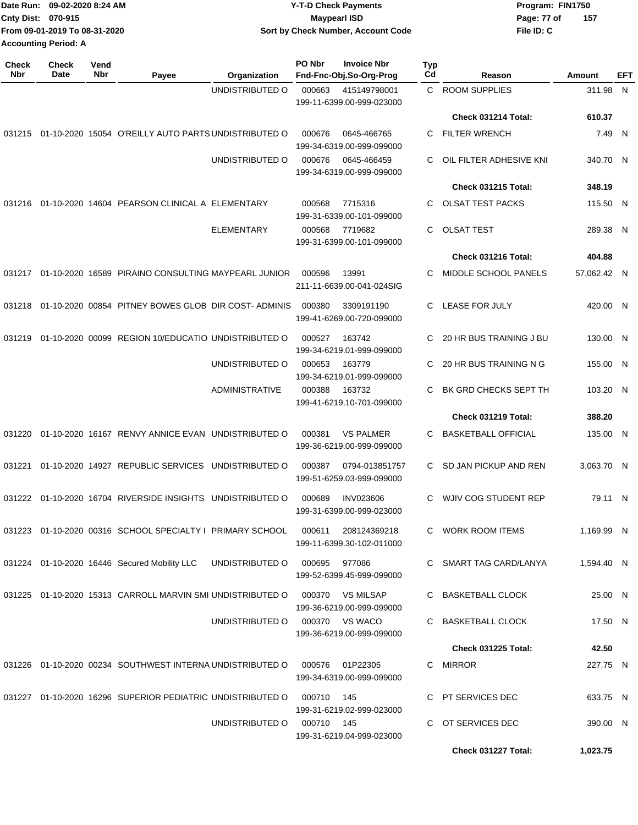| Date Run: 09-02-2020 8:24 AM |                               | <b>Y-T-D Check Payments</b>        | Program: FIN1750   |  |  |  |
|------------------------------|-------------------------------|------------------------------------|--------------------|--|--|--|
| <b>Cnty Dist: 070-915</b>    |                               | <b>Mavpearl ISD</b>                | 157<br>Page: 77 of |  |  |  |
|                              | From 09-01-2019 To 08-31-2020 | Sort by Check Number, Account Code | File ID: C         |  |  |  |
| <b>Accounting Period: A</b>  |                               |                                    |                    |  |  |  |

| Check<br><b>Nbr</b> | <b>Check</b><br>Date | Vend<br>Nbr | Payee                                                      | Organization          | PO Nbr                    | <b>Invoice Nbr</b><br>Fnd-Fnc-Obj.So-Org-Prog | <b>Typ</b><br>Cd  | Reason                     | Amount      | EFT |
|---------------------|----------------------|-------------|------------------------------------------------------------|-----------------------|---------------------------|-----------------------------------------------|-------------------|----------------------------|-------------|-----|
|                     |                      |             |                                                            | UNDISTRIBUTED O       | 000663                    | 415149798001<br>199-11-6399.00-999-023000     | C.                | <b>ROOM SUPPLIES</b>       | 311.98 N    |     |
|                     |                      |             |                                                            |                       |                           |                                               |                   | Check 031214 Total:        | 610.37      |     |
| 031215              |                      |             | 01-10-2020 15054 O'REILLY AUTO PARTS UNDISTRIBUTED O       |                       | 000676                    | 0645-466765<br>199-34-6319.00-999-099000      | C.                | <b>FILTER WRENCH</b>       | 7.49 N      |     |
|                     |                      |             |                                                            | UNDISTRIBUTED O       | 000676                    | 0645-466459<br>199-34-6319.00-999-099000      | C                 | OIL FILTER ADHESIVE KNI    | 340.70 N    |     |
|                     |                      |             |                                                            |                       |                           |                                               |                   | Check 031215 Total:        | 348.19      |     |
| 031216              |                      |             | 01-10-2020 14604 PEARSON CLINICAL A ELEMENTARY             |                       | 000568                    | 7715316<br>199-31-6339.00-101-099000          | C.                | <b>OLSAT TEST PACKS</b>    | 115.50 N    |     |
|                     |                      |             |                                                            | <b>ELEMENTARY</b>     | 000568                    | 7719682<br>199-31-6399.00-101-099000          | C.                | <b>OLSAT TEST</b>          | 289.38 N    |     |
|                     |                      |             |                                                            |                       |                           |                                               |                   | Check 031216 Total:        | 404.88      |     |
| 031217              |                      |             | 01-10-2020 16589 PIRAINO CONSULTING MAYPEARL JUNIOR        |                       | 000596                    | 13991<br>211-11-6639.00-041-024SIG            | C                 | MIDDLE SCHOOL PANELS       | 57,062.42 N |     |
| 031218              |                      |             | 01-10-2020 00854 PITNEY BOWES GLOB DIR COST-ADMINIS        |                       | 000380                    | 3309191190<br>199-41-6269.00-720-099000       | C.                | LEASE FOR JULY             | 420.00 N    |     |
| 031219              |                      |             | 01-10-2020 00099 REGION 10/EDUCATIO UNDISTRIBUTED O        |                       | 000527                    | 163742<br>199-34-6219.01-999-099000           | C                 | 20 HR BUS TRAINING J BU    | 130.00 N    |     |
|                     |                      |             |                                                            | UNDISTRIBUTED O       | 000653                    | 163779<br>199-34-6219.01-999-099000           | C                 | 20 HR BUS TRAINING N G     | 155.00 N    |     |
|                     |                      |             |                                                            | <b>ADMINISTRATIVE</b> | 000388                    | 163732<br>199-41-6219.10-701-099000           | C.                | BK GRD CHECKS SEPT TH      | 103.20 N    |     |
|                     |                      |             |                                                            |                       |                           |                                               |                   | Check 031219 Total:        | 388.20      |     |
| 031220              |                      |             | 01-10-2020 16167 RENVY ANNICE EVAN UNDISTRIBUTED O         |                       | 000381                    | <b>VS PALMER</b><br>199-36-6219.00-999-099000 | C.                | <b>BASKETBALL OFFICIAL</b> | 135.00 N    |     |
| 031221              |                      |             | 01-10-2020 14927 REPUBLIC SERVICES UNDISTRIBUTED O         |                       | 000387                    | 0794-013851757<br>199-51-6259.03-999-099000   | C.                | SD JAN PICKUP AND REN      | 3,063.70 N  |     |
| 031222              |                      |             | 01-10-2020 16704 RIVERSIDE INSIGHTS UNDISTRIBUTED O        |                       | 000689                    | <b>INV023606</b><br>199-31-6399.00-999-023000 | C                 | WJIV COG STUDENT REP       | 79.11 N     |     |
|                     |                      |             | 031223 01-10-2020 00316 SCHOOL SPECIALTY I PRIMARY SCHOOL  |                       | 000611                    | 208124369218<br>199-11-6399.30-102-011000     |                   | C WORK ROOM ITEMS          | 1,169.99 N  |     |
|                     |                      |             | 031224 01-10-2020 16446 Secured Mobility LLC               | UNDISTRIBUTED O       | 000695 977086             | 199-52-6399.45-999-099000                     |                   | C SMART TAG CARD/LANYA     | 1,594.40 N  |     |
|                     |                      |             | 031225 01-10-2020 15313 CARROLL MARVIN SMI UNDISTRIBUTED O |                       |                           | 000370 VS MILSAP<br>199-36-6219.00-999-099000 |                   | C BASKETBALL CLOCK         | 25.00 N     |     |
|                     |                      |             |                                                            | UNDISTRIBUTED O       |                           | 000370 VS WACO<br>199-36-6219.00-999-099000   |                   | C BASKETBALL CLOCK         | 17.50 N     |     |
|                     |                      |             |                                                            |                       |                           |                                               |                   | Check 031225 Total:        | 42.50       |     |
|                     |                      |             | 031226 01-10-2020 00234 SOUTHWEST INTERNA UNDISTRIBUTED O  |                       |                           | 000576 01P22305<br>199-34-6319.00-999-099000  |                   | C MIRROR                   | 227.75 N    |     |
|                     |                      |             | 031227 01-10-2020 16296 SUPERIOR PEDIATRIC UNDISTRIBUTED O |                       | 000710                    | - 145<br>199-31-6219.02-999-023000            |                   | C PT SERVICES DEC          | 633.75 N    |     |
|                     |                      |             | UNDISTRIBUTED O                                            | 000710 145            | 199-31-6219.04-999-023000 |                                               | C OT SERVICES DEC | 390.00 N                   |             |     |
|                     |                      |             |                                                            |                       |                           |                                               |                   | Check 031227 Total:        | 1,023.75    |     |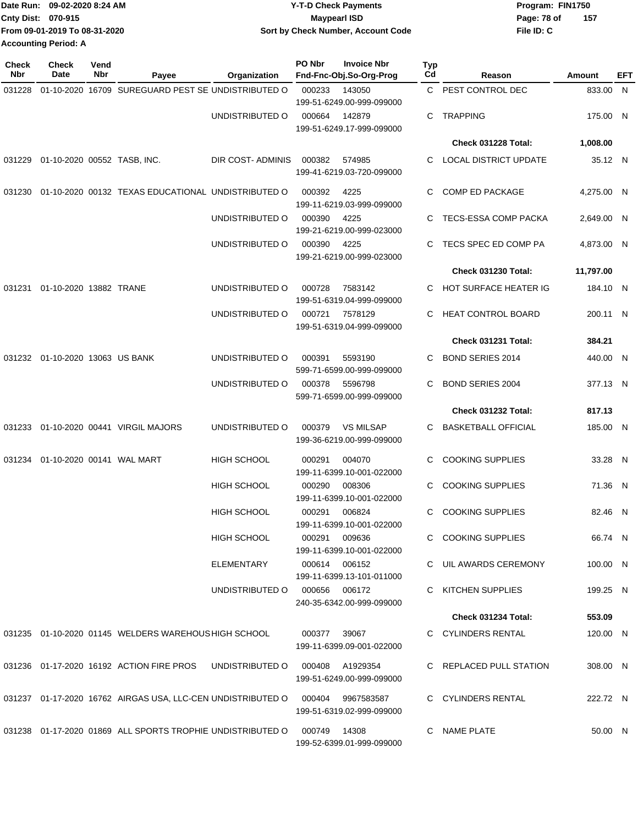| Date Run: 09-02-2020 8:24 AM  | <b>Y-T-D Check Payments</b>        | Program: FIN1750   |  |  |  |
|-------------------------------|------------------------------------|--------------------|--|--|--|
| <b>Cnty Dist: 070-915</b>     | Maypearl ISD                       | 157<br>Page: 78 of |  |  |  |
| From 09-01-2019 To 08-31-2020 | Sort by Check Number, Account Code | File ID: C         |  |  |  |
| <b>Accounting Period: A</b>   |                                    |                    |  |  |  |

| <b>Check</b><br>Nbr             | <b>Check</b><br>Date                | Vend<br>Nbr            | Payee                                                       | Organization                  | PO Nbr                               | <b>Invoice Nbr</b><br>Fnd-Fnc-Obj.So-Org-Prog | Typ<br>Cd               | Reason                       | Amount     | EFT |
|---------------------------------|-------------------------------------|------------------------|-------------------------------------------------------------|-------------------------------|--------------------------------------|-----------------------------------------------|-------------------------|------------------------------|------------|-----|
| 031228                          |                                     |                        | 01-10-2020 16709 SUREGUARD PEST SE UNDISTRIBUTED O          |                               | 000233                               | 143050<br>199-51-6249.00-999-099000           | C                       | PEST CONTROL DEC             | 833.00 N   |     |
|                                 |                                     |                        |                                                             | UNDISTRIBUTED O               | 000664                               | 142879<br>199-51-6249.17-999-099000           | С                       | <b>TRAPPING</b>              | 175.00 N   |     |
|                                 |                                     |                        |                                                             |                               |                                      |                                               |                         | Check 031228 Total:          | 1,008.00   |     |
|                                 | 031229 01-10-2020 00552 TASB, INC.  |                        |                                                             | DIR COST-ADMINIS              | 000382                               | 574985<br>199-41-6219.03-720-099000           | C                       | <b>LOCAL DISTRICT UPDATE</b> | 35.12 N    |     |
| 031230                          |                                     |                        | 01-10-2020 00132 TEXAS EDUCATIONAL UNDISTRIBUTED O          |                               | 000392                               | 4225<br>199-11-6219.03-999-099000             | C                       | COMP ED PACKAGE              | 4,275.00 N |     |
|                                 |                                     |                        |                                                             | UNDISTRIBUTED O               | 000390                               | 4225<br>199-21-6219.00-999-023000             |                         | TECS-ESSA COMP PACKA         | 2,649.00 N |     |
|                                 |                                     |                        |                                                             | UNDISTRIBUTED O               | 000390                               | 4225<br>199-21-6219.00-999-023000             | C                       | TECS SPEC ED COMP PA         | 4,873.00 N |     |
|                                 |                                     |                        |                                                             |                               |                                      |                                               |                         | <b>Check 031230 Total:</b>   | 11,797.00  |     |
| 031231                          |                                     | 01-10-2020 13882 TRANE | UNDISTRIBUTED O                                             | 000728                        | 7583142<br>199-51-6319.04-999-099000 | C                                             | HOT SURFACE HEATER IG   | 184.10 N                     |            |     |
|                                 |                                     |                        |                                                             | UNDISTRIBUTED O               | 000721                               | 7578129<br>199-51-6319.04-999-099000          | C.                      | HEAT CONTROL BOARD           | 200.11 N   |     |
|                                 |                                     |                        |                                                             |                               |                                      |                                               |                         | Check 031231 Total:          | 384.21     |     |
| 031232 01-10-2020 13063 US BANK |                                     |                        |                                                             | UNDISTRIBUTED O               | 000391                               | 5593190<br>599-71-6599.00-999-099000          | C                       | <b>BOND SERIES 2014</b>      | 440.00 N   |     |
|                                 |                                     |                        | UNDISTRIBUTED O                                             | 000378                        | 5596798<br>599-71-6599.00-999-099000 | C                                             | <b>BOND SERIES 2004</b> | 377.13 N                     |            |     |
|                                 |                                     |                        |                                                             |                               |                                      |                                               |                         | Check 031232 Total:          | 817.13     |     |
| 031233                          |                                     |                        | 01-10-2020 00441 VIRGIL MAJORS                              | UNDISTRIBUTED O               | 000379                               | <b>VS MILSAP</b><br>199-36-6219.00-999-099000 | С                       | <b>BASKETBALL OFFICIAL</b>   | 185.00 N   |     |
|                                 | 031234  01-10-2020  00141  WAL MART |                        |                                                             | <b>HIGH SCHOOL</b>            | 000291                               | 004070<br>199-11-6399.10-001-022000           | C                       | <b>COOKING SUPPLIES</b>      | 33.28 N    |     |
|                                 |                                     |                        |                                                             | <b>HIGH SCHOOL</b>            | 000290                               | 008306<br>199-11-6399.10-001-022000           | C                       | <b>COOKING SUPPLIES</b>      | 71.36 N    |     |
|                                 |                                     |                        |                                                             | <b>HIGH SCHOOL</b>            | 000291                               | 006824<br>199-11-6399.10-001-022000           | C                       | <b>COOKING SUPPLIES</b>      | 82.46 N    |     |
|                                 |                                     |                        |                                                             | HIGH SCHOOL                   | 000291                               | 009636<br>199-11-6399.10-001-022000           |                         | C COOKING SUPPLIES           | 66.74 N    |     |
|                                 |                                     |                        |                                                             | ELEMENTARY                    |                                      | 000614 006152<br>199-11-6399.13-101-011000    |                         | C UIL AWARDS CEREMONY        | 100.00 N   |     |
|                                 |                                     |                        |                                                             | UNDISTRIBUTED O 000656 006172 |                                      | 240-35-6342.00-999-099000                     |                         | KITCHEN SUPPLIES             | 199.25 N   |     |
|                                 |                                     |                        |                                                             |                               |                                      |                                               |                         | Check 031234 Total:          | 553.09     |     |
|                                 |                                     |                        | 031235 01-10-2020 01145 WELDERS WAREHOUS HIGH SCHOOL        |                               | 000377                               | 39067<br>199-11-6399.09-001-022000            |                         | C CYLINDERS RENTAL           | 120.00 N   |     |
|                                 |                                     |                        | 031236 01-17-2020 16192 ACTION FIRE PROS                    | UNDISTRIBUTED O               |                                      | 000408 A1929354<br>199-51-6249.00-999-099000  |                         | C REPLACED PULL STATION      | 308.00 N   |     |
|                                 |                                     |                        | 031237 01-17-2020 16762 AIRGAS USA, LLC-CEN UNDISTRIBUTED O |                               | 000404                               | 9967583587<br>199-51-6319.02-999-099000       |                         | C CYLINDERS RENTAL           | 222.72 N   |     |
|                                 |                                     |                        | 031238 01-17-2020 01869 ALL SPORTS TROPHIE UNDISTRIBUTED O  |                               | 000749                               | 14308<br>199-52-6399.01-999-099000            | C.                      | NAME PLATE                   | 50.00 N    |     |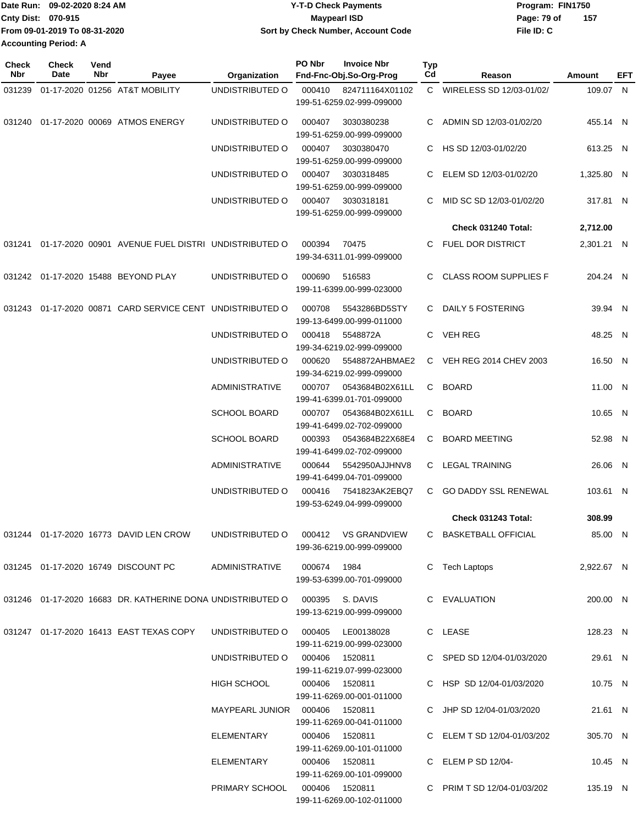|                             | Date Run: 09-02-2020 8:24 AM  | <b>Y-T-D Check Payments</b>        | Program: FIN1750 |     |
|-----------------------------|-------------------------------|------------------------------------|------------------|-----|
| Cnty Dist: 070-915          |                               | <b>Mavpearl ISD</b>                | Page: 79 of      | 157 |
|                             | From 09-01-2019 To 08-31-2020 | Sort by Check Number, Account Code | File ID: C       |     |
| <b>Accounting Period: A</b> |                               |                                    |                  |     |

| <b>Check</b><br>Nbr | Check<br>Date | Vend<br>Nbr | Payee                                                                          | Organization                        | PO Nbr         | <b>Invoice Nbr</b><br>Fnd-Fnc-Obj.So-Org-Prog                        | <b>Typ</b><br>Cd | Reason                      | Amount     | EFT |
|---------------------|---------------|-------------|--------------------------------------------------------------------------------|-------------------------------------|----------------|----------------------------------------------------------------------|------------------|-----------------------------|------------|-----|
| 031239              |               |             | 01-17-2020 01256 AT&T MOBILITY                                                 | UNDISTRIBUTED O                     | 000410         | 824711164X01102                                                      |                  | C WIRELESS SD 12/03-01/02/  | 109.07 N   |     |
|                     |               |             | 031240  01-17-2020  00069  ATMOS ENERGY                                        | UNDISTRIBUTED O                     | 000407         | 199-51-6259.02-999-099000<br>3030380238<br>199-51-6259.00-999-099000 |                  | C ADMIN SD 12/03-01/02/20   | 455.14 N   |     |
|                     |               |             |                                                                                | UNDISTRIBUTED O                     | 000407         | 3030380470<br>199-51-6259.00-999-099000                              |                  | C HS SD 12/03-01/02/20      | 613.25 N   |     |
|                     |               |             |                                                                                | UNDISTRIBUTED O                     | 000407         | 3030318485<br>199-51-6259.00-999-099000                              |                  | C ELEM SD 12/03-01/02/20    | 1,325.80 N |     |
|                     |               |             |                                                                                | UNDISTRIBUTED O                     | 000407         | 3030318181<br>199-51-6259.00-999-099000                              | C.               | MID SC SD 12/03-01/02/20    | 317.81 N   |     |
|                     |               |             |                                                                                |                                     |                |                                                                      |                  | Check 031240 Total:         | 2,712.00   |     |
|                     |               |             | 031241  01-17-2020  00901  AVENUE FUEL DISTRI  UNDISTRIBUTED O                 |                                     | 000394         | 70475<br>199-34-6311.01-999-099000                                   |                  | C FUEL DOR DISTRICT         | 2,301.21 N |     |
|                     |               |             | 031242 01-17-2020 15488 BEYOND PLAY                                            | UNDISTRIBUTED O                     | 000690         | 516583<br>199-11-6399.00-999-023000                                  | C.               | CLASS ROOM SUPPLIES F       | 204.24 N   |     |
|                     |               |             | 031243 01-17-2020 00871 CARD SERVICE CENT UNDISTRIBUTED O                      |                                     | 000708         | 5543286BD5STY<br>199-13-6499.00-999-011000                           |                  | C DAILY 5 FOSTERING         | 39.94 N    |     |
|                     |               |             |                                                                                | UNDISTRIBUTED O                     | 000418         | 5548872A<br>199-34-6219.02-999-099000                                |                  | C VEH REG                   | 48.25 N    |     |
|                     |               |             |                                                                                | UNDISTRIBUTED O                     | 000620         | 5548872AHBMAE2<br>199-34-6219.02-999-099000                          |                  | C VEH REG 2014 CHEV 2003    | 16.50 N    |     |
|                     |               |             |                                                                                | ADMINISTRATIVE                      | 000707         | 0543684B02X61LL<br>199-41-6399.01-701-099000                         |                  | C BOARD                     | 11.00 N    |     |
|                     |               |             |                                                                                | <b>SCHOOL BOARD</b>                 | 000707         | 0543684B02X61LL<br>199-41-6499.02-702-099000                         |                  | C BOARD                     | 10.65 N    |     |
|                     |               |             |                                                                                | <b>SCHOOL BOARD</b>                 | 000393         | 0543684B22X68E4<br>199-41-6499.02-702-099000                         |                  | C BOARD MEETING             | 52.98 N    |     |
|                     |               |             |                                                                                | <b>ADMINISTRATIVE</b>               | 000644         | 5542950AJJHNV8<br>199-41-6499.04-701-099000                          |                  | C LEGAL TRAINING            | 26.06 N    |     |
|                     |               |             |                                                                                | UNDISTRIBUTED O                     | 000416         | 7541823AK2EBQ7<br>199-53-6249.04-999-099000                          | $\mathbf{C}$     | <b>GO DADDY SSL RENEWAL</b> | 103.61 N   |     |
|                     |               |             |                                                                                |                                     |                |                                                                      |                  | Check 031243 Total:         | 308.99     |     |
|                     |               |             | 031244 01-17-2020 16773 DAVID LEN CROW                                         | UNDISTRIBUTED O 000412 VS GRANDVIEW |                | 199-36-6219.00-999-099000                                            |                  | C BASKETBALL OFFICIAL       | 85.00 N    |     |
|                     |               |             | 031245  01-17-2020  16749  DISCOUNT PC                                         | ADMINISTRATIVE                      | 000674 1984    | 199-53-6399.00-701-099000                                            |                  | C Tech Laptops              | 2,922.67 N |     |
|                     |               |             | 031246  01-17-2020  16683 DR. KATHERINE DONA UNDISTRIBUTED O  000395  S. DAVIS |                                     |                | 199-13-6219.00-999-099000                                            |                  | C EVALUATION                | 200.00 N   |     |
|                     |               |             | 031247  01-17-2020  16413  EAST TEXAS COPY                                     | UNDISTRIBUTED O 000405 LE00138028   |                | 199-11-6219.00-999-023000                                            |                  | C LEASE                     | 128.23 N   |     |
|                     |               |             |                                                                                | UNDISTRIBUTED O 000406 1520811      |                | 199-11-6219.07-999-023000                                            |                  | C SPED SD 12/04-01/03/2020  | 29.61 N    |     |
|                     |               |             |                                                                                | <b>HIGH SCHOOL</b>                  | 000406 1520811 | 199-11-6269.00-001-011000                                            |                  | C HSP SD 12/04-01/03/2020   | 10.75 N    |     |
|                     |               |             |                                                                                | MAYPEARL JUNIOR  000406  1520811    |                | 199-11-6269.00-041-011000                                            |                  | C JHP SD 12/04-01/03/2020   | 21.61 N    |     |
|                     |               |             |                                                                                | ELEMENTARY                          | 000406 1520811 | 199-11-6269.00-101-011000                                            |                  | C ELEM T SD 12/04-01/03/202 | 305.70 N   |     |
|                     |               |             |                                                                                | ELEMENTARY                          | 000406 1520811 | 199-11-6269.00-101-099000                                            |                  | C $ELEM P SD 12/04-$        | 10.45 N    |     |
|                     |               |             |                                                                                | PRIMARY SCHOOL  000406  1520811     |                | 199-11-6269.00-102-011000                                            |                  | C PRIM T SD 12/04-01/03/202 | 135.19 N   |     |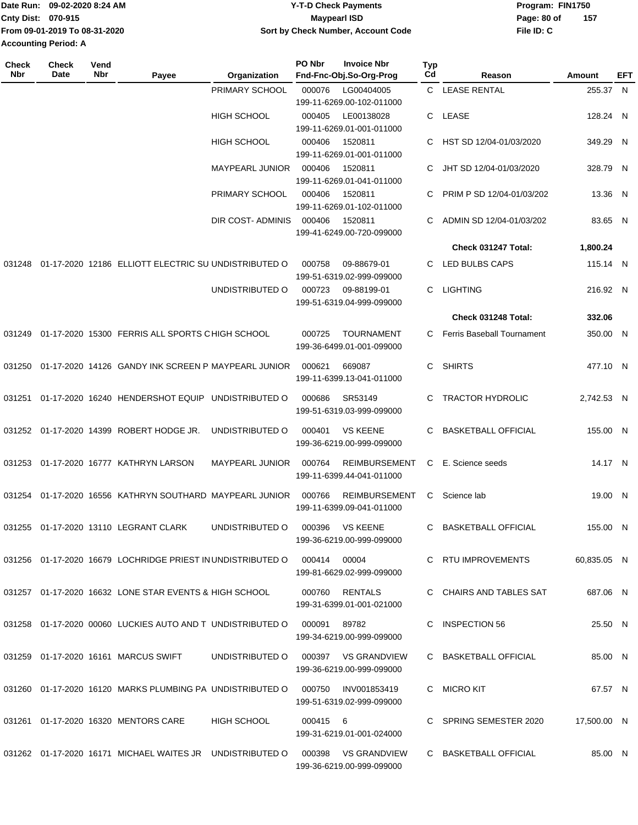|                             | Date Run: 09-02-2020 8:24 AM  | <b>Y-T-D Check Payments</b>        | Program: FIN1750   |
|-----------------------------|-------------------------------|------------------------------------|--------------------|
| <b>Cnty Dist: 070-915</b>   |                               | Maypearl ISD                       | 157<br>Page: 80 of |
|                             | From 09-01-2019 To 08-31-2020 | Sort by Check Number, Account Code | File ID: C         |
| <b>Accounting Period: A</b> |                               |                                    |                    |

| Check<br><b>Nbr</b> | <b>Check</b><br>Date | Vend<br>Nbr | Payee                                                                             | Organization           | PO Nbr        | <b>Invoice Nbr</b><br>Fnd-Fnc-Obj.So-Org-Prog    | Typ<br>Cd | Reason                     | Amount      | EFT |
|---------------------|----------------------|-------------|-----------------------------------------------------------------------------------|------------------------|---------------|--------------------------------------------------|-----------|----------------------------|-------------|-----|
|                     |                      |             |                                                                                   | PRIMARY SCHOOL         | 000076        | LG00404005                                       |           | C LEASE RENTAL             | 255.37 N    |     |
|                     |                      |             |                                                                                   |                        |               | 199-11-6269.00-102-011000                        |           |                            |             |     |
|                     |                      |             |                                                                                   | <b>HIGH SCHOOL</b>     | 000405        | LE00138028                                       | C.        | LEASE                      | 128.24 N    |     |
|                     |                      |             |                                                                                   |                        |               | 199-11-6269.01-001-011000                        |           |                            |             |     |
|                     |                      |             |                                                                                   | <b>HIGH SCHOOL</b>     | 000406        | 1520811<br>199-11-6269.01-001-011000             | C         | HST SD 12/04-01/03/2020    | 349.29 N    |     |
|                     |                      |             |                                                                                   | <b>MAYPEARL JUNIOR</b> | 000406        | 1520811                                          |           | JHT SD 12/04-01/03/2020    | 328.79 N    |     |
|                     |                      |             |                                                                                   |                        |               | 199-11-6269.01-041-011000                        |           |                            |             |     |
|                     |                      |             |                                                                                   | PRIMARY SCHOOL         | 000406        | 1520811                                          |           | PRIM P SD 12/04-01/03/202  | 13.36 N     |     |
|                     |                      |             |                                                                                   |                        |               | 199-11-6269.01-102-011000                        |           |                            |             |     |
|                     |                      |             |                                                                                   | DIR COST-ADMINIS       | 000406        | 1520811                                          | C.        | ADMIN SD 12/04-01/03/202   | 83.65 N     |     |
|                     |                      |             |                                                                                   |                        |               | 199-41-6249.00-720-099000                        |           | Check 031247 Total:        | 1,800.24    |     |
|                     |                      |             |                                                                                   |                        |               |                                                  |           |                            |             |     |
| 031248              |                      |             | 01-17-2020 12186 ELLIOTT ELECTRIC SU UNDISTRIBUTED O                              |                        | 000758        | 09-88679-01<br>199-51-6319.02-999-099000         | C.        | LED BULBS CAPS             | 115.14 N    |     |
|                     |                      |             |                                                                                   | UNDISTRIBUTED O        | 000723        | 09-88199-01                                      | C         | <b>LIGHTING</b>            | 216.92 N    |     |
|                     |                      |             |                                                                                   |                        |               | 199-51-6319.04-999-099000                        |           |                            |             |     |
|                     |                      |             |                                                                                   |                        |               |                                                  |           | Check 031248 Total:        | 332.06      |     |
| 031249              |                      |             | 01-17-2020 15300 FERRIS ALL SPORTS CHIGH SCHOOL                                   |                        | 000725        | <b>TOURNAMENT</b>                                | C.        | Ferris Baseball Tournament | 350.00 N    |     |
|                     |                      |             |                                                                                   |                        |               | 199-36-6499.01-001-099000                        |           |                            |             |     |
| 031250              |                      |             | 01-17-2020 14126 GANDY INK SCREEN P MAYPEARL JUNIOR                               |                        | 000621        | 669087                                           | C         | <b>SHIRTS</b>              | 477.10 N    |     |
|                     |                      |             |                                                                                   |                        |               | 199-11-6399.13-041-011000                        |           |                            |             |     |
| 031251              |                      |             | 01-17-2020 16240 HENDERSHOT EQUIP UNDISTRIBUTED O                                 |                        | 000686        | SR53149                                          | C.        | <b>TRACTOR HYDROLIC</b>    | 2,742.53 N  |     |
|                     |                      |             |                                                                                   |                        |               | 199-51-6319.03-999-099000                        |           |                            |             |     |
|                     |                      |             | 031252 01-17-2020 14399 ROBERT HODGE JR.                                          | UNDISTRIBUTED O        | 000401        | <b>VS KEENE</b>                                  | C.        | <b>BASKETBALL OFFICIAL</b> | 155.00 N    |     |
|                     |                      |             |                                                                                   |                        |               | 199-36-6219.00-999-099000                        |           |                            |             |     |
|                     |                      |             | 031253 01-17-2020 16777 KATHRYN LARSON                                            | <b>MAYPEARL JUNIOR</b> | 000764        | <b>REIMBURSEMENT</b>                             | C         | E. Science seeds           | 14.17 N     |     |
|                     |                      |             |                                                                                   |                        |               | 199-11-6399.44-041-011000                        |           |                            |             |     |
|                     |                      |             | 031254 01-17-2020 16556 KATHRYN SOUTHARD MAYPEARL JUNIOR                          |                        | 000766        | <b>REIMBURSEMENT</b>                             | C         | Science lab                | 19.00 N     |     |
|                     |                      |             |                                                                                   |                        |               | 199-11-6399.09-041-011000                        |           |                            |             |     |
|                     |                      |             | 031255 01-17-2020 13110 LEGRANT CLARK                                             | UNDISTRIBUTED O        |               | 000396 VS KEENE                                  |           | C BASKETBALL OFFICIAL      | 155.00 N    |     |
|                     |                      |             |                                                                                   |                        |               | 199-36-6219.00-999-099000                        |           |                            |             |     |
|                     |                      |             | 031256  01-17-2020  16679  LOCHRIDGE PRIEST IN UNDISTRIBUTED   000414  00004      |                        |               |                                                  |           | C RTU IMPROVEMENTS         |             |     |
|                     |                      |             |                                                                                   |                        |               | 199-81-6629.02-999-099000                        |           |                            | 60,835.05 N |     |
|                     |                      |             |                                                                                   |                        |               |                                                  |           |                            |             |     |
|                     |                      |             | 031257 01-17-2020 16632 LONE STAR EVENTS & HIGH SCHOOL                            |                        |               | 000760 RENTALS<br>199-31-6399.01-001-021000      |           | C CHAIRS AND TABLES SAT    | 687.06 N    |     |
|                     |                      |             |                                                                                   |                        |               |                                                  |           |                            |             |     |
|                     |                      |             | 031258 01-17-2020 00060 LUCKIES AUTO AND T UNDISTRIBUTED O                        |                        | 000091  89782 | 199-34-6219.00-999-099000                        |           | C INSPECTION 56            | 25.50 N     |     |
|                     |                      |             |                                                                                   |                        |               |                                                  |           |                            |             |     |
|                     |                      |             | 031259   01-17-2020   16161   MARCUS SWIFT                                        | UNDISTRIBUTED O        |               | 000397 VS GRANDVIEW<br>199-36-6219.00-999-099000 |           | C BASKETBALL OFFICIAL      | 85.00 N     |     |
|                     |                      |             |                                                                                   |                        |               |                                                  |           |                            |             |     |
|                     |                      |             | 031260  01-17-2020  16120  MARKS PLUMBING PA UNDISTRIBUTED   000750  INV001853419 |                        |               |                                                  |           | C MICROKIT                 | 67.57 N     |     |
|                     |                      |             |                                                                                   |                        |               | 199-51-6319.02-999-099000                        |           |                            |             |     |
|                     |                      |             | 031261  01-17-2020  16320  MENTORS CARE                                           | HIGH SCHOOL            | 000415 6      |                                                  |           | C SPRING SEMESTER 2020     | 17,500.00 N |     |
|                     |                      |             |                                                                                   |                        |               | 199-31-6219.01-001-024000                        |           |                            |             |     |
|                     |                      |             | 031262 01-17-2020 16171 MICHAEL WAITES JR UNDISTRIBUTED O 000398 VS GRANDVIEW     |                        |               |                                                  |           | C BASKETBALL OFFICIAL      | 85.00 N     |     |
|                     |                      |             |                                                                                   |                        |               | 199-36-6219.00-999-099000                        |           |                            |             |     |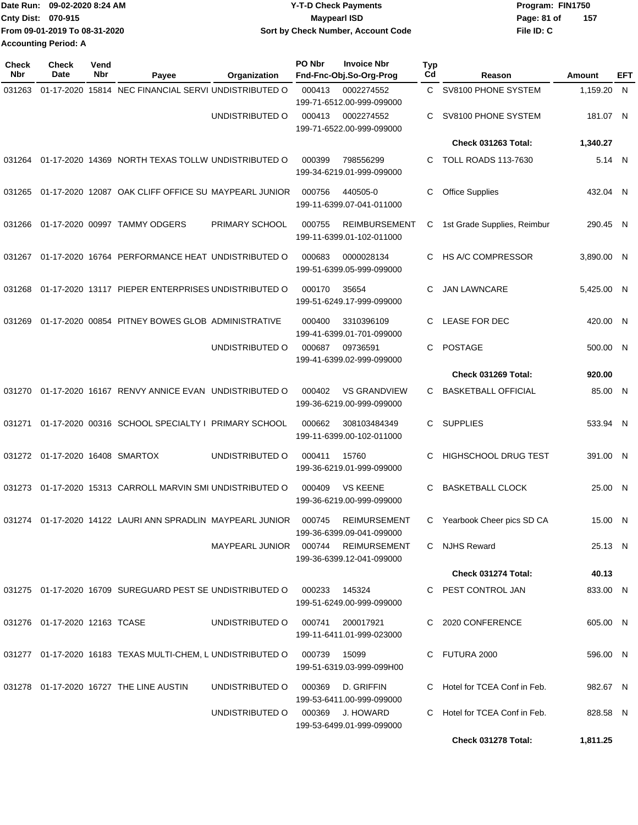|                             | Date Run: 09-02-2020 8:24 AM  | <b>Y-T-D Check Payments</b>        | Program: FIN1750   |
|-----------------------------|-------------------------------|------------------------------------|--------------------|
| <b>Cnty Dist: 070-915</b>   |                               | <b>Mavpearl ISD</b>                | 157<br>Page: 81 of |
|                             | From 09-01-2019 To 08-31-2020 | Sort by Check Number, Account Code | File ID: C         |
| <b>Accounting Period: A</b> |                               |                                    |                    |

| <b>Check</b><br><b>Nbr</b> | <b>Check</b><br>Date             | Vend<br>Nbr | Payee                                                       | Organization                          | PO Nbr | <b>Invoice Nbr</b><br>Fnd-Fnc-Obj.So-Org-Prog     | Typ<br>Cd | Reason                        | Amount     | EFT |
|----------------------------|----------------------------------|-------------|-------------------------------------------------------------|---------------------------------------|--------|---------------------------------------------------|-----------|-------------------------------|------------|-----|
| 031263                     |                                  |             | 01-17-2020 15814 NEC FINANCIAL SERVI UNDISTRIBUTED O        |                                       | 000413 | 0002274552<br>199-71-6512.00-999-099000           |           | C SV8100 PHONE SYSTEM         | 1,159.20 N |     |
|                            |                                  |             |                                                             | UNDISTRIBUTED O                       | 000413 | 0002274552<br>199-71-6522.00-999-099000           | C         | SV8100 PHONE SYSTEM           | 181.07 N   |     |
|                            |                                  |             |                                                             |                                       |        |                                                   |           | Check 031263 Total:           | 1,340.27   |     |
| 031264                     |                                  |             | 01-17-2020 14369 NORTH TEXAS TOLLW UNDISTRIBUTED O          |                                       | 000399 | 798556299<br>199-34-6219.01-999-099000            | C         | <b>TOLL ROADS 113-7630</b>    | 5.14 N     |     |
| 031265                     |                                  |             | 01-17-2020 12087 OAK CLIFF OFFICE SU MAYPEARL JUNIOR        |                                       | 000756 | 440505-0<br>199-11-6399.07-041-011000             | C         | <b>Office Supplies</b>        | 432.04 N   |     |
| 031266                     |                                  |             | 01-17-2020 00997 TAMMY ODGERS                               | PRIMARY SCHOOL                        | 000755 | <b>REIMBURSEMENT</b><br>199-11-6399.01-102-011000 | С         | 1st Grade Supplies, Reimbur   | 290.45 N   |     |
| 031267                     |                                  |             | 01-17-2020 16764 PERFORMANCE HEAT UNDISTRIBUTED O           |                                       | 000683 | 0000028134<br>199-51-6399.05-999-099000           | C         | HS A/C COMPRESSOR             | 3,890.00 N |     |
| 031268                     |                                  |             | 01-17-2020 13117 PIEPER ENTERPRISES UNDISTRIBUTED O         |                                       | 000170 | 35654<br>199-51-6249.17-999-099000                | C         | <b>JAN LAWNCARE</b>           | 5.425.00 N |     |
| 031269                     |                                  |             | 01-17-2020 00854 PITNEY BOWES GLOB ADMINISTRATIVE           |                                       | 000400 | 3310396109<br>199-41-6399.01-701-099000           | C         | <b>LEASE FOR DEC</b>          | 420.00 N   |     |
|                            |                                  |             |                                                             | UNDISTRIBUTED O                       | 000687 | 09736591<br>199-41-6399.02-999-099000             | C.        | <b>POSTAGE</b>                | 500.00 N   |     |
|                            |                                  |             |                                                             |                                       |        |                                                   |           | Check 031269 Total:           | 920.00     |     |
| 031270                     |                                  |             | 01-17-2020 16167 RENVY ANNICE EVAN UNDISTRIBUTED O          |                                       | 000402 | <b>VS GRANDVIEW</b><br>199-36-6219.00-999-099000  | C         | <b>BASKETBALL OFFICIAL</b>    | 85.00 N    |     |
| 031271                     |                                  |             | 01-17-2020 00316 SCHOOL SPECIALTY I PRIMARY SCHOOL          |                                       | 000662 | 308103484349<br>199-11-6399.00-102-011000         | C.        | <b>SUPPLIES</b>               | 533.94 N   |     |
| 031272                     | 01-17-2020 16408 SMARTOX         |             |                                                             | UNDISTRIBUTED O                       | 000411 | 15760<br>199-36-6219.01-999-099000                | C         | <b>HIGHSCHOOL DRUG TEST</b>   | 391.00 N   |     |
| 031273                     |                                  |             | 01-17-2020 15313 CARROLL MARVIN SMI UNDISTRIBUTED O         |                                       | 000409 | <b>VS KEENE</b><br>199-36-6219.00-999-099000      | C         | <b>BASKETBALL CLOCK</b>       | 25.00 N    |     |
|                            |                                  |             | 031274 01-17-2020 14122 LAURI ANN SPRADLIN MAYPEARL JUNIOR  |                                       | 000745 | REIMURSEMENT<br>199-36-6399.09-041-099000         |           | C Yearbook Cheer pics SD CA   | 15.00 N    |     |
|                            |                                  |             |                                                             | MAYPEARL JUNIOR  000744  REIMURSEMENT |        | 199-36-6399.12-041-099000                         |           | C NJHS Reward                 | 25.13 N    |     |
|                            |                                  |             |                                                             |                                       |        |                                                   |           | Check 031274 Total:           | 40.13      |     |
|                            |                                  |             | 031275 01-17-2020 16709 SUREGUARD PEST SE UNDISTRIBUTED O   |                                       | 000233 | 145324<br>199-51-6249.00-999-099000               |           | C PEST CONTROL JAN            | 833.00 N   |     |
|                            | 031276  01-17-2020  12163  TCASE |             |                                                             | UNDISTRIBUTED O                       |        | 000741 200017921<br>199-11-6411.01-999-023000     |           | C 2020 CONFERENCE             | 605.00 N   |     |
|                            |                                  |             | 031277 01-17-2020 16183 TEXAS MULTI-CHEM, L UNDISTRIBUTED O |                                       | 000739 | 15099<br>199-51-6319.03-999-099H00                |           | C FUTURA 2000                 | 596.00 N   |     |
|                            |                                  |             | 031278 01-17-2020 16727 THE LINE AUSTIN                     | UNDISTRIBUTED O                       | 000369 | D. GRIFFIN<br>199-53-6411.00-999-099000           |           | C Hotel for TCEA Conf in Feb. | 982.67 N   |     |
|                            |                                  |             |                                                             | UNDISTRIBUTED O                       |        | 000369 J. HOWARD<br>199-53-6499.01-999-099000     | C.        | Hotel for TCEA Conf in Feb.   | 828.58 N   |     |
|                            |                                  |             |                                                             |                                       |        |                                                   |           | Check 031278 Total:           | 1,811.25   |     |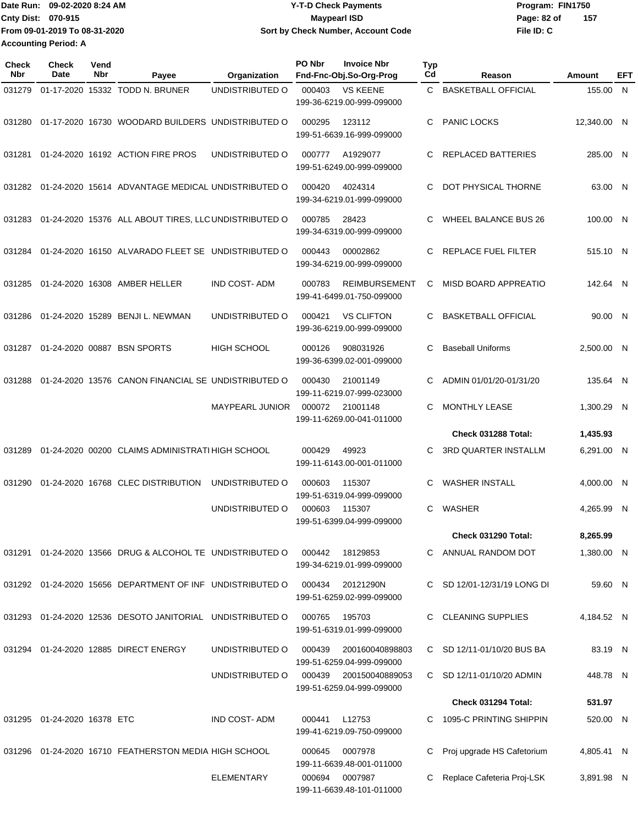Date Run: 09-02-2020 8:24 AM **Program: FIN1750** Y-T-D Check Payments **Cnty Dist:** 070-915 **Page: 82 of** Maypearl ISD Maypearl ISD **From 09-01-2019 To 08-31-2020 Accounting Period: A**

## **09-02-2020 8:24 AM Y-T-D Check Payments 070-915 Maypearl ISD Sort by Check Number, Account Code**

**File ID: C 157**

| <b>Check</b><br><b>Nbr</b> | Check<br>Date                  | Vend<br><b>Nbr</b> | Payee                                                         | Organization           | PO Nbr         | <b>Invoice Nbr</b><br>Fnd-Fnc-Obj.So-Org-Prog     | Typ<br>Cd | Reason                       | Amount      | EFT |
|----------------------------|--------------------------------|--------------------|---------------------------------------------------------------|------------------------|----------------|---------------------------------------------------|-----------|------------------------------|-------------|-----|
| 031279                     |                                |                    | 01-17-2020 15332 TODD N. BRUNER                               | UNDISTRIBUTED O        | 000403         | <b>VS KEENE</b><br>199-36-6219.00-999-099000      | C.        | <b>BASKETBALL OFFICIAL</b>   | 155.00 N    |     |
| 031280                     |                                |                    | 01-17-2020 16730 WOODARD BUILDERS UNDISTRIBUTED O             |                        | 000295         | 123112<br>199-51-6639.16-999-099000               | C         | <b>PANIC LOCKS</b>           | 12,340.00 N |     |
| 031281                     |                                |                    | 01-24-2020 16192 ACTION FIRE PROS                             | UNDISTRIBUTED O        | 000777         | A1929077<br>199-51-6249.00-999-099000             | C         | <b>REPLACED BATTERIES</b>    | 285.00 N    |     |
|                            |                                |                    | 031282 01-24-2020 15614 ADVANTAGE MEDICAL UNDISTRIBUTED O     |                        | 000420         | 4024314<br>199-34-6219.01-999-099000              | C         | DOT PHYSICAL THORNE          | 63.00 N     |     |
| 031283                     |                                |                    | 01-24-2020 15376 ALL ABOUT TIRES, LLC UNDISTRIBUTED O         |                        | 000785         | 28423<br>199-34-6319.00-999-099000                | C         | WHEEL BALANCE BUS 26         | 100.00 N    |     |
| 031284                     |                                |                    | 01-24-2020 16150 ALVARADO FLEET SE UNDISTRIBUTED O            |                        | 000443         | 00002862<br>199-34-6219.00-999-099000             | C         | REPLACE FUEL FILTER          | 515.10 N    |     |
| 031285                     |                                |                    | 01-24-2020 16308 AMBER HELLER                                 | <b>IND COST-ADM</b>    | 000783         | <b>REIMBURSEMENT</b><br>199-41-6499.01-750-099000 | C         | <b>MISD BOARD APPREATIO</b>  | 142.64 N    |     |
| 031286                     |                                |                    | 01-24-2020 15289 BENJI L. NEWMAN                              | UNDISTRIBUTED O        | 000421         | <b>VS CLIFTON</b><br>199-36-6219.00-999-099000    | C         | <b>BASKETBALL OFFICIAL</b>   | 90.00 N     |     |
| 031287                     |                                |                    | 01-24-2020 00887 BSN SPORTS                                   | <b>HIGH SCHOOL</b>     | 000126         | 908031926<br>199-36-6399.02-001-099000            | C         | <b>Baseball Uniforms</b>     | 2,500.00 N  |     |
| 031288                     |                                |                    | 01-24-2020 13576 CANON FINANCIAL SE UNDISTRIBUTED O           |                        | 000430         | 21001149<br>199-11-6219.07-999-023000             | C         | ADMIN 01/01/20-01/31/20      | 135.64 N    |     |
|                            |                                |                    |                                                               | <b>MAYPEARL JUNIOR</b> | 000072         | 21001148<br>199-11-6269.00-041-011000             | C         | MONTHLY LEASE                | 1,300.29 N  |     |
|                            |                                |                    |                                                               |                        |                |                                                   |           | Check 031288 Total:          | 1,435.93    |     |
| 031289                     |                                |                    | 01-24-2020 00200 CLAIMS ADMINISTRATI HIGH SCHOOL              |                        | 000429         | 49923<br>199-11-6143.00-001-011000                | C         | 3RD QUARTER INSTALLM         | 6,291.00 N  |     |
| 031290                     |                                |                    | 01-24-2020 16768 CLEC DISTRIBUTION                            | UNDISTRIBUTED O        | 000603         | 115307<br>199-51-6319.04-999-099000               | C         | <b>WASHER INSTALL</b>        | 4,000.00 N  |     |
|                            |                                |                    |                                                               | UNDISTRIBUTED O        | 000603         | 115307<br>199-51-6399.04-999-099000               | C.        | WASHER                       | 4,265.99 N  |     |
|                            |                                |                    |                                                               |                        |                |                                                   |           | Check 031290 Total:          | 8,265.99    |     |
|                            |                                |                    | 031291  01-24-2020  13566  DRUG & ALCOHOL TE UNDISTRIBUTED O  |                        | 000442         | 18129853<br>199-34-6219.01-999-099000             |           | C ANNUAL RANDOM DOT          | 1,380.00 N  |     |
|                            |                                |                    | 031292 01-24-2020 15656 DEPARTMENT OF INF UNDISTRIBUTED O     |                        | 000434         | 20121290N<br>199-51-6259.02-999-099000            |           | C SD 12/01-12/31/19 LONG DI  | 59.60 N     |     |
|                            |                                |                    | 031293  01-24-2020  12536  DESOTO JANITORIAL  UNDISTRIBUTED O |                        | 000765         | 195703<br>199-51-6319.01-999-099000               | C.        | <b>CLEANING SUPPLIES</b>     | 4,184.52 N  |     |
|                            |                                |                    | 031294 01-24-2020 12885 DIRECT ENERGY                         | UNDISTRIBUTED O        | 000439         | 200160040898803<br>199-51-6259.04-999-099000      |           | C SD 12/11-01/10/20 BUS BA   | 83.19 N     |     |
|                            |                                |                    |                                                               | UNDISTRIBUTED O        | 000439         | 200150040889053<br>199-51-6259.04-999-099000      |           | C SD 12/11-01/10/20 ADMIN    | 448.78 N    |     |
|                            |                                |                    |                                                               |                        |                |                                                   |           | Check 031294 Total:          | 531.97      |     |
|                            | 031295  01-24-2020  16378  ETC |                    |                                                               | <b>IND COST-ADM</b>    | 000441         | L12753<br>199-41-6219.09-750-099000               |           | C 1095-C PRINTING SHIPPIN    | 520.00 N    |     |
|                            |                                |                    | 031296 01-24-2020 16710 FEATHERSTON MEDIA HIGH SCHOOL         |                        | 000645         | 0007978<br>199-11-6639.48-001-011000              | C         | Proj upgrade HS Cafetorium   | 4,805.41 N  |     |
|                            |                                |                    |                                                               | <b>ELEMENTARY</b>      | 000694 0007987 |                                                   |           | C Replace Cafeteria Proj-LSK | 3,891.98 N  |     |

199-11-6639.48-101-011000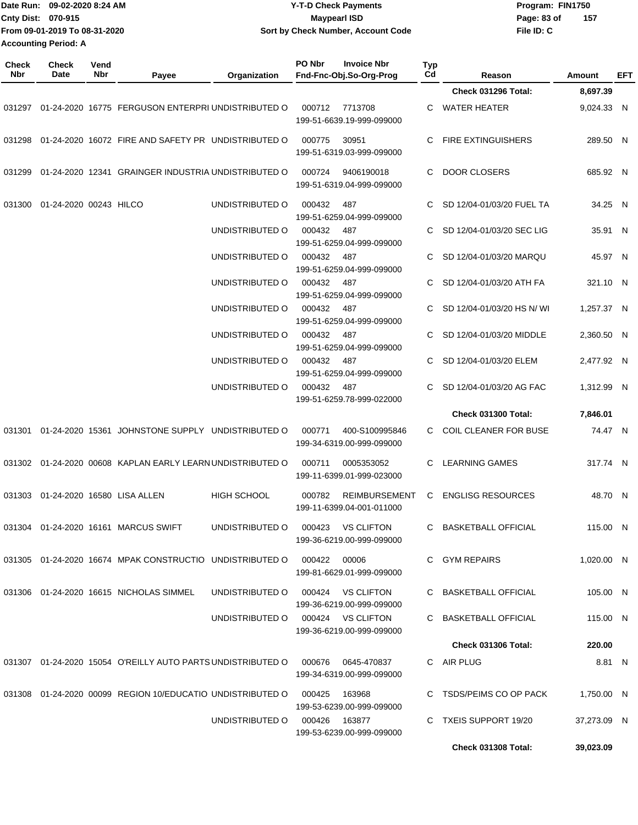| Date Run: 09-02-2020 8:24 AM |                               |             |                                                                                  |                                   | <b>Y-T-D Check Payments</b> |                                                                       |           | Program: FIN1750           |             |            |     |
|------------------------------|-------------------------------|-------------|----------------------------------------------------------------------------------|-----------------------------------|-----------------------------|-----------------------------------------------------------------------|-----------|----------------------------|-------------|------------|-----|
|                              | Cnty Dist: 070-915            |             |                                                                                  |                                   |                             | <b>Maypearl ISD</b>                                                   |           |                            | Page: 83 of | 157        |     |
|                              | From 09-01-2019 To 08-31-2020 |             |                                                                                  |                                   |                             | Sort by Check Number, Account Code                                    |           |                            | File ID: C  |            |     |
|                              | <b>Accounting Period: A</b>   |             |                                                                                  |                                   |                             |                                                                       |           |                            |             |            |     |
| <b>Check</b><br>Nbr          | <b>Check</b><br>Date          | Vend<br>Nbr | Payee                                                                            | Organization                      | PO Nbr                      | <b>Invoice Nbr</b><br>Fnd-Fnc-Obj.So-Org-Prog                         | Typ<br>Cd | Reason                     |             | Amount     | EFT |
|                              |                               |             |                                                                                  |                                   |                             |                                                                       |           | Check 031296 Total:        |             | 8,697.39   |     |
| 031297                       |                               |             | 01-24-2020 16775 FERGUSON ENTERPRI UNDISTRIBUTED O                               |                                   | 000712                      | 7713708<br>199-51-6639.19-999-099000                                  | C.        | <b>WATER HEATER</b>        |             | 9,024.33 N |     |
| 031298                       |                               |             | 01-24-2020 16072 FIRE AND SAFETY PR UNDISTRIBUTED O                              |                                   | 000775                      | 30951<br>199-51-6319.03-999-099000                                    | C         | <b>FIRE EXTINGUISHERS</b>  |             | 289.50 N   |     |
| 031299                       |                               |             | 01-24-2020 12341 GRAINGER INDUSTRIA UNDISTRIBUTED O                              |                                   | 000724                      | 9406190018<br>199-51-6319.04-999-099000                               | C         | <b>DOOR CLOSERS</b>        |             | 685.92 N   |     |
| 031300                       | 01-24-2020 00243 HILCO        |             |                                                                                  | UNDISTRIBUTED O                   | 000432                      | 487<br>199-51-6259.04-999-099000                                      | C         | SD 12/04-01/03/20 FUEL TA  |             | 34.25 N    |     |
|                              |                               |             |                                                                                  | UNDISTRIBUTED O                   | 000432                      | 487<br>199-51-6259.04-999-099000                                      | C.        | SD 12/04-01/03/20 SEC LIG  |             | 35.91 N    |     |
|                              |                               |             |                                                                                  | UNDISTRIBUTED O                   | 000432                      | 487<br>199-51-6259.04-999-099000                                      | C         | SD 12/04-01/03/20 MARQU    |             | 45.97 N    |     |
|                              |                               |             |                                                                                  | UNDISTRIBUTED O                   | 000432                      | 487<br>199-51-6259.04-999-099000                                      | C         | SD 12/04-01/03/20 ATH FA   |             | 321.10 N   |     |
|                              |                               |             |                                                                                  | UNDISTRIBUTED O                   | 000432                      | 487<br>199-51-6259.04-999-099000                                      | C         | SD 12/04-01/03/20 HS N/ WI |             | 1,257.37 N |     |
|                              |                               |             |                                                                                  | UNDISTRIBUTED O                   | 000432                      | 487<br>199-51-6259.04-999-099000                                      | C         | SD 12/04-01/03/20 MIDDLE   |             | 2,360.50 N |     |
|                              |                               |             |                                                                                  | UNDISTRIBUTED O                   | 000432                      | 487<br>199-51-6259.04-999-099000                                      | C         | SD 12/04-01/03/20 ELEM     |             | 2,477.92 N |     |
|                              |                               |             |                                                                                  | UNDISTRIBUTED O                   | 000432                      | 487<br>199-51-6259.78-999-022000                                      | C.        | SD 12/04-01/03/20 AG FAC   |             | 1,312.99 N |     |
|                              |                               |             |                                                                                  |                                   |                             |                                                                       |           | <b>Check 031300 Total:</b> |             | 7,846.01   |     |
| 031301                       |                               |             | 01-24-2020 15361 JOHNSTONE SUPPLY UNDISTRIBUTED O                                |                                   | 000771                      | 400-S100995846<br>199-34-6319.00-999-099000                           | C.        | COIL CLEANER FOR BUSE      |             | 74.47 N    |     |
|                              |                               |             | 031302  01-24-2020  00608  KAPLAN EARLY LEARN UNDISTRIBUTED   000711  0005353052 |                                   |                             | 199-11-6399.01-999-023000                                             |           | C LEARNING GAMES           |             | 317.74 N   |     |
|                              |                               |             | 031303  01-24-2020  16580  LISA ALLEN                                            | HIGH SCHOOL                       |                             | 000782 REIMBURSEMENT C ENGLISG RESOURCES<br>199-11-6399.04-001-011000 |           |                            |             | 48.70 N    |     |
|                              |                               |             | 031304    01-24-2020    16161    MARCUS    SWIFT                                 | UNDISTRIBUTED O 000423 VS CLIFTON |                             | 199-36-6219.00-999-099000                                             |           | C BASKETBALL OFFICIAL      |             | 115.00 N   |     |
|                              |                               |             | 031305  01-24-2020  16674  MPAK CONSTRUCTIO  UNDISTRIBUTED   000422  00006       |                                   |                             | 199-81-6629.01-999-099000                                             |           | C GYM REPAIRS              |             | 1,020.00 N |     |
|                              |                               |             | 031306  01-24-2020  16615  NICHOLAS SIMMEL                                       | UNDISTRIBUTED O 000424 VS CLIFTON |                             | 199-36-6219.00-999-099000                                             |           | C BASKETBALL OFFICIAL      |             | 105.00 N   |     |
|                              |                               |             |                                                                                  | UNDISTRIBUTED O 000424 VS CLIFTON |                             | 199-36-6219.00-999-099000                                             |           | C BASKETBALL OFFICIAL      |             | 115.00 N   |     |
|                              |                               |             |                                                                                  |                                   |                             |                                                                       |           | <b>Check 031306 Total:</b> |             | 220.00     |     |
|                              |                               |             | 031307 01-24-2020 15054 O'REILLY AUTO PARTS UNDISTRIBUTED O 000676 0645-470837   |                                   |                             | 199-34-6319.00-999-099000                                             |           | C AIR PLUG                 |             | 8.81 N     |     |
|                              |                               |             | 031308  01-24-2020  00099  REGION  10/EDUCATIO  UNDISTRIBUTED   000425  163968   |                                   |                             | 199-53-6239.00-999-099000                                             |           | C TSDS/PEIMS CO OP PACK    |             | 1,750.00 N |     |

UNDISTRIBUTED O 000426 163877 C TXEIS SUPPORT 19/20

199-53-6239.00-999-099000

**Check 031308 Total: 39,023.09**

37,273.09 N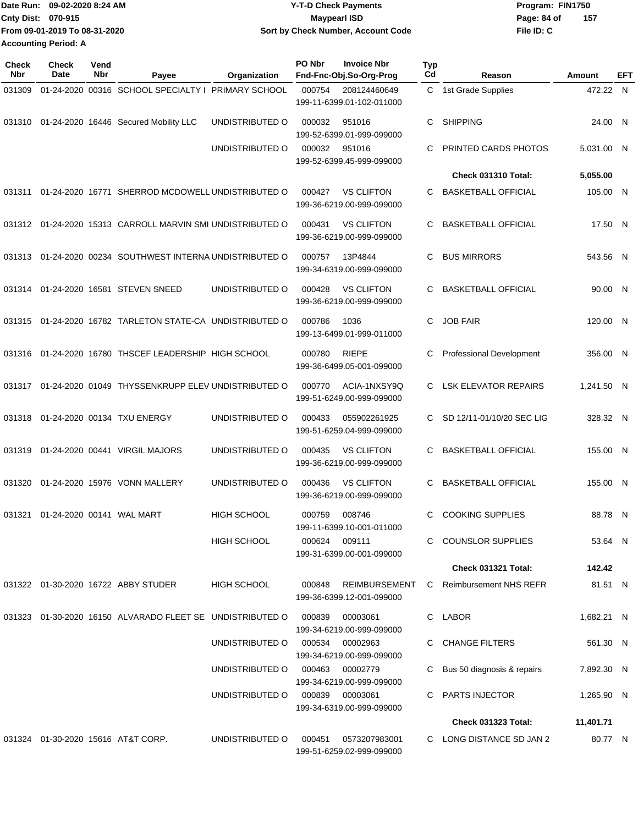|                             | Date Run: 09-02-2020 8:24 AM  | <b>Y-T-D Check Payments</b>        | Program: FIN1750   |
|-----------------------------|-------------------------------|------------------------------------|--------------------|
| Cnty Dist: 070-915          |                               | <b>Mavpearl ISD</b>                | 157<br>Page: 84 of |
|                             | From 09-01-2019 To 08-31-2020 | Sort by Check Number, Account Code | File ID: C         |
| <b>Accounting Period: A</b> |                               |                                    |                    |

| <b>Check</b><br>Nbr | Check<br>Date             | Vend<br>Nbr | Payee                                                     | Organization       | PO Nbr | <b>Invoice Nbr</b><br>Fnd-Fnc-Obj.So-Org-Prog     | <b>Typ</b><br>Cd | Reason                        | Amount     | EFT |
|---------------------|---------------------------|-------------|-----------------------------------------------------------|--------------------|--------|---------------------------------------------------|------------------|-------------------------------|------------|-----|
| 031309              |                           |             | 01-24-2020 00316 SCHOOL SPECIALTY I PRIMARY SCHOOL        |                    | 000754 | 208124460649<br>199-11-6399.01-102-011000         | C.               | 1st Grade Supplies            | 472.22 N   |     |
| 031310              |                           |             | 01-24-2020 16446 Secured Mobility LLC                     | UNDISTRIBUTED O    | 000032 | 951016<br>199-52-6399.01-999-099000               | C                | <b>SHIPPING</b>               | 24.00 N    |     |
|                     |                           |             |                                                           | UNDISTRIBUTED O    | 000032 | 951016<br>199-52-6399.45-999-099000               | C                | PRINTED CARDS PHOTOS          | 5,031.00 N |     |
|                     |                           |             |                                                           |                    |        |                                                   |                  | Check 031310 Total:           | 5,055.00   |     |
| 031311              |                           |             | 01-24-2020 16771 SHERROD MCDOWELL UNDISTRIBUTED O         |                    | 000427 | <b>VS CLIFTON</b><br>199-36-6219.00-999-099000    | C                | <b>BASKETBALL OFFICIAL</b>    | 105.00 N   |     |
| 031312              |                           |             | 01-24-2020 15313 CARROLL MARVIN SMI UNDISTRIBUTED O       |                    | 000431 | <b>VS CLIFTON</b><br>199-36-6219.00-999-099000    | C                | <b>BASKETBALL OFFICIAL</b>    | 17.50 N    |     |
| 031313              |                           |             | 01-24-2020 00234 SOUTHWEST INTERNA UNDISTRIBUTED O        |                    | 000757 | 13P4844<br>199-34-6319.00-999-099000              | C                | <b>BUS MIRRORS</b>            | 543.56 N   |     |
| 031314              |                           |             | 01-24-2020 16581 STEVEN SNEED                             | UNDISTRIBUTED O    | 000428 | <b>VS CLIFTON</b><br>199-36-6219.00-999-099000    | C                | <b>BASKETBALL OFFICIAL</b>    | 90.00 N    |     |
| 031315              |                           |             | 01-24-2020 16782 TARLETON STATE-CA UNDISTRIBUTED O        |                    | 000786 | 1036<br>199-13-6499.01-999-011000                 | C                | <b>JOB FAIR</b>               | 120.00 N   |     |
| 031316              |                           |             | 01-24-2020 16780 THSCEF LEADERSHIP HIGH SCHOOL            |                    | 000780 | <b>RIEPE</b><br>199-36-6499.05-001-099000         | С                | Professional Development      | 356.00 N   |     |
| 031317              |                           |             | 01-24-2020 01049 THYSSENKRUPP ELEV UNDISTRIBUTED O        |                    | 000770 | ACIA-1NXSY9Q<br>199-51-6249.00-999-099000         | C                | <b>LSK ELEVATOR REPAIRS</b>   | 1,241.50 N |     |
| 031318              |                           |             | 01-24-2020 00134 TXU ENERGY                               | UNDISTRIBUTED O    | 000433 | 055902261925<br>199-51-6259.04-999-099000         | C.               | SD 12/11-01/10/20 SEC LIG     | 328.32 N   |     |
| 031319              |                           |             | 01-24-2020 00441 VIRGIL MAJORS                            | UNDISTRIBUTED O    | 000435 | <b>VS CLIFTON</b><br>199-36-6219.00-999-099000    | C                | <b>BASKETBALL OFFICIAL</b>    | 155.00 N   |     |
| 031320              |                           |             | 01-24-2020 15976 VONN MALLERY                             | UNDISTRIBUTED O    | 000436 | <b>VS CLIFTON</b><br>199-36-6219.00-999-099000    | C                | <b>BASKETBALL OFFICIAL</b>    | 155.00 N   |     |
| 031321              | 01-24-2020 00141 WAL MART |             |                                                           | <b>HIGH SCHOOL</b> | 000759 | 008746<br>199-11-6399.10-001-011000               | C                | <b>COOKING SUPPLIES</b>       | 88.78 N    |     |
|                     |                           |             |                                                           | <b>HIGH SCHOOL</b> | 000624 | 009111<br>199-31-6399.00-001-099000               |                  | C COUNSLOR SUPPLIES           | 53.64 N    |     |
|                     |                           |             |                                                           |                    |        |                                                   |                  | <b>Check 031321 Total:</b>    | 142.42     |     |
|                     |                           |             | 031322 01-30-2020 16722 ABBY STUDER                       | HIGH SCHOOL        | 000848 | <b>REIMBURSEMENT</b><br>199-36-6399.12-001-099000 | C.               | <b>Reimbursement NHS REFR</b> | 81.51 N    |     |
|                     |                           |             | 031323 01-30-2020 16150 ALVARADO FLEET SE UNDISTRIBUTED O |                    | 000839 | 00003061<br>199-34-6219.00-999-099000             |                  | C LABOR                       | 1,682.21 N |     |
|                     |                           |             |                                                           | UNDISTRIBUTED O    | 000534 | 00002963<br>199-34-6219.00-999-099000             |                  | C CHANGE FILTERS              | 561.30 N   |     |
|                     |                           |             |                                                           | UNDISTRIBUTED O    |        | 000463 00002779<br>199-34-6219.00-999-099000      | C.               | Bus 50 diagnosis & repairs    | 7,892.30 N |     |
|                     |                           |             |                                                           | UNDISTRIBUTED O    | 000839 | 00003061<br>199-34-6319.00-999-099000             |                  | C PARTS INJECTOR              | 1,265.90 N |     |
|                     |                           |             |                                                           |                    |        |                                                   |                  | <b>Check 031323 Total:</b>    | 11,401.71  |     |
|                     |                           |             | 031324 01-30-2020 15616 AT&T CORP.                        | UNDISTRIBUTED O    | 000451 | 0573207983001<br>199-51-6259.02-999-099000        |                  | C LONG DISTANCE SD JAN 2      | 80.77 N    |     |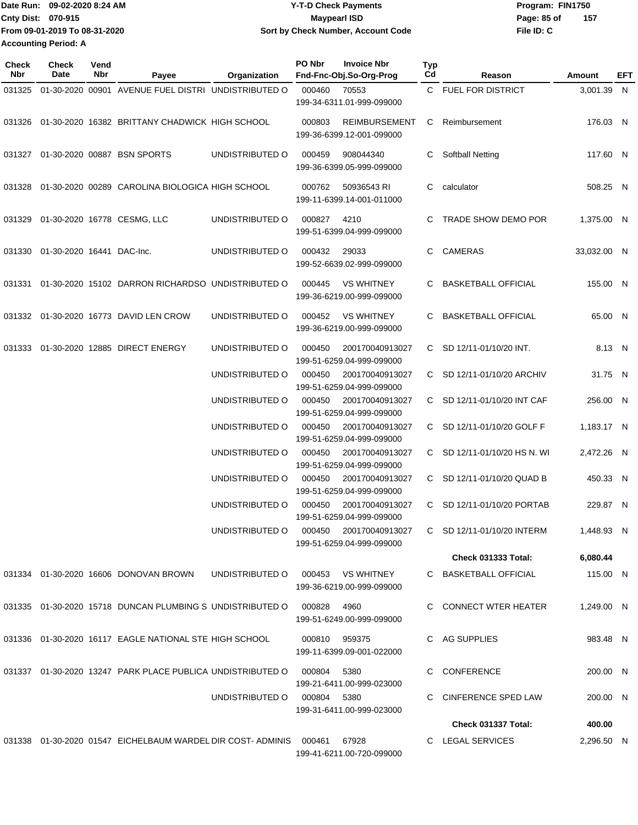Date Run: 09-02-2020 8:24 AM **Date Run:** 09-02-2020 8:24 AM **Program:** FIN1750 Cnty Dist: 070-915 **Page: 85 of** Maypearl ISD Maypearl ISD **File ID: C From 09-01-2019 To 08-31-2020 09-02-2020 8:24 AM Y-T-D Check Payments 070-915 Maypearl ISD Sort by Check Number, Account Code 157 Accounting Period: A**

**PO Nbr Invoice Nbr**

| Check<br>Nbr | <b>Check</b><br>Date      | Vend<br>Nbr | Payee                                                                  | Organization    | PO Nbr | <b>Invoice Nbr</b><br>Fnd-Fnc-Obj.So-Org-Prog     | Typ<br>Cd    | Reason                     | Amount      | EFT |
|--------------|---------------------------|-------------|------------------------------------------------------------------------|-----------------|--------|---------------------------------------------------|--------------|----------------------------|-------------|-----|
| 031325       |                           |             | 01-30-2020 00901 AVENUE FUEL DISTRI UNDISTRIBUTED O                    |                 | 000460 | 70553<br>199-34-6311.01-999-099000                |              | C FUEL FOR DISTRICT        | 3,001.39 N  |     |
| 031326       |                           |             | 01-30-2020 16382 BRITTANY CHADWICK HIGH SCHOOL                         |                 | 000803 | <b>REIMBURSEMENT</b><br>199-36-6399.12-001-099000 | C            | Reimbursement              | 176.03 N    |     |
|              |                           |             | 031327 01-30-2020 00887 BSN SPORTS                                     | UNDISTRIBUTED O | 000459 | 908044340<br>199-36-6399.05-999-099000            | C            | <b>Softball Netting</b>    | 117.60 N    |     |
| 031328       |                           |             | 01-30-2020 00289 CAROLINA BIOLOGICA HIGH SCHOOL                        |                 | 000762 | 50936543 RI<br>199-11-6399.14-001-011000          | C            | calculator                 | 508.25 N    |     |
| 031329       |                           |             | 01-30-2020 16778 CESMG, LLC                                            | UNDISTRIBUTED O | 000827 | 4210<br>199-51-6399.04-999-099000                 | C            | TRADE SHOW DEMO POR        | 1,375.00 N  |     |
| 031330       | 01-30-2020 16441 DAC-Inc. |             |                                                                        | UNDISTRIBUTED O | 000432 | 29033<br>199-52-6639.02-999-099000                | C.           | <b>CAMERAS</b>             | 33,032.00 N |     |
| 031331       |                           |             | 01-30-2020 15102 DARRON RICHARDSO UNDISTRIBUTED O                      |                 | 000445 | <b>VS WHITNEY</b><br>199-36-6219.00-999-099000    | C            | <b>BASKETBALL OFFICIAL</b> | 155.00 N    |     |
| 031332       |                           |             | 01-30-2020 16773 DAVID LEN CROW                                        | UNDISTRIBUTED O | 000452 | <b>VS WHITNEY</b><br>199-36-6219.00-999-099000    | C            | <b>BASKETBALL OFFICIAL</b> | 65.00 N     |     |
| 031333       |                           |             | 01-30-2020 12885 DIRECT ENERGY                                         | UNDISTRIBUTED O | 000450 | 200170040913027<br>199-51-6259.04-999-099000      | C.           | SD 12/11-01/10/20 INT.     | 8.13 N      |     |
|              |                           |             |                                                                        | UNDISTRIBUTED O | 000450 | 200170040913027<br>199-51-6259.04-999-099000      | C.           | SD 12/11-01/10/20 ARCHIV   | 31.75 N     |     |
|              |                           |             |                                                                        | UNDISTRIBUTED O | 000450 | 200170040913027<br>199-51-6259.04-999-099000      | C.           | SD 12/11-01/10/20 INT CAF  | 256.00 N    |     |
|              |                           |             |                                                                        | UNDISTRIBUTED O | 000450 | 200170040913027<br>199-51-6259.04-999-099000      | C.           | SD 12/11-01/10/20 GOLF F   | 1,183.17 N  |     |
|              |                           |             |                                                                        | UNDISTRIBUTED O | 000450 | 200170040913027<br>199-51-6259.04-999-099000      | C.           | SD 12/11-01/10/20 HS N. WI | 2,472.26 N  |     |
|              |                           |             |                                                                        | UNDISTRIBUTED O | 000450 | 200170040913027<br>199-51-6259.04-999-099000      |              | C SD 12/11-01/10/20 QUAD B | 450.33 N    |     |
|              |                           |             |                                                                        | UNDISTRIBUTED O | 000450 | 200170040913027<br>199-51-6259.04-999-099000      | $\mathbf{C}$ | SD 12/11-01/10/20 PORTAB   | 229.87 N    |     |
|              |                           |             |                                                                        | UNDISTRIBUTED O | 000450 | 200170040913027<br>199-51-6259.04-999-099000      |              | C SD 12/11-01/10/20 INTERM | 1.448.93 N  |     |
|              |                           |             |                                                                        |                 |        |                                                   |              | Check 031333 Total:        | 6,080.44    |     |
|              |                           |             | 031334  01-30-2020  16606  DONOVAN BROWN                               | UNDISTRIBUTED O |        | 000453 VS WHITNEY<br>199-36-6219.00-999-099000    |              | C BASKETBALL OFFICIAL      | 115.00 N    |     |
|              |                           |             | 031335 01-30-2020 15718 DUNCAN PLUMBING S UNDISTRIBUTED O              |                 | 000828 | 4960<br>199-51-6249.00-999-099000                 |              | C CONNECT WTER HEATER      | 1,249.00 N  |     |
|              |                           |             | 031336 01-30-2020 16117 EAGLE NATIONAL STE HIGH SCHOOL                 |                 |        | 000810 959375<br>199-11-6399.09-001-022000        |              | C AG SUPPLIES              | 983.48 N    |     |
|              |                           |             | 031337 01-30-2020 13247 PARK PLACE PUBLICA UNDISTRIBUTED O             |                 | 000804 | 5380<br>199-21-6411.00-999-023000                 |              | C CONFERENCE               | 200.00 N    |     |
|              |                           |             |                                                                        | UNDISTRIBUTED O | 000804 | 5380<br>199-31-6411.00-999-023000                 |              | C CINFERENCE SPED LAW      | 200.00 N    |     |
|              |                           |             |                                                                        |                 |        |                                                   |              | Check 031337 Total:        | 400.00      |     |
|              |                           |             | 031338  01-30-2020  01547  EICHELBAUM WARDEL DIR COST- ADMINIS  000461 |                 |        | 67928<br>199-41-6211.00-720-099000                |              | C LEGAL SERVICES           | 2,296.50 N  |     |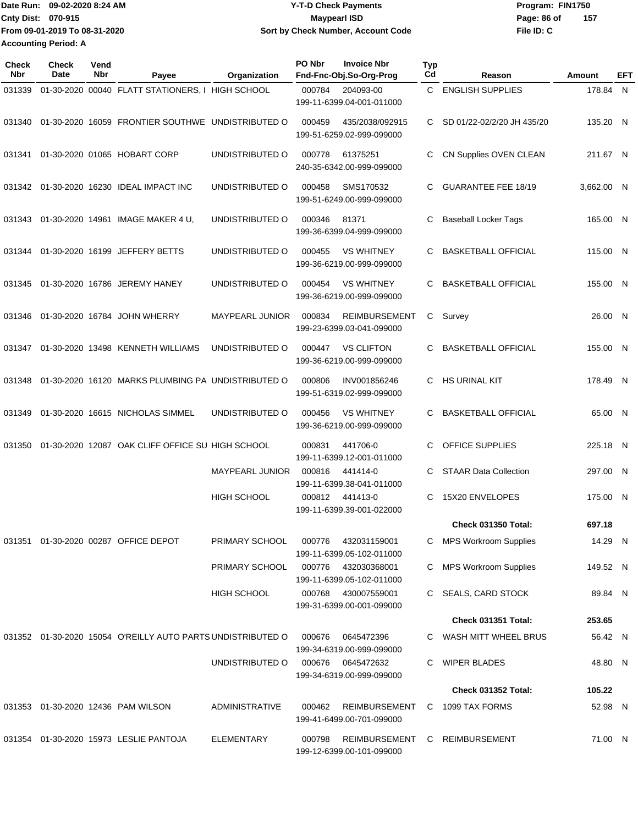**Date Run: Program: FIN1750 Cnty Dist: Page: 86 of File ID: C From 09-01-2019 To 08-31-2020 09-02-2020 8:24 AM Y-T-D Check Payments 070-915 Maypearl ISD Sort by Check Number, Account Code Accounting Period: A**

**157**

**Check Nbr Check Date Reason Fnd-Fnc-Obj.So-Org-Prog Typ Reason Amount Vend Payee Organization PO Nbr Invoice Nbr EFT** 031339 01-30-2020 00040 FLATT STATIONERS, I HIGH SCHOOL 000784 204093-00 C ENGLISH SUPPLIES 178.84 199-11-6399.04-001-011000 N 031340 01-30-2020 16059 FRONTIER SOUTHWE UNDISTRIBUTED O 000459 435/2038/092915 C SD 01/22-02/2/20 JH 435/20 199-51-6259.02-999-099000 135.20 N 031341 01-30-2020 01065 HOBART CORP UNDISTRIBUTED O 000778 61375251 C CN Supplies OVEN CLEAN 211.67 240-35-6342.00-999-099000 N 031342 01-30-2020 16230 IDEAL IMPACT INC UNDISTRIBUTED O 000458 SMS170532 C GUARANTEE FEE 18/19 3,662.00 199-51-6249.00-999-099000 N 031343 01-30-2020 14961 IMAGE MAKER 4 U, UNDISTRIBUTED O 000346 81371 C Baseball Locker Tags 165.00 199-36-6399.04-999-099000 N 031344 01-30-2020 16199 JEFFERY BETTS UNDISTRIBUTED O 000455 VS WHITNEY C BASKETBALL OFFICIAL 115.00 199-36-6219.00-999-099000 N 031345 01-30-2020 16786 JEREMY HANEY UNDISTRIBUTED O 000454 VS WHITNEY C BASKETBALL OFFICIAL 155.00 199-36-6219.00-999-099000 N 031346 01-30-2020 16784 JOHN WHERRY MAYPEARL JUNIOR 000834 REIMBURSEMENT C Survey 26.00 199-23-6399.03-041-099000 26.00 N 031347 01-30-2020 13498 KENNETH WILLIAMS UNDISTRIBUTED O 000447 VS CLIFTON C BASKETBALL OFFICIAL 199-36-6219.00-999-099000 155.00 N 031348 01-30-2020 16120 MARKS PLUMBING PA UNDISTRIBUTED O 000806 INV001856246 C HS URINAL KIT 199-51-6319.02-999-099000 178.49 N 031349 01-30-2020 16615 NICHOLAS SIMMEL UNDISTRIBUTED O 000456 VS WHITNEY C BASKETBALL OFFICIAL 199-36-6219.00-999-099000 65.00 N 031350 01-30-2020 12087 OAK CLIFF OFFICE SU HIGH SCHOOL 000831 441706-0 C OFFICE SUPPLIES 225.18 199-11-6399.12-001-011000 N MAYPEARL JUNIOR 000816 441414-0 C STAAR Data Collection 297.00 199-11-6399.38-041-011000 N HIGH SCHOOL 000812 441413-0 C 15X20 ENVELOPES 175.00 199-11-6399.39-001-022000 N **Check 031350 Total: 697.18** 031351 01-30-2020 00287 OFFICE DEPOT PRIMARY SCHOOL 000776 432031159001 C MPS Workroom Supplies 14.29 199-11-6399.05-102-011000 N PRIMARY SCHOOL 000776 432030368001 C MPS Workroom Supplies 199-11-6399.05-102-011000 149.52 N HIGH SCHOOL 000768 430007559001 C SEALS, CARD STOCK 89.84 199-31-6399.00-001-099000 N **Check 031351 Total: 253.65** 031352 01-30-2020 15054 O'REILLY AUTO PARTS UNDISTRIBUTED O 000676 0645472396 C WASH MITT WHEEL BRUS 56.42 199-34-6319.00-999-099000 N UNDISTRIBUTED O 000676 0645472632 C WIPER BLADES 199-34-6319.00-999-099000 48.80 N **Check 031352 Total: 105.22** 031353 01-30-2020 12436 PAM WILSON ADMINISTRATIVE 000462 REIMBURSEMENT C 1099 TAX FORMS 52.98 199-41-6499.00-701-099000 N 031354 01-30-2020 15973 LESLIE PANTOJA ELEMENTARY 000798 REIMBURSEMENT C REIMBURSEMENT 71.00 199-12-6399.00-101-099000 71.00 N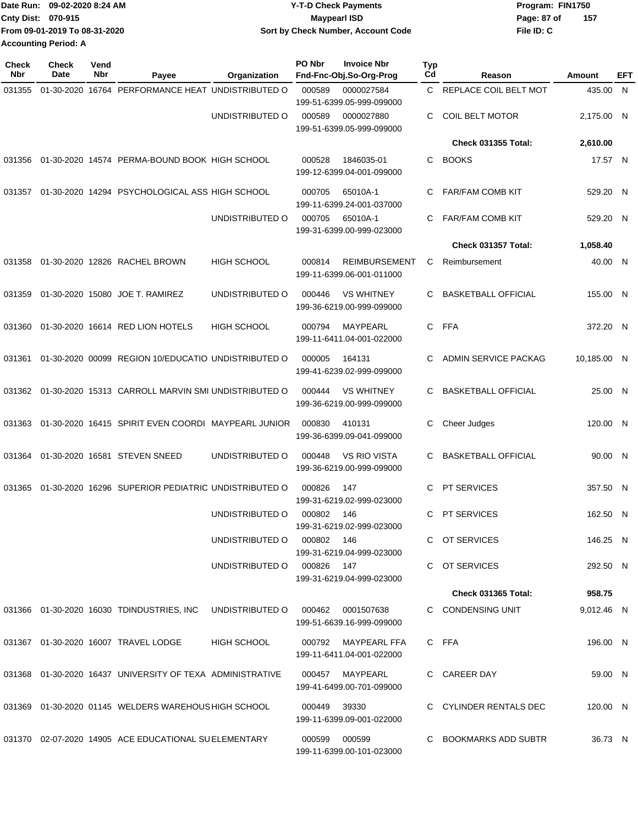|                             | Date Run: 09-02-2020 8:24 AM  | <b>Y-T-D Check Payments</b>        | Program: FIN1750   |
|-----------------------------|-------------------------------|------------------------------------|--------------------|
| <b>Cnty Dist: 070-915</b>   |                               | <b>Mavpearl ISD</b>                | 157<br>Page: 87 of |
|                             | From 09-01-2019 To 08-31-2020 | Sort by Check Number, Account Code | File ID: C         |
| <b>Accounting Period: A</b> |                               |                                    |                    |

| <b>Check</b><br>Nbr | Check<br>Date | Vend<br>Nbr | Payee                                                      | Organization               | PO Nbr        | <b>Invoice Nbr</b><br>Fnd-Fnc-Obj.So-Org-Prog                        | Typ<br>Cd | Reason                     | Amount      | EFT |
|---------------------|---------------|-------------|------------------------------------------------------------|----------------------------|---------------|----------------------------------------------------------------------|-----------|----------------------------|-------------|-----|
| 031355              |               |             | 01-30-2020 16764 PERFORMANCE HEAT UNDISTRIBUTED O          |                            | 000589        | 0000027584                                                           | C.        | REPLACE COIL BELT MOT      | 435.00 N    |     |
|                     |               |             |                                                            | UNDISTRIBUTED O            | 000589        | 199-51-6399.05-999-099000<br>0000027880<br>199-51-6399.05-999-099000 | С         | <b>COIL BELT MOTOR</b>     | 2,175.00 N  |     |
|                     |               |             |                                                            |                            |               |                                                                      |           | <b>Check 031355 Total:</b> | 2,610.00    |     |
| 031356              |               |             | 01-30-2020 14574 PERMA-BOUND BOOK HIGH SCHOOL              |                            | 000528        | 1846035-01<br>199-12-6399.04-001-099000                              | С         | <b>BOOKS</b>               | 17.57 N     |     |
| 031357              |               |             | 01-30-2020 14294 PSYCHOLOGICAL ASS HIGH SCHOOL             |                            | 000705        | 65010A-1<br>199-11-6399.24-001-037000                                | С         | <b>FAR/FAM COMB KIT</b>    | 529.20 N    |     |
|                     |               |             |                                                            | UNDISTRIBUTED O            | 000705        | 65010A-1<br>199-31-6399.00-999-023000                                | С         | <b>FAR/FAM COMB KIT</b>    | 529.20 N    |     |
|                     |               |             |                                                            |                            |               |                                                                      |           | Check 031357 Total:        | 1,058.40    |     |
| 031358              |               |             | 01-30-2020 12826 RACHEL BROWN                              | HIGH SCHOOL                | 000814        | <b>REIMBURSEMENT</b><br>199-11-6399.06-001-011000                    | С         | Reimbursement              | 40.00 N     |     |
| 031359              |               |             | 01-30-2020 15080 JOE T. RAMIREZ                            | UNDISTRIBUTED O            | 000446        | <b>VS WHITNEY</b><br>199-36-6219.00-999-099000                       | С         | <b>BASKETBALL OFFICIAL</b> | 155.00 N    |     |
| 031360              |               |             | 01-30-2020 16614 RED LION HOTELS                           | <b>HIGH SCHOOL</b>         | 000794        | <b>MAYPEARL</b><br>199-11-6411.04-001-022000                         | C         | <b>FFA</b>                 | 372.20 N    |     |
| 031361              |               |             | 01-30-2020 00099 REGION 10/EDUCATIO UNDISTRIBUTED O        |                            | 000005        | 164131<br>199-41-6239.02-999-099000                                  | С         | ADMIN SERVICE PACKAG       | 10,185.00 N |     |
|                     |               |             | 031362 01-30-2020 15313 CARROLL MARVIN SMI UNDISTRIBUTED O |                            | 000444        | <b>VS WHITNEY</b><br>199-36-6219.00-999-099000                       | С         | <b>BASKETBALL OFFICIAL</b> | 25.00 N     |     |
| 031363              |               |             | 01-30-2020 16415 SPIRIT EVEN COORDI MAYPEARL JUNIOR        |                            | 000830        | 410131<br>199-36-6399.09-041-099000                                  | С         | Cheer Judges               | 120.00 N    |     |
| 031364              |               |             | 01-30-2020 16581 STEVEN SNEED                              | UNDISTRIBUTED O            | 000448        | <b>VS RIO VISTA</b><br>199-36-6219.00-999-099000                     | С         | <b>BASKETBALL OFFICIAL</b> | 90.00 N     |     |
| 031365              |               |             | 01-30-2020 16296 SUPERIOR PEDIATRIC UNDISTRIBUTED O        |                            | 000826        | 147<br>199-31-6219.02-999-023000                                     | С         | PT SERVICES                | 357.50 N    |     |
|                     |               |             |                                                            | UNDISTRIBUTED O            | 000802        | 146                                                                  | С         | <b>PT SERVICES</b>         | 162.50 N    |     |
|                     |               |             |                                                            | UNDISTRIBUTED O 000802 146 |               | 199-31-6219.02-999-023000<br>199-31-6219.04-999-023000               |           | C OT SERVICES              | 146.25 N    |     |
|                     |               |             |                                                            | UNDISTRIBUTED O 000826 147 |               | 199-31-6219.04-999-023000                                            |           | C OT SERVICES              | 292.50 N    |     |
|                     |               |             |                                                            |                            |               |                                                                      |           | <b>Check 031365 Total:</b> | 958.75      |     |
|                     |               |             | 031366  01-30-2020  16030  TDINDUSTRIES, INC               | UNDISTRIBUTED O            |               | 000462 0001507638<br>199-51-6639.16-999-099000                       |           | C CONDENSING UNIT          | 9,012.46 N  |     |
|                     |               |             | 031367  01-30-2020  16007  TRAVEL LODGE                    | <b>HIGH SCHOOL</b>         |               | 000792 MAYPEARL FFA<br>199-11-6411.04-001-022000                     |           | C FFA                      | 196.00 N    |     |
|                     |               |             | 031368 01-30-2020 16437 UNIVERSITY OF TEXA ADMINISTRATIVE  |                            | 000457        | MAYPEARL<br>199-41-6499.00-701-099000                                |           | C CAREER DAY               | 59.00 N     |     |
|                     |               |             | 031369 01-30-2020 01145 WELDERS WAREHOUS HIGH SCHOOL       |                            | 000449        | 39330<br>199-11-6399.09-001-022000                                   |           | C CYLINDER RENTALS DEC     | 120.00 N    |     |
|                     |               |             | 031370 02-07-2020 14905 ACE EDUCATIONAL SUELEMENTARY       |                            | 000599 000599 | 199-11-6399.00-101-023000                                            |           | C BOOKMARKS ADD SUBTR      | 36.73 N     |     |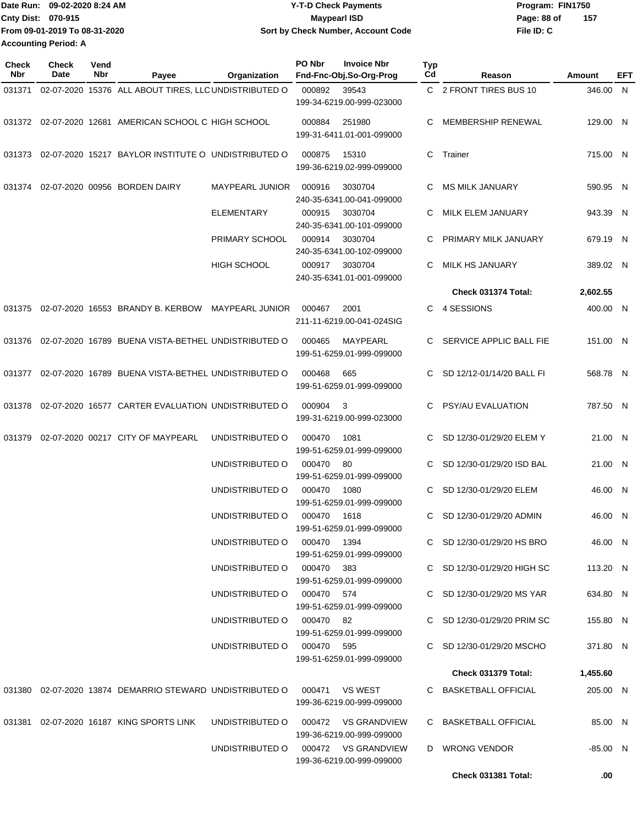|                             | IDate Run: 09-02-2020 8:24 AM | <b>Y-T-D Check Payments</b>        | Program: FIN1750   |
|-----------------------------|-------------------------------|------------------------------------|--------------------|
| <b>Cnty Dist: 070-915</b>   |                               | <b>Mavpearl ISD</b>                | 157<br>Page: 88 of |
|                             | From 09-01-2019 To 08-31-2020 | Sort by Check Number, Account Code | File ID: C         |
| <b>Accounting Period: A</b> |                               |                                    |                    |

| <b>Check</b><br>Nbr | <b>Check</b><br>Date | Vend<br>Nbr | Payee                                                                   | Organization                                            | PO Nbr | <b>Invoice Nbr</b><br>Fnd-Fnc-Obj.So-Org-Prog | Typ<br>Cd | Reason                                                   | Amount               | EFT |
|---------------------|----------------------|-------------|-------------------------------------------------------------------------|---------------------------------------------------------|--------|-----------------------------------------------|-----------|----------------------------------------------------------|----------------------|-----|
| 031371              |                      |             | 02-07-2020 15376 ALL ABOUT TIRES, LLC UNDISTRIBUTED O                   |                                                         | 000892 | 39543                                         |           | C 2 FRONT TIRES BUS 10                                   | 346.00 N             |     |
|                     |                      |             |                                                                         |                                                         |        | 199-34-6219.00-999-023000                     |           |                                                          |                      |     |
|                     |                      |             | 031372 02-07-2020 12681 AMERICAN SCHOOL C HIGH SCHOOL                   |                                                         | 000884 | 251980<br>199-31-6411.01-001-099000           | C.        | MEMBERSHIP RENEWAL                                       | 129.00 N             |     |
|                     |                      |             | 031373 02-07-2020 15217 BAYLOR INSTITUTE O UNDISTRIBUTED O              |                                                         | 000875 | 15310<br>199-36-6219.02-999-099000            |           | C Trainer                                                | 715.00 N             |     |
| 031374              |                      |             | 02-07-2020 00956 BORDEN DAIRY                                           | <b>MAYPEARL JUNIOR</b>                                  | 000916 | 3030704<br>240-35-6341.00-041-099000          | C.        | MS MILK JANUARY                                          | 590.95 N             |     |
|                     |                      |             |                                                                         | ELEMENTARY                                              | 000915 | 3030704<br>240-35-6341.00-101-099000          | C.        | MILK ELEM JANUARY                                        | 943.39 N             |     |
|                     |                      |             |                                                                         | PRIMARY SCHOOL                                          | 000914 | 3030704<br>240-35-6341.00-102-099000          | C         | PRIMARY MILK JANUARY                                     | 679.19 N             |     |
|                     |                      |             |                                                                         | <b>HIGH SCHOOL</b>                                      | 000917 | 3030704<br>240-35-6341.01-001-099000          | C.        | <b>MILK HS JANUARY</b>                                   | 389.02 N             |     |
|                     |                      |             |                                                                         |                                                         |        |                                               |           | Check 031374 Total:                                      | 2,602.55             |     |
|                     |                      |             | 031375 02-07-2020 16553 BRANDY B. KERBOW MAYPEARL JUNIOR                |                                                         | 000467 | 2001<br>211-11-6219.00-041-024SIG             | C         | 4 SESSIONS                                               | 400.00 N             |     |
|                     |                      |             | 031376 02-07-2020 16789 BUENA VISTA-BETHEL UNDISTRIBUTED O              |                                                         | 000465 | MAYPEARL<br>199-51-6259.01-999-099000         |           | C SERVICE APPLIC BALL FIE                                | 151.00 N             |     |
|                     |                      |             | 031377 02-07-2020 16789 BUENA VISTA-BETHEL UNDISTRIBUTED O              |                                                         | 000468 | 665<br>199-51-6259.01-999-099000              | C.        | SD 12/12-01/14/20 BALL FI                                | 568.78 N             |     |
|                     |                      |             | 031378 02-07-2020 16577 CARTER EVALUATION UNDISTRIBUTED O               |                                                         | 000904 | -3<br>199-31-6219.00-999-023000               | C.        | <b>PSY/AU EVALUATION</b>                                 | 787.50 N             |     |
| 031379              |                      |             | 02-07-2020 00217 CITY OF MAYPEARL                                       | UNDISTRIBUTED O                                         | 000470 | 1081<br>199-51-6259.01-999-099000             | C         | SD 12/30-01/29/20 ELEM Y                                 | 21.00 N              |     |
|                     |                      |             |                                                                         | UNDISTRIBUTED O                                         | 000470 | -80<br>199-51-6259.01-999-099000              | C         | SD 12/30-01/29/20 ISD BAL                                | 21.00 N              |     |
|                     |                      |             |                                                                         | UNDISTRIBUTED O                                         | 000470 | 1080<br>199-51-6259.01-999-099000             | C.        | SD 12/30-01/29/20 ELEM                                   | 46.00 N              |     |
|                     |                      |             |                                                                         | UNDISTRIBUTED O                                         | 000470 | 1618<br>199-51-6259.01-999-099000             | C.        | SD 12/30-01/29/20 ADMIN                                  | 46.00 N              |     |
|                     |                      |             |                                                                         | UNDISTRIBUTED O 000470 1394                             |        | 199-51-6259.01-999-099000                     |           | C SD 12/30-01/29/20 HS BRO                               | 46.00 N              |     |
|                     |                      |             |                                                                         | UNDISTRIBUTED O 000470 383                              |        | 199-51-6259.01-999-099000                     |           | C SD 12/30-01/29/20 HIGH SC                              | 113.20 N             |     |
|                     |                      |             |                                                                         | UNDISTRIBUTED O 000470 574<br>UNDISTRIBUTED O 000470 82 |        | 199-51-6259.01-999-099000                     |           | C SD 12/30-01/29/20 MS YAR                               | 634.80 N             |     |
|                     |                      |             |                                                                         | UNDISTRIBUTED O 000470 595                              |        | 199-51-6259.01-999-099000                     |           | C SD 12/30-01/29/20 PRIM SC<br>C SD 12/30-01/29/20 MSCHO | 155.80 N<br>371.80 N |     |
|                     |                      |             |                                                                         |                                                         |        | 199-51-6259.01-999-099000                     |           |                                                          |                      |     |
|                     |                      |             |                                                                         |                                                         |        |                                               |           | Check 031379 Total:                                      | 1,455.60             |     |
|                     |                      |             | 031380 02-07-2020 13874 DEMARRIO STEWARD UNDISTRIBUTED O 000471 VS WEST |                                                         |        | 199-36-6219.00-999-099000                     |           | C BASKETBALL OFFICIAL                                    | 205.00 N             |     |
|                     |                      |             | 031381 02-07-2020 16187 KING SPORTS LINK                                | UNDISTRIBUTED O 000472 VS GRANDVIEW                     |        | 199-36-6219.00-999-099000                     |           | C BASKETBALL OFFICIAL                                    | 85.00 N              |     |
|                     |                      |             |                                                                         | UNDISTRIBUTED O 000472 VS GRANDVIEW                     |        | 199-36-6219.00-999-099000                     |           | D WRONG VENDOR                                           | $-85.00$ N           |     |
|                     |                      |             |                                                                         |                                                         |        |                                               |           | Check 031381 Total:                                      | .00                  |     |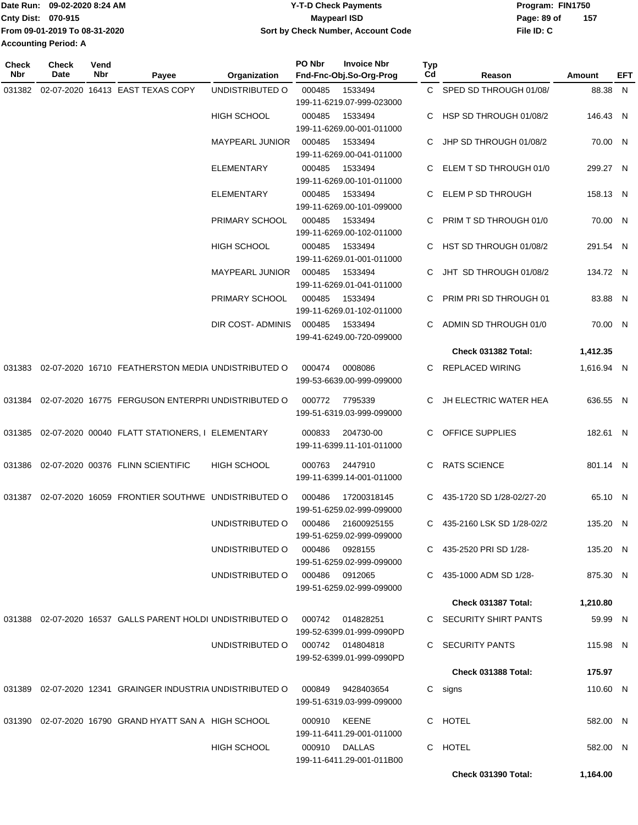|                             | Date Run: 09-02-2020 8:24 AM  | <b>Y-T-D Check Payments</b>        | Program: FIN1750   |  |  |  |
|-----------------------------|-------------------------------|------------------------------------|--------------------|--|--|--|
| <b>Cnty Dist: 070-915</b>   |                               | <b>Mavpearl ISD</b>                | 157<br>Page: 89 of |  |  |  |
|                             | From 09-01-2019 To 08-31-2020 | Sort by Check Number, Account Code | File ID: C         |  |  |  |
| <b>Accounting Period: A</b> |                               |                                    |                    |  |  |  |

| <b>Check</b><br>Nbr | <b>Check</b><br>Date | Vend<br>Nbr | Payee                                                                 | Organization                     | PO Nbr | <b>Invoice Nbr</b><br>Fnd-Fnc-Obj.So-Org-Prog | Typ<br>Cd | Reason                      | Amount     | EFT |
|---------------------|----------------------|-------------|-----------------------------------------------------------------------|----------------------------------|--------|-----------------------------------------------|-----------|-----------------------------|------------|-----|
|                     |                      |             | 031382 02-07-2020 16413 EAST TEXAS COPY                               | UNDISTRIBUTED O                  | 000485 | 1533494                                       |           | C SPED SD THROUGH 01/08/    | 88.38 N    |     |
|                     |                      |             |                                                                       |                                  |        | 199-11-6219.07-999-023000                     |           |                             |            |     |
|                     |                      |             |                                                                       | HIGH SCHOOL                      | 000485 | 1533494                                       |           | C HSP SD THROUGH 01/08/2    | 146.43 N   |     |
|                     |                      |             |                                                                       |                                  |        | 199-11-6269.00-001-011000                     |           |                             |            |     |
|                     |                      |             |                                                                       | <b>MAYPEARL JUNIOR</b>           | 000485 | 1533494                                       | C.        | JHP SD THROUGH 01/08/2      | 70.00 N    |     |
|                     |                      |             |                                                                       |                                  |        | 199-11-6269.00-041-011000                     |           |                             |            |     |
|                     |                      |             |                                                                       | ELEMENTARY                       | 000485 | 1533494                                       |           | C ELEM T SD THROUGH 01/0    | 299.27 N   |     |
|                     |                      |             |                                                                       |                                  |        | 199-11-6269.00-101-011000                     |           |                             |            |     |
|                     |                      |             |                                                                       | <b>ELEMENTARY</b>                | 000485 | 1533494                                       | C.        | ELEM P SD THROUGH           | 158.13 N   |     |
|                     |                      |             |                                                                       |                                  |        | 199-11-6269.00-101-099000                     |           |                             |            |     |
|                     |                      |             |                                                                       | PRIMARY SCHOOL                   | 000485 | 1533494<br>199-11-6269.00-102-011000          | C.        | PRIM T SD THROUGH 01/0      | 70.00 N    |     |
|                     |                      |             |                                                                       | <b>HIGH SCHOOL</b>               | 000485 | 1533494                                       |           | C HST SD THROUGH 01/08/2    | 291.54 N   |     |
|                     |                      |             |                                                                       |                                  |        | 199-11-6269.01-001-011000                     |           |                             |            |     |
|                     |                      |             |                                                                       | <b>MAYPEARL JUNIOR</b>           | 000485 | 1533494                                       | C.        | JHT SD THROUGH 01/08/2      | 134.72 N   |     |
|                     |                      |             |                                                                       |                                  |        | 199-11-6269.01-041-011000                     |           |                             |            |     |
|                     |                      |             |                                                                       | PRIMARY SCHOOL                   | 000485 | 1533494                                       | C.        | PRIM PRI SD THROUGH 01      | 83.88 N    |     |
|                     |                      |             |                                                                       |                                  |        | 199-11-6269.01-102-011000                     |           |                             |            |     |
|                     |                      |             |                                                                       | DIR COST- ADMINIS                | 000485 | 1533494                                       | C.        | ADMIN SD THROUGH 01/0       | 70.00 N    |     |
|                     |                      |             |                                                                       |                                  |        | 199-41-6249.00-720-099000                     |           |                             |            |     |
|                     |                      |             |                                                                       |                                  |        |                                               |           | Check 031382 Total:         | 1,412.35   |     |
|                     |                      |             | 031383 02-07-2020 16710 FEATHERSTON MEDIA UNDISTRIBUTED O             |                                  | 000474 | 0008086                                       | C.        | REPLACED WIRING             | 1,616.94 N |     |
|                     |                      |             |                                                                       |                                  |        | 199-53-6639.00-999-099000                     |           |                             |            |     |
|                     |                      |             | 031384 02-07-2020 16775 FERGUSON ENTERPRI UNDISTRIBUTED O             |                                  | 000772 | 7795339                                       | C.        | JH ELECTRIC WATER HEA       | 636.55 N   |     |
|                     |                      |             |                                                                       |                                  |        | 199-51-6319.03-999-099000                     |           |                             |            |     |
|                     |                      |             |                                                                       |                                  |        |                                               |           |                             |            |     |
|                     |                      |             | 031385  02-07-2020  00040  FLATT STATIONERS, I ELEMENTARY             |                                  | 000833 | 204730-00                                     |           | C OFFICE SUPPLIES           | 182.61 N   |     |
|                     |                      |             |                                                                       |                                  |        | 199-11-6399.11-101-011000                     |           |                             |            |     |
|                     |                      |             | 031386 02-07-2020 00376 FLINN SCIENTIFIC                              | <b>HIGH SCHOOL</b>               | 000763 | 2447910                                       | C.        | <b>RATS SCIENCE</b>         | 801.14 N   |     |
|                     |                      |             |                                                                       |                                  |        | 199-11-6399.14-001-011000                     |           |                             |            |     |
|                     |                      |             | 031387 02-07-2020 16059 FRONTIER SOUTHWE UNDISTRIBUTED O              |                                  | 000486 | 17200318145                                   |           | C 435-1720 SD 1/28-02/27-20 | 65.10 N    |     |
|                     |                      |             |                                                                       |                                  |        | 199-51-6259.02-999-099000                     |           |                             |            |     |
|                     |                      |             |                                                                       | UNDISTRIBUTED O                  | 000486 | 21600925155                                   |           | C 435-2160 LSK SD 1/28-02/2 | 135.20 N   |     |
|                     |                      |             |                                                                       |                                  |        | 199-51-6259.02-999-099000                     |           |                             |            |     |
|                     |                      |             |                                                                       | UNDISTRIBUTED O                  | 000486 | 0928155                                       |           | C 435-2520 PRI SD 1/28-     | 135.20 N   |     |
|                     |                      |             |                                                                       |                                  |        | 199-51-6259.02-999-099000                     |           |                             |            |     |
|                     |                      |             |                                                                       | UNDISTRIBUTED O                  |        | 000486 0912065                                |           | C 435-1000 ADM SD 1/28-     | 875.30 N   |     |
|                     |                      |             |                                                                       |                                  |        | 199-51-6259.02-999-099000                     |           |                             |            |     |
|                     |                      |             |                                                                       |                                  |        |                                               |           | Check 031387 Total:         | 1,210.80   |     |
|                     |                      |             | 031388  02-07-2020  16537  GALLS PARENT HOLDI UNDISTRIBUTED O  000742 |                                  |        | 014828251                                     |           | C SECURITY SHIRT PANTS      | 59.99 N    |     |
|                     |                      |             |                                                                       |                                  |        | 199-52-6399.01-999-0990PD                     |           |                             |            |     |
|                     |                      |             |                                                                       | UNDISTRIBUTED O 000742 014804818 |        |                                               |           | C SECURITY PANTS            | 115.98 N   |     |
|                     |                      |             |                                                                       |                                  |        | 199-52-6399.01-999-0990PD                     |           |                             |            |     |
|                     |                      |             |                                                                       |                                  |        |                                               |           | Check 031388 Total:         | 175.97     |     |
|                     |                      |             | 031389  02-07-2020  12341  GRAINGER INDUSTRIA UNDISTRIBUTED O         |                                  | 000849 | 9428403654                                    |           | C signs                     | 110.60 N   |     |
|                     |                      |             |                                                                       |                                  |        | 199-51-6319.03-999-099000                     |           |                             |            |     |
|                     |                      |             | 031390 02-07-2020 16790 GRAND HYATT SAN A HIGH SCHOOL                 |                                  |        | 000910 KEENE                                  |           | C HOTEL                     | 582.00 N   |     |
|                     |                      |             |                                                                       |                                  |        | 199-11-6411.29-001-011000                     |           |                             |            |     |
|                     |                      |             |                                                                       | <b>HIGH SCHOOL</b>               |        | 000910 DALLAS                                 |           | C HOTEL                     | 582.00 N   |     |
|                     |                      |             |                                                                       |                                  |        | 199-11-6411.29-001-011B00                     |           |                             |            |     |
|                     |                      |             |                                                                       |                                  |        |                                               |           | Check 031390 Total:         | 1,164.00   |     |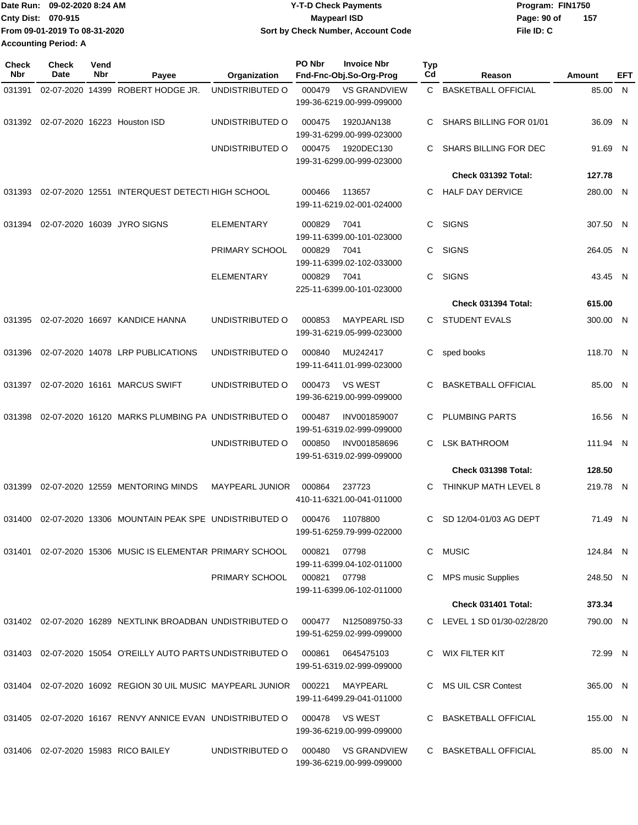|                             | Date Run: 09-02-2020 8:24 AM  | <b>Y-T-D Check Payments</b>        | Program: FIN1750 |     |  |
|-----------------------------|-------------------------------|------------------------------------|------------------|-----|--|
| Cnty Dist: 070-915          |                               | <b>Mavpearl ISD</b>                | Page: 90 of      | 157 |  |
|                             | From 09-01-2019 To 08-31-2020 | Sort by Check Number, Account Code | File ID: C       |     |  |
| <b>Accounting Period: A</b> |                               |                                    |                  |     |  |

| <b>Check</b><br>Nbr | Check<br>Date | Vend<br>Nbr | Payee                                                               | Organization           | PO Nbr | <b>Invoice Nbr</b><br>Fnd-Fnc-Obj.So-Org-Prog    | <b>Typ</b><br>Cd | Reason                       | Amount   | EFT |
|---------------------|---------------|-------------|---------------------------------------------------------------------|------------------------|--------|--------------------------------------------------|------------------|------------------------------|----------|-----|
| 031391              |               |             | 02-07-2020 14399 ROBERT HODGE JR.                                   | UNDISTRIBUTED O        | 000479 | <b>VS GRANDVIEW</b><br>199-36-6219.00-999-099000 | C.               | <b>BASKETBALL OFFICIAL</b>   | 85.00    | - N |
| 031392              |               |             | 02-07-2020 16223 Houston ISD                                        | UNDISTRIBUTED O        | 000475 | 1920JAN138<br>199-31-6299.00-999-023000          | C.               | SHARS BILLING FOR 01/01      | 36.09 N  |     |
|                     |               |             |                                                                     | UNDISTRIBUTED O        | 000475 | 1920DEC130<br>199-31-6299.00-999-023000          | C                | <b>SHARS BILLING FOR DEC</b> | 91.69 N  |     |
|                     |               |             |                                                                     |                        |        |                                                  |                  | Check 031392 Total:          | 127.78   |     |
| 031393              |               |             | 02-07-2020 12551 INTERQUEST DETECTI HIGH SCHOOL                     |                        | 000466 | 113657<br>199-11-6219.02-001-024000              | C                | <b>HALF DAY DERVICE</b>      | 280.00 N |     |
| 031394              |               |             | 02-07-2020 16039 JYRO SIGNS                                         | <b>ELEMENTARY</b>      | 000829 | 7041<br>199-11-6399.00-101-023000                | C.               | <b>SIGNS</b>                 | 307.50 N |     |
|                     |               |             |                                                                     | PRIMARY SCHOOL         | 000829 | 7041<br>199-11-6399.02-102-033000                | C                | <b>SIGNS</b>                 | 264.05 N |     |
|                     |               |             |                                                                     | <b>ELEMENTARY</b>      | 000829 | 7041<br>225-11-6399.00-101-023000                | C                | <b>SIGNS</b>                 | 43.45 N  |     |
|                     |               |             |                                                                     |                        |        |                                                  |                  | Check 031394 Total:          | 615.00   |     |
| 031395              |               |             | 02-07-2020 16697 KANDICE HANNA                                      | UNDISTRIBUTED O        | 000853 | <b>MAYPEARL ISD</b><br>199-31-6219.05-999-023000 |                  | C STUDENT EVALS              | 300.00 N |     |
| 031396              |               |             | 02-07-2020 14078 LRP PUBLICATIONS                                   | UNDISTRIBUTED O        | 000840 | MU242417<br>199-11-6411.01-999-023000            | C                | sped books                   | 118.70 N |     |
| 031397              |               |             | 02-07-2020 16161 MARCUS SWIFT                                       | UNDISTRIBUTED O        | 000473 | <b>VS WEST</b><br>199-36-6219.00-999-099000      | C                | <b>BASKETBALL OFFICIAL</b>   | 85.00 N  |     |
| 031398              |               |             | 02-07-2020 16120 MARKS PLUMBING PA UNDISTRIBUTED O                  |                        | 000487 | INV001859007<br>199-51-6319.02-999-099000        | C                | <b>PLUMBING PARTS</b>        | 16.56 N  |     |
|                     |               |             |                                                                     | UNDISTRIBUTED O        | 000850 | INV001858696<br>199-51-6319.02-999-099000        | C                | <b>LSK BATHROOM</b>          | 111.94 N |     |
|                     |               |             |                                                                     |                        |        |                                                  |                  | Check 031398 Total:          | 128.50   |     |
| 031399              |               |             | 02-07-2020 12559 MENTORING MINDS                                    | <b>MAYPEARL JUNIOR</b> | 000864 | 237723<br>410-11-6321.00-041-011000              | C                | THINKUP MATH LEVEL 8         | 219.78 N |     |
| 031400              |               |             | 02-07-2020 13306 MOUNTAIN PEAK SPE UNDISTRIBUTED O                  |                        | 000476 | 11078800<br>199-51-6259.79-999-022000            | C.               | SD 12/04-01/03 AG DEPT       | 71.49 N  |     |
|                     |               |             | 031401 02-07-2020 15306 MUSIC IS ELEMENTAR PRIMARY SCHOOL           |                        | 000821 | 07798<br>199-11-6399.04-102-011000               |                  | C MUSIC                      | 124.84 N |     |
|                     |               |             |                                                                     | PRIMARY SCHOOL         | 000821 | 07798<br>199-11-6399.06-102-011000               | C.               | <b>MPS music Supplies</b>    | 248.50 N |     |
|                     |               |             |                                                                     |                        |        |                                                  |                  | Check 031401 Total:          | 373.34   |     |
|                     |               |             | 031402 02-07-2020 16289 NEXTLINK BROADBAN UNDISTRIBUTED O           |                        | 000477 | N125089750-33<br>199-51-6259.02-999-099000       |                  | C LEVEL 1 SD 01/30-02/28/20  | 790.00 N |     |
|                     |               |             | 031403 02-07-2020 15054 O'REILLY AUTO PARTS UNDISTRIBUTED O         |                        | 000861 | 0645475103<br>199-51-6319.02-999-099000          |                  | C WIX FILTER KIT             | 72.99 N  |     |
|                     |               |             | 031404  02-07-2020  16092  REGION  30  UIL  MUSIC  MAYPEARL  JUNIOR |                        | 000221 | MAYPEARL<br>199-11-6499.29-041-011000            |                  | C MS UIL CSR Contest         | 365.00 N |     |
|                     |               |             | 031405 02-07-2020 16167 RENVY ANNICE EVAN UNDISTRIBUTED O           |                        | 000478 | VS WEST<br>199-36-6219.00-999-099000             |                  | C BASKETBALL OFFICIAL        | 155.00 N |     |
|                     |               |             | 031406 02-07-2020 15983 RICO BAILEY                                 | UNDISTRIBUTED O        | 000480 | <b>VS GRANDVIEW</b><br>199-36-6219.00-999-099000 |                  | C BASKETBALL OFFICIAL        | 85.00 N  |     |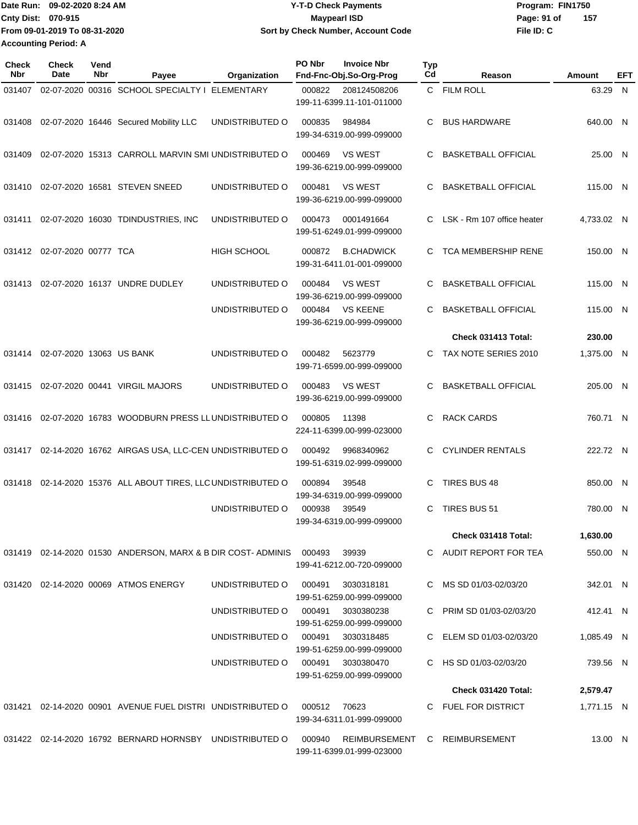Date Run: 09-02-2020 8:24 AM **Date Run:** 09-02-2020 8:24 AM **Program:** FIN1750 **Cnty Dist:** 070-915 **Page: 91 of** Maypearl ISD **CONTEX 1999 Page: 91 of File ID: C From 09-01-2019 To 08-31-2020 09-02-2020 8:24 AM Y-T-D Check Payments 070-915 Maypearl ISD Sort by Check Number, Account Code 157 Accounting Period: A**

| <b>Check</b><br><b>Nbr</b> | <b>Check</b><br>Date     | Vend<br>Nbr | Payee                                                                          | Organization                      | PO Nbr | <b>Invoice Nbr</b><br>Fnd-Fnc-Obj.So-Org-Prog              | <b>Typ</b><br>Cd | Reason                     | Amount     | EFT |
|----------------------------|--------------------------|-------------|--------------------------------------------------------------------------------|-----------------------------------|--------|------------------------------------------------------------|------------------|----------------------------|------------|-----|
| 031407                     |                          |             | 02-07-2020 00316 SCHOOL SPECIALTY I ELEMENTARY                                 |                                   | 000822 | 208124508206<br>199-11-6399.11-101-011000                  |                  | C FILM ROLL                | 63.29 N    |     |
| 031408                     |                          |             | 02-07-2020 16446 Secured Mobility LLC                                          | UNDISTRIBUTED O                   | 000835 | 984984<br>199-34-6319.00-999-099000                        | C                | <b>BUS HARDWARE</b>        | 640.00 N   |     |
| 031409                     |                          |             | 02-07-2020 15313 CARROLL MARVIN SMI UNDISTRIBUTED O                            |                                   | 000469 | <b>VS WEST</b><br>199-36-6219.00-999-099000                | C                | <b>BASKETBALL OFFICIAL</b> | 25.00 N    |     |
| 031410                     |                          |             | 02-07-2020 16581 STEVEN SNEED                                                  | UNDISTRIBUTED O                   | 000481 | <b>VS WEST</b><br>199-36-6219.00-999-099000                | C                | <b>BASKETBALL OFFICIAL</b> | 115.00 N   |     |
| 031411                     |                          |             | 02-07-2020 16030 TDINDUSTRIES, INC                                             | UNDISTRIBUTED O                   | 000473 | 0001491664<br>199-51-6249.01-999-099000                    | C.               | LSK - Rm 107 office heater | 4,733.02 N |     |
| 031412                     | 02-07-2020 00777 TCA     |             |                                                                                | <b>HIGH SCHOOL</b>                | 000872 | <b>B.CHADWICK</b><br>199-31-6411.01-001-099000             | C                | TCA MEMBERSHIP RENE        | 150.00 N   |     |
| 031413                     |                          |             | 02-07-2020 16137 UNDRE DUDLEY                                                  | UNDISTRIBUTED O                   | 000484 | <b>VS WEST</b><br>199-36-6219.00-999-099000                | C                | <b>BASKETBALL OFFICIAL</b> | 115.00 N   |     |
|                            |                          |             |                                                                                | UNDISTRIBUTED O                   | 000484 | <b>VS KEENE</b><br>199-36-6219.00-999-099000               | C                | <b>BASKETBALL OFFICIAL</b> | 115.00 N   |     |
|                            |                          |             |                                                                                |                                   |        |                                                            |                  | Check 031413 Total:        | 230.00     |     |
| 031414                     | 02-07-2020 13063 US BANK |             |                                                                                | UNDISTRIBUTED O                   | 000482 | 5623779<br>199-71-6599.00-999-099000                       | C                | TAX NOTE SERIES 2010       | 1,375.00 N |     |
| 031415                     |                          |             | 02-07-2020 00441 VIRGIL MAJORS                                                 | UNDISTRIBUTED O                   | 000483 | <b>VS WEST</b><br>199-36-6219.00-999-099000                | C                | <b>BASKETBALL OFFICIAL</b> | 205.00 N   |     |
| 031416                     |                          |             | 02-07-2020 16783 WOODBURN PRESS LLUNDISTRIBUTED O                              |                                   | 000805 | 11398<br>224-11-6399.00-999-023000                         | C                | <b>RACK CARDS</b>          | 760.71 N   |     |
| 031417                     |                          |             | 02-14-2020 16762 AIRGAS USA, LLC-CEN UNDISTRIBUTED O                           |                                   | 000492 | 9968340962<br>199-51-6319.02-999-099000                    | C                | <b>CYLINDER RENTALS</b>    | 222.72 N   |     |
| 031418                     |                          |             | 02-14-2020 15376 ALL ABOUT TIRES, LLC UNDISTRIBUTED O                          |                                   | 000894 | 39548<br>199-34-6319.00-999-099000                         | С                | TIRES BUS 48               | 850.00 N   |     |
|                            |                          |             |                                                                                | UNDISTRIBUTED O                   | 000938 | 39549<br>199-34-6319.00-999-099000                         | C                | TIRES BUS 51               | 780.00 N   |     |
|                            |                          |             |                                                                                |                                   |        |                                                            |                  | Check 031418 Total:        | 1,630.00   |     |
|                            |                          |             | 031419  02-14-2020  01530  ANDERSON, MARX & B DIR COST- ADMINIS  000493  39939 |                                   |        | 199-41-6212.00-720-099000                                  |                  | C AUDIT REPORT FOR TEA     | 550.00 N   |     |
|                            |                          |             | 031420  02-14-2020  00069  ATMOS ENERGY                                        | UNDISTRIBUTED O                   | 000491 | 3030318181<br>199-51-6259.00-999-099000                    |                  | C MS SD 01/03-02/03/20     | 342.01 N   |     |
|                            |                          |             |                                                                                | UNDISTRIBUTED O                   | 000491 | 3030380238<br>199-51-6259.00-999-099000                    |                  | C PRIM SD 01/03-02/03/20   | 412.41 N   |     |
|                            |                          |             |                                                                                | UNDISTRIBUTED O 000491            |        | 3030318485<br>199-51-6259.00-999-099000                    |                  | C ELEM SD 01/03-02/03/20   | 1,085.49 N |     |
|                            |                          |             |                                                                                | UNDISTRIBUTED O 000491 3030380470 |        | 199-51-6259.00-999-099000                                  |                  | C HS SD 01/03-02/03/20     | 739.56 N   |     |
|                            |                          |             |                                                                                |                                   |        |                                                            |                  | Check 031420 Total:        | 2,579.47   |     |
| 031421                     |                          |             | 02-14-2020 00901 AVENUE FUEL DISTRI UNDISTRIBUTED O                            |                                   | 000512 | 70623<br>199-34-6311.01-999-099000                         |                  | C FUEL FOR DISTRICT        | 1,771.15 N |     |
|                            |                          |             | 031422 02-14-2020 16792 BERNARD HORNSBY UNDISTRIBUTED O                        |                                   | 000940 | REIMBURSEMENT C REIMBURSEMENT<br>199-11-6399.01-999-023000 |                  |                            | 13.00 N    |     |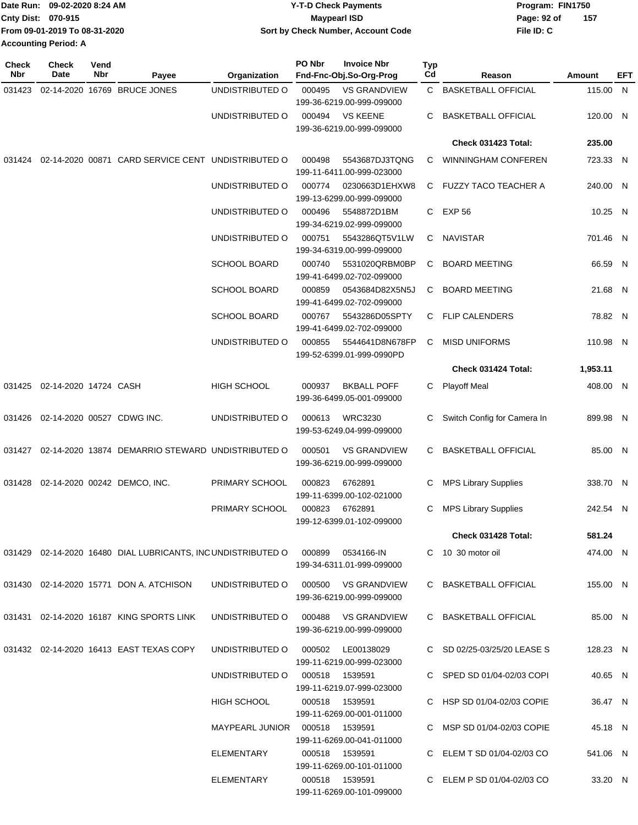|                             | Date Run: 09-02-2020 8:24 AM  | <b>Y-T-D Check Payments</b>        | Program: FIN1750 |     |  |
|-----------------------------|-------------------------------|------------------------------------|------------------|-----|--|
| Cnty Dist: 070-915          |                               | <b>Mavpearl ISD</b>                | Page: 92 of      | 157 |  |
|                             | From 09-01-2019 To 08-31-2020 | Sort by Check Number, Account Code | File ID: C       |     |  |
| <b>Accounting Period: A</b> |                               |                                    |                  |     |  |

| <b>Check</b><br>Nbr | <b>Check</b><br>Date         | Vend<br>Nbr | Payee                                                                          | Organization                        | PO Nbr | <b>Invoice Nbr</b><br>Fnd-Fnc-Obj.So-Org-Prog    | Typ<br>Cd | Reason                      | Amount   | EFT |
|---------------------|------------------------------|-------------|--------------------------------------------------------------------------------|-------------------------------------|--------|--------------------------------------------------|-----------|-----------------------------|----------|-----|
| 031423              |                              |             | 02-14-2020 16769 BRUCE JONES                                                   | UNDISTRIBUTED O                     | 000495 | <b>VS GRANDVIEW</b><br>199-36-6219.00-999-099000 |           | C BASKETBALL OFFICIAL       | 115.00 N |     |
|                     |                              |             |                                                                                | UNDISTRIBUTED O                     | 000494 | VS KEENE<br>199-36-6219.00-999-099000            | C         | <b>BASKETBALL OFFICIAL</b>  | 120.00 N |     |
|                     |                              |             |                                                                                |                                     |        |                                                  |           | Check 031423 Total:         | 235.00   |     |
| 031424              |                              |             | 02-14-2020 00871 CARD SERVICE CENT UNDISTRIBUTED O                             |                                     | 000498 | 5543687DJ3TQNG<br>199-11-6411.00-999-023000      | С         | <b>WINNINGHAM CONFEREN</b>  | 723.33 N |     |
|                     |                              |             |                                                                                | UNDISTRIBUTED O                     | 000774 | 0230663D1EHXW8<br>199-13-6299.00-999-099000      |           | C FUZZY TACO TEACHER A      | 240.00 N |     |
|                     |                              |             |                                                                                | UNDISTRIBUTED O                     | 000496 | 5548872D1BM<br>199-34-6219.02-999-099000         |           | C EXP 56                    | 10.25 N  |     |
|                     |                              |             |                                                                                | UNDISTRIBUTED O                     | 000751 | 5543286QT5V1LW<br>199-34-6319.00-999-099000      | C         | NAVISTAR                    | 701.46 N |     |
|                     |                              |             |                                                                                | <b>SCHOOL BOARD</b>                 | 000740 | 5531020QRBM0BP<br>199-41-6499.02-702-099000      | C         | <b>BOARD MEETING</b>        | 66.59 N  |     |
|                     |                              |             |                                                                                | <b>SCHOOL BOARD</b>                 | 000859 | 0543684D82X5N5J<br>199-41-6499.02-702-099000     | C         | <b>BOARD MEETING</b>        | 21.68 N  |     |
|                     |                              |             |                                                                                | <b>SCHOOL BOARD</b>                 | 000767 | 5543286D05SPTY<br>199-41-6499.02-702-099000      | C         | <b>FLIP CALENDERS</b>       | 78.82 N  |     |
|                     |                              |             |                                                                                | UNDISTRIBUTED O                     | 000855 | 5544641D8N678FP<br>199-52-6399.01-999-0990PD     | C         | <b>MISD UNIFORMS</b>        | 110.98 N |     |
|                     |                              |             |                                                                                |                                     |        |                                                  |           | Check 031424 Total:         | 1,953.11 |     |
|                     | 031425 02-14-2020 14724 CASH |             |                                                                                | <b>HIGH SCHOOL</b>                  | 000937 | <b>BKBALL POFF</b><br>199-36-6499.05-001-099000  |           | C Playoff Meal              | 408.00 N |     |
| 031426              |                              |             | 02-14-2020 00527 CDWG INC.                                                     | UNDISTRIBUTED O                     | 000613 | <b>WRC3230</b><br>199-53-6249.04-999-099000      | С         | Switch Config for Camera In | 899.98 N |     |
|                     |                              |             | 031427 02-14-2020 13874 DEMARRIO STEWARD UNDISTRIBUTED O                       |                                     | 000501 | <b>VS GRANDVIEW</b><br>199-36-6219.00-999-099000 | C         | <b>BASKETBALL OFFICIAL</b>  | 85.00 N  |     |
| 031428              |                              |             | 02-14-2020 00242 DEMCO, INC.                                                   | PRIMARY SCHOOL                      | 000823 | 6762891<br>199-11-6399.00-102-021000             | C         | <b>MPS Library Supplies</b> | 338.70 N |     |
|                     |                              |             |                                                                                | PRIMARY SCHOOL                      | 000823 | 6762891<br>199-12-6399.01-102-099000             | C         | <b>MPS Library Supplies</b> | 242.54 N |     |
|                     |                              |             |                                                                                |                                     |        |                                                  |           | Check 031428 Total:         | 581.24   |     |
|                     |                              |             | 031429 02-14-2020 16480 DIAL LUBRICANTS, INC UNDISTRIBUTED O 000899 0534166-IN |                                     |        | 199-34-6311.01-999-099000                        |           | C 10 30 motor oil           | 474.00 N |     |
|                     |                              |             | 031430  02-14-2020  15771  DON A. ATCHISON                                     | UNDISTRIBUTED O 000500 VS GRANDVIEW |        | 199-36-6219.00-999-099000                        |           | C BASKETBALL OFFICIAL       | 155.00 N |     |
|                     |                              |             | 031431 02-14-2020 16187 KING SPORTS LINK                                       | UNDISTRIBUTED O 000488 VS GRANDVIEW |        | 199-36-6219.00-999-099000                        |           | C BASKETBALL OFFICIAL       | 85.00 N  |     |
|                     |                              |             | 031432 02-14-2020 16413 EAST TEXAS COPY                                        | UNDISTRIBUTED O                     | 000502 | LE00138029<br>199-11-6219.00-999-023000          |           | C SD 02/25-03/25/20 LEASE S | 128.23 N |     |
|                     |                              |             |                                                                                | UNDISTRIBUTED O                     |        | 000518 1539591<br>199-11-6219.07-999-023000      |           | C SPED SD 01/04-02/03 COPI  | 40.65 N  |     |
|                     |                              |             |                                                                                | HIGH SCHOOL                         |        | 000518 1539591<br>199-11-6269.00-001-011000      |           | C HSP SD 01/04-02/03 COPIE  | 36.47 N  |     |
|                     |                              |             |                                                                                | MAYPEARL JUNIOR  000518  1539591    |        | 199-11-6269.00-041-011000                        |           | C MSP SD 01/04-02/03 COPIE  | 45.18 N  |     |
|                     |                              |             |                                                                                | ELEMENTARY                          |        | 000518 1539591<br>199-11-6269.00-101-011000      |           | C ELEM T SD 01/04-02/03 CO  | 541.06 N |     |
|                     |                              |             |                                                                                | ELEMENTARY                          |        | 000518 1539591<br>199-11-6269.00-101-099000      |           | C ELEM P SD 01/04-02/03 CO  | 33.20 N  |     |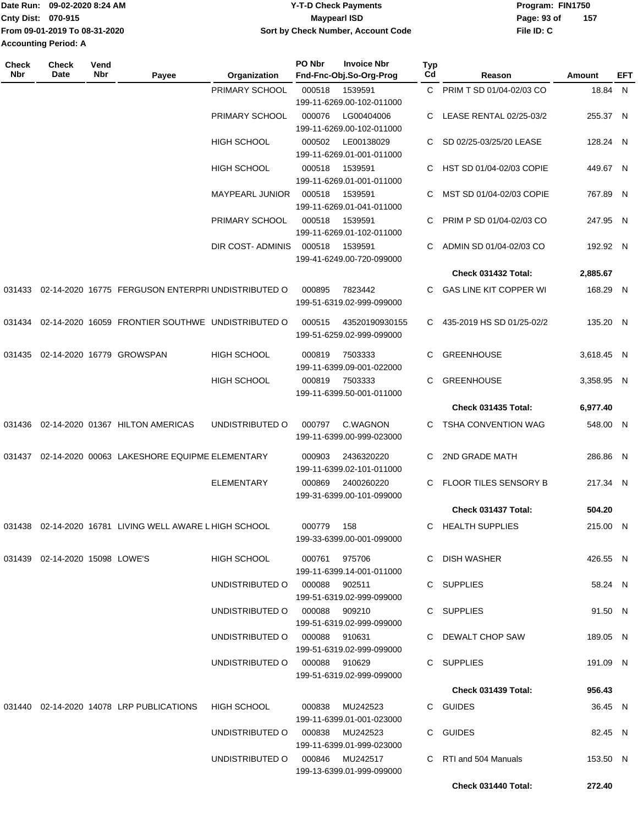|                             | Date Run: 09-02-2020 8:24 AM  | <b>Y-T-D Check Payments</b>        | Program: FIN1750 |     |  |
|-----------------------------|-------------------------------|------------------------------------|------------------|-----|--|
| <b>Cnty Dist: 070-915</b>   |                               | Maypearl ISD                       | Page: 93 of      | 157 |  |
|                             | From 09-01-2019 To 08-31-2020 | Sort by Check Number, Account Code | File ID: C       |     |  |
| <b>Accounting Period: A</b> |                               |                                    |                  |     |  |

| <b>Check</b><br>Nbr | <b>Check</b><br><b>Date</b>       | Vend<br>Nbr | Payee                                                      | Organization                    | PO Nbr        | <b>Invoice Nbr</b><br>Fnd-Fnc-Obj.So-Org-Prog | <b>Typ</b><br>Cd | Reason                        | Amount     | EFT |
|---------------------|-----------------------------------|-------------|------------------------------------------------------------|---------------------------------|---------------|-----------------------------------------------|------------------|-------------------------------|------------|-----|
|                     |                                   |             |                                                            | PRIMARY SCHOOL                  | 000518        | 1539591<br>199-11-6269.00-102-011000          |                  | C PRIM T SD 01/04-02/03 CO    | 18.84 N    |     |
|                     |                                   |             |                                                            | PRIMARY SCHOOL                  | 000076        | LG00404006<br>199-11-6269.00-102-011000       |                  | C LEASE RENTAL 02/25-03/2     | 255.37 N   |     |
|                     |                                   |             |                                                            | <b>HIGH SCHOOL</b>              | 000502        | LE00138029<br>199-11-6269.01-001-011000       | C.               | SD 02/25-03/25/20 LEASE       | 128.24 N   |     |
|                     |                                   |             |                                                            | <b>HIGH SCHOOL</b>              | 000518        | 1539591<br>199-11-6269.01-001-011000          | C.               | HST SD 01/04-02/03 COPIE      | 449.67 N   |     |
|                     |                                   |             |                                                            | MAYPEARL JUNIOR                 | 000518        | 1539591<br>199-11-6269.01-041-011000          | C                | MST SD 01/04-02/03 COPIE      | 767.89 N   |     |
|                     |                                   |             |                                                            | PRIMARY SCHOOL                  | 000518        | 1539591<br>199-11-6269.01-102-011000          | C                | PRIM P SD 01/04-02/03 CO      | 247.95 N   |     |
|                     |                                   |             |                                                            | DIR COST- ADMINIS               | 000518        | 1539591<br>199-41-6249.00-720-099000          | C                | ADMIN SD 01/04-02/03 CO       | 192.92 N   |     |
|                     |                                   |             |                                                            |                                 |               |                                               |                  | Check 031432 Total:           | 2,885.67   |     |
| 031433              |                                   |             | 02-14-2020 16775 FERGUSON ENTERPRI UNDISTRIBUTED O         |                                 | 000895        | 7823442<br>199-51-6319.02-999-099000          | C.               | <b>GAS LINE KIT COPPER WI</b> | 168.29 N   |     |
|                     |                                   |             | 031434 02-14-2020 16059 FRONTIER SOUTHWE UNDISTRIBUTED O   |                                 | 000515        | 43520190930155<br>199-51-6259.02-999-099000   |                  | C 435-2019 HS SD 01/25-02/2   | 135.20 N   |     |
| 031435              |                                   |             | 02-14-2020 16779 GROWSPAN                                  | <b>HIGH SCHOOL</b>              | 000819        | 7503333<br>199-11-6399.09-001-022000          | C                | <b>GREENHOUSE</b>             | 3,618.45 N |     |
|                     |                                   |             |                                                            | <b>HIGH SCHOOL</b>              | 000819        | 7503333<br>199-11-6399.50-001-011000          | C                | <b>GREENHOUSE</b>             | 3,358.95 N |     |
|                     |                                   |             |                                                            |                                 |               |                                               |                  | Check 031435 Total:           | 6,977.40   |     |
| 031436              |                                   |             | 02-14-2020 01367 HILTON AMERICAS                           | UNDISTRIBUTED O                 | 000797        | C.WAGNON<br>199-11-6399.00-999-023000         | C.               | TSHA CONVENTION WAG           | 548.00 N   |     |
|                     |                                   |             | 031437 02-14-2020 00063 LAKESHORE EQUIPME ELEMENTARY       |                                 | 000903        | 2436320220<br>199-11-6399.02-101-011000       | C                | 2ND GRADE MATH                | 286.86 N   |     |
|                     |                                   |             |                                                            | <b>ELEMENTARY</b>               | 000869        | 2400260220<br>199-31-6399.00-101-099000       | C                | FLOOR TILES SENSORY B         | 217.34 N   |     |
|                     |                                   |             |                                                            |                                 |               |                                               |                  | Check 031437 Total:           | 504.20     |     |
|                     |                                   |             | 031438  02-14-2020  16781  LIVING WELL AWARE L HIGH SCHOOL |                                 | 000779        | 158<br>199-33-6399.00-001-099000              |                  | C HEALTH SUPPLIES             | 215.00 N   |     |
|                     | 031439  02-14-2020  15098  LOWE'S |             |                                                            | HIGH SCHOOL                     | 000761 975706 | 199-11-6399.14-001-011000                     |                  | C DISH WASHER                 | 426.55 N   |     |
|                     |                                   |             |                                                            | UNDISTRIBUTED O 000088 902511   |               | 199-51-6319.02-999-099000                     |                  | C SUPPLIES                    | 58.24 N    |     |
|                     |                                   |             |                                                            | UNDISTRIBUTED O 000088 909210   |               | 199-51-6319.02-999-099000                     |                  | C SUPPLIES                    | 91.50 N    |     |
|                     |                                   |             |                                                            | UNDISTRIBUTED O 000088 910631   |               | 199-51-6319.02-999-099000                     |                  | C DEWALT CHOP SAW             | 189.05 N   |     |
|                     |                                   |             |                                                            | UNDISTRIBUTED O 000088 910629   |               | 199-51-6319.02-999-099000                     |                  | C SUPPLIES                    | 191.09 N   |     |
|                     |                                   |             |                                                            |                                 |               |                                               |                  | Check 031439 Total:           | 956.43     |     |
|                     |                                   |             | 031440  02-14-2020  14078  LRP PUBLICATIONS                | HIGH SCHOOL                     |               | 000838 MU242523<br>199-11-6399.01-001-023000  |                  | C GUIDES                      | 36.45 N    |     |
|                     |                                   |             |                                                            | UNDISTRIBUTED O 000838 MU242523 |               | 199-11-6399.01-999-023000                     |                  | C GUIDES                      | 82.45 N    |     |
|                     |                                   |             |                                                            | UNDISTRIBUTED O 000846 MU242517 |               | 199-13-6399.01-999-099000                     |                  | C RTI and 504 Manuals         | 153.50 N   |     |
|                     |                                   |             |                                                            |                                 |               |                                               |                  | Check 031440 Total:           | 272.40     |     |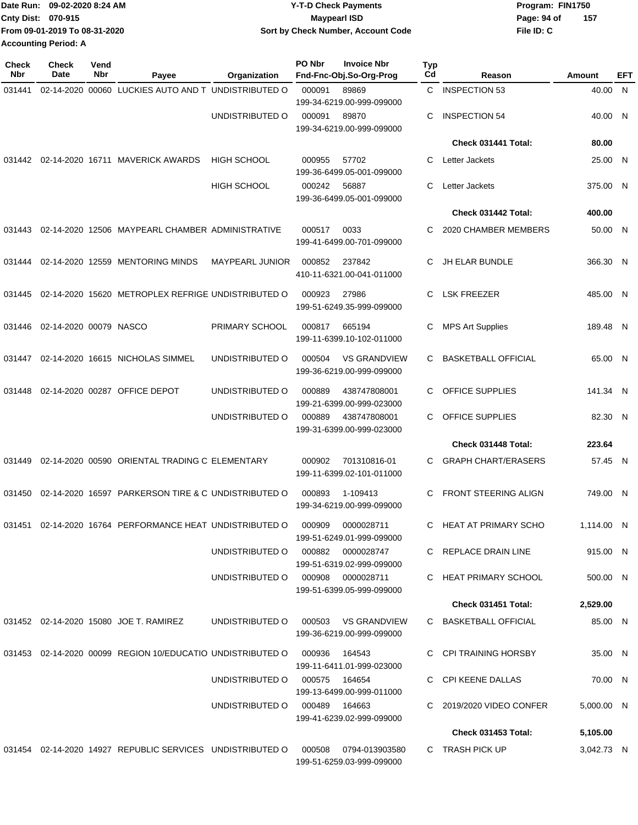|                             | Date Run: 09-02-2020 8:24 AM  | <b>Y-T-D Check Payments</b>        | Program: FIN1750 |      |  |
|-----------------------------|-------------------------------|------------------------------------|------------------|------|--|
| <b>Cnty Dist: 070-915</b>   |                               | <b>Mavpearl ISD</b>                | Page: 94 of      | -157 |  |
|                             | From 09-01-2019 To 08-31-2020 | Sort by Check Number, Account Code | File ID: C       |      |  |
| <b>Accounting Period: A</b> |                               |                                    |                  |      |  |

| <b>Check</b><br>Nbr | Check<br>Date          | Vend<br>Nbr | Payee                                                      | Organization           | PO Nbr        | <b>Invoice Nbr</b><br>Fnd-Fnc-Obj.So-Org-Prog | Typ<br>Cd | Reason                      | Amount     | EFT |
|---------------------|------------------------|-------------|------------------------------------------------------------|------------------------|---------------|-----------------------------------------------|-----------|-----------------------------|------------|-----|
| 031441              |                        |             | 02-14-2020 00060 LUCKIES AUTO AND T UNDISTRIBUTED O        |                        | 000091        | 89869                                         | C         | <b>INSPECTION 53</b>        | 40.00 N    |     |
|                     |                        |             |                                                            |                        |               | 199-34-6219.00-999-099000                     |           |                             |            |     |
|                     |                        |             |                                                            | UNDISTRIBUTED O        | 000091        | 89870<br>199-34-6219.00-999-099000            | C         | <b>INSPECTION 54</b>        | 40.00 N    |     |
|                     |                        |             |                                                            |                        |               |                                               |           | Check 031441 Total:         | 80.00      |     |
|                     |                        |             | 031442 02-14-2020 16711 MAVERICK AWARDS                    | <b>HIGH SCHOOL</b>     | 000955        | 57702                                         | C         | Letter Jackets              | 25.00 N    |     |
|                     |                        |             |                                                            |                        |               | 199-36-6499.05-001-099000                     |           |                             |            |     |
|                     |                        |             |                                                            | <b>HIGH SCHOOL</b>     | 000242        | 56887                                         | C         | Letter Jackets              | 375.00 N   |     |
|                     |                        |             |                                                            |                        |               | 199-36-6499.05-001-099000                     |           |                             |            |     |
|                     |                        |             |                                                            |                        |               |                                               |           | Check 031442 Total:         | 400.00     |     |
| 031443              |                        |             | 02-14-2020 12506 MAYPEARL CHAMBER ADMINISTRATIVE           |                        | 000517        | 0033                                          | C         | 2020 CHAMBER MEMBERS        | 50.00 N    |     |
|                     |                        |             |                                                            |                        |               | 199-41-6499.00-701-099000                     |           |                             |            |     |
| 031444              |                        |             | 02-14-2020 12559 MENTORING MINDS                           | <b>MAYPEARL JUNIOR</b> | 000852        | 237842                                        | C         | <b>JH ELAR BUNDLE</b>       | 366.30 N   |     |
|                     |                        |             |                                                            |                        |               | 410-11-6321.00-041-011000                     |           |                             |            |     |
| 031445              |                        |             | 02-14-2020 15620 METROPLEX REFRIGE UNDISTRIBUTED O         |                        | 000923        | 27986                                         | C         | <b>LSK FREEZER</b>          | 485.00 N   |     |
|                     |                        |             |                                                            |                        |               | 199-51-6249.35-999-099000                     |           |                             |            |     |
| 031446              | 02-14-2020 00079 NASCO |             |                                                            | PRIMARY SCHOOL         | 000817        | 665194                                        | С         | <b>MPS Art Supplies</b>     | 189.48 N   |     |
|                     |                        |             |                                                            |                        |               | 199-11-6399.10-102-011000                     |           |                             |            |     |
| 031447              |                        |             | 02-14-2020 16615 NICHOLAS SIMMEL                           | UNDISTRIBUTED O        | 000504        | <b>VS GRANDVIEW</b>                           | C         | <b>BASKETBALL OFFICIAL</b>  | 65.00 N    |     |
|                     |                        |             |                                                            |                        |               | 199-36-6219.00-999-099000                     |           |                             |            |     |
| 031448              |                        |             | 02-14-2020 00287 OFFICE DEPOT                              | UNDISTRIBUTED O        | 000889        | 438747808001                                  | C         | OFFICE SUPPLIES             | 141.34 N   |     |
|                     |                        |             |                                                            |                        |               | 199-21-6399.00-999-023000                     |           |                             |            |     |
|                     |                        |             |                                                            | UNDISTRIBUTED O        | 000889        | 438747808001                                  | С         | <b>OFFICE SUPPLIES</b>      | 82.30 N    |     |
|                     |                        |             |                                                            |                        |               | 199-31-6399.00-999-023000                     |           | Check 031448 Total:         | 223.64     |     |
|                     |                        |             |                                                            |                        |               |                                               |           |                             |            |     |
| 031449              |                        |             | 02-14-2020 00590 ORIENTAL TRADING C ELEMENTARY             |                        | 000902        | 701310816-01<br>199-11-6399.02-101-011000     | C         | <b>GRAPH CHART/ERASERS</b>  | 57.45 N    |     |
|                     |                        |             |                                                            |                        |               |                                               |           |                             |            |     |
| 031450              |                        |             | 02-14-2020 16597 PARKERSON TIRE & C UNDISTRIBUTED O        |                        | 000893        | 1-109413<br>199-34-6219.00-999-099000         | C         | <b>FRONT STEERING ALIGN</b> | 749.00 N   |     |
|                     |                        |             |                                                            |                        |               |                                               |           |                             |            |     |
| 031451              |                        |             | 02-14-2020 16764 PERFORMANCE HEAT UNDISTRIBUTED O          |                        | 000909        | 0000028711<br>199-51-6249.01-999-099000       | C.        | HEAT AT PRIMARY SCHO        | 1,114.00 N |     |
|                     |                        |             |                                                            | UNDISTRIBUTED O        | 000882        | 0000028747                                    |           | C REPLACE DRAIN LINE        | 915.00 N   |     |
|                     |                        |             |                                                            |                        |               | 199-51-6319.02-999-099000                     |           |                             |            |     |
|                     |                        |             |                                                            | UNDISTRIBUTED O        |               | 000908 0000028711                             |           | C HEAT PRIMARY SCHOOL       | 500.00 N   |     |
|                     |                        |             |                                                            |                        |               | 199-51-6399.05-999-099000                     |           |                             |            |     |
|                     |                        |             |                                                            |                        |               |                                               |           | Check 031451 Total:         | 2,529.00   |     |
|                     |                        |             | 031452 02-14-2020 15080 JOE T. RAMIREZ                     | UNDISTRIBUTED O        | 000503        | VS GRANDVIEW                                  |           | C BASKETBALL OFFICIAL       | 85.00 N    |     |
|                     |                        |             |                                                            |                        |               | 199-36-6219.00-999-099000                     |           |                             |            |     |
|                     |                        |             | 031453 02-14-2020 00099 REGION 10/EDUCATIO UNDISTRIBUTED O |                        | 000936        | 164543                                        |           | C CPI TRAINING HORSBY       | 35.00 N    |     |
|                     |                        |             |                                                            | UNDISTRIBUTED O        | 000575 164654 | 199-11-6411.01-999-023000                     |           | C CPI KEENE DALLAS          | 70.00 N    |     |
|                     |                        |             |                                                            |                        |               | 199-13-6499.00-999-011000                     |           |                             |            |     |
|                     |                        |             |                                                            | UNDISTRIBUTED O        | 000489 164663 |                                               |           | C 2019/2020 VIDEO CONFER    | 5,000.00 N |     |
|                     |                        |             |                                                            |                        |               | 199-41-6239.02-999-099000                     |           |                             |            |     |
|                     |                        |             |                                                            |                        |               |                                               |           | Check 031453 Total:         | 5,105.00   |     |
|                     |                        |             | 031454 02-14-2020 14927 REPUBLIC SERVICES UNDISTRIBUTED O  |                        | 000508        | 0794-013903580<br>199-51-6259.03-999-099000   |           | C TRASH PICK UP             | 3,042.73 N |     |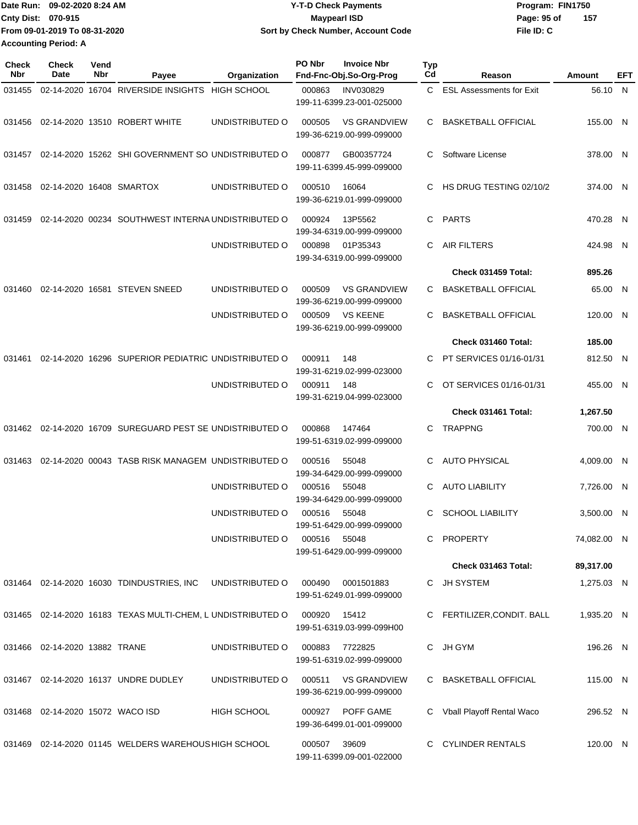|                           | Date Run: 09-02-2020 8:24 AM  | <b>Y-T-D Check Payments</b>        | Program: FIN1750   |  |  |
|---------------------------|-------------------------------|------------------------------------|--------------------|--|--|
| <b>Cnty Dist: 070-915</b> |                               | Maypearl ISD                       | 157<br>Page: 95 of |  |  |
|                           | From 09-01-2019 To 08-31-2020 | Sort by Check Number, Account Code | File ID: C         |  |  |
|                           | <b>Accounting Period: A</b>   |                                    |                    |  |  |

| <b>Check</b><br>Nbr | Check<br>Date                       | Vend<br>Nbr | Payee                                                       | Organization       | PO Nbr       | <b>Invoice Nbr</b><br>Fnd-Fnc-Obj.So-Org-Prog    | <b>Typ</b><br>Cd | Reason                          | Amount      | EFT |
|---------------------|-------------------------------------|-------------|-------------------------------------------------------------|--------------------|--------------|--------------------------------------------------|------------------|---------------------------------|-------------|-----|
| 031455              |                                     |             | 02-14-2020 16704 RIVERSIDE INSIGHTS HIGH SCHOOL             |                    | 000863       | <b>INV030829</b><br>199-11-6399.23-001-025000    | C.               | <b>ESL Assessments for Exit</b> | 56.10 N     |     |
| 031456              |                                     |             | 02-14-2020 13510 ROBERT WHITE                               | UNDISTRIBUTED O    | 000505       | <b>VS GRANDVIEW</b><br>199-36-6219.00-999-099000 | C                | <b>BASKETBALL OFFICIAL</b>      | 155.00 N    |     |
| 031457              |                                     |             | 02-14-2020 15262 SHI GOVERNMENT SO UNDISTRIBUTED O          |                    | 000877       | GB00357724<br>199-11-6399.45-999-099000          | C                | Software License                | 378.00 N    |     |
| 031458              | 02-14-2020 16408 SMARTOX            |             |                                                             | UNDISTRIBUTED O    | 000510       | 16064<br>199-36-6219.01-999-099000               | C                | HS DRUG TESTING 02/10/2         | 374.00 N    |     |
| 031459              |                                     |             | 02-14-2020 00234 SOUTHWEST INTERNA UNDISTRIBUTED O          |                    | 000924       | 13P5562<br>199-34-6319.00-999-099000             | C                | <b>PARTS</b>                    | 470.28 N    |     |
|                     |                                     |             |                                                             | UNDISTRIBUTED O    | 000898       | 01P35343<br>199-34-6319.00-999-099000            | C                | <b>AIR FILTERS</b>              | 424.98 N    |     |
|                     |                                     |             |                                                             |                    |              |                                                  |                  | Check 031459 Total:             | 895.26      |     |
| 031460              |                                     |             | 02-14-2020 16581 STEVEN SNEED                               | UNDISTRIBUTED O    | 000509       | <b>VS GRANDVIEW</b><br>199-36-6219.00-999-099000 | C                | <b>BASKETBALL OFFICIAL</b>      | 65.00 N     |     |
|                     |                                     |             |                                                             | UNDISTRIBUTED O    | 000509       | <b>VS KEENE</b><br>199-36-6219.00-999-099000     | C                | <b>BASKETBALL OFFICIAL</b>      | 120.00 N    |     |
|                     |                                     |             |                                                             |                    |              |                                                  |                  | Check 031460 Total:             | 185.00      |     |
| 031461              |                                     |             | 02-14-2020 16296 SUPERIOR PEDIATRIC UNDISTRIBUTED O         |                    | 000911       | 148<br>199-31-6219.02-999-023000                 | C.               | PT SERVICES 01/16-01/31         | 812.50 N    |     |
|                     |                                     |             |                                                             | UNDISTRIBUTED O    | 000911       | 148<br>199-31-6219.04-999-023000                 | C                | OT SERVICES 01/16-01/31         | 455.00 N    |     |
|                     |                                     |             |                                                             |                    |              |                                                  |                  | Check 031461 Total:             | 1,267.50    |     |
| 031462              |                                     |             | 02-14-2020 16709 SUREGUARD PEST SE UNDISTRIBUTED O          |                    | 000868       | 147464<br>199-51-6319.02-999-099000              | C                | <b>TRAPPNG</b>                  | 700.00 N    |     |
| 031463              |                                     |             | 02-14-2020 00043 TASB RISK MANAGEM UNDISTRIBUTED O          |                    | 000516       | 55048<br>199-34-6429.00-999-099000               | C                | <b>AUTO PHYSICAL</b>            | 4,009.00 N  |     |
|                     |                                     |             |                                                             | UNDISTRIBUTED O    | 000516       | 55048<br>199-34-6429.00-999-099000               | C                | <b>AUTO LIABILITY</b>           | 7,726.00 N  |     |
|                     |                                     |             |                                                             | UNDISTRIBUTED O    | 000516       | 55048<br>199-51-6429.00-999-099000               | C                | <b>SCHOOL LIABILITY</b>         | 3,500.00 N  |     |
|                     |                                     |             |                                                             | UNDISTRIBUTED O    | 000516 55048 | 199-51-6429.00-999-099000                        |                  | C PROPERTY                      | 74,082.00 N |     |
|                     |                                     |             |                                                             |                    |              |                                                  |                  | Check 031463 Total:             | 89,317.00   |     |
|                     |                                     |             | 031464  02-14-2020  16030  TDINDUSTRIES, INC                | UNDISTRIBUTED O    | 000490       | 0001501883<br>199-51-6249.01-999-099000          |                  | C JH SYSTEM                     | 1,275.03 N  |     |
|                     |                                     |             | 031465 02-14-2020 16183 TEXAS MULTI-CHEM, L UNDISTRIBUTED O |                    | 000920       | 15412<br>199-51-6319.03-999-099H00               |                  | C FERTILIZER, CONDIT. BALL      | 1,935.20 N  |     |
|                     | 031466  02-14-2020  13882  TRANE    |             |                                                             | UNDISTRIBUTED O    | 000883       | 7722825<br>199-51-6319.02-999-099000             |                  | C JH GYM                        | 196.26 N    |     |
|                     |                                     |             | 031467 02-14-2020 16137 UNDRE DUDLEY                        | UNDISTRIBUTED O    | 000511       | <b>VS GRANDVIEW</b><br>199-36-6219.00-999-099000 |                  | C BASKETBALL OFFICIAL           | 115.00 N    |     |
|                     | 031468  02-14-2020  15072  WACO ISD |             |                                                             | <b>HIGH SCHOOL</b> |              | 000927 POFF GAME<br>199-36-6499.01-001-099000    |                  | C Vball Playoff Rental Waco     | 296.52 N    |     |
|                     |                                     |             | 031469 02-14-2020 01145 WELDERS WAREHOUS HIGH SCHOOL        |                    | 000507 39609 | 199-11-6399.09-001-022000                        |                  | C CYLINDER RENTALS              | 120.00 N    |     |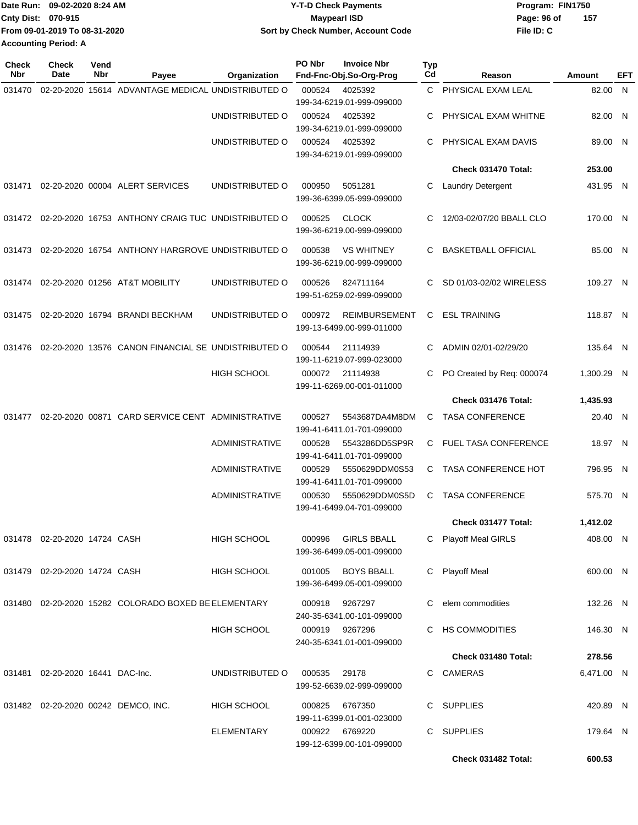|                             | Date Run: 09-02-2020 8:24 AM  | <b>Y-T-D Check Payments</b>        | Program: FIN1750 |     |  |
|-----------------------------|-------------------------------|------------------------------------|------------------|-----|--|
| <b>Cnty Dist: 070-915</b>   |                               | <b>Mavpearl ISD</b>                | Page: 96 of      | 157 |  |
|                             | From 09-01-2019 To 08-31-2020 | Sort by Check Number, Account Code | File ID: C       |     |  |
| <b>Accounting Period: A</b> |                               |                                    |                  |     |  |

| <b>Check</b><br>Nbr | <b>Check</b><br>Date                | Vend<br>Nbr | Payee                                                     | Organization          | PO Nbr | <b>Invoice Nbr</b><br>Fnd-Fnc-Obj.So-Org-Prog     | Typ<br>Cd | Reason                     | Amount     | EFT |
|---------------------|-------------------------------------|-------------|-----------------------------------------------------------|-----------------------|--------|---------------------------------------------------|-----------|----------------------------|------------|-----|
| 031470              |                                     |             | 02-20-2020 15614 ADVANTAGE MEDICAL UNDISTRIBUTED O        |                       | 000524 | 4025392<br>199-34-6219.01-999-099000              | C.        | PHYSICAL EXAM LEAL         | 82.00 N    |     |
|                     |                                     |             |                                                           | UNDISTRIBUTED O       | 000524 | 4025392<br>199-34-6219.01-999-099000              | C         | PHYSICAL EXAM WHITNE       | 82.00 N    |     |
|                     |                                     |             |                                                           | UNDISTRIBUTED O       | 000524 | 4025392<br>199-34-6219.01-999-099000              | С         | PHYSICAL EXAM DAVIS        | 89.00 N    |     |
|                     |                                     |             |                                                           |                       |        |                                                   |           | Check 031470 Total:        | 253.00     |     |
| 031471              |                                     |             | 02-20-2020 00004 ALERT SERVICES                           | UNDISTRIBUTED O       | 000950 | 5051281<br>199-36-6399.05-999-099000              | С         | Laundry Detergent          | 431.95 N   |     |
|                     |                                     |             | 031472 02-20-2020 16753 ANTHONY CRAIG TUC UNDISTRIBUTED O |                       | 000525 | <b>CLOCK</b><br>199-36-6219.00-999-099000         | C         | 12/03-02/07/20 BBALL CLO   | 170.00 N   |     |
| 031473              |                                     |             | 02-20-2020 16754 ANTHONY HARGROVE UNDISTRIBUTED O         |                       | 000538 | <b>VS WHITNEY</b><br>199-36-6219.00-999-099000    | C         | <b>BASKETBALL OFFICIAL</b> | 85.00 N    |     |
| 031474              |                                     |             | 02-20-2020 01256 AT&T MOBILITY                            | UNDISTRIBUTED O       | 000526 | 824711164<br>199-51-6259.02-999-099000            | C.        | SD 01/03-02/02 WIRELESS    | 109.27 N   |     |
| 031475              |                                     |             | 02-20-2020 16794 BRANDI BECKHAM                           | UNDISTRIBUTED O       | 000972 | <b>REIMBURSEMENT</b><br>199-13-6499.00-999-011000 | C         | <b>ESL TRAINING</b>        | 118.87 N   |     |
| 031476              |                                     |             | 02-20-2020 13576 CANON FINANCIAL SE UNDISTRIBUTED O       |                       | 000544 | 21114939<br>199-11-6219.07-999-023000             | C         | ADMIN 02/01-02/29/20       | 135.64 N   |     |
|                     |                                     |             |                                                           | <b>HIGH SCHOOL</b>    | 000072 | 21114938<br>199-11-6269.00-001-011000             | C         | PO Created by Req: 000074  | 1,300.29 N |     |
|                     |                                     |             |                                                           |                       |        |                                                   |           | Check 031476 Total:        | 1,435.93   |     |
| 031477              |                                     |             | 02-20-2020 00871 CARD SERVICE CENT ADMINISTRATIVE         |                       | 000527 | 5543687DA4M8DM<br>199-41-6411.01-701-099000       | C         | <b>TASA CONFERENCE</b>     | 20.40 N    |     |
|                     |                                     |             |                                                           | <b>ADMINISTRATIVE</b> | 000528 | 5543286DD5SP9R<br>199-41-6411.01-701-099000       | C.        | FUEL TASA CONFERENCE       | 18.97 N    |     |
|                     |                                     |             |                                                           | <b>ADMINISTRATIVE</b> | 000529 | 5550629DDM0S53<br>199-41-6411.01-701-099000       | C.        | <b>TASA CONFERENCE HOT</b> | 796.95 N   |     |
|                     |                                     |             |                                                           | ADMINISTRATIVE        | 000530 | 5550629DDM0S5D<br>199-41-6499.04-701-099000       | C         | <b>TASA CONFERENCE</b>     | 575.70 N   |     |
|                     |                                     |             |                                                           |                       |        |                                                   |           | Check 031477 Total:        | 1,412.02   |     |
|                     | 031478 02-20-2020 14724 CASH        |             |                                                           | HIGH SCHOOL           | 000996 | GIRLS BBALL<br>199-36-6499.05-001-099000          |           | C Playoff Meal GIRLS       | 408.00 N   |     |
|                     | 031479 02-20-2020 14724 CASH        |             |                                                           | HIGH SCHOOL           | 001005 | <b>BOYS BBALL</b><br>199-36-6499.05-001-099000    |           | C Playoff Meal             | 600.00 N   |     |
|                     |                                     |             | 031480 02-20-2020 15282 COLORADO BOXED BE ELEMENTARY      |                       | 000918 | 9267297<br>240-35-6341.00-101-099000              |           | elem commodities           | 132.26 N   |     |
|                     |                                     |             |                                                           | HIGH SCHOOL           |        | 000919 9267296<br>240-35-6341.01-001-099000       |           | C HS COMMODITIES           | 146.30 N   |     |
|                     |                                     |             |                                                           |                       |        |                                                   |           | Check 031480 Total:        | 278.56     |     |
|                     | 031481  02-20-2020  16441  DAC-Inc. |             |                                                           | UNDISTRIBUTED O       | 000535 | 29178<br>199-52-6639.02-999-099000                |           | C CAMERAS                  | 6,471.00 N |     |
|                     |                                     |             | 031482 02-20-2020 00242 DEMCO, INC.                       | HIGH SCHOOL           |        | 000825 6767350<br>199-11-6399.01-001-023000       |           | C SUPPLIES                 | 420.89 N   |     |
|                     |                                     |             |                                                           | <b>ELEMENTARY</b>     |        | 000922 6769220<br>199-12-6399.00-101-099000       |           | C SUPPLIES                 | 179.64 N   |     |
|                     |                                     |             |                                                           |                       |        |                                                   |           | Check 031482 Total:        | 600.53     |     |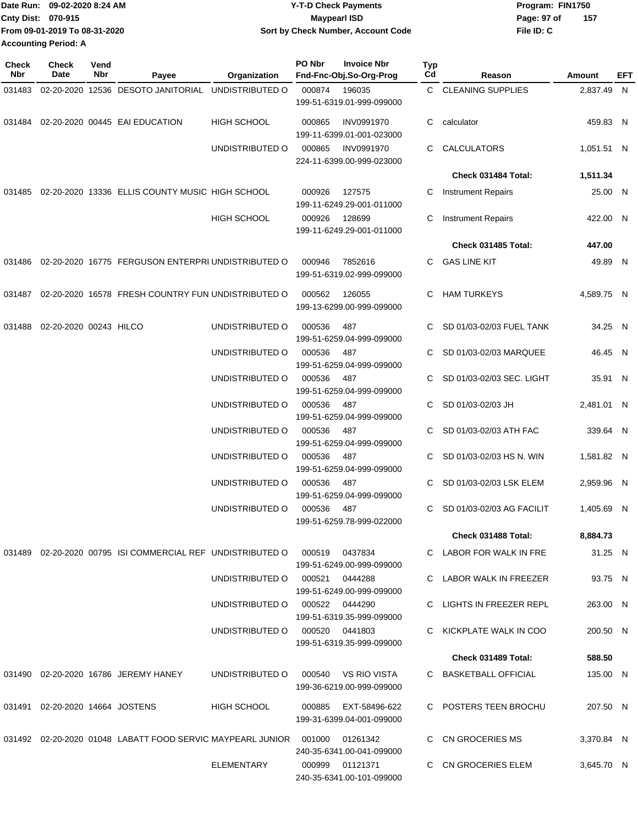|                    | Date Run: 09-02-2020 8:24 AM  | <b>Y-T-D Check Payments</b>        | Program: FIN1750 |     |  |
|--------------------|-------------------------------|------------------------------------|------------------|-----|--|
| Cnty Dist: 070-915 |                               | <b>Mavpearl ISD</b>                | Page: 97 of      | 157 |  |
|                    | From 09-01-2019 To 08-31-2020 | Sort by Check Number, Account Code | File ID: C       |     |  |
|                    | <b>Accounting Period: A</b>   |                                    |                  |     |  |

**PO Nbr Invoice Nbr**

**Typ**

**Check**

**Check**

**Vend**

| Nbr    | Date                               | Nbr | Payee                                                                         | Organization       | Fnd-Fnc-Obj.So-Org-Prog                                                                       | Cd | Reason                                              | <b>Amount</b>        | <b>EFT</b> |
|--------|------------------------------------|-----|-------------------------------------------------------------------------------|--------------------|-----------------------------------------------------------------------------------------------|----|-----------------------------------------------------|----------------------|------------|
| 031483 |                                    |     | 02-20-2020 12536 DESOTO JANITORIAL UNDISTRIBUTED O                            |                    | 000874<br>196035<br>199-51-6319.01-999-099000                                                 |    | C CLEANING SUPPLIES                                 | 2,837.49 N           |            |
| 031484 |                                    |     | 02-20-2020 00445 EAI EDUCATION                                                | <b>HIGH SCHOOL</b> | 000865<br><b>INV0991970</b><br>199-11-6399.01-001-023000                                      | C. | calculator                                          | 459.83 N             |            |
|        |                                    |     |                                                                               | UNDISTRIBUTED O    | 000865<br><b>INV0991970</b><br>224-11-6399.00-999-023000                                      | C. | <b>CALCULATORS</b>                                  | 1,051.51 N           |            |
|        |                                    |     |                                                                               |                    |                                                                                               |    | Check 031484 Total:                                 | 1,511.34             |            |
|        |                                    |     | 031485 02-20-2020 13336 ELLIS COUNTY MUSIC HIGH SCHOOL                        |                    | 000926<br>127575<br>199-11-6249.29-001-011000                                                 | С  | <b>Instrument Repairs</b>                           | 25.00 N              |            |
|        |                                    |     |                                                                               | <b>HIGH SCHOOL</b> | 000926<br>128699<br>199-11-6249.29-001-011000                                                 | С  | <b>Instrument Repairs</b>                           | 422.00 N             |            |
|        |                                    |     |                                                                               |                    |                                                                                               |    | Check 031485 Total:                                 | 447.00               |            |
| 031486 |                                    |     | 02-20-2020 16775 FERGUSON ENTERPRI UNDISTRIBUTED O                            |                    | 7852616<br>000946<br>199-51-6319.02-999-099000                                                | C  | <b>GAS LINE KIT</b>                                 | 49.89 N              |            |
|        |                                    |     | 031487 02-20-2020 16578 FRESH COUNTRY FUN UNDISTRIBUTED O                     |                    | 000562<br>126055<br>199-13-6299.00-999-099000                                                 | C  | <b>HAM TURKEYS</b>                                  | 4,589.75 N           |            |
| 031488 | 02-20-2020 00243 HILCO             |     |                                                                               | UNDISTRIBUTED O    | 000536<br>487<br>199-51-6259.04-999-099000                                                    |    | SD 01/03-02/03 FUEL TANK                            | 34.25 N              |            |
|        |                                    |     |                                                                               | UNDISTRIBUTED O    | 000536<br>487<br>199-51-6259.04-999-099000                                                    |    | SD 01/03-02/03 MARQUEE                              | 46.45 N              |            |
|        |                                    |     |                                                                               | UNDISTRIBUTED O    | 000536<br>487<br>199-51-6259.04-999-099000                                                    |    | SD 01/03-02/03 SEC. LIGHT                           | 35.91 N              |            |
|        |                                    |     |                                                                               | UNDISTRIBUTED O    | 000536<br>487<br>199-51-6259.04-999-099000                                                    |    | SD 01/03-02/03 JH                                   | 2,481.01 N           |            |
|        |                                    |     |                                                                               | UNDISTRIBUTED O    | 000536<br>487<br>199-51-6259.04-999-099000                                                    |    | SD 01/03-02/03 ATH FAC                              | 339.64 N             |            |
|        |                                    |     |                                                                               | UNDISTRIBUTED O    | 000536<br>487<br>199-51-6259.04-999-099000                                                    | C. | SD 01/03-02/03 HS N. WIN                            | 1,581.82 N           |            |
|        |                                    |     |                                                                               | UNDISTRIBUTED O    | 000536<br>487<br>199-51-6259.04-999-099000                                                    |    | SD 01/03-02/03 LSK ELEM                             | 2,959.96 N           |            |
|        |                                    |     |                                                                               | UNDISTRIBUTED O    | 000536<br>487<br>199-51-6259.78-999-022000                                                    | C  | SD 01/03-02/03 AG FACILIT                           | 1,405.69 N           |            |
|        |                                    |     |                                                                               |                    |                                                                                               |    | Check 031488 Total:                                 | 8,884.73             |            |
|        |                                    |     | 031489  02-20-2020  00795  ISI COMMERCIAL REF UNDISTRIBUTED   000519  0437834 |                    | 199-51-6249.00-999-099000                                                                     |    | C LABOR FOR WALK IN FRE                             | 31.25 N              |            |
|        |                                    |     |                                                                               | UNDISTRIBUTED O    | 000521 0444288<br>199-51-6249.00-999-099000                                                   |    | C LABOR WALK IN FREEZER                             | 93.75 N              |            |
|        |                                    |     |                                                                               |                    | UNDISTRIBUTED O 000522 0444290<br>199-51-6319.35-999-099000<br>UNDISTRIBUTED O 000520 0441803 |    | C LIGHTS IN FREEZER REPL<br>C KICKPLATE WALK IN COO | 263.00 N<br>200.50 N |            |
|        |                                    |     |                                                                               |                    | 199-51-6319.35-999-099000                                                                     |    | Check 031489 Total:                                 | 588.50               |            |
|        |                                    |     |                                                                               |                    |                                                                                               |    |                                                     |                      |            |
|        |                                    |     | 031490  02-20-2020  16786  JEREMY HANEY                                       | UNDISTRIBUTED O    | 000540 VS RIO VISTA<br>199-36-6219.00-999-099000                                              |    | C BASKETBALL OFFICIAL                               | 135.00 N             |            |
|        | 031491  02-20-2020  14664  JOSTENS |     |                                                                               | HIGH SCHOOL        | 000885 EXT-58496-622<br>199-31-6399.04-001-099000                                             |    | C POSTERS TEEN BROCHU                               | 207.50 N             |            |
|        |                                    |     | 031492 02-20-2020 01048 LABATT FOOD SERVIC MAYPEARL JUNIOR 001000 01261342    |                    | 240-35-6341.00-041-099000                                                                     |    | C CN GROCERIES MS                                   | 3,370.84 N           |            |
|        |                                    |     |                                                                               | ELEMENTARY         | 000999 01121371<br>240-35-6341.00-101-099000                                                  |    | C CN GROCERIES ELEM                                 | 3,645.70 N           |            |
|        |                                    |     |                                                                               |                    |                                                                                               |    |                                                     |                      |            |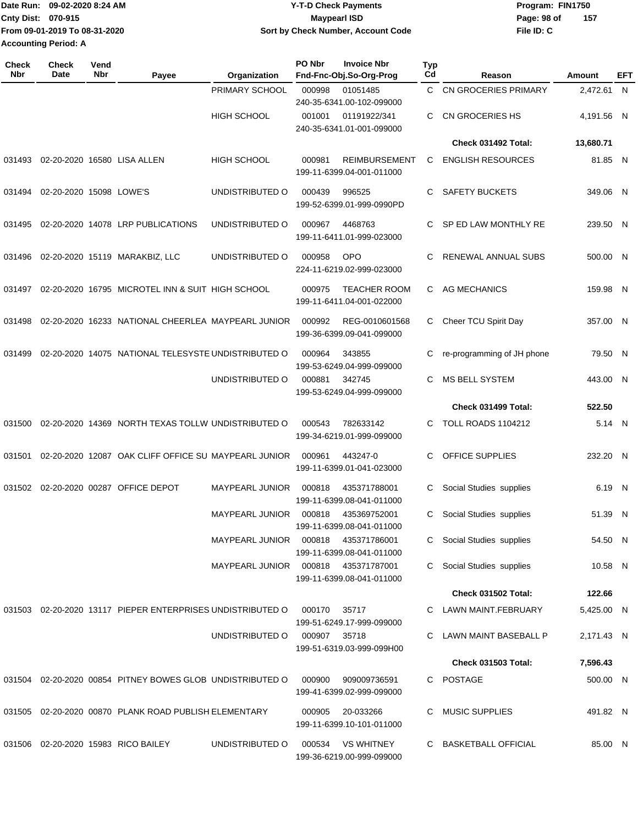|                             | Date Run: 09-02-2020 8:24 AM  | <b>Y-T-D Check Payments</b>        | Program: FIN1750 |     |  |
|-----------------------------|-------------------------------|------------------------------------|------------------|-----|--|
| Cnty Dist: 070-915          |                               | Maypearl ISD                       | Page: 98 of      | 157 |  |
|                             | From 09-01-2019 To 08-31-2020 | Sort by Check Number, Account Code | File ID: C       |     |  |
| <b>Accounting Period: A</b> |                               |                                    |                  |     |  |

| <b>Check</b><br><b>Nbr</b> | Check<br>Date           | Vend<br>Nbr | Payee                                                      | Organization           | PO Nbr       | <b>Invoice Nbr</b><br>Fnd-Fnc-Obj.So-Org-Prog     | <b>Typ</b><br>Cd | Reason                      | Amount     | EFT |
|----------------------------|-------------------------|-------------|------------------------------------------------------------|------------------------|--------------|---------------------------------------------------|------------------|-----------------------------|------------|-----|
|                            |                         |             |                                                            | PRIMARY SCHOOL         | 000998       | 01051485<br>240-35-6341.00-102-099000             | C.               | <b>CN GROCERIES PRIMARY</b> | 2,472.61 N |     |
|                            |                         |             |                                                            | <b>HIGH SCHOOL</b>     | 001001       | 01191922/341<br>240-35-6341.01-001-099000         | C.               | CN GROCERIES HS             | 4,191.56 N |     |
|                            |                         |             |                                                            |                        |              |                                                   |                  | Check 031492 Total:         | 13,680.71  |     |
| 031493                     |                         |             | 02-20-2020 16580 LISA ALLEN                                | <b>HIGH SCHOOL</b>     | 000981       | <b>REIMBURSEMENT</b><br>199-11-6399.04-001-011000 | C                | <b>ENGLISH RESOURCES</b>    | 81.85 N    |     |
| 031494                     | 02-20-2020 15098 LOWE'S |             |                                                            | UNDISTRIBUTED O        | 000439       | 996525<br>199-52-6399.01-999-0990PD               | C.               | <b>SAFETY BUCKETS</b>       | 349.06 N   |     |
| 031495                     |                         |             | 02-20-2020 14078 LRP PUBLICATIONS                          | UNDISTRIBUTED O        | 000967       | 4468763<br>199-11-6411.01-999-023000              | C.               | SP ED LAW MONTHLY RE        | 239.50 N   |     |
| 031496                     |                         |             | 02-20-2020 15119 MARAKBIZ, LLC                             | UNDISTRIBUTED O        | 000958       | <b>OPO</b><br>224-11-6219.02-999-023000           | C                | RENEWAL ANNUAL SUBS         | 500.00 N   |     |
| 031497                     |                         |             | 02-20-2020 16795 MICROTEL INN & SUIT HIGH SCHOOL           |                        | 000975       | <b>TEACHER ROOM</b><br>199-11-6411.04-001-022000  | C                | AG MECHANICS                | 159.98 N   |     |
| 031498                     |                         |             | 02-20-2020 16233 NATIONAL CHEERLEA MAYPEARL JUNIOR         |                        | 000992       | REG-0010601568<br>199-36-6399.09-041-099000       | C                | Cheer TCU Spirit Day        | 357.00 N   |     |
| 031499                     |                         |             | 02-20-2020 14075 NATIONAL TELESYSTE UNDISTRIBUTED O        |                        | 000964       | 343855<br>199-53-6249.04-999-099000               | С                | re-programming of JH phone  | 79.50 N    |     |
|                            |                         |             |                                                            | UNDISTRIBUTED O        | 000881       | 342745<br>199-53-6249.04-999-099000               | C.               | <b>MS BELL SYSTEM</b>       | 443.00 N   |     |
|                            |                         |             |                                                            |                        |              |                                                   |                  | Check 031499 Total:         | 522.50     |     |
| 031500                     |                         |             | 02-20-2020 14369 NORTH TEXAS TOLLW UNDISTRIBUTED O         |                        | 000543       | 782633142<br>199-34-6219.01-999-099000            | C.               | <b>TOLL ROADS 1104212</b>   | 5.14 N     |     |
| 031501                     |                         |             | 02-20-2020 12087 OAK CLIFF OFFICE SU MAYPEARL JUNIOR       |                        | 000961       | 443247-0<br>199-11-6399.01-041-023000             | C.               | OFFICE SUPPLIES             | 232.20 N   |     |
| 031502                     |                         |             | 02-20-2020 00287 OFFICE DEPOT                              | <b>MAYPEARL JUNIOR</b> | 000818       | 435371788001<br>199-11-6399.08-041-011000         | C                | Social Studies supplies     | 6.19 N     |     |
|                            |                         |             |                                                            | <b>MAYPEARL JUNIOR</b> | 000818       | 435369752001<br>199-11-6399.08-041-011000         | C                | Social Studies supplies     | 51.39 N    |     |
|                            |                         |             |                                                            |                        |              | 199-11-6399.08-041-011000                         |                  | C Social Studies supplies   | 54.50 N    |     |
|                            |                         |             |                                                            |                        |              | 199-11-6399.08-041-011000                         | C.               | Social Studies supplies     | 10.58 N    |     |
|                            |                         |             |                                                            |                        |              |                                                   |                  | Check 031502 Total:         | 122.66     |     |
|                            |                         |             | 031503 02-20-2020 13117 PIEPER ENTERPRISES UNDISTRIBUTED O |                        | 000170       | 35717<br>199-51-6249.17-999-099000                |                  | C LAWN MAINT.FEBRUARY       | 5,425.00 N |     |
|                            |                         |             |                                                            | UNDISTRIBUTED O        | 000907 35718 | 199-51-6319.03-999-099H00                         |                  | C LAWN MAINT BASEBALL P     | 2,171.43 N |     |
|                            |                         |             |                                                            |                        |              |                                                   |                  | <b>Check 031503 Total:</b>  | 7,596.43   |     |
|                            |                         |             | 031504 02-20-2020 00854 PITNEY BOWES GLOB UNDISTRIBUTED O  |                        | 000900       | 909009736591<br>199-41-6399.02-999-099000         |                  | C POSTAGE                   | 500.00 N   |     |
|                            |                         |             | 031505 02-20-2020 00870 PLANK ROAD PUBLISH ELEMENTARY      |                        | 000905       | 20-033266<br>199-11-6399.10-101-011000            |                  | <b>MUSIC SUPPLIES</b>       | 491.82 N   |     |
|                            |                         |             | 031506 02-20-2020 15983 RICO BAILEY                        | UNDISTRIBUTED O        |              | 000534 VS WHITNEY<br>199-36-6219.00-999-099000    |                  | C BASKETBALL OFFICIAL       | 85.00 N    |     |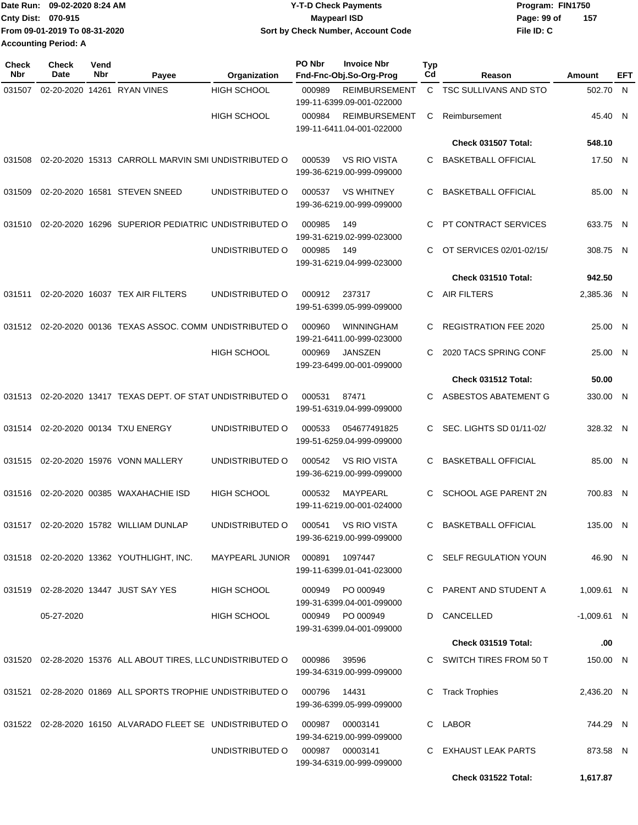|                             | Date Run: 09-02-2020 8:24 AM  | <b>Y-T-D Check Payments</b>        | Program: FIN1750   |  |  |  |
|-----------------------------|-------------------------------|------------------------------------|--------------------|--|--|--|
| <b>Cnty Dist: 070-915</b>   |                               | <b>Mavpearl ISD</b>                | 157<br>Page: 99 of |  |  |  |
|                             | From 09-01-2019 To 08-31-2020 | Sort by Check Number, Account Code | File ID: C         |  |  |  |
| <b>Accounting Period: A</b> |                               |                                    |                    |  |  |  |

| <b>Check</b><br><b>Nbr</b> | Check<br>Date | Vend<br>Nbr | Payee                                                        | Organization           | PO Nbr | <b>Invoice Nbr</b><br>Fnd-Fnc-Obj.So-Org-Prog     | <b>Typ</b><br>Cd | Reason                       | Amount        | EFT |
|----------------------------|---------------|-------------|--------------------------------------------------------------|------------------------|--------|---------------------------------------------------|------------------|------------------------------|---------------|-----|
| 031507                     |               |             | 02-20-2020 14261 RYAN VINES                                  | <b>HIGH SCHOOL</b>     | 000989 | <b>REIMBURSEMENT</b><br>199-11-6399.09-001-022000 |                  | C TSC SULLIVANS AND STO      | 502.70        | - N |
|                            |               |             |                                                              | <b>HIGH SCHOOL</b>     | 000984 | <b>REIMBURSEMENT</b><br>199-11-6411.04-001-022000 | C                | Reimbursement                | 45.40 N       |     |
|                            |               |             |                                                              |                        |        |                                                   |                  | Check 031507 Total:          | 548.10        |     |
| 031508                     |               |             | 02-20-2020 15313 CARROLL MARVIN SMI UNDISTRIBUTED O          |                        | 000539 | <b>VS RIO VISTA</b><br>199-36-6219.00-999-099000  | C                | <b>BASKETBALL OFFICIAL</b>   | 17.50 N       |     |
| 031509                     |               |             | 02-20-2020 16581 STEVEN SNEED                                | UNDISTRIBUTED O        | 000537 | <b>VS WHITNEY</b><br>199-36-6219.00-999-099000    | C                | <b>BASKETBALL OFFICIAL</b>   | 85.00 N       |     |
| 031510                     |               |             | 02-20-2020 16296 SUPERIOR PEDIATRIC UNDISTRIBUTED O          |                        | 000985 | 149<br>199-31-6219.02-999-023000                  | C                | PT CONTRACT SERVICES         | 633.75 N      |     |
|                            |               |             |                                                              | UNDISTRIBUTED O        | 000985 | 149<br>199-31-6219.04-999-023000                  | C                | OT SERVICES 02/01-02/15/     | 308.75 N      |     |
|                            |               |             |                                                              |                        |        |                                                   |                  | Check 031510 Total:          | 942.50        |     |
| 031511                     |               |             | 02-20-2020 16037 TEX AIR FILTERS                             | UNDISTRIBUTED O        | 000912 | 237317<br>199-51-6399.05-999-099000               | С                | <b>AIR FILTERS</b>           | 2,385.36 N    |     |
|                            |               |             | 031512 02-20-2020 00136 TEXAS ASSOC. COMM UNDISTRIBUTED O    |                        | 000960 | <b>WINNINGHAM</b><br>199-21-6411.00-999-023000    | С                | <b>REGISTRATION FEE 2020</b> | 25.00 N       |     |
|                            |               |             |                                                              | <b>HIGH SCHOOL</b>     | 000969 | <b>JANSZEN</b><br>199-23-6499.00-001-099000       | C                | 2020 TACS SPRING CONF        | 25.00 N       |     |
|                            |               |             |                                                              |                        |        |                                                   |                  | Check 031512 Total:          | 50.00         |     |
| 031513                     |               |             | 02-20-2020 13417 TEXAS DEPT. OF STAT UNDISTRIBUTED O         |                        | 000531 | 87471<br>199-51-6319.04-999-099000                | C                | ASBESTOS ABATEMENT G         | 330.00 N      |     |
| 031514                     |               |             | 02-20-2020 00134 TXU ENERGY                                  | UNDISTRIBUTED O        | 000533 | 054677491825<br>199-51-6259.04-999-099000         | C.               | SEC. LIGHTS SD 01/11-02/     | 328.32 N      |     |
| 031515                     |               |             | 02-20-2020 15976 VONN MALLERY                                | UNDISTRIBUTED O        | 000542 | <b>VS RIO VISTA</b><br>199-36-6219.00-999-099000  | C                | <b>BASKETBALL OFFICIAL</b>   | 85.00 N       |     |
| 031516                     |               |             | 02-20-2020 00385 WAXAHACHIE ISD                              | <b>HIGH SCHOOL</b>     | 000532 | <b>MAYPEARL</b><br>199-11-6219.00-001-024000      | C                | <b>SCHOOL AGE PARENT 2N</b>  | 700.83 N      |     |
|                            |               |             | 031517 02-20-2020 15782 WILLIAM DUNLAP                       | UNDISTRIBUTED O        | 000541 | VS RIO VISTA<br>199-36-6219.00-999-099000         |                  | C BASKETBALL OFFICIAL        | 135.00 N      |     |
|                            |               |             | 031518  02-20-2020  13362  YOUTHLIGHT, INC.                  | MAYPEARL JUNIOR 000891 |        | 1097447<br>199-11-6399.01-041-023000              |                  | C SELF REGULATION YOUN       | 46.90 N       |     |
|                            |               |             | 031519 02-28-2020 13447 JUST SAY YES                         | HIGH SCHOOL            | 000949 | PO 000949<br>199-31-6399.04-001-099000            |                  | C PARENT AND STUDENT A       | 1,009.61 N    |     |
|                            | 05-27-2020    |             |                                                              | <b>HIGH SCHOOL</b>     |        | 000949 PO 000949<br>199-31-6399.04-001-099000     |                  | D CANCELLED                  | $-1,009.61$ N |     |
|                            |               |             |                                                              |                        |        |                                                   |                  | Check 031519 Total:          | .00           |     |
|                            |               |             | 031520 02-28-2020 15376 ALL ABOUT TIRES, LLC UNDISTRIBUTED O |                        | 000986 | 39596<br>199-34-6319.00-999-099000                |                  | C SWITCH TIRES FROM 50 T     | 150.00 N      |     |
|                            |               |             | 031521 02-28-2020 01869 ALL SPORTS TROPHIE UNDISTRIBUTED O   |                        | 000796 | 14431<br>199-36-6399.05-999-099000                | C                | <b>Track Trophies</b>        | 2,436.20 N    |     |
|                            |               |             | 031522 02-28-2020 16150 ALVARADO FLEET SE UNDISTRIBUTED O    |                        | 000987 | 00003141<br>199-34-6219.00-999-099000             |                  | C LABOR                      | 744.29 N      |     |
|                            |               |             |                                                              | UNDISTRIBUTED O        | 000987 | 00003141<br>199-34-6319.00-999-099000             |                  | C EXHAUST LEAK PARTS         | 873.58 N      |     |
|                            |               |             |                                                              |                        |        |                                                   |                  | Check 031522 Total:          | 1,617.87      |     |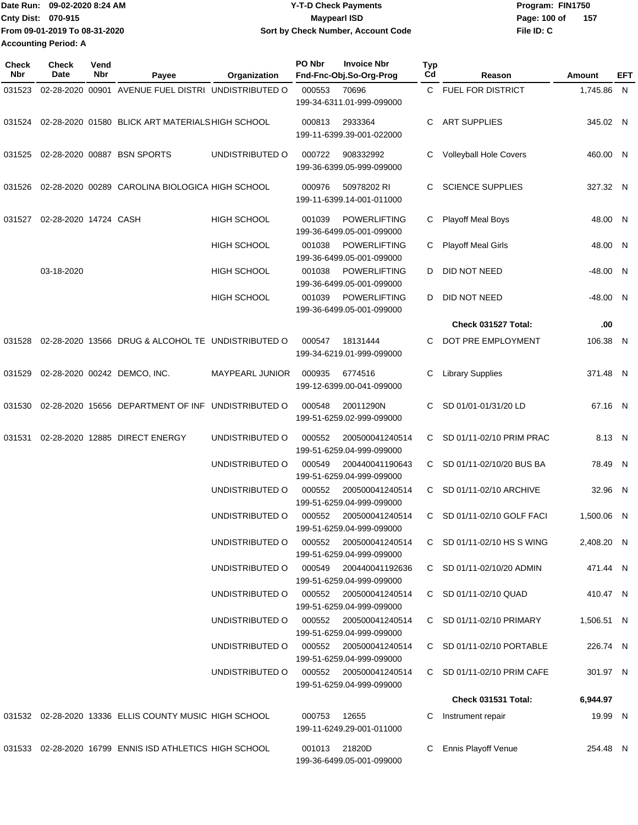|                             | lDate Run: 09-02-2020 8:24 AM | <b>Y-T-D Check Payments</b>        | Program: FIN1750    |
|-----------------------------|-------------------------------|------------------------------------|---------------------|
| <b>Cnty Dist: 070-915</b>   |                               | <b>Mavpearl ISD</b>                | Page: 100 of<br>157 |
|                             | From 09-01-2019 To 08-31-2020 | Sort by Check Number, Account Code | File ID: C          |
| <b>Accounting Period: A</b> |                               |                                    |                     |

| Check<br>Nbr | Check<br>Date         | Vend<br>Nbr | Payee                                                   | Organization       | PO Nbr       | <b>Invoice Nbr</b><br>Fnd-Fnc-Obj.So-Org-Prog       | <b>Typ</b><br>Cd | Reason                         | Amount     | EFT |
|--------------|-----------------------|-------------|---------------------------------------------------------|--------------------|--------------|-----------------------------------------------------|------------------|--------------------------------|------------|-----|
| 031523       |                       |             | 02-28-2020 00901 AVENUE FUEL DISTRI UNDISTRIBUTED O     |                    | 000553       | 70696<br>199-34-6311.01-999-099000                  | C.               | <b>FUEL FOR DISTRICT</b>       | 1,745.86 N |     |
| 031524       |                       |             | 02-28-2020 01580 BLICK ART MATERIALS HIGH SCHOOL        |                    | 000813       | 2933364<br>199-11-6399.39-001-022000                | C                | <b>ART SUPPLIES</b>            | 345.02 N   |     |
| 031525       |                       |             | 02-28-2020 00887 BSN SPORTS                             | UNDISTRIBUTED O    | 000722       | 908332992<br>199-36-6399.05-999-099000              | C                | Volleyball Hole Covers         | 460.00 N   |     |
| 031526       |                       |             | 02-28-2020 00289 CAROLINA BIOLOGICA HIGH SCHOOL         |                    | 000976       | 50978202 RI<br>199-11-6399.14-001-011000            | C                | <b>SCIENCE SUPPLIES</b>        | 327.32 N   |     |
| 031527       | 02-28-2020 14724 CASH |             |                                                         | HIGH SCHOOL        | 001039       | <b>POWERLIFTING</b><br>199-36-6499.05-001-099000    | С                | <b>Playoff Meal Boys</b>       | 48.00 N    |     |
|              |                       |             |                                                         | <b>HIGH SCHOOL</b> | 001038       | <b>POWERLIFTING</b><br>199-36-6499.05-001-099000    | С                | <b>Playoff Meal Girls</b>      | 48.00 N    |     |
|              | 03-18-2020            |             |                                                         | HIGH SCHOOL        | 001038       | <b>POWERLIFTING</b><br>199-36-6499.05-001-099000    | D                | DID NOT NEED                   | $-48.00$ N |     |
|              |                       |             |                                                         | <b>HIGH SCHOOL</b> | 001039       | POWERLIFTING<br>199-36-6499.05-001-099000           | D                | DID NOT NEED                   | $-48.00$ N |     |
|              |                       |             |                                                         |                    |              |                                                     |                  | Check 031527 Total:            | .00        |     |
| 031528       |                       |             | 02-28-2020 13566 DRUG & ALCOHOL TE UNDISTRIBUTED O      |                    | 000547       | 18131444<br>199-34-6219.01-999-099000               | С                | DOT PRE EMPLOYMENT             | 106.38 N   |     |
| 031529       |                       |             | 02-28-2020 00242 DEMCO, INC.                            | MAYPEARL JUNIOR    | 000935       | 6774516<br>199-12-6399.00-041-099000                | C                | <b>Library Supplies</b>        | 371.48 N   |     |
| 031530       |                       |             | 02-28-2020 15656 DEPARTMENT OF INF UNDISTRIBUTED O      |                    | 000548       | 20011290N<br>199-51-6259.02-999-099000              | C                | SD 01/01-01/31/20 LD           | 67.16 N    |     |
| 031531       |                       |             | 02-28-2020 12885 DIRECT ENERGY                          | UNDISTRIBUTED O    | 000552       | 200500041240514<br>199-51-6259.04-999-099000        | C.               | SD 01/11-02/10 PRIM PRAC       | 8.13 N     |     |
|              |                       |             |                                                         | UNDISTRIBUTED O    | 000549       | 200440041190643<br>199-51-6259.04-999-099000        | C                | SD 01/11-02/10/20 BUS BA       | 78.49 N    |     |
|              |                       |             |                                                         | UNDISTRIBUTED O    | 000552       | 200500041240514<br>199-51-6259.04-999-099000        | C                | SD 01/11-02/10 ARCHIVE         | 32.96 N    |     |
|              |                       |             |                                                         | UNDISTRIBUTED O    | 000552       | 200500041240514<br>199-51-6259.04-999-099000        | C                | SD 01/11-02/10 GOLF FACI       | 1,500.06 N |     |
|              |                       |             |                                                         | UNDISTRIBUTED O    | 000552       | 200500041240514<br>199-51-6259.04-999-099000        |                  | C SD $01/11 - 02/10$ HS S WING | 2.408.20 N |     |
|              |                       |             |                                                         | UNDISTRIBUTED O    | 000549       | 200440041192636<br>199-51-6259.04-999-099000        |                  | C SD 01/11-02/10/20 ADMIN      | 471.44 N   |     |
|              |                       |             |                                                         | UNDISTRIBUTED O    | 000552       | 200500041240514<br>199-51-6259.04-999-099000        |                  | C SD 01/11-02/10 QUAD          | 410.47 N   |     |
|              |                       |             |                                                         | UNDISTRIBUTED O    |              | 000552 200500041240514<br>199-51-6259.04-999-099000 |                  | C SD 01/11-02/10 PRIMARY       | 1,506.51 N |     |
|              |                       |             |                                                         | UNDISTRIBUTED O    |              | 000552 200500041240514<br>199-51-6259.04-999-099000 |                  | C SD 01/11-02/10 PORTABLE      | 226.74 N   |     |
|              |                       |             |                                                         | UNDISTRIBUTED O    |              | 000552 200500041240514<br>199-51-6259.04-999-099000 |                  | C SD 01/11-02/10 PRIM CAFE     | 301.97 N   |     |
|              |                       |             |                                                         |                    |              |                                                     |                  | Check 031531 Total:            | 6,944.97   |     |
|              |                       |             | 031532 02-28-2020 13336 ELLIS COUNTY MUSIC HIGH SCHOOL  |                    | 000753 12655 | 199-11-6249.29-001-011000                           | C                | Instrument repair              | 19.99 N    |     |
|              |                       |             | 031533 02-28-2020 16799 ENNIS ISD ATHLETICS HIGH SCHOOL |                    |              | 001013 21820D<br>199-36-6499.05-001-099000          | C.               | Ennis Playoff Venue            | 254.48 N   |     |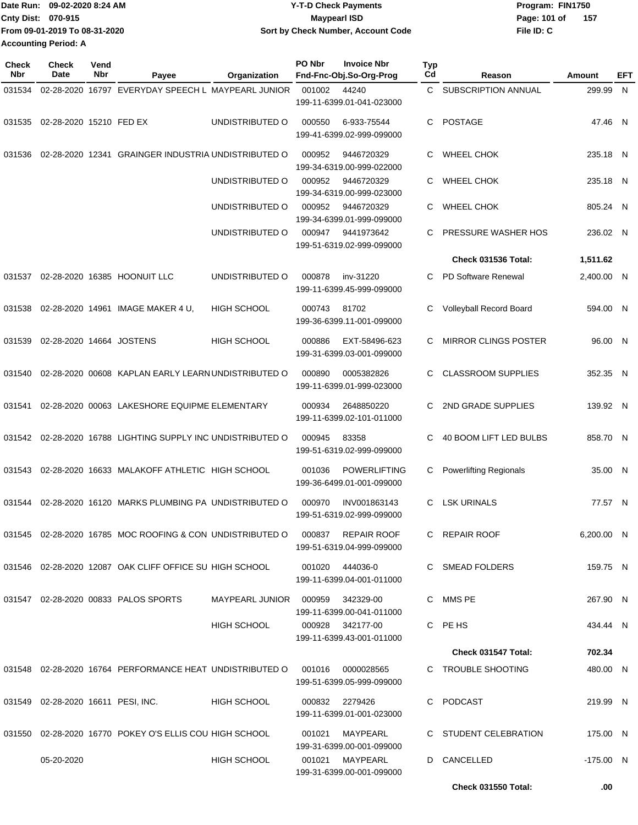| Date Run: 09-02-2020 8:24 AM  | <b>Y-T-D Check Payments</b>        | Program: FIN1750      |
|-------------------------------|------------------------------------|-----------------------|
| <b>Cnty Dist: 070-915</b>     | <b>Mavpearl ISD</b>                | - 157<br>Page: 101 of |
| From 09-01-2019 To 08-31-2020 | Sort by Check Number, Account Code | File ID: C            |
| <b>Accounting Period: A</b>   |                                    |                       |

| Check<br>Nbr | <b>Check</b><br>Date               | Vend<br>Nbr | Payee                                                               | Organization           | PO Nbr | <b>Invoice Nbr</b><br>Fnd-Fnc-Obj.So-Org-Prog | <b>Typ</b><br>Cd | Reason                        | Amount      | EFT |
|--------------|------------------------------------|-------------|---------------------------------------------------------------------|------------------------|--------|-----------------------------------------------|------------------|-------------------------------|-------------|-----|
| 031534       |                                    |             | 02-28-2020 16797 EVERYDAY SPEECH L MAYPEARL JUNIOR                  |                        | 001002 | 44240                                         | C                | SUBSCRIPTION ANNUAL           | 299.99 N    |     |
|              |                                    |             |                                                                     |                        |        | 199-11-6399.01-041-023000                     |                  |                               |             |     |
| 031535       | 02-28-2020 15210 FED EX            |             |                                                                     | UNDISTRIBUTED O        | 000550 | 6-933-75544                                   | C.               | POSTAGE                       | 47.46 N     |     |
|              |                                    |             |                                                                     |                        |        | 199-41-6399.02-999-099000                     |                  |                               |             |     |
| 031536       |                                    |             | 02-28-2020 12341 GRAINGER INDUSTRIA UNDISTRIBUTED O                 |                        | 000952 | 9446720329                                    | C.               | <b>WHEEL CHOK</b>             | 235.18 N    |     |
|              |                                    |             |                                                                     |                        |        | 199-34-6319.00-999-022000                     |                  |                               |             |     |
|              |                                    |             |                                                                     | UNDISTRIBUTED O        | 000952 | 9446720329<br>199-34-6319.00-999-023000       | C.               | <b>WHEEL CHOK</b>             | 235.18 N    |     |
|              |                                    |             |                                                                     | UNDISTRIBUTED O        | 000952 | 9446720329                                    | C                | <b>WHEEL CHOK</b>             | 805.24 N    |     |
|              |                                    |             |                                                                     |                        |        | 199-34-6399.01-999-099000                     |                  |                               |             |     |
|              |                                    |             |                                                                     | UNDISTRIBUTED O        | 000947 | 9441973642                                    | С                | PRESSURE WASHER HOS           | 236.02 N    |     |
|              |                                    |             |                                                                     |                        |        | 199-51-6319.02-999-099000                     |                  | Check 031536 Total:           | 1,511.62    |     |
| 031537       |                                    |             | 02-28-2020 16385 HOONUIT LLC                                        | UNDISTRIBUTED O        | 000878 | inv-31220                                     | C.               | PD Software Renewal           | 2,400.00 N  |     |
|              |                                    |             |                                                                     |                        |        | 199-11-6399.45-999-099000                     |                  |                               |             |     |
| 031538       |                                    |             | 02-28-2020 14961 IMAGE MAKER 4 U,                                   | <b>HIGH SCHOOL</b>     | 000743 | 81702                                         | С                | Volleyball Record Board       | 594.00 N    |     |
|              |                                    |             |                                                                     |                        |        | 199-36-6399.11-001-099000                     |                  |                               |             |     |
| 031539       | 02-28-2020 14664 JOSTENS           |             |                                                                     | <b>HIGH SCHOOL</b>     | 000886 | EXT-58496-623                                 | С                | <b>MIRROR CLINGS POSTER</b>   | 96.00 N     |     |
|              |                                    |             |                                                                     |                        |        | 199-31-6399.03-001-099000                     |                  |                               |             |     |
| 031540       |                                    |             | 02-28-2020 00608 KAPLAN EARLY LEARN UNDISTRIBUTED O                 |                        | 000890 | 0005382826                                    | C.               | <b>CLASSROOM SUPPLIES</b>     | 352.35 N    |     |
|              |                                    |             |                                                                     |                        |        | 199-11-6399.01-999-023000                     |                  |                               |             |     |
| 031541       |                                    |             | 02-28-2020 00063 LAKESHORE EQUIPME ELEMENTARY                       |                        | 000934 | 2648850220                                    | С                | 2ND GRADE SUPPLIES            | 139.92 N    |     |
|              |                                    |             |                                                                     |                        |        | 199-11-6399.02-101-011000                     |                  |                               |             |     |
| 031542       |                                    |             | 02-28-2020 16788 LIGHTING SUPPLY INC UNDISTRIBUTED O                |                        | 000945 | 83358                                         | C                | 40 BOOM LIFT LED BULBS        | 858.70 N    |     |
|              |                                    |             |                                                                     |                        |        | 199-51-6319.02-999-099000                     |                  |                               |             |     |
| 031543       |                                    |             | 02-28-2020 16633 MALAKOFF ATHLETIC HIGH SCHOOL                      |                        | 001036 | <b>POWERLIFTING</b>                           | С                | <b>Powerlifting Regionals</b> | 35.00 N     |     |
|              |                                    |             |                                                                     |                        |        | 199-36-6499.01-001-099000                     |                  |                               |             |     |
| 031544       |                                    |             | 02-28-2020 16120 MARKS PLUMBING PA UNDISTRIBUTED O                  |                        | 000970 | INV001863143                                  | С                | <b>LSK URINALS</b>            | 77.57 N     |     |
|              |                                    |             |                                                                     |                        |        | 199-51-6319.02-999-099000                     |                  |                               |             |     |
|              |                                    |             | 031545  02-28-2020  16785  MOC ROOFING & CON UNDISTRIBUTED   000837 |                        |        | <b>REPAIR ROOF</b>                            |                  | C REPAIR ROOF                 | 6,200.00 N  |     |
|              |                                    |             |                                                                     |                        |        | 199-51-6319.04-999-099000                     |                  |                               |             |     |
|              |                                    |             | 031546  02-28-2020  12087  OAK CLIFF OFFICE SU HIGH SCHOOL          |                        |        | 001020 444036-0                               |                  | C SMEAD FOLDERS               | 159.75 N    |     |
|              |                                    |             |                                                                     |                        |        | 199-11-6399.04-001-011000                     |                  |                               |             |     |
|              |                                    |             | 031547 02-28-2020 00833 PALOS SPORTS                                | MAYPEARL JUNIOR 000959 |        | 342329-00                                     |                  | C MMS PE                      | 267.90 N    |     |
|              |                                    |             |                                                                     |                        |        | 199-11-6399.00-041-011000                     |                  |                               |             |     |
|              |                                    |             |                                                                     | HIGH SCHOOL            |        | 000928 342177-00<br>199-11-6399.43-001-011000 |                  | C PE HS                       | 434.44 N    |     |
|              |                                    |             |                                                                     |                        |        |                                               |                  | Check 031547 Total:           | 702.34      |     |
|              |                                    |             | 031548 02-28-2020 16764 PERFORMANCE HEAT UNDISTRIBUTED O            |                        | 001016 | 0000028565                                    |                  | C TROUBLE SHOOTING            | 480.00 N    |     |
|              |                                    |             |                                                                     |                        |        | 199-51-6399.05-999-099000                     |                  |                               |             |     |
|              | 031549 02-28-2020 16611 PESI, INC. |             |                                                                     | <b>HIGH SCHOOL</b>     |        | 000832 2279426                                |                  | C PODCAST                     | 219.99 N    |     |
|              |                                    |             |                                                                     |                        |        | 199-11-6399.01-001-023000                     |                  |                               |             |     |
|              |                                    |             | 031550 02-28-2020 16770 POKEY O'S ELLIS COU HIGH SCHOOL             |                        |        | 001021 MAYPEARL                               |                  | C STUDENT CELEBRATION         | 175.00 N    |     |
|              |                                    |             |                                                                     |                        |        | 199-31-6399.00-001-099000                     |                  |                               |             |     |
|              | 05-20-2020                         |             |                                                                     | HIGH SCHOOL            |        | 001021 MAYPEARL<br>199-31-6399.00-001-099000  |                  | D CANCELLED                   | $-175.00$ N |     |
|              |                                    |             |                                                                     |                        |        |                                               |                  | <b>Check 031550 Total:</b>    | .00         |     |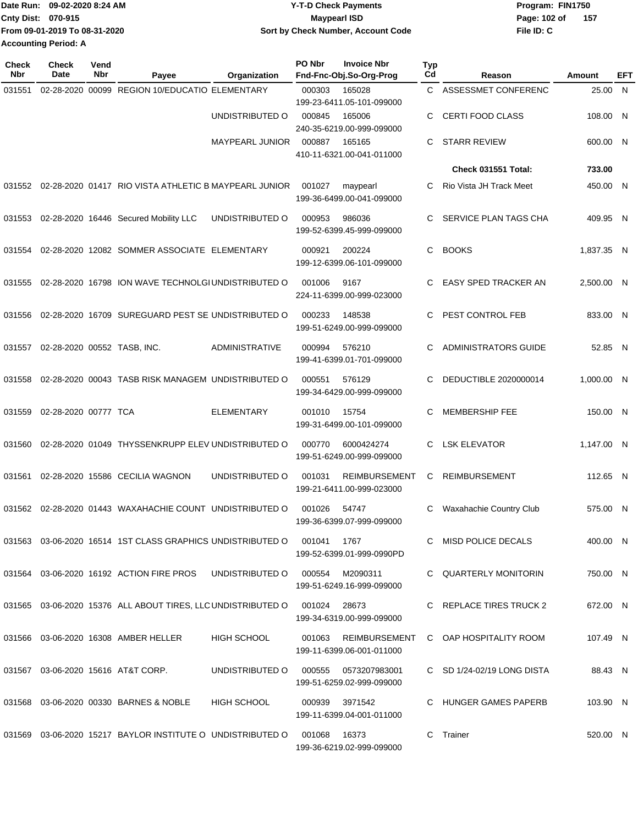|                             | Date Run: 09-02-2020 8:24 AM  | <b>Y-T-D Check Payments</b>        | Program: FIN1750 |     |
|-----------------------------|-------------------------------|------------------------------------|------------------|-----|
| <b>Cnty Dist: 070-915</b>   |                               | Maypearl ISD                       | Page: 102 of     | 157 |
|                             | From 09-01-2019 To 08-31-2020 | Sort by Check Number, Account Code | File ID: C       |     |
| <b>Accounting Period: A</b> |                               |                                    |                  |     |

| Check<br><b>Nbr</b> | <b>Check</b><br>Date        | Vend<br>Nbr | Payee                                                        | Organization           | PO Nbr         | <b>Invoice Nbr</b><br>Fnd-Fnc-Obj.So-Org-Prog     | Typ<br>Cd | Reason                               | Amount     | EFT          |
|---------------------|-----------------------------|-------------|--------------------------------------------------------------|------------------------|----------------|---------------------------------------------------|-----------|--------------------------------------|------------|--------------|
| 031551              |                             |             | 02-28-2020 00099 REGION 10/EDUCATIO ELEMENTARY               |                        | 000303         | 165028<br>199-23-6411.05-101-099000               | C.        | ASSESSMET CONFERENC                  | 25.00      | $\mathsf{N}$ |
|                     |                             |             |                                                              | UNDISTRIBUTED O        | 000845         | 165006<br>240-35-6219.00-999-099000               | C         | <b>CERTI FOOD CLASS</b>              | 108.00 N   |              |
|                     |                             |             |                                                              | <b>MAYPEARL JUNIOR</b> | 000887         | 165165<br>410-11-6321.00-041-011000               | C         | <b>STARR REVIEW</b>                  | 600.00 N   |              |
|                     |                             |             |                                                              |                        |                |                                                   |           | Check 031551 Total:                  | 733.00     |              |
| 031552              |                             |             | 02-28-2020 01417 RIO VISTA ATHLETIC B MAYPEARL JUNIOR        |                        | 001027         | maypearl<br>199-36-6499.00-041-099000             | C.        | Rio Vista JH Track Meet              | 450.00 N   |              |
| 031553              |                             |             | 02-28-2020 16446 Secured Mobility LLC                        | UNDISTRIBUTED O        | 000953         | 986036<br>199-52-6399.45-999-099000               | C         | SERVICE PLAN TAGS CHA                | 409.95 N   |              |
| 031554              |                             |             | 02-28-2020 12082 SOMMER ASSOCIATE ELEMENTARY                 |                        | 000921         | 200224<br>199-12-6399.06-101-099000               | C.        | <b>BOOKS</b>                         | 1,837.35 N |              |
| 031555              |                             |             | 02-28-2020 16798 ION WAVE TECHNOLGI UNDISTRIBUTED O          |                        | 001006         | 9167<br>224-11-6399.00-999-023000                 | C         | <b>EASY SPED TRACKER AN</b>          | 2,500.00 N |              |
| 031556              |                             |             | 02-28-2020 16709 SUREGUARD PEST SE UNDISTRIBUTED O           |                        | 000233         | 148538<br>199-51-6249.00-999-099000               | C         | PEST CONTROL FEB                     | 833.00 N   |              |
| 031557              | 02-28-2020 00552 TASB, INC. |             |                                                              | ADMINISTRATIVE         | 000994         | 576210<br>199-41-6399.01-701-099000               | C         | <b>ADMINISTRATORS GUIDE</b>          | 52.85 N    |              |
| 031558              |                             |             | 02-28-2020 00043 TASB RISK MANAGEM UNDISTRIBUTED O           |                        | 000551         | 576129<br>199-34-6429.00-999-099000               | C         | DEDUCTIBLE 2020000014                | 1,000.00 N |              |
| 031559              | 02-28-2020 00777 TCA        |             |                                                              | <b>ELEMENTARY</b>      | 001010         | 15754<br>199-31-6499.00-101-099000                | C         | <b>MEMBERSHIP FEE</b>                | 150.00 N   |              |
| 031560              |                             |             | 02-28-2020 01049 THYSSENKRUPP ELEV UNDISTRIBUTED O           |                        | 000770         | 6000424274<br>199-51-6249.00-999-099000           | C         | <b>LSK ELEVATOR</b>                  | 1,147.00 N |              |
| 031561              |                             |             | 02-28-2020 15586 CECILIA WAGNON                              | UNDISTRIBUTED O        | 001031         | <b>REIMBURSEMENT</b><br>199-21-6411.00-999-023000 | C.        | <b>REIMBURSEMENT</b>                 | 112.65 N   |              |
| 031562              |                             |             | 02-28-2020 01443 WAXAHACHIE COUNT UNDISTRIBUTED O            |                        | 001026         | 54747<br>199-36-6399.07-999-099000                | С         | Waxahachie Country Club              | 575.00 N   |              |
|                     |                             |             |                                                              |                        |                | 1767<br>199-52-6399.01-999-0990PD                 |           | C MISD POLICE DECALS                 | 400.00 N   |              |
|                     |                             |             | 031564 03-06-2020 16192 ACTION FIRE PROS                     | UNDISTRIBUTED O        |                | 000554 M2090311<br>199-51-6249.16-999-099000      |           | C QUARTERLY MONITORIN                | 750.00 N   |              |
|                     |                             |             | 031565 03-06-2020 15376 ALL ABOUT TIRES, LLC UNDISTRIBUTED O |                        | 001024         | 28673<br>199-34-6319.00-999-099000                |           | C REPLACE TIRES TRUCK 2              | 672.00 N   |              |
|                     |                             |             | 031566 03-06-2020 16308 AMBER HELLER                         | <b>HIGH SCHOOL</b>     | 001063         | 199-11-6399.06-001-011000                         |           | REIMBURSEMENT C OAP HOSPITALITY ROOM | 107.49 N   |              |
|                     |                             |             | 031567 03-06-2020 15616 AT&T CORP.                           | UNDISTRIBUTED O        | 000555         | 0573207983001<br>199-51-6259.02-999-099000        |           | C SD 1/24-02/19 LONG DISTA           | 88.43 N    |              |
|                     |                             |             | 031568 03-06-2020 00330 BARNES & NOBLE                       | <b>HIGH SCHOOL</b>     | 000939 3971542 | 199-11-6399.04-001-011000                         |           | C HUNGER GAMES PAPERB                | 103.90 N   |              |
|                     |                             |             | 031569 03-06-2020 15217 BAYLOR INSTITUTE O UNDISTRIBUTED O   |                        | 001068         | 16373<br>199-36-6219.02-999-099000                |           | C Trainer                            | 520.00 N   |              |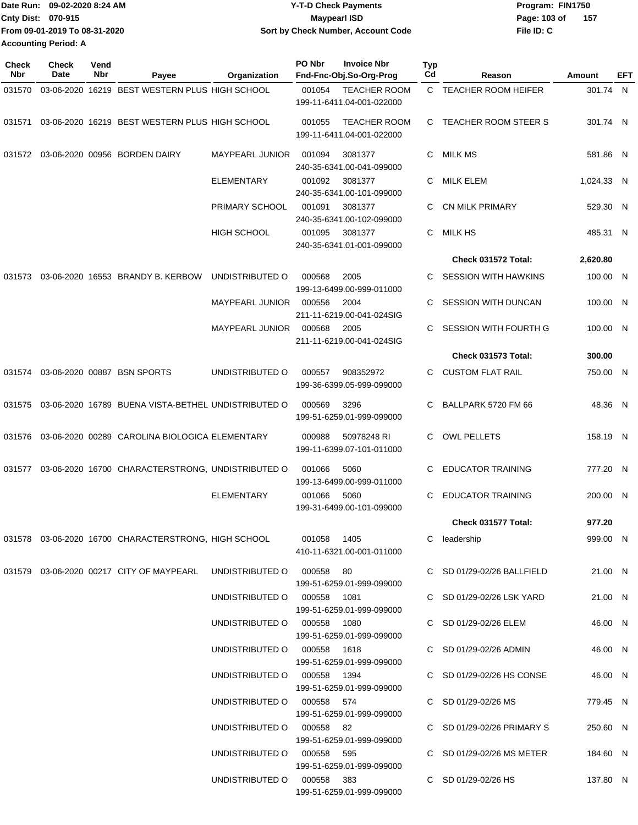| Date Run: 09-02-2020 8:24 AM  | <b>Y-T-D Check Payments</b>        | Program: FIN1750    |
|-------------------------------|------------------------------------|---------------------|
| <b>Cnty Dist: 070-915</b>     | Maypearl ISD                       | 157<br>Page: 103 of |
| From 09-01-2019 To 08-31-2020 | Sort by Check Number, Account Code | File ID: C          |
| <b>Accounting Period: A</b>   |                                    |                     |

| Check<br><b>Nbr</b> | <b>Check</b><br>Date | Vend<br>Nbr | Payee                                                                 | <b>Organization</b>         | PO Nbr<br><b>Invoice Nbr</b><br>Fnd-Fnc-Obj.So-Org-Prog    | Typ<br>Cd | Reason                       | <b>Amount</b> | EFT |
|---------------------|----------------------|-------------|-----------------------------------------------------------------------|-----------------------------|------------------------------------------------------------|-----------|------------------------------|---------------|-----|
| 031570              |                      |             | 03-06-2020 16219 BEST WESTERN PLUS HIGH SCHOOL                        |                             | 001054<br><b>TEACHER ROOM</b><br>199-11-6411.04-001-022000 |           | C TEACHER ROOM HEIFER        | 301.74 N      |     |
| 031571              |                      |             | 03-06-2020 16219 BEST WESTERN PLUS HIGH SCHOOL                        |                             | 001055<br><b>TEACHER ROOM</b><br>199-11-6411.04-001-022000 |           | C TEACHER ROOM STEER S       | 301.74 N      |     |
| 031572              |                      |             | 03-06-2020 00956 BORDEN DAIRY                                         | <b>MAYPEARL JUNIOR</b>      | 001094<br>3081377<br>240-35-6341.00-041-099000             | С         | MILK MS                      | 581.86 N      |     |
|                     |                      |             |                                                                       | ELEMENTARY                  | 001092<br>3081377<br>240-35-6341.00-101-099000             | С         | MILK ELEM                    | 1,024.33 N    |     |
|                     |                      |             |                                                                       | PRIMARY SCHOOL              | 001091<br>3081377<br>240-35-6341.00-102-099000             |           | <b>CN MILK PRIMARY</b>       | 529.30 N      |     |
|                     |                      |             |                                                                       | <b>HIGH SCHOOL</b>          | 001095<br>3081377<br>240-35-6341.01-001-099000             | С         | <b>MILK HS</b>               | 485.31 N      |     |
|                     |                      |             |                                                                       |                             |                                                            |           | Check 031572 Total:          | 2,620.80      |     |
| 031573              |                      |             | 03-06-2020 16553 BRANDY B. KERBOW                                     | UNDISTRIBUTED O             | 000568<br>2005<br>199-13-6499.00-999-011000                | С         | <b>SESSION WITH HAWKINS</b>  | 100.00 N      |     |
|                     |                      |             |                                                                       | <b>MAYPEARL JUNIOR</b>      | 000556<br>2004<br>211-11-6219.00-041-024SIG                | С         | <b>SESSION WITH DUNCAN</b>   | 100.00 N      |     |
|                     |                      |             |                                                                       | <b>MAYPEARL JUNIOR</b>      | 000568<br>2005<br>211-11-6219.00-041-024SIG                | С         | <b>SESSION WITH FOURTH G</b> | 100.00 N      |     |
|                     |                      |             |                                                                       |                             |                                                            |           | Check 031573 Total:          | 300.00        |     |
| 031574              |                      |             | 03-06-2020 00887 BSN SPORTS                                           | UNDISTRIBUTED O             | 000557<br>908352972<br>199-36-6399.05-999-099000           | С         | <b>CUSTOM FLAT RAIL</b>      | 750.00 N      |     |
| 031575              |                      |             | 03-06-2020 16789 BUENA VISTA-BETHEL UNDISTRIBUTED O                   |                             | 3296<br>000569<br>199-51-6259.01-999-099000                | С         | BALLPARK 5720 FM 66          | 48.36 N       |     |
| 031576              |                      |             | 03-06-2020 00289 CAROLINA BIOLOGICA ELEMENTARY                        |                             | 000988<br>50978248 RI<br>199-11-6399.07-101-011000         | С         | <b>OWL PELLETS</b>           | 158.19 N      |     |
|                     |                      |             | 031577 03-06-2020 16700 CHARACTERSTRONG, UNDISTRIBUTED O              |                             | 001066<br>5060<br>199-13-6499.00-999-011000                | С         | <b>EDUCATOR TRAINING</b>     | 777.20 N      |     |
|                     |                      |             |                                                                       | <b>ELEMENTARY</b>           | 001066<br>5060<br>199-31-6499.00-101-099000                | С         | <b>EDUCATOR TRAINING</b>     | 200.00 N      |     |
|                     |                      |             |                                                                       |                             |                                                            |           | Check 031577 Total:          | 977.20        |     |
|                     |                      |             | 031578  03-06-2020  16700  CHARACTERSTRONG, HIGH SCHOOL  001058  1405 |                             | 410-11-6321.00-001-011000                                  |           | C leadership                 | 999.00 N      |     |
|                     |                      |             | 031579   03-06-2020   00217   CITY OF MAYPEARL                        | UNDISTRIBUTED O 000558 80   | 199-51-6259.01-999-099000                                  |           | C SD 01/29-02/26 BALLFIELD   | 21.00 N       |     |
|                     |                      |             |                                                                       | UNDISTRIBUTED O 000558 1081 | 199-51-6259.01-999-099000                                  |           | C SD 01/29-02/26 LSK YARD    | 21.00 N       |     |
|                     |                      |             |                                                                       | UNDISTRIBUTED O 000558 1080 | 199-51-6259.01-999-099000                                  |           | C SD 01/29-02/26 ELEM        | 46.00 N       |     |
|                     |                      |             |                                                                       | UNDISTRIBUTED O 000558 1618 | 199-51-6259.01-999-099000                                  |           | C SD 01/29-02/26 ADMIN       | 46.00 N       |     |
|                     |                      |             |                                                                       | UNDISTRIBUTED O 000558 1394 | 199-51-6259.01-999-099000                                  |           | C SD 01/29-02/26 HS CONSE    | 46.00 N       |     |
|                     |                      |             |                                                                       | UNDISTRIBUTED O 000558 574  | 199-51-6259.01-999-099000                                  |           | C SD 01/29-02/26 MS          | 779.45 N      |     |
|                     |                      |             |                                                                       | UNDISTRIBUTED O 000558 82   | 199-51-6259.01-999-099000                                  |           | C SD 01/29-02/26 PRIMARY S   | 250.60 N      |     |
|                     |                      |             |                                                                       | UNDISTRIBUTED O 000558 595  | 199-51-6259.01-999-099000                                  |           | C SD 01/29-02/26 MS METER    | 184.60 N      |     |
|                     |                      |             |                                                                       | UNDISTRIBUTED O 000558 383  | 199-51-6259.01-999-099000                                  |           | C SD 01/29-02/26 HS          | 137.80 N      |     |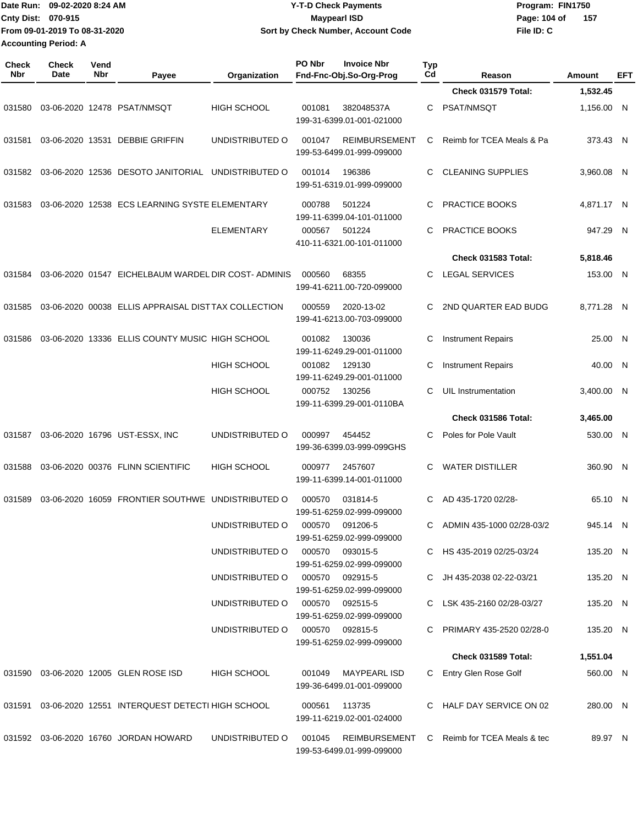|              | Date Run: 09-02-2020 8:24 AM<br>Cnty Dist: 070-915<br>From 09-01-2019 To 08-31-2020<br><b>Accounting Period: A</b> |             |                                                                               | <b>Y-T-D Check Payments</b><br><b>Maypearl ISD</b><br>Sort by Check Number, Account Code |                 |                                                   | Program: FIN1750<br>Page: 104 of<br>157<br>File ID: C |                                                   |               |          |
|--------------|--------------------------------------------------------------------------------------------------------------------|-------------|-------------------------------------------------------------------------------|------------------------------------------------------------------------------------------|-----------------|---------------------------------------------------|-------------------------------------------------------|---------------------------------------------------|---------------|----------|
| Check<br>Nbr | <b>Check</b><br>Date                                                                                               | Vend<br>Nbr | Payee                                                                         | Organization                                                                             | PO Nbr          | <b>Invoice Nbr</b><br>Fnd-Fnc-Obj.So-Org-Prog     | Typ<br>Cd                                             | Reason                                            | <b>Amount</b> | EFT      |
|              |                                                                                                                    |             |                                                                               |                                                                                          |                 |                                                   |                                                       | Check 031579 Total:                               | 1,532.45      |          |
| 031580       |                                                                                                                    |             | 03-06-2020 12478 PSAT/NMSQT                                                   | HIGH SCHOOL                                                                              | 001081          | 382048537A<br>199-31-6399.01-001-021000           | С                                                     | PSAT/NMSQT                                        | 1,156.00 N    |          |
| 031581       |                                                                                                                    |             | 03-06-2020 13531 DEBBIE GRIFFIN                                               | UNDISTRIBUTED O                                                                          | 001047          | <b>REIMBURSEMENT</b><br>199-53-6499.01-999-099000 | С                                                     | Reimb for TCEA Meals & Pa                         |               | 373.43 N |
| 031582       |                                                                                                                    |             | 03-06-2020 12536 DESOTO JANITORIAL                                            | UNDISTRIBUTED O                                                                          | 001014          | 196386<br>199-51-6319.01-999-099000               | С                                                     | <b>CLEANING SUPPLIES</b>                          | 3,960.08 N    |          |
| 031583       |                                                                                                                    |             | 03-06-2020 12538 ECS LEARNING SYSTE ELEMENTARY                                |                                                                                          | 000788          | 501224<br>199-11-6399.04-101-011000               | С                                                     | PRACTICE BOOKS                                    | 4,871.17 N    |          |
|              |                                                                                                                    |             |                                                                               | <b>ELEMENTARY</b>                                                                        | 000567          | 501224<br>410-11-6321.00-101-011000               | C                                                     | PRACTICE BOOKS                                    |               | 947.29 N |
|              |                                                                                                                    |             |                                                                               |                                                                                          |                 |                                                   |                                                       | Check 031583 Total:                               | 5,818.46      |          |
| 031584       |                                                                                                                    |             | 03-06-2020 01547 EICHELBAUM WARDEL DIR COST-ADMINIS                           |                                                                                          | 000560          | 68355<br>199-41-6211.00-720-099000                | С                                                     | <b>LEGAL SERVICES</b>                             |               | 153.00 N |
| 031585       |                                                                                                                    |             | 03-06-2020 00038 ELLIS APPRAISAL DISTTAX COLLECTION                           |                                                                                          | 000559          | 2020-13-02<br>199-41-6213.00-703-099000           | С                                                     | 2ND QUARTER EAD BUDG                              | 8,771.28 N    |          |
| 031586       |                                                                                                                    |             | 03-06-2020 13336 ELLIS COUNTY MUSIC HIGH SCHOOL                               |                                                                                          | 001082          | 130036<br>199-11-6249.29-001-011000               | С                                                     | <b>Instrument Repairs</b>                         |               | 25.00 N  |
|              |                                                                                                                    |             |                                                                               | <b>HIGH SCHOOL</b>                                                                       | 001082          | 129130<br>199-11-6249.29-001-011000               | С                                                     | <b>Instrument Repairs</b>                         |               | 40.00 N  |
|              |                                                                                                                    |             |                                                                               | <b>HIGH SCHOOL</b>                                                                       | 000752          | 130256<br>199-11-6399.29-001-0110BA               | C                                                     | <b>UIL</b> Instrumentation                        | 3,400.00 N    |          |
|              |                                                                                                                    |             |                                                                               |                                                                                          |                 |                                                   |                                                       | Check 031586 Total:                               | 3,465.00      |          |
| 031587       |                                                                                                                    |             | 03-06-2020 16796 UST-ESSX, INC                                                | UNDISTRIBUTED O                                                                          | 000997          | 454452<br>199-36-6399.03-999-099GHS               | С                                                     | Poles for Pole Vault                              |               | 530.00 N |
| 031588       |                                                                                                                    |             | 03-06-2020 00376 FLINN SCIENTIFIC                                             | <b>HIGH SCHOOL</b>                                                                       | 000977          | 2457607<br>199-11-6399.14-001-011000              |                                                       | C WATER DISTILLER                                 |               | 360.90 N |
|              |                                                                                                                    |             | 031589  03-06-2020  16059  FRONTIER SOUTHWE  UNDISTRIBUTED   000570  031814-5 |                                                                                          |                 | 199-51-6259.02-999-099000                         |                                                       | C AD 435-1720 02/28-                              |               | 65.10 N  |
|              |                                                                                                                    |             |                                                                               | UNDISTRIBUTED O                                                                          | 000570 091206-5 | 199-51-6259.02-999-099000                         |                                                       | C ADMIN 435-1000 02/28-03/2                       |               | 945.14 N |
|              |                                                                                                                    |             |                                                                               | UNDISTRIBUTED O 000570 093015-5                                                          |                 | 199-51-6259.02-999-099000                         |                                                       | C HS 435-2019 02/25-03/24                         |               | 135.20 N |
|              |                                                                                                                    |             |                                                                               | UNDISTRIBUTED O                                                                          | 000570 092915-5 | 199-51-6259.02-999-099000                         |                                                       | C JH 435-2038 02-22-03/21                         |               | 135.20 N |
|              |                                                                                                                    |             |                                                                               | UNDISTRIBUTED 0 000570 092515-5                                                          |                 | 199-51-6259.02-999-099000                         |                                                       | C LSK 435-2160 02/28-03/27                        |               | 135.20 N |
|              |                                                                                                                    |             |                                                                               | UNDISTRIBUTED 0 000570 092815-5                                                          |                 | 199-51-6259.02-999-099000                         |                                                       | C PRIMARY 435-2520 02/28-0                        |               | 135.20 N |
|              |                                                                                                                    |             |                                                                               |                                                                                          |                 |                                                   |                                                       | Check 031589 Total:                               | 1,551.04      |          |
|              |                                                                                                                    |             | 031590 03-06-2020 12005 GLEN ROSE ISD                                         | HIGH SCHOOL                                                                              |                 | 001049 MAYPEARL ISD<br>199-36-6499.01-001-099000  |                                                       | C Entry Glen Rose Golf                            |               | 560.00 N |
|              |                                                                                                                    |             | 031591 03-06-2020 12551 INTERQUEST DETECTI HIGH SCHOOL                        |                                                                                          | 000561 113735   | 199-11-6219.02-001-024000                         |                                                       | C HALF DAY SERVICE ON 02                          |               | 280.00 N |
|              |                                                                                                                    |             | 031592 03-06-2020 16760 JORDAN HOWARD                                         | UNDISTRIBUTED O                                                                          |                 | 199-53-6499.01-999-099000                         |                                                       | 001045 REIMBURSEMENT C Reimb for TCEA Meals & tec |               | 89.97 N  |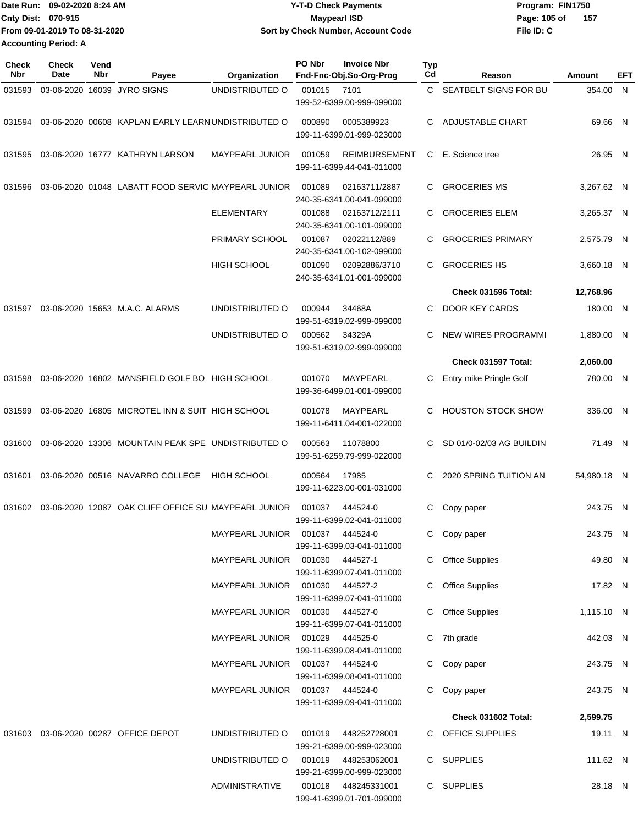| Date Run: 09-02-2020 8:24 AM   | <b>Y-T-D Check Payments</b>        | Program: FIN1750      |
|--------------------------------|------------------------------------|-----------------------|
| <b>Cnty Dist: 070-915</b>      | <b>Mavpearl ISD</b>                | Page: 105 of<br>- 157 |
| lFrom 09-01-2019 To 08-31-2020 | Sort by Check Number, Account Code | File ID: C            |
| <b>Accounting Period: A</b>    |                                    |                       |

| Check<br><b>Nbr</b> | <b>Check</b><br>Date | Vend<br>Nbr | Payee                                                | Organization                        | PO Nbr | <b>Invoice Nbr</b><br>Fnd-Fnc-Obj.So-Org-Prog     | <b>Typ</b><br>Cd | Reason                     | Amount      | EFT |
|---------------------|----------------------|-------------|------------------------------------------------------|-------------------------------------|--------|---------------------------------------------------|------------------|----------------------------|-------------|-----|
| 031593              |                      |             | 03-06-2020 16039 JYRO SIGNS                          | UNDISTRIBUTED O                     | 001015 | 7101                                              | C.               | SEATBELT SIGNS FOR BU      | 354.00 N    |     |
|                     |                      |             |                                                      |                                     |        | 199-52-6399.00-999-099000                         |                  |                            |             |     |
| 031594              |                      |             | 03-06-2020 00608 KAPLAN EARLY LEARN UNDISTRIBUTED O  |                                     | 000890 | 0005389923<br>199-11-6399.01-999-023000           | C                | <b>ADJUSTABLE CHART</b>    | 69.66 N     |     |
| 031595              |                      |             | 03-06-2020 16777 KATHRYN LARSON                      | <b>MAYPEARL JUNIOR</b>              | 001059 | <b>REIMBURSEMENT</b><br>199-11-6399.44-041-011000 | C                | E. Science tree            | 26.95 N     |     |
| 031596              |                      |             | 03-06-2020 01048 LABATT FOOD SERVIC MAYPEARL JUNIOR  |                                     | 001089 | 02163711/2887<br>240-35-6341.00-041-099000        | C                | <b>GROCERIES MS</b>        | 3,267.62 N  |     |
|                     |                      |             |                                                      | <b>ELEMENTARY</b>                   | 001088 | 02163712/2111<br>240-35-6341.00-101-099000        | C                | <b>GROCERIES ELEM</b>      | 3,265.37 N  |     |
|                     |                      |             |                                                      | PRIMARY SCHOOL                      | 001087 | 02022112/889<br>240-35-6341.00-102-099000         | C                | <b>GROCERIES PRIMARY</b>   | 2,575.79 N  |     |
|                     |                      |             |                                                      | <b>HIGH SCHOOL</b>                  | 001090 | 02092886/3710<br>240-35-6341.01-001-099000        | C.               | <b>GROCERIES HS</b>        | 3,660.18 N  |     |
|                     |                      |             |                                                      |                                     |        |                                                   |                  | Check 031596 Total:        | 12,768.96   |     |
| 031597              |                      |             | 03-06-2020 15653 M.A.C. ALARMS                       | UNDISTRIBUTED O                     | 000944 | 34468A<br>199-51-6319.02-999-099000               | C                | DOOR KEY CARDS             | 180.00 N    |     |
|                     |                      |             |                                                      | UNDISTRIBUTED O                     | 000562 | 34329A<br>199-51-6319.02-999-099000               | C                | <b>NEW WIRES PROGRAMMI</b> | 1,880.00 N  |     |
|                     |                      |             |                                                      |                                     |        |                                                   |                  | Check 031597 Total:        | 2,060.00    |     |
| 031598              |                      |             | 03-06-2020 16802 MANSFIELD GOLF BO HIGH SCHOOL       |                                     | 001070 | MAYPEARL<br>199-36-6499.01-001-099000             | С                | Entry mike Pringle Golf    | 780.00 N    |     |
| 031599              |                      |             | 03-06-2020 16805 MICROTEL INN & SUIT HIGH SCHOOL     |                                     | 001078 | MAYPEARL<br>199-11-6411.04-001-022000             | C                | <b>HOUSTON STOCK SHOW</b>  | 336.00 N    |     |
| 031600              |                      |             | 03-06-2020 13306 MOUNTAIN PEAK SPE UNDISTRIBUTED O   |                                     | 000563 | 11078800<br>199-51-6259.79-999-022000             | C                | SD 01/0-02/03 AG BUILDIN   | 71.49 N     |     |
| 031601              |                      |             | 03-06-2020 00516 NAVARRO COLLEGE                     | <b>HIGH SCHOOL</b>                  | 000564 | 17985<br>199-11-6223.00-001-031000                | C                | 2020 SPRING TUITION AN     | 54.980.18 N |     |
| 031602              |                      |             | 03-06-2020 12087 OAK CLIFF OFFICE SU MAYPEARL JUNIOR |                                     | 001037 | 444524-0<br>199-11-6399.02-041-011000             | С                | Copy paper                 | 243.75 N    |     |
|                     |                      |             |                                                      | MAYPEARL JUNIOR 001037              |        | 444524-0<br>199-11-6399.03-041-011000             |                  | C Copy paper               | 243.75 N    |     |
|                     |                      |             |                                                      | MAYPEARL JUNIOR  001030  444527-1   |        | 199-11-6399.07-041-011000                         |                  | <b>Office Supplies</b>     | 49.80 N     |     |
|                     |                      |             |                                                      | MAYPEARL JUNIOR   001030   444527-2 |        | 199-11-6399.07-041-011000                         | C                | <b>Office Supplies</b>     | 17.82 N     |     |
|                     |                      |             |                                                      | MAYPEARL JUNIOR  001030  444527-0   |        | 199-11-6399.07-041-011000                         | C                | <b>Office Supplies</b>     | 1,115.10 N  |     |
|                     |                      |             |                                                      | MAYPEARL JUNIOR  001029  444525-0   |        | 199-11-6399.08-041-011000                         |                  | C 7th grade                | 442.03 N    |     |
|                     |                      |             |                                                      |                                     |        | 199-11-6399.08-041-011000                         |                  | C Copy paper               | 243.75 N    |     |
|                     |                      |             |                                                      |                                     |        | 199-11-6399.09-041-011000                         |                  | C Copy paper               | 243.75 N    |     |
|                     |                      |             |                                                      |                                     |        |                                                   |                  | Check 031602 Total:        | 2,599.75    |     |
|                     |                      |             | 031603 03-06-2020 00287 OFFICE DEPOT                 | UNDISTRIBUTED O                     | 001019 | 448252728001<br>199-21-6399.00-999-023000         |                  | C OFFICE SUPPLIES          | 19.11 N     |     |
|                     |                      |             |                                                      | UNDISTRIBUTED O                     |        | 001019 448253062001<br>199-21-6399.00-999-023000  |                  | C SUPPLIES                 | 111.62 N    |     |
|                     |                      |             |                                                      | <b>ADMINISTRATIVE</b>               |        | 001018 448245331001<br>199-41-6399.01-701-099000  |                  | C SUPPLIES                 | 28.18 N     |     |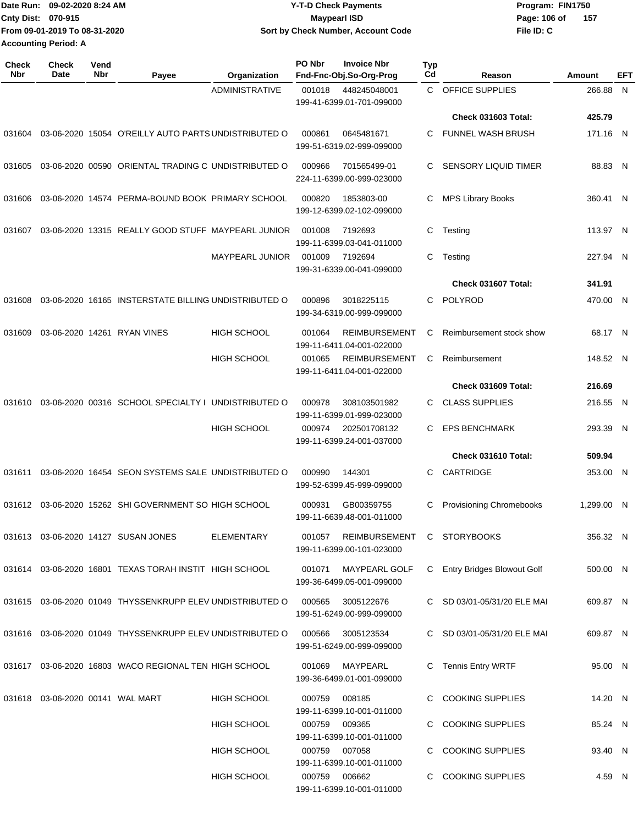|                             | Date Run: 09-02-2020 8:24 AM  | <b>Y-T-D Check Payments</b>        | Program: FIN1750      |
|-----------------------------|-------------------------------|------------------------------------|-----------------------|
| Cnty Dist: 070-915          |                               | <b>Mavpearl ISD</b>                | - 157<br>Page: 106 of |
|                             | From 09-01-2019 To 08-31-2020 | Sort by Check Number, Account Code | File ID: C            |
| <b>Accounting Period: A</b> |                               |                                    |                       |

| <b>Check</b><br>Nbr | <b>Check</b><br>Date                | Vend<br>Nbr | Payee                                                     | Organization           | PO Nbr                                                            | <b>Invoice Nbr</b><br>Fnd-Fnc-Obj.So-Org-Prog     | Typ<br>Cd | Reason                            | Amount     | EFT |
|---------------------|-------------------------------------|-------------|-----------------------------------------------------------|------------------------|-------------------------------------------------------------------|---------------------------------------------------|-----------|-----------------------------------|------------|-----|
|                     |                                     |             |                                                           | <b>ADMINISTRATIVE</b>  | 001018<br>448245048001<br>199-41-6399.01-701-099000               |                                                   |           | C OFFICE SUPPLIES                 | 266.88 N   |     |
|                     |                                     |             |                                                           |                        |                                                                   |                                                   |           | Check 031603 Total:               | 425.79     |     |
| 031604              |                                     |             | 03-06-2020 15054 O'REILLY AUTO PARTS UNDISTRIBUTED O      |                        | 000861                                                            | 0645481671<br>199-51-6319.02-999-099000           | С         | <b>FUNNEL WASH BRUSH</b>          | 171.16 N   |     |
| 031605              |                                     |             | 03-06-2020 00590 ORIENTAL TRADING C UNDISTRIBUTED O       |                        | 000966                                                            | 701565499-01<br>224-11-6399.00-999-023000         | С         | <b>SENSORY LIQUID TIMER</b>       | 88.83 N    |     |
| 031606              |                                     |             | 03-06-2020 14574 PERMA-BOUND BOOK PRIMARY SCHOOL          |                        | 000820                                                            | 1853803-00<br>199-12-6399.02-102-099000           | С         | <b>MPS Library Books</b>          | 360.41 N   |     |
| 031607              |                                     |             | 03-06-2020 13315 REALLY GOOD STUFF MAYPEARL JUNIOR        |                        | 001008                                                            | 7192693<br>199-11-6399.03-041-011000              | С         | Testing                           | 113.97 N   |     |
|                     |                                     |             |                                                           | <b>MAYPEARL JUNIOR</b> | 001009                                                            | 7192694<br>199-31-6339.00-041-099000              | С         | Testing                           | 227.94 N   |     |
|                     |                                     |             |                                                           |                        |                                                                   |                                                   |           | Check 031607 Total:               | 341.91     |     |
| 031608              |                                     |             | 03-06-2020 16165 INSTERSTATE BILLING UNDISTRIBUTED O      |                        | 000896                                                            | 3018225115<br>199-34-6319.00-999-099000           | С         | POLYROD                           | 470.00 N   |     |
| 031609              |                                     |             | 03-06-2020 14261 RYAN VINES                               | <b>HIGH SCHOOL</b>     | 001064                                                            | <b>REIMBURSEMENT</b><br>199-11-6411.04-001-022000 | С         | Reimbursement stock show          | 68.17 N    |     |
|                     |                                     |             |                                                           | <b>HIGH SCHOOL</b>     | 001065                                                            | <b>REIMBURSEMENT</b><br>199-11-6411.04-001-022000 | С         | Reimbursement                     | 148.52 N   |     |
|                     |                                     |             |                                                           |                        |                                                                   |                                                   |           | Check 031609 Total:               | 216.69     |     |
| 031610              |                                     |             | 03-06-2020 00316 SCHOOL SPECIALTY I UNDISTRIBUTED O       |                        | 000978                                                            | 308103501982<br>199-11-6399.01-999-023000         | С         | <b>CLASS SUPPLIES</b>             | 216.55 N   |     |
|                     |                                     |             |                                                           | <b>HIGH SCHOOL</b>     | 000974                                                            | 202501708132<br>199-11-6399.24-001-037000         | С         | <b>EPS BENCHMARK</b>              | 293.39 N   |     |
|                     |                                     |             |                                                           |                        |                                                                   |                                                   |           | Check 031610 Total:               | 509.94     |     |
| 031611              |                                     |             | 03-06-2020 16454 SEON SYSTEMS SALE UNDISTRIBUTED O        |                        | 000990                                                            | 144301<br>199-52-6399.45-999-099000               | С         | CARTRIDGE                         | 353.00 N   |     |
|                     |                                     |             | 031612 03-06-2020 15262 SHI GOVERNMENT SO HIGH SCHOOL     |                        | 000931<br>GB00359755<br>199-11-6639.48-001-011000                 |                                                   | С         | <b>Provisioning Chromebooks</b>   | 1,299.00 N |     |
|                     |                                     |             | 031613  03-06-2020  14127  SUSAN JONES                    | <b>ELEMENTARY</b>      | REIMBURSEMENT C STORYBOOKS<br>001057<br>199-11-6399.00-101-023000 |                                                   |           |                                   | 356.32 N   |     |
|                     |                                     |             | 031614 03-06-2020 16801 TEXAS TORAH INSTIT HIGH SCHOOL    |                        | 001071                                                            | MAYPEARL GOLF<br>199-36-6499.05-001-099000        | C.        | <b>Entry Bridges Blowout Golf</b> | 500.00 N   |     |
|                     |                                     |             | 031615 03-06-2020 01049 THYSSENKRUPP ELEV UNDISTRIBUTED O |                        | 000565                                                            | 3005122676<br>199-51-6249.00-999-099000           |           | C SD 03/01-05/31/20 ELE MAI       | 609.87 N   |     |
|                     |                                     |             | 031616 03-06-2020 01049 THYSSENKRUPP ELEV UNDISTRIBUTED O |                        | 000566                                                            | 3005123534<br>199-51-6249.00-999-099000           |           | C SD 03/01-05/31/20 ELE MAI       | 609.87 N   |     |
|                     |                                     |             | 031617 03-06-2020 16803 WACO REGIONAL TEN HIGH SCHOOL     |                        | 001069                                                            | MAYPEARL<br>199-36-6499.01-001-099000             |           | Tennis Entry WRTF                 | 95.00 N    |     |
|                     | 031618  03-06-2020  00141  WAL MART |             |                                                           | <b>HIGH SCHOOL</b>     | 000759                                                            | 008185<br>199-11-6399.10-001-011000               |           | C COOKING SUPPLIES                | 14.20 N    |     |
|                     |                                     |             |                                                           | HIGH SCHOOL            | 000759                                                            | 009365<br>199-11-6399.10-001-011000               |           | C COOKING SUPPLIES                | 85.24 N    |     |
|                     |                                     |             |                                                           | HIGH SCHOOL            | 000759                                                            | 007058<br>199-11-6399.10-001-011000               | С         | <b>COOKING SUPPLIES</b>           | 93.40 N    |     |
|                     |                                     |             |                                                           | <b>HIGH SCHOOL</b>     |                                                                   | 000759 006662<br>199-11-6399.10-001-011000        |           | C COOKING SUPPLIES                | 4.59 N     |     |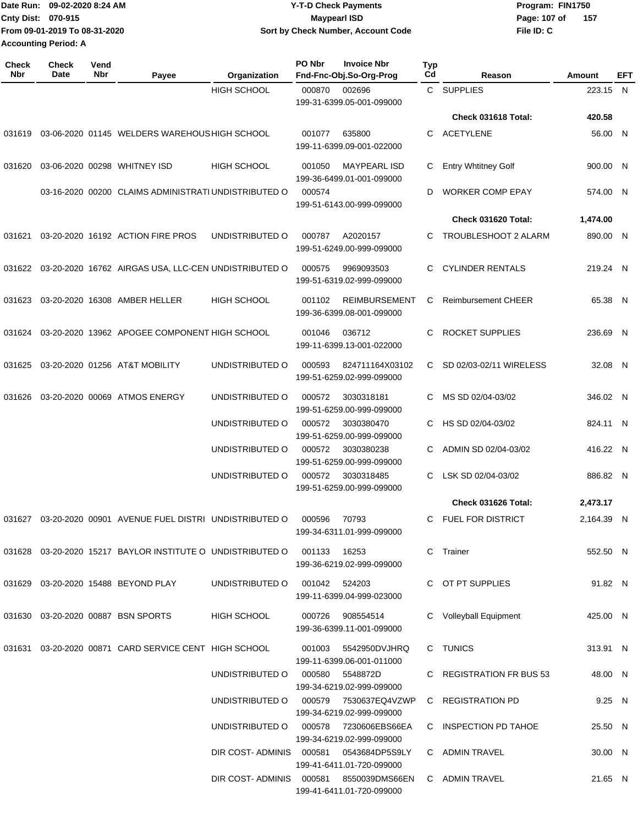| ¶Date Run: 09-02-2020 8:24 AM | <b>Y-T-D Check Payments</b>        | Program: FIN1750    |
|-------------------------------|------------------------------------|---------------------|
| <b>Cnty Dist: 070-915</b>     | Maypearl ISD                       | 157<br>Page: 107 of |
| From 09-01-2019 To 08-31-2020 | Sort by Check Number, Account Code | File ID: C          |
| Lannuative Devindi, A         |                                    |                     |

**Accounting Period: A**

| <b>Check</b><br>Nbr | Check<br>Date | Vend<br>Nbr | Payee                                                                        | Organization                           | PO Nbr                                            | <b>Invoice Nbr</b><br>Fnd-Fnc-Obj.So-Org-Prog                      | Typ<br>Cd | Reason                     | Amount     | <b>EFT</b> |
|---------------------|---------------|-------------|------------------------------------------------------------------------------|----------------------------------------|---------------------------------------------------|--------------------------------------------------------------------|-----------|----------------------------|------------|------------|
|                     |               |             |                                                                              | <b>HIGH SCHOOL</b>                     | 000870                                            | 002696<br>199-31-6399.05-001-099000                                | C.        | <b>SUPPLIES</b>            | 223.15 N   |            |
|                     |               |             |                                                                              |                                        |                                                   |                                                                    |           | Check 031618 Total:        | 420.58     |            |
| 031619              |               |             | 03-06-2020 01145 WELDERS WAREHOUS HIGH SCHOOL                                |                                        | 001077                                            | 635800<br>199-11-6399.09-001-022000                                | C.        | <b>ACETYLENE</b>           | 56.00 N    |            |
| 031620              |               |             | 03-06-2020 00298 WHITNEY ISD                                                 | <b>HIGH SCHOOL</b>                     | 001050                                            | <b>MAYPEARL ISD</b><br>199-36-6499.01-001-099000                   | C         | <b>Entry Whtitney Golf</b> | 900.00 N   |            |
|                     |               |             | 03-16-2020 00200 CLAIMS ADMINISTRATI UNDISTRIBUTED O                         |                                        | 000574                                            | 199-51-6143.00-999-099000                                          | D         | <b>WORKER COMP EPAY</b>    | 574.00 N   |            |
|                     |               |             |                                                                              |                                        |                                                   |                                                                    |           | Check 031620 Total:        | 1,474.00   |            |
| 031621              |               |             | 03-20-2020 16192 ACTION FIRE PROS                                            | UNDISTRIBUTED O                        | 000787                                            | A2020157<br>199-51-6249.00-999-099000                              | C         | TROUBLESHOOT 2 ALARM       | 890.00 N   |            |
|                     |               |             | 031622 03-20-2020 16762 AIRGAS USA, LLC-CEN UNDISTRIBUTED O                  |                                        | 000575                                            | 9969093503<br>199-51-6319.02-999-099000                            | C.        | <b>CYLINDER RENTALS</b>    | 219.24 N   |            |
|                     |               |             | 031623 03-20-2020 16308 AMBER HELLER                                         | <b>HIGH SCHOOL</b>                     | 001102                                            | <b>REIMBURSEMENT</b><br>199-36-6399.08-001-099000                  | С         | <b>Reimbursement CHEER</b> | 65.38 N    |            |
|                     |               |             | 031624 03-20-2020 13962 APOGEE COMPONENT HIGH SCHOOL                         |                                        | 001046                                            | 036712<br>199-11-6399.13-001-022000                                | C         | <b>ROCKET SUPPLIES</b>     | 236.69 N   |            |
| 031625              |               |             | 03-20-2020 01256 AT&T MOBILITY                                               | UNDISTRIBUTED O                        | 000593                                            | 824711164X03102<br>199-51-6259.02-999-099000                       | C         | SD 02/03-02/11 WIRELESS    | 32.08 N    |            |
| 031626              |               |             | 03-20-2020 00069 ATMOS ENERGY                                                | UNDISTRIBUTED O                        | 000572                                            | 3030318181<br>199-51-6259.00-999-099000                            | C         | MS SD 02/04-03/02          | 346.02 N   |            |
|                     |               |             |                                                                              | UNDISTRIBUTED O                        | 000572                                            | 3030380470<br>199-51-6259.00-999-099000                            | C         | HS SD 02/04-03/02          | 824.11 N   |            |
|                     |               |             |                                                                              | UNDISTRIBUTED O                        | 000572                                            | 3030380238<br>199-51-6259.00-999-099000                            | C.        | ADMIN SD 02/04-03/02       | 416.22 N   |            |
|                     |               |             |                                                                              | UNDISTRIBUTED O                        | 000572<br>3030318485<br>199-51-6259.00-999-099000 |                                                                    | C         | LSK SD 02/04-03/02         | 886.82 N   |            |
|                     |               |             |                                                                              |                                        |                                                   |                                                                    |           | Check 031626 Total:        | 2,473.17   |            |
|                     |               |             | 031627 03-20-2020 00901 AVENUE FUEL DISTRI UNDISTRIBUTED O                   |                                        | 000596                                            | 70793<br>199-34-6311.01-999-099000                                 |           | C FUEL FOR DISTRICT        | 2.164.39 N |            |
|                     |               |             | 031628  03-20-2020  15217  BAYLOR INSTITUTE O UNDISTRIBUTED O  001133  16253 |                                        |                                                   | 199-36-6219.02-999-099000                                          |           | C Trainer                  | 552.50 N   |            |
|                     |               |             | 031629  03-20-2020  15488  BEYOND PLAY                                       | UNDISTRIBUTED O 001042 524203          |                                                   | 199-11-6399.04-999-023000                                          |           | C OT PT SUPPLIES           | 91.82 N    |            |
|                     |               |             | 031630  03-20-2020  00887  BSN SPORTS                                        | HIGH SCHOOL                            |                                                   | 000726 908554514<br>199-36-6399.11-001-099000                      |           | C Volleyball Equipment     | 425.00 N   |            |
|                     |               |             | 031631 03-20-2020 00871 CARD SERVICE CENT HIGH SCHOOL                        |                                        |                                                   | 001003 5542950DVJHRQ<br>199-11-6399.06-001-011000                  |           | C TUNICS                   | 313.91 N   |            |
|                     |               |             |                                                                              | UNDISTRIBUTED O 000580 5548872D        |                                                   | 199-34-6219.02-999-099000                                          |           | C REGISTRATION FR BUS 53   | 48.00 N    |            |
|                     |               |             |                                                                              |                                        |                                                   | UNDISTRIBUTED O 000579 7530637EQ4VZWP<br>199-34-6219.02-999-099000 |           | C REGISTRATION PD          | 9.25 N     |            |
|                     |               |             |                                                                              | UNDISTRIBUTED O 000578 7230606EBS66EA  |                                                   | 199-34-6219.02-999-099000                                          |           | C INSPECTION PD TAHOE      | 25.50 N    |            |
|                     |               |             |                                                                              | DIR COST-ADMINIS 000581 0543684DP5S9LY |                                                   | 199-41-6411.01-720-099000                                          |           | C ADMIN TRAVEL             | 30.00 N    |            |
|                     |               |             |                                                                              | DIR COST-ADMINIS 000581 8550039DMS66EN |                                                   | 199-41-6411.01-720-099000                                          |           | C ADMIN TRAVEL             | 21.65 N    |            |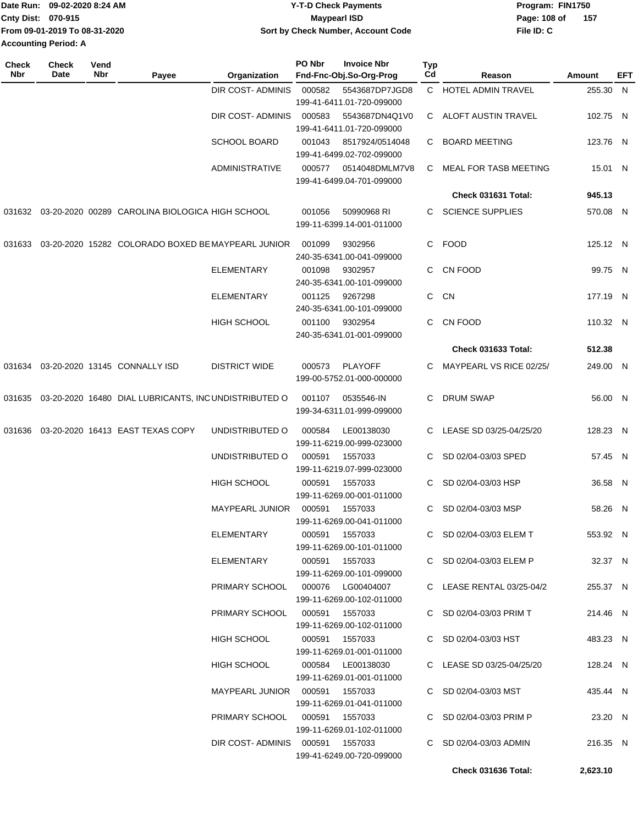| Date Run: 09-02-2020 8:24 AM |                               | <b>Y-T-D Check Payments</b>        | Program: FIN1750 |       |  |  |
|------------------------------|-------------------------------|------------------------------------|------------------|-------|--|--|
| <b>Cnty Dist: 070-915</b>    |                               | <b>Mavpearl ISD</b>                | Page: 108 of     | - 157 |  |  |
|                              | From 09-01-2019 To 08-31-2020 | Sort by Check Number, Account Code | File ID: C       |       |  |  |
| <b>Accounting Period: A</b>  |                               |                                    |                  |       |  |  |

| <b>Check</b><br>Nbr | <b>Check</b><br>Date | Vend<br>Nbr | Payee                                                       | Organization                       | PO Nbr | <b>Invoice Nbr</b><br>Fnd-Fnc-Obj.So-Org-Prog | Typ<br>Cd | Reason                       | <b>Amount</b> | EFT |
|---------------------|----------------------|-------------|-------------------------------------------------------------|------------------------------------|--------|-----------------------------------------------|-----------|------------------------------|---------------|-----|
|                     |                      |             |                                                             | DIR COST- ADMINIS                  | 000582 | 5543687DP7JGD8                                |           | C HOTEL ADMIN TRAVEL         | 255.30 N      |     |
|                     |                      |             |                                                             |                                    |        | 199-41-6411.01-720-099000                     |           |                              |               |     |
|                     |                      |             |                                                             | DIR COST-ADMINIS                   | 000583 | 5543687DN4Q1V0                                | C         | ALOFT AUSTIN TRAVEL          | 102.75 N      |     |
|                     |                      |             |                                                             |                                    |        | 199-41-6411.01-720-099000                     |           |                              |               |     |
|                     |                      |             |                                                             | <b>SCHOOL BOARD</b>                | 001043 | 8517924/0514048                               | C         | <b>BOARD MEETING</b>         | 123.76 N      |     |
|                     |                      |             |                                                             |                                    |        | 199-41-6499.02-702-099000                     |           |                              |               |     |
|                     |                      |             |                                                             | <b>ADMINISTRATIVE</b>              | 000577 | 0514048DMLM7V8                                | C         | <b>MEAL FOR TASB MEETING</b> | 15.01 N       |     |
|                     |                      |             |                                                             |                                    |        | 199-41-6499.04-701-099000                     |           |                              |               |     |
|                     |                      |             |                                                             |                                    |        |                                               |           | Check 031631 Total:          | 945.13        |     |
| 031632              |                      |             | 03-20-2020 00289 CAROLINA BIOLOGICA HIGH SCHOOL             |                                    | 001056 | 50990968 RI                                   | C.        | <b>SCIENCE SUPPLIES</b>      | 570.08 N      |     |
|                     |                      |             |                                                             |                                    |        | 199-11-6399.14-001-011000                     |           |                              |               |     |
|                     |                      |             |                                                             |                                    |        |                                               |           |                              |               |     |
| 031633              |                      |             | 03-20-2020 15282 COLORADO BOXED BE MAYPEARL JUNIOR          |                                    | 001099 | 9302956                                       | C         | FOOD                         | 125.12 N      |     |
|                     |                      |             |                                                             |                                    |        | 240-35-6341.00-041-099000                     |           |                              |               |     |
|                     |                      |             |                                                             | ELEMENTARY                         | 001098 | 9302957                                       | C         | CN FOOD                      | 99.75 N       |     |
|                     |                      |             |                                                             |                                    |        | 240-35-6341.00-101-099000                     |           |                              |               |     |
|                     |                      |             |                                                             | ELEMENTARY                         | 001125 | 9267298                                       | C         | <b>CN</b>                    | 177.19 N      |     |
|                     |                      |             |                                                             |                                    |        | 240-35-6341.00-101-099000                     |           |                              |               |     |
|                     |                      |             |                                                             | <b>HIGH SCHOOL</b>                 | 001100 | 9302954<br>240-35-6341.01-001-099000          | C         | CN FOOD                      | 110.32 N      |     |
|                     |                      |             |                                                             |                                    |        |                                               |           | <b>Check 031633 Total:</b>   |               |     |
|                     |                      |             |                                                             |                                    |        |                                               |           |                              | 512.38        |     |
| 031634              |                      |             | 03-20-2020 13145 CONNALLY ISD                               | <b>DISTRICT WIDE</b>               | 000573 | PLAYOFF                                       | C         | MAYPEARL VS RICE 02/25/      | 249.00 N      |     |
|                     |                      |             |                                                             |                                    |        | 199-00-5752.01-000-000000                     |           |                              |               |     |
|                     |                      |             | 031635 03-20-2020 16480 DIAL LUBRICANTS, INCUNDISTRIBUTED O |                                    | 001107 | 0535546-IN                                    | C         | <b>DRUM SWAP</b>             | 56.00 N       |     |
|                     |                      |             |                                                             |                                    |        | 199-34-6311.01-999-099000                     |           |                              |               |     |
|                     |                      |             | 03-20-2020 16413 EAST TEXAS COPY                            | UNDISTRIBUTED O                    | 000584 | LE00138030                                    | C         | LEASE SD 03/25-04/25/20      | 128.23 N      |     |
| 031636              |                      |             |                                                             |                                    |        | 199-11-6219.00-999-023000                     |           |                              |               |     |
|                     |                      |             |                                                             | UNDISTRIBUTED O                    | 000591 | 1557033                                       |           | SD 02/04-03/03 SPED          | 57.45 N       |     |
|                     |                      |             |                                                             |                                    |        | 199-11-6219.07-999-023000                     |           |                              |               |     |
|                     |                      |             |                                                             | <b>HIGH SCHOOL</b>                 | 000591 | 1557033                                       | C         | SD 02/04-03/03 HSP           | 36.58 N       |     |
|                     |                      |             |                                                             |                                    |        | 199-11-6269.00-001-011000                     |           |                              |               |     |
|                     |                      |             |                                                             | MAYPEARL JUNIOR                    | 000591 | 1557033                                       | C         | SD 02/04-03/03 MSP           | 58.26 N       |     |
|                     |                      |             |                                                             |                                    |        | 199-11-6269.00-041-011000                     |           |                              |               |     |
|                     |                      |             |                                                             | ELEMENTARY                         |        | 000591 1557033                                |           | C SD 02/04-03/03 ELEM T      | 553.92 N      |     |
|                     |                      |             |                                                             |                                    |        | 199-11-6269.00-101-011000                     |           |                              |               |     |
|                     |                      |             |                                                             | ELEMENTARY                         |        | 000591 1557033                                |           | C SD 02/04-03/03 ELEM P      | 32.37 N       |     |
|                     |                      |             |                                                             |                                    |        | 199-11-6269.00-101-099000                     |           |                              |               |     |
|                     |                      |             |                                                             | PRIMARY SCHOOL  000076  LG00404007 |        |                                               |           | C LEASE RENTAL 03/25-04/2    | 255.37 N      |     |
|                     |                      |             |                                                             |                                    |        | 199-11-6269.00-102-011000                     |           |                              |               |     |
|                     |                      |             |                                                             | PRIMARY SCHOOL                     |        | 000591 1557033                                |           | C SD 02/04-03/03 PRIM T      | 214.46 N      |     |
|                     |                      |             |                                                             |                                    |        | 199-11-6269.00-102-011000                     |           |                              |               |     |
|                     |                      |             |                                                             | HIGH SCHOOL                        |        | 000591 1557033                                |           | C SD 02/04-03/03 HST         | 483.23 N      |     |
|                     |                      |             |                                                             |                                    |        | 199-11-6269.01-001-011000                     |           |                              |               |     |
|                     |                      |             |                                                             | HIGH SCHOOL                        |        | 000584 LE00138030                             |           | C LEASE SD 03/25-04/25/20    | 128.24 N      |     |
|                     |                      |             |                                                             |                                    |        | 199-11-6269.01-001-011000                     |           |                              |               |     |
|                     |                      |             |                                                             | MAYPEARL JUNIOR  000591  1557033   |        |                                               |           | C SD 02/04-03/03 MST         | 435.44 N      |     |
|                     |                      |             |                                                             |                                    |        | 199-11-6269.01-041-011000                     |           |                              |               |     |
|                     |                      |             |                                                             | PRIMARY SCHOOL                     |        | 000591 1557033                                |           | C SD 02/04-03/03 PRIM P      | 23.20 N       |     |
|                     |                      |             |                                                             |                                    |        | 199-11-6269.01-102-011000                     |           |                              |               |     |
|                     |                      |             |                                                             | DIR COST-ADMINIS 000591 1557033    |        | 199-41-6249.00-720-099000                     |           | C SD 02/04-03/03 ADMIN       | 216.35 N      |     |
|                     |                      |             |                                                             |                                    |        |                                               |           |                              |               |     |
|                     |                      |             |                                                             |                                    |        |                                               |           | Check 031636 Total:          | 2,623.10      |     |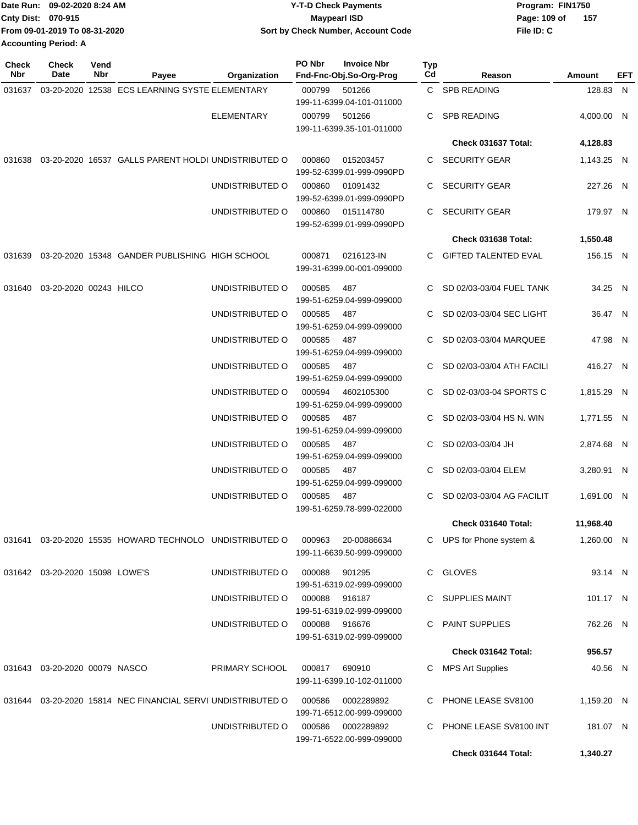| IDate Run: 09-02-2020 8:24 AM |                               | <b>Y-T-D Check Payments</b>        | Program: FIN1750    |  |  |  |
|-------------------------------|-------------------------------|------------------------------------|---------------------|--|--|--|
| <b>Cnty Dist: 070-915</b>     |                               | <b>Mavpearl ISD</b>                | 157<br>Page: 109 of |  |  |  |
|                               | From 09-01-2019 To 08-31-2020 | Sort by Check Number, Account Code | File ID: C          |  |  |  |
| <b>Accounting Period: A</b>   |                               |                                    |                     |  |  |  |

| <b>Check</b><br><b>Nbr</b> | <b>Check</b><br>Date             | Vend<br><b>Nbr</b> | Payee                                                       | Organization      | PO Nbr | <b>Invoice Nbr</b><br>Fnd-Fnc-Obj.So-Org-Prog | <b>Typ</b><br>Cd | Reason                      | Amount     | EFT |
|----------------------------|----------------------------------|--------------------|-------------------------------------------------------------|-------------------|--------|-----------------------------------------------|------------------|-----------------------------|------------|-----|
|                            |                                  |                    | 031637  03-20-2020  12538  ECS LEARNING SYSTE ELEMENTARY    |                   | 000799 | 501266<br>199-11-6399.04-101-011000           |                  | C SPB READING               | 128.83 N   |     |
|                            |                                  |                    |                                                             | <b>ELEMENTARY</b> | 000799 | 501266<br>199-11-6399.35-101-011000           |                  | C SPB READING               | 4,000.00 N |     |
|                            |                                  |                    |                                                             |                   |        |                                               |                  | Check 031637 Total:         | 4,128.83   |     |
|                            |                                  |                    | 031638 03-20-2020 16537 GALLS PARENT HOLDI UNDISTRIBUTED O  |                   | 000860 | 015203457<br>199-52-6399.01-999-0990PD        |                  | C SECURITY GEAR             | 1,143.25 N |     |
|                            |                                  |                    |                                                             | UNDISTRIBUTED O   | 000860 | 01091432<br>199-52-6399.01-999-0990PD         |                  | C SECURITY GEAR             | 227.26 N   |     |
|                            |                                  |                    |                                                             | UNDISTRIBUTED O   | 000860 | 015114780<br>199-52-6399.01-999-0990PD        |                  | C SECURITY GEAR             | 179.97 N   |     |
|                            |                                  |                    |                                                             |                   |        |                                               |                  | Check 031638 Total:         | 1,550.48   |     |
|                            |                                  |                    | 031639 03-20-2020 15348 GANDER PUBLISHING HIGH SCHOOL       |                   | 000871 | 0216123-IN<br>199-31-6399.00-001-099000       |                  | C GIFTED TALENTED EVAL      | 156.15 N   |     |
|                            | 031640  03-20-2020  00243  HILCO |                    |                                                             | UNDISTRIBUTED O   | 000585 | 487<br>199-51-6259.04-999-099000              |                  | SD 02/03-03/04 FUEL TANK    | 34.25 N    |     |
|                            |                                  |                    |                                                             | UNDISTRIBUTED O   | 000585 | 487<br>199-51-6259.04-999-099000              |                  | C SD 02/03-03/04 SEC LIGHT  | 36.47 N    |     |
|                            |                                  |                    |                                                             | UNDISTRIBUTED O   | 000585 | 487<br>199-51-6259.04-999-099000              |                  | C SD 02/03-03/04 MARQUEE    | 47.98 N    |     |
|                            |                                  |                    |                                                             | UNDISTRIBUTED O   | 000585 | 487<br>199-51-6259.04-999-099000              |                  | C SD 02/03-03/04 ATH FACILI | 416.27 N   |     |
|                            |                                  |                    |                                                             | UNDISTRIBUTED O   | 000594 | 4602105300<br>199-51-6259.04-999-099000       |                  | C SD 02-03/03-04 SPORTS C   | 1,815.29 N |     |
|                            |                                  |                    |                                                             | UNDISTRIBUTED O   | 000585 | 487<br>199-51-6259.04-999-099000              |                  | C SD 02/03-03/04 HS N. WIN  | 1,771.55 N |     |
|                            |                                  |                    |                                                             | UNDISTRIBUTED O   | 000585 | 487<br>199-51-6259.04-999-099000              |                  | C SD 02/03-03/04 JH         | 2,874.68 N |     |
|                            |                                  |                    |                                                             | UNDISTRIBUTED O   | 000585 | 487<br>199-51-6259.04-999-099000              |                  | C SD 02/03-03/04 ELEM       | 3,280.91 N |     |
|                            |                                  |                    |                                                             | UNDISTRIBUTED O   | 000585 | 487<br>199-51-6259.78-999-022000              | C.               | SD 02/03-03/04 AG FACILIT   | 1,691.00 N |     |
|                            |                                  |                    |                                                             |                   |        |                                               |                  | Check 031640 Total:         | 11,968.40  |     |
|                            |                                  |                    | 031641  03-20-2020  15535  HOWARD TECHNOLO  UNDISTRIBUTED O |                   | 000963 | 20-00886634<br>199-11-6639.50-999-099000      |                  | C UPS for Phone system &    | 1,260.00 N |     |
|                            | 031642 03-20-2020 15098 LOWE'S   |                    |                                                             | UNDISTRIBUTED O   | 000088 | 901295<br>199-51-6319.02-999-099000           |                  | C GLOVES                    | 93.14 N    |     |
|                            |                                  |                    |                                                             | UNDISTRIBUTED O   | 000088 | 916187<br>199-51-6319.02-999-099000           |                  | C SUPPLIES MAINT            | 101.17 N   |     |
|                            |                                  |                    |                                                             | UNDISTRIBUTED O   | 000088 | 916676<br>199-51-6319.02-999-099000           | C.               | <b>PAINT SUPPLIES</b>       | 762.26 N   |     |
|                            |                                  |                    |                                                             |                   |        |                                               |                  | Check 031642 Total:         | 956.57     |     |
|                            | 031643  03-20-2020  00079  NASCO |                    |                                                             | PRIMARY SCHOOL    | 000817 | 690910<br>199-11-6399.10-102-011000           | C                | <b>MPS Art Supplies</b>     | 40.56 N    |     |
|                            |                                  |                    | 031644 03-20-2020 15814 NEC FINANCIAL SERVI UNDISTRIBUTED O |                   | 000586 | 0002289892<br>199-71-6512.00-999-099000       | C.               | PHONE LEASE SV8100          | 1,159.20 N |     |
|                            |                                  |                    |                                                             | UNDISTRIBUTED O   | 000586 | 0002289892<br>199-71-6522.00-999-099000       | C.               | PHONE LEASE SV8100 INT      | 181.07 N   |     |
|                            |                                  |                    |                                                             |                   |        |                                               |                  | Check 031644 Total:         | 1,340.27   |     |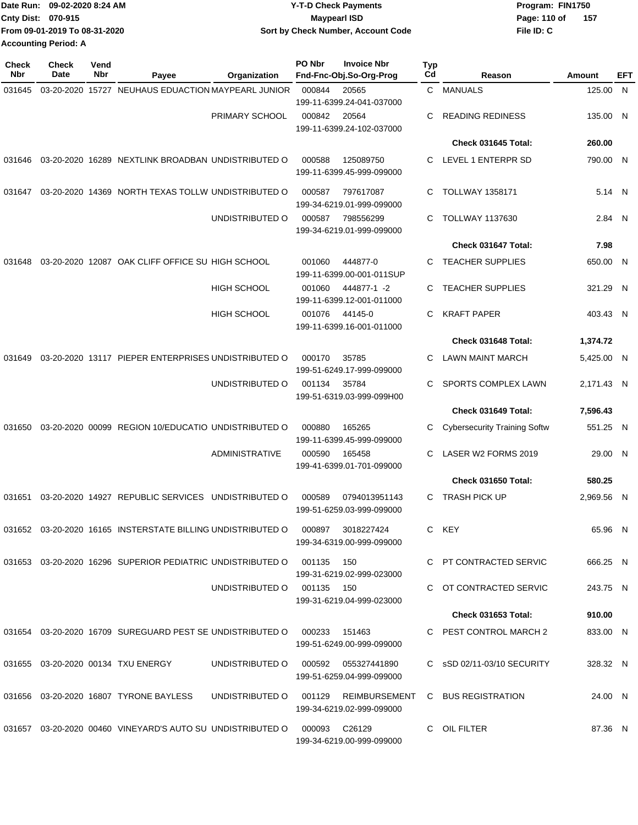| Date Run: 09-02-2020 8:24 AM |                               | <b>Y-T-D Check Payments</b>        | Program: FIN1750    |  |  |  |
|------------------------------|-------------------------------|------------------------------------|---------------------|--|--|--|
| <b>Cnty Dist: 070-915</b>    |                               | <b>Mavpearl ISD</b>                | 157<br>Page: 110 of |  |  |  |
|                              | From 09-01-2019 To 08-31-2020 | Sort by Check Number, Account Code | File ID: C          |  |  |  |
| <b>Accounting Period: A</b>  |                               |                                    |                     |  |  |  |

| <b>Check</b><br>Nbr | Check<br>Date | Vend<br>Nbr | Payee                                                       | Organization                        | PO Nbr        | <b>Invoice Nbr</b><br>Fnd-Fnc-Obj.So-Org-Prog   | Typ<br>Cd | Reason                                                  | Amount     | <b>EFT</b> |
|---------------------|---------------|-------------|-------------------------------------------------------------|-------------------------------------|---------------|-------------------------------------------------|-----------|---------------------------------------------------------|------------|------------|
| 031645              |               |             | 03-20-2020 15727 NEUHAUS EDUACTION MAYPEARL JUNIOR          |                                     | 000844        | 20565<br>199-11-6399.24-041-037000              | C.        | MANUALS                                                 | 125.00     | - N        |
|                     |               |             |                                                             | PRIMARY SCHOOL                      | 000842        | 20564<br>199-11-6399.24-102-037000              | С         | <b>READING REDINESS</b>                                 | 135.00 N   |            |
|                     |               |             |                                                             |                                     |               |                                                 |           | Check 031645 Total:                                     | 260.00     |            |
| 031646              |               |             | 03-20-2020 16289 NEXTLINK BROADBAN UNDISTRIBUTED O          |                                     | 000588        | 125089750<br>199-11-6399.45-999-099000          | C.        | LEVEL 1 ENTERPR SD                                      | 790.00 N   |            |
| 031647              |               |             | 03-20-2020 14369 NORTH TEXAS TOLLW UNDISTRIBUTED O          |                                     | 000587        | 797617087<br>199-34-6219.01-999-099000          | С         | <b>TOLLWAY 1358171</b>                                  | 5.14 N     |            |
|                     |               |             |                                                             | UNDISTRIBUTED O                     | 000587        | 798556299<br>199-34-6219.01-999-099000          | С         | <b>TOLLWAY 1137630</b>                                  | 2.84 N     |            |
|                     |               |             |                                                             |                                     |               |                                                 |           | Check 031647 Total:                                     | 7.98       |            |
| 031648              |               |             | 03-20-2020 12087 OAK CLIFF OFFICE SU HIGH SCHOOL            |                                     | 001060        | 444877-0<br>199-11-6399.00-001-011SUP           | С         | <b>TEACHER SUPPLIES</b>                                 | 650.00 N   |            |
|                     |               |             |                                                             | <b>HIGH SCHOOL</b>                  | 001060        | 444877-1 -2<br>199-11-6399.12-001-011000        | С         | <b>TEACHER SUPPLIES</b>                                 | 321.29 N   |            |
|                     |               |             |                                                             | <b>HIGH SCHOOL</b>                  | 001076        | 44145-0<br>199-11-6399.16-001-011000            | С         | <b>KRAFT PAPER</b>                                      | 403.43 N   |            |
|                     |               |             |                                                             |                                     |               |                                                 |           | Check 031648 Total:                                     | 1,374.72   |            |
| 031649              |               |             | 03-20-2020 13117 PIEPER ENTERPRISES UNDISTRIBUTED O         |                                     | 000170        | 35785<br>199-51-6249.17-999-099000              | С         | <b>LAWN MAINT MARCH</b>                                 | 5,425.00 N |            |
|                     |               |             |                                                             | UNDISTRIBUTED O                     | 001134        | 35784<br>199-51-6319.03-999-099H00              | С         | SPORTS COMPLEX LAWN                                     | 2,171.43 N |            |
|                     |               |             |                                                             |                                     |               |                                                 |           | Check 031649 Total:                                     | 7,596.43   |            |
| 031650              |               |             | 03-20-2020 00099 REGION 10/EDUCATIO UNDISTRIBUTED O         |                                     | 000880        | 165265<br>199-11-6399.45-999-099000             | С         | <b>Cybersecurity Training Softw</b>                     | 551.25 N   |            |
|                     |               |             |                                                             | ADMINISTRATIVE                      | 000590        | 165458<br>199-41-6399.01-701-099000             | С         | LASER W2 FORMS 2019                                     | 29.00 N    |            |
|                     |               |             |                                                             |                                     |               |                                                 |           | Check 031650 Total:                                     | 580.25     |            |
| 031651              |               |             | 03-20-2020 14927 REPUBLIC SERVICES UNDISTRIBUTED O          |                                     | 000589        | 0794013951143<br>199-51-6259.03-999-099000      | C.        | <b>TRASH PICK UP</b>                                    | 2,969.56 N |            |
|                     |               |             | 031652 03-20-2020 16165 INSTERSTATE BILLING UNDISTRIBUTED O |                                     |               | 000897  3018227424<br>199-34-6319.00-999-099000 |           | C KEY                                                   | 65.96 N    |            |
|                     |               |             | 031653 03-20-2020 16296 SUPERIOR PEDIATRIC UNDISTRIBUTED O  |                                     | 001135        | 150<br>199-31-6219.02-999-023000                |           | C PT CONTRACTED SERVIC                                  | 666.25 N   |            |
|                     |               |             |                                                             | UNDISTRIBUTED O 001135 150          |               | 199-31-6219.04-999-023000                       |           | C OT CONTRACTED SERVIC                                  | 243.75 N   |            |
|                     |               |             |                                                             |                                     |               |                                                 |           | <b>Check 031653 Total:</b>                              | 910.00     |            |
|                     |               |             | 031654 03-20-2020 16709 SUREGUARD PEST SE UNDISTRIBUTED O   |                                     | 000233 151463 | 199-51-6249.00-999-099000                       |           | C PEST CONTROL MARCH 2                                  | 833.00 N   |            |
|                     |               |             | 031655 03-20-2020 00134 TXU ENERGY                          | UNDISTRIBUTED O 000592 055327441890 |               | 199-51-6259.04-999-099000                       |           | C sSD 02/11-03/10 SECURITY                              | 328.32 N   |            |
|                     |               |             | 031656 03-20-2020 16807 TYRONE BAYLESS                      |                                     |               | 199-34-6219.02-999-099000                       |           | UNDISTRIBUTED O 001129 REIMBURSEMENT C BUS REGISTRATION | 24.00 N    |            |
|                     |               |             | 031657 03-20-2020 00460 VINEYARD'S AUTO SU UNDISTRIBUTED O  |                                     | 000093 C26129 | 199-34-6219.00-999-099000                       |           | C OIL FILTER                                            | 87.36 N    |            |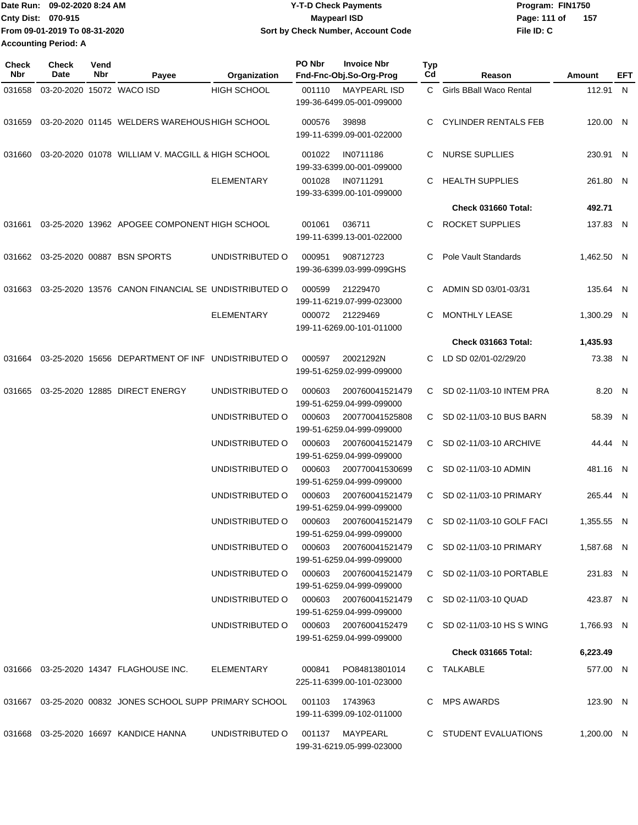| 1Date Run: 09-02-2020 8:24 AM | <b>Y-T-D Check Payments</b>        | Program: FIN1750 |     |
|-------------------------------|------------------------------------|------------------|-----|
| <b>Cnty Dist: 070-915</b>     | <b>Mavpearl ISD</b>                | Page: 111 of     | 157 |
| From 09-01-2019 To 08-31-2020 | Sort by Check Number, Account Code | File ID: C       |     |
| Accounting Period: A          |                                    |                  |     |

| <b>Check</b><br>Nbr | <b>Check</b><br>Date      | Vend<br>Nbr | Payee                                                | Organization                       | PO Nbr | <b>Invoice Nbr</b><br>Fnd-Fnc-Obj.So-Org-Prog                          | <b>Typ</b><br>Cd | Reason                                                | Amount               | EFT |
|---------------------|---------------------------|-------------|------------------------------------------------------|------------------------------------|--------|------------------------------------------------------------------------|------------------|-------------------------------------------------------|----------------------|-----|
| 031658              | 03-20-2020 15072 WACO ISD |             |                                                      | HIGH SCHOOL                        | 001110 | <b>MAYPEARL ISD</b><br>199-36-6499.05-001-099000                       | C.               | Girls BBall Waco Rental                               | 112.91 N             |     |
|                     |                           |             | 031659 03-20-2020 01145 WELDERS WAREHOUS HIGH SCHOOL |                                    | 000576 | 39898<br>199-11-6399.09-001-022000                                     | C                | <b>CYLINDER RENTALS FEB</b>                           | 120.00 N             |     |
| 031660              |                           |             | 03-20-2020 01078 WILLIAM V. MACGILL & HIGH SCHOOL    |                                    | 001022 | IN0711186<br>199-33-6399.00-001-099000                                 | C                | <b>NURSE SUPLLIES</b>                                 | 230.91 N             |     |
|                     |                           |             |                                                      | <b>ELEMENTARY</b>                  | 001028 | IN0711291<br>199-33-6399.00-101-099000                                 | C.               | <b>HEALTH SUPPLIES</b>                                | 261.80 N             |     |
|                     |                           |             |                                                      |                                    |        |                                                                        |                  | Check 031660 Total:                                   | 492.71               |     |
| 031661              |                           |             | 03-25-2020 13962 APOGEE COMPONENT HIGH SCHOOL        |                                    | 001061 | 036711<br>199-11-6399.13-001-022000                                    | C                | <b>ROCKET SUPPLIES</b>                                | 137.83 N             |     |
|                     |                           |             | 031662 03-25-2020 00887 BSN SPORTS                   | UNDISTRIBUTED O                    | 000951 | 908712723<br>199-36-6399.03-999-099GHS                                 | C                | Pole Vault Standards                                  | 1,462.50 N           |     |
| 031663              |                           |             | 03-25-2020 13576 CANON FINANCIAL SE UNDISTRIBUTED O  |                                    | 000599 | 21229470<br>199-11-6219.07-999-023000                                  | C                | ADMIN SD 03/01-03/31                                  | 135.64 N             |     |
|                     |                           |             |                                                      | <b>ELEMENTARY</b>                  | 000072 | 21229469<br>199-11-6269.00-101-011000                                  | C                | MONTHLY LEASE                                         | 1.300.29 N           |     |
|                     |                           |             |                                                      |                                    |        |                                                                        |                  | Check 031663 Total:                                   | 1,435.93             |     |
| 031664              |                           |             | 03-25-2020 15656 DEPARTMENT OF INF UNDISTRIBUTED O   |                                    | 000597 | 20021292N<br>199-51-6259.02-999-099000                                 | C                | LD SD 02/01-02/29/20                                  | 73.38 N              |     |
| 031665              |                           |             | 03-25-2020 12885 DIRECT ENERGY                       | UNDISTRIBUTED O                    | 000603 | 200760041521479<br>199-51-6259.04-999-099000                           | С                | SD 02-11/03-10 INTEM PRA                              | 8.20 N               |     |
|                     |                           |             |                                                      | UNDISTRIBUTED O                    | 000603 | 200770041525808<br>199-51-6259.04-999-099000                           | C.               | SD 02-11/03-10 BUS BARN                               | 58.39 N              |     |
|                     |                           |             |                                                      | UNDISTRIBUTED O                    | 000603 | 200760041521479<br>199-51-6259.04-999-099000                           |                  | C SD 02-11/03-10 ARCHIVE                              | 44.44 N              |     |
|                     |                           |             |                                                      | UNDISTRIBUTED O                    | 000603 | 200770041530699<br>199-51-6259.04-999-099000                           | C.               | SD 02-11/03-10 ADMIN                                  | 481.16 N             |     |
|                     |                           |             |                                                      | UNDISTRIBUTED O                    | 000603 | 200760041521479<br>199-51-6259.04-999-099000                           |                  | C SD 02-11/03-10 PRIMARY                              | 265.44 N             |     |
|                     |                           |             |                                                      | UNDISTRIBUTED O                    | 000603 | 200760041521479<br>199-51-6259.04-999-099000                           | C.               | SD 02-11/03-10 GOLF FACI                              | 1,355.55 N           |     |
|                     |                           |             |                                                      | UNDISTRIBUTED O<br>UNDISTRIBUTED O | 000603 | 200760041521479<br>199-51-6259.04-999-099000                           |                  | C SD 02-11/03-10 PRIMARY<br>C SD 02-11/03-10 PORTABLE | 1,587.68 N           |     |
|                     |                           |             |                                                      | UNDISTRIBUTED O                    | 000603 | 000603 200760041521479<br>199-51-6259.04-999-099000<br>200760041521479 |                  | C SD 02-11/03-10 QUAD                                 | 231.83 N<br>423.87 N |     |
|                     |                           |             |                                                      | UNDISTRIBUTED O                    | 000603 | 199-51-6259.04-999-099000<br>20076004152479                            |                  | C SD 02-11/03-10 HS S WING                            | 1,766.93 N           |     |
|                     |                           |             |                                                      |                                    |        | 199-51-6259.04-999-099000                                              |                  | <b>Check 031665 Total:</b>                            | 6,223.49             |     |
|                     |                           |             |                                                      |                                    |        |                                                                        |                  |                                                       |                      |     |
|                     |                           |             | 031666 03-25-2020 14347 FLAGHOUSE INC.               | ELEMENTARY                         | 000841 | PO84813801014<br>225-11-6399.00-101-023000                             |                  | C TALKABLE                                            | 577.00 N             |     |
|                     |                           |             |                                                      |                                    |        | 001103 1743963<br>199-11-6399.09-102-011000                            |                  | C MPS AWARDS                                          | 123.90 N             |     |
|                     |                           |             | 031668 03-25-2020 16697 KANDICE HANNA                | UNDISTRIBUTED O                    |        | 001137 MAYPEARL<br>199-31-6219.05-999-023000                           |                  | C STUDENT EVALUATIONS                                 | 1,200.00 N           |     |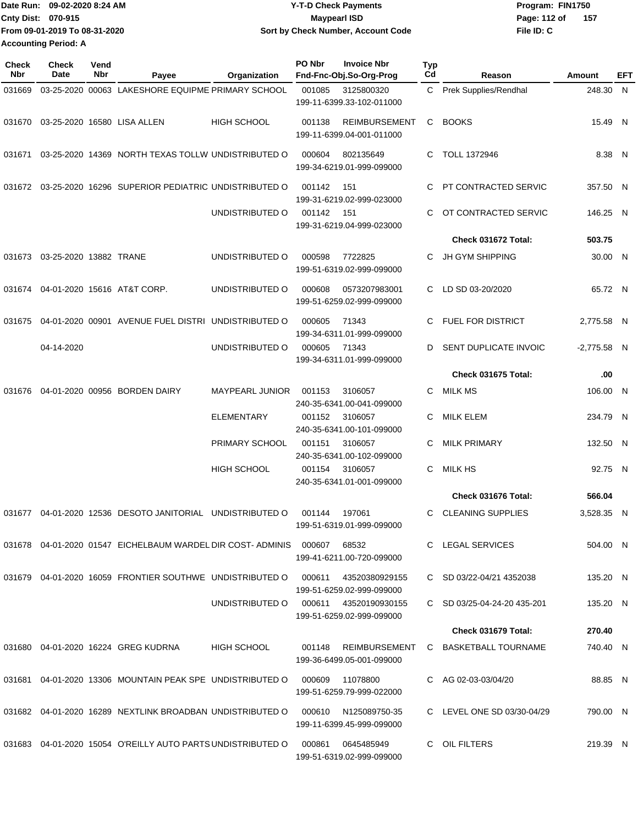| IDate Run: 09-02-2020 8:24 AM | <b>Y-T-D Check Payments</b>        | Program: FIN1750    |  |  |  |
|-------------------------------|------------------------------------|---------------------|--|--|--|
| Cntv Dist: 070-915            | <b>Mavpearl ISD</b>                | Page: 112 of<br>157 |  |  |  |
| From 09-01-2019 To 08-31-2020 | Sort by Check Number, Account Code | File ID: C          |  |  |  |
| <b>Accounting Period: A</b>   |                                    |                     |  |  |  |

| <b>Check</b><br>Nbr | <b>Check</b><br>Date             | Vend<br><b>Nbr</b> | Payee                                                          | Organization       | PO Nbr | <b>Invoice Nbr</b><br>Fnd-Fnc-Obj.So-Org-Prog      | <b>Typ</b><br>Cd | Reason                       | Amount        | EFT |
|---------------------|----------------------------------|--------------------|----------------------------------------------------------------|--------------------|--------|----------------------------------------------------|------------------|------------------------------|---------------|-----|
| 031669              |                                  |                    | 03-25-2020 00063 LAKESHORE EQUIPME PRIMARY SCHOOL              |                    | 001085 | 3125800320<br>199-11-6399.33-102-011000            |                  | C Prek Supplies/Rendhal      | 248.30 N      |     |
|                     |                                  |                    | 031670  03-25-2020  16580  LISA ALLEN                          | <b>HIGH SCHOOL</b> | 001138 | <b>REIMBURSEMENT</b><br>199-11-6399.04-001-011000  | C.               | <b>BOOKS</b>                 | 15.49 N       |     |
| 031671              |                                  |                    | 03-25-2020 14369 NORTH TEXAS TOLLW UNDISTRIBUTED O             |                    | 000604 | 802135649<br>199-34-6219.01-999-099000             | C.               | TOLL 1372946                 | 8.38 N        |     |
| 031672              |                                  |                    | 03-25-2020 16296 SUPERIOR PEDIATRIC UNDISTRIBUTED O            |                    | 001142 | 151<br>199-31-6219.02-999-023000                   | C.               | PT CONTRACTED SERVIC         | 357.50 N      |     |
|                     |                                  |                    |                                                                | UNDISTRIBUTED O    | 001142 | 151<br>199-31-6219.04-999-023000                   | C                | OT CONTRACTED SERVIC         | 146.25 N      |     |
|                     |                                  |                    |                                                                |                    |        |                                                    |                  | Check 031672 Total:          | 503.75        |     |
|                     | 031673  03-25-2020  13882  TRANE |                    |                                                                | UNDISTRIBUTED O    | 000598 | 7722825<br>199-51-6319.02-999-099000               | C                | <b>JH GYM SHIPPING</b>       | 30.00 N       |     |
| 031674              |                                  |                    | 04-01-2020 15616 AT&T CORP.                                    | UNDISTRIBUTED O    | 000608 | 0573207983001<br>199-51-6259.02-999-099000         | C.               | LD SD 03-20/2020             | 65.72 N       |     |
| 031675              |                                  |                    | 04-01-2020 00901 AVENUE FUEL DISTRI UNDISTRIBUTED O            |                    | 000605 | 71343<br>199-34-6311.01-999-099000                 | C                | <b>FUEL FOR DISTRICT</b>     | 2,775.58 N    |     |
|                     | 04-14-2020                       |                    |                                                                | UNDISTRIBUTED O    | 000605 | 71343<br>199-34-6311.01-999-099000                 | D                | <b>SENT DUPLICATE INVOIC</b> | $-2,775.58$ N |     |
|                     |                                  |                    |                                                                |                    |        |                                                    |                  | Check 031675 Total:          | .00           |     |
| 031676              |                                  |                    | 04-01-2020 00956 BORDEN DAIRY                                  | MAYPEARL JUNIOR    | 001153 | 3106057<br>240-35-6341.00-041-099000               | C                | <b>MILK MS</b>               | 106.00 N      |     |
|                     |                                  |                    |                                                                | <b>ELEMENTARY</b>  | 001152 | 3106057<br>240-35-6341.00-101-099000               | C                | <b>MILK ELEM</b>             | 234.79 N      |     |
|                     |                                  |                    |                                                                | PRIMARY SCHOOL     | 001151 | 3106057<br>240-35-6341.00-102-099000               | C                | <b>MILK PRIMARY</b>          | 132.50 N      |     |
|                     |                                  |                    |                                                                | <b>HIGH SCHOOL</b> | 001154 | 3106057<br>240-35-6341.01-001-099000               | C                | <b>MILK HS</b>               | 92.75 N       |     |
|                     |                                  |                    |                                                                |                    |        |                                                    |                  | Check 031676 Total:          | 566.04        |     |
| 031677              |                                  |                    | 04-01-2020 12536 DESOTO JANITORIAL UNDISTRIBUTED O             |                    | 001144 | 197061<br>199-51-6319.01-999-099000                | C.               | <b>CLEANING SUPPLIES</b>     | 3,528.35 N    |     |
|                     |                                  |                    | 031678 04-01-2020 01547 EICHELBAUM WARDEL DIR COST-ADMINIS     |                    | 000607 | 68532<br>199-41-6211.00-720-099000                 |                  | C LEGAL SERVICES             | 504.00 N      |     |
|                     |                                  |                    | 031679 04-01-2020 16059 FRONTIER SOUTHWE UNDISTRIBUTED O       |                    | 000611 | 43520380929155<br>199-51-6259.02-999-099000        |                  | C SD 03/22-04/21 4352038     | 135.20 N      |     |
|                     |                                  |                    |                                                                | UNDISTRIBUTED O    |        | 000611 43520190930155<br>199-51-6259.02-999-099000 |                  | C SD 03/25-04-24-20 435-201  | 135.20 N      |     |
|                     |                                  |                    |                                                                |                    |        |                                                    |                  | Check 031679 Total:          | 270.40        |     |
|                     |                                  |                    | 031680  04-01-2020  16224  GREG KUDRNA                         | <b>HIGH SCHOOL</b> | 001148 | REIMBURSEMENT<br>199-36-6499.05-001-099000         |                  | C BASKETBALL TOURNAME        | 740.40 N      |     |
|                     |                                  |                    | 031681  04-01-2020  13306  MOUNTAIN PEAK SPE UNDISTRIBUTED O   |                    | 000609 | 11078800<br>199-51-6259.79-999-022000              |                  | C AG 02-03-03/04/20          | 88.85 N       |     |
|                     |                                  |                    | 031682 04-01-2020 16289 NEXTLINK BROADBAN UNDISTRIBUTED O      |                    | 000610 | N125089750-35<br>199-11-6399.45-999-099000         |                  | C LEVEL ONE SD 03/30-04/29   | 790.00 N      |     |
|                     |                                  |                    | 031683  04-01-2020  15054  O'REILLY AUTO PARTS UNDISTRIBUTED O |                    | 000861 | 0645485949<br>199-51-6319.02-999-099000            | C.               | OIL FILTERS                  | 219.39 N      |     |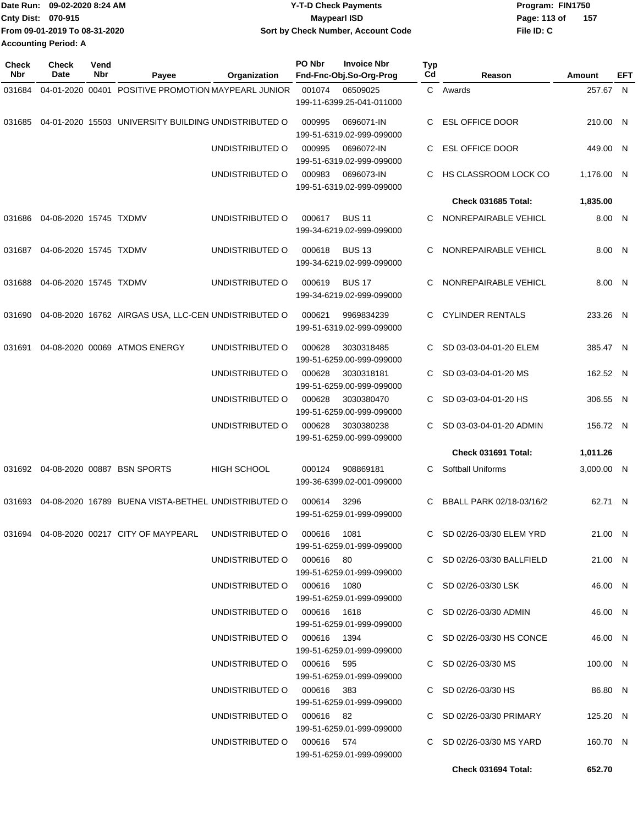| IDate Run: 09-02-2020 8:24 AM |                               | <b>Y-T-D Check Payments</b>        | Program: FIN1750    |  |  |  |
|-------------------------------|-------------------------------|------------------------------------|---------------------|--|--|--|
| <b>Cnty Dist: 070-915</b>     |                               | <b>Mavpearl ISD</b>                | 157<br>Page: 113 of |  |  |  |
|                               | From 09-01-2019 To 08-31-2020 | Sort by Check Number, Account Code | File ID: C          |  |  |  |
| <b>Accounting Period: A</b>   |                               |                                    |                     |  |  |  |

| Check<br>Nbr | <b>Check</b><br>Date   | Vend<br>Nbr | Payee                                                | Organization                                            | PO Nbr                                  | <b>Invoice Nbr</b><br>Fnd-Fnc-Obj.So-Org-Prog | Typ<br>Cd               | Reason                                          | Amount              | EFT |
|--------------|------------------------|-------------|------------------------------------------------------|---------------------------------------------------------|-----------------------------------------|-----------------------------------------------|-------------------------|-------------------------------------------------|---------------------|-----|
| 031684       |                        |             | 04-01-2020 00401 POSITIVE PROMOTION MAYPEARL JUNIOR  |                                                         | 001074                                  | 06509025                                      |                         | C Awards                                        | 257.67 N            |     |
|              |                        |             |                                                      |                                                         |                                         | 199-11-6399.25-041-011000                     |                         |                                                 |                     |     |
| 031685       |                        |             | 04-01-2020 15503 UNIVERSITY BUILDING UNDISTRIBUTED O |                                                         | 000995                                  | 0696071-IN<br>199-51-6319.02-999-099000       | С                       | <b>ESL OFFICE DOOR</b>                          | 210.00 N            |     |
|              |                        |             |                                                      | UNDISTRIBUTED O                                         | 000995                                  | 0696072-IN<br>199-51-6319.02-999-099000       | С                       | <b>ESL OFFICE DOOR</b>                          | 449.00 N            |     |
|              |                        |             |                                                      | UNDISTRIBUTED O                                         | 000983                                  | 0696073-IN<br>199-51-6319.02-999-099000       |                         | C HS CLASSROOM LOCK CO                          | 1,176.00 N          |     |
|              |                        |             |                                                      |                                                         |                                         |                                               |                         | Check 031685 Total:                             | 1,835.00            |     |
| 031686       | 04-06-2020 15745 TXDMV |             |                                                      | UNDISTRIBUTED O                                         | 000617                                  | <b>BUS 11</b><br>199-34-6219.02-999-099000    | С                       | NONREPAIRABLE VEHICL                            | 8.00 N              |     |
| 031687       | 04-06-2020 15745 TXDMV |             |                                                      | UNDISTRIBUTED O                                         | 000618                                  | <b>BUS 13</b><br>199-34-6219.02-999-099000    | C                       | NONREPAIRABLE VEHICL                            | 8.00 N              |     |
| 031688       | 04-06-2020 15745 TXDMV |             |                                                      | UNDISTRIBUTED O                                         | 000619                                  | <b>BUS 17</b><br>199-34-6219.02-999-099000    | С                       | NONREPAIRABLE VEHICL                            | 8.00 N              |     |
| 031690       |                        |             | 04-08-2020 16762 AIRGAS USA, LLC-CEN UNDISTRIBUTED O |                                                         | 000621                                  | 9969834239<br>199-51-6319.02-999-099000       | C.                      | <b>CYLINDER RENTALS</b>                         | 233.26 N            |     |
| 031691       |                        |             | 04-08-2020 00069 ATMOS ENERGY                        | UNDISTRIBUTED O                                         | 000628                                  | 3030318485<br>199-51-6259.00-999-099000       | С                       | SD 03-03-04-01-20 ELEM                          | 385.47 N            |     |
|              |                        |             |                                                      | UNDISTRIBUTED O                                         | 000628                                  | 3030318181<br>199-51-6259.00-999-099000       | С                       | SD 03-03-04-01-20 MS                            | 162.52 N            |     |
|              |                        |             |                                                      | UNDISTRIBUTED O                                         | 000628                                  | 3030380470<br>199-51-6259.00-999-099000       | C.                      | SD 03-03-04-01-20 HS                            | 306.55 N            |     |
|              |                        |             | UNDISTRIBUTED O                                      | 000628                                                  | 3030380238<br>199-51-6259.00-999-099000 | C                                             | SD 03-03-04-01-20 ADMIN | 156.72 N                                        |                     |     |
|              |                        |             |                                                      |                                                         |                                         |                                               |                         | Check 031691 Total:                             | 1,011.26            |     |
|              |                        |             | 031692 04-08-2020 00887 BSN SPORTS                   | <b>HIGH SCHOOL</b>                                      | 000124                                  | 908869181<br>199-36-6399.02-001-099000        | С                       | Softball Uniforms                               | 3,000.00 N          |     |
| 031693       |                        |             | 04-08-2020 16789 BUENA VISTA-BETHEL UNDISTRIBUTED O  |                                                         | 000614                                  | 3296<br>199-51-6259.01-999-099000             | С                       | BBALL PARK 02/18-03/16/2                        | 62.71 N             |     |
|              |                        |             | 031694  04-08-2020  00217  CITY OF MAYPEARL          | UNDISTRIBUTED O 000616 1081                             |                                         | 199-51-6259.01-999-099000                     |                         | C SD 02/26-03/30 ELEM YRD                       | 21.00 N             |     |
|              |                        |             |                                                      | UNDISTRIBUTED O 000616 80                               |                                         | 199-51-6259.01-999-099000                     |                         | C SD 02/26-03/30 BALLFIELD                      | 21.00 N             |     |
|              |                        |             |                                                      | UNDISTRIBUTED O 000616 1080                             |                                         | 199-51-6259.01-999-099000                     |                         | C SD 02/26-03/30 LSK                            | 46.00 N             |     |
|              |                        |             |                                                      | UNDISTRIBUTED O 000616 1618                             |                                         | 199-51-6259.01-999-099000                     |                         | C SD 02/26-03/30 ADMIN                          | 46.00 N             |     |
|              |                        |             |                                                      | UNDISTRIBUTED O 000616 1394                             |                                         | 199-51-6259.01-999-099000                     |                         | C SD 02/26-03/30 HS CONCE                       | 46.00 N             |     |
|              |                        |             |                                                      | UNDISTRIBUTED O 000616 595                              |                                         | 199-51-6259.01-999-099000                     |                         | $C$ SD 02/26-03/30 MS                           | 100.00 N            |     |
|              |                        |             |                                                      | UNDISTRIBUTED O 000616 383<br>UNDISTRIBUTED O 000616 82 |                                         | 199-51-6259.01-999-099000                     |                         | C SD 02/26-03/30 HS<br>C SD 02/26-03/30 PRIMARY | 86.80 N<br>125.20 N |     |
|              |                        |             |                                                      | UNDISTRIBUTED O 000616 574                              |                                         | 199-51-6259.01-999-099000                     |                         | C SD 02/26-03/30 MS YARD                        | 160.70 N            |     |
|              |                        |             |                                                      |                                                         |                                         | 199-51-6259.01-999-099000                     |                         |                                                 |                     |     |
|              |                        |             |                                                      |                                                         |                                         |                                               |                         | Check 031694 Total:                             | 652.70              |     |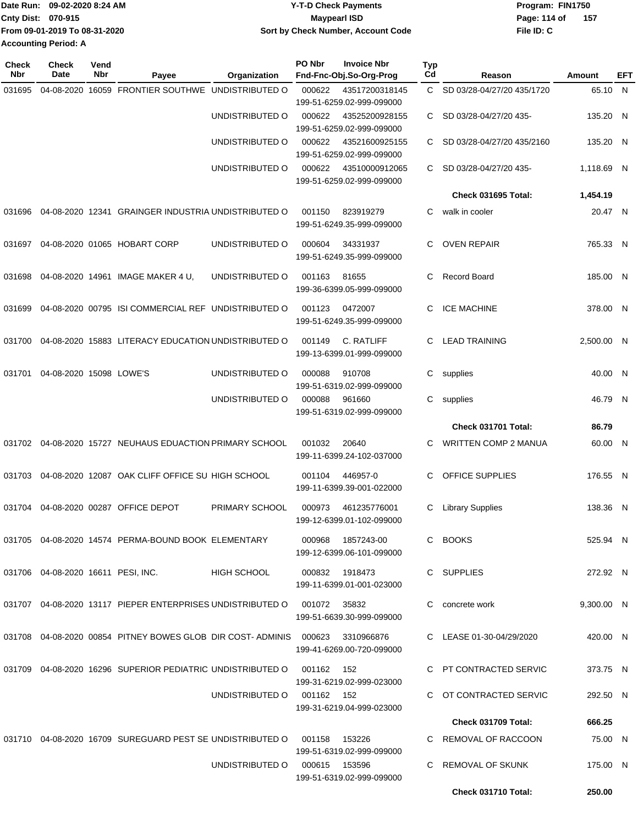| Date Run: 09-02-2020 8:24 AM |                               | Y-T-D Check Payments               | Program: FIN1750      |  |  |  |
|------------------------------|-------------------------------|------------------------------------|-----------------------|--|--|--|
| <b>Cnty Dist: 070-915</b>    |                               | <b>Mavpearl ISD</b>                | - 157<br>Page: 114 of |  |  |  |
|                              | From 09-01-2019 To 08-31-2020 | Sort by Check Number, Account Code | File ID: C            |  |  |  |
| <b>Accounting Period: A</b>  |                               |                                    |                       |  |  |  |

| <b>Check</b><br>Nbr | <b>Check</b><br><b>Date</b>           | Vend<br>Nbr | Payee                                                                        | Organization                  | PO Nbr     | <b>Invoice Nbr</b><br>Fnd-Fnc-Obj.So-Org-Prog  | Typ<br>Cd | Reason                      | Amount     | EFT |
|---------------------|---------------------------------------|-------------|------------------------------------------------------------------------------|-------------------------------|------------|------------------------------------------------|-----------|-----------------------------|------------|-----|
| 031695              | 04-08-2020                            |             | 16059 FRONTIER SOUTHWE UNDISTRIBUTED O                                       |                               | 000622     | 43517200318145                                 | C.        | SD 03/28-04/27/20 435/1720  | 65.10 N    |     |
|                     |                                       |             |                                                                              |                               |            | 199-51-6259.02-999-099000                      |           |                             |            |     |
|                     |                                       |             |                                                                              | UNDISTRIBUTED O               | 000622     | 43525200928155<br>199-51-6259.02-999-099000    | С         | SD 03/28-04/27/20 435-      | 135.20 N   |     |
|                     |                                       |             |                                                                              | UNDISTRIBUTED O               | 000622     | 43521600925155<br>199-51-6259.02-999-099000    | C.        | SD 03/28-04/27/20 435/2160  | 135.20 N   |     |
|                     |                                       |             |                                                                              | UNDISTRIBUTED O               | 000622     | 43510000912065<br>199-51-6259.02-999-099000    | С         | SD 03/28-04/27/20 435-      | 1,118.69 N |     |
|                     |                                       |             |                                                                              |                               |            |                                                |           | Check 031695 Total:         | 1,454.19   |     |
| 031696              |                                       |             | 04-08-2020 12341 GRAINGER INDUSTRIA UNDISTRIBUTED O                          |                               | 001150     | 823919279                                      | С         | walk in cooler              | 20.47 N    |     |
|                     |                                       |             |                                                                              |                               |            | 199-51-6249.35-999-099000                      |           |                             |            |     |
|                     |                                       |             | 031697  04-08-2020  01065  HOBART CORP                                       | UNDISTRIBUTED O               | 000604     | 34331937<br>199-51-6249.35-999-099000          | С         | <b>OVEN REPAIR</b>          | 765.33 N   |     |
| 031698              |                                       |             | 04-08-2020 14961 IMAGE MAKER 4 U,                                            | UNDISTRIBUTED O               | 001163     | 81655                                          | С         | <b>Record Board</b>         | 185.00 N   |     |
|                     |                                       |             |                                                                              |                               |            | 199-36-6399.05-999-099000                      |           |                             |            |     |
| 031699              |                                       |             | 04-08-2020 00795 ISI COMMERCIAL REF UNDISTRIBUTED O                          |                               | 001123     | 0472007<br>199-51-6249.35-999-099000           | С         | <b>ICE MACHINE</b>          | 378.00 N   |     |
| 031700              |                                       |             | 04-08-2020 15883 LITERACY EDUCATION UNDISTRIBUTED O                          |                               | 001149     | C. RATLIFF                                     | С         | <b>LEAD TRAINING</b>        | 2,500.00 N |     |
|                     |                                       |             |                                                                              |                               |            | 199-13-6399.01-999-099000                      |           |                             |            |     |
| 031701              | 04-08-2020 15098 LOWE'S               |             |                                                                              | UNDISTRIBUTED O               | 000088     | 910708<br>199-51-6319.02-999-099000            | С         | supplies                    | 40.00 N    |     |
|                     |                                       |             |                                                                              | UNDISTRIBUTED O               | 000088     | 961660                                         | С         | supplies                    | 46.79 N    |     |
|                     |                                       |             |                                                                              |                               |            | 199-51-6319.02-999-099000                      |           |                             |            |     |
|                     |                                       |             |                                                                              |                               |            |                                                |           | Check 031701 Total:         | 86.79      |     |
|                     |                                       |             | 031702 04-08-2020 15727 NEUHAUS EDUACTION PRIMARY SCHOOL                     |                               | 001032     | 20640<br>199-11-6399.24-102-037000             | С         | <b>WRITTEN COMP 2 MANUA</b> | 60.00 N    |     |
| 031703              |                                       |             | 04-08-2020 12087 OAK CLIFF OFFICE SU HIGH SCHOOL                             |                               | 001104     | 446957-0                                       | С         | OFFICE SUPPLIES             | 176.55 N   |     |
|                     |                                       |             |                                                                              |                               |            | 199-11-6399.39-001-022000                      |           |                             |            |     |
|                     |                                       |             | 031704 04-08-2020 00287 OFFICE DEPOT                                         | PRIMARY SCHOOL                | 000973     | 461235776001<br>199-12-6399.01-102-099000      | С         | <b>Library Supplies</b>     | 138.36 N   |     |
|                     |                                       |             |                                                                              |                               |            |                                                |           |                             |            |     |
|                     |                                       |             | 031705  04-08-2020  14574  PERMA-BOUND BOOK  ELEMENTARY                      |                               |            | 000968 1857243-00<br>199-12-6399.06-101-099000 |           | C BOOKS                     | 525.94 N   |     |
|                     | 031706  04-08-2020  16611  PESI, INC. |             |                                                                              | HIGH SCHOOL                   |            | 000832 1918473                                 |           | C SUPPLIES                  | 272.92 N   |     |
|                     |                                       |             |                                                                              |                               |            | 199-11-6399.01-001-023000                      |           |                             |            |     |
|                     |                                       |             | 031707  04-08-2020  13117  PIEPER ENTERPRISES UNDISTRIBUTED O  001072  35832 |                               |            |                                                |           | C concrete work             | 9,300.00 N |     |
|                     |                                       |             |                                                                              |                               |            | 199-51-6639.30-999-099000                      |           |                             |            |     |
|                     |                                       |             | 031708  04-08-2020  00854  PITNEY BOWES GLOB  DIR COST-ADMINIS  000623       |                               |            | 3310966876                                     |           | C LEASE 01-30-04/29/2020    | 420.00 N   |     |
|                     |                                       |             |                                                                              |                               |            | 199-41-6269.00-720-099000                      |           |                             |            |     |
|                     |                                       |             | 031709  04-08-2020  16296  SUPERIOR PEDIATRIC UNDISTRIBUTED   001162  152    |                               |            | 199-31-6219.02-999-023000                      |           | C PT CONTRACTED SERVIC      | 373.75 N   |     |
|                     |                                       |             |                                                                              | UNDISTRIBUTED O               | 001162 152 |                                                |           | C OT CONTRACTED SERVIC      | 292.50 N   |     |
|                     |                                       |             |                                                                              |                               |            | 199-31-6219.04-999-023000                      |           |                             |            |     |
|                     |                                       |             |                                                                              |                               |            |                                                |           | Check 031709 Total:         | 666.25     |     |
|                     |                                       |             | 031710  04-08-2020  16709  SUREGUARD PEST SE UNDISTRIBUTED O  001158         |                               |            | 153226<br>199-51-6319.02-999-099000            |           | C REMOVAL OF RACCOON        | 75.00 N    |     |
|                     |                                       |             |                                                                              | UNDISTRIBUTED O 000615 153596 |            | 199-51-6319.02-999-099000                      |           | C REMOVAL OF SKUNK          | 175.00 N   |     |
|                     |                                       |             |                                                                              |                               |            |                                                |           | Check 031710 Total:         | 250.00     |     |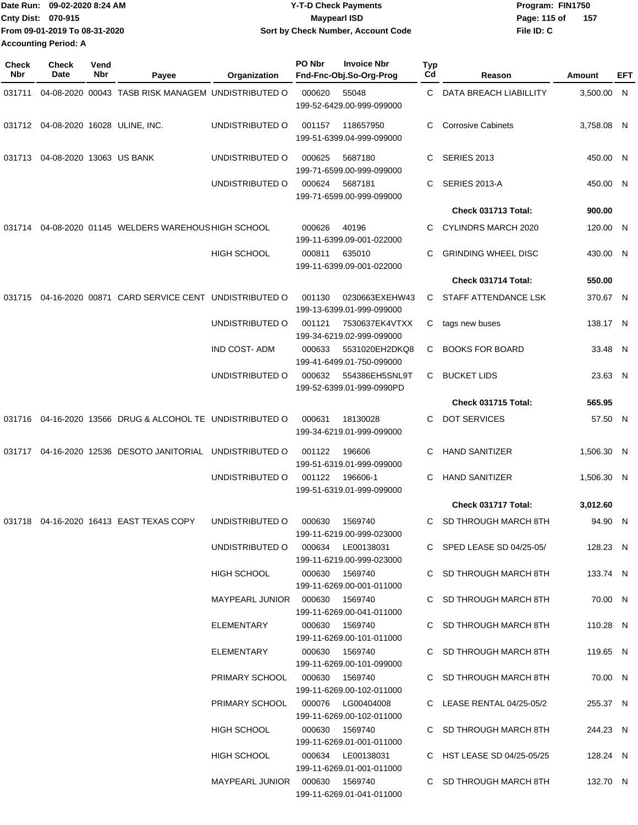|                             | Date Run: 09-02-2020 8:24 AM  | <b>Y-T-D Check Payments</b>        | Program: FIN1750      |
|-----------------------------|-------------------------------|------------------------------------|-----------------------|
| <b>Cnty Dist: 070-915</b>   |                               | <b>Maypearl ISD</b>                | - 157<br>Page: 115 of |
|                             | From 09-01-2019 To 08-31-2020 | Sort by Check Number, Account Code | File ID: C            |
| <b>Accounting Period: A</b> |                               |                                    |                       |

| <b>Check</b><br>Nbr | <b>Check</b><br>Date            | Vend<br>Nbr | Payee                                                        | Organization                     | PO Nbr | <b>Invoice Nbr</b><br>Fnd-Fnc-Obj.So-Org-Prog  | Typ<br>Cd | Reason                     | Amount     | EFT |
|---------------------|---------------------------------|-------------|--------------------------------------------------------------|----------------------------------|--------|------------------------------------------------|-----------|----------------------------|------------|-----|
| 031711              |                                 |             | 04-08-2020 00043 TASB RISK MANAGEM UNDISTRIBUTED O           |                                  | 000620 | 55048<br>199-52-6429.00-999-099000             | C         | DATA BREACH LIABILLITY     | 3,500.00 N |     |
|                     |                                 |             | 031712 04-08-2020 16028 ULINE, INC.                          | UNDISTRIBUTED O                  | 001157 | 118657950<br>199-51-6399.04-999-099000         | C         | <b>Corrosive Cabinets</b>  | 3,758.08 N |     |
|                     | 031713 04-08-2020 13063 US BANK |             |                                                              | UNDISTRIBUTED O                  | 000625 | 5687180<br>199-71-6599.00-999-099000           | C         | <b>SERIES 2013</b>         | 450.00 N   |     |
|                     |                                 |             |                                                              | UNDISTRIBUTED O                  | 000624 | 5687181<br>199-71-6599.00-999-099000           | C         | SERIES 2013-A              | 450.00 N   |     |
|                     |                                 |             |                                                              |                                  |        |                                                |           | Check 031713 Total:        | 900.00     |     |
| 031714              |                                 |             | 04-08-2020 01145 WELDERS WAREHOUS HIGH SCHOOL                |                                  | 000626 | 40196<br>199-11-6399.09-001-022000             | C         | CYLINDRS MARCH 2020        | 120.00 N   |     |
|                     |                                 |             |                                                              | <b>HIGH SCHOOL</b>               | 000811 | 635010<br>199-11-6399.09-001-022000            | C         | <b>GRINDING WHEEL DISC</b> | 430.00 N   |     |
|                     |                                 |             |                                                              |                                  |        |                                                |           | Check 031714 Total:        | 550.00     |     |
| 031715              |                                 |             | 04-16-2020 00871 CARD SERVICE CENT UNDISTRIBUTED O           |                                  | 001130 | 0230663EXEHW43<br>199-13-6399.01-999-099000    | C.        | STAFF ATTENDANCE LSK       | 370.67 N   |     |
|                     |                                 |             |                                                              | UNDISTRIBUTED O                  | 001121 | 7530637EK4VTXX<br>199-34-6219.02-999-099000    | C         | tags new buses             | 138.17 N   |     |
|                     |                                 |             |                                                              | <b>IND COST-ADM</b>              | 000633 | 5531020EH2DKQ8<br>199-41-6499.01-750-099000    | C.        | <b>BOOKS FOR BOARD</b>     | 33.48 N    |     |
|                     |                                 |             |                                                              | UNDISTRIBUTED O                  | 000632 | 554386EH5SNL9T<br>199-52-6399.01-999-0990PD    | C         | <b>BUCKET LIDS</b>         | 23.63 N    |     |
|                     |                                 |             |                                                              |                                  |        |                                                |           | Check 031715 Total:        | 565.95     |     |
|                     |                                 |             | 031716  04-16-2020  13566  DRUG & ALCOHOL TE UNDISTRIBUTED O |                                  | 000631 | 18130028<br>199-34-6219.01-999-099000          | C         | <b>DOT SERVICES</b>        | 57.50 N    |     |
| 031717              |                                 |             | 04-16-2020 12536 DESOTO JANITORIAL UNDISTRIBUTED O           |                                  | 001122 | 196606<br>199-51-6319.01-999-099000            | C         | <b>HAND SANITIZER</b>      | 1,506.30 N |     |
|                     |                                 |             |                                                              | UNDISTRIBUTED O                  | 001122 | 196606-1<br>199-51-6319.01-999-099000          | C         | <b>HAND SANITIZER</b>      | 1,506.30 N |     |
|                     |                                 |             |                                                              |                                  |        |                                                |           | Check 031717 Total:        | 3,012.60   |     |
|                     |                                 |             | 031718  04-16-2020  16413  EAST TEXAS COPY                   | UNDISTRIBUTED O                  | 000630 | 1569740<br>199-11-6219.00-999-023000           | C.        | SD THROUGH MARCH 8TH       | 94.90 N    |     |
|                     |                                 |             |                                                              | UNDISTRIBUTED O                  |        | 000634 LE00138031<br>199-11-6219.00-999-023000 |           | C SPED LEASE SD 04/25-05/  | 128.23 N   |     |
|                     |                                 |             |                                                              | HIGH SCHOOL                      |        | 000630 1569740<br>199-11-6269.00-001-011000    |           | C SD THROUGH MARCH 8TH     | 133.74 N   |     |
|                     |                                 |             |                                                              | MAYPEARL JUNIOR  000630  1569740 |        | 199-11-6269.00-041-011000                      |           | C SD THROUGH MARCH 8TH     | 70.00 N    |     |
|                     |                                 |             |                                                              | ELEMENTARY                       |        | 000630 1569740<br>199-11-6269.00-101-011000    |           | C SD THROUGH MARCH 8TH     | 110.28 N   |     |
|                     |                                 |             |                                                              | ELEMENTARY                       |        | 000630 1569740<br>199-11-6269.00-101-099000    |           | C SD THROUGH MARCH 8TH     | 119.65 N   |     |
|                     |                                 |             |                                                              | PRIMARY SCHOOL                   |        | 000630 1569740<br>199-11-6269.00-102-011000    |           | C SD THROUGH MARCH 8TH     | 70.00 N    |     |
|                     |                                 |             |                                                              | PRIMARY SCHOOL                   |        | 000076 LG00404008<br>199-11-6269.00-102-011000 |           | C LEASE RENTAL 04/25-05/2  | 255.37 N   |     |
|                     |                                 |             |                                                              | <b>HIGH SCHOOL</b>               |        | 000630 1569740<br>199-11-6269.01-001-011000    |           | C SD THROUGH MARCH 8TH     | 244.23 N   |     |
|                     |                                 |             |                                                              | HIGH SCHOOL                      |        | 000634 LE00138031<br>199-11-6269.01-001-011000 |           | C HST LEASE SD 04/25-05/25 | 128.24 N   |     |
|                     |                                 |             |                                                              | MAYPEARL JUNIOR  000630  1569740 |        | 199-11-6269.01-041-011000                      |           | C SD THROUGH MARCH 8TH     | 132.70 N   |     |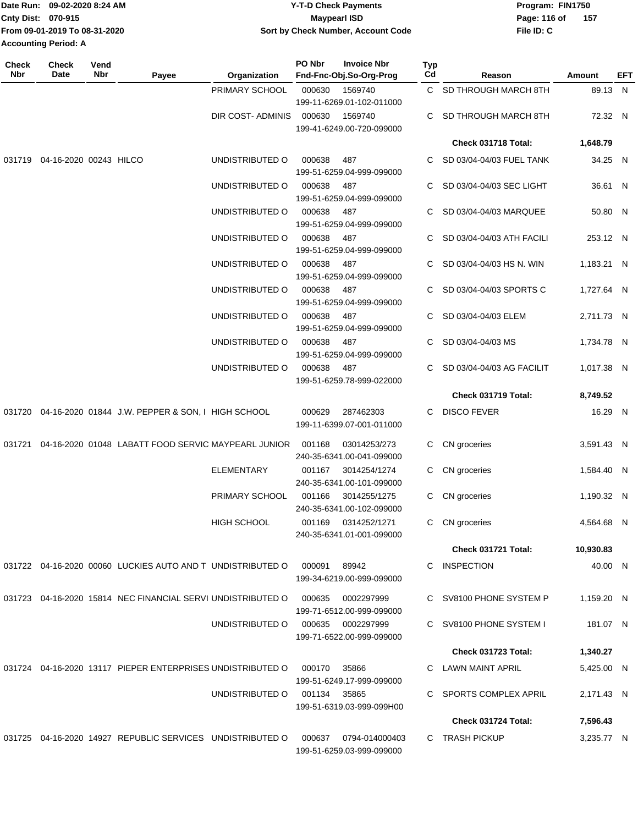|                    | Date Run: 09-02-2020 8:24 AM  | <b>Y-T-D Check Payments</b>        | Program: FIN1750 |     |  |  |  |
|--------------------|-------------------------------|------------------------------------|------------------|-----|--|--|--|
| Cnty Dist: 070-915 |                               | <b>Mavpearl ISD</b>                | Page: 116 of     | 157 |  |  |  |
|                    | From 09-01-2019 To 08-31-2020 | Sort by Check Number, Account Code | File ID: C       |     |  |  |  |
|                    | <b>Accounting Period: A</b>   |                                    |                  |     |  |  |  |
|                    |                               |                                    |                  |     |  |  |  |

| <b>Check</b><br>Nbr | <b>Check</b><br>Date   | Vend<br>Nbr | Payee                                                       | Organization       | PO Nbr       | <b>Invoice Nbr</b><br>Fnd-Fnc-Obj.So-Org-Prog    | Typ<br>Cd | Reason                     | Amount     | <b>EFT</b> |
|---------------------|------------------------|-------------|-------------------------------------------------------------|--------------------|--------------|--------------------------------------------------|-----------|----------------------------|------------|------------|
|                     |                        |             |                                                             | PRIMARY SCHOOL     | 000630       | 1569740<br>199-11-6269.01-102-011000             |           | C SD THROUGH MARCH 8TH     | 89.13 N    |            |
|                     |                        |             |                                                             | DIR COST-ADMINIS   | 000630       | 1569740<br>199-41-6249.00-720-099000             | C         | SD THROUGH MARCH 8TH       | 72.32 N    |            |
|                     |                        |             |                                                             |                    |              |                                                  |           | Check 031718 Total:        | 1,648.79   |            |
| 031719              | 04-16-2020 00243 HILCO |             |                                                             | UNDISTRIBUTED O    | 000638       | 487<br>199-51-6259.04-999-099000                 | C         | SD 03/04-04/03 FUEL TANK   | 34.25 N    |            |
|                     |                        |             |                                                             | UNDISTRIBUTED O    | 000638       | 487<br>199-51-6259.04-999-099000                 | C         | SD 03/04-04/03 SEC LIGHT   | 36.61 N    |            |
|                     |                        |             |                                                             | UNDISTRIBUTED O    | 000638       | 487<br>199-51-6259.04-999-099000                 | C         | SD 03/04-04/03 MARQUEE     | 50.80 N    |            |
|                     |                        |             |                                                             | UNDISTRIBUTED O    | 000638       | 487<br>199-51-6259.04-999-099000                 | C         | SD 03/04-04/03 ATH FACILI  | 253.12 N   |            |
|                     |                        |             |                                                             | UNDISTRIBUTED O    | 000638       | 487<br>199-51-6259.04-999-099000                 | C         | SD 03/04-04/03 HS N. WIN   | 1,183.21 N |            |
|                     |                        |             |                                                             | UNDISTRIBUTED O    | 000638       | 487<br>199-51-6259.04-999-099000                 |           | SD 03/04-04/03 SPORTS C    | 1,727.64 N |            |
|                     |                        |             |                                                             | UNDISTRIBUTED O    | 000638       | 487<br>199-51-6259.04-999-099000                 |           | SD 03/04-04/03 ELEM        | 2,711.73 N |            |
|                     |                        |             |                                                             | UNDISTRIBUTED O    | 000638       | 487<br>199-51-6259.04-999-099000                 | C         | SD 03/04-04/03 MS          | 1,734.78 N |            |
|                     |                        |             |                                                             | UNDISTRIBUTED O    | 000638       | 487<br>199-51-6259.78-999-022000                 |           | SD 03/04-04/03 AG FACILIT  | 1,017.38 N |            |
|                     |                        |             |                                                             |                    |              |                                                  |           | Check 031719 Total:        | 8,749.52   |            |
|                     |                        |             | 031720 04-16-2020 01844 J.W. PEPPER & SON, I HIGH SCHOOL    |                    | 000629       | 287462303<br>199-11-6399.07-001-011000           | C         | <b>DISCO FEVER</b>         | 16.29 N    |            |
| 031721              |                        |             | 04-16-2020 01048 LABATT FOOD SERVIC MAYPEARL JUNIOR         |                    | 001168       | 03014253/273<br>240-35-6341.00-041-099000        | C.        | CN groceries               | 3,591.43 N |            |
|                     |                        |             |                                                             | <b>ELEMENTARY</b>  | 001167       | 3014254/1274<br>240-35-6341.00-101-099000        | C.        | CN groceries               | 1,584.40 N |            |
|                     |                        |             |                                                             | PRIMARY SCHOOL     | 001166       | 3014255/1275<br>240-35-6341.00-102-099000        | C.        | CN groceries               | 1,190.32 N |            |
|                     |                        |             |                                                             | <b>HIGH SCHOOL</b> |              | 001169 0314252/1271<br>240-35-6341.01-001-099000 | C.        | CN groceries               | 4,564.68 N |            |
|                     |                        |             |                                                             |                    |              |                                                  |           | Check 031721 Total:        | 10,930.83  |            |
|                     |                        |             | 031722 04-16-2020 00060 LUCKIES AUTO AND T UNDISTRIBUTED O  |                    | 000091       | 89942<br>199-34-6219.00-999-099000               |           | C INSPECTION               | 40.00 N    |            |
|                     |                        |             | 031723 04-16-2020 15814 NEC FINANCIAL SERVI UNDISTRIBUTED O |                    | 000635       | 0002297999<br>199-71-6512.00-999-099000          |           | C SV8100 PHONE SYSTEM P    | 1,159.20 N |            |
|                     |                        |             |                                                             | UNDISTRIBUTED O    |              | 000635 0002297999<br>199-71-6522.00-999-099000   |           | C SV8100 PHONE SYSTEM I    | 181.07 N   |            |
|                     |                        |             |                                                             |                    |              |                                                  |           | <b>Check 031723 Total:</b> | 1,340.27   |            |
|                     |                        |             | 031724 04-16-2020 13117 PIEPER ENTERPRISES UNDISTRIBUTED O  |                    | 000170       | 35866<br>199-51-6249.17-999-099000               |           | C LAWN MAINT APRIL         | 5,425.00 N |            |
|                     |                        |             |                                                             | UNDISTRIBUTED O    | 001134 35865 | 199-51-6319.03-999-099H00                        | C.        | SPORTS COMPLEX APRIL       | 2,171.43 N |            |
|                     |                        |             |                                                             |                    |              |                                                  |           | Check 031724 Total:        | 7,596.43   |            |
|                     |                        |             | 031725 04-16-2020 14927 REPUBLIC SERVICES UNDISTRIBUTED O   |                    | 000637       | 0794-014000403<br>199-51-6259.03-999-099000      |           | C TRASH PICKUP             | 3,235.77 N |            |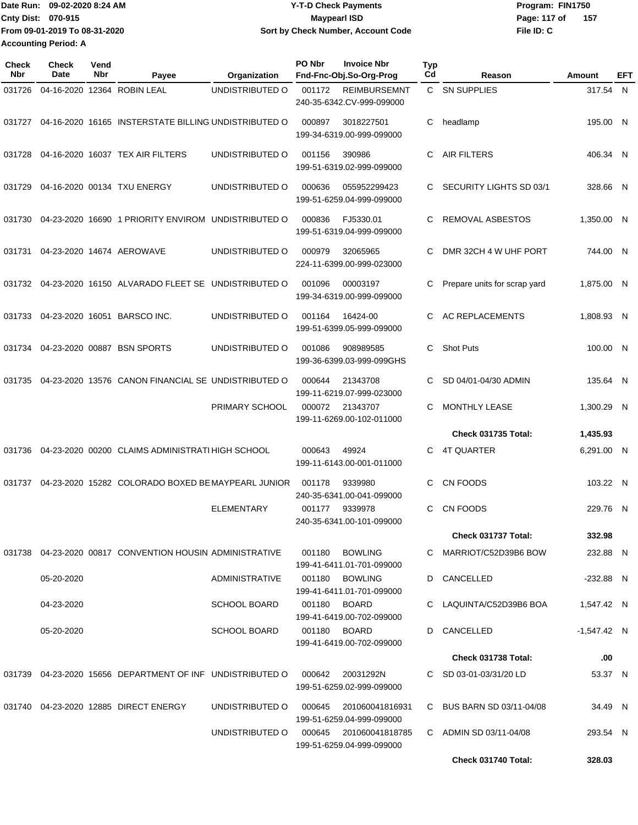Date Run: 09-02-2020 8:24 AM **Date Run:** 09-02-2020 8:24 AM **Program:** FIN1750 **Cnty Dist: 070-915 File ID: C From 09-01-2019 To 08-31-2020 09-02-2020 8:24 AM Y-T-D Check Payments 070-915 Maypearl ISD Sort by Check Number, Account Code** Page: 117 of 157 **Accounting Period: A**

| <b>Check</b><br>Nbr | <b>Check</b><br>Date | Vend<br>Nbr | Payee                                                     | Organization          | PO Nbr | <b>Invoice Nbr</b><br>Fnd-Fnc-Obj.So-Org-Prog       | <b>Typ</b><br>Cd | Reason                       | Amount        | EFT |
|---------------------|----------------------|-------------|-----------------------------------------------------------|-----------------------|--------|-----------------------------------------------------|------------------|------------------------------|---------------|-----|
| 031726              |                      |             | 04-16-2020 12364 ROBIN LEAL                               | UNDISTRIBUTED O       | 001172 | <b>REIMBURSEMNT</b><br>240-35-6342.CV-999-099000    |                  | C SN SUPPLIES                | 317.54 N      |     |
| 031727              |                      |             | 04-16-2020 16165 INSTERSTATE BILLING UNDISTRIBUTED O      |                       | 000897 | 3018227501<br>199-34-6319.00-999-099000             | С                | headlamp                     | 195.00 N      |     |
| 031728              |                      |             | 04-16-2020 16037 TEX AIR FILTERS                          | UNDISTRIBUTED O       | 001156 | 390986<br>199-51-6319.02-999-099000                 | C                | <b>AIR FILTERS</b>           | 406.34 N      |     |
| 031729              |                      |             | 04-16-2020 00134 TXU ENERGY                               | UNDISTRIBUTED O       | 000636 | 055952299423<br>199-51-6259.04-999-099000           | C                | SECURITY LIGHTS SD 03/1      | 328.66 N      |     |
| 031730              |                      |             | 04-23-2020 16690 1 PRIORITY ENVIROM UNDISTRIBUTED O       |                       | 000836 | FJ5330.01<br>199-51-6319.04-999-099000              | C                | REMOVAL ASBESTOS             | 1,350.00 N    |     |
| 031731              |                      |             | 04-23-2020 14674 AEROWAVE                                 | UNDISTRIBUTED O       | 000979 | 32065965<br>224-11-6399.00-999-023000               | C                | DMR 32CH 4 W UHF PORT        | 744.00 N      |     |
| 031732              |                      |             | 04-23-2020 16150 ALVARADO FLEET SE UNDISTRIBUTED O        |                       | 001096 | 00003197<br>199-34-6319.00-999-099000               | C                | Prepare units for scrap yard | 1,875.00 N    |     |
| 031733              |                      |             | 04-23-2020 16051 BARSCO INC.                              | UNDISTRIBUTED O       | 001164 | 16424-00<br>199-51-6399.05-999-099000               | C                | <b>AC REPLACEMENTS</b>       | 1.808.93 N    |     |
| 031734              |                      |             | 04-23-2020 00887 BSN SPORTS                               | UNDISTRIBUTED O       | 001086 | 908989585<br>199-36-6399.03-999-099GHS              | C                | <b>Shot Puts</b>             | 100.00 N      |     |
| 031735              |                      |             | 04-23-2020 13576 CANON FINANCIAL SE UNDISTRIBUTED O       |                       | 000644 | 21343708<br>199-11-6219.07-999-023000               | C.               | SD 04/01-04/30 ADMIN         | 135.64 N      |     |
|                     |                      |             |                                                           | PRIMARY SCHOOL        | 000072 | 21343707<br>199-11-6269.00-102-011000               | C                | <b>MONTHLY LEASE</b>         | 1,300.29 N    |     |
|                     |                      |             |                                                           |                       |        |                                                     |                  | Check 031735 Total:          | 1,435.93      |     |
| 031736              |                      |             | 04-23-2020 00200 CLAIMS ADMINISTRATI HIGH SCHOOL          |                       | 000643 | 49924<br>199-11-6143.00-001-011000                  | C                | <b>4T QUARTER</b>            | 6,291.00 N    |     |
| 031737              |                      |             | 04-23-2020 15282 COLORADO BOXED BE MAYPEARL JUNIOR        |                       | 001178 | 9339980<br>240-35-6341.00-041-099000                | C                | CN FOODS                     | 103.22 N      |     |
|                     |                      |             |                                                           | <b>ELEMENTARY</b>     | 001177 | 9339978<br>240-35-6341.00-101-099000                | C                | CN FOODS                     | 229.76 N      |     |
|                     |                      |             |                                                           |                       |        |                                                     |                  | Check 031737 Total:          | 332.98        |     |
|                     |                      |             | 031738 04-23-2020 00817 CONVENTION HOUSIN ADMINISTRATIVE  |                       | 001180 | <b>BOWLING</b><br>199-41-6411.01-701-099000         |                  | C MARRIOT/C52D39B6 BOW       | 232.88 N      |     |
|                     | 05-20-2020           |             |                                                           | <b>ADMINISTRATIVE</b> |        | 001180 BOWLING<br>199-41-6411.01-701-099000         |                  | D CANCELLED                  | $-232.88$ N   |     |
|                     | 04-23-2020           |             |                                                           | <b>SCHOOL BOARD</b>   |        | 001180 BOARD<br>199-41-6419.00-702-099000           |                  | C LAQUINTA/C52D39B6 BOA      | 1,547.42 N    |     |
|                     | 05-20-2020           |             |                                                           | <b>SCHOOL BOARD</b>   |        | 001180 BOARD<br>199-41-6419.00-702-099000           |                  | D CANCELLED                  | $-1,547.42$ N |     |
|                     |                      |             |                                                           |                       |        |                                                     |                  | Check 031738 Total:          | .00           |     |
|                     |                      |             | 031739 04-23-2020 15656 DEPARTMENT OF INF UNDISTRIBUTED O |                       | 000642 | 20031292N<br>199-51-6259.02-999-099000              |                  | C SD 03-01-03/31/20 LD       | 53.37 N       |     |
|                     |                      |             | 031740  04-23-2020  12885  DIRECT ENERGY                  | UNDISTRIBUTED O       | 000645 | 201060041816931<br>199-51-6259.04-999-099000        |                  | C BUS BARN SD 03/11-04/08    | 34.49 N       |     |
|                     |                      |             |                                                           | UNDISTRIBUTED O       |        | 000645 201060041818785<br>199-51-6259.04-999-099000 |                  | C ADMIN SD 03/11-04/08       | 293.54 N      |     |
|                     |                      |             |                                                           |                       |        |                                                     |                  | Check 031740 Total:          | 328.03        |     |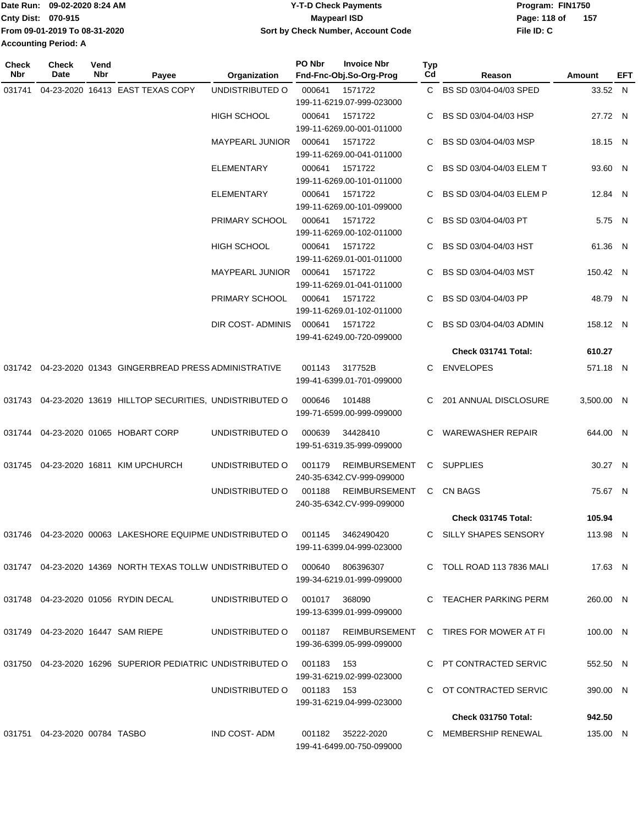|                             | Date Run: 09-02-2020 8:24 AM  | <b>Y-T-D Check Payments</b>        | Program: FIN1750    |
|-----------------------------|-------------------------------|------------------------------------|---------------------|
| <b>Cnty Dist: 070-915</b>   |                               | Maypearl ISD                       | 157<br>Page: 118 of |
|                             | From 09-01-2019 To 08-31-2020 | Sort by Check Number, Account Code | File ID: C          |
| <b>Accounting Period: A</b> |                               |                                    |                     |

| <b>Check</b><br>Nbr | <b>Check</b><br>Date              | Vend<br>Nbr | Payee                                                        | Organization               | PO Nbr        | <b>Invoice Nbr</b><br>Fnd-Fnc-Obj.So-Org-Prog     | <b>Typ</b><br>Cd | Reason                     | Amount     | EFT |
|---------------------|-----------------------------------|-------------|--------------------------------------------------------------|----------------------------|---------------|---------------------------------------------------|------------------|----------------------------|------------|-----|
|                     |                                   |             | 031741 04-23-2020 16413 EAST TEXAS COPY                      | UNDISTRIBUTED O            | 000641        | 1571722<br>199-11-6219.07-999-023000              |                  | C BS SD 03/04-04/03 SPED   | 33.52 N    |     |
|                     |                                   |             |                                                              | HIGH SCHOOL                |               | 000641 1571722<br>199-11-6269.00-001-011000       |                  | C BS SD 03/04-04/03 HSP    | 27.72 N    |     |
|                     |                                   |             |                                                              | <b>MAYPEARL JUNIOR</b>     | 000641        | 1571722<br>199-11-6269.00-041-011000              |                  | C BS SD 03/04-04/03 MSP    | 18.15 N    |     |
|                     |                                   |             |                                                              | <b>ELEMENTARY</b>          | 000641        | 1571722<br>199-11-6269.00-101-011000              |                  | C BS SD 03/04-04/03 ELEM T | 93.60 N    |     |
|                     |                                   |             |                                                              | <b>ELEMENTARY</b>          | 000641        | 1571722<br>199-11-6269.00-101-099000              |                  | BS SD 03/04-04/03 ELEM P   | 12.84 N    |     |
|                     |                                   |             |                                                              | PRIMARY SCHOOL             | 000641        | 1571722<br>199-11-6269.00-102-011000              | C.               | BS SD 03/04-04/03 PT       | 5.75 N     |     |
|                     |                                   |             |                                                              | <b>HIGH SCHOOL</b>         | 000641        | 1571722<br>199-11-6269.01-001-011000              |                  | C BS SD 03/04-04/03 HST    | 61.36 N    |     |
|                     |                                   |             |                                                              | <b>MAYPEARL JUNIOR</b>     |               | 000641 1571722<br>199-11-6269.01-041-011000       |                  | BS SD 03/04-04/03 MST      | 150.42 N   |     |
|                     |                                   |             |                                                              | PRIMARY SCHOOL             | 000641        | 1571722<br>199-11-6269.01-102-011000              | C.               | BS SD 03/04-04/03 PP       | 48.79 N    |     |
|                     |                                   |             |                                                              | DIR COST- ADMINIS          | 000641        | 1571722<br>199-41-6249.00-720-099000              |                  | C BS SD 03/04-04/03 ADMIN  | 158.12 N   |     |
|                     |                                   |             |                                                              |                            |               |                                                   |                  | Check 031741 Total:        | 610.27     |     |
|                     |                                   |             | 031742 04-23-2020 01343 GINGERBREAD PRESS ADMINISTRATIVE     |                            | 001143        | 317752B<br>199-41-6399.01-701-099000              |                  | C ENVELOPES                | 571.18 N   |     |
|                     |                                   |             | 031743 04-23-2020 13619 HILLTOP SECURITIES, UNDISTRIBUTED O  |                            | 000646        | 101488<br>199-71-6599.00-999-099000               |                  | C 201 ANNUAL DISCLOSURE    | 3,500.00 N |     |
|                     |                                   |             | 031744 04-23-2020 01065 HOBART CORP                          | UNDISTRIBUTED O            | 000639        | 34428410<br>199-51-6319.35-999-099000             | C.               | WAREWASHER REPAIR          | 644.00 N   |     |
|                     |                                   |             | 031745 04-23-2020 16811 KIM UPCHURCH                         | UNDISTRIBUTED O            | 001179        | <b>REIMBURSEMENT</b><br>240-35-6342.CV-999-099000 |                  | C SUPPLIES                 | 30.27 N    |     |
|                     |                                   |             |                                                              | UNDISTRIBUTED O            | 001188        | REIMBURSEMENT<br>240-35-6342.CV-999-099000        | C                | CN BAGS                    | 75.67 N    |     |
|                     |                                   |             |                                                              |                            |               |                                                   |                  | Check 031745 Total:        | 105.94     |     |
|                     |                                   |             | 031746  04-23-2020  00063  LAKESHORE EQUIPME UNDISTRIBUTED O |                            | 001145        | 3462490420<br>199-11-6399.04-999-023000           |                  | C SILLY SHAPES SENSORY     | 113.98 N   |     |
|                     |                                   |             | 031747 04-23-2020 14369 NORTH TEXAS TOLLW UNDISTRIBUTED O    |                            |               | 000640 806396307<br>199-34-6219.01-999-099000     |                  | C TOLL ROAD 113 7836 MALI  | 17.63 N    |     |
|                     |                                   |             | 031748  04-23-2020  01056  RYDIN DECAL                       | UNDISTRIBUTED O            | 001017 368090 | 199-13-6399.01-999-099000                         |                  | C TEACHER PARKING PERM     | 260.00 N   |     |
|                     | 031749 04-23-2020 16447 SAM RIEPE |             |                                                              | UNDISTRIBUTED O            |               | 001187 REIMBURSEMENT<br>199-36-6399.05-999-099000 |                  | C TIRES FOR MOWER AT FI    | 100.00 N   |     |
|                     |                                   |             | 031750 04-23-2020 16296 SUPERIOR PEDIATRIC UNDISTRIBUTED O   |                            | 001183 153    | 199-31-6219.02-999-023000                         |                  | C PT CONTRACTED SERVIC     | 552.50 N   |     |
|                     |                                   |             |                                                              | UNDISTRIBUTED O 001183 153 |               | 199-31-6219.04-999-023000                         |                  | C OT CONTRACTED SERVIC     | 390.00 N   |     |
|                     |                                   |             |                                                              |                            |               |                                                   |                  | Check 031750 Total:        | 942.50     |     |
|                     | 031751 04-23-2020 00784 TASBO     |             |                                                              | IND COST-ADM               |               | 001182 35222-2020<br>199-41-6499.00-750-099000    |                  | C MEMBERSHIP RENEWAL       | 135.00 N   |     |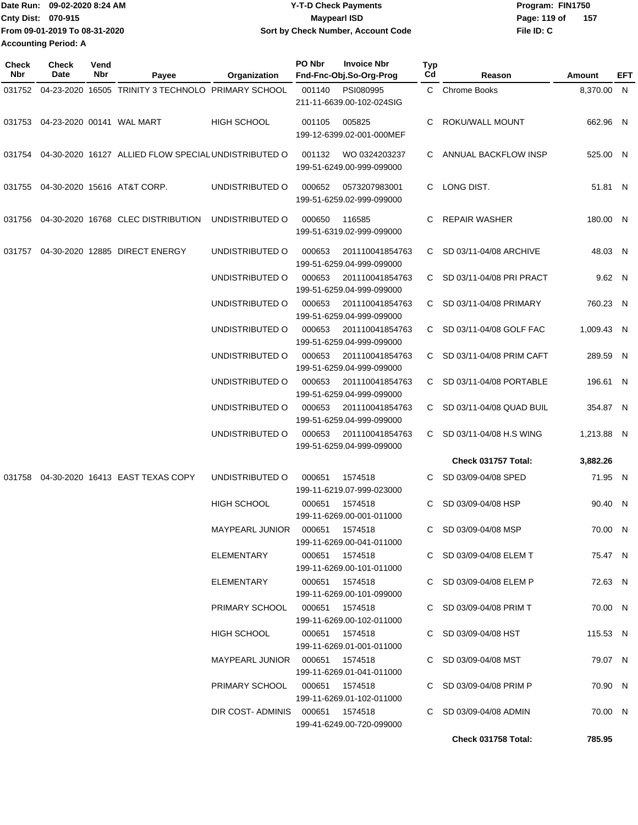| TDate Run: 09-02-2020 8:24 AM | <b>Y-T-D Check Payments</b>        | Program: FIN1750    |
|-------------------------------|------------------------------------|---------------------|
| <b>Cnty Dist: 070-915</b>     | <b>Mavpearl ISD</b>                | 157<br>Page: 119 of |
| From 09-01-2019 To 08-31-2020 | Sort by Check Number, Account Code | File ID: C          |
| <b>Accounting Period: A</b>   |                                    |                     |

| <b>Check</b><br><b>Nbr</b> | <b>Check</b><br>Date             | Vend<br>Nbr | Payee                                                | Organization                    | PO Nbr         | <b>Invoice Nbr</b><br>Fnd-Fnc-Obj.So-Org-Prog | Typ<br>Cd | Reason                     | Amount     | EFT |
|----------------------------|----------------------------------|-------------|------------------------------------------------------|---------------------------------|----------------|-----------------------------------------------|-----------|----------------------------|------------|-----|
| 031752                     |                                  |             | 04-23-2020 16505 TRINITY 3 TECHNOLO PRIMARY SCHOOL   |                                 | 001140         | PSI080995<br>211-11-6639.00-102-024SIG        |           | C Chrome Books             | 8,370.00 N |     |
|                            | 031753 04-23-2020 00141 WAL MART |             |                                                      | <b>HIGH SCHOOL</b>              | 001105         | 005825<br>199-12-6399.02-001-000MEF           | C.        | ROKU/WALL MOUNT            | 662.96 N   |     |
| 031754                     |                                  |             | 04-30-2020 16127 ALLIED FLOW SPECIAL UNDISTRIBUTED O |                                 | 001132         | WO 0324203237<br>199-51-6249.00-999-099000    |           | C ANNUAL BACKFLOW INSP     | 525.00 N   |     |
| 031755                     |                                  |             | 04-30-2020 15616 AT&T CORP.                          | UNDISTRIBUTED O                 | 000652         | 0573207983001<br>199-51-6259.02-999-099000    | C.        | LONG DIST.                 | 51.81 N    |     |
| 031756                     |                                  |             | 04-30-2020 16768 CLEC DISTRIBUTION                   | UNDISTRIBUTED O                 | 000650         | 116585<br>199-51-6319.02-999-099000           | C         | <b>REPAIR WASHER</b>       | 180.00 N   |     |
| 031757                     |                                  |             | 04-30-2020 12885 DIRECT ENERGY                       | UNDISTRIBUTED O                 | 000653         | 201110041854763<br>199-51-6259.04-999-099000  | C.        | SD 03/11-04/08 ARCHIVE     | 48.03 N    |     |
|                            |                                  |             |                                                      | UNDISTRIBUTED O                 | 000653         | 201110041854763<br>199-51-6259.04-999-099000  | C.        | SD 03/11-04/08 PRI PRACT   | 9.62 N     |     |
|                            |                                  |             |                                                      | UNDISTRIBUTED O                 | 000653         | 201110041854763<br>199-51-6259.04-999-099000  |           | C SD 03/11-04/08 PRIMARY   | 760.23 N   |     |
|                            |                                  |             |                                                      | UNDISTRIBUTED O                 | 000653         | 201110041854763<br>199-51-6259.04-999-099000  |           | C SD 03/11-04/08 GOLF FAC  | 1.009.43 N |     |
|                            |                                  |             |                                                      | UNDISTRIBUTED O                 | 000653         | 201110041854763<br>199-51-6259.04-999-099000  |           | C SD 03/11-04/08 PRIM CAFT | 289.59 N   |     |
|                            |                                  |             |                                                      | UNDISTRIBUTED O                 | 000653         | 201110041854763<br>199-51-6259.04-999-099000  |           | C SD 03/11-04/08 PORTABLE  | 196.61 N   |     |
|                            |                                  |             |                                                      | UNDISTRIBUTED O                 | 000653         | 201110041854763<br>199-51-6259.04-999-099000  | C.        | SD 03/11-04/08 QUAD BUIL   | 354.87 N   |     |
|                            |                                  |             |                                                      | UNDISTRIBUTED O                 | 000653         | 201110041854763<br>199-51-6259.04-999-099000  | C.        | SD 03/11-04/08 H.S WING    | 1,213.88 N |     |
|                            |                                  |             |                                                      |                                 |                |                                               |           | Check 031757 Total:        | 3,882.26   |     |
|                            |                                  |             | 031758 04-30-2020 16413 EAST TEXAS COPY              | UNDISTRIBUTED O                 | 000651         | 1574518<br>199-11-6219.07-999-023000          |           | SD 03/09-04/08 SPED        | 71.95 N    |     |
|                            |                                  |             |                                                      | <b>HIGH SCHOOL</b>              | 000651         | 1574518<br>199-11-6269.00-001-011000          | C         | SD 03/09-04/08 HSP         | 90.40 N    |     |
|                            |                                  |             |                                                      |                                 |                | 199-11-6269.00-041-011000                     |           | C SD 03/09-04/08 MSP       | 70.00 N    |     |
|                            |                                  |             |                                                      | ELEMENTARY                      |                | 000651 1574518<br>199-11-6269.00-101-011000   |           | C SD 03/09-04/08 ELEM T    | 75.47 N    |     |
|                            |                                  |             |                                                      | ELEMENTARY                      |                | 000651 1574518<br>199-11-6269.00-101-099000   |           | C SD 03/09-04/08 ELEM P    | 72.63 N    |     |
|                            |                                  |             |                                                      | PRIMARY SCHOOL  000651  1574518 |                | 199-11-6269.00-102-011000                     |           | C SD 03/09-04/08 PRIM T    | 70.00 N    |     |
|                            |                                  |             |                                                      | HIGH SCHOOL                     |                | 000651 1574518<br>199-11-6269.01-001-011000   |           | C SD 03/09-04/08 HST       | 115.53 N   |     |
|                            |                                  |             |                                                      |                                 |                | 199-11-6269.01-041-011000                     |           | C SD 03/09-04/08 MST       | 79.07 N    |     |
|                            |                                  |             |                                                      | PRIMARY SCHOOL                  | 000651 1574518 | 199-11-6269.01-102-011000                     |           | C SD 03/09-04/08 PRIM P    | 70.90 N    |     |
|                            |                                  |             |                                                      | DIR COST-ADMINIS 000651 1574518 |                | 199-41-6249.00-720-099000                     |           | C SD 03/09-04/08 ADMIN     | 70.00 N    |     |
|                            |                                  |             |                                                      |                                 |                |                                               |           | Check 031758 Total:        | 785.95     |     |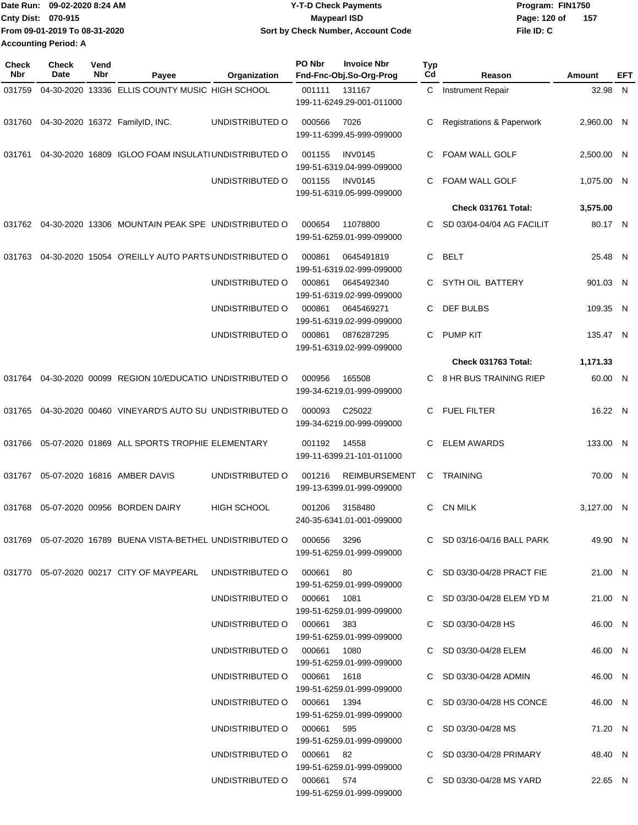|                             | Date Run: 09-02-2020 8:24 AM  | <b>Y-T-D Check Payments</b>        | Program: FIN1750      |
|-----------------------------|-------------------------------|------------------------------------|-----------------------|
| <b>Cnty Dist: 070-915</b>   |                               | Maypearl ISD                       | - 157<br>Page: 120 of |
|                             | From 09-01-2019 To 08-31-2020 | Sort by Check Number, Account Code | File ID: C            |
| <b>Accounting Period: A</b> |                               |                                    |                       |

| <b>Check</b><br>Nbr | <b>Check</b><br>Date | Vend<br>Nbr | Payee                                                                      | Organization                | PO Nbr | <b>Invoice Nbr</b><br>Fnd-Fnc-Obj.So-Org-Prog     | <b>Typ</b><br>Cd | Reason                               | Amount     | EFT |
|---------------------|----------------------|-------------|----------------------------------------------------------------------------|-----------------------------|--------|---------------------------------------------------|------------------|--------------------------------------|------------|-----|
| 031759              |                      |             | 04-30-2020 13336 ELLIS COUNTY MUSIC HIGH SCHOOL                            |                             | 001111 | 131167<br>199-11-6249.29-001-011000               | C                | Instrument Repair                    | 32.98 N    |     |
|                     |                      |             | 031760 04-30-2020 16372 FamilyID, INC.                                     | UNDISTRIBUTED O             | 000566 | 7026<br>199-11-6399.45-999-099000                 | C                | <b>Registrations &amp; Paperwork</b> | 2,960.00 N |     |
| 031761              |                      |             | 04-30-2020 16809 IGLOO FOAM INSULATI UNDISTRIBUTED O                       |                             | 001155 | <b>INV0145</b><br>199-51-6319.04-999-099000       | C                | FOAM WALL GOLF                       | 2,500.00 N |     |
|                     |                      |             |                                                                            | UNDISTRIBUTED O             | 001155 | <b>INV0145</b><br>199-51-6319.05-999-099000       | C.               | <b>FOAM WALL GOLF</b>                | 1,075.00 N |     |
|                     |                      |             |                                                                            |                             |        |                                                   |                  | Check 031761 Total:                  | 3,575.00   |     |
| 031762              |                      |             | 04-30-2020 13306 MOUNTAIN PEAK SPE UNDISTRIBUTED O                         |                             | 000654 | 11078800<br>199-51-6259.01-999-099000             | C.               | SD 03/04-04/04 AG FACILIT            | 80.17 N    |     |
| 031763              |                      |             | 04-30-2020 15054 O'REILLY AUTO PARTS UNDISTRIBUTED O                       |                             | 000861 | 0645491819<br>199-51-6319.02-999-099000           | C.               | <b>BELT</b>                          | 25.48 N    |     |
|                     |                      |             |                                                                            | UNDISTRIBUTED O             | 000861 | 0645492340<br>199-51-6319.02-999-099000           | C.               | SYTH OIL BATTERY                     | 901.03 N   |     |
|                     |                      |             |                                                                            | UNDISTRIBUTED O             | 000861 | 0645469271<br>199-51-6319.02-999-099000           | C                | <b>DEF BULBS</b>                     | 109.35 N   |     |
|                     |                      |             |                                                                            | UNDISTRIBUTED O             | 000861 | 0876287295<br>199-51-6319.02-999-099000           | C.               | <b>PUMP KIT</b>                      | 135.47 N   |     |
|                     |                      |             |                                                                            |                             |        |                                                   |                  | Check 031763 Total:                  | 1,171.33   |     |
| 031764              |                      |             | 04-30-2020 00099 REGION 10/EDUCATIO UNDISTRIBUTED O                        |                             | 000956 | 165508<br>199-34-6219.01-999-099000               | C.               | 8 HR BUS TRAINING RIEP               | 60.00 N    |     |
| 031765              |                      |             | 04-30-2020 00460 VINEYARD'S AUTO SU UNDISTRIBUTED O                        |                             | 000093 | C25022<br>199-34-6219.00-999-099000               | C.               | <b>FUEL FILTER</b>                   | 16.22 N    |     |
| 031766              |                      |             | 05-07-2020 01869 ALL SPORTS TROPHIE ELEMENTARY                             |                             | 001192 | 14558<br>199-11-6399.21-101-011000                | C                | <b>ELEM AWARDS</b>                   | 133.00 N   |     |
| 031767              |                      |             | 05-07-2020 16816 AMBER DAVIS                                               | UNDISTRIBUTED O             | 001216 | <b>REIMBURSEMENT</b><br>199-13-6399.01-999-099000 | C                | <b>TRAINING</b>                      | 70.00 N    |     |
| 031768              |                      |             | 05-07-2020 00956 BORDEN DAIRY                                              | <b>HIGH SCHOOL</b>          | 001206 | 3158480<br>240-35-6341.01-001-099000              | C                | <b>CN MILK</b>                       | 3,127.00 N |     |
|                     |                      |             | 031769  05-07-2020  16789  BUENA VISTA-BETHEL UNDISTRIBUTED   000656  3296 |                             |        | 199-51-6259.01-999-099000                         |                  | C SD 03/16-04/16 BALL PARK           | 49.90 N    |     |
|                     |                      |             | 031770  05-07-2020  00217  CITY OF MAYPEARL  UNDISTRIBUTED   000661  80    |                             |        | 199-51-6259.01-999-099000                         |                  | C SD 03/30-04/28 PRACT FIE           | 21.00 N    |     |
|                     |                      |             |                                                                            | UNDISTRIBUTED O 000661 1081 |        | 199-51-6259.01-999-099000                         |                  | C SD 03/30-04/28 ELEM YD M           | 21.00 N    |     |
|                     |                      |             |                                                                            | UNDISTRIBUTED O 000661 383  |        | 199-51-6259.01-999-099000                         |                  | C SD 03/30-04/28 HS                  | 46.00 N    |     |
|                     |                      |             |                                                                            | UNDISTRIBUTED O 000661 1080 |        | 199-51-6259.01-999-099000                         |                  | C SD 03/30-04/28 ELEM                | 46.00 N    |     |
|                     |                      |             |                                                                            | UNDISTRIBUTED O 000661 1618 |        | 199-51-6259.01-999-099000                         |                  | C SD 03/30-04/28 ADMIN               | 46.00 N    |     |
|                     |                      |             |                                                                            | UNDISTRIBUTED O 000661 1394 |        | 199-51-6259.01-999-099000                         |                  | C SD 03/30-04/28 HS CONCE            | 46.00 N    |     |
|                     |                      |             |                                                                            | UNDISTRIBUTED O 000661 595  |        | 199-51-6259.01-999-099000                         |                  | C SD 03/30-04/28 MS                  | 71.20 N    |     |
|                     |                      |             |                                                                            | UNDISTRIBUTED O 000661 82   |        | 199-51-6259.01-999-099000                         |                  | C SD 03/30-04/28 PRIMARY             | 48.40 N    |     |
|                     |                      |             |                                                                            | UNDISTRIBUTED 0 000661 574  |        | 199-51-6259.01-999-099000                         |                  | C SD 03/30-04/28 MS YARD             | 22.65 N    |     |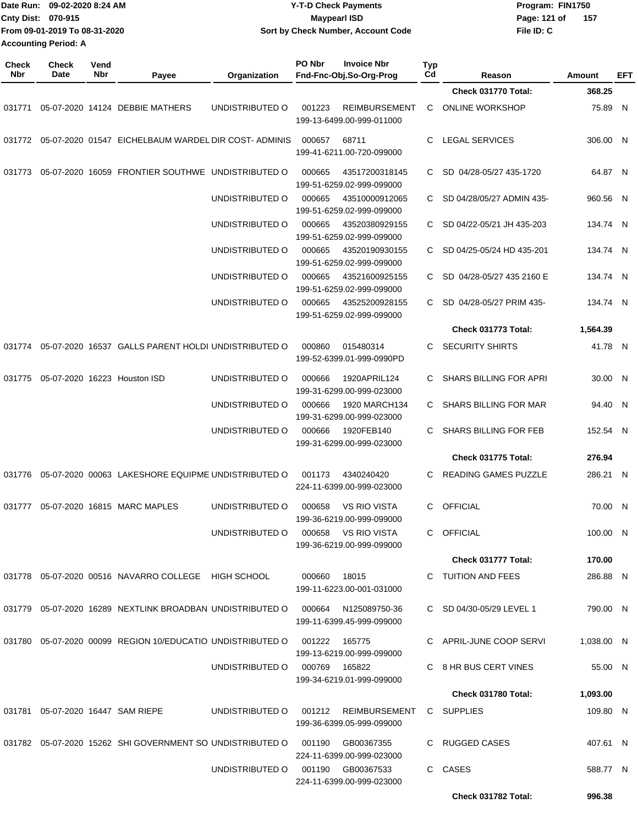|                     | Date Run: 09-02-2020 8:24 AM<br>Cnty Dist: 070-915<br>From 09-01-2019 To 08-31-2020 |             |                                                                  |                               |        | <b>Y-T-D Check Payments</b><br><b>Maypearl ISD</b> |                  |                              | Program: FIN1750<br>Page: 121 of | 157        |     |
|---------------------|-------------------------------------------------------------------------------------|-------------|------------------------------------------------------------------|-------------------------------|--------|----------------------------------------------------|------------------|------------------------------|----------------------------------|------------|-----|
|                     | <b>Accounting Period: A</b>                                                         |             |                                                                  |                               |        | Sort by Check Number, Account Code                 |                  |                              | File ID: C                       |            |     |
|                     |                                                                                     |             |                                                                  |                               |        |                                                    |                  |                              |                                  |            |     |
| <b>Check</b><br>Nbr | Check<br>Date                                                                       | Vend<br>Nbr | Payee                                                            | Organization                  | PO Nbr | <b>Invoice Nbr</b><br>Fnd-Fnc-Obj.So-Org-Prog      | <b>Typ</b><br>Cd | Reason                       |                                  | Amount     | EFT |
|                     |                                                                                     |             |                                                                  |                               |        |                                                    |                  | Check 031770 Total:          |                                  | 368.25     |     |
| 031771              |                                                                                     |             | 05-07-2020 14124 DEBBIE MATHERS                                  | UNDISTRIBUTED O               | 001223 | <b>REIMBURSEMENT</b><br>199-13-6499.00-999-011000  | C                | <b>ONLINE WORKSHOP</b>       |                                  | 75.89 N    |     |
|                     |                                                                                     |             | 031772 05-07-2020 01547 EICHELBAUM WARDEL DIR COST-ADMINIS       |                               | 000657 | 68711<br>199-41-6211.00-720-099000                 | C                | LEGAL SERVICES               |                                  | 306.00 N   |     |
|                     |                                                                                     |             | 031773  05-07-2020  16059  FRONTIER SOUTHWE  UNDISTRIBUTED O     |                               | 000665 | 43517200318145<br>199-51-6259.02-999-099000        | C                | SD 04/28-05/27 435-1720      |                                  | 64.87 N    |     |
|                     |                                                                                     |             |                                                                  | UNDISTRIBUTED O               | 000665 | 43510000912065<br>199-51-6259.02-999-099000        | C                | SD 04/28/05/27 ADMIN 435-    |                                  | 960.56 N   |     |
|                     |                                                                                     |             |                                                                  | UNDISTRIBUTED O               | 000665 | 43520380929155<br>199-51-6259.02-999-099000        | C                | SD 04/22-05/21 JH 435-203    |                                  | 134.74 N   |     |
|                     |                                                                                     |             |                                                                  | UNDISTRIBUTED O               | 000665 | 43520190930155<br>199-51-6259.02-999-099000        | C                | SD 04/25-05/24 HD 435-201    |                                  | 134.74 N   |     |
|                     |                                                                                     |             |                                                                  | UNDISTRIBUTED O               | 000665 | 43521600925155<br>199-51-6259.02-999-099000        | C.               | SD 04/28-05/27 435 2160 E    |                                  | 134.74 N   |     |
|                     |                                                                                     |             |                                                                  | UNDISTRIBUTED O               | 000665 | 43525200928155<br>199-51-6259.02-999-099000        | C.               | SD 04/28-05/27 PRIM 435-     |                                  | 134.74 N   |     |
|                     |                                                                                     |             |                                                                  |                               |        |                                                    |                  | Check 031773 Total:          |                                  | 1,564.39   |     |
| 031774              |                                                                                     |             | 05-07-2020 16537 GALLS PARENT HOLDI UNDISTRIBUTED O              |                               | 000860 | 015480314<br>199-52-6399.01-999-0990PD             | C                | <b>SECURITY SHIRTS</b>       |                                  | 41.78 N    |     |
| 031775              |                                                                                     |             | 05-07-2020 16223 Houston ISD                                     | UNDISTRIBUTED O               | 000666 | 1920APRIL124<br>199-31-6299.00-999-023000          | C                | SHARS BILLING FOR APRI       |                                  | 30.00 N    |     |
|                     |                                                                                     |             |                                                                  | UNDISTRIBUTED O               | 000666 | 1920 MARCH134<br>199-31-6299.00-999-023000         | C                | <b>SHARS BILLING FOR MAR</b> |                                  | 94.40 N    |     |
|                     |                                                                                     |             |                                                                  | UNDISTRIBUTED O               | 000666 | 1920FEB140<br>199-31-6299.00-999-023000            | C                | <b>SHARS BILLING FOR FEB</b> |                                  | 152.54 N   |     |
|                     |                                                                                     |             |                                                                  |                               |        |                                                    |                  | Check 031775 Total:          |                                  | 276.94     |     |
|                     |                                                                                     |             | 031776  05-07-2020  00063  LAKESHORE EQUIPME UNDISTRIBUTED O     |                               |        | 001173  4340240420<br>224-11-6399.00-999-023000    |                  | C READING GAMES PUZZLE       |                                  | 286.21 N   |     |
|                     |                                                                                     |             | 031777  05-07-2020  16815  MARC MAPLES                           | UNDISTRIBUTED O               | 000658 | VS RIO VISTA<br>199-36-6219.00-999-099000          |                  | C OFFICIAL                   |                                  | 70.00 N    |     |
|                     |                                                                                     |             |                                                                  | UNDISTRIBUTED O               |        | 000658 VS RIO VISTA<br>199-36-6219.00-999-099000   |                  | C OFFICIAL                   |                                  | 100.00 N   |     |
|                     |                                                                                     |             |                                                                  |                               |        |                                                    |                  | Check 031777 Total:          |                                  | 170.00     |     |
|                     |                                                                                     |             | 031778  05-07-2020  00516  NAVARRO COLLEGE  HIGH SCHOOL          |                               | 000660 | 18015<br>199-11-6223.00-001-031000                 |                  | C TUITION AND FEES           |                                  | 286.88 N   |     |
|                     |                                                                                     |             | 031779 05-07-2020 16289 NEXTLINK BROADBAN UNDISTRIBUTED O        |                               | 000664 | N125089750-36<br>199-11-6399.45-999-099000         |                  | C SD 04/30-05/29 LEVEL 1     |                                  | 790.00 N   |     |
|                     |                                                                                     |             | 031780  05-07-2020  00099  REGION  10/EDUCATIO  UNDISTRIBUTED  0 |                               | 001222 | 165775<br>199-13-6219.00-999-099000                |                  | C APRIL-JUNE COOP SERVI      |                                  | 1,038.00 N |     |
|                     |                                                                                     |             |                                                                  | UNDISTRIBUTED O 000769 165822 |        | 199-34-6219.01-999-099000                          |                  | C 8 HR BUS CERT VINES        |                                  | 55.00 N    |     |
|                     |                                                                                     |             |                                                                  |                               |        |                                                    |                  | Check 031780 Total:          |                                  | 1,093.00   |     |
|                     |                                                                                     |             | 031781  05-07-2020  16447  SAM RIEPE                             | UNDISTRIBUTED O               |        | 001212 REIMBURSEMENT<br>199-36-6399.05-999-099000  |                  | C SUPPLIES                   |                                  | 109.80 N   |     |
|                     |                                                                                     |             | 031782 05-07-2020 15262 SHI GOVERNMENT SO UNDISTRIBUTED O        |                               | 001190 | GB00367355<br>224-11-6399.00-999-023000            |                  | C RUGGED CASES               |                                  | 407.61 N   |     |
|                     |                                                                                     |             |                                                                  | UNDISTRIBUTED O               |        | 001190 GB00367533<br>224-11-6399.00-999-023000     |                  | C CASES                      |                                  | 588.77 N   |     |
|                     |                                                                                     |             |                                                                  |                               |        |                                                    |                  | Check 031782 Total:          |                                  | 996.38     |     |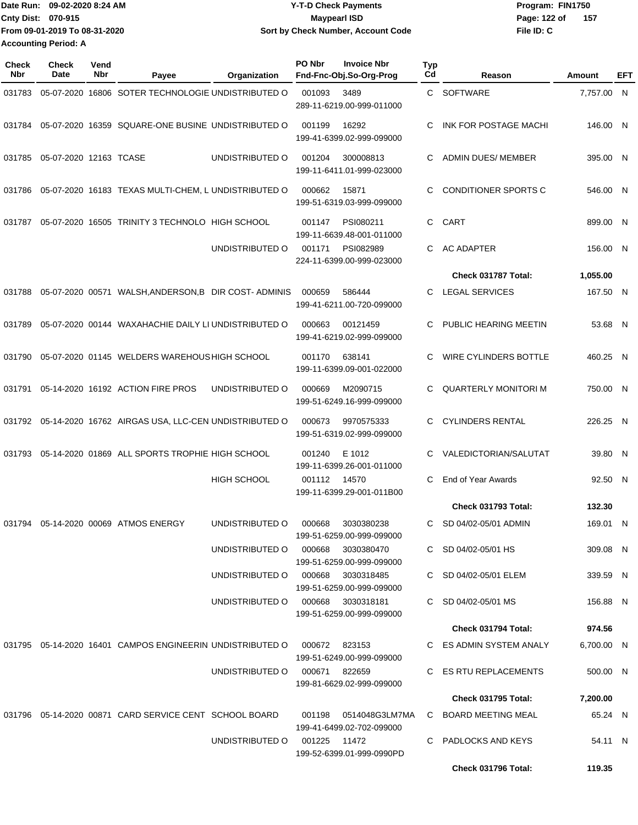| IDate Run: 09-02-2020 8:24 AM | <b>Y-T-D Check Payments</b>        | Program: FIN1750 |       |  |  |
|-------------------------------|------------------------------------|------------------|-------|--|--|
| <b>Cnty Dist: 070-915</b>     | <b>Mavpearl ISD</b>                | Page: 122 of     | - 157 |  |  |
| From 09-01-2019 To 08-31-2020 | Sort by Check Number, Account Code | File ID: C       |       |  |  |
| <b>Accounting Period: A</b>   |                                    |                  |       |  |  |

| Check<br>Nbr | <b>Check</b><br>Date   | Vend<br>Nbr | Payee                                                                            | Organization                      | PO Nbr        | <b>Invoice Nbr</b><br>Fnd-Fnc-Obj.So-Org-Prog        | Typ<br>Cd | Reason                       | Amount     | EFT |
|--------------|------------------------|-------------|----------------------------------------------------------------------------------|-----------------------------------|---------------|------------------------------------------------------|-----------|------------------------------|------------|-----|
| 031783       |                        |             | 05-07-2020 16806 SOTER TECHNOLOGIE UNDISTRIBUTED O                               |                                   | 001093        | 3489<br>289-11-6219.00-999-011000                    | C.        | <b>SOFTWARE</b>              | 7,757.00 N |     |
| 031784       |                        |             | 05-07-2020 16359 SQUARE-ONE BUSINE UNDISTRIBUTED O                               |                                   | 001199        | 16292<br>199-41-6399.02-999-099000                   | C         | INK FOR POSTAGE MACHI        | 146.00 N   |     |
| 031785       | 05-07-2020 12163 TCASE |             |                                                                                  | UNDISTRIBUTED O                   | 001204        | 300008813<br>199-11-6411.01-999-023000               | C.        | <b>ADMIN DUES/ MEMBER</b>    | 395.00 N   |     |
| 031786       |                        |             | 05-07-2020 16183 TEXAS MULTI-CHEM, L UNDISTRIBUTED O                             |                                   | 000662        | 15871<br>199-51-6319.03-999-099000                   | C         | CONDITIONER SPORTS C         | 546.00 N   |     |
| 031787       |                        |             | 05-07-2020 16505 TRINITY 3 TECHNOLO HIGH SCHOOL                                  |                                   | 001147        | PSI080211<br>199-11-6639.48-001-011000               | C         | CART                         | 899.00 N   |     |
|              |                        |             |                                                                                  | UNDISTRIBUTED O                   | 001171        | PSI082989<br>224-11-6399.00-999-023000               | C.        | <b>AC ADAPTER</b>            | 156.00 N   |     |
|              |                        |             |                                                                                  |                                   |               |                                                      |           | Check 031787 Total:          | 1,055.00   |     |
| 031788       |                        |             | 05-07-2020 00571 WALSH, ANDERSON, B DIR COST-ADMINIS                             |                                   | 000659        | 586444<br>199-41-6211.00-720-099000                  | C.        | <b>LEGAL SERVICES</b>        | 167.50 N   |     |
| 031789       |                        |             | 05-07-2020 00144 WAXAHACHIE DAILY LI UNDISTRIBUTED O                             |                                   | 000663        | 00121459<br>199-41-6219.02-999-099000                | C.        | PUBLIC HEARING MEETIN        | 53.68 N    |     |
| 031790       |                        |             | 05-07-2020 01145 WELDERS WAREHOUS HIGH SCHOOL                                    |                                   | 001170        | 638141<br>199-11-6399.09-001-022000                  | C.        | <b>WIRE CYLINDERS BOTTLE</b> | 460.25 N   |     |
| 031791       |                        |             | 05-14-2020 16192 ACTION FIRE PROS                                                | UNDISTRIBUTED O                   | 000669        | M2090715<br>199-51-6249.16-999-099000                | C         | <b>QUARTERLY MONITORI M</b>  | 750.00 N   |     |
|              |                        |             | 031792 05-14-2020 16762 AIRGAS USA, LLC-CEN UNDISTRIBUTED O                      |                                   | 000673        | 9970575333<br>199-51-6319.02-999-099000              | C.        | <b>CYLINDERS RENTAL</b>      | 226.25 N   |     |
| 031793       |                        |             | 05-14-2020 01869 ALL SPORTS TROPHIE HIGH SCHOOL                                  |                                   | 001240        | E 1012<br>199-11-6399.26-001-011000                  | C         | VALEDICTORIAN/SALUTAT        | 39.80 N    |     |
|              |                        |             |                                                                                  | <b>HIGH SCHOOL</b>                | 001112        | 14570<br>199-11-6399.29-001-011B00                   | C.        | End of Year Awards           | 92.50 N    |     |
|              |                        |             |                                                                                  |                                   |               |                                                      |           | Check 031793 Total:          | 132.30     |     |
| 031794       |                        |             | 05-14-2020 00069 ATMOS ENERGY                                                    | UNDISTRIBUTED O                   | 000668        | 3030380238<br>199-51-6259.00-999-099000              | C.        | SD 04/02-05/01 ADMIN         | 169.01 N   |     |
|              |                        |             |                                                                                  | UNDISTRIBUTED O                   | 000668        | 3030380470<br>199-51-6259.00-999-099000              |           | C SD 04/02-05/01 HS          | 309.08 N   |     |
|              |                        |             |                                                                                  | UNDISTRIBUTED O                   | 000668        | 3030318485<br>199-51-6259.00-999-099000              |           | C SD 04/02-05/01 ELEM        | 339.59 N   |     |
|              |                        |             |                                                                                  | UNDISTRIBUTED O 000668 3030318181 |               | 199-51-6259.00-999-099000                            |           | C SD 04/02-05/01 MS          | 156.88 N   |     |
|              |                        |             |                                                                                  |                                   |               |                                                      |           | Check 031794 Total:          | 974.56     |     |
|              |                        |             | 031795   05-14-2020   16401        CAMPOS ENGINEERIN UNDISTRIBUTED             O |                                   | 000672        | 823153<br>199-51-6249.00-999-099000                  |           | C ES ADMIN SYSTEM ANALY      | 6,700.00 N |     |
|              |                        |             |                                                                                  | UNDISTRIBUTED O                   | 000671 822659 | 199-81-6629.02-999-099000                            |           | C ES RTU REPLACEMENTS        | 500.00 N   |     |
|              |                        |             |                                                                                  |                                   |               |                                                      |           | <b>Check 031795 Total:</b>   | 7,200.00   |     |
|              |                        |             | 031796  05-14-2020  00871  CARD SERVICE CENT  SCHOOL BOARD                       |                                   |               | 001198   0514048G3LM7MA<br>199-41-6499.02-702-099000 |           | C BOARD MEETING MEAL         | 65.24 N    |     |
|              |                        |             |                                                                                  | UNDISTRIBUTED O                   | 001225 11472  | 199-52-6399.01-999-0990PD                            |           | C PADLOCKS AND KEYS          | 54.11 N    |     |
|              |                        |             |                                                                                  |                                   |               |                                                      |           | Check 031796 Total:          | 119.35     |     |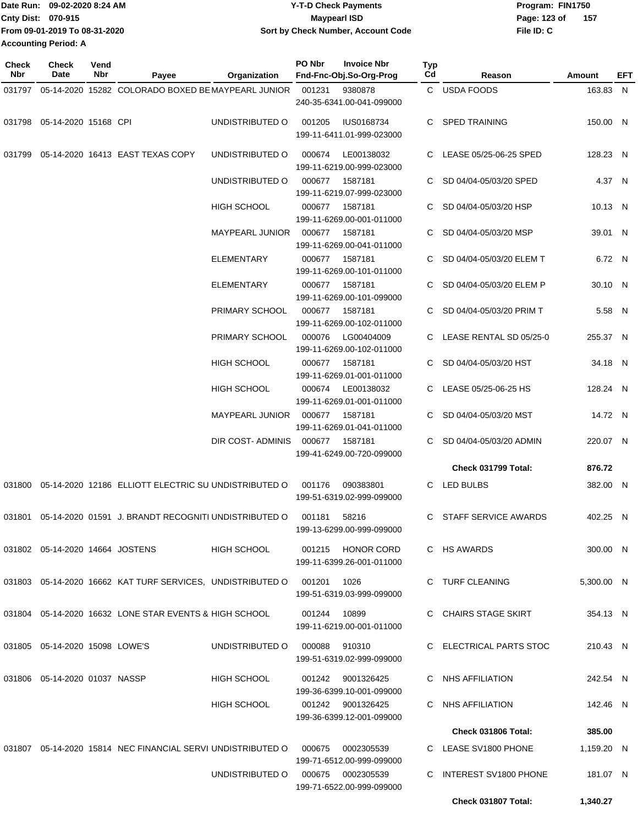| Date Run: 09-02-2020 8:24 AM  | <b>Y-T-D Check Payments</b>        | Program: FIN1750    |  |  |
|-------------------------------|------------------------------------|---------------------|--|--|
| <b>Cnty Dist: 070-915</b>     | Maypearl ISD                       | Page: 123 of<br>157 |  |  |
| From 09-01-2019 To 08-31-2020 | Sort by Check Number, Account Code | File ID: C          |  |  |
| <b>Accounting Period: A</b>   |                                    |                     |  |  |

| <b>Check</b><br>Nbr | Check<br>Date                      | Vend<br>Nbr | Payee                                                          | Organization           | PO Nbr       | <b>Invoice Nbr</b><br>Fnd-Fnc-Obj.So-Org-Prog  | Typ<br>Cd | Reason                     | Amount     | EFT |
|---------------------|------------------------------------|-------------|----------------------------------------------------------------|------------------------|--------------|------------------------------------------------|-----------|----------------------------|------------|-----|
|                     |                                    |             | 031797 05-14-2020 15282 COLORADO BOXED BE MAYPEARL JUNIOR      |                        | 001231       | 9380878                                        |           | C USDA FOODS               | 163.83 N   |     |
|                     |                                    |             |                                                                |                        |              | 240-35-6341.00-041-099000                      |           |                            |            |     |
|                     | 031798  05-14-2020  15168  CPI     |             |                                                                | UNDISTRIBUTED O        | 001205       | <b>IUS0168734</b><br>199-11-6411.01-999-023000 |           | C SPED TRAINING            | 150.00 N   |     |
|                     |                                    |             | 031799  05-14-2020  16413  EAST TEXAS COPY                     | UNDISTRIBUTED O        | 000674       | LE00138032<br>199-11-6219.00-999-023000        | C.        | LEASE 05/25-06-25 SPED     | 128.23 N   |     |
|                     |                                    |             |                                                                | UNDISTRIBUTED O        | 000677       | 1587181<br>199-11-6219.07-999-023000           | C.        | SD 04/04-05/03/20 SPED     | 4.37 N     |     |
|                     |                                    |             |                                                                | <b>HIGH SCHOOL</b>     | 000677       | 1587181<br>199-11-6269.00-001-011000           |           | SD 04/04-05/03/20 HSP      | 10.13 N    |     |
|                     |                                    |             |                                                                | <b>MAYPEARL JUNIOR</b> | 000677       | 1587181<br>199-11-6269.00-041-011000           | C.        | SD 04/04-05/03/20 MSP      | 39.01 N    |     |
|                     |                                    |             |                                                                | <b>ELEMENTARY</b>      | 000677       | 1587181<br>199-11-6269.00-101-011000           |           | C SD 04/04-05/03/20 ELEM T | 6.72 N     |     |
|                     |                                    |             |                                                                | <b>ELEMENTARY</b>      | 000677       | 1587181<br>199-11-6269.00-101-099000           | C.        | SD 04/04-05/03/20 ELEM P   | 30.10 N    |     |
|                     |                                    |             |                                                                | PRIMARY SCHOOL         | 000677       | 1587181<br>199-11-6269.00-102-011000           | C.        | SD 04/04-05/03/20 PRIM T   | 5.58 N     |     |
|                     |                                    |             |                                                                | PRIMARY SCHOOL         | 000076       | LG00404009<br>199-11-6269.00-102-011000        |           | C LEASE RENTAL SD 05/25-0  | 255.37 N   |     |
|                     |                                    |             |                                                                | <b>HIGH SCHOOL</b>     | 000677       | 1587181<br>199-11-6269.01-001-011000           |           | C SD 04/04-05/03/20 HST    | 34.18 N    |     |
|                     |                                    |             |                                                                | <b>HIGH SCHOOL</b>     | 000674       | LE00138032<br>199-11-6269.01-001-011000        | C.        | LEASE 05/25-06-25 HS       | 128.24 N   |     |
|                     |                                    |             |                                                                | <b>MAYPEARL JUNIOR</b> | 000677       | 1587181<br>199-11-6269.01-041-011000           |           | SD 04/04-05/03/20 MST      | 14.72 N    |     |
|                     |                                    |             |                                                                | DIR COST-ADMINIS       | 000677       | 1587181<br>199-41-6249.00-720-099000           |           | SD 04/04-05/03/20 ADMIN    | 220.07 N   |     |
|                     |                                    |             |                                                                |                        |              |                                                |           | Check 031799 Total:        | 876.72     |     |
|                     |                                    |             | 031800 05-14-2020 12186 ELLIOTT ELECTRIC SU UNDISTRIBUTED O    |                        | 001176       | 090383801                                      | C.        | LED BULBS                  | 382.00 N   |     |
|                     |                                    |             |                                                                |                        |              | 199-51-6319.02-999-099000                      |           |                            |            |     |
|                     |                                    |             | 031801  05-14-2020  01591  J. BRANDT RECOGNITI UNDISTRIBUTED O |                        | 001181       | 58216<br>199-13-6299.00-999-099000             | C.        | STAFF SERVICE AWARDS       | 402.25 N   |     |
|                     | 031802  05-14-2020  14664  JOSTENS |             |                                                                | HIGH SCHOOL            |              | 001215 HONOR CORD<br>199-11-6399.26-001-011000 |           | C HS AWARDS                | 300.00 N   |     |
|                     |                                    |             | 031803 05-14-2020 16662 KAT TURF SERVICES. UNDISTRIBUTED O     |                        | 001201       | 1026<br>199-51-6319.03-999-099000              |           | C TURF CLEANING            | 5,300.00 N |     |
|                     |                                    |             | 031804 05-14-2020 16632 LONE STAR EVENTS & HIGH SCHOOL         |                        | 001244 10899 |                                                |           | C CHAIRS STAGE SKIRT       | 354.13 N   |     |
|                     |                                    |             |                                                                |                        |              | 199-11-6219.00-001-011000                      |           |                            |            |     |
|                     | 031805  05-14-2020  15098  LOWE'S  |             |                                                                | UNDISTRIBUTED O        | 000088       | 910310<br>199-51-6319.02-999-099000            |           | C ELECTRICAL PARTS STOC    | 210.43 N   |     |
|                     | 031806  05-14-2020  01037  NASSP   |             |                                                                | HIGH SCHOOL            | 001242       | 9001326425<br>199-36-6399.10-001-099000        |           | C NHS AFFILIATION          | 242.54 N   |     |
|                     |                                    |             |                                                                | HIGH SCHOOL            |              | 001242 9001326425<br>199-36-6399.12-001-099000 |           | C NHS AFFILIATION          | 142.46 N   |     |
|                     |                                    |             |                                                                |                        |              |                                                |           | <b>Check 031806 Total:</b> | 385.00     |     |
|                     |                                    |             |                                                                |                        |              |                                                |           |                            |            |     |
|                     |                                    |             | 031807 05-14-2020 15814 NEC FINANCIAL SERVI UNDISTRIBUTED O    |                        | 000675       | 0002305539<br>199-71-6512.00-999-099000        |           | C LEASE SV1800 PHONE       | 1,159.20 N |     |
|                     |                                    |             |                                                                | UNDISTRIBUTED O        |              | 000675 0002305539<br>199-71-6522.00-999-099000 |           | C INTEREST SV1800 PHONE    | 181.07 N   |     |
|                     |                                    |             |                                                                |                        |              |                                                |           | Check 031807 Total:        | 1,340.27   |     |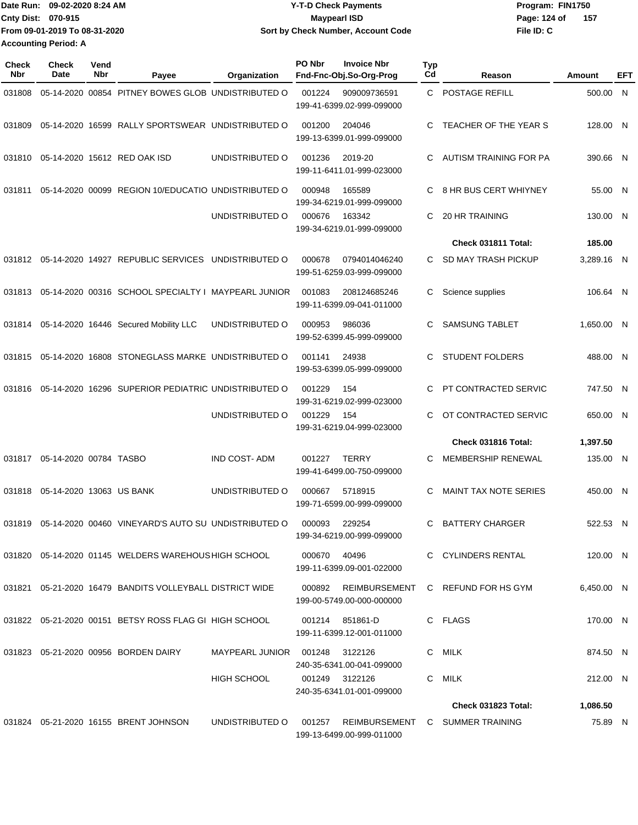| IDate Run: 09-02-2020 8:24 AM | <b>Y-T-D Check Payments</b>        | Program: FIN1750 |  |  |  |
|-------------------------------|------------------------------------|------------------|--|--|--|
| <b>Cnty Dist: 070-915</b>     | <b>Maypearl ISD</b>                |                  |  |  |  |
| From 09-01-2019 To 08-31-2020 | Sort by Check Number, Account Code | File ID: C       |  |  |  |
| <b>Accounting Period: A</b>   |                                    |                  |  |  |  |

| Check<br>Nbr | <b>Check</b><br>Date     | Vend<br>Nbr | Payee                                                         | Organization           | PO Nbr<br><b>Invoice Nbr</b><br>Fnd-Fnc-Obj.So-Org-Prog | Typ<br>Cd | Reason                            | Amount     | EFT |
|--------------|--------------------------|-------------|---------------------------------------------------------------|------------------------|---------------------------------------------------------|-----------|-----------------------------------|------------|-----|
| 031808       |                          |             | 05-14-2020 00854 PITNEY BOWES GLOB UNDISTRIBUTED O            |                        | 001224<br>909009736591<br>199-41-6399.02-999-099000     | C.        | POSTAGE REFILL                    | 500.00 N   |     |
| 031809       |                          |             | 05-14-2020 16599 RALLY SPORTSWEAR UNDISTRIBUTED O             |                        | 001200<br>204046<br>199-13-6399.01-999-099000           | C         | TEACHER OF THE YEAR S             | 128.00 N   |     |
| 031810       |                          |             | 05-14-2020 15612 RED OAK ISD                                  | UNDISTRIBUTED O        | 001236<br>2019-20<br>199-11-6411.01-999-023000          | C.        | AUTISM TRAINING FOR PA            | 390.66 N   |     |
| 031811       |                          |             | 05-14-2020 00099 REGION 10/EDUCATIO UNDISTRIBUTED O           |                        | 000948<br>165589<br>199-34-6219.01-999-099000           | C         | 8 HR BUS CERT WHIYNEY             | 55.00 N    |     |
|              |                          |             |                                                               | UNDISTRIBUTED O        | 000676<br>163342<br>199-34-6219.01-999-099000           | C.        | <b>20 HR TRAINING</b>             | 130.00 N   |     |
|              |                          |             |                                                               |                        |                                                         |           | Check 031811 Total:               | 185.00     |     |
|              |                          |             | 031812  05-14-2020  14927  REPUBLIC SERVICES  UNDISTRIBUTED O |                        | 0794014046240<br>000678<br>199-51-6259.03-999-099000    | C.        | SD MAY TRASH PICKUP               | 3,289.16 N |     |
| 031813       |                          |             | 05-14-2020 00316 SCHOOL SPECIALTY I MAYPEARL JUNIOR           |                        | 001083<br>208124685246<br>199-11-6399.09-041-011000     | C         | Science supplies                  | 106.64 N   |     |
| 031814       |                          |             | 05-14-2020 16446 Secured Mobility LLC                         | UNDISTRIBUTED O        | 000953<br>986036<br>199-52-6399.45-999-099000           | C.        | SAMSUNG TABLET                    | 1.650.00 N |     |
| 031815       |                          |             | 05-14-2020 16808 STONEGLASS MARKE UNDISTRIBUTED O             |                        | 24938<br>001141<br>199-53-6399.05-999-099000            | C.        | <b>STUDENT FOLDERS</b>            | 488.00 N   |     |
| 031816       |                          |             | 05-14-2020 16296 SUPERIOR PEDIATRIC UNDISTRIBUTED O           |                        | 001229<br>154<br>199-31-6219.02-999-023000              | C         | PT CONTRACTED SERVIC              | 747.50 N   |     |
|              |                          |             |                                                               | UNDISTRIBUTED O        | 001229<br>154<br>199-31-6219.04-999-023000              | C.        | OT CONTRACTED SERVIC              | 650.00 N   |     |
|              |                          |             |                                                               |                        |                                                         |           | Check 031816 Total:               | 1,397.50   |     |
| 031817       | 05-14-2020 00784 TASBO   |             |                                                               | <b>IND COST-ADM</b>    | <b>TERRY</b><br>001227<br>199-41-6499.00-750-099000     | C         | <b>MEMBERSHIP RENEWAL</b>         | 135.00 N   |     |
| 031818       | 05-14-2020 13063 US BANK |             |                                                               | UNDISTRIBUTED O        | 000667<br>5718915<br>199-71-6599.00-999-099000          | C         | <b>MAINT TAX NOTE SERIES</b>      | 450.00 N   |     |
| 031819       |                          |             | 05-14-2020 00460 VINEYARD'S AUTO SU UNDISTRIBUTED O           |                        | 229254<br>000093<br>199-34-6219.00-999-099000           | C         | <b>BATTERY CHARGER</b>            | 522.53 N   |     |
|              |                          |             | 031820 05-14-2020 01145 WELDERS WAREHOUS HIGH SCHOOL          |                        | 000670 40496<br>199-11-6399.09-001-022000               |           | C CYLINDERS RENTAL                | 120.00 N   |     |
|              |                          |             | 031821  05-21-2020  16479  BANDITS VOLLEYBALL DISTRICT WIDE   |                        | 000892<br>199-00-5749.00-000-000000                     |           | REIMBURSEMENT C REFUND FOR HS GYM | 6,450.00 N |     |
|              |                          |             | 031822  05-21-2020  00151  BETSY ROSS FLAG GI  HIGH SCHOOL    |                        | 001214 851861-D<br>199-11-6399.12-001-011000            |           | C FLAGS                           | 170.00 N   |     |
|              |                          |             | 031823  05-21-2020  00956  BORDEN DAIRY                       | MAYPEARL JUNIOR 001248 | 3122126<br>240-35-6341.00-041-099000                    |           | C MILK                            | 874.50 N   |     |
|              |                          |             |                                                               | <b>HIGH SCHOOL</b>     | 001249 3122126<br>240-35-6341.01-001-099000             | C.        | MILK                              | 212.00 N   |     |
|              |                          |             |                                                               |                        |                                                         |           | Check 031823 Total:               | 1,086.50   |     |
|              |                          |             | 031824 05-21-2020 16155 BRENT JOHNSON                         | UNDISTRIBUTED O        | 001257<br>199-13-6499.00-999-011000                     |           | REIMBURSEMENT C SUMMER TRAINING   | 75.89 N    |     |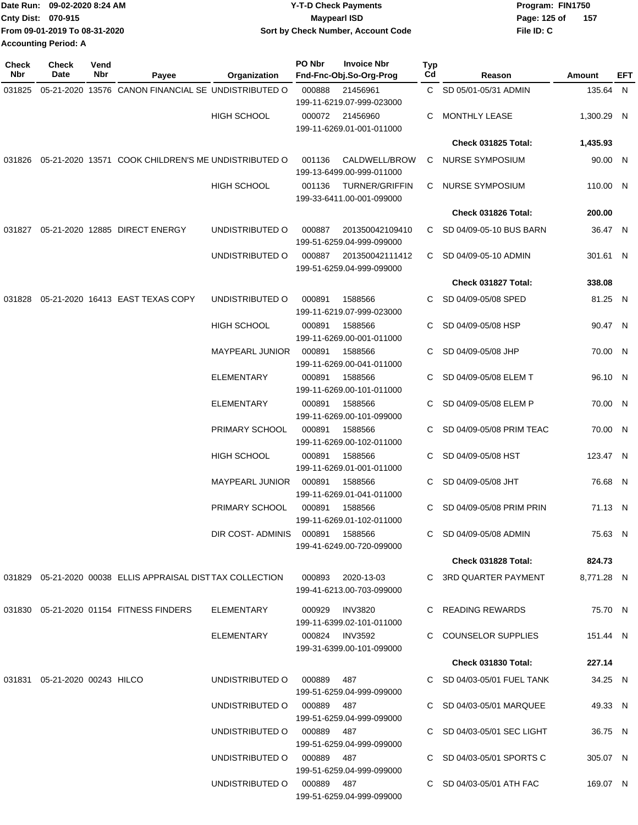|                             | Date Run: 09-02-2020 8:24 AM  | Y-T-D Check Payments               | Program: FIN1750      |
|-----------------------------|-------------------------------|------------------------------------|-----------------------|
| <b>Cnty Dist: 070-915</b>   |                               | <b>Mavpearl ISD</b>                | Page: 125 of<br>- 157 |
|                             | From 09-01-2019 To 08-31-2020 | Sort by Check Number, Account Code | File ID: C            |
| <b>Accounting Period: A</b> |                               |                                    |                       |

| Check<br>Nbr | <b>Check</b><br>Date             | Vend<br>Nbr | Payee                                                                 | Organization                    | <b>PO Nbr</b>                        | <b>Invoice Nbr</b><br>Fnd-Fnc-Obj.So-Org-Prog      | Typ<br>Cd          | Reason                     | Amount     | EFT |
|--------------|----------------------------------|-------------|-----------------------------------------------------------------------|---------------------------------|--------------------------------------|----------------------------------------------------|--------------------|----------------------------|------------|-----|
| 031825       |                                  |             | 05-21-2020 13576 CANON FINANCIAL SE UNDISTRIBUTED O                   |                                 | 000888                               | 21456961                                           |                    | C SD 05/01-05/31 ADMIN     | 135.64 N   |     |
|              |                                  |             |                                                                       |                                 |                                      | 199-11-6219.07-999-023000                          |                    |                            |            |     |
|              |                                  |             |                                                                       | <b>HIGH SCHOOL</b>              | 000072                               | 21456960<br>199-11-6269.01-001-011000              | C                  | <b>MONTHLY LEASE</b>       | 1,300.29 N |     |
|              |                                  |             |                                                                       |                                 |                                      |                                                    |                    | Check 031825 Total:        | 1,435.93   |     |
|              |                                  |             | 031826  05-21-2020  13571  COOK CHILDREN'S ME UNDISTRIBUTED O         |                                 | 001136                               | CALDWELL/BROW<br>199-13-6499.00-999-011000         | C                  | NURSE SYMPOSIUM            | 90.00 N    |     |
|              |                                  |             |                                                                       | <b>HIGH SCHOOL</b>              | 001136                               | <b>TURNER/GRIFFIN</b><br>199-33-6411.00-001-099000 | C                  | <b>NURSE SYMPOSIUM</b>     | 110.00 N   |     |
|              |                                  |             |                                                                       |                                 |                                      |                                                    |                    | Check 031826 Total:        | 200.00     |     |
| 031827       |                                  |             | 05-21-2020 12885 DIRECT ENERGY                                        | UNDISTRIBUTED O                 | 000887                               | 201350042109410<br>199-51-6259.04-999-099000       | C                  | SD 04/09-05-10 BUS BARN    | 36.47 N    |     |
|              |                                  |             |                                                                       | UNDISTRIBUTED O                 | 000887                               | 201350042111412<br>199-51-6259.04-999-099000       | C.                 | SD 04/09-05-10 ADMIN       | 301.61 N   |     |
|              |                                  |             |                                                                       |                                 |                                      |                                                    |                    | Check 031827 Total:        | 338.08     |     |
| 031828       |                                  |             | 05-21-2020 16413 EAST TEXAS COPY                                      | UNDISTRIBUTED O                 | 000891                               | 1588566                                            | C                  | SD 04/09-05/08 SPED        | 81.25 N    |     |
|              |                                  |             |                                                                       | <b>HIGH SCHOOL</b>              | 000891                               | 199-11-6219.07-999-023000<br>1588566               | C                  | SD 04/09-05/08 HSP         | 90.47 N    |     |
|              |                                  |             |                                                                       |                                 |                                      | 199-11-6269.00-001-011000                          |                    |                            |            |     |
|              |                                  |             |                                                                       | <b>MAYPEARL JUNIOR</b>          | 000891                               | 1588566<br>199-11-6269.00-041-011000               | C                  | SD 04/09-05/08 JHP         | 70.00 N    |     |
|              |                                  |             |                                                                       | <b>ELEMENTARY</b>               | 000891                               | 1588566<br>199-11-6269.00-101-011000               | C                  | SD 04/09-05/08 ELEM T      | 96.10 N    |     |
|              |                                  |             |                                                                       | <b>ELEMENTARY</b>               | 000891                               | 1588566<br>199-11-6269.00-101-099000               | C                  | SD 04/09-05/08 ELEM P      | 70.00 N    |     |
|              |                                  |             |                                                                       | PRIMARY SCHOOL                  | 000891                               | 1588566<br>199-11-6269.00-102-011000               | C                  | SD 04/09-05/08 PRIM TEAC   | 70.00 N    |     |
|              |                                  |             |                                                                       | <b>HIGH SCHOOL</b>              | 000891                               | 1588566<br>199-11-6269.01-001-011000               | C                  | SD 04/09-05/08 HST         | 123.47 N   |     |
|              |                                  |             | <b>MAYPEARL JUNIOR</b>                                                | 000891                          | 1588566<br>199-11-6269.01-041-011000 | C                                                  | SD 04/09-05/08 JHT | 76.68 N                    |            |     |
|              |                                  |             |                                                                       | PRIMARY SCHOOL                  | 000891                               | 1588566<br>199-11-6269.01-102-011000               | C                  | SD 04/09-05/08 PRIM PRIN   | 71.13 N    |     |
|              |                                  |             |                                                                       | DIR COST-ADMINIS 000891 1588566 |                                      | 199-41-6249.00-720-099000                          |                    | C SD 04/09-05/08 ADMIN     | 75.63 N    |     |
|              |                                  |             |                                                                       |                                 |                                      |                                                    |                    | Check 031828 Total:        | 824.73     |     |
|              |                                  |             | 031829   05-21-2020   00038   ELLIS   APPRAISAL DIST TAX   COLLECTION |                                 |                                      | 000893 2020-13-03<br>199-41-6213.00-703-099000     |                    | C 3RD QUARTER PAYMENT      | 8,771.28 N |     |
|              |                                  |             | 031830  05-21-2020  01154  FITNESS FINDERS                            | ELEMENTARY                      |                                      | 000929 INV3820<br>199-11-6399.02-101-011000        |                    | C READING REWARDS          | 75.70 N    |     |
|              |                                  |             |                                                                       | ELEMENTARY                      |                                      | 000824 INV3592<br>199-31-6399.00-101-099000        |                    | C COUNSELOR SUPPLIES       | 151.44 N   |     |
|              |                                  |             |                                                                       |                                 |                                      |                                                    |                    | <b>Check 031830 Total:</b> | 227.14     |     |
|              | 031831  05-21-2020  00243  HILCO |             |                                                                       | UNDISTRIBUTED O 000889 487      |                                      |                                                    |                    | C SD 04/03-05/01 FUEL TANK | 34.25 N    |     |
|              |                                  |             |                                                                       |                                 |                                      | 199-51-6259.04-999-099000                          |                    |                            |            |     |
|              |                                  |             |                                                                       | UNDISTRIBUTED O 000889 487      |                                      | 199-51-6259.04-999-099000                          |                    | C SD 04/03-05/01 MARQUEE   | 49.33 N    |     |
|              |                                  |             |                                                                       | UNDISTRIBUTED O 000889 487      |                                      | 199-51-6259.04-999-099000                          |                    | C SD 04/03-05/01 SEC LIGHT | 36.75 N    |     |
|              |                                  |             |                                                                       | UNDISTRIBUTED O 000889 487      |                                      | 199-51-6259.04-999-099000                          |                    | C SD 04/03-05/01 SPORTS C  | 305.07 N   |     |
|              |                                  |             |                                                                       | UNDISTRIBUTED O 000889 487      |                                      | 199-51-6259.04-999-099000                          |                    | C SD 04/03-05/01 ATH FAC   | 169.07 N   |     |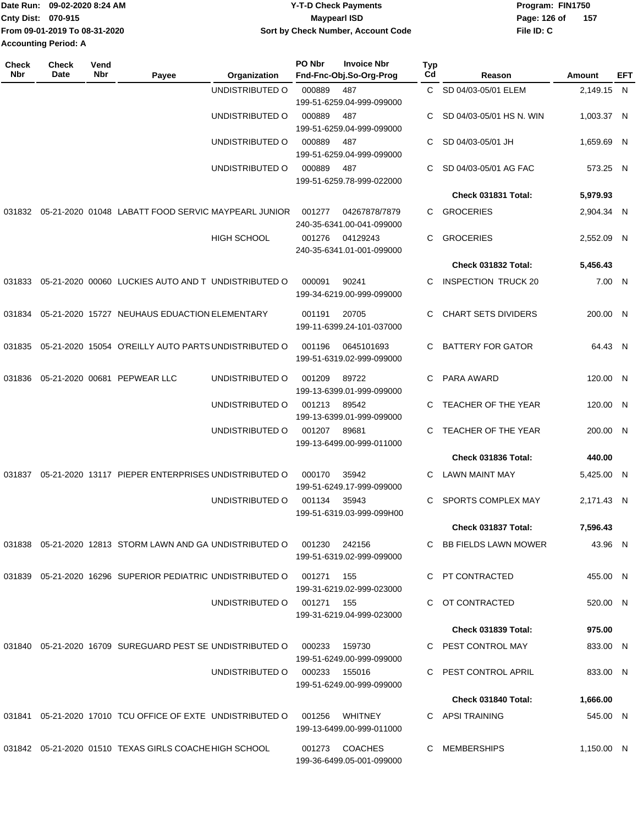|                             | Date Run: 09-02-2020 8:24 AM  | <b>Y-T-D Check Payments</b>        | Program: FIN1750 |       |  |
|-----------------------------|-------------------------------|------------------------------------|------------------|-------|--|
| <b>Cnty Dist: 070-915</b>   |                               | <b>Mavpearl ISD</b>                | Page: 126 of     | - 157 |  |
|                             | From 09-01-2019 To 08-31-2020 | Sort by Check Number, Account Code | File ID: C       |       |  |
| <b>Accounting Period: A</b> |                               |                                    |                  |       |  |

| Check<br>Nbr | <b>Check</b><br>Date | Vend<br>Nbr | Payee                                                         | Organization       | PO Nbr        | <b>Invoice Nbr</b><br>Fnd-Fnc-Obj.So-Org-Prog | <b>Typ</b><br>Cd | Reason                     | Amount     | EFT |
|--------------|----------------------|-------------|---------------------------------------------------------------|--------------------|---------------|-----------------------------------------------|------------------|----------------------------|------------|-----|
|              |                      |             |                                                               | UNDISTRIBUTED O    | 000889        | 487<br>199-51-6259.04-999-099000              | C.               | SD 04/03-05/01 ELEM        | 2,149.15 N |     |
|              |                      |             |                                                               | UNDISTRIBUTED O    | 000889        | 487<br>199-51-6259.04-999-099000              | C                | SD 04/03-05/01 HS N. WIN   | 1,003.37 N |     |
|              |                      |             |                                                               | UNDISTRIBUTED O    | 000889        | 487<br>199-51-6259.04-999-099000              | C                | SD 04/03-05/01 JH          | 1,659.69 N |     |
|              |                      |             |                                                               | UNDISTRIBUTED O    | 000889        | 487<br>199-51-6259.78-999-022000              | C                | SD 04/03-05/01 AG FAC      | 573.25 N   |     |
|              |                      |             |                                                               |                    |               |                                               |                  | Check 031831 Total:        | 5,979.93   |     |
| 031832       |                      |             | 05-21-2020 01048 LABATT FOOD SERVIC MAYPEARL JUNIOR           |                    | 001277        | 04267878/7879<br>240-35-6341.00-041-099000    | C.               | <b>GROCERIES</b>           | 2,904.34 N |     |
|              |                      |             |                                                               | <b>HIGH SCHOOL</b> | 001276        | 04129243<br>240-35-6341.01-001-099000         | C.               | <b>GROCERIES</b>           | 2,552.09 N |     |
|              |                      |             |                                                               |                    |               |                                               |                  | Check 031832 Total:        | 5,456.43   |     |
| 031833       |                      |             | 05-21-2020 00060 LUCKIES AUTO AND TUNDISTRIBUTED O            |                    | 000091        | 90241<br>199-34-6219.00-999-099000            | C                | <b>INSPECTION TRUCK 20</b> | 7.00 N     |     |
| 031834       |                      |             | 05-21-2020 15727 NEUHAUS EDUACTION ELEMENTARY                 |                    | 001191        | 20705<br>199-11-6399.24-101-037000            | C.               | <b>CHART SETS DIVIDERS</b> | 200.00 N   |     |
| 031835       |                      |             | 05-21-2020 15054 O'REILLY AUTO PARTS UNDISTRIBUTED O          |                    | 001196        | 0645101693<br>199-51-6319.02-999-099000       | C.               | <b>BATTERY FOR GATOR</b>   | 64.43 N    |     |
| 031836       |                      |             | 05-21-2020 00681 PEPWEAR LLC                                  | UNDISTRIBUTED O    | 001209        | 89722<br>199-13-6399.01-999-099000            | C.               | PARA AWARD                 | 120.00 N   |     |
|              |                      |             |                                                               | UNDISTRIBUTED O    | 001213        | 89542<br>199-13-6399.01-999-099000            | C                | TEACHER OF THE YEAR        | 120.00 N   |     |
|              |                      |             |                                                               | UNDISTRIBUTED O    | 001207        | 89681<br>199-13-6499.00-999-011000            | C                | TEACHER OF THE YEAR        | 200.00 N   |     |
|              |                      |             |                                                               |                    |               |                                               |                  | Check 031836 Total:        | 440.00     |     |
| 031837       |                      |             | 05-21-2020 13117 PIEPER ENTERPRISES UNDISTRIBUTED O           |                    | 000170        | 35942<br>199-51-6249.17-999-099000            | C                | <b>LAWN MAINT MAY</b>      | 5,425.00 N |     |
|              |                      |             |                                                               | UNDISTRIBUTED O    | 001134        | 35943<br>199-51-6319.03-999-099H00            | C                | SPORTS COMPLEX MAY         | 2,171.43 N |     |
|              |                      |             |                                                               |                    |               |                                               |                  | Check 031837 Total:        | 7,596.43   |     |
|              |                      |             | 031838 05-21-2020 12813 STORM LAWN AND GA UNDISTRIBUTED O     |                    | 001230        | 242156<br>199-51-6319.02-999-099000           |                  | C BB FIELDS LAWN MOWER     | 43.96 N    |     |
|              |                      |             | 031839 05-21-2020 16296 SUPERIOR PEDIATRIC UNDISTRIBUTED O    |                    | 001271        | 155<br>199-31-6219.02-999-023000              |                  | C PT CONTRACTED            | 455.00 N   |     |
|              |                      |             |                                                               | UNDISTRIBUTED O    | 001271 155    | 199-31-6219.04-999-023000                     |                  | C OT CONTRACTED            | 520.00 N   |     |
|              |                      |             |                                                               |                    |               |                                               |                  | Check 031839 Total:        | 975.00     |     |
|              |                      |             | 031840  05-21-2020  16709  SUREGUARD PEST SE UNDISTRIBUTED O  |                    | 000233        | 159730<br>199-51-6249.00-999-099000           |                  | C PEST CONTROL MAY         | 833.00 N   |     |
|              |                      |             |                                                               | UNDISTRIBUTED O    | 000233 155016 | 199-51-6249.00-999-099000                     |                  | PEST CONTROL APRIL         | 833.00 N   |     |
|              |                      |             |                                                               |                    |               |                                               |                  | Check 031840 Total:        | 1,666.00   |     |
|              |                      |             | 031841  05-21-2020  17010  TCU OFFICE OF EXTE UNDISTRIBUTED O |                    | 001256        | <b>WHITNEY</b><br>199-13-6499.00-999-011000   |                  | C APSI TRAINING            | 545.00 N   |     |
|              |                      |             | 031842 05-21-2020 01510 TEXAS GIRLS COACHE HIGH SCHOOL        |                    | 001273        | <b>COACHES</b><br>199-36-6499.05-001-099000   |                  | C MEMBERSHIPS              | 1,150.00 N |     |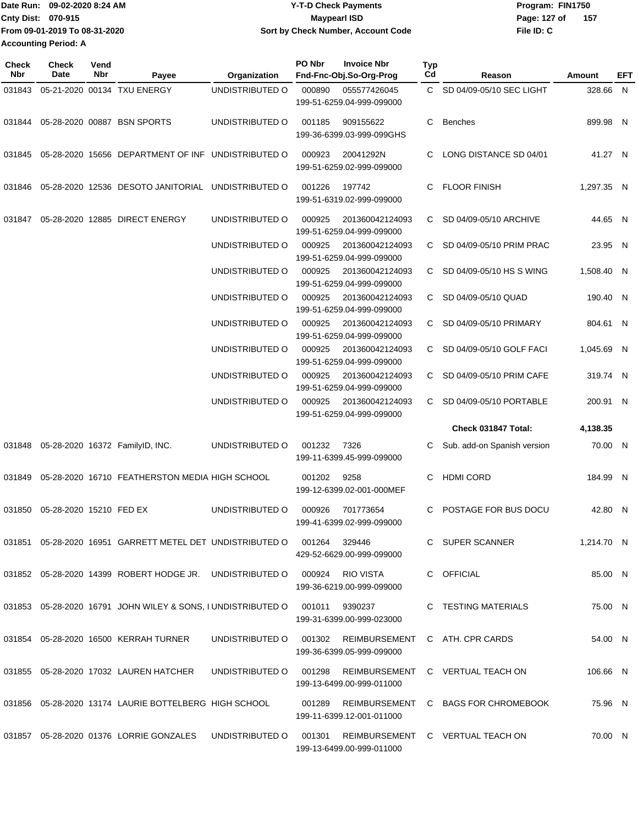| ∎Date Run: 09-02-2020 8:24 AM | <b>Y-T-D Check Payments</b>        | Program: FIN1750     |  |  |  |
|-------------------------------|------------------------------------|----------------------|--|--|--|
| <b>Cnty Dist: 070-915</b>     | <b>Mavpearl ISD</b>                | -157<br>Page: 127 of |  |  |  |
| From 09-01-2019 To 08-31-2020 | Sort by Check Number, Account Code | File ID: C           |  |  |  |
| <b>Accounting Period: A</b>   |                                    |                      |  |  |  |

**PO Nbr Invoice Nbr**

**Check**

| <b>Check</b><br>Nbr | <b>Check</b><br>Date    | Vend<br>Nbr | Payee                                                                  | Organization           | PO Nbr | <b>Invoice Nbr</b><br>Fnd-Fnc-Obj.So-Org-Prog                                      | <b>Typ</b><br>Cd | Reason                              | Amount     | EFT |
|---------------------|-------------------------|-------------|------------------------------------------------------------------------|------------------------|--------|------------------------------------------------------------------------------------|------------------|-------------------------------------|------------|-----|
| 031843              |                         |             | 05-21-2020 00134 TXU ENERGY                                            | UNDISTRIBUTED O        | 000890 | 055577426045<br>199-51-6259.04-999-099000                                          |                  | C SD 04/09-05/10 SEC LIGHT          | 328.66 N   |     |
| 031844              |                         |             | 05-28-2020 00887 BSN SPORTS                                            | UNDISTRIBUTED O        | 001185 | 909155622<br>199-36-6399.03-999-099GHS                                             | C.               | Benches                             | 899.98 N   |     |
| 031845              |                         |             | 05-28-2020 15656 DEPARTMENT OF INF UNDISTRIBUTED O                     |                        | 000923 | 20041292N<br>199-51-6259.02-999-099000                                             | C.               | LONG DISTANCE SD 04/01              | 41.27 N    |     |
| 031846              |                         |             | 05-28-2020 12536 DESOTO JANITORIAL UNDISTRIBUTED O                     |                        | 001226 | 197742<br>199-51-6319.02-999-099000                                                | C.               | <b>FLOOR FINISH</b>                 | 1,297.35 N |     |
| 031847              |                         |             | 05-28-2020 12885 DIRECT ENERGY                                         | UNDISTRIBUTED O        | 000925 | 201360042124093<br>199-51-6259.04-999-099000                                       | C.               | SD 04/09-05/10 ARCHIVE              | 44.65 N    |     |
|                     |                         |             |                                                                        | UNDISTRIBUTED O        | 000925 | 201360042124093<br>199-51-6259.04-999-099000                                       |                  | C SD 04/09-05/10 PRIM PRAC          | 23.95 N    |     |
|                     |                         |             |                                                                        | UNDISTRIBUTED O        | 000925 | 201360042124093<br>199-51-6259.04-999-099000                                       |                  | C SD 04/09-05/10 HS S WING          | 1.508.40 N |     |
|                     |                         |             |                                                                        | UNDISTRIBUTED O        | 000925 | 201360042124093<br>199-51-6259.04-999-099000                                       | C.               | SD 04/09-05/10 QUAD                 | 190.40 N   |     |
|                     |                         |             |                                                                        | UNDISTRIBUTED O        | 000925 | 201360042124093<br>199-51-6259.04-999-099000                                       |                  | C SD 04/09-05/10 PRIMARY            | 804.61 N   |     |
|                     |                         |             |                                                                        | UNDISTRIBUTED O        | 000925 | 201360042124093<br>199-51-6259.04-999-099000                                       |                  | C SD 04/09-05/10 GOLF FACI          | 1,045.69 N |     |
|                     |                         |             |                                                                        | UNDISTRIBUTED O        | 000925 | 201360042124093<br>199-51-6259.04-999-099000                                       | C.               | SD 04/09-05/10 PRIM CAFE            | 319.74 N   |     |
|                     |                         |             |                                                                        | UNDISTRIBUTED O        | 000925 | 201360042124093<br>199-51-6259.04-999-099000                                       | C.               | SD 04/09-05/10 PORTABLE             | 200.91 N   |     |
|                     |                         |             |                                                                        |                        |        |                                                                                    |                  | Check 031847 Total:                 | 4,138.35   |     |
| 031848              |                         |             | 05-28-2020 16372 FamilyID, INC.                                        | UNDISTRIBUTED O        | 001232 | 7326<br>199-11-6399.45-999-099000                                                  | C.               | Sub. add-on Spanish version         | 70.00 N    |     |
| 031849              |                         |             | 05-28-2020 16710 FEATHERSTON MEDIA HIGH SCHOOL                         |                        | 001202 | 9258<br>199-12-6399.02-001-000MEF                                                  | C                | <b>HDMI CORD</b>                    | 184.99 N   |     |
| 031850              | 05-28-2020 15210 FED EX |             |                                                                        | UNDISTRIBUTED O        | 000926 | 701773654<br>199-41-6399.02-999-099000                                             | C.               | POSTAGE FOR BUS DOCU                | 42.80 N    |     |
|                     |                         |             | 031851  05-28-2020  16951  GARRETT METEL DET    UNDISTRIBUTED   001264 |                        |        | 329446<br>429-52-6629.00-999-099000                                                |                  | C SUPER SCANNER                     | 1,214.70 N |     |
|                     |                         |             | 031852  05-28-2020  14399  ROBERT HODGE JR.  UNDISTRIBUTED   000924    |                        |        | <b>RIO VISTA</b><br>199-36-6219.00-999-099000                                      |                  | C OFFICIAL                          | 85.00 N    |     |
|                     |                         |             | 031853  05-28-2020  16791  JOHN WILEY & SONS, I UNDISTRIBUTED O        |                        | 001011 | 9390237<br>199-31-6399.00-999-023000                                               |                  | C TESTING MATERIALS                 | 75.00 N    |     |
|                     |                         |             | 031854 05-28-2020 16500 KERRAH TURNER                                  |                        |        | UNDISTRIBUTED O 001302 REIMBURSEMENT C ATH. CPR CARDS<br>199-36-6399.05-999-099000 |                  |                                     | 54.00 N    |     |
|                     |                         |             | 031855 05-28-2020 17032 LAUREN HATCHER                                 | UNDISTRIBUTED O 001298 |        | 199-13-6499.00-999-011000                                                          |                  | REIMBURSEMENT C VERTUAL TEACH ON    | 106.66 N   |     |
|                     |                         |             | 031856 05-28-2020 13174 LAURIE BOTTELBERG HIGH SCHOOL                  |                        | 001289 | 199-11-6399.12-001-011000                                                          |                  | REIMBURSEMENT C BAGS FOR CHROMEBOOK | 75.96 N    |     |
|                     |                         |             | 031857  05-28-2020  01376  LORRIE GONZALES  UNDISTRIBUTED O            |                        | 001301 | 199-13-6499.00-999-011000                                                          |                  | REIMBURSEMENT C VERTUAL TEACH ON    | 70.00 N    |     |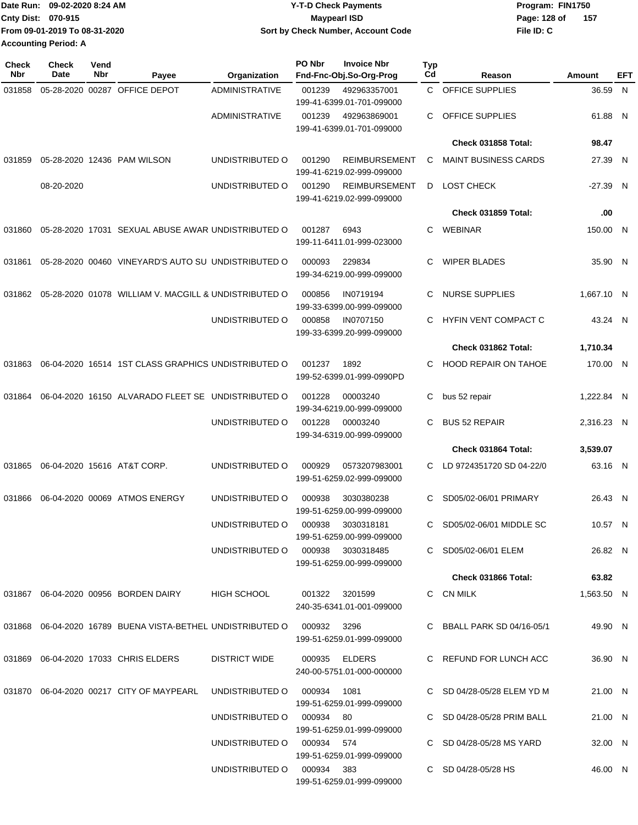|                             | Date Run: 09-02-2020 8:24 AM  | <b>Y-T-D Check Payments</b>        | Program: FIN1750 |       |
|-----------------------------|-------------------------------|------------------------------------|------------------|-------|
| Cnty Dist: 070-915          |                               | <b>Mavpearl ISD</b>                | Page: 128 of     | - 157 |
|                             | From 09-01-2019 To 08-31-2020 | Sort by Check Number, Account Code | File ID: C       |       |
| <b>Accounting Period: A</b> |                               |                                    |                  |       |

| <b>Check</b><br><b>Nbr</b> | Check<br>Date | Vend<br>Nbr | Payee                                                                       | Organization                      | PO Nbr         | <b>Invoice Nbr</b><br>Fnd-Fnc-Obj.So-Org-Prog     | <b>Typ</b><br>Cd | Reason                      | Amount     | EFT |
|----------------------------|---------------|-------------|-----------------------------------------------------------------------------|-----------------------------------|----------------|---------------------------------------------------|------------------|-----------------------------|------------|-----|
| 031858                     |               |             | 05-28-2020 00287 OFFICE DEPOT                                               | ADMINISTRATIVE                    | 001239         | 492963357001<br>199-41-6399.01-701-099000         | C.               | <b>OFFICE SUPPLIES</b>      | 36.59 N    |     |
|                            |               |             |                                                                             | ADMINISTRATIVE                    | 001239         | 492963869001<br>199-41-6399.01-701-099000         | C.               | OFFICE SUPPLIES             | 61.88 N    |     |
|                            |               |             |                                                                             |                                   |                |                                                   |                  | <b>Check 031858 Total:</b>  | 98.47      |     |
| 031859                     |               |             | 05-28-2020 12436 PAM WILSON                                                 | UNDISTRIBUTED O                   | 001290         | <b>REIMBURSEMENT</b><br>199-41-6219.02-999-099000 | C                | <b>MAINT BUSINESS CARDS</b> | 27.39 N    |     |
|                            | 08-20-2020    |             |                                                                             | UNDISTRIBUTED O                   | 001290         | <b>REIMBURSEMENT</b><br>199-41-6219.02-999-099000 | D                | LOST CHECK                  | $-27.39$ N |     |
|                            |               |             |                                                                             |                                   |                |                                                   |                  | Check 031859 Total:         | .00        |     |
| 031860                     |               |             | 05-28-2020 17031 SEXUAL ABUSE AWAR UNDISTRIBUTED O                          |                                   | 001287         | 6943<br>199-11-6411.01-999-023000                 | C.               | <b>WEBINAR</b>              | 150.00 N   |     |
| 031861                     |               |             | 05-28-2020 00460 VINEYARD'S AUTO SU UNDISTRIBUTED O                         |                                   | 000093         | 229834<br>199-34-6219.00-999-099000               | C                | <b>WIPER BLADES</b>         | 35.90 N    |     |
| 031862                     |               |             | 05-28-2020 01078 WILLIAM V. MACGILL & UNDISTRIBUTED O                       |                                   | 000856         | IN0719194<br>199-33-6399.00-999-099000            | C                | <b>NURSE SUPPLIES</b>       | 1,667.10 N |     |
|                            |               |             |                                                                             | UNDISTRIBUTED O                   | 000858         | IN0707150<br>199-33-6399.20-999-099000            | C                | <b>HYFIN VENT COMPACT C</b> | 43.24 N    |     |
|                            |               |             |                                                                             |                                   |                |                                                   |                  | Check 031862 Total:         | 1,710.34   |     |
| 031863                     |               |             | 06-04-2020 16514 1ST CLASS GRAPHICS UNDISTRIBUTED O                         |                                   | 001237         | 1892<br>199-52-6399.01-999-0990PD                 | C.               | <b>HOOD REPAIR ON TAHOE</b> | 170.00 N   |     |
| 031864                     |               |             | 06-04-2020 16150 ALVARADO FLEET SE UNDISTRIBUTED O                          |                                   | 001228         | 00003240<br>199-34-6219.00-999-099000             | С                | bus 52 repair               | 1,222.84 N |     |
|                            |               |             |                                                                             | UNDISTRIBUTED O                   | 001228         | 00003240<br>199-34-6319.00-999-099000             | С                | <b>BUS 52 REPAIR</b>        | 2,316.23 N |     |
|                            |               |             |                                                                             |                                   |                |                                                   |                  | Check 031864 Total:         | 3,539.07   |     |
| 031865                     |               |             | 06-04-2020 15616 AT&T CORP.                                                 | UNDISTRIBUTED O                   | 000929         | 0573207983001<br>199-51-6259.02-999-099000        | C.               | LD 9724351720 SD 04-22/0    | 63.16 N    |     |
| 031866                     |               |             | 06-04-2020 00069 ATMOS ENERGY                                               | UNDISTRIBUTED O                   | 000938         | 3030380238<br>199-51-6259.00-999-099000           | C.               | SD05/02-06/01 PRIMARY       | 26.43 N    |     |
|                            |               |             |                                                                             | UNDISTRIBUTED O                   |                | 000938 3030318181<br>199-51-6259.00-999-099000    |                  | C SD05/02-06/01 MIDDLE SC   | 10.57 N    |     |
|                            |               |             |                                                                             | UNDISTRIBUTED O 000938 3030318485 |                | 199-51-6259.00-999-099000                         |                  | C SD05/02-06/01 ELEM        | 26.82 N    |     |
|                            |               |             |                                                                             |                                   |                |                                                   |                  | Check 031866 Total:         | 63.82      |     |
|                            |               |             |                                                                             | HIGH SCHOOL                       | 001322 3201599 | 240-35-6341.01-001-099000                         |                  | C CN MILK                   | 1,563.50 N |     |
|                            |               |             | 031868  06-04-2020  16789  BUENA VISTA-BETHEL UNDISTRIBUTED O  000932  3296 |                                   |                | 199-51-6259.01-999-099000                         |                  | C BBALL PARK SD 04/16-05/1  | 49.90 N    |     |
|                            |               |             | 031869 06-04-2020 17033 CHRIS ELDERS                                        | <b>DISTRICT WIDE</b>              |                | 000935 ELDERS<br>240-00-5751.01-000-000000        |                  | C REFUND FOR LUNCH ACC      | 36.90 N    |     |
|                            |               |             | 031870   06-04-2020   00217   CITY OF MAYPEARL                              | UNDISTRIBUTED O 000934 1081       |                | 199-51-6259.01-999-099000                         |                  | C SD 04/28-05/28 ELEM YD M  | 21.00 N    |     |
|                            |               |             |                                                                             | UNDISTRIBUTED O                   | 000934 80      | 199-51-6259.01-999-099000                         |                  | C SD 04/28-05/28 PRIM BALL  | 21.00 N    |     |
|                            |               |             |                                                                             | UNDISTRIBUTED O                   | 000934 574     | 199-51-6259.01-999-099000                         |                  | C SD 04/28-05/28 MS YARD    | 32.00 N    |     |
|                            |               |             |                                                                             | UNDISTRIBUTED O 000934 383        |                | 199-51-6259.01-999-099000                         |                  | C SD 04/28-05/28 HS         | 46.00 N    |     |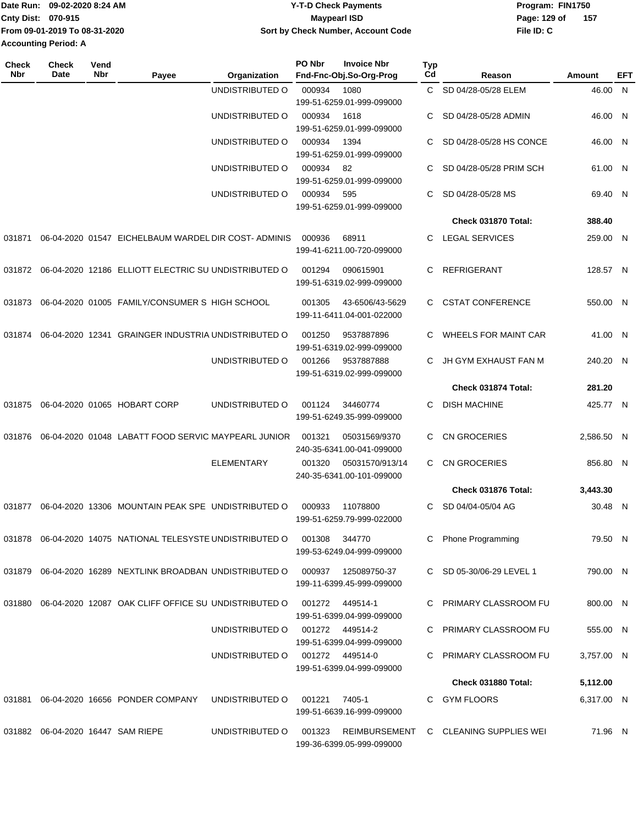| Date Run:                     | 09-02-2020 8:24 AM | Y-T-D Check Payments               | Program: FIN1750 |     |  |  |
|-------------------------------|--------------------|------------------------------------|------------------|-----|--|--|
| Cnty Dist: 070-915            |                    | Maypearl ISD                       | Page: 129 of     | 157 |  |  |
| From 09-01-2019 To 08-31-2020 |                    | Sort by Check Number, Account Code | File ID: C       |     |  |  |
| <b>Accounting Period: A</b>   |                    |                                    |                  |     |  |  |

| Check<br><b>Nbr</b> | <b>Check</b><br>Date | Vend<br>Nbr | Payee                                                         | Organization      | PO Nbr | <b>Invoice Nbr</b><br>Fnd-Fnc-Obj.So-Org-Prog | Typ<br>Cd | Reason                                | Amount     | EFT |
|---------------------|----------------------|-------------|---------------------------------------------------------------|-------------------|--------|-----------------------------------------------|-----------|---------------------------------------|------------|-----|
|                     |                      |             |                                                               | UNDISTRIBUTED O   | 000934 | 1080                                          | C.        | SD 04/28-05/28 ELEM                   | 46.00 N    |     |
|                     |                      |             |                                                               |                   |        | 199-51-6259.01-999-099000                     |           |                                       |            |     |
|                     |                      |             |                                                               | UNDISTRIBUTED O   | 000934 | 1618                                          | C         | SD 04/28-05/28 ADMIN                  | 46.00 N    |     |
|                     |                      |             |                                                               |                   |        | 199-51-6259.01-999-099000                     |           |                                       |            |     |
|                     |                      |             |                                                               | UNDISTRIBUTED O   | 000934 | 1394                                          | C         | SD 04/28-05/28 HS CONCE               | 46.00      | -N  |
|                     |                      |             |                                                               |                   |        | 199-51-6259.01-999-099000                     |           |                                       |            |     |
|                     |                      |             |                                                               | UNDISTRIBUTED O   | 000934 | 82                                            | C         | SD 04/28-05/28 PRIM SCH               | 61.00 N    |     |
|                     |                      |             |                                                               |                   |        | 199-51-6259.01-999-099000                     |           |                                       |            |     |
|                     |                      |             |                                                               | UNDISTRIBUTED O   | 000934 | 595<br>199-51-6259.01-999-099000              | C         | SD 04/28-05/28 MS                     | 69.40 N    |     |
|                     |                      |             |                                                               |                   |        |                                               |           | Check 031870 Total:                   | 388.40     |     |
|                     |                      |             |                                                               |                   |        |                                               |           |                                       |            |     |
| 031871              |                      |             | 06-04-2020 01547 EICHELBAUM WARDEL DIR COST-ADMINIS           |                   | 000936 | 68911                                         | C         | <b>LEGAL SERVICES</b>                 | 259.00 N   |     |
|                     |                      |             |                                                               |                   |        | 199-41-6211.00-720-099000                     |           |                                       |            |     |
| 031872              |                      |             | 06-04-2020 12186 ELLIOTT ELECTRIC SU UNDISTRIBUTED O          |                   | 001294 | 090615901                                     | C         | <b>REFRIGERANT</b>                    | 128.57 N   |     |
|                     |                      |             |                                                               |                   |        | 199-51-6319.02-999-099000                     |           |                                       |            |     |
| 031873              |                      |             | 06-04-2020 01005 FAMILY/CONSUMER S HIGH SCHOOL                |                   | 001305 | 43-6506/43-5629                               | C         | <b>CSTAT CONFERENCE</b>               | 550.00 N   |     |
|                     |                      |             |                                                               |                   |        | 199-11-6411.04-001-022000                     |           |                                       |            |     |
| 031874              |                      |             | 06-04-2020 12341 GRAINGER INDUSTRIA UNDISTRIBUTED O           |                   | 001250 | 9537887896                                    |           | <b>WHEELS FOR MAINT CAR</b>           | 41.00 N    |     |
|                     |                      |             |                                                               |                   |        | 199-51-6319.02-999-099000                     |           |                                       |            |     |
|                     |                      |             |                                                               | UNDISTRIBUTED O   | 001266 | 9537887888                                    | C         | JH GYM EXHAUST FAN M                  | 240.20 N   |     |
|                     |                      |             |                                                               |                   |        | 199-51-6319.02-999-099000                     |           |                                       |            |     |
|                     |                      |             |                                                               |                   |        |                                               |           | Check 031874 Total:                   | 281.20     |     |
| 031875              |                      |             | 06-04-2020 01065 HOBART CORP                                  | UNDISTRIBUTED O   | 001124 | 34460774                                      | C         | <b>DISH MACHINE</b>                   | 425.77 N   |     |
|                     |                      |             |                                                               |                   |        | 199-51-6249.35-999-099000                     |           |                                       |            |     |
|                     |                      |             |                                                               |                   |        |                                               |           |                                       |            |     |
| 031876              |                      |             | 06-04-2020 01048 LABATT FOOD SERVIC MAYPEARL JUNIOR           |                   | 001321 | 05031569/9370<br>240-35-6341.00-041-099000    | C         | <b>CN GROCERIES</b>                   | 2,586.50 N |     |
|                     |                      |             |                                                               | <b>ELEMENTARY</b> | 001320 | 05031570/913/14                               | C         | <b>CN GROCERIES</b>                   | 856.80 N   |     |
|                     |                      |             |                                                               |                   |        | 240-35-6341.00-101-099000                     |           |                                       |            |     |
|                     |                      |             |                                                               |                   |        |                                               |           | Check 031876 Total:                   | 3,443.30   |     |
| 031877              |                      |             | 06-04-2020 13306 MOUNTAIN PEAK SPE UNDISTRIBUTED O            |                   | 000933 | 11078800                                      | C         | SD 04/04-05/04 AG                     | 30.48 N    |     |
|                     |                      |             |                                                               |                   |        | 199-51-6259.79-999-022000                     |           |                                       |            |     |
|                     |                      |             |                                                               |                   |        |                                               |           |                                       |            |     |
|                     |                      |             | 031878  06-04-2020  14075  NATIONAL TELESYSTE UNDISTRIBUTED O |                   | 001308 | 344770                                        |           | <b>Phone Programming</b>              | 79.50 N    |     |
|                     |                      |             |                                                               |                   |        | 199-53-6249.04-999-099000                     |           |                                       |            |     |
|                     |                      |             | 031879 06-04-2020 16289 NEXTLINK BROADBAN UNDISTRIBUTED O     |                   |        | 000937 125089750-37                           |           | C SD 05-30/06-29 LEVEL 1              | 790.00 N   |     |
|                     |                      |             |                                                               |                   |        | 199-11-6399.45-999-099000                     |           |                                       |            |     |
|                     |                      |             | 031880 06-04-2020 12087 OAK CLIFF OFFICE SU UNDISTRIBUTED O   |                   |        | 001272 449514-1                               |           | PRIMARY CLASSROOM FU                  | 800.00 N   |     |
|                     |                      |             |                                                               |                   |        | 199-51-6399.04-999-099000                     |           |                                       |            |     |
|                     |                      |             |                                                               | UNDISTRIBUTED O   |        | 001272 449514-2                               |           | C PRIMARY CLASSROOM FU                | 555.00 N   |     |
|                     |                      |             |                                                               |                   |        | 199-51-6399.04-999-099000                     |           |                                       |            |     |
|                     |                      |             |                                                               | UNDISTRIBUTED O   |        | 001272 449514-0                               |           | C PRIMARY CLASSROOM FU                | 3,757.00 N |     |
|                     |                      |             |                                                               |                   |        | 199-51-6399.04-999-099000                     |           |                                       |            |     |
|                     |                      |             |                                                               |                   |        |                                               |           | Check 031880 Total:                   | 5,112.00   |     |
| 031881              |                      |             | 06-04-2020 16656 PONDER COMPANY                               | UNDISTRIBUTED O   | 001221 | 7405-1                                        |           | C GYM FLOORS                          | 6,317.00 N |     |
|                     |                      |             |                                                               |                   |        | 199-51-6639.16-999-099000                     |           |                                       |            |     |
|                     |                      |             | 031882 06-04-2020 16447 SAM RIEPE                             | UNDISTRIBUTED O   | 001323 |                                               |           | REIMBURSEMENT C CLEANING SUPPLIES WEI | 71.96 N    |     |
|                     |                      |             |                                                               |                   |        | 199-36-6399.05-999-099000                     |           |                                       |            |     |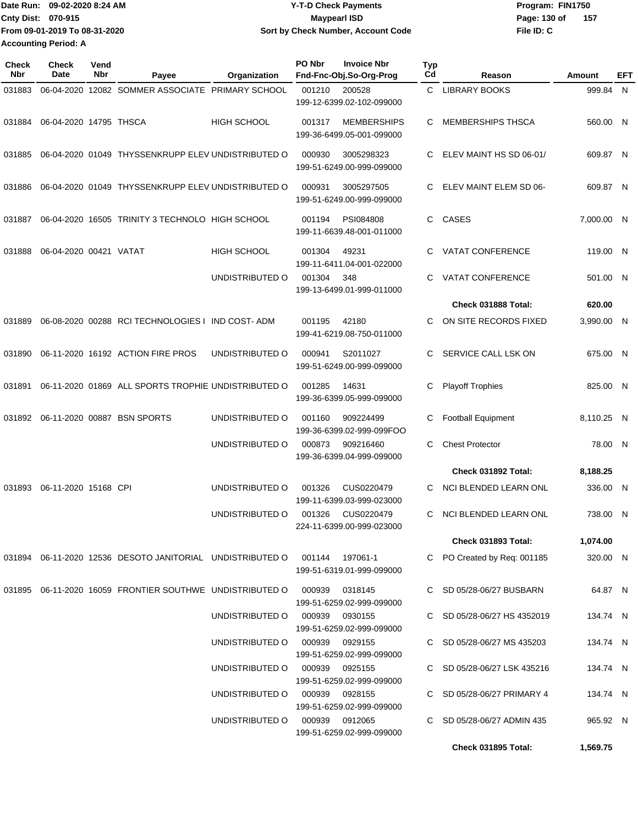| 1Date Run: 09-02-2020 8:24 AM | <b>Y-T-D Check Payments</b>        | Program: FIN1750      |
|-------------------------------|------------------------------------|-----------------------|
| <b>Cnty Dist: 070-915</b>     | <b>Mavpearl ISD</b>                | Page: 130 of<br>- 157 |
| From 09-01-2019 To 08-31-2020 | Sort by Check Number, Account Code | File ID: C            |
| <b>Accounting Period: A</b>   |                                    |                       |

| <b>Check</b><br>Nbr | <b>Check</b><br>Date   | Vend<br>Nbr | Payee                                                         | Organization       | PO Nbr         | <b>Invoice Nbr</b><br>Fnd-Fnc-Obj.So-Org-Prog   | Typ<br>Cd | Reason                      | Amount     | EFT |
|---------------------|------------------------|-------------|---------------------------------------------------------------|--------------------|----------------|-------------------------------------------------|-----------|-----------------------------|------------|-----|
| 031883              |                        |             | 06-04-2020 12082 SOMMER ASSOCIATE PRIMARY SCHOOL              |                    | 001210         | 200528<br>199-12-6399.02-102-099000             | C.        | <b>LIBRARY BOOKS</b>        | 999.84 N   |     |
| 031884              | 06-04-2020 14795 THSCA |             |                                                               | <b>HIGH SCHOOL</b> | 001317         | <b>MEMBERSHIPS</b><br>199-36-6499.05-001-099000 | C.        | <b>MEMBERSHIPS THSCA</b>    | 560.00 N   |     |
| 031885              |                        |             | 06-04-2020 01049 THYSSENKRUPP ELEV UNDISTRIBUTED O            |                    | 000930         | 3005298323<br>199-51-6249.00-999-099000         | C.        | ELEV MAINT HS SD 06-01/     | 609.87 N   |     |
| 031886              |                        |             | 06-04-2020 01049 THYSSENKRUPP ELEV UNDISTRIBUTED O            |                    | 000931         | 3005297505<br>199-51-6249.00-999-099000         | C.        | ELEV MAINT ELEM SD 06-      | 609.87 N   |     |
| 031887              |                        |             | 06-04-2020 16505 TRINITY 3 TECHNOLO HIGH SCHOOL               |                    | 001194         | PSI084808<br>199-11-6639.48-001-011000          | C         | CASES                       | 7,000.00 N |     |
| 031888              | 06-04-2020 00421 VATAT |             |                                                               | <b>HIGH SCHOOL</b> | 001304         | 49231<br>199-11-6411.04-001-022000              | C         | <b>VATAT CONFERENCE</b>     | 119.00 N   |     |
|                     |                        |             |                                                               | UNDISTRIBUTED O    | 001304         | 348<br>199-13-6499.01-999-011000                | C         | VATAT CONFERENCE            | 501.00 N   |     |
|                     |                        |             |                                                               |                    |                |                                                 |           | Check 031888 Total:         | 620.00     |     |
| 031889              |                        |             | 06-08-2020 00288 RCI TECHNOLOGIES I IND COST-ADM              |                    | 001195         | 42180<br>199-41-6219.08-750-011000              | C         | ON SITE RECORDS FIXED       | 3,990.00 N |     |
| 031890              |                        |             | 06-11-2020 16192 ACTION FIRE PROS                             | UNDISTRIBUTED O    | 000941         | S2011027<br>199-51-6249.00-999-099000           | C.        | SERVICE CALL LSK ON         | 675.00 N   |     |
| 031891              |                        |             | 06-11-2020 01869 ALL SPORTS TROPHIE UNDISTRIBUTED O           |                    | 001285         | 14631<br>199-36-6399.05-999-099000              | С         | <b>Playoff Trophies</b>     | 825.00 N   |     |
| 031892              |                        |             | 06-11-2020 00887 BSN SPORTS                                   | UNDISTRIBUTED O    | 001160         | 909224499<br>199-36-6399.02-999-099FOO          | C         | <b>Football Equipment</b>   | 8,110.25 N |     |
|                     |                        |             |                                                               | UNDISTRIBUTED O    | 000873         | 909216460<br>199-36-6399.04-999-099000          | C         | <b>Chest Protector</b>      | 78.00 N    |     |
|                     |                        |             |                                                               |                    |                |                                                 |           | Check 031892 Total:         | 8,188.25   |     |
| 031893              | 06-11-2020 15168 CPI   |             |                                                               | UNDISTRIBUTED O    | 001326         | CUS0220479<br>199-11-6399.03-999-023000         | С         | NCI BLENDED LEARN ONL       | 336.00 N   |     |
|                     |                        |             |                                                               | UNDISTRIBUTED O    | 001326         | CUS0220479<br>224-11-6399.00-999-023000         | C         | NCI BLENDED LEARN ONL       | 738.00 N   |     |
|                     |                        |             |                                                               |                    |                |                                                 |           | Check 031893 Total:         | 1,074.00   |     |
|                     |                        |             | 031894  06-11-2020  12536  DESOTO JANITORIAL  UNDISTRIBUTED O |                    |                | 001144 197061-1<br>199-51-6319.01-999-099000    |           | C PO Created by Req: 001185 | 320.00 N   |     |
|                     |                        |             | 031895 06-11-2020 16059 FRONTIER SOUTHWE UNDISTRIBUTED O      |                    | 000939         | 0318145<br>199-51-6259.02-999-099000            |           | C SD 05/28-06/27 BUSBARN    | 64.87 N    |     |
|                     |                        |             |                                                               | UNDISTRIBUTED O    | 000939 0930155 | 199-51-6259.02-999-099000                       |           | C SD 05/28-06/27 HS 4352019 | 134.74 N   |     |
|                     |                        |             |                                                               | UNDISTRIBUTED O    | 000939         | 0929155<br>199-51-6259.02-999-099000            |           | C SD 05/28-06/27 MS 435203  | 134.74 N   |     |
|                     |                        |             |                                                               | UNDISTRIBUTED O    | 000939         | 0925155<br>199-51-6259.02-999-099000            |           | C SD 05/28-06/27 LSK 435216 | 134.74 N   |     |
|                     |                        |             |                                                               | UNDISTRIBUTED O    | 000939         | 0928155<br>199-51-6259.02-999-099000            |           | C SD 05/28-06/27 PRIMARY 4  | 134.74 N   |     |
|                     |                        |             |                                                               | UNDISTRIBUTED O    | 000939         | 0912065<br>199-51-6259.02-999-099000            |           | C SD 05/28-06/27 ADMIN 435  | 965.92 N   |     |
|                     |                        |             |                                                               |                    |                |                                                 |           | Check 031895 Total:         | 1,569.75   |     |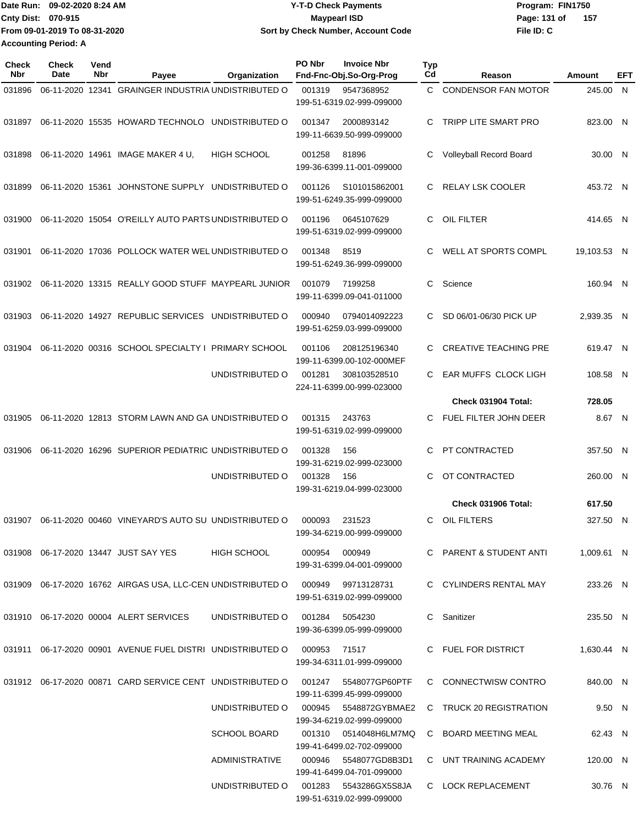| Date Run:                   | 09-02-2020 8:24 AM            | Y-T-D Check Payments               | Program: FIN1750 |     |
|-----------------------------|-------------------------------|------------------------------------|------------------|-----|
| <b>Cnty Dist: 070-915</b>   |                               | Maypearl ISD                       | Page: 131 of     | 157 |
|                             | From 09-01-2019 To 08-31-2020 | Sort by Check Number, Account Code | File ID: C       |     |
| <b>Accounting Period: A</b> |                               |                                    |                  |     |

| <b>Check</b><br>Nbr | Check<br>Date | Vend<br>Nbr | Payee                                                                           | Organization        | PO Nbr<br><b>Invoice Nbr</b><br>Fnd-Fnc-Obj.So-Org-Prog | <b>Typ</b><br>Cd | Reason                                      | Amount             | EFT |
|---------------------|---------------|-------------|---------------------------------------------------------------------------------|---------------------|---------------------------------------------------------|------------------|---------------------------------------------|--------------------|-----|
| 031896              |               |             | 06-11-2020 12341 GRAINGER INDUSTRIA UNDISTRIBUTED O                             |                     | 001319<br>9547368952<br>199-51-6319.02-999-099000       | C.               | <b>CONDENSOR FAN MOTOR</b>                  | 245.00 N           |     |
| 031897              |               |             | 06-11-2020 15535 HOWARD TECHNOLO UNDISTRIBUTED O                                |                     | 2000893142<br>001347<br>199-11-6639.50-999-099000       | C                | TRIPP LITE SMART PRO                        | 823.00 N           |     |
| 031898              |               |             | 06-11-2020 14961 IMAGE MAKER 4 U,                                               | <b>HIGH SCHOOL</b>  | 001258<br>81896<br>199-36-6399.11-001-099000            | C                | Volleyball Record Board                     | 30.00 N            |     |
| 031899              |               |             | 06-11-2020 15361 JOHNSTONE SUPPLY UNDISTRIBUTED O                               |                     | 001126<br>S101015862001<br>199-51-6249.35-999-099000    | C.               | <b>RELAY LSK COOLER</b>                     | 453.72 N           |     |
| 031900              |               |             | 06-11-2020 15054 O'REILLY AUTO PARTS UNDISTRIBUTED O                            |                     | 001196<br>0645107629<br>199-51-6319.02-999-099000       | C                | OIL FILTER                                  | 414.65 N           |     |
| 031901              |               |             | 06-11-2020 17036 POLLOCK WATER WEL UNDISTRIBUTED O                              |                     | 001348<br>8519<br>199-51-6249.36-999-099000             | C                | WELL AT SPORTS COMPL                        | 19,103.53 N        |     |
| 031902              |               |             | 06-11-2020 13315 REALLY GOOD STUFF MAYPEARL JUNIOR                              |                     | 001079<br>7199258<br>199-11-6399.09-041-011000          | C                | Science                                     | 160.94 N           |     |
| 031903              |               |             | 06-11-2020 14927 REPUBLIC SERVICES UNDISTRIBUTED O                              |                     | 000940<br>0794014092223<br>199-51-6259.03-999-099000    | С                | SD 06/01-06/30 PICK UP                      | 2,939.35 N         |     |
| 031904              |               |             | 06-11-2020 00316 SCHOOL SPECIALTY I PRIMARY SCHOOL                              |                     | 208125196340<br>001106<br>199-11-6399.00-102-000MEF     | C                | <b>CREATIVE TEACHING PRE</b>                | 619.47 N           |     |
|                     |               |             |                                                                                 | UNDISTRIBUTED O     | 001281<br>308103528510<br>224-11-6399.00-999-023000     | C                | EAR MUFFS CLOCK LIGH<br>Check 031904 Total: | 108.58 N<br>728.05 |     |
| 031905              |               |             | 06-11-2020 12813 STORM LAWN AND GA UNDISTRIBUTED O                              |                     | 243763<br>001315<br>199-51-6319.02-999-099000           | C                | FUEL FILTER JOHN DEER                       | 8.67 N             |     |
| 031906              |               |             | 06-11-2020 16296 SUPERIOR PEDIATRIC UNDISTRIBUTED O                             |                     | 001328<br>156<br>199-31-6219.02-999-023000              | C                | PT CONTRACTED                               | 357.50 N           |     |
|                     |               |             |                                                                                 | UNDISTRIBUTED O     | 001328<br>156<br>199-31-6219.04-999-023000              | C                | OT CONTRACTED                               | 260.00 N           |     |
|                     |               |             |                                                                                 |                     |                                                         |                  | Check 031906 Total:                         | 617.50             |     |
| 031907              |               |             | 06-11-2020 00460 VINEYARD'S AUTO SU UNDISTRIBUTED O                             |                     | 000093<br>231523<br>199-34-6219.00-999-099000           | C                | OIL FILTERS                                 | 327.50 N           |     |
|                     |               |             | 031908  06-17-2020  13447  JUST SAY YES                                         | HIGH SCHOOL         | 000954 000949<br>199-31-6399.04-001-099000              |                  | C PARENT & STUDENT ANTI                     | 1.009.61 N         |     |
|                     |               |             | 031909 06-17-2020 16762 AIRGAS USA, LLC-CEN UNDISTRIBUTED O                     |                     | 000949  99713128731<br>199-51-6319.02-999-099000        |                  | C CYLINDERS RENTAL MAY                      | 233.26 N           |     |
|                     |               |             | 031910  06-17-2020  00004  ALERT SERVICES                                       | UNDISTRIBUTED O     | 001284<br>5054230<br>199-36-6399.05-999-099000          |                  | C Sanitizer                                 | 235.50 N           |     |
|                     |               |             | 031911  06-17-2020  00901  AVENUE FUEL DISTRI  UNDISTRIBUTED O                  |                     | 000953  71517<br>199-34-6311.01-999-099000              |                  | C FUEL FOR DISTRICT                         | 1,630.44 N         |     |
|                     |               |             | 031912 06-17-2020 00871 CARD SERVICE CENT UNDISTRIBUTED O 001247 5548077GP60PTF |                     | 199-11-6399.45-999-099000                               |                  | C CONNECTWISW CONTRO                        | 840.00 N           |     |
|                     |               |             |                                                                                 | UNDISTRIBUTED O     | 000945  5548872GYBMAE2<br>199-34-6219.02-999-099000     |                  | C TRUCK 20 REGISTRATION                     | 9.50 N             |     |
|                     |               |             |                                                                                 | <b>SCHOOL BOARD</b> | 199-41-6499.02-702-099000                               |                  | C BOARD MEETING MEAL                        | 62.43 N            |     |
|                     |               |             |                                                                                 | ADMINISTRATIVE      | 000946 5548077GD8B3D1<br>199-41-6499.04-701-099000      |                  | C UNT TRAINING ACADEMY                      | 120.00 N           |     |
|                     |               |             |                                                                                 | UNDISTRIBUTED O     | 001283 5543286GX5S8JA<br>199-51-6319.02-999-099000      |                  | C LOCK REPLACEMENT                          | 30.76 N            |     |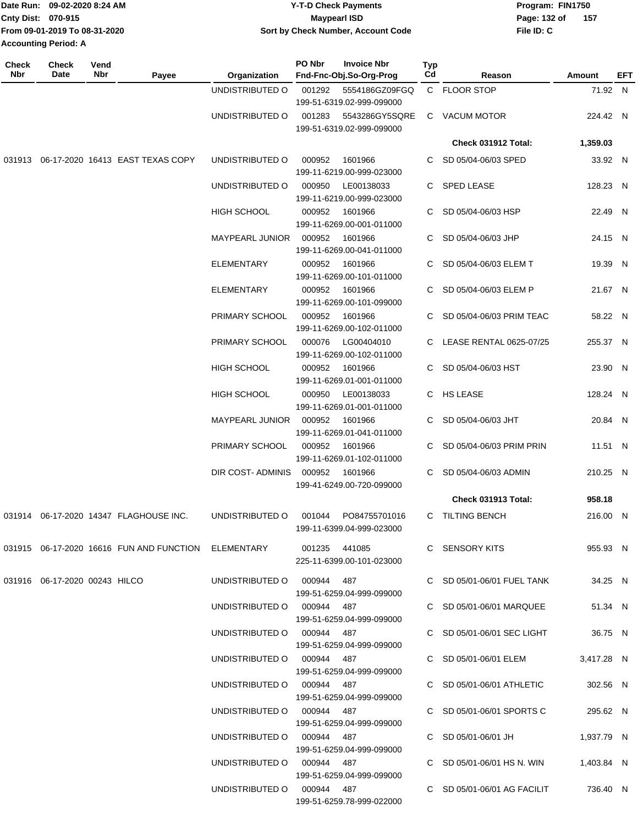|                           | Date Run: 09-02-2020 8:24 AM  | <b>Y-T-D Check Payments</b>        | Program: FIN1750      |
|---------------------------|-------------------------------|------------------------------------|-----------------------|
| <b>Cnty Dist: 070-915</b> |                               | Maypearl ISD                       | - 157<br>Page: 132 of |
|                           | From 09-01-2019 To 08-31-2020 | Sort by Check Number, Account Code | File ID: C            |
|                           | <b>Accounting Period: A</b>   |                                    |                       |

| C FLOOR STOP<br>71.92 N<br>UNDISTRIBUTED O<br>001292<br>5554186GZ09FGQ<br>199-51-6319.02-999-099000<br>UNDISTRIBUTED O<br>001283<br>5543286GY5SQRE<br>C VACUM MOTOR<br>224.42 N<br>199-51-6319.02-999-099000<br>1,359.03<br>Check 031912 Total:<br>031913 06-17-2020 16413 EAST TEXAS COPY<br>UNDISTRIBUTED O<br>1601966<br>SD 05/04-06/03 SPED<br>33.92 N<br>000952<br>C.<br>199-11-6219.00-999-023000<br>UNDISTRIBUTED O<br>000950<br>LE00138033<br>C SPED LEASE<br>128.23 N<br>199-11-6219.00-999-023000<br>HIGH SCHOOL<br>000952<br>1601966<br>C SD 05/04-06/03 HSP<br>22.49 N<br>199-11-6269.00-001-011000<br><b>MAYPEARL JUNIOR</b><br>000952<br>1601966<br>C SD 05/04-06/03 JHP<br>24.15 N<br>199-11-6269.00-041-011000<br><b>ELEMENTARY</b><br>000952<br>1601966<br>C SD 05/04-06/03 ELEM T<br>19.39 N<br>199-11-6269.00-101-011000<br>000952<br>1601966<br><b>ELEMENTARY</b><br>SD 05/04-06/03 ELEM P<br>21.67 N<br>199-11-6269.00-101-099000<br>PRIMARY SCHOOL<br>000952<br>1601966<br>SD 05/04-06/03 PRIM TEAC<br>58.22 N<br>C<br>199-11-6269.00-102-011000<br>PRIMARY SCHOOL<br>000076<br>LG00404010<br>C LEASE RENTAL 0625-07/25<br>255.37 N<br>199-11-6269.00-102-011000<br>HIGH SCHOOL<br>000952<br>1601966<br>SD 05/04-06/03 HST<br>23.90 N<br>C.<br>199-11-6269.01-001-011000<br>HIGH SCHOOL<br>LE00138033<br>C HS LEASE<br>128.24 N<br>000950<br>199-11-6269.01-001-011000<br>000952<br>1601966<br>C SD 05/04-06/03 JHT<br>20.84 N<br>MAYPEARL JUNIOR<br>199-11-6269.01-041-011000<br>PRIMARY SCHOOL<br>000952<br>1601966<br>SD 05/04-06/03 PRIM PRIN<br>11.51 N<br>C.<br>199-11-6269.01-102-011000<br>DIR COST-ADMINIS<br>000952<br>SD 05/04-06/03 ADMIN<br>210.25 N<br>1601966<br>C<br>199-41-6249.00-720-099000<br>Check 031913 Total:<br>958.18<br>031914   06-17-2020   14347   FLAGHOUSE INC.<br>UNDISTRIBUTED O<br>PO84755701016<br>C TILTING BENCH<br>216.00 N<br>001044<br>199-11-6399.04-999-023000<br>031915 06-17-2020  16616  FUN AND FUNCTION    ELEMENTARY             001235     441085<br>C SENSORY KITS<br>955.93 N<br>225-11-6399.00-101-023000<br>031916  06-17-2020  00243  HILCO<br>UNDISTRIBUTED O 000944 487<br>C SD 05/01-06/01 FUEL TANK<br>34.25 N<br>199-51-6259.04-999-099000<br>UNDISTRIBUTED O 000944 487<br>C SD 05/01-06/01 MARQUEE<br>51.34 N<br>199-51-6259.04-999-099000<br>UNDISTRIBUTED O 000944 487<br>C SD 05/01-06/01 SEC LIGHT<br>36.75 N<br>199-51-6259.04-999-099000<br>UNDISTRIBUTED O 000944 487<br>C SD 05/01-06/01 ELEM<br>3,417.28 N<br>199-51-6259.04-999-099000<br>UNDISTRIBUTED O 000944 487<br>C SD 05/01-06/01 ATHLETIC<br>302.56 N<br>199-51-6259.04-999-099000<br>UNDISTRIBUTED O 000944 487<br>C SD 05/01-06/01 SPORTS C<br>295.62 N<br>199-51-6259.04-999-099000<br>UNDISTRIBUTED O 000944 487<br>C SD 05/01-06/01 JH<br>1,937.79 N<br>199-51-6259.04-999-099000<br>C SD 05/01-06/01 HS N. WIN<br>1,403.84 N<br>UNDISTRIBUTED O 000944 487<br>199-51-6259.04-999-099000<br>UNDISTRIBUTED O 000944 487<br>C SD 05/01-06/01 AG FACILIT<br>736.40 N<br>199-51-6259.78-999-022000 | <b>Check</b><br>Nbr | <b>Check</b><br>Date | Vend<br>Nbr | Payee | Organization | PO Nbr | <b>Invoice Nbr</b><br>Fnd-Fnc-Obj.So-Org-Prog | Typ<br>Cd | Reason | Amount | EFT |
|-----------------------------------------------------------------------------------------------------------------------------------------------------------------------------------------------------------------------------------------------------------------------------------------------------------------------------------------------------------------------------------------------------------------------------------------------------------------------------------------------------------------------------------------------------------------------------------------------------------------------------------------------------------------------------------------------------------------------------------------------------------------------------------------------------------------------------------------------------------------------------------------------------------------------------------------------------------------------------------------------------------------------------------------------------------------------------------------------------------------------------------------------------------------------------------------------------------------------------------------------------------------------------------------------------------------------------------------------------------------------------------------------------------------------------------------------------------------------------------------------------------------------------------------------------------------------------------------------------------------------------------------------------------------------------------------------------------------------------------------------------------------------------------------------------------------------------------------------------------------------------------------------------------------------------------------------------------------------------------------------------------------------------------------------------------------------------------------------------------------------------------------------------------------------------------------------------------------------------------------------------------------------------------------------------------------------------------------------------------------------------------------------------------------------------------------------------------------------------------------------------------------------------------------------------------------------------------------------------------------------------------------------------------------------------------------------------------------------------------------------------------------------------------------------------------------------------------------------------------------------------------------------------------------------------------------------------------------------------------------------------------------------------------------------------------|---------------------|----------------------|-------------|-------|--------------|--------|-----------------------------------------------|-----------|--------|--------|-----|
|                                                                                                                                                                                                                                                                                                                                                                                                                                                                                                                                                                                                                                                                                                                                                                                                                                                                                                                                                                                                                                                                                                                                                                                                                                                                                                                                                                                                                                                                                                                                                                                                                                                                                                                                                                                                                                                                                                                                                                                                                                                                                                                                                                                                                                                                                                                                                                                                                                                                                                                                                                                                                                                                                                                                                                                                                                                                                                                                                                                                                                                           |                     |                      |             |       |              |        |                                               |           |        |        |     |
|                                                                                                                                                                                                                                                                                                                                                                                                                                                                                                                                                                                                                                                                                                                                                                                                                                                                                                                                                                                                                                                                                                                                                                                                                                                                                                                                                                                                                                                                                                                                                                                                                                                                                                                                                                                                                                                                                                                                                                                                                                                                                                                                                                                                                                                                                                                                                                                                                                                                                                                                                                                                                                                                                                                                                                                                                                                                                                                                                                                                                                                           |                     |                      |             |       |              |        |                                               |           |        |        |     |
|                                                                                                                                                                                                                                                                                                                                                                                                                                                                                                                                                                                                                                                                                                                                                                                                                                                                                                                                                                                                                                                                                                                                                                                                                                                                                                                                                                                                                                                                                                                                                                                                                                                                                                                                                                                                                                                                                                                                                                                                                                                                                                                                                                                                                                                                                                                                                                                                                                                                                                                                                                                                                                                                                                                                                                                                                                                                                                                                                                                                                                                           |                     |                      |             |       |              |        |                                               |           |        |        |     |
|                                                                                                                                                                                                                                                                                                                                                                                                                                                                                                                                                                                                                                                                                                                                                                                                                                                                                                                                                                                                                                                                                                                                                                                                                                                                                                                                                                                                                                                                                                                                                                                                                                                                                                                                                                                                                                                                                                                                                                                                                                                                                                                                                                                                                                                                                                                                                                                                                                                                                                                                                                                                                                                                                                                                                                                                                                                                                                                                                                                                                                                           |                     |                      |             |       |              |        |                                               |           |        |        |     |
|                                                                                                                                                                                                                                                                                                                                                                                                                                                                                                                                                                                                                                                                                                                                                                                                                                                                                                                                                                                                                                                                                                                                                                                                                                                                                                                                                                                                                                                                                                                                                                                                                                                                                                                                                                                                                                                                                                                                                                                                                                                                                                                                                                                                                                                                                                                                                                                                                                                                                                                                                                                                                                                                                                                                                                                                                                                                                                                                                                                                                                                           |                     |                      |             |       |              |        |                                               |           |        |        |     |
|                                                                                                                                                                                                                                                                                                                                                                                                                                                                                                                                                                                                                                                                                                                                                                                                                                                                                                                                                                                                                                                                                                                                                                                                                                                                                                                                                                                                                                                                                                                                                                                                                                                                                                                                                                                                                                                                                                                                                                                                                                                                                                                                                                                                                                                                                                                                                                                                                                                                                                                                                                                                                                                                                                                                                                                                                                                                                                                                                                                                                                                           |                     |                      |             |       |              |        |                                               |           |        |        |     |
|                                                                                                                                                                                                                                                                                                                                                                                                                                                                                                                                                                                                                                                                                                                                                                                                                                                                                                                                                                                                                                                                                                                                                                                                                                                                                                                                                                                                                                                                                                                                                                                                                                                                                                                                                                                                                                                                                                                                                                                                                                                                                                                                                                                                                                                                                                                                                                                                                                                                                                                                                                                                                                                                                                                                                                                                                                                                                                                                                                                                                                                           |                     |                      |             |       |              |        |                                               |           |        |        |     |
|                                                                                                                                                                                                                                                                                                                                                                                                                                                                                                                                                                                                                                                                                                                                                                                                                                                                                                                                                                                                                                                                                                                                                                                                                                                                                                                                                                                                                                                                                                                                                                                                                                                                                                                                                                                                                                                                                                                                                                                                                                                                                                                                                                                                                                                                                                                                                                                                                                                                                                                                                                                                                                                                                                                                                                                                                                                                                                                                                                                                                                                           |                     |                      |             |       |              |        |                                               |           |        |        |     |
|                                                                                                                                                                                                                                                                                                                                                                                                                                                                                                                                                                                                                                                                                                                                                                                                                                                                                                                                                                                                                                                                                                                                                                                                                                                                                                                                                                                                                                                                                                                                                                                                                                                                                                                                                                                                                                                                                                                                                                                                                                                                                                                                                                                                                                                                                                                                                                                                                                                                                                                                                                                                                                                                                                                                                                                                                                                                                                                                                                                                                                                           |                     |                      |             |       |              |        |                                               |           |        |        |     |
|                                                                                                                                                                                                                                                                                                                                                                                                                                                                                                                                                                                                                                                                                                                                                                                                                                                                                                                                                                                                                                                                                                                                                                                                                                                                                                                                                                                                                                                                                                                                                                                                                                                                                                                                                                                                                                                                                                                                                                                                                                                                                                                                                                                                                                                                                                                                                                                                                                                                                                                                                                                                                                                                                                                                                                                                                                                                                                                                                                                                                                                           |                     |                      |             |       |              |        |                                               |           |        |        |     |
|                                                                                                                                                                                                                                                                                                                                                                                                                                                                                                                                                                                                                                                                                                                                                                                                                                                                                                                                                                                                                                                                                                                                                                                                                                                                                                                                                                                                                                                                                                                                                                                                                                                                                                                                                                                                                                                                                                                                                                                                                                                                                                                                                                                                                                                                                                                                                                                                                                                                                                                                                                                                                                                                                                                                                                                                                                                                                                                                                                                                                                                           |                     |                      |             |       |              |        |                                               |           |        |        |     |
|                                                                                                                                                                                                                                                                                                                                                                                                                                                                                                                                                                                                                                                                                                                                                                                                                                                                                                                                                                                                                                                                                                                                                                                                                                                                                                                                                                                                                                                                                                                                                                                                                                                                                                                                                                                                                                                                                                                                                                                                                                                                                                                                                                                                                                                                                                                                                                                                                                                                                                                                                                                                                                                                                                                                                                                                                                                                                                                                                                                                                                                           |                     |                      |             |       |              |        |                                               |           |        |        |     |
|                                                                                                                                                                                                                                                                                                                                                                                                                                                                                                                                                                                                                                                                                                                                                                                                                                                                                                                                                                                                                                                                                                                                                                                                                                                                                                                                                                                                                                                                                                                                                                                                                                                                                                                                                                                                                                                                                                                                                                                                                                                                                                                                                                                                                                                                                                                                                                                                                                                                                                                                                                                                                                                                                                                                                                                                                                                                                                                                                                                                                                                           |                     |                      |             |       |              |        |                                               |           |        |        |     |
|                                                                                                                                                                                                                                                                                                                                                                                                                                                                                                                                                                                                                                                                                                                                                                                                                                                                                                                                                                                                                                                                                                                                                                                                                                                                                                                                                                                                                                                                                                                                                                                                                                                                                                                                                                                                                                                                                                                                                                                                                                                                                                                                                                                                                                                                                                                                                                                                                                                                                                                                                                                                                                                                                                                                                                                                                                                                                                                                                                                                                                                           |                     |                      |             |       |              |        |                                               |           |        |        |     |
|                                                                                                                                                                                                                                                                                                                                                                                                                                                                                                                                                                                                                                                                                                                                                                                                                                                                                                                                                                                                                                                                                                                                                                                                                                                                                                                                                                                                                                                                                                                                                                                                                                                                                                                                                                                                                                                                                                                                                                                                                                                                                                                                                                                                                                                                                                                                                                                                                                                                                                                                                                                                                                                                                                                                                                                                                                                                                                                                                                                                                                                           |                     |                      |             |       |              |        |                                               |           |        |        |     |
|                                                                                                                                                                                                                                                                                                                                                                                                                                                                                                                                                                                                                                                                                                                                                                                                                                                                                                                                                                                                                                                                                                                                                                                                                                                                                                                                                                                                                                                                                                                                                                                                                                                                                                                                                                                                                                                                                                                                                                                                                                                                                                                                                                                                                                                                                                                                                                                                                                                                                                                                                                                                                                                                                                                                                                                                                                                                                                                                                                                                                                                           |                     |                      |             |       |              |        |                                               |           |        |        |     |
|                                                                                                                                                                                                                                                                                                                                                                                                                                                                                                                                                                                                                                                                                                                                                                                                                                                                                                                                                                                                                                                                                                                                                                                                                                                                                                                                                                                                                                                                                                                                                                                                                                                                                                                                                                                                                                                                                                                                                                                                                                                                                                                                                                                                                                                                                                                                                                                                                                                                                                                                                                                                                                                                                                                                                                                                                                                                                                                                                                                                                                                           |                     |                      |             |       |              |        |                                               |           |        |        |     |
|                                                                                                                                                                                                                                                                                                                                                                                                                                                                                                                                                                                                                                                                                                                                                                                                                                                                                                                                                                                                                                                                                                                                                                                                                                                                                                                                                                                                                                                                                                                                                                                                                                                                                                                                                                                                                                                                                                                                                                                                                                                                                                                                                                                                                                                                                                                                                                                                                                                                                                                                                                                                                                                                                                                                                                                                                                                                                                                                                                                                                                                           |                     |                      |             |       |              |        |                                               |           |        |        |     |
|                                                                                                                                                                                                                                                                                                                                                                                                                                                                                                                                                                                                                                                                                                                                                                                                                                                                                                                                                                                                                                                                                                                                                                                                                                                                                                                                                                                                                                                                                                                                                                                                                                                                                                                                                                                                                                                                                                                                                                                                                                                                                                                                                                                                                                                                                                                                                                                                                                                                                                                                                                                                                                                                                                                                                                                                                                                                                                                                                                                                                                                           |                     |                      |             |       |              |        |                                               |           |        |        |     |
|                                                                                                                                                                                                                                                                                                                                                                                                                                                                                                                                                                                                                                                                                                                                                                                                                                                                                                                                                                                                                                                                                                                                                                                                                                                                                                                                                                                                                                                                                                                                                                                                                                                                                                                                                                                                                                                                                                                                                                                                                                                                                                                                                                                                                                                                                                                                                                                                                                                                                                                                                                                                                                                                                                                                                                                                                                                                                                                                                                                                                                                           |                     |                      |             |       |              |        |                                               |           |        |        |     |
|                                                                                                                                                                                                                                                                                                                                                                                                                                                                                                                                                                                                                                                                                                                                                                                                                                                                                                                                                                                                                                                                                                                                                                                                                                                                                                                                                                                                                                                                                                                                                                                                                                                                                                                                                                                                                                                                                                                                                                                                                                                                                                                                                                                                                                                                                                                                                                                                                                                                                                                                                                                                                                                                                                                                                                                                                                                                                                                                                                                                                                                           |                     |                      |             |       |              |        |                                               |           |        |        |     |
|                                                                                                                                                                                                                                                                                                                                                                                                                                                                                                                                                                                                                                                                                                                                                                                                                                                                                                                                                                                                                                                                                                                                                                                                                                                                                                                                                                                                                                                                                                                                                                                                                                                                                                                                                                                                                                                                                                                                                                                                                                                                                                                                                                                                                                                                                                                                                                                                                                                                                                                                                                                                                                                                                                                                                                                                                                                                                                                                                                                                                                                           |                     |                      |             |       |              |        |                                               |           |        |        |     |
|                                                                                                                                                                                                                                                                                                                                                                                                                                                                                                                                                                                                                                                                                                                                                                                                                                                                                                                                                                                                                                                                                                                                                                                                                                                                                                                                                                                                                                                                                                                                                                                                                                                                                                                                                                                                                                                                                                                                                                                                                                                                                                                                                                                                                                                                                                                                                                                                                                                                                                                                                                                                                                                                                                                                                                                                                                                                                                                                                                                                                                                           |                     |                      |             |       |              |        |                                               |           |        |        |     |
|                                                                                                                                                                                                                                                                                                                                                                                                                                                                                                                                                                                                                                                                                                                                                                                                                                                                                                                                                                                                                                                                                                                                                                                                                                                                                                                                                                                                                                                                                                                                                                                                                                                                                                                                                                                                                                                                                                                                                                                                                                                                                                                                                                                                                                                                                                                                                                                                                                                                                                                                                                                                                                                                                                                                                                                                                                                                                                                                                                                                                                                           |                     |                      |             |       |              |        |                                               |           |        |        |     |
|                                                                                                                                                                                                                                                                                                                                                                                                                                                                                                                                                                                                                                                                                                                                                                                                                                                                                                                                                                                                                                                                                                                                                                                                                                                                                                                                                                                                                                                                                                                                                                                                                                                                                                                                                                                                                                                                                                                                                                                                                                                                                                                                                                                                                                                                                                                                                                                                                                                                                                                                                                                                                                                                                                                                                                                                                                                                                                                                                                                                                                                           |                     |                      |             |       |              |        |                                               |           |        |        |     |
|                                                                                                                                                                                                                                                                                                                                                                                                                                                                                                                                                                                                                                                                                                                                                                                                                                                                                                                                                                                                                                                                                                                                                                                                                                                                                                                                                                                                                                                                                                                                                                                                                                                                                                                                                                                                                                                                                                                                                                                                                                                                                                                                                                                                                                                                                                                                                                                                                                                                                                                                                                                                                                                                                                                                                                                                                                                                                                                                                                                                                                                           |                     |                      |             |       |              |        |                                               |           |        |        |     |
|                                                                                                                                                                                                                                                                                                                                                                                                                                                                                                                                                                                                                                                                                                                                                                                                                                                                                                                                                                                                                                                                                                                                                                                                                                                                                                                                                                                                                                                                                                                                                                                                                                                                                                                                                                                                                                                                                                                                                                                                                                                                                                                                                                                                                                                                                                                                                                                                                                                                                                                                                                                                                                                                                                                                                                                                                                                                                                                                                                                                                                                           |                     |                      |             |       |              |        |                                               |           |        |        |     |
|                                                                                                                                                                                                                                                                                                                                                                                                                                                                                                                                                                                                                                                                                                                                                                                                                                                                                                                                                                                                                                                                                                                                                                                                                                                                                                                                                                                                                                                                                                                                                                                                                                                                                                                                                                                                                                                                                                                                                                                                                                                                                                                                                                                                                                                                                                                                                                                                                                                                                                                                                                                                                                                                                                                                                                                                                                                                                                                                                                                                                                                           |                     |                      |             |       |              |        |                                               |           |        |        |     |
|                                                                                                                                                                                                                                                                                                                                                                                                                                                                                                                                                                                                                                                                                                                                                                                                                                                                                                                                                                                                                                                                                                                                                                                                                                                                                                                                                                                                                                                                                                                                                                                                                                                                                                                                                                                                                                                                                                                                                                                                                                                                                                                                                                                                                                                                                                                                                                                                                                                                                                                                                                                                                                                                                                                                                                                                                                                                                                                                                                                                                                                           |                     |                      |             |       |              |        |                                               |           |        |        |     |
|                                                                                                                                                                                                                                                                                                                                                                                                                                                                                                                                                                                                                                                                                                                                                                                                                                                                                                                                                                                                                                                                                                                                                                                                                                                                                                                                                                                                                                                                                                                                                                                                                                                                                                                                                                                                                                                                                                                                                                                                                                                                                                                                                                                                                                                                                                                                                                                                                                                                                                                                                                                                                                                                                                                                                                                                                                                                                                                                                                                                                                                           |                     |                      |             |       |              |        |                                               |           |        |        |     |
|                                                                                                                                                                                                                                                                                                                                                                                                                                                                                                                                                                                                                                                                                                                                                                                                                                                                                                                                                                                                                                                                                                                                                                                                                                                                                                                                                                                                                                                                                                                                                                                                                                                                                                                                                                                                                                                                                                                                                                                                                                                                                                                                                                                                                                                                                                                                                                                                                                                                                                                                                                                                                                                                                                                                                                                                                                                                                                                                                                                                                                                           |                     |                      |             |       |              |        |                                               |           |        |        |     |
|                                                                                                                                                                                                                                                                                                                                                                                                                                                                                                                                                                                                                                                                                                                                                                                                                                                                                                                                                                                                                                                                                                                                                                                                                                                                                                                                                                                                                                                                                                                                                                                                                                                                                                                                                                                                                                                                                                                                                                                                                                                                                                                                                                                                                                                                                                                                                                                                                                                                                                                                                                                                                                                                                                                                                                                                                                                                                                                                                                                                                                                           |                     |                      |             |       |              |        |                                               |           |        |        |     |
|                                                                                                                                                                                                                                                                                                                                                                                                                                                                                                                                                                                                                                                                                                                                                                                                                                                                                                                                                                                                                                                                                                                                                                                                                                                                                                                                                                                                                                                                                                                                                                                                                                                                                                                                                                                                                                                                                                                                                                                                                                                                                                                                                                                                                                                                                                                                                                                                                                                                                                                                                                                                                                                                                                                                                                                                                                                                                                                                                                                                                                                           |                     |                      |             |       |              |        |                                               |           |        |        |     |
|                                                                                                                                                                                                                                                                                                                                                                                                                                                                                                                                                                                                                                                                                                                                                                                                                                                                                                                                                                                                                                                                                                                                                                                                                                                                                                                                                                                                                                                                                                                                                                                                                                                                                                                                                                                                                                                                                                                                                                                                                                                                                                                                                                                                                                                                                                                                                                                                                                                                                                                                                                                                                                                                                                                                                                                                                                                                                                                                                                                                                                                           |                     |                      |             |       |              |        |                                               |           |        |        |     |
|                                                                                                                                                                                                                                                                                                                                                                                                                                                                                                                                                                                                                                                                                                                                                                                                                                                                                                                                                                                                                                                                                                                                                                                                                                                                                                                                                                                                                                                                                                                                                                                                                                                                                                                                                                                                                                                                                                                                                                                                                                                                                                                                                                                                                                                                                                                                                                                                                                                                                                                                                                                                                                                                                                                                                                                                                                                                                                                                                                                                                                                           |                     |                      |             |       |              |        |                                               |           |        |        |     |
|                                                                                                                                                                                                                                                                                                                                                                                                                                                                                                                                                                                                                                                                                                                                                                                                                                                                                                                                                                                                                                                                                                                                                                                                                                                                                                                                                                                                                                                                                                                                                                                                                                                                                                                                                                                                                                                                                                                                                                                                                                                                                                                                                                                                                                                                                                                                                                                                                                                                                                                                                                                                                                                                                                                                                                                                                                                                                                                                                                                                                                                           |                     |                      |             |       |              |        |                                               |           |        |        |     |
|                                                                                                                                                                                                                                                                                                                                                                                                                                                                                                                                                                                                                                                                                                                                                                                                                                                                                                                                                                                                                                                                                                                                                                                                                                                                                                                                                                                                                                                                                                                                                                                                                                                                                                                                                                                                                                                                                                                                                                                                                                                                                                                                                                                                                                                                                                                                                                                                                                                                                                                                                                                                                                                                                                                                                                                                                                                                                                                                                                                                                                                           |                     |                      |             |       |              |        |                                               |           |        |        |     |
|                                                                                                                                                                                                                                                                                                                                                                                                                                                                                                                                                                                                                                                                                                                                                                                                                                                                                                                                                                                                                                                                                                                                                                                                                                                                                                                                                                                                                                                                                                                                                                                                                                                                                                                                                                                                                                                                                                                                                                                                                                                                                                                                                                                                                                                                                                                                                                                                                                                                                                                                                                                                                                                                                                                                                                                                                                                                                                                                                                                                                                                           |                     |                      |             |       |              |        |                                               |           |        |        |     |
|                                                                                                                                                                                                                                                                                                                                                                                                                                                                                                                                                                                                                                                                                                                                                                                                                                                                                                                                                                                                                                                                                                                                                                                                                                                                                                                                                                                                                                                                                                                                                                                                                                                                                                                                                                                                                                                                                                                                                                                                                                                                                                                                                                                                                                                                                                                                                                                                                                                                                                                                                                                                                                                                                                                                                                                                                                                                                                                                                                                                                                                           |                     |                      |             |       |              |        |                                               |           |        |        |     |
|                                                                                                                                                                                                                                                                                                                                                                                                                                                                                                                                                                                                                                                                                                                                                                                                                                                                                                                                                                                                                                                                                                                                                                                                                                                                                                                                                                                                                                                                                                                                                                                                                                                                                                                                                                                                                                                                                                                                                                                                                                                                                                                                                                                                                                                                                                                                                                                                                                                                                                                                                                                                                                                                                                                                                                                                                                                                                                                                                                                                                                                           |                     |                      |             |       |              |        |                                               |           |        |        |     |
|                                                                                                                                                                                                                                                                                                                                                                                                                                                                                                                                                                                                                                                                                                                                                                                                                                                                                                                                                                                                                                                                                                                                                                                                                                                                                                                                                                                                                                                                                                                                                                                                                                                                                                                                                                                                                                                                                                                                                                                                                                                                                                                                                                                                                                                                                                                                                                                                                                                                                                                                                                                                                                                                                                                                                                                                                                                                                                                                                                                                                                                           |                     |                      |             |       |              |        |                                               |           |        |        |     |
|                                                                                                                                                                                                                                                                                                                                                                                                                                                                                                                                                                                                                                                                                                                                                                                                                                                                                                                                                                                                                                                                                                                                                                                                                                                                                                                                                                                                                                                                                                                                                                                                                                                                                                                                                                                                                                                                                                                                                                                                                                                                                                                                                                                                                                                                                                                                                                                                                                                                                                                                                                                                                                                                                                                                                                                                                                                                                                                                                                                                                                                           |                     |                      |             |       |              |        |                                               |           |        |        |     |
|                                                                                                                                                                                                                                                                                                                                                                                                                                                                                                                                                                                                                                                                                                                                                                                                                                                                                                                                                                                                                                                                                                                                                                                                                                                                                                                                                                                                                                                                                                                                                                                                                                                                                                                                                                                                                                                                                                                                                                                                                                                                                                                                                                                                                                                                                                                                                                                                                                                                                                                                                                                                                                                                                                                                                                                                                                                                                                                                                                                                                                                           |                     |                      |             |       |              |        |                                               |           |        |        |     |
|                                                                                                                                                                                                                                                                                                                                                                                                                                                                                                                                                                                                                                                                                                                                                                                                                                                                                                                                                                                                                                                                                                                                                                                                                                                                                                                                                                                                                                                                                                                                                                                                                                                                                                                                                                                                                                                                                                                                                                                                                                                                                                                                                                                                                                                                                                                                                                                                                                                                                                                                                                                                                                                                                                                                                                                                                                                                                                                                                                                                                                                           |                     |                      |             |       |              |        |                                               |           |        |        |     |
|                                                                                                                                                                                                                                                                                                                                                                                                                                                                                                                                                                                                                                                                                                                                                                                                                                                                                                                                                                                                                                                                                                                                                                                                                                                                                                                                                                                                                                                                                                                                                                                                                                                                                                                                                                                                                                                                                                                                                                                                                                                                                                                                                                                                                                                                                                                                                                                                                                                                                                                                                                                                                                                                                                                                                                                                                                                                                                                                                                                                                                                           |                     |                      |             |       |              |        |                                               |           |        |        |     |
|                                                                                                                                                                                                                                                                                                                                                                                                                                                                                                                                                                                                                                                                                                                                                                                                                                                                                                                                                                                                                                                                                                                                                                                                                                                                                                                                                                                                                                                                                                                                                                                                                                                                                                                                                                                                                                                                                                                                                                                                                                                                                                                                                                                                                                                                                                                                                                                                                                                                                                                                                                                                                                                                                                                                                                                                                                                                                                                                                                                                                                                           |                     |                      |             |       |              |        |                                               |           |        |        |     |
|                                                                                                                                                                                                                                                                                                                                                                                                                                                                                                                                                                                                                                                                                                                                                                                                                                                                                                                                                                                                                                                                                                                                                                                                                                                                                                                                                                                                                                                                                                                                                                                                                                                                                                                                                                                                                                                                                                                                                                                                                                                                                                                                                                                                                                                                                                                                                                                                                                                                                                                                                                                                                                                                                                                                                                                                                                                                                                                                                                                                                                                           |                     |                      |             |       |              |        |                                               |           |        |        |     |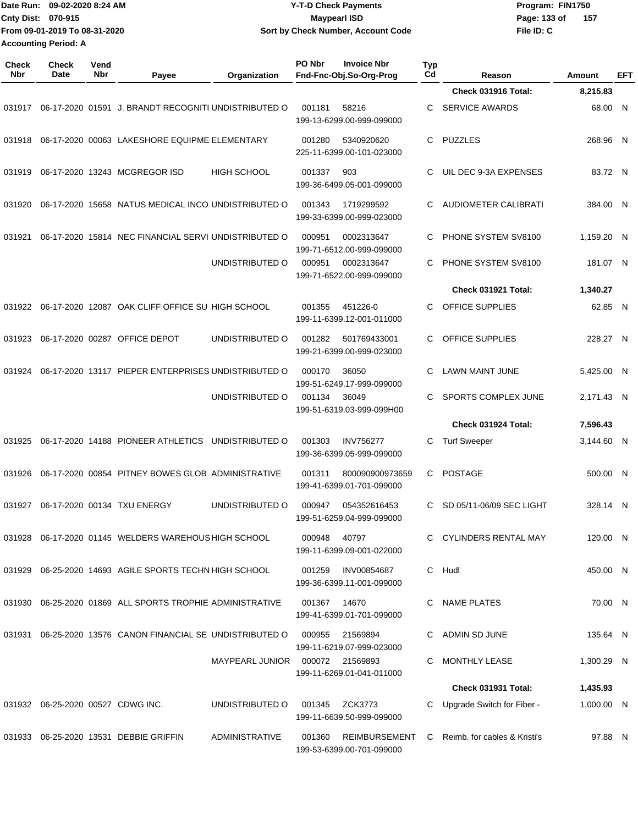|                             | IDate Run: 09-02-2020 8:24 AM | <b>Y-T-D Check Payments</b>        | Program: FIN1750      |  |  |
|-----------------------------|-------------------------------|------------------------------------|-----------------------|--|--|
| <b>Cnty Dist: 070-915</b>   |                               | Maypearl ISD                       | - 157<br>Page: 133 of |  |  |
|                             | From 09-01-2019 To 08-31-2020 | Sort by Check Number, Account Code | File ID: C            |  |  |
| <b>Accounting Period: A</b> |                               |                                    |                       |  |  |

| Check<br><b>Nbr</b> | <b>Check</b><br>Date              | Vend<br>Nbr | Payee                                                     | Organization           | PO Nbr | <b>Invoice Nbr</b><br>Fnd-Fnc-Obj.So-Org-Prog | <b>Typ</b><br>Cd | Reason                         | Amount     | EFT |
|---------------------|-----------------------------------|-------------|-----------------------------------------------------------|------------------------|--------|-----------------------------------------------|------------------|--------------------------------|------------|-----|
|                     |                                   |             |                                                           |                        |        |                                               |                  | Check 031916 Total:            | 8,215.83   |     |
| 031917              |                                   |             | 06-17-2020 01591 J. BRANDT RECOGNITI UNDISTRIBUTED O      |                        | 001181 | 58216<br>199-13-6299.00-999-099000            | C                | <b>SERVICE AWARDS</b>          | 68.00 N    |     |
| 031918              |                                   |             | 06-17-2020 00063 LAKESHORE EQUIPME ELEMENTARY             |                        | 001280 | 5340920620<br>225-11-6399.00-101-023000       | C.               | <b>PUZZLES</b>                 | 268.96 N   |     |
| 031919              |                                   |             | 06-17-2020 13243 MCGREGOR ISD                             | <b>HIGH SCHOOL</b>     | 001337 | 903<br>199-36-6499.05-001-099000              | C                | UIL DEC 9-3A EXPENSES          | 83.72 N    |     |
| 031920              |                                   |             | 06-17-2020 15658 NATUS MEDICAL INCO UNDISTRIBUTED O       |                        | 001343 | 1719299592<br>199-33-6399.00-999-023000       | C.               | <b>AUDIOMETER CALIBRATI</b>    | 384.00 N   |     |
| 031921              |                                   |             | 06-17-2020 15814 NEC FINANCIAL SERVI UNDISTRIBUTED O      |                        | 000951 | 0002313647<br>199-71-6512.00-999-099000       | C                | PHONE SYSTEM SV8100            | 1,159.20 N |     |
|                     |                                   |             |                                                           | UNDISTRIBUTED O        | 000951 | 0002313647<br>199-71-6522.00-999-099000       | C                | PHONE SYSTEM SV8100            | 181.07 N   |     |
|                     |                                   |             |                                                           |                        |        |                                               |                  | Check 031921 Total:            | 1,340.27   |     |
| 031922              |                                   |             | 06-17-2020 12087 OAK CLIFF OFFICE SU HIGH SCHOOL          |                        | 001355 | 451226-0<br>199-11-6399.12-001-011000         | C                | OFFICE SUPPLIES                | 62.85 N    |     |
| 031923              |                                   |             | 06-17-2020 00287 OFFICE DEPOT                             | UNDISTRIBUTED O        | 001282 | 501769433001<br>199-21-6399.00-999-023000     | C.               | OFFICE SUPPLIES                | 228.27 N   |     |
| 031924              |                                   |             | 06-17-2020 13117 PIEPER ENTERPRISES UNDISTRIBUTED O       |                        | 000170 | 36050<br>199-51-6249.17-999-099000            | C                | <b>LAWN MAINT JUNE</b>         | 5,425.00 N |     |
|                     |                                   |             |                                                           | UNDISTRIBUTED O        | 001134 | 36049<br>199-51-6319.03-999-099H00            | C                | SPORTS COMPLEX JUNE            | 2,171.43 N |     |
|                     |                                   |             |                                                           |                        |        |                                               |                  | Check 031924 Total:            | 7,596.43   |     |
| 031925              |                                   |             | 06-17-2020 14188 PIONEER ATHLETICS                        | UNDISTRIBUTED O        | 001303 | <b>INV756277</b><br>199-36-6399.05-999-099000 | С                | <b>Turf Sweeper</b>            | 3,144.60 N |     |
| 031926              |                                   |             | 06-17-2020 00854 PITNEY BOWES GLOB ADMINISTRATIVE         |                        | 001311 | 800090900973659<br>199-41-6399.01-701-099000  | C.               | <b>POSTAGE</b>                 | 500.00 N   |     |
| 031927              |                                   |             | 06-17-2020 00134 TXU ENERGY                               | UNDISTRIBUTED O        | 000947 | 054352616453<br>199-51-6259.04-999-099000     | C                | SD 05/11-06/09 SEC LIGHT       | 328.14 N   |     |
|                     |                                   |             | 031928 06-17-2020 01145 WELDERS WAREHOUS HIGH SCHOOL      |                        | 000948 | 40797<br>199-11-6399.09-001-022000            |                  | C CYLINDERS RENTAL MAY         | 120.00 N   |     |
| 031929              |                                   |             | 06-25-2020 14693 AGILE SPORTS TECHN HIGH SCHOOL           |                        | 001259 | INV00854687<br>199-36-6399.11-001-099000      |                  | C Hudl                         | 450.00 N   |     |
|                     |                                   |             | 031930 06-25-2020 01869 ALL SPORTS TROPHIE ADMINISTRATIVE |                        | 001367 | 14670<br>199-41-6399.01-701-099000            |                  | C NAME PLATES                  | 70.00 N    |     |
| 031931              |                                   |             | 06-25-2020 13576 CANON FINANCIAL SE UNDISTRIBUTED O       |                        | 000955 | 21569894<br>199-11-6219.07-999-023000         |                  | ADMIN SD JUNE                  | 135.64 N   |     |
|                     |                                   |             |                                                           | <b>MAYPEARL JUNIOR</b> |        | 000072 21569893<br>199-11-6269.01-041-011000  | C                | MONTHLY LEASE                  | 1,300.29 N |     |
|                     |                                   |             |                                                           |                        |        |                                               |                  | Check 031931 Total:            | 1,435.93   |     |
|                     | 031932 06-25-2020 00527 CDWG INC. |             |                                                           | UNDISTRIBUTED O        | 001345 | ZCK3773<br>199-11-6639.50-999-099000          | C                | Upgrade Switch for Fiber -     | 1,000.00 N |     |
|                     |                                   |             | 031933 06-25-2020 13531 DEBBIE GRIFFIN                    | <b>ADMINISTRATIVE</b>  | 001360 | REIMBURSEMENT<br>199-53-6399.00-701-099000    |                  | C Reimb. for cables & Kristi's | 97.88 N    |     |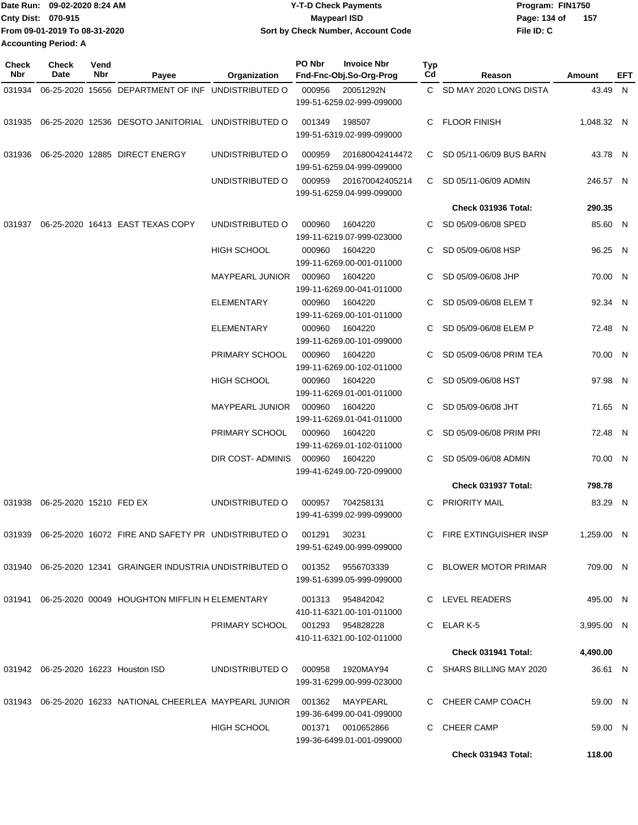| Date Run: 09-02-2020 8:24 AM  | <b>Y-T-D Check Payments</b>        | Program: FIN1750    |  |  |  |
|-------------------------------|------------------------------------|---------------------|--|--|--|
| <b>Cnty Dist: 070-915</b>     | Maypearl ISD                       | 157<br>Page: 134 of |  |  |  |
| From 09-01-2019 To 08-31-2020 | Sort by Check Number, Account Code | File ID: C          |  |  |  |
| <b>Accounting Period: A</b>   |                                    |                     |  |  |  |

| Check<br>Nbr | <b>Check</b><br>Date    | Vend<br>Nbr | Payee                                                                | <b>Organization</b>    | PO Nbr | <b>Invoice Nbr</b><br>Fnd-Fnc-Obj.So-Org-Prog  | <b>Typ</b><br>Cd | Reason                    | Amount     | EFT |
|--------------|-------------------------|-------------|----------------------------------------------------------------------|------------------------|--------|------------------------------------------------|------------------|---------------------------|------------|-----|
| 031934       |                         |             | 06-25-2020 15656 DEPARTMENT OF INF UNDISTRIBUTED O                   |                        | 000956 | 20051292N                                      |                  | C SD MAY 2020 LONG DISTA  | 43.49 N    |     |
|              |                         |             |                                                                      |                        |        | 199-51-6259.02-999-099000                      |                  |                           |            |     |
|              |                         |             | 031935 06-25-2020 12536 DESOTO JANITORIAL UNDISTRIBUTED O            |                        | 001349 | 198507<br>199-51-6319.02-999-099000            | C.               | <b>FLOOR FINISH</b>       | 1,048.32 N |     |
| 031936       |                         |             | 06-25-2020 12885 DIRECT ENERGY                                       | UNDISTRIBUTED O        | 000959 | 201680042414472<br>199-51-6259.04-999-099000   |                  | C SD 05/11-06/09 BUS BARN | 43.78 N    |     |
|              |                         |             |                                                                      | UNDISTRIBUTED O        | 000959 | 201670042405214<br>199-51-6259.04-999-099000   |                  | C SD 05/11-06/09 ADMIN    | 246.57 N   |     |
|              |                         |             |                                                                      |                        |        |                                                |                  | Check 031936 Total:       | 290.35     |     |
| 031937       |                         |             | 06-25-2020 16413 EAST TEXAS COPY                                     | UNDISTRIBUTED O        | 000960 | 1604220<br>199-11-6219.07-999-023000           | C.               | SD 05/09-06/08 SPED       | 85.60 N    |     |
|              |                         |             |                                                                      | <b>HIGH SCHOOL</b>     | 000960 | 1604220<br>199-11-6269.00-001-011000           | C                | SD 05/09-06/08 HSP        | 96.25 N    |     |
|              |                         |             |                                                                      | <b>MAYPEARL JUNIOR</b> | 000960 | 1604220<br>199-11-6269.00-041-011000           | C.               | SD 05/09-06/08 JHP        | 70.00 N    |     |
|              |                         |             |                                                                      | <b>ELEMENTARY</b>      | 000960 | 1604220<br>199-11-6269.00-101-011000           | C.               | SD 05/09-06/08 ELEM T     | 92.34 N    |     |
|              |                         |             |                                                                      | <b>ELEMENTARY</b>      | 000960 | 1604220<br>199-11-6269.00-101-099000           |                  | SD 05/09-06/08 ELEM P     | 72.48 N    |     |
|              |                         |             |                                                                      | PRIMARY SCHOOL         | 000960 | 1604220<br>199-11-6269.00-102-011000           |                  | SD 05/09-06/08 PRIM TEA   | 70.00 N    |     |
|              |                         |             |                                                                      | <b>HIGH SCHOOL</b>     | 000960 | 1604220<br>199-11-6269.01-001-011000           |                  | SD 05/09-06/08 HST        | 97.98 N    |     |
|              |                         |             |                                                                      | MAYPEARL JUNIOR        | 000960 | 1604220<br>199-11-6269.01-041-011000           |                  | SD 05/09-06/08 JHT        | 71.65 N    |     |
|              |                         |             |                                                                      | PRIMARY SCHOOL         | 000960 | 1604220<br>199-11-6269.01-102-011000           |                  | SD 05/09-06/08 PRIM PRI   | 72.48 N    |     |
|              |                         |             |                                                                      | DIR COST- ADMINIS      | 000960 | 1604220<br>199-41-6249.00-720-099000           | C                | SD 05/09-06/08 ADMIN      | 70.00 N    |     |
|              |                         |             |                                                                      |                        |        |                                                |                  | Check 031937 Total:       | 798.78     |     |
| 031938       | 06-25-2020 15210 FED EX |             |                                                                      | UNDISTRIBUTED O        | 000957 | 704258131<br>199-41-6399.02-999-099000         | C                | PRIORITY MAIL             | 83.29 N    |     |
|              |                         |             | 031939 06-25-2020 16072 FIRE AND SAFETY PR UNDISTRIBUTED O           |                        | 001291 | 30231<br>199-51-6249.00-999-099000             |                  | C FIRE EXTINGUISHER INSP  | 1,259.00 N |     |
|              |                         |             | 031940 06-25-2020 12341 GRAINGER INDUSTRIA UNDISTRIBUTED O           |                        | 001352 | 9556703339<br>199-51-6399.05-999-099000        |                  | C BLOWER MOTOR PRIMAR     | 709.00 N   |     |
|              |                         |             | 031941 06-25-2020 00049 HOUGHTON MIFFLIN H ELEMENTARY                |                        |        | 001313 954842042<br>410-11-6321.00-101-011000  |                  | C LEVEL READERS           | 495.00 N   |     |
|              |                         |             |                                                                      | PRIMARY SCHOOL         |        | 001293 954828228<br>410-11-6321.00-102-011000  |                  | C ELAR K-5                | 3,995.00 N |     |
|              |                         |             |                                                                      |                        |        |                                                |                  | Check 031941 Total:       | 4,490.00   |     |
|              |                         |             | 031942 06-25-2020 16223 Houston ISD                                  | UNDISTRIBUTED O        | 000958 | 1920MAY94                                      |                  | C SHARS BILLING MAY 2020  | 36.61 N    |     |
|              |                         |             |                                                                      |                        |        | 199-31-6299.00-999-023000                      |                  |                           |            |     |
|              |                         |             | 031943  06-25-2020  16233  NATIONAL CHEERLEA MAYPEARL JUNIOR  001362 |                        |        | MAYPEARL<br>199-36-6499.00-041-099000          |                  | C CHEER CAMP COACH        | 59.00 N    |     |
|              |                         |             |                                                                      | HIGH SCHOOL            |        | 001371 0010652866<br>199-36-6499.01-001-099000 | C.               | <b>CHEER CAMP</b>         | 59.00 N    |     |
|              |                         |             |                                                                      |                        |        |                                                |                  | Check 031943 Total:       | 118.00     |     |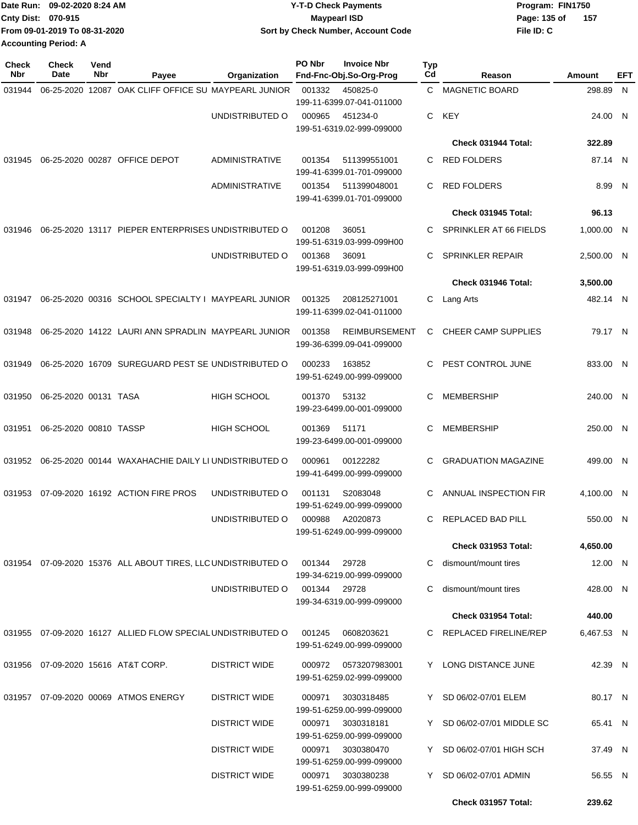|                             | Date Run: 09-02-2020 8:24 AM  | <b>Y-T-D Check Payments</b>        | Program: FIN1750 |       |  |  |
|-----------------------------|-------------------------------|------------------------------------|------------------|-------|--|--|
| Cnty Dist: 070-915          |                               | Maypearl ISD                       | Page: 135 of     | - 157 |  |  |
|                             | From 09-01-2019 To 08-31-2020 | Sort by Check Number, Account Code | File ID: C       |       |  |  |
| <b>Accounting Period: A</b> |                               |                                    |                  |       |  |  |

| <b>Check</b><br><b>Nbr</b> | Check<br>Date          | Vend<br>Nbr | Payee                                                               | Organization         | PO Nbr       | <b>Invoice Nbr</b><br>Fnd-Fnc-Obj.So-Org-Prog     | <b>Typ</b><br>Cd | Reason                     | Amount     | EFT |
|----------------------------|------------------------|-------------|---------------------------------------------------------------------|----------------------|--------------|---------------------------------------------------|------------------|----------------------------|------------|-----|
| 031944                     |                        |             | 06-25-2020 12087 OAK CLIFF OFFICE SU MAYPEARL JUNIOR                |                      | 001332       | 450825-0<br>199-11-6399.07-041-011000             |                  | C MAGNETIC BOARD           | 298.89 N   |     |
|                            |                        |             |                                                                     | UNDISTRIBUTED O      | 000965       | 451234-0<br>199-51-6319.02-999-099000             | C.               | KEY                        | 24.00 N    |     |
|                            |                        |             |                                                                     |                      |              |                                                   |                  | Check 031944 Total:        | 322.89     |     |
| 031945                     |                        |             | 06-25-2020 00287 OFFICE DEPOT                                       | ADMINISTRATIVE       | 001354       | 511399551001<br>199-41-6399.01-701-099000         | C.               | <b>RED FOLDERS</b>         | 87.14 N    |     |
|                            |                        |             |                                                                     | ADMINISTRATIVE       | 001354       | 511399048001<br>199-41-6399.01-701-099000         | C                | <b>RED FOLDERS</b>         | 8.99 N     |     |
|                            |                        |             |                                                                     |                      |              |                                                   |                  | Check 031945 Total:        | 96.13      |     |
| 031946                     |                        |             | 06-25-2020 13117 PIEPER ENTERPRISES UNDISTRIBUTED O                 |                      | 001208       | 36051<br>199-51-6319.03-999-099H00                | C                | SPRINKLER AT 66 FIELDS     | 1,000.00 N |     |
|                            |                        |             |                                                                     | UNDISTRIBUTED O      | 001368       | 36091<br>199-51-6319.03-999-099H00                | C                | <b>SPRINKLER REPAIR</b>    | 2,500.00 N |     |
|                            |                        |             |                                                                     |                      |              |                                                   |                  | Check 031946 Total:        | 3,500.00   |     |
| 031947                     |                        |             | 06-25-2020 00316 SCHOOL SPECIALTY I MAYPEARL JUNIOR                 |                      | 001325       | 208125271001<br>199-11-6399.02-041-011000         |                  | C Lang Arts                | 482.14 N   |     |
| 031948                     |                        |             | 06-25-2020 14122 LAURI ANN SPRADLIN MAYPEARL JUNIOR                 |                      | 001358       | <b>REIMBURSEMENT</b><br>199-36-6399.09-041-099000 | C                | CHEER CAMP SUPPLIES        | 79.17 N    |     |
| 031949                     |                        |             | 06-25-2020 16709 SUREGUARD PEST SE UNDISTRIBUTED O                  |                      | 000233       | 163852<br>199-51-6249.00-999-099000               | C.               | PEST CONTROL JUNE          | 833.00 N   |     |
| 031950                     | 06-25-2020 00131 TASA  |             |                                                                     | <b>HIGH SCHOOL</b>   | 001370       | 53132<br>199-23-6499.00-001-099000                | C                | <b>MEMBERSHIP</b>          | 240.00 N   |     |
| 031951                     | 06-25-2020 00810 TASSP |             |                                                                     | <b>HIGH SCHOOL</b>   | 001369       | 51171<br>199-23-6499.00-001-099000                | C                | <b>MEMBERSHIP</b>          | 250.00 N   |     |
|                            |                        |             | 031952 06-25-2020 00144 WAXAHACHIE DAILY LI UNDISTRIBUTED O         |                      | 000961       | 00122282<br>199-41-6499.00-999-099000             | C.               | <b>GRADUATION MAGAZINE</b> | 499.00 N   |     |
| 031953                     |                        |             | 07-09-2020 16192 ACTION FIRE PROS                                   | UNDISTRIBUTED O      | 001131       | S2083048<br>199-51-6249.00-999-099000             | C                | ANNUAL INSPECTION FIR      | 4,100.00 N |     |
|                            |                        |             |                                                                     | UNDISTRIBUTED O      | 000988       | A2020873<br>199-51-6249.00-999-099000             | C.               | REPLACED BAD PILL          | 550.00 N   |     |
|                            |                        |             |                                                                     |                      |              |                                                   |                  | Check 031953 Total:        | 4,650.00   |     |
|                            |                        |             | 031954 07-09-2020 15376 ALL ABOUT TIRES, LLC UNDISTRIBUTED O 001344 |                      |              | 29728<br>199-34-6219.00-999-099000                |                  | C dismount/mount tires     | 12.00 N    |     |
|                            |                        |             |                                                                     | UNDISTRIBUTED O      | 001344 29728 | 199-34-6319.00-999-099000                         | C.               | dismount/mount tires       | 428.00 N   |     |
|                            |                        |             |                                                                     |                      |              |                                                   |                  | <b>Check 031954 Total:</b> | 440.00     |     |
|                            |                        |             | 031955 07-09-2020 16127 ALLIED FLOW SPECIAL UNDISTRIBUTED O         |                      |              | 001245   0608203621<br>199-51-6249.00-999-099000  |                  | C REPLACED FIRELINE/REP    | 6,467.53 N |     |
|                            |                        |             | 031956 07-09-2020 15616 AT&T CORP.                                  | <b>DISTRICT WIDE</b> |              | 000972 0573207983001<br>199-51-6259.02-999-099000 |                  | Y LONG DISTANCE JUNE       | 42.39 N    |     |
|                            |                        |             | 031957 07-09-2020 00069 ATMOS ENERGY                                | <b>DISTRICT WIDE</b> | 000971       | 3030318485<br>199-51-6259.00-999-099000           |                  | Y SD 06/02-07/01 ELEM      | 80.17 N    |     |
|                            |                        |             |                                                                     | <b>DISTRICT WIDE</b> | 000971       | 3030318181<br>199-51-6259.00-999-099000           |                  | Y SD 06/02-07/01 MIDDLE SC | 65.41 N    |     |
|                            |                        |             |                                                                     | <b>DISTRICT WIDE</b> | 000971       | 3030380470<br>199-51-6259.00-999-099000           |                  | Y SD 06/02-07/01 HIGH SCH  | 37.49 N    |     |
|                            |                        |             |                                                                     | <b>DISTRICT WIDE</b> | 000971       | 3030380238<br>199-51-6259.00-999-099000           |                  | Y SD 06/02-07/01 ADMIN     | 56.55 N    |     |
|                            |                        |             |                                                                     |                      |              |                                                   |                  | Check 031957 Total:        | 239.62     |     |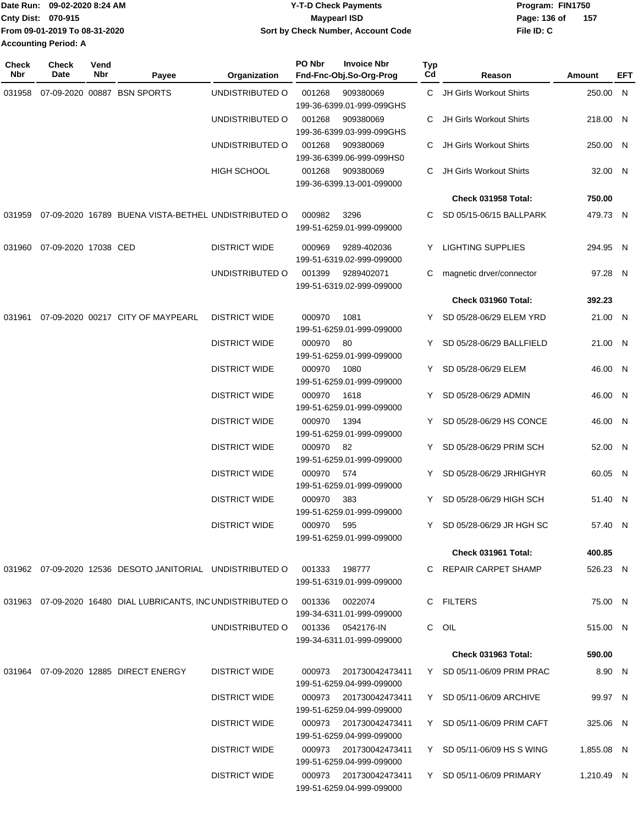|                    | Date Run: 09-02-2020 8:24 AM  | <b>Y-T-D Check Payments</b>        | Program: FIN1750 |     |
|--------------------|-------------------------------|------------------------------------|------------------|-----|
| Cnty Dist: 070-915 |                               | Maypearl ISD                       | Page: 136 of     | 157 |
|                    | From 09-01-2019 To 08-31-2020 | Sort by Check Number, Account Code | File ID: C       |     |
|                    | <b>Accounting Period: A</b>   |                                    |                  |     |

| Check<br>Nbr | <b>Check</b><br>Date | Vend<br>Nbr | Payee                                                                        | Organization         | PO Nbr     | <b>Invoice Nbr</b><br>Fnd-Fnc-Obj.So-Org-Prog       | Typ<br>Cd | Reason                     | <b>Amount</b> | EFT |
|--------------|----------------------|-------------|------------------------------------------------------------------------------|----------------------|------------|-----------------------------------------------------|-----------|----------------------------|---------------|-----|
| 031958       |                      |             | 07-09-2020 00887 BSN SPORTS                                                  | UNDISTRIBUTED O      | 001268     | 909380069<br>199-36-6399.01-999-099GHS              |           | C JH Girls Workout Shirts  | 250.00 N      |     |
|              |                      |             |                                                                              | UNDISTRIBUTED O      | 001268     | 909380069<br>199-36-6399.03-999-099GHS              |           | JH Girls Workout Shirts    | 218.00 N      |     |
|              |                      |             |                                                                              | UNDISTRIBUTED O      | 001268     | 909380069<br>199-36-6399.06-999-099HS0              | C         | JH Girls Workout Shirts    | 250.00 N      |     |
|              |                      |             |                                                                              | <b>HIGH SCHOOL</b>   | 001268     | 909380069<br>199-36-6399.13-001-099000              | C.        | JH Girls Workout Shirts    | 32.00 N       |     |
|              |                      |             |                                                                              |                      |            |                                                     |           | Check 031958 Total:        | 750.00        |     |
| 031959       |                      |             | 07-09-2020 16789 BUENA VISTA-BETHEL UNDISTRIBUTED O                          |                      | 000982     | 3296<br>199-51-6259.01-999-099000                   |           | SD 05/15-06/15 BALLPARK    | 479.73 N      |     |
| 031960       | 07-09-2020 17038 CED |             |                                                                              | <b>DISTRICT WIDE</b> | 000969     | 9289-402036<br>199-51-6319.02-999-099000            |           | Y LIGHTING SUPPLIES        | 294.95 N      |     |
|              |                      |             |                                                                              | UNDISTRIBUTED O      | 001399     | 9289402071<br>199-51-6319.02-999-099000             | C         | magnetic drver/connector   | 97.28 N       |     |
|              |                      |             |                                                                              |                      |            |                                                     |           | Check 031960 Total:        | 392.23        |     |
| 031961       |                      |             | 07-09-2020 00217 CITY OF MAYPEARL                                            | <b>DISTRICT WIDE</b> | 000970     | 1081<br>199-51-6259.01-999-099000                   | Y         | SD 05/28-06/29 ELEM YRD    | 21.00 N       |     |
|              |                      |             |                                                                              | <b>DISTRICT WIDE</b> | 000970     | 80<br>199-51-6259.01-999-099000                     | Y         | SD 05/28-06/29 BALLFIELD   | 21.00 N       |     |
|              |                      |             |                                                                              | <b>DISTRICT WIDE</b> | 000970     | 1080<br>199-51-6259.01-999-099000                   |           | Y SD 05/28-06/29 ELEM      | 46.00 N       |     |
|              |                      |             |                                                                              | <b>DISTRICT WIDE</b> | 000970     | 1618<br>199-51-6259.01-999-099000                   | Y         | SD 05/28-06/29 ADMIN       | 46.00 N       |     |
|              |                      |             |                                                                              | <b>DISTRICT WIDE</b> | 000970     | 1394<br>199-51-6259.01-999-099000                   |           | Y SD 05/28-06/29 HS CONCE  | 46.00 N       |     |
|              |                      |             |                                                                              | <b>DISTRICT WIDE</b> | 000970 82  | 199-51-6259.01-999-099000                           |           | Y SD 05/28-06/29 PRIM SCH  | 52.00 N       |     |
|              |                      |             |                                                                              | <b>DISTRICT WIDE</b> | 000970 574 | 199-51-6259.01-999-099000                           |           | Y SD 05/28-06/29 JRHIGHYR  | 60.05 N       |     |
|              |                      |             |                                                                              | <b>DISTRICT WIDE</b> | 000970     | 383<br>199-51-6259.01-999-099000                    |           | Y SD 05/28-06/29 HIGH SCH  | 51.40 N       |     |
|              |                      |             |                                                                              | <b>DISTRICT WIDE</b> | 000970 595 | 199-51-6259.01-999-099000                           |           | Y SD 05/28-06/29 JR HGH SC | 57.40 N       |     |
|              |                      |             |                                                                              |                      |            |                                                     |           | Check 031961 Total:        | 400.85        |     |
|              |                      |             | 031962  07-09-2020  12536  DESOTO JANITORIAL  UNDISTRIBUTED   001333  198777 |                      |            | 199-51-6319.01-999-099000                           |           | C REPAIR CARPET SHAMP      | 526.23 N      |     |
|              |                      |             | 031963 07-09-2020 16480 DIAL LUBRICANTS, INC UNDISTRIBUTED O                 |                      | 001336     | 0022074<br>199-34-6311.01-999-099000                |           | C FILTERS                  | 75.00 N       |     |
|              |                      |             |                                                                              | UNDISTRIBUTED O      |            | 199-34-6311.01-999-099000                           |           | C OIL                      | 515.00 N      |     |
|              |                      |             |                                                                              |                      |            |                                                     |           | <b>Check 031963 Total:</b> | 590.00        |     |
|              |                      |             | 031964 07-09-2020 12885 DIRECT ENERGY                                        | <b>DISTRICT WIDE</b> | 000973     | 201730042473411<br>199-51-6259.04-999-099000        |           | Y SD 05/11-06/09 PRIM PRAC | 8.90 N        |     |
|              |                      |             |                                                                              | <b>DISTRICT WIDE</b> |            | 000973 201730042473411<br>199-51-6259.04-999-099000 |           | Y SD 05/11-06/09 ARCHIVE   | 99.97 N       |     |
|              |                      |             |                                                                              | <b>DISTRICT WIDE</b> |            | 000973 201730042473411<br>199-51-6259.04-999-099000 |           | Y SD 05/11-06/09 PRIM CAFT | 325.06 N      |     |
|              |                      |             |                                                                              | <b>DISTRICT WIDE</b> |            | 000973 201730042473411<br>199-51-6259.04-999-099000 |           | Y SD 05/11-06/09 HS S WING | 1,855.08 N    |     |
|              |                      |             |                                                                              | <b>DISTRICT WIDE</b> |            | 000973 201730042473411<br>199-51-6259.04-999-099000 |           | Y SD 05/11-06/09 PRIMARY   | 1,210.49 N    |     |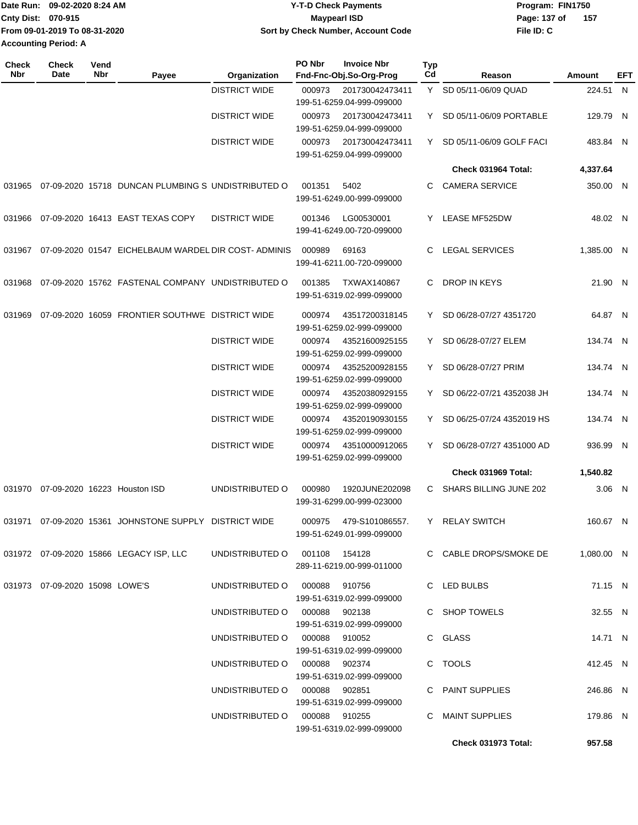| 09-02-2020 8:24 AM<br>Date Run: | Y-T-D Check Payments               | Program: FIN1750    |  |  |  |
|---------------------------------|------------------------------------|---------------------|--|--|--|
| <b>Cnty Dist: 070-915</b>       | Maypearl ISD                       | 157<br>Page: 137 of |  |  |  |
| From 09-01-2019 To 08-31-2020   | Sort by Check Number, Account Code | File ID: C          |  |  |  |
| <b>Accounting Period: A</b>     |                                    |                     |  |  |  |

| Check<br><b>Nbr</b> | <b>Check</b><br>Date              | Vend<br>Nbr | Payee                                               | Organization                  | <b>PO Nbr</b> | <b>Invoice Nbr</b><br>Fnd-Fnc-Obj.So-Org-Prog   | <b>Typ</b><br>Cd | Reason                     | Amount     | EFT |
|---------------------|-----------------------------------|-------------|-----------------------------------------------------|-------------------------------|---------------|-------------------------------------------------|------------------|----------------------------|------------|-----|
|                     |                                   |             |                                                     | <b>DISTRICT WIDE</b>          | 000973        | 201730042473411<br>199-51-6259.04-999-099000    |                  | Y SD 05/11-06/09 QUAD      | 224.51 N   |     |
|                     |                                   |             |                                                     | <b>DISTRICT WIDE</b>          | 000973        | 201730042473411<br>199-51-6259.04-999-099000    |                  | Y SD 05/11-06/09 PORTABLE  | 129.79 N   |     |
|                     |                                   |             |                                                     | <b>DISTRICT WIDE</b>          | 000973        | 201730042473411<br>199-51-6259.04-999-099000    |                  | Y SD 05/11-06/09 GOLF FACI | 483.84 N   |     |
|                     |                                   |             |                                                     |                               |               |                                                 |                  | Check 031964 Total:        | 4,337.64   |     |
| 031965              |                                   |             | 07-09-2020 15718 DUNCAN PLUMBING S UNDISTRIBUTED O  |                               | 001351        | 5402<br>199-51-6249.00-999-099000               | C.               | <b>CAMERA SERVICE</b>      | 350.00 N   |     |
| 031966              |                                   |             | 07-09-2020 16413 EAST TEXAS COPY                    | <b>DISTRICT WIDE</b>          | 001346        | LG00530001<br>199-41-6249.00-720-099000         | Y.               | <b>LEASE MF525DW</b>       | 48.02 N    |     |
| 031967              |                                   |             | 07-09-2020 01547 EICHELBAUM WARDEL DIR COST-ADMINIS |                               | 000989        | 69163<br>199-41-6211.00-720-099000              | C.               | <b>LEGAL SERVICES</b>      | 1,385.00 N |     |
| 031968              |                                   |             | 07-09-2020 15762 FASTENAL COMPANY UNDISTRIBUTED O   |                               | 001385        | <b>TXWAX140867</b><br>199-51-6319.02-999-099000 | C                | <b>DROP IN KEYS</b>        | 21.90 N    |     |
| 031969              |                                   |             | 07-09-2020 16059 FRONTIER SOUTHWE DISTRICT WIDE     |                               | 000974        | 43517200318145<br>199-51-6259.02-999-099000     | Y.               | SD 06/28-07/27 4351720     | 64.87 N    |     |
|                     |                                   |             |                                                     | <b>DISTRICT WIDE</b>          | 000974        | 43521600925155<br>199-51-6259.02-999-099000     | Y.               | SD 06/28-07/27 ELEM        | 134.74 N   |     |
|                     |                                   |             |                                                     | <b>DISTRICT WIDE</b>          | 000974        | 43525200928155<br>199-51-6259.02-999-099000     | Y.               | SD 06/28-07/27 PRIM        | 134.74 N   |     |
|                     |                                   |             |                                                     | <b>DISTRICT WIDE</b>          | 000974        | 43520380929155<br>199-51-6259.02-999-099000     | Y                | SD 06/22-07/21 4352038 JH  | 134.74 N   |     |
|                     |                                   |             |                                                     | <b>DISTRICT WIDE</b>          | 000974        | 43520190930155<br>199-51-6259.02-999-099000     | Y.               | SD 06/25-07/24 4352019 HS  | 134.74 N   |     |
|                     |                                   |             |                                                     | <b>DISTRICT WIDE</b>          | 000974        | 43510000912065<br>199-51-6259.02-999-099000     | Y.               | SD 06/28-07/27 4351000 AD  | 936.99 N   |     |
|                     |                                   |             |                                                     |                               |               |                                                 |                  | Check 031969 Total:        | 1,540.82   |     |
| 031970              |                                   |             | 07-09-2020 16223 Houston ISD                        | UNDISTRIBUTED O               | 000980        | 1920JUNE202098<br>199-31-6299.00-999-023000     |                  | C SHARS BILLING JUNE 202   | 3.06 N     |     |
| 031971              |                                   |             | 07-09-2020 15361 JOHNSTONE SUPPLY DISTRICT WIDE     |                               | 000975        | 479-S101086557.<br>199-51-6249.01-999-099000    | Y.               | <b>RELAY SWITCH</b>        | 160.67 N   |     |
|                     |                                   |             | 031972 07-09-2020 15866 LEGACY ISP, LLC             | UNDISTRIBUTED 0 001108 154128 |               | 289-11-6219.00-999-011000                       |                  | C CABLE DROPS/SMOKE DE     | 1,080.00 N |     |
|                     | 031973  07-09-2020  15098  LOWE'S |             |                                                     | UNDISTRIBUTED O 000088 910756 |               | 199-51-6319.02-999-099000                       |                  | C LED BULBS                | 71.15 N    |     |
|                     |                                   |             |                                                     | UNDISTRIBUTED O 000088 902138 |               | 199-51-6319.02-999-099000                       |                  | C SHOP TOWELS              | 32.55 N    |     |
|                     |                                   |             |                                                     | UNDISTRIBUTED O 000088 910052 |               | 199-51-6319.02-999-099000                       |                  | C GLASS                    | 14.71 N    |     |
|                     |                                   |             |                                                     | UNDISTRIBUTED O 000088 902374 |               | 199-51-6319.02-999-099000                       |                  | C TOOLS                    | 412.45 N   |     |
|                     |                                   |             |                                                     | UNDISTRIBUTED O 000088 902851 |               | 199-51-6319.02-999-099000                       |                  | C PAINT SUPPLIES           | 246.86 N   |     |
|                     |                                   |             |                                                     | UNDISTRIBUTED O 000088 910255 |               | 199-51-6319.02-999-099000                       |                  | C MAINT SUPPLIES           | 179.86 N   |     |
|                     |                                   |             |                                                     |                               |               |                                                 |                  | Check 031973 Total:        | 957.58     |     |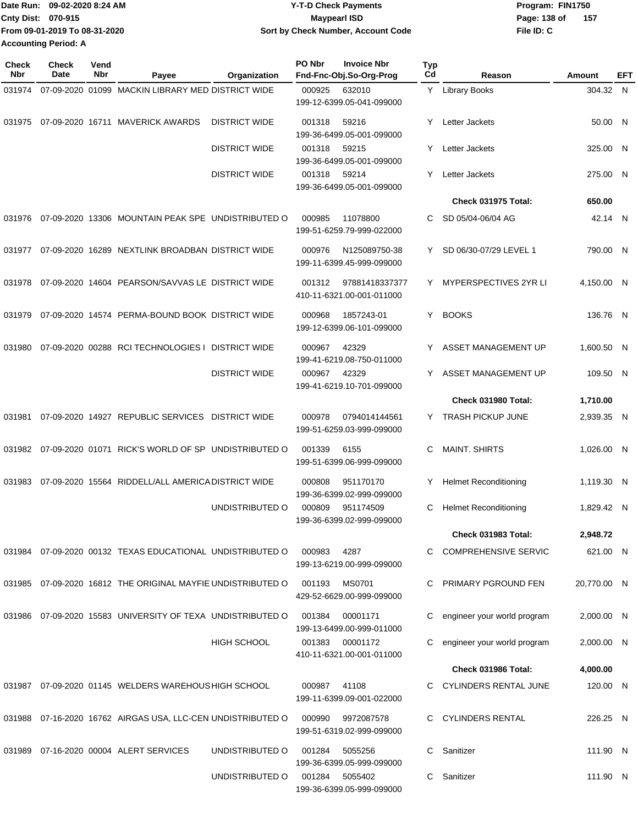| Date Run: 09-02-2020 8:24 AM  | <b>Y-T-D Check Payments</b>        | Program: FIN1750      |
|-------------------------------|------------------------------------|-----------------------|
| <b>Cnty Dist: 070-915</b>     | <b>Mavpearl ISD</b>                | - 157<br>Page: 138 of |
| From 09-01-2019 To 08-31-2020 | Sort by Check Number, Account Code | File ID: C            |
| Accounting Period: A          |                                    |                       |

**PO Nbr Invoice Nbr**

| <b>Check</b><br><b>Nbr</b> | Check<br>Date | Vend<br>Nbr | Payee                                                       | Organization         | PO Nbr | <b>Invoice Nbr</b><br>Fnd-Fnc-Obj.So-Org-Prog | Typ<br>Cd | Reason                       | <b>Amount</b> | EFT |
|----------------------------|---------------|-------------|-------------------------------------------------------------|----------------------|--------|-----------------------------------------------|-----------|------------------------------|---------------|-----|
| 031974                     |               |             | 07-09-2020 01099 MACKIN LIBRARY MED DISTRICT WIDE           |                      | 000925 | 632010<br>199-12-6399.05-041-099000           |           | Y Library Books              | 304.32 N      |     |
| 031975                     |               |             | 07-09-2020 16711 MAVERICK AWARDS                            | <b>DISTRICT WIDE</b> | 001318 | 59216<br>199-36-6499.05-001-099000            | Y         | Letter Jackets               | 50.00 N       |     |
|                            |               |             |                                                             | <b>DISTRICT WIDE</b> | 001318 | 59215<br>199-36-6499.05-001-099000            | Y         | Letter Jackets               | 325.00 N      |     |
|                            |               |             |                                                             | <b>DISTRICT WIDE</b> | 001318 | 59214<br>199-36-6499.05-001-099000            | Y         | Letter Jackets               | 275.00 N      |     |
|                            |               |             |                                                             |                      |        |                                               |           | Check 031975 Total:          | 650.00        |     |
| 031976                     |               |             | 07-09-2020 13306 MOUNTAIN PEAK SPE UNDISTRIBUTED O          |                      | 000985 | 11078800<br>199-51-6259.79-999-022000         | C         | SD 05/04-06/04 AG            | 42.14 N       |     |
| 031977                     |               |             | 07-09-2020 16289 NEXTLINK BROADBAN DISTRICT WIDE            |                      | 000976 | N125089750-38<br>199-11-6399.45-999-099000    | Y.        | SD 06/30-07/29 LEVEL 1       | 790.00 N      |     |
| 031978                     |               |             | 07-09-2020 14604 PEARSON/SAVVAS LE DISTRICT WIDE            |                      | 001312 | 97881418337377<br>410-11-6321.00-001-011000   | Y         | <b>MYPERSPECTIVES 2YR LI</b> | 4,150.00 N    |     |
| 031979                     |               |             | 07-09-2020 14574 PERMA-BOUND BOOK DISTRICT WIDE             |                      | 000968 | 1857243-01<br>199-12-6399.06-101-099000       | Y.        | <b>BOOKS</b>                 | 136.76 N      |     |
| 031980                     |               |             | 07-09-2020 00288 RCI TECHNOLOGIES I                         | <b>DISTRICT WIDE</b> | 000967 | 42329<br>199-41-6219.08-750-011000            |           | ASSET MANAGEMENT UP          | 1,600.50 N    |     |
|                            |               |             |                                                             | <b>DISTRICT WIDE</b> | 000967 | 42329<br>199-41-6219.10-701-099000            |           | ASSET MANAGEMENT UP          | 109.50 N      |     |
|                            |               |             |                                                             |                      |        |                                               |           | Check 031980 Total:          | 1,710.00      |     |
| 031981                     |               |             | 07-09-2020 14927 REPUBLIC SERVICES DISTRICT WIDE            |                      | 000978 | 0794014144561<br>199-51-6259.03-999-099000    |           | Y TRASH PICKUP JUNE          | 2,939.35 N    |     |
|                            |               |             | 031982 07-09-2020 01071 RICK'S WORLD OF SP UNDISTRIBUTED O  |                      | 001339 | 6155<br>199-51-6399.06-999-099000             | C         | <b>MAINT. SHIRTS</b>         | 1,026.00 N    |     |
| 031983                     |               |             | 07-09-2020 15564 RIDDELL/ALL AMERICA DISTRICT WIDE          |                      | 000808 | 951170170<br>199-36-6399.02-999-099000        | Y         | <b>Helmet Reconditioning</b> | 1,119.30 N    |     |
|                            |               |             |                                                             | UNDISTRIBUTED O      | 000809 | 951174509<br>199-36-6399.02-999-099000        | С         | <b>Helmet Reconditioning</b> | 1,829.42 N    |     |
|                            |               |             |                                                             |                      |        |                                               |           | Check 031983 Total:          | 2,948.72      |     |
|                            |               |             | 031984 07-09-2020 00132 TEXAS EDUCATIONAL UNDISTRIBUTED O   |                      | 000983 | 4287<br>199-13-6219.00-999-099000             |           | C COMPREHENSIVE SERVIC       | 621.00 N      |     |
| 031985                     |               |             | 07-09-2020 16812 THE ORIGINAL MAYFIE UNDISTRIBUTED O        |                      | 001193 | <b>MS0701</b><br>429-52-6629.00-999-099000    | C.        | PRIMARY PGROUND FEN          | 20,770.00 N   |     |
|                            |               |             | 031986 07-09-2020 15583 UNIVERSITY OF TEXA UNDISTRIBUTED O  |                      | 001384 | 00001171<br>199-13-6499.00-999-011000         | C         | engineer your world program  | 2,000.00 N    |     |
|                            |               |             |                                                             | <b>HIGH SCHOOL</b>   | 001383 | 00001172<br>410-11-6321.00-001-011000         |           | engineer your world program  | 2,000.00 N    |     |
|                            |               |             |                                                             |                      |        |                                               |           | Check 031986 Total:          | 4,000.00      |     |
|                            |               |             | 031987 07-09-2020 01145 WELDERS WAREHOUS HIGH SCHOOL        |                      | 000987 | 41108<br>199-11-6399.09-001-022000            |           | C CYLINDERS RENTAL JUNE      | 120.00 N      |     |
|                            |               |             | 031988 07-16-2020 16762 AIRGAS USA, LLC-CEN UNDISTRIBUTED O |                      | 000990 | 9972087578<br>199-51-6319.02-999-099000       |           | C CYLINDERS RENTAL           | 226.25 N      |     |
|                            |               |             | 031989  07-16-2020  00004  ALERT SERVICES                   | UNDISTRIBUTED O      | 001284 | 5055256<br>199-36-6399.05-999-099000          | C.        | Sanitizer                    | 111.90 N      |     |
|                            |               |             |                                                             | UNDISTRIBUTED O      |        | 001284 5055402<br>199-36-6399.05-999-099000   | C.        | Sanitizer                    | 111.90 N      |     |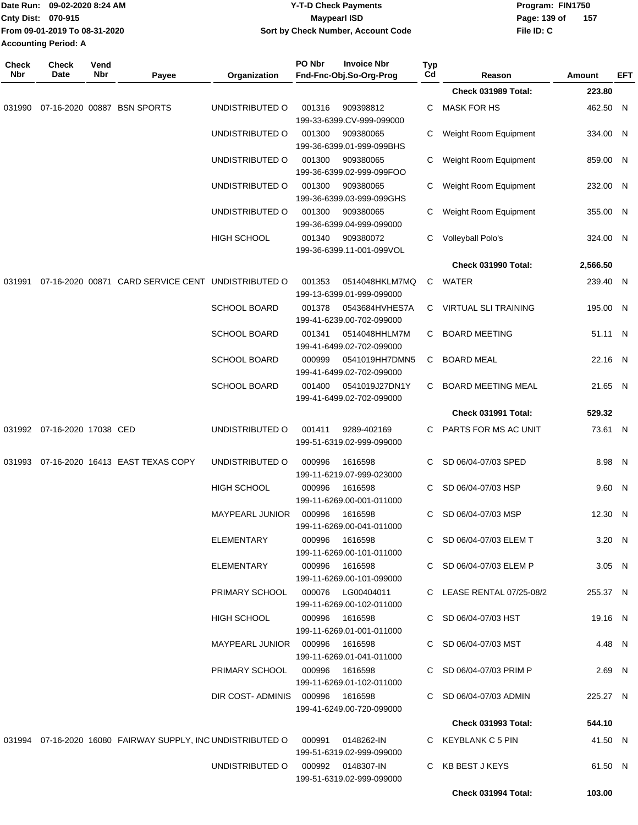|                     | Date Run: 09-02-2020 8:24 AM<br>Cnty Dist: 070-915<br>From 09-01-2019 To 08-31-2020<br><b>Accounting Period: A</b> |             |                                                             | <b>Y-T-D Check Payments</b><br><b>Maypearl ISD</b><br>Sort by Check Number, Account Code |        |                                                |                    |                               | Program: FIN1750<br>Page: 139 of<br>157<br>File ID: C |                         |            |
|---------------------|--------------------------------------------------------------------------------------------------------------------|-------------|-------------------------------------------------------------|------------------------------------------------------------------------------------------|--------|------------------------------------------------|--------------------|-------------------------------|-------------------------------------------------------|-------------------------|------------|
| <b>Check</b><br>Nbr | <b>Check</b><br>Date                                                                                               | Vend<br>Nbr |                                                             |                                                                                          | PO Nbr | <b>Invoice Nbr</b><br>Fnd-Fnc-Obj.So-Org-Prog  | Typ<br>$_{\rm Cd}$ |                               |                                                       |                         |            |
|                     |                                                                                                                    |             | Payee                                                       | Organization                                                                             |        |                                                |                    | Reason<br>Check 031989 Total: |                                                       | <b>Amount</b><br>223.80 | <b>EFT</b> |
| 031990              |                                                                                                                    |             | 07-16-2020 00887 BSN SPORTS                                 | UNDISTRIBUTED O                                                                          | 001316 | 909398812                                      | С                  | <b>MASK FOR HS</b>            |                                                       | 462.50 N                |            |
|                     |                                                                                                                    |             |                                                             |                                                                                          |        | 199-33-6399.CV-999-099000                      |                    |                               |                                                       |                         |            |
|                     |                                                                                                                    |             |                                                             | UNDISTRIBUTED O                                                                          | 001300 | 909380065                                      | С                  | Weight Room Equipment         |                                                       | 334.00 N                |            |
|                     |                                                                                                                    |             |                                                             |                                                                                          |        | 199-36-6399.01-999-099BHS                      |                    |                               |                                                       |                         |            |
|                     |                                                                                                                    |             |                                                             | UNDISTRIBUTED O                                                                          | 001300 | 909380065<br>199-36-6399.02-999-099FOO         | С                  | Weight Room Equipment         |                                                       | 859.00 N                |            |
|                     |                                                                                                                    |             |                                                             | UNDISTRIBUTED O                                                                          | 001300 | 909380065                                      | С                  | Weight Room Equipment         |                                                       | 232.00 N                |            |
|                     |                                                                                                                    |             |                                                             |                                                                                          |        | 199-36-6399.03-999-099GHS                      |                    |                               |                                                       |                         |            |
|                     |                                                                                                                    |             |                                                             | UNDISTRIBUTED O                                                                          | 001300 | 909380065<br>199-36-6399.04-999-099000         | С                  | Weight Room Equipment         |                                                       | 355.00 N                |            |
|                     |                                                                                                                    |             |                                                             | <b>HIGH SCHOOL</b>                                                                       | 001340 | 909380072                                      | С                  | Volleyball Polo's             |                                                       | 324.00 N                |            |
|                     |                                                                                                                    |             |                                                             |                                                                                          |        | 199-36-6399.11-001-099VOL                      |                    |                               |                                                       |                         |            |
|                     |                                                                                                                    |             |                                                             |                                                                                          |        |                                                |                    | Check 031990 Total:           |                                                       | 2,566.50                |            |
| 031991              |                                                                                                                    |             | 07-16-2020 00871 CARD SERVICE CENT UNDISTRIBUTED O          |                                                                                          | 001353 | 0514048HKLM7MQ<br>199-13-6399.01-999-099000    | C                  | WATER                         |                                                       | 239.40 N                |            |
|                     |                                                                                                                    |             |                                                             | <b>SCHOOL BOARD</b>                                                                      | 001378 | 0543684HVHES7A<br>199-41-6239.00-702-099000    | C                  | <b>VIRTUAL SLI TRAINING</b>   |                                                       | 195.00 N                |            |
|                     |                                                                                                                    |             |                                                             | <b>SCHOOL BOARD</b>                                                                      | 001341 | 0514048HHLM7M                                  | С                  | <b>BOARD MEETING</b>          |                                                       | 51.11 N                 |            |
|                     |                                                                                                                    |             |                                                             |                                                                                          |        | 199-41-6499.02-702-099000                      |                    |                               |                                                       |                         |            |
|                     |                                                                                                                    |             |                                                             | <b>SCHOOL BOARD</b>                                                                      | 000999 | 0541019HH7DMN5<br>199-41-6499.02-702-099000    | C                  | <b>BOARD MEAL</b>             |                                                       | 22.16 N                 |            |
|                     |                                                                                                                    |             |                                                             | <b>SCHOOL BOARD</b>                                                                      | 001400 | 0541019J27DN1Y                                 | С                  | <b>BOARD MEETING MEAL</b>     |                                                       | 21.65 N                 |            |
|                     |                                                                                                                    |             |                                                             |                                                                                          |        | 199-41-6499.02-702-099000                      |                    | Check 031991 Total:           |                                                       | 529.32                  |            |
| 031992              | 07-16-2020 17038 CED                                                                                               |             |                                                             | UNDISTRIBUTED O                                                                          | 001411 | 9289-402169                                    | С                  | PARTS FOR MS AC UNIT          |                                                       | 73.61 N                 |            |
|                     |                                                                                                                    |             |                                                             |                                                                                          |        | 199-51-6319.02-999-099000                      |                    |                               |                                                       |                         |            |
| 031993              |                                                                                                                    |             | 07-16-2020 16413 EAST TEXAS COPY                            | UNDISTRIBUTED O                                                                          | 000996 | 1616598                                        | C                  | SD 06/04-07/03 SPED           |                                                       | 8.98 N                  |            |
|                     |                                                                                                                    |             |                                                             |                                                                                          |        | 199-11-6219.07-999-023000                      |                    |                               |                                                       |                         |            |
|                     |                                                                                                                    |             |                                                             | <b>HIGH SCHOOL</b>                                                                       | 000996 | 1616598<br>199-11-6269.00-001-011000           |                    | C SD 06/04-07/03 HSP          |                                                       | 9.60 N                  |            |
|                     |                                                                                                                    |             |                                                             | MAYPEARL JUNIOR  000996  1616598                                                         |        |                                                |                    | C SD 06/04-07/03 MSP          |                                                       | 12.30 N                 |            |
|                     |                                                                                                                    |             |                                                             |                                                                                          |        | 199-11-6269.00-041-011000                      |                    |                               |                                                       |                         |            |
|                     |                                                                                                                    |             |                                                             | ELEMENTARY                                                                               |        | 000996 1616598                                 |                    | C SD 06/04-07/03 ELEM T       |                                                       | 3.20 N                  |            |
|                     |                                                                                                                    |             |                                                             | ELEMENTARY                                                                               | 000996 | 199-11-6269.00-101-011000<br>1616598           |                    | C SD 06/04-07/03 ELEM P       |                                                       | $3.05$ N                |            |
|                     |                                                                                                                    |             |                                                             |                                                                                          |        | 199-11-6269.00-101-099000                      |                    |                               |                                                       |                         |            |
|                     |                                                                                                                    |             |                                                             | PRIMARY SCHOOL                                                                           |        | 000076 LG00404011                              |                    | C LEASE RENTAL 07/25-08/2     |                                                       | 255.37 N                |            |
|                     |                                                                                                                    |             |                                                             |                                                                                          |        | 199-11-6269.00-102-011000                      |                    |                               |                                                       |                         |            |
|                     |                                                                                                                    |             |                                                             | <b>HIGH SCHOOL</b>                                                                       | 000996 | 1616598<br>199-11-6269.01-001-011000           |                    | C SD 06/04-07/03 HST          |                                                       | 19.16 N                 |            |
|                     |                                                                                                                    |             |                                                             | MAYPEARL JUNIOR 000996                                                                   |        | 1616598                                        |                    | C SD 06/04-07/03 MST          |                                                       | 4.48 N                  |            |
|                     |                                                                                                                    |             |                                                             |                                                                                          |        | 199-11-6269.01-041-011000                      |                    |                               |                                                       |                         |            |
|                     |                                                                                                                    |             |                                                             | PRIMARY SCHOOL                                                                           | 000996 | 1616598                                        |                    | C SD 06/04-07/03 PRIM P       |                                                       | 2.69 N                  |            |
|                     |                                                                                                                    |             |                                                             | DIR COST-ADMINIS 000996 1616598                                                          |        | 199-11-6269.01-102-011000                      |                    | C SD 06/04-07/03 ADMIN        |                                                       | 225.27 N                |            |
|                     |                                                                                                                    |             |                                                             |                                                                                          |        | 199-41-6249.00-720-099000                      |                    |                               |                                                       |                         |            |
|                     |                                                                                                                    |             |                                                             |                                                                                          |        |                                                |                    | <b>Check 031993 Total:</b>    |                                                       | 544.10                  |            |
|                     |                                                                                                                    |             | 031994 07-16-2020 16080 FAIRWAY SUPPLY, INC UNDISTRIBUTED O |                                                                                          | 000991 | 0148262-IN                                     |                    | C KEYBLANK C 5 PIN            |                                                       | 41.50 N                 |            |
|                     |                                                                                                                    |             |                                                             | UNDISTRIBUTED O                                                                          |        | 199-51-6319.02-999-099000<br>000992 0148307-IN |                    | C KB BEST J KEYS              |                                                       | 61.50 N                 |            |
|                     |                                                                                                                    |             |                                                             |                                                                                          |        | 199-51-6319.02-999-099000                      |                    |                               |                                                       |                         |            |
|                     |                                                                                                                    |             |                                                             |                                                                                          |        |                                                |                    | Check 031994 Total:           |                                                       | 103.00                  |            |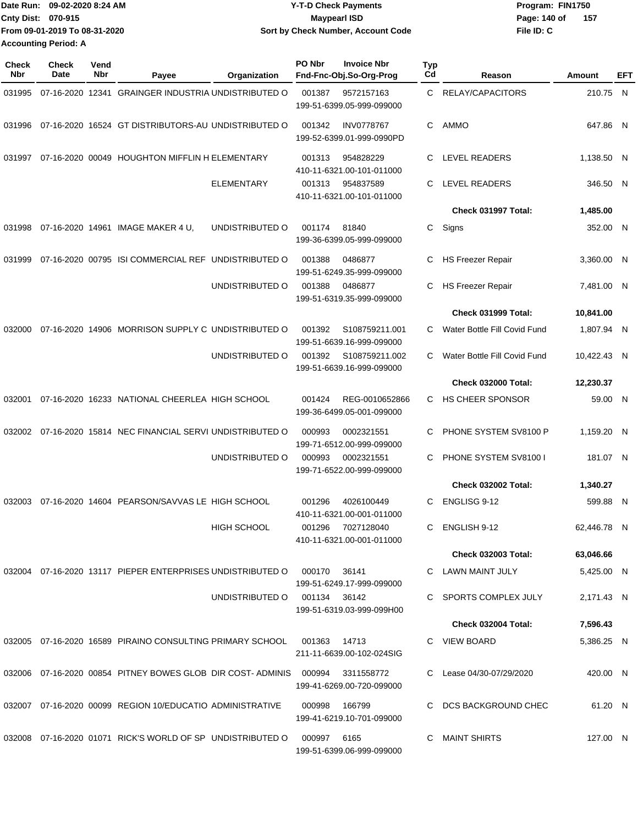| Date Run: 09-02-2020 8:24 AM  | <b>Y-T-D Check Payments</b>        | Program: FIN1750      |
|-------------------------------|------------------------------------|-----------------------|
| <b>Cnty Dist: 070-915</b>     | <b>Mavpearl ISD</b>                | - 157<br>Page: 140 of |
| From 09-01-2019 To 08-31-2020 | Sort by Check Number, Account Code | File ID: C            |
| <b>Accounting Period: A</b>   |                                    |                       |

| <b>Check</b><br>Nbr | <b>Check</b><br>Date | Vend<br>Nbr | Payee                                                                        | Organization                 | PO Nbr      | <b>Invoice Nbr</b><br>Fnd-Fnc-Obj.So-Org-Prog  | <b>Typ</b><br>Cd | Reason                       | Amount      | EFT |
|---------------------|----------------------|-------------|------------------------------------------------------------------------------|------------------------------|-------------|------------------------------------------------|------------------|------------------------------|-------------|-----|
| 031995              |                      |             | 07-16-2020 12341 GRAINGER INDUSTRIA UNDISTRIBUTED O                          |                              | 001387      | 9572157163<br>199-51-6399.05-999-099000        | C                | RELAY/CAPACITORS             | 210.75 N    |     |
| 031996              |                      |             | 07-16-2020 16524 GT DISTRIBUTORS-AU UNDISTRIBUTED O                          |                              | 001342      | <b>INV0778767</b><br>199-52-6399.01-999-0990PD | C                | AMMO                         | 647.86 N    |     |
| 031997              |                      |             | 07-16-2020 00049 HOUGHTON MIFFLIN H ELEMENTARY                               |                              | 001313      | 954828229<br>410-11-6321.00-101-011000         | C                | LEVEL READERS                | 1,138.50 N  |     |
|                     |                      |             |                                                                              | <b>ELEMENTARY</b>            | 001313      | 954837589<br>410-11-6321.00-101-011000         | C                | <b>LEVEL READERS</b>         | 346.50 N    |     |
|                     |                      |             |                                                                              |                              |             |                                                |                  | Check 031997 Total:          | 1,485.00    |     |
| 031998              |                      |             | 07-16-2020 14961 IMAGE MAKER 4 U,                                            | UNDISTRIBUTED O              | 001174      | 81840<br>199-36-6399.05-999-099000             | C                | Signs                        | 352.00 N    |     |
| 031999              |                      |             | 07-16-2020 00795 ISI COMMERCIAL REF UNDISTRIBUTED O                          |                              | 001388      | 0486877<br>199-51-6249.35-999-099000           | C                | <b>HS Freezer Repair</b>     | 3,360.00 N  |     |
|                     |                      |             |                                                                              | UNDISTRIBUTED O              | 001388      | 0486877<br>199-51-6319.35-999-099000           | C                | <b>HS Freezer Repair</b>     | 7,481.00 N  |     |
|                     |                      |             |                                                                              |                              |             |                                                |                  | Check 031999 Total:          | 10,841.00   |     |
| 032000              |                      |             | 07-16-2020 14906 MORRISON SUPPLY C UNDISTRIBUTED O                           |                              | 001392      | S108759211.001<br>199-51-6639.16-999-099000    | C.               | Water Bottle Fill Covid Fund | 1,807.94 N  |     |
|                     |                      |             |                                                                              | UNDISTRIBUTED O              | 001392      | S108759211.002<br>199-51-6639.16-999-099000    | C.               | Water Bottle Fill Covid Fund | 10,422.43 N |     |
|                     |                      |             |                                                                              |                              |             |                                                |                  | Check 032000 Total:          | 12,230.37   |     |
| 032001              |                      |             | 07-16-2020 16233 NATIONAL CHEERLEA HIGH SCHOOL                               |                              | 001424      | REG-0010652866<br>199-36-6499.05-001-099000    | C.               | <b>HS CHEER SPONSOR</b>      | 59.00 N     |     |
| 032002              |                      |             | 07-16-2020 15814 NEC FINANCIAL SERVI UNDISTRIBUTED O                         |                              | 000993      | 0002321551<br>199-71-6512.00-999-099000        | C                | PHONE SYSTEM SV8100 P        | 1,159.20 N  |     |
|                     |                      |             |                                                                              | UNDISTRIBUTED O              | 000993      | 0002321551<br>199-71-6522.00-999-099000        | C                | PHONE SYSTEM SV8100 I        | 181.07 N    |     |
|                     |                      |             |                                                                              |                              |             |                                                |                  | Check 032002 Total:          | 1,340.27    |     |
| 032003              |                      |             | 07-16-2020 14604 PEARSON/SAVVAS LE HIGH SCHOOL                               |                              | 001296      | 4026100449<br>410-11-6321.00-001-011000        | C                | ENGLISG 9-12                 | 599.88 N    |     |
|                     |                      |             |                                                                              | <b>HIGH SCHOOL</b>           |             | 001296 7027128040<br>410-11-6321.00-001-011000 | C.               | ENGLISH 9-12                 | 62,446.78 N |     |
|                     |                      |             |                                                                              |                              |             |                                                |                  | <b>Check 032003 Total:</b>   | 63,046.66   |     |
|                     |                      |             | 032004 07-16-2020 13117 PIEPER ENTERPRISES UNDISTRIBUTED O 000170            |                              |             | 36141<br>199-51-6249.17-999-099000             |                  | C LAWN MAINT JULY            | 5,425.00 N  |     |
|                     |                      |             |                                                                              | UNDISTRIBUTED O 001134 36142 |             | 199-51-6319.03-999-099H00                      |                  | C SPORTS COMPLEX JULY        | 2,171.43 N  |     |
|                     |                      |             |                                                                              |                              |             |                                                |                  | Check 032004 Total:          | 7,596.43    |     |
|                     |                      |             | 032005  07-16-2020  16589  PIRAINO CONSULTING PRIMARY SCHOOL  001363  14713  |                              |             | 211-11-6639.00-102-024SIG                      |                  | C VIEW BOARD                 | 5,386.25 N  |     |
|                     |                      |             | 032006 07-16-2020 00854 PITNEY BOWES GLOB DIR COST-ADMINIS 000994 3311558772 |                              |             | 199-41-6269.00-720-099000                      |                  | C Lease 04/30-07/29/2020     | 420.00 N    |     |
|                     |                      |             | 032007 07-16-2020 00099 REGION 10/EDUCATIO ADMINISTRATIVE                    |                              | 000998      | 166799<br>199-41-6219.10-701-099000            |                  | C DCS BACKGROUND CHEC        | 61.20 N     |     |
|                     |                      |             | 032008 07-16-2020 01071 RICK'S WORLD OF SP UNDISTRIBUTED O                   |                              | 000997 6165 | 199-51-6399.06-999-099000                      |                  | C MAINT SHIRTS               | 127.00 N    |     |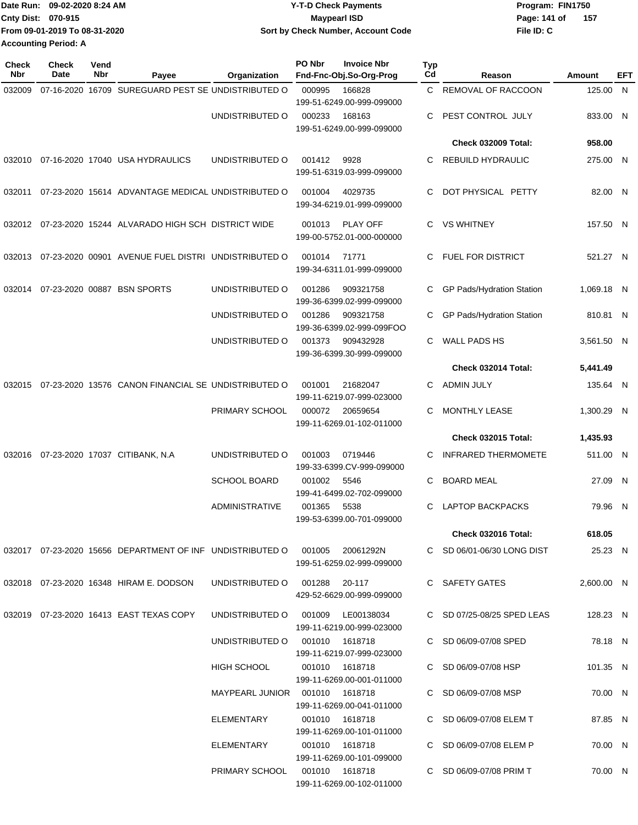| Date Run: 09-02-2020 8:24 AM  | <b>Y-T-D Check Payments</b>        | Program: FIN1750      |  |  |  |
|-------------------------------|------------------------------------|-----------------------|--|--|--|
| <b>Cnty Dist: 070-915</b>     | <b>Mavpearl ISD</b>                | - 157<br>Page: 141 of |  |  |  |
| From 09-01-2019 To 08-31-2020 | Sort by Check Number, Account Code | File ID: C            |  |  |  |
| <b>Accounting Period: A</b>   |                                    |                       |  |  |  |

| <b>Check</b><br><b>Nbr</b> | Check<br>Date | Vend<br>Nbr | Payee                                                         | Organization                      | PO Nbr         | <b>Invoice Nbr</b><br>Fnd-Fnc-Obj.So-Org-Prog | Typ<br>Cd | Reason                     | <b>Amount</b> | <b>EFT</b> |
|----------------------------|---------------|-------------|---------------------------------------------------------------|-----------------------------------|----------------|-----------------------------------------------|-----------|----------------------------|---------------|------------|
| 032009                     |               |             | 07-16-2020 16709 SUREGUARD PEST SE UNDISTRIBUTED O            |                                   | 000995         | 166828<br>199-51-6249.00-999-099000           |           | C REMOVAL OF RACCOON       | 125.00 N      |            |
|                            |               |             |                                                               | UNDISTRIBUTED O                   | 000233         | 168163<br>199-51-6249.00-999-099000           |           | PEST CONTROL JULY          | 833.00 N      |            |
|                            |               |             |                                                               |                                   |                |                                               |           | <b>Check 032009 Total:</b> | 958.00        |            |
| 032010                     |               |             | 07-16-2020 17040 USA HYDRAULICS                               | UNDISTRIBUTED O                   | 001412         | 9928<br>199-51-6319.03-999-099000             | C         | <b>REBUILD HYDRAULIC</b>   | 275.00 N      |            |
| 032011                     |               |             | 07-23-2020 15614 ADVANTAGE MEDICAL UNDISTRIBUTED O            |                                   | 001004         | 4029735<br>199-34-6219.01-999-099000          | C         | DOT PHYSICAL PETTY         | 82.00 N       |            |
|                            |               |             | 032012 07-23-2020 15244 ALVARADO HIGH SCH DISTRICT WIDE       |                                   | 001013         | <b>PLAY OFF</b><br>199-00-5752.01-000-000000  | C.        | VS WHITNEY                 | 157.50 N      |            |
|                            |               |             | 032013 07-23-2020 00901 AVENUE FUEL DISTRI UNDISTRIBUTED O    |                                   | 001014         | 71771<br>199-34-6311.01-999-099000            |           | <b>FUEL FOR DISTRICT</b>   | 521.27 N      |            |
| 032014                     |               |             | 07-23-2020 00887 BSN SPORTS                                   | UNDISTRIBUTED O                   | 001286         | 909321758<br>199-36-6399.02-999-099000        | C         | GP Pads/Hydration Station  | 1,069.18 N    |            |
|                            |               |             |                                                               | UNDISTRIBUTED O                   | 001286         | 909321758<br>199-36-6399.02-999-099FOO        | C         | GP Pads/Hydration Station  | 810.81 N      |            |
|                            |               |             |                                                               | UNDISTRIBUTED O                   | 001373         | 909432928<br>199-36-6399.30-999-099000        | C         | <b>WALL PADS HS</b>        | 3,561.50 N    |            |
|                            |               |             |                                                               |                                   |                |                                               |           | Check 032014 Total:        | 5,441.49      |            |
| 032015                     |               |             | 07-23-2020 13576 CANON FINANCIAL SE UNDISTRIBUTED O           |                                   | 001001         | 21682047<br>199-11-6219.07-999-023000         | C         | ADMIN JULY                 | 135.64 N      |            |
|                            |               |             |                                                               | PRIMARY SCHOOL                    | 000072         | 20659654<br>199-11-6269.01-102-011000         | C         | MONTHLY LEASE              | 1,300.29 N    |            |
|                            |               |             |                                                               |                                   |                |                                               |           | <b>Check 032015 Total:</b> | 1,435.93      |            |
| 032016                     |               |             | 07-23-2020 17037 CITIBANK, N.A                                | UNDISTRIBUTED O                   | 001003         | 0719446<br>199-33-6399.CV-999-099000          | C         | <b>INFRARED THERMOMETE</b> | 511.00 N      |            |
|                            |               |             |                                                               | <b>SCHOOL BOARD</b>               | 001002         | 5546<br>199-41-6499.02-702-099000             | C         | <b>BOARD MEAL</b>          | 27.09 N       |            |
|                            |               |             |                                                               | <b>ADMINISTRATIVE</b>             | 001365         | 5538<br>199-53-6399.00-701-099000             | C         | <b>LAPTOP BACKPACKS</b>    | 79.96 N       |            |
|                            |               |             |                                                               |                                   |                |                                               |           | <b>Check 032016 Total:</b> | 618.05        |            |
|                            |               |             | 032017  07-23-2020  15656  DEPARTMENT OF INF  UNDISTRIBUTED O |                                   |                | 001005 20061292N<br>199-51-6259.02-999-099000 |           | C SD 06/01-06/30 LONG DIST | 25.23 N       |            |
|                            |               |             | 032018 07-23-2020 16348 HIRAM E. DODSON                       | UNDISTRIBUTED O                   | 001288 20-117  | 429-52-6629.00-999-099000                     |           | C SAFETY GATES             | 2.600.00 N    |            |
|                            |               |             | 032019 07-23-2020 16413 EAST TEXAS COPY                       | UNDISTRIBUTED O 001009 LE00138034 |                | 199-11-6219.00-999-023000                     |           | C SD 07/25-08/25 SPED LEAS | 128.23 N      |            |
|                            |               |             |                                                               | UNDISTRIBUTED O                   | 001010 1618718 | 199-11-6219.07-999-023000                     |           | C SD 06/09-07/08 SPED      | 78.18 N       |            |
|                            |               |             |                                                               | HIGH SCHOOL                       |                | 001010 1618718<br>199-11-6269.00-001-011000   |           | C SD 06/09-07/08 HSP       | 101.35 N      |            |
|                            |               |             |                                                               | MAYPEARL JUNIOR  001010  1618718  |                | 199-11-6269.00-041-011000                     |           | C SD 06/09-07/08 MSP       | 70.00 N       |            |
|                            |               |             |                                                               | ELEMENTARY                        |                | 001010 1618718<br>199-11-6269.00-101-011000   |           | C SD 06/09-07/08 ELEM T    | 87.85 N       |            |
|                            |               |             |                                                               | ELEMENTARY                        |                | 001010 1618718<br>199-11-6269.00-101-099000   |           | C SD 06/09-07/08 ELEM P    | 70.00 N       |            |
|                            |               |             |                                                               | PRIMARY SCHOOL  001010  1618718   |                | 199-11-6269.00-102-011000                     |           | C SD 06/09-07/08 PRIM T    | 70.00 N       |            |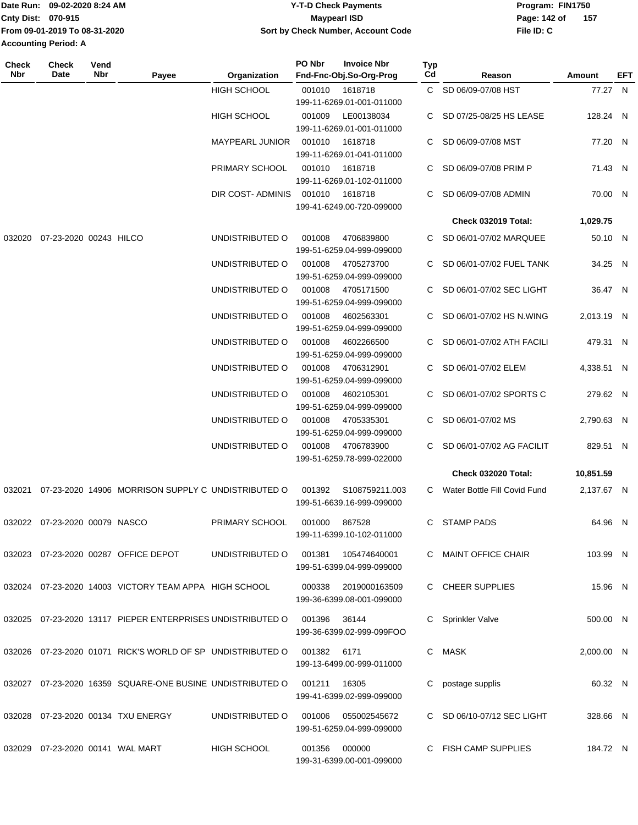|                             | Date Run: 09-02-2020 8:24 AM  | <b>Y-T-D Check Payments</b>        | Program: FIN1750 |     |  |
|-----------------------------|-------------------------------|------------------------------------|------------------|-----|--|
| Cnty Dist: 070-915          |                               | Maypearl ISD                       | Page: 142 of     | 157 |  |
|                             | From 09-01-2019 To 08-31-2020 | Sort by Check Number, Account Code | File ID: C       |     |  |
| <b>Accounting Period: A</b> |                               |                                    |                  |     |  |

**PO Nbr Invoice Nbr**

**Typ**

**Check**

**Check**

**Vend**

| Nbr    | Date                                | Nbr | Payee                                                                       | Organization           | Fnd-Fnc-Obj.So-Org-Prog                               | Cd                                          | Reason                         | Amount               | <b>EFT</b> |  |
|--------|-------------------------------------|-----|-----------------------------------------------------------------------------|------------------------|-------------------------------------------------------|---------------------------------------------|--------------------------------|----------------------|------------|--|
|        |                                     |     |                                                                             |                        | <b>HIGH SCHOOL</b>                                    | 001010 1618718<br>199-11-6269.01-001-011000 |                                | C SD 06/09-07/08 HST | 77.27 N    |  |
|        |                                     |     |                                                                             | <b>HIGH SCHOOL</b>     | LE00138034<br>001009<br>199-11-6269.01-001-011000     |                                             | C SD 07/25-08/25 HS LEASE      | 128.24 N             |            |  |
|        |                                     |     |                                                                             | <b>MAYPEARL JUNIOR</b> | 001010<br>1618718<br>199-11-6269.01-041-011000        | C                                           | SD 06/09-07/08 MST             | 77.20 N              |            |  |
|        |                                     |     |                                                                             | PRIMARY SCHOOL         | 001010<br>1618718<br>199-11-6269.01-102-011000        |                                             | SD 06/09-07/08 PRIM P          | 71.43 N              |            |  |
|        |                                     |     |                                                                             | DIR COST-ADMINIS       | 1618718<br>001010<br>199-41-6249.00-720-099000        |                                             | C SD 06/09-07/08 ADMIN         | 70.00 N              |            |  |
|        |                                     |     |                                                                             |                        |                                                       |                                             | Check 032019 Total:            | 1,029.75             |            |  |
| 032020 | 07-23-2020 00243 HILCO              |     |                                                                             | UNDISTRIBUTED O        | 001008<br>4706839800<br>199-51-6259.04-999-099000     |                                             | C SD 06/01-07/02 MARQUEE       | 50.10 N              |            |  |
|        |                                     |     |                                                                             | UNDISTRIBUTED O        | 001008<br>4705273700<br>199-51-6259.04-999-099000     |                                             | C SD 06/01-07/02 FUEL TANK     | 34.25 N              |            |  |
|        |                                     |     |                                                                             | UNDISTRIBUTED O        | 001008<br>4705171500<br>199-51-6259.04-999-099000     |                                             | C SD 06/01-07/02 SEC LIGHT     | 36.47 N              |            |  |
|        |                                     |     |                                                                             | UNDISTRIBUTED O        | 001008<br>4602563301<br>199-51-6259.04-999-099000     |                                             | C SD 06/01-07/02 HS N.WING     | 2,013.19 N           |            |  |
|        |                                     |     |                                                                             | UNDISTRIBUTED O        | 001008<br>4602266500<br>199-51-6259.04-999-099000     |                                             | C SD 06/01-07/02 ATH FACILI    | 479.31 N             |            |  |
|        |                                     |     |                                                                             | UNDISTRIBUTED O        | 001008<br>4706312901<br>199-51-6259.04-999-099000     |                                             | C SD 06/01-07/02 ELEM          | 4,338.51 N           |            |  |
|        |                                     |     |                                                                             | UNDISTRIBUTED O        | 001008<br>4602105301<br>199-51-6259.04-999-099000     |                                             | C SD 06/01-07/02 SPORTS C      | 279.62 N             |            |  |
|        |                                     |     |                                                                             | UNDISTRIBUTED O        | 001008<br>4705335301<br>199-51-6259.04-999-099000     |                                             | C SD 06/01-07/02 MS            | 2,790.63 N           |            |  |
|        |                                     |     |                                                                             | UNDISTRIBUTED O        | 001008<br>4706783900<br>199-51-6259.78-999-022000     |                                             | C SD 06/01-07/02 AG FACILIT    | 829.51 N             |            |  |
|        |                                     |     |                                                                             |                        |                                                       |                                             | <b>Check 032020 Total:</b>     | 10,851.59            |            |  |
| 032021 |                                     |     | 07-23-2020 14906 MORRISON SUPPLY C UNDISTRIBUTED O                          |                        | 001392<br>S108759211.003<br>199-51-6639.16-999-099000 |                                             | C Water Bottle Fill Covid Fund | 2,137.67 N           |            |  |
| 032022 | 07-23-2020 00079 NASCO              |     |                                                                             | PRIMARY SCHOOL         | 001000<br>867528<br>199-11-6399.10-102-011000         |                                             | C STAMP PADS                   | 64.96 N              |            |  |
|        |                                     |     | 032023 07-23-2020 00287 OFFICE DEPOT                                        | UNDISTRIBUTED O        | 001381<br>105474640001<br>199-51-6399.04-999-099000   |                                             | C MAINT OFFICE CHAIR           | 103.99 N             |            |  |
|        |                                     |     | 032024 07-23-2020 14003 VICTORY TEAM APPA HIGH SCHOOL                       |                        | 000338<br>2019000163509<br>199-36-6399.08-001-099000  |                                             | C CHEER SUPPLIES               | 15.96 N              |            |  |
|        |                                     |     | 032025 07-23-2020 13117 PIEPER ENTERPRISES UNDISTRIBUTED O 001396           |                        | 36144<br>199-36-6399.02-999-099FOO                    |                                             | C Sprinkler Valve              | 500.00 N             |            |  |
|        |                                     |     | 032026  07-23-2020  01071  RICK'S WORLD OF SP  UNDISTRIBUTED   001382  6171 |                        | 199-13-6499.00-999-011000                             |                                             | C MASK                         | 2,000.00 N           |            |  |
|        |                                     |     | 032027 07-23-2020 16359 SQUARE-ONE BUSINE UNDISTRIBUTED O                   |                        | 001211<br>16305<br>199-41-6399.02-999-099000          | C                                           | postage supplis                | 60.32 N              |            |  |
|        |                                     |     | 032028 07-23-2020 00134 TXU ENERGY                                          | UNDISTRIBUTED O        | 001006<br>055002545672<br>199-51-6259.04-999-099000   |                                             | C SD 06/10-07/12 SEC LIGHT     | 328.66 N             |            |  |
|        | 032029  07-23-2020  00141  WAL MART |     |                                                                             | <b>HIGH SCHOOL</b>     | 000000<br>001356<br>199-31-6399.00-001-099000         |                                             | C FISH CAMP SUPPLIES           | 184.72 N             |            |  |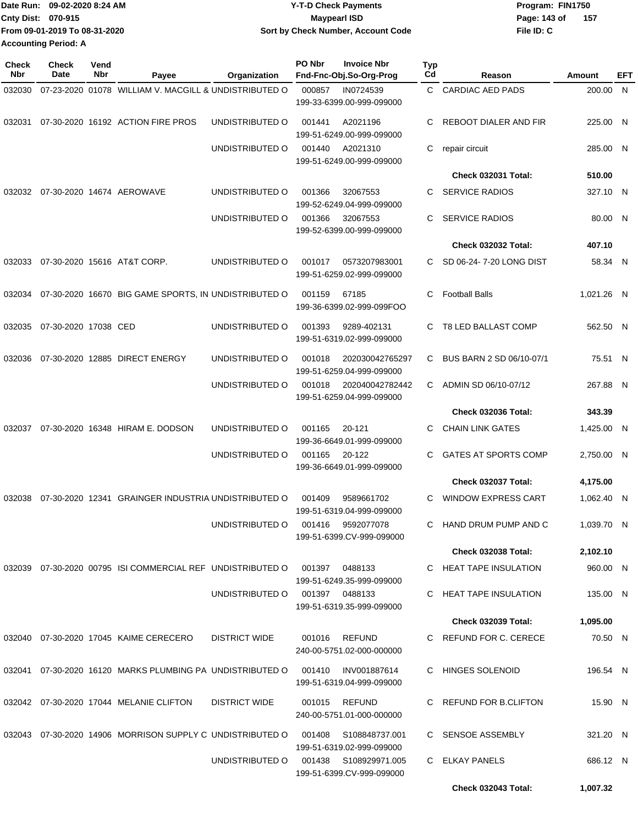| Date Run: 09-02-2020 8:24 AM  | <b>Y-T-D Check Payments</b>        | Program: FIN1750    |
|-------------------------------|------------------------------------|---------------------|
| <b>Cnty Dist: 070-915</b>     | <b>Mavpearl ISD</b>                | 157<br>Page: 143 of |
| From 09-01-2019 To 08-31-2020 | Sort by Check Number, Account Code | File ID: C          |
| <b>Accounting Period: A</b>   |                                    |                     |

| <b>Check</b><br>Nbr | Check<br>Date        | Vend<br>Nbr | Payee                                                       | Organization    | PO Nbr | <b>Invoice Nbr</b><br>Fnd-Fnc-Obj.So-Org-Prog      | Typ<br>Cd | Reason                      | Amount     | EFT |
|---------------------|----------------------|-------------|-------------------------------------------------------------|-----------------|--------|----------------------------------------------------|-----------|-----------------------------|------------|-----|
| 032030              |                      |             | 07-23-2020 01078 WILLIAM V. MACGILL & UNDISTRIBUTED O       |                 | 000857 | IN0724539<br>199-33-6399.00-999-099000             | C.        | <b>CARDIAC AED PADS</b>     | 200.00 N   |     |
| 032031              |                      |             | 07-30-2020 16192 ACTION FIRE PROS                           | UNDISTRIBUTED O | 001441 | A2021196<br>199-51-6249.00-999-099000              | C.        | REBOOT DIALER AND FIR       | 225.00 N   |     |
|                     |                      |             |                                                             | UNDISTRIBUTED O | 001440 | A2021310<br>199-51-6249.00-999-099000              | C         | repair circuit              | 285.00 N   |     |
|                     |                      |             |                                                             |                 |        |                                                    |           | <b>Check 032031 Total:</b>  | 510.00     |     |
| 032032              |                      |             | 07-30-2020 14674 AEROWAVE                                   | UNDISTRIBUTED O | 001366 | 32067553<br>199-52-6249.04-999-099000              | C.        | <b>SERVICE RADIOS</b>       | 327.10 N   |     |
|                     |                      |             |                                                             | UNDISTRIBUTED O | 001366 | 32067553<br>199-52-6399.00-999-099000              | C         | <b>SERVICE RADIOS</b>       | 80.00 N    |     |
|                     |                      |             |                                                             |                 |        |                                                    |           | <b>Check 032032 Total:</b>  | 407.10     |     |
| 032033              |                      |             | 07-30-2020 15616 AT&T CORP.                                 | UNDISTRIBUTED O | 001017 | 0573207983001<br>199-51-6259.02-999-099000         |           | C SD 06-24-7-20 LONG DIST   | 58.34 N    |     |
|                     |                      |             | 032034 07-30-2020 16670 BIG GAME SPORTS, IN UNDISTRIBUTED O |                 | 001159 | 67185<br>199-36-6399.02-999-099FOO                 | C         | <b>Football Balls</b>       | 1,021.26 N |     |
| 032035              | 07-30-2020 17038 CED |             |                                                             | UNDISTRIBUTED O | 001393 | 9289-402131<br>199-51-6319.02-999-099000           | C         | T8 LED BALLAST COMP         | 562.50 N   |     |
| 032036              |                      |             | 07-30-2020 12885 DIRECT ENERGY                              | UNDISTRIBUTED O | 001018 | 202030042765297<br>199-51-6259.04-999-099000       | C         | BUS BARN 2 SD 06/10-07/1    | 75.51 N    |     |
|                     |                      |             |                                                             | UNDISTRIBUTED O | 001018 | 202040042782442<br>199-51-6259.04-999-099000       | C.        | ADMIN SD 06/10-07/12        | 267.88 N   |     |
|                     |                      |             |                                                             |                 |        |                                                    |           | <b>Check 032036 Total:</b>  | 343.39     |     |
| 032037              |                      |             | 07-30-2020 16348 HIRAM E. DODSON                            | UNDISTRIBUTED O | 001165 | 20-121<br>199-36-6649.01-999-099000                | C         | <b>CHAIN LINK GATES</b>     | 1,425.00 N |     |
|                     |                      |             |                                                             | UNDISTRIBUTED O | 001165 | 20-122<br>199-36-6649.01-999-099000                | C         | <b>GATES AT SPORTS COMP</b> | 2,750.00 N |     |
|                     |                      |             |                                                             |                 |        |                                                    |           | Check 032037 Total:         | 4,175.00   |     |
| 032038              |                      |             | 07-30-2020 12341 GRAINGER INDUSTRIA UNDISTRIBUTED O         |                 | 001409 | 9589661702<br>199-51-6319.04-999-099000            | C         | <b>WINDOW EXPRESS CART</b>  | 1,062.40 N |     |
|                     |                      |             |                                                             | UNDISTRIBUTED O | 001416 | 9592077078<br>199-51-6399.CV-999-099000            | C         | HAND DRUM PUMP AND C        | 1,039.70 N |     |
|                     |                      |             |                                                             |                 |        |                                                    |           | <b>Check 032038 Total:</b>  | 2,102.10   |     |
|                     |                      |             | 032039 07-30-2020 00795 ISI COMMERCIAL REF UNDISTRIBUTED O  |                 | 001397 | 0488133<br>199-51-6249.35-999-099000               |           | C HEAT TAPE INSULATION      | 960.00 N   |     |
|                     |                      |             |                                                             | UNDISTRIBUTED O |        | 001397 0488133<br>199-51-6319.35-999-099000        | C.        | HEAT TAPE INSULATION        | 135.00 N   |     |
|                     |                      |             |                                                             |                 |        |                                                    |           | <b>Check 032039 Total:</b>  | 1,095.00   |     |
|                     |                      |             | 032040 07-30-2020 17045 KAIME CERECERO                      | DISTRICT WIDE   | 001016 | REFUND<br>240-00-5751.02-000-000000                |           | C REFUND FOR C. CERECE      | 70.50 N    |     |
|                     |                      |             | 032041 07-30-2020 16120 MARKS PLUMBING PA UNDISTRIBUTED O   |                 | 001410 | INV001887614<br>199-51-6319.04-999-099000          |           | C HINGES SOLENOID           | 196.54 N   |     |
|                     |                      |             | 032042 07-30-2020 17044 MELANIE CLIFTON                     | DISTRICT WIDE   | 001015 | REFUND<br>240-00-5751.01-000-000000                |           | C REFUND FOR B.CLIFTON      | 15.90 N    |     |
|                     |                      |             | 032043 07-30-2020 14906 MORRISON SUPPLY C UNDISTRIBUTED O   |                 | 001408 | S108848737.001<br>199-51-6319.02-999-099000        |           | C SENSOE ASSEMBLY           | 321.20 N   |     |
|                     |                      |             |                                                             | UNDISTRIBUTED O |        | 001438 S108929971.005<br>199-51-6399.CV-999-099000 |           | C ELKAY PANELS              | 686.12 N   |     |
|                     |                      |             |                                                             |                 |        |                                                    |           | Check 032043 Total:         | 1,007.32   |     |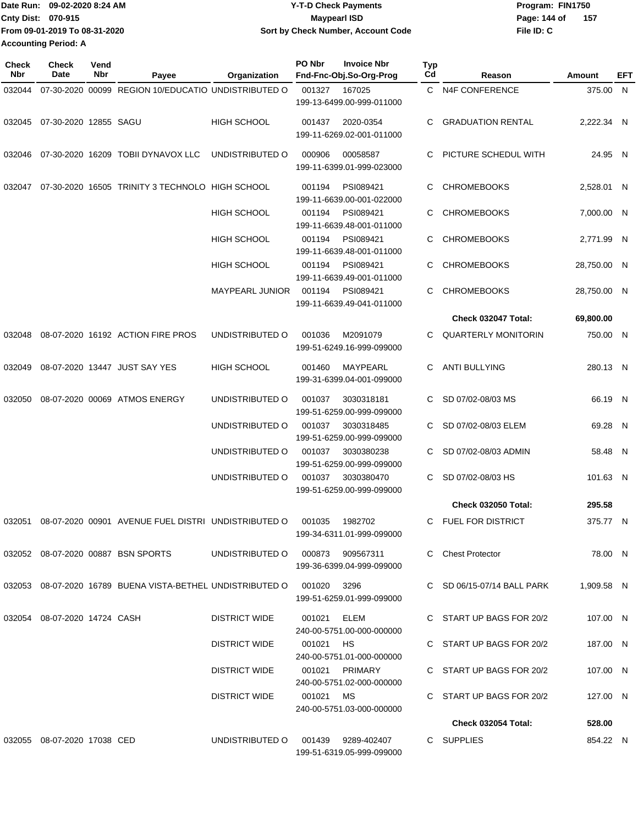|                             | Date Run: 09-02-2020 8:24 AM  | <b>Y-T-D Check Payments</b>        | Program: FIN1750    |
|-----------------------------|-------------------------------|------------------------------------|---------------------|
| <b>Cnty Dist: 070-915</b>   |                               | Maypearl ISD                       | 157<br>Page: 144 of |
|                             | From 09-01-2019 To 08-31-2020 | Sort by Check Number, Account Code | File ID: C          |
| <b>Accounting Period: A</b> |                               |                                    |                     |

| <b>Check</b><br>Nbr | <b>Check</b><br>Date         | Vend<br>Nbr | Payee                                                             | Organization                     | PO Nbr      | <b>Invoice Nbr</b><br>Fnd-Fnc-Obj.So-Org-Prog   | Typ<br>Cd | Reason                     | Amount      | EFT |
|---------------------|------------------------------|-------------|-------------------------------------------------------------------|----------------------------------|-------------|-------------------------------------------------|-----------|----------------------------|-------------|-----|
| 032044              |                              |             | 07-30-2020 00099 REGION 10/EDUCATIO UNDISTRIBUTED O               |                                  | 001327      | 167025<br>199-13-6499.00-999-011000             |           | C N4F CONFERENCE           | 375.00 N    |     |
| 032045              | 07-30-2020 12855 SAGU        |             |                                                                   | <b>HIGH SCHOOL</b>               | 001437      | 2020-0354<br>199-11-6269.02-001-011000          | C.        | <b>GRADUATION RENTAL</b>   | 2,222.34 N  |     |
| 032046              |                              |             | 07-30-2020 16209 TOBII DYNAVOX LLC                                | UNDISTRIBUTED O                  | 000906      | 00058587<br>199-11-6399.01-999-023000           | C         | PICTURE SCHEDUL WITH       | 24.95 N     |     |
| 032047              |                              |             | 07-30-2020 16505 TRINITY 3 TECHNOLO HIGH SCHOOL                   |                                  | 001194      | PSI089421<br>199-11-6639.00-001-022000          | C         | <b>CHROMEBOOKS</b>         | 2,528.01 N  |     |
|                     |                              |             |                                                                   | <b>HIGH SCHOOL</b>               | 001194      | PSI089421<br>199-11-6639.48-001-011000          | C         | <b>CHROMEBOOKS</b>         | 7,000.00 N  |     |
|                     |                              |             |                                                                   | <b>HIGH SCHOOL</b>               | 001194      | PSI089421<br>199-11-6639.48-001-011000          | C         | <b>CHROMEBOOKS</b>         | 2,771.99 N  |     |
|                     |                              |             |                                                                   | <b>HIGH SCHOOL</b>               | 001194      | PSI089421<br>199-11-6639.49-001-011000          | C         | <b>CHROMEBOOKS</b>         | 28,750.00 N |     |
|                     |                              |             |                                                                   | <b>MAYPEARL JUNIOR</b>           | 001194      | PSI089421<br>199-11-6639.49-041-011000          | C         | <b>CHROMEBOOKS</b>         | 28,750.00 N |     |
|                     |                              |             |                                                                   |                                  |             |                                                 |           | Check 032047 Total:        | 69,800.00   |     |
| 032048              |                              |             | 08-07-2020 16192 ACTION FIRE PROS                                 | UNDISTRIBUTED O                  | 001036      | M2091079<br>199-51-6249.16-999-099000           | C.        | <b>QUARTERLY MONITORIN</b> | 750.00 N    |     |
| 032049              |                              |             | 08-07-2020 13447 JUST SAY YES                                     | <b>HIGH SCHOOL</b>               | 001460      | MAYPEARL<br>199-31-6399.04-001-099000           | C         | <b>ANTI BULLYING</b>       | 280.13 N    |     |
| 032050              |                              |             | 08-07-2020 00069 ATMOS ENERGY                                     | UNDISTRIBUTED O                  | 001037      | 3030318181<br>199-51-6259.00-999-099000         | C         | SD 07/02-08/03 MS          | 66.19 N     |     |
|                     |                              |             |                                                                   | UNDISTRIBUTED O                  | 001037      | 3030318485<br>199-51-6259.00-999-099000         | C         | SD 07/02-08/03 ELEM        | 69.28 N     |     |
|                     |                              |             |                                                                   | UNDISTRIBUTED O                  | 001037      | 3030380238<br>199-51-6259.00-999-099000         | C         | SD 07/02-08/03 ADMIN       | 58.48 N     |     |
|                     |                              |             |                                                                   | UNDISTRIBUTED O                  | 001037      | 3030380470<br>199-51-6259.00-999-099000         | C         | SD 07/02-08/03 HS          | 101.63 N    |     |
|                     |                              |             |                                                                   |                                  |             |                                                 |           | <b>Check 032050 Total:</b> | 295.58      |     |
| 032051              |                              |             | 08-07-2020 00901 AVENUE FUEL DISTRI UNDISTRIBUTED O               |                                  | 001035      | 1982702<br>199-34-6311.01-999-099000            | C         | FUEL FOR DISTRICT          | 375.77 N    |     |
|                     |                              |             | 032052 08-07-2020 00887 BSN SPORTS                                | UNDISTRIBUTED O 000873 909567311 |             | 199-36-6399.04-999-099000                       |           | C Chest Protector          | 78.00 N     |     |
|                     |                              |             | 032053 08-07-2020 16789 BUENA VISTA-BETHEL UNDISTRIBUTED O 001020 |                                  |             | 3296<br>199-51-6259.01-999-099000               |           | C SD 06/15-07/14 BALL PARK | 1,909.58 N  |     |
|                     | 032054 08-07-2020 14724 CASH |             |                                                                   | <b>DISTRICT WIDE</b>             | 001021 ELEM | 240-00-5751.00-000-000000                       |           | C START UP BAGS FOR 20/2   | 107.00 N    |     |
|                     |                              |             |                                                                   | DISTRICT WIDE                    | 001021 HS   | 240-00-5751.01-000-000000                       |           | C START UP BAGS FOR 20/2   | 187.00 N    |     |
|                     |                              |             |                                                                   | <b>DISTRICT WIDE</b>             |             | 001021 PRIMARY<br>240-00-5751.02-000-000000     |           | C START UP BAGS FOR 20/2   | 107.00 N    |     |
|                     |                              |             |                                                                   | <b>DISTRICT WIDE</b>             | 001021 MS   | 240-00-5751.03-000-000000                       |           | C START UP BAGS FOR 20/2   | 127.00 N    |     |
|                     |                              |             |                                                                   |                                  |             |                                                 |           | <b>Check 032054 Total:</b> | 528.00      |     |
|                     | 032055 08-07-2020 17038 CED  |             |                                                                   | UNDISTRIBUTED O                  |             | 001439 9289-402407<br>199-51-6319.05-999-099000 |           | C SUPPLIES                 | 854.22 N    |     |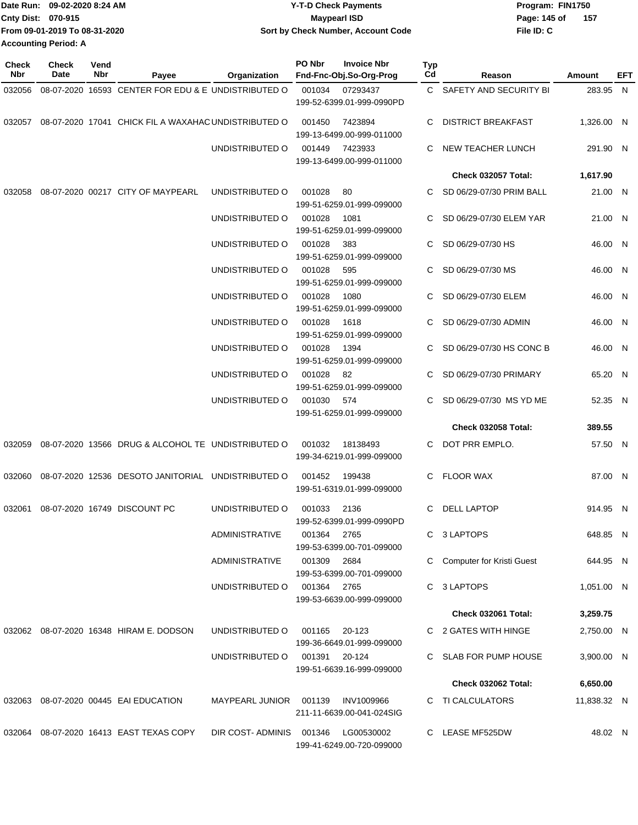| Date Run: 09-02-2020 8:24 AM |                               | Y-T-D Check Payments               | Program: FIN1750    |  |  |  |  |
|------------------------------|-------------------------------|------------------------------------|---------------------|--|--|--|--|
| <b>Cnty Dist: 070-915</b>    |                               | <b>Mavpearl ISD</b>                | 157<br>Page: 145 of |  |  |  |  |
|                              | From 09-01-2019 To 08-31-2020 | Sort by Check Number, Account Code | File ID: C          |  |  |  |  |
| <b>Accounting Period: A</b>  |                               |                                    |                     |  |  |  |  |

| <b>Check</b><br>Nbr | Check<br>Date | Vend<br>Nbr     | Payee                                                       | Organization                      | PO Nbr        | <b>Invoice Nbr</b><br>Fnd-Fnc-Obj.So-Org-Prog | Typ<br>Cd | Reason                      | Amount       | EFT |
|---------------------|---------------|-----------------|-------------------------------------------------------------|-----------------------------------|---------------|-----------------------------------------------|-----------|-----------------------------|--------------|-----|
| 032056              |               |                 | 08-07-2020 16593 CENTER FOR EDU & E UNDISTRIBUTED O         |                                   | 001034        | 07293437<br>199-52-6399.01-999-0990PD         |           | C SAFETY AND SECURITY BI    | 283.95 N     |     |
|                     |               |                 | 032057 08-07-2020 17041 CHICK FIL A WAXAHAC UNDISTRIBUTED O |                                   | 001450        | 7423894<br>199-13-6499.00-999-011000          | C.        | <b>DISTRICT BREAKFAST</b>   | 1,326.00 N   |     |
|                     |               |                 |                                                             | UNDISTRIBUTED O                   | 001449        | 7423933<br>199-13-6499.00-999-011000          | C.        | NEW TEACHER LUNCH           | 291.90 N     |     |
|                     |               |                 |                                                             |                                   |               |                                               |           | <b>Check 032057 Total:</b>  | 1,617.90     |     |
| 032058              |               |                 | 08-07-2020 00217 CITY OF MAYPEARL                           | UNDISTRIBUTED O                   | 001028        | 80<br>199-51-6259.01-999-099000               | C.        | SD 06/29-07/30 PRIM BALL    | 21.00 N      |     |
|                     |               |                 |                                                             | UNDISTRIBUTED O                   | 001028        | 1081<br>199-51-6259.01-999-099000             |           | SD 06/29-07/30 ELEM YAR     | 21.00 N      |     |
|                     |               |                 |                                                             | UNDISTRIBUTED O                   | 001028        | 383<br>199-51-6259.01-999-099000              |           | SD 06/29-07/30 HS           | 46.00 N      |     |
|                     |               |                 |                                                             | UNDISTRIBUTED O                   | 001028        | 595<br>199-51-6259.01-999-099000              | C.        | SD 06/29-07/30 MS           | 46.00 N      |     |
|                     |               |                 |                                                             | UNDISTRIBUTED O                   | 001028        | 1080<br>199-51-6259.01-999-099000             | C.        | SD 06/29-07/30 ELEM         | 46.00 N      |     |
|                     |               |                 |                                                             | UNDISTRIBUTED O                   | 001028        | 1618<br>199-51-6259.01-999-099000             |           | SD 06/29-07/30 ADMIN        | 46.00 N      |     |
|                     |               |                 |                                                             | UNDISTRIBUTED O                   | 001028        | 1394<br>199-51-6259.01-999-099000             | C.        | SD 06/29-07/30 HS CONC B    | 46.00 N      |     |
|                     |               | UNDISTRIBUTED O | 001028                                                      | - 82<br>199-51-6259.01-999-099000 |               | C SD 06/29-07/30 PRIMARY                      | 65.20 N   |                             |              |     |
|                     |               |                 |                                                             | UNDISTRIBUTED O                   | 001030 574    | 199-51-6259.01-999-099000                     | C.        | SD 06/29-07/30 MS YD ME     | 52.35 N      |     |
|                     |               |                 |                                                             |                                   |               |                                               |           | <b>Check 032058 Total:</b>  | 389.55       |     |
|                     |               |                 | 032059 08-07-2020 13566 DRUG & ALCOHOL TE UNDISTRIBUTED O   |                                   | 001032        | 18138493<br>199-34-6219.01-999-099000         | C.        | DOT PRR EMPLO.              | 57.50 N      |     |
| 032060              |               |                 | 08-07-2020 12536 DESOTO JANITORIAL UNDISTRIBUTED O          |                                   | 001452        | 199438<br>199-51-6319.01-999-099000           |           | C FLOOR WAX                 | 87.00 N      |     |
| 032061              |               |                 | 08-07-2020 16749 DISCOUNT PC                                | UNDISTRIBUTED O                   | 001033        | 2136<br>199-52-6399.01-999-0990PD             | C.        | <b>DELL LAPTOP</b>          | 914.95 N     |     |
|                     |               |                 |                                                             | <b>ADMINISTRATIVE</b>             | 001364 2765   | 199-53-6399.00-701-099000                     |           | C 3 LAPTOPS                 | 648.85 N     |     |
|                     |               |                 |                                                             | ADMINISTRATIVE                    | 001309        | 2684<br>199-53-6399.00-701-099000             |           | C Computer for Kristi Guest | 644.95 N     |     |
|                     |               |                 |                                                             | UNDISTRIBUTED O                   | 001364 2765   | 199-53-6639.00-999-099000                     |           | C 3 LAPTOPS                 | $1,051.00$ N |     |
|                     |               |                 |                                                             |                                   |               |                                               |           | <b>Check 032061 Total:</b>  | 3,259.75     |     |
|                     |               |                 | 032062 08-07-2020 16348 HIRAM E. DODSON                     | UNDISTRIBUTED O                   | 001165 20-123 | 199-36-6649.01-999-099000                     |           | C 2 GATES WITH HINGE        | 2,750.00 N   |     |
|                     |               |                 |                                                             | UNDISTRIBUTED O                   | 001391 20-124 | 199-51-6639.16-999-099000                     |           | C SLAB FOR PUMP HOUSE       | 3,900.00 N   |     |
|                     |               |                 |                                                             |                                   |               |                                               |           | <b>Check 032062 Total:</b>  | 6,650.00     |     |
|                     |               |                 | 032063 08-07-2020 00445 EAI EDUCATION                       | MAYPEARL JUNIOR 001139            |               | INV1009966<br>211-11-6639.00-041-024SIG       |           | C TI CALCULATORS            | 11,838.32 N  |     |
|                     |               |                 | 032064 08-07-2020 16413 EAST TEXAS COPY                     | DIR COST-ADMINIS 001346           |               | LG00530002<br>199-41-6249.00-720-099000       |           | C LEASE MF525DW             | 48.02 N      |     |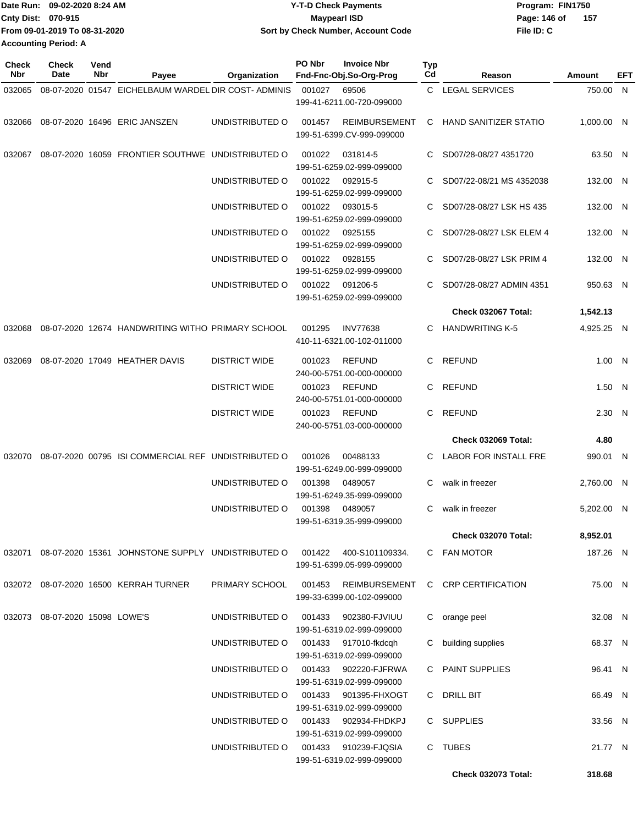| Date Run: 09-02-2020 8:24 AM |                               | <b>Y-T-D Check Payments</b>        | Program: FIN1750      |  |  |  |
|------------------------------|-------------------------------|------------------------------------|-----------------------|--|--|--|
| Cnty Dist: 070-915           |                               | Maypearl ISD                       | - 157<br>Page: 146 of |  |  |  |
|                              | From 09-01-2019 To 08-31-2020 | Sort by Check Number, Account Code | File ID: C            |  |  |  |
| <b>Accounting Period: A</b>  |                               |                                    |                       |  |  |  |

| <b>Check</b><br>Nbr | Check<br>Date                  | Vend<br>Nbr | Payee                                                                           | Organization         | PO Nbr | <b>Invoice Nbr</b><br>Fnd-Fnc-Obj.So-Org-Prog     | <b>Typ</b><br>Cd | Reason                   | Amount     | EFT |
|---------------------|--------------------------------|-------------|---------------------------------------------------------------------------------|----------------------|--------|---------------------------------------------------|------------------|--------------------------|------------|-----|
| 032065              |                                |             | 08-07-2020 01547 EICHELBAUM WARDEL DIR COST- ADMINIS                            |                      | 001027 | 69506                                             |                  | C LEGAL SERVICES         | 750.00 N   |     |
|                     |                                |             |                                                                                 |                      |        | 199-41-6211.00-720-099000                         |                  |                          |            |     |
|                     |                                |             | 032066 08-07-2020 16496 ERIC JANSZEN                                            | UNDISTRIBUTED O      | 001457 | <b>REIMBURSEMENT</b><br>199-51-6399.CV-999-099000 |                  | C HAND SANITIZER STATIO  | 1,000.00 N |     |
| 032067              |                                |             | 08-07-2020 16059 FRONTIER SOUTHWE UNDISTRIBUTED O                               |                      | 001022 | 031814-5<br>199-51-6259.02-999-099000             | C.               | SD07/28-08/27 4351720    | 63.50 N    |     |
|                     |                                |             |                                                                                 | UNDISTRIBUTED O      | 001022 | 092915-5<br>199-51-6259.02-999-099000             |                  | SD07/22-08/21 MS 4352038 | 132.00 N   |     |
|                     |                                |             |                                                                                 | UNDISTRIBUTED O      | 001022 | 093015-5<br>199-51-6259.02-999-099000             |                  | SD07/28-08/27 LSK HS 435 | 132.00 N   |     |
|                     |                                |             |                                                                                 | UNDISTRIBUTED O      | 001022 | 0925155<br>199-51-6259.02-999-099000              | C.               | SD07/28-08/27 LSK ELEM 4 | 132.00 N   |     |
|                     |                                |             |                                                                                 | UNDISTRIBUTED O      | 001022 | 0928155<br>199-51-6259.02-999-099000              | C.               | SD07/28-08/27 LSK PRIM 4 | 132.00 N   |     |
|                     |                                |             |                                                                                 | UNDISTRIBUTED O      | 001022 | 091206-5<br>199-51-6259.02-999-099000             | C                | SD07/28-08/27 ADMIN 4351 | 950.63 N   |     |
|                     |                                |             |                                                                                 |                      |        |                                                   |                  | Check 032067 Total:      | 1,542.13   |     |
| 032068              |                                |             | 08-07-2020 12674 HANDWRITING WITHO PRIMARY SCHOOL                               |                      | 001295 | <b>INV77638</b><br>410-11-6321.00-102-011000      | C.               | HANDWRITING K-5          | 4,925.25 N |     |
| 032069              |                                |             | 08-07-2020 17049 HEATHER DAVIS                                                  | <b>DISTRICT WIDE</b> | 001023 | <b>REFUND</b><br>240-00-5751.00-000-000000        |                  | C REFUND                 | 1.00 N     |     |
|                     |                                |             |                                                                                 | <b>DISTRICT WIDE</b> | 001023 | <b>REFUND</b><br>240-00-5751.01-000-000000        | C.               | <b>REFUND</b>            | 1.50 N     |     |
|                     |                                |             |                                                                                 | <b>DISTRICT WIDE</b> | 001023 | REFUND<br>240-00-5751.03-000-000000               | C.               | <b>REFUND</b>            | 2.30 N     |     |
|                     |                                |             |                                                                                 |                      |        |                                                   |                  | Check 032069 Total:      | 4.80       |     |
| 032070              |                                |             | 08-07-2020 00795 ISI COMMERCIAL REF UNDISTRIBUTED O                             |                      | 001026 | 00488133<br>199-51-6249.00-999-099000             | C                | LABOR FOR INSTALL FRE    | 990.01 N   |     |
|                     |                                |             |                                                                                 | UNDISTRIBUTED O      | 001398 | 0489057<br>199-51-6249.35-999-099000              | C                | walk in freezer          | 2,760.00 N |     |
|                     |                                |             |                                                                                 | UNDISTRIBUTED O      | 001398 | 0489057<br>199-51-6319.35-999-099000              | C                | walk in freezer          | 5.202.00 N |     |
|                     |                                |             |                                                                                 |                      |        |                                                   |                  | Check 032070 Total:      | 8,952.01   |     |
|                     |                                |             | 032071 08-07-2020 15361 JOHNSTONE SUPPLY UNDISTRIBUTED O 001422 400-S101109334. |                      |        | 199-51-6399.05-999-099000                         |                  | C FAN MOTOR              | 187.26 N   |     |
|                     |                                |             | 032072 08-07-2020 16500 KERRAH TURNER                                           | PRIMARY SCHOOL       | 001453 | REIMBURSEMENT<br>199-33-6399.00-102-099000        |                  | C CRP CERTIFICATION      | 75.00 N    |     |
|                     | 032073 08-07-2020 15098 LOWE'S |             |                                                                                 | UNDISTRIBUTED O      | 001433 | 902380-FJVIUU<br>199-51-6319.02-999-099000        |                  | C orange peel            | 32.08 N    |     |
|                     |                                |             |                                                                                 | UNDISTRIBUTED O      |        | 001433 917010-fkdcqh<br>199-51-6319.02-999-099000 |                  | C building supplies      | 68.37 N    |     |
|                     |                                |             |                                                                                 | UNDISTRIBUTED O      |        | 001433 902220-FJFRWA<br>199-51-6319.02-999-099000 |                  | C PAINT SUPPLIES         | 96.41 N    |     |
|                     |                                |             |                                                                                 | UNDISTRIBUTED O      |        | 001433 901395-FHXOGT<br>199-51-6319.02-999-099000 |                  | C DRILL BIT              | 66.49 N    |     |
|                     |                                |             |                                                                                 | UNDISTRIBUTED O      |        | 001433 902934-FHDKPJ<br>199-51-6319.02-999-099000 |                  | C SUPPLIES               | 33.56 N    |     |
|                     |                                |             |                                                                                 | UNDISTRIBUTED O      |        | 001433 910239-FJQSIA<br>199-51-6319.02-999-099000 |                  | C TUBES                  | 21.77 N    |     |
|                     |                                |             |                                                                                 |                      |        |                                                   |                  | Check 032073 Total:      | 318.68     |     |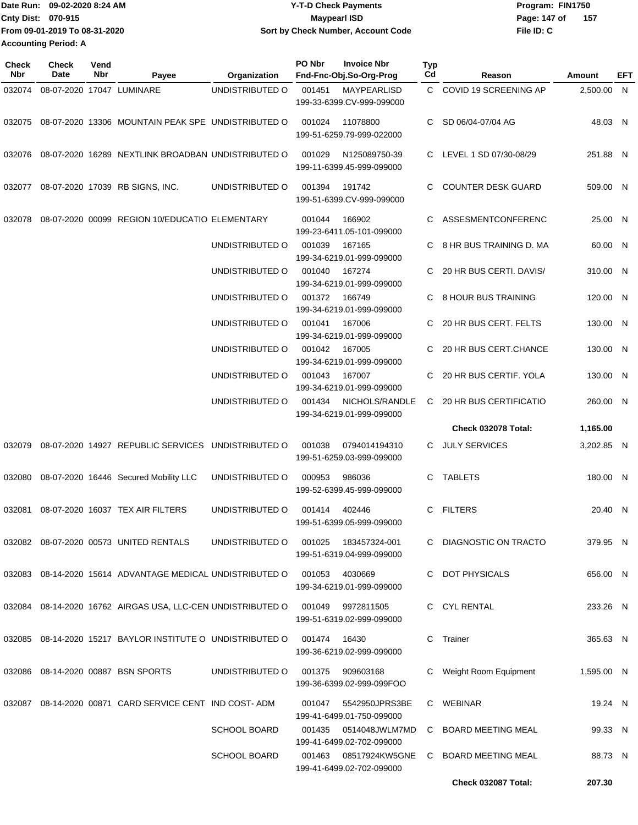| Date Run: 09-02-2020 8:24 AM  | <b>Y-T-D Check Payments</b>        | Program: FIN1750      |  |  |
|-------------------------------|------------------------------------|-----------------------|--|--|
| <b>Cnty Dist: 070-915</b>     | Maypearl ISD                       | - 157<br>Page: 147 of |  |  |
| From 09-01-2019 To 08-31-2020 | Sort by Check Number, Account Code | File ID: C            |  |  |
| <b>Accounting Period: A</b>   |                                    |                       |  |  |

| Check<br><b>Nbr</b> | <b>Check</b><br>Date      | Vend<br>Nbr | Payee                                                       | Organization        | PO Nbr                                                                             | <b>Invoice Nbr</b><br>Fnd-Fnc-Obj.So-Org-Prog         | Typ<br>Cd | Reason                    | Amount     | EFT |
|---------------------|---------------------------|-------------|-------------------------------------------------------------|---------------------|------------------------------------------------------------------------------------|-------------------------------------------------------|-----------|---------------------------|------------|-----|
| 032074              | 08-07-2020 17047 LUMINARE |             |                                                             | UNDISTRIBUTED O     | 001451                                                                             | MAYPEARLISD<br>199-33-6399.CV-999-099000              |           | C COVID 19 SCREENING AP   | 2,500.00 N |     |
|                     |                           |             | 032075 08-07-2020 13306 MOUNTAIN PEAK SPE UNDISTRIBUTED O   |                     | 001024                                                                             | 11078800<br>199-51-6259.79-999-022000                 | C.        | SD 06/04-07/04 AG         | 48.03 N    |     |
| 032076              |                           |             | 08-07-2020 16289 NEXTLINK BROADBAN UNDISTRIBUTED O          |                     | 001029                                                                             | N125089750-39<br>199-11-6399.45-999-099000            | C.        | LEVEL 1 SD 07/30-08/29    | 251.88 N   |     |
| 032077              |                           |             | 08-07-2020 17039 RB SIGNS, INC.                             | UNDISTRIBUTED O     | 001394                                                                             | 191742<br>199-51-6399.CV-999-099000                   | C.        | <b>COUNTER DESK GUARD</b> | 509.00 N   |     |
| 032078              |                           |             | 08-07-2020 00099 REGION 10/EDUCATIO ELEMENTARY              |                     | 001044                                                                             | 166902<br>199-23-6411.05-101-099000                   |           | ASSESMENTCONFERENC        | 25.00 N    |     |
|                     |                           |             |                                                             | UNDISTRIBUTED O     | 001039                                                                             | 167165<br>199-34-6219.01-999-099000                   |           | 8 HR BUS TRAINING D. MA   | 60.00 N    |     |
|                     |                           |             |                                                             | UNDISTRIBUTED O     | 001040                                                                             | 167274<br>199-34-6219.01-999-099000                   |           | 20 HR BUS CERTI, DAVIS/   | 310.00 N   |     |
|                     |                           |             |                                                             | UNDISTRIBUTED O     | 001372                                                                             | 166749<br>199-34-6219.01-999-099000                   |           | 8 HOUR BUS TRAINING       | 120.00 N   |     |
|                     |                           |             |                                                             | UNDISTRIBUTED O     | 001041                                                                             | 167006<br>199-34-6219.01-999-099000                   |           | 20 HR BUS CERT. FELTS     | 130.00 N   |     |
|                     |                           |             |                                                             | UNDISTRIBUTED O     | 001042                                                                             | 167005<br>199-34-6219.01-999-099000                   |           | 20 HR BUS CERT.CHANCE     | 130.00 N   |     |
|                     |                           |             |                                                             | UNDISTRIBUTED O     | 001043                                                                             | 167007                                                |           | 20 HR BUS CERTIF. YOLA    | 130.00 N   |     |
|                     |                           |             |                                                             | UNDISTRIBUTED O     | 199-34-6219.01-999-099000<br>001434<br>NICHOLS/RANDLE<br>199-34-6219.01-999-099000 |                                                       | C         | 20 HR BUS CERTIFICATIO    | 260.00 N   |     |
|                     |                           |             |                                                             |                     |                                                                                    |                                                       |           | Check 032078 Total:       | 1,165.00   |     |
| 032079              |                           |             | 08-07-2020 14927 REPUBLIC SERVICES UNDISTRIBUTED O          |                     | 001038                                                                             | 0794014194310<br>199-51-6259.03-999-099000            |           | C JULY SERVICES           | 3,202.85 N |     |
| 032080              |                           |             | 08-07-2020 16446 Secured Mobility LLC                       | UNDISTRIBUTED O     | 000953                                                                             | 986036<br>199-52-6399.45-999-099000                   | C.        | <b>TABLETS</b>            | 180.00 N   |     |
| 032081              |                           |             | 08-07-2020 16037 TEX AIR FILTERS                            | UNDISTRIBUTED O     | 001414                                                                             | 402446<br>199-51-6399.05-999-099000                   | C         | <b>FILTERS</b>            | 20.40 N    |     |
|                     |                           |             | 032082 08-07-2020 00573 UNITED RENTALS                      | UNDISTRIBUTED O     | 001025                                                                             | 183457324-001<br>199-51-6319.04-999-099000            |           | C DIAGNOSTIC ON TRACTO    | 379.95 N   |     |
|                     |                           |             | 032083 08-14-2020 15614 ADVANTAGE MEDICAL UNDISTRIBUTED O   |                     | 001053                                                                             | 4030669<br>199-34-6219.01-999-099000                  |           | C DOT PHYSICALS           | 656.00 N   |     |
|                     |                           |             | 032084 08-14-2020 16762 AIRGAS USA, LLC-CEN UNDISTRIBUTED O |                     | 001049                                                                             | 9972811505<br>199-51-6319.02-999-099000               |           | C CYL RENTAL              | 233.26 N   |     |
|                     |                           |             | 032085 08-14-2020 15217 BAYLOR INSTITUTE O UNDISTRIBUTED O  |                     | 001474 16430                                                                       | 199-36-6219.02-999-099000                             |           | C Trainer                 | 365.63 N   |     |
|                     |                           |             | 032086 08-14-2020 00887 BSN SPORTS                          | UNDISTRIBUTED O     |                                                                                    | 001375 909603168<br>199-36-6399.02-999-099FOO         |           | Weight Room Equipment     | 1,595.00 N |     |
|                     |                           |             | 032087 08-14-2020 00871 CARD SERVICE CENT IND COST-ADM      |                     |                                                                                    | 001047    5542950JPRS3BE<br>199-41-6499.01-750-099000 |           | C WEBINAR                 | 19.24 N    |     |
|                     |                           |             |                                                             | <b>SCHOOL BOARD</b> | 001435                                                                             | 0514048JWLM7MD<br>199-41-6499.02-702-099000           |           | C BOARD MEETING MEAL      | 99.33 N    |     |
|                     |                           |             |                                                             | <b>SCHOOL BOARD</b> | 001463                                                                             | 08517924KW5GNE<br>199-41-6499.02-702-099000           |           | C BOARD MEETING MEAL      | 88.73 N    |     |
|                     |                           |             |                                                             |                     |                                                                                    |                                                       |           | Check 032087 Total:       | 207.30     |     |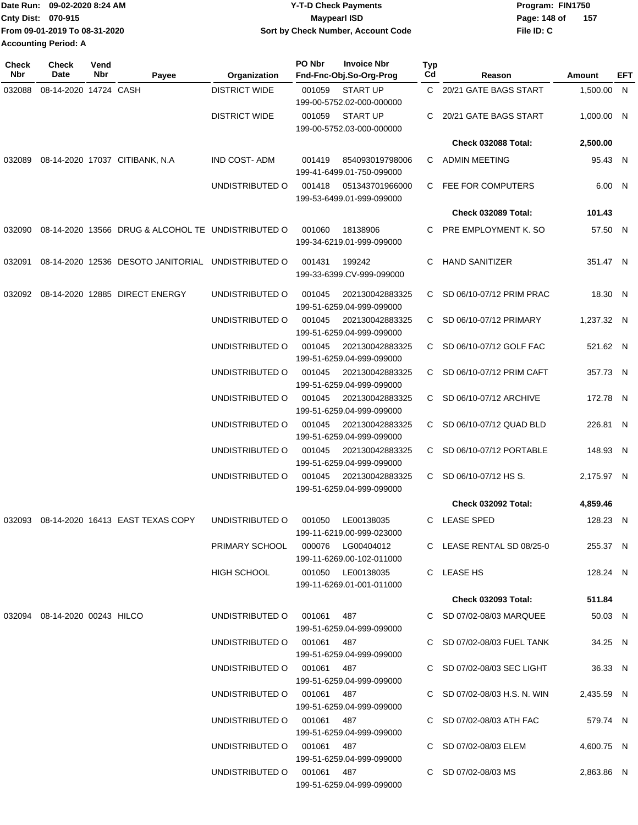|                               | Date Run: 09-02-2020 8:24 AM | <b>Y-T-D Check Payments</b>        | Program: FIN1750 |     |  |  |
|-------------------------------|------------------------------|------------------------------------|------------------|-----|--|--|
| Cnty Dist: 070-915            |                              | Maypearl ISD                       | Page: 148 of     | 157 |  |  |
| From 09-01-2019 To 08-31-2020 |                              | Sort by Check Number, Account Code | File ID: C       |     |  |  |
| <b>Accounting Period: A</b>   |                              |                                    |                  |     |  |  |

| <b>Check</b><br><b>Nbr</b> | Check<br>Date                 | Vend<br>Nbr     | Payee                                                     | Organization                                 | PO Nbr                                       | <b>Invoice Nbr</b><br>Fnd-Fnc-Obj.So-Org-Prog  | <b>Typ</b><br>Cd        | Reason                       | Amount     | <b>EFT</b> |
|----------------------------|-------------------------------|-----------------|-----------------------------------------------------------|----------------------------------------------|----------------------------------------------|------------------------------------------------|-------------------------|------------------------------|------------|------------|
| 032088                     | 08-14-2020 14724 CASH         |                 |                                                           | <b>DISTRICT WIDE</b>                         | 001059                                       | <b>START UP</b><br>199-00-5752.02-000-000000   |                         | C 20/21 GATE BAGS START      | 1,500.00 N |            |
|                            |                               |                 |                                                           | <b>DISTRICT WIDE</b>                         | 001059                                       | <b>START UP</b><br>199-00-5752.03-000-000000   | C                       | 20/21 GATE BAGS START        | 1,000.00 N |            |
|                            |                               |                 |                                                           |                                              |                                              |                                                |                         | <b>Check 032088 Total:</b>   | 2,500.00   |            |
| 032089                     |                               |                 | 08-14-2020 17037 CITIBANK, N.A                            | <b>IND COST-ADM</b>                          | 001419                                       | 854093019798006<br>199-41-6499.01-750-099000   |                         | C ADMIN MEETING              | 95.43 N    |            |
|                            |                               |                 |                                                           | UNDISTRIBUTED O                              | 001418                                       | 051343701966000<br>199-53-6499.01-999-099000   |                         | C FEE FOR COMPUTERS          | 6.00 N     |            |
|                            |                               |                 |                                                           |                                              |                                              |                                                |                         | Check 032089 Total:          | 101.43     |            |
|                            |                               |                 | 032090 08-14-2020 13566 DRUG & ALCOHOL TE UNDISTRIBUTED O |                                              | 001060                                       | 18138906<br>199-34-6219.01-999-099000          | C                       | PRE EMPLOYMENT K. SO         | 57.50 N    |            |
| 032091                     |                               |                 | 08-14-2020 12536 DESOTO JANITORIAL                        | UNDISTRIBUTED O                              | 001431                                       | 199242<br>199-33-6399.CV-999-099000            | C                       | <b>HAND SANITIZER</b>        | 351.47 N   |            |
|                            |                               |                 | 032092 08-14-2020 12885 DIRECT ENERGY                     | UNDISTRIBUTED O                              | 001045                                       | 202130042883325<br>199-51-6259.04-999-099000   |                         | C SD 06/10-07/12 PRIM PRAC   | 18.30 N    |            |
|                            |                               |                 |                                                           | UNDISTRIBUTED O                              | 001045                                       | 202130042883325<br>199-51-6259.04-999-099000   |                         | C SD 06/10-07/12 PRIMARY     | 1.237.32 N |            |
|                            |                               |                 |                                                           | UNDISTRIBUTED O                              | 001045                                       | 202130042883325<br>199-51-6259.04-999-099000   |                         | C SD 06/10-07/12 GOLF FAC    | 521.62 N   |            |
|                            |                               |                 |                                                           | UNDISTRIBUTED O                              | 001045                                       | 202130042883325<br>199-51-6259.04-999-099000   |                         | C SD 06/10-07/12 PRIM CAFT   | 357.73 N   |            |
|                            |                               |                 |                                                           | UNDISTRIBUTED O                              | 001045                                       | 202130042883325<br>199-51-6259.04-999-099000   |                         | C SD 06/10-07/12 ARCHIVE     | 172.78 N   |            |
|                            |                               |                 | UNDISTRIBUTED O                                           | 001045                                       | 202130042883325<br>199-51-6259.04-999-099000 | C.                                             | SD 06/10-07/12 QUAD BLD | 226.81 N                     |            |            |
|                            |                               | UNDISTRIBUTED O | 001045                                                    | 202130042883325<br>199-51-6259.04-999-099000 | C.                                           | SD 06/10-07/12 PORTABLE                        | 148.93 N                |                              |            |            |
|                            |                               |                 |                                                           | UNDISTRIBUTED O                              | 001045                                       | 202130042883325<br>199-51-6259.04-999-099000   |                         | C SD $06/10-07/12$ HS S.     | 2,175.97 N |            |
|                            |                               |                 |                                                           |                                              |                                              |                                                |                         | <b>Check 032092 Total:</b>   | 4,859.46   |            |
| 032093                     |                               |                 | 08-14-2020 16413 EAST TEXAS COPY                          | UNDISTRIBUTED O                              | 001050                                       | LE00138035<br>199-11-6219.00-999-023000        |                         | C LEASE SPED                 | 128.23 N   |            |
|                            |                               |                 |                                                           |                                              |                                              | 199-11-6269.00-102-011000                      |                         | C LEASE RENTAL SD 08/25-0    | 255.37 N   |            |
|                            |                               |                 |                                                           | HIGH SCHOOL                                  |                                              | 001050 LE00138035<br>199-11-6269.01-001-011000 |                         | C LEASE HS                   | 128.24 N   |            |
|                            |                               |                 |                                                           |                                              |                                              |                                                |                         | <b>Check 032093 Total:</b>   | 511.84     |            |
|                            | 032094 08-14-2020 00243 HILCO |                 |                                                           | UNDISTRIBUTED O 001061 487                   |                                              | 199-51-6259.04-999-099000                      |                         | C SD 07/02-08/03 MARQUEE     | 50.03 N    |            |
|                            |                               |                 |                                                           | UNDISTRIBUTED O 001061 487                   |                                              | 199-51-6259.04-999-099000                      |                         | C SD 07/02-08/03 FUEL TANK   | 34.25 N    |            |
|                            |                               |                 |                                                           | UNDISTRIBUTED O 001061 487                   |                                              | 199-51-6259.04-999-099000                      |                         | C SD 07/02-08/03 SEC LIGHT   | 36.33 N    |            |
|                            |                               |                 |                                                           | UNDISTRIBUTED O 001061 487                   |                                              | 199-51-6259.04-999-099000                      |                         | C SD 07/02-08/03 H.S. N. WIN | 2,435.59 N |            |
|                            |                               |                 |                                                           | UNDISTRIBUTED O 001061 487                   |                                              | 199-51-6259.04-999-099000                      |                         | C SD 07/02-08/03 ATH FAC     | 579.74 N   |            |
|                            |                               |                 |                                                           | UNDISTRIBUTED O 001061 487                   |                                              | 199-51-6259.04-999-099000                      |                         | C SD 07/02-08/03 ELEM        | 4,600.75 N |            |
|                            |                               |                 |                                                           | UNDISTRIBUTED O 001061 487                   |                                              | 199-51-6259.04-999-099000                      |                         | C SD 07/02-08/03 MS          | 2,863.86 N |            |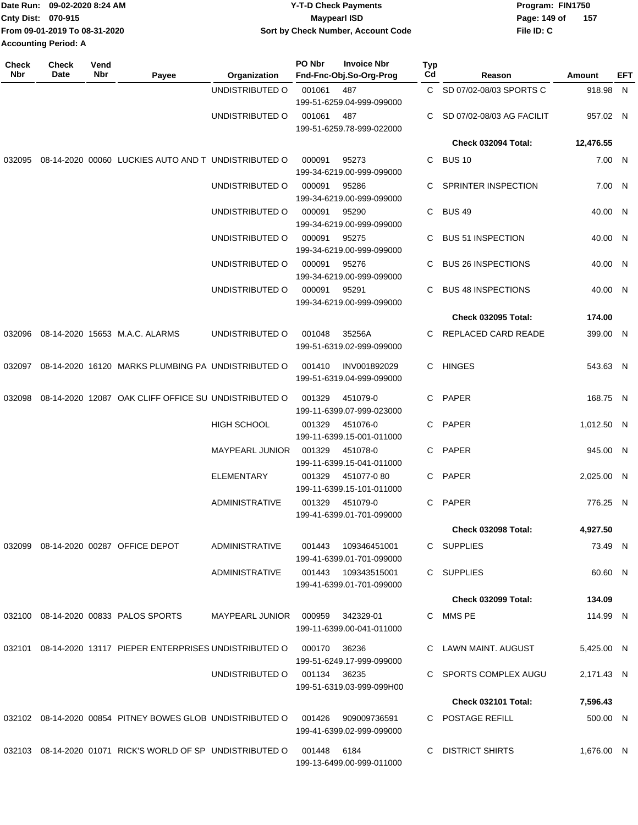| Date Run: 09-02-2020 8:24 AM  | <b>Y-T-D Check Payments</b>        | Program: FIN1750     |  |  |  |
|-------------------------------|------------------------------------|----------------------|--|--|--|
| <b>Cnty Dist: 070-915</b>     | <b>Mavpearl ISD</b>                | -157<br>Page: 149 of |  |  |  |
| From 09-01-2019 To 08-31-2020 | Sort by Check Number, Account Code | File ID: C           |  |  |  |
| <b>Accounting Period: A</b>   |                                    |                      |  |  |  |

| <b>Check</b><br><b>Nbr</b> | <b>Check</b><br>Date | Vend<br>Nbr                                          | Payee                                                      | Organization           | PO Nbr                                | <b>Invoice Nbr</b><br>Fnd-Fnc-Obj.So-Org-Prog | Typ<br>Cd | Reason                     | Amount     | EFT |
|----------------------------|----------------------|------------------------------------------------------|------------------------------------------------------------|------------------------|---------------------------------------|-----------------------------------------------|-----------|----------------------------|------------|-----|
|                            |                      |                                                      |                                                            | UNDISTRIBUTED O        | 001061                                | 487<br>199-51-6259.04-999-099000              |           | C SD 07/02-08/03 SPORTS C  | 918.98 N   |     |
|                            |                      |                                                      |                                                            | UNDISTRIBUTED O        | 001061                                | 487<br>199-51-6259.78-999-022000              | C         | SD 07/02-08/03 AG FACILIT  | 957.02 N   |     |
|                            |                      |                                                      |                                                            |                        |                                       |                                               |           | Check 032094 Total:        | 12,476.55  |     |
| 032095                     |                      |                                                      | 08-14-2020 00060 LUCKIES AUTO AND T UNDISTRIBUTED O        |                        | 000091                                | 95273<br>199-34-6219.00-999-099000            | С         | <b>BUS 10</b>              | 7.00 N     |     |
|                            |                      |                                                      |                                                            | UNDISTRIBUTED O        | 000091                                | 95286<br>199-34-6219.00-999-099000            | C         | SPRINTER INSPECTION        | 7.00 N     |     |
|                            |                      |                                                      |                                                            | UNDISTRIBUTED O        | 000091                                | 95290<br>199-34-6219.00-999-099000            | C         | <b>BUS 49</b>              | 40.00 N    |     |
|                            |                      |                                                      |                                                            | UNDISTRIBUTED O        | 000091                                | 95275<br>199-34-6219.00-999-099000            |           | <b>BUS 51 INSPECTION</b>   | 40.00 N    |     |
|                            |                      |                                                      |                                                            | UNDISTRIBUTED O        | 000091                                | 95276<br>199-34-6219.00-999-099000            | C         | <b>BUS 26 INSPECTIONS</b>  | 40.00 N    |     |
|                            |                      |                                                      |                                                            | UNDISTRIBUTED O        | 000091                                | 95291<br>199-34-6219.00-999-099000            | C         | <b>BUS 48 INSPECTIONS</b>  | 40.00 N    |     |
|                            |                      |                                                      |                                                            |                        |                                       |                                               |           | <b>Check 032095 Total:</b> | 174.00     |     |
| 032096                     |                      |                                                      | 08-14-2020 15653 M.A.C. ALARMS                             | UNDISTRIBUTED O        | 001048                                | 35256A<br>199-51-6319.02-999-099000           | C         | REPLACED CARD READE        | 399.00 N   |     |
|                            |                      |                                                      | 032097 08-14-2020 16120 MARKS PLUMBING PA UNDISTRIBUTED O  |                        | 001410                                | INV001892029<br>199-51-6319.04-999-099000     | C.        | HINGES                     | 543.63 N   |     |
| 032098                     |                      | 08-14-2020 12087 OAK CLIFF OFFICE SU UNDISTRIBUTED O |                                                            | 001329                 | 451079-0<br>199-11-6399.07-999-023000 | C                                             | PAPER     | 168.75 N                   |            |     |
|                            |                      |                                                      |                                                            | <b>HIGH SCHOOL</b>     | 001329                                | 451076-0<br>199-11-6399.15-001-011000         | C         | PAPER                      | 1,012.50 N |     |
|                            |                      |                                                      |                                                            | <b>MAYPEARL JUNIOR</b> | 001329                                | 451078-0<br>199-11-6399.15-041-011000         | C         | <b>PAPER</b>               | 945.00 N   |     |
|                            |                      |                                                      |                                                            | ELEMENTARY             | 001329                                | 451077-080<br>199-11-6399.15-101-011000       | C.        | PAPER                      | 2,025.00 N |     |
|                            |                      |                                                      |                                                            | ADMINISTRATIVE         | 001329                                | 451079-0<br>199-41-6399.01-701-099000         | C         | PAPER                      | 776.25 N   |     |
|                            |                      |                                                      |                                                            |                        |                                       |                                               |           | Check 032098 Total:        | 4,927.50   |     |
|                            |                      |                                                      | 032099  08-14-2020  00287  OFFICE DEPOT                    | ADMINISTRATIVE         | 001443                                | 109346451001<br>199-41-6399.01-701-099000     |           | C SUPPLIES                 | 73.49 N    |     |
|                            |                      |                                                      |                                                            | <b>ADMINISTRATIVE</b>  | 001443                                | 109343515001<br>199-41-6399.01-701-099000     |           | C SUPPLIES                 | 60.60 N    |     |
|                            |                      |                                                      |                                                            |                        |                                       |                                               |           | <b>Check 032099 Total:</b> | 134.09     |     |
|                            |                      |                                                      | 032100 08-14-2020 00833 PALOS SPORTS                       | <b>MAYPEARL JUNIOR</b> | 000959                                | 342329-01<br>199-11-6399.00-041-011000        | C.        | MMS PE                     | 114.99 N   |     |
|                            |                      |                                                      | 032101 08-14-2020 13117 PIEPER ENTERPRISES UNDISTRIBUTED O |                        | 000170                                | 36236<br>199-51-6249.17-999-099000            |           | LAWN MAINT. AUGUST         | 5,425.00 N |     |
|                            |                      |                                                      |                                                            | UNDISTRIBUTED O        | 001134 36235                          | 199-51-6319.03-999-099H00                     |           | C SPORTS COMPLEX AUGU      | 2,171.43 N |     |
|                            |                      |                                                      |                                                            |                        |                                       |                                               |           | Check 032101 Total:        | 7,596.43   |     |
|                            |                      |                                                      | 032102 08-14-2020 00854 PITNEY BOWES GLOB UNDISTRIBUTED O  |                        | 001426                                | 909009736591<br>199-41-6399.02-999-099000     |           | C POSTAGE REFILL           | 500.00 N   |     |
|                            |                      |                                                      | 032103 08-14-2020 01071 RICK'S WORLD OF SP UNDISTRIBUTED O |                        | 001448                                | 6184<br>199-13-6499.00-999-011000             |           | <b>DISTRICT SHIRTS</b>     | 1,676.00 N |     |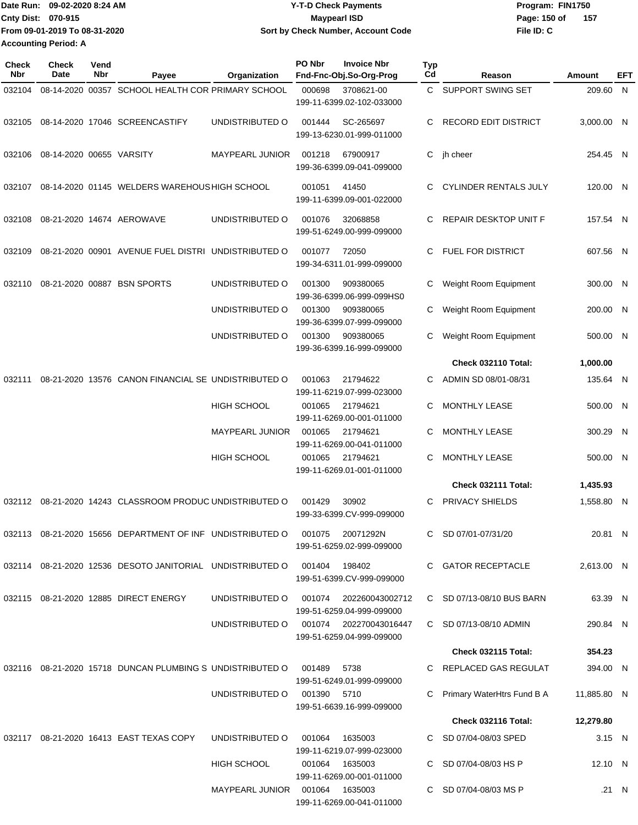| Date Run: 09-02-2020 8:24 AM |                               | Y-T-D Check Payments               | Program: FIN1750    |  |  |  |
|------------------------------|-------------------------------|------------------------------------|---------------------|--|--|--|
| Cnty Dist: 070-915           |                               | Mavpearl ISD                       | 157<br>Page: 150 of |  |  |  |
|                              | From 09-01-2019 To 08-31-2020 | Sort by Check Number, Account Code | File ID: C          |  |  |  |
| <b>Accounting Period: A</b>  |                               |                                    |                     |  |  |  |

| <b>Check</b><br>Nbr | <b>Check</b><br>Date     | Vend<br>Nbr | Payee                                                                 | Organization           | PO Nbr        | <b>Invoice Nbr</b><br>Fnd-Fnc-Obj.So-Org-Prog       | <b>Typ</b><br>Cd | Reason                       | Amount      | EFT   |
|---------------------|--------------------------|-------------|-----------------------------------------------------------------------|------------------------|---------------|-----------------------------------------------------|------------------|------------------------------|-------------|-------|
| 032104              |                          |             | 08-14-2020 00357 SCHOOL HEALTH COR PRIMARY SCHOOL                     |                        | 000698        | 3708621-00<br>199-11-6399.02-102-033000             | C.               | SUPPORT SWING SET            | 209.60 N    |       |
| 032105              |                          |             | 08-14-2020 17046 SCREENCASTIFY                                        | UNDISTRIBUTED O        | 001444        | SC-265697<br>199-13-6230.01-999-011000              | C.               | <b>RECORD EDIT DISTRICT</b>  | 3.000.00 N  |       |
| 032106              | 08-14-2020 00655 VARSITY |             |                                                                       | <b>MAYPEARL JUNIOR</b> | 001218        | 67900917<br>199-36-6399.09-041-099000               |                  | C jh cheer                   | 254.45 N    |       |
| 032107              |                          |             | 08-14-2020 01145 WELDERS WAREHOUS HIGH SCHOOL                         |                        | 001051        | 41450<br>199-11-6399.09-001-022000                  | C.               | <b>CYLINDER RENTALS JULY</b> | 120.00 N    |       |
| 032108              |                          |             | 08-21-2020 14674 AEROWAVE                                             | UNDISTRIBUTED O        | 001076        | 32068858<br>199-51-6249.00-999-099000               | C                | REPAIR DESKTOP UNIT F        | 157.54 N    |       |
| 032109              |                          |             | 08-21-2020 00901 AVENUE FUEL DISTRI UNDISTRIBUTED O                   |                        | 001077        | 72050<br>199-34-6311.01-999-099000                  | C.               | FUEL FOR DISTRICT            | 607.56 N    |       |
| 032110              |                          |             | 08-21-2020 00887 BSN SPORTS                                           | UNDISTRIBUTED O        | 001300        | 909380065<br>199-36-6399.06-999-099HS0              | С                | Weight Room Equipment        | 300.00 N    |       |
|                     |                          |             |                                                                       | UNDISTRIBUTED O        | 001300        | 909380065<br>199-36-6399.07-999-099000              | С                | Weight Room Equipment        | 200.00 N    |       |
|                     |                          |             |                                                                       | UNDISTRIBUTED O        | 001300        | 909380065<br>199-36-6399.16-999-099000              | С                | Weight Room Equipment        | 500.00 N    |       |
|                     |                          |             |                                                                       |                        |               |                                                     |                  | Check 032110 Total:          | 1,000.00    |       |
| 032111              |                          |             | 08-21-2020 13576 CANON FINANCIAL SE UNDISTRIBUTED O                   |                        | 001063        | 21794622<br>199-11-6219.07-999-023000               | C                | ADMIN SD 08/01-08/31         | 135.64 N    |       |
|                     |                          |             |                                                                       | <b>HIGH SCHOOL</b>     | 001065        | 21794621<br>199-11-6269.00-001-011000               | C                | <b>MONTHLY LEASE</b>         | 500.00 N    |       |
|                     |                          |             |                                                                       | <b>MAYPEARL JUNIOR</b> | 001065        | 21794621<br>199-11-6269.00-041-011000               | C                | <b>MONTHLY LEASE</b>         | 300.29 N    |       |
|                     |                          |             |                                                                       | <b>HIGH SCHOOL</b>     | 001065        | 21794621<br>199-11-6269.01-001-011000               | С                | <b>MONTHLY LEASE</b>         | 500.00 N    |       |
|                     |                          |             |                                                                       |                        |               |                                                     |                  | Check 032111 Total:          | 1,435.93    |       |
| 032112              |                          |             | 08-21-2020 14243 CLASSROOM PRODUC UNDISTRIBUTED O                     |                        | 001429        | 30902<br>199-33-6399.CV-999-099000                  | С                | PRIVACY SHIELDS              | 1,558.80 N  |       |
|                     |                          |             | 032113 08-21-2020 15656 DEPARTMENT OF INF UNDISTRIBUTED O             |                        | 001075        | 20071292N<br>199-51-6259.02-999-099000              |                  | C SD 07/01-07/31/20          | 20.81 N     |       |
|                     |                          |             | 032114 08-21-2020 12536 DESOTO JANITORIAL UNDISTRIBUTED O             |                        | 001404 198402 | 199-51-6399.CV-999-099000                           |                  | C GATOR RECEPTACLE           | 2,613.00 N  |       |
|                     |                          |             | 032115 08-21-2020 12885 DIRECT ENERGY                                 | UNDISTRIBUTED O        |               | 199-51-6259.04-999-099000                           |                  | C SD 07/13-08/10 BUS BARN    | 63.39 N     |       |
|                     |                          |             |                                                                       | UNDISTRIBUTED O        |               | 001074 202270043016447<br>199-51-6259.04-999-099000 |                  | C SD 07/13-08/10 ADMIN       | 290.84 N    |       |
|                     |                          |             |                                                                       |                        |               |                                                     |                  | Check 032115 Total:          | 354.23      |       |
|                     |                          |             | 032116  08-21-2020  15718  DUNCAN PLUMBING S  UNDISTRIBUTED O  001489 |                        |               | 5738<br>199-51-6249.01-999-099000                   |                  | C REPLACED GAS REGULAT       | 394.00 N    |       |
|                     |                          |             |                                                                       | UNDISTRIBUTED O        | 001390 5710   | 199-51-6639.16-999-099000                           |                  | Primary WaterHtrs Fund B A   | 11,885.80 N |       |
|                     |                          |             |                                                                       |                        |               |                                                     |                  | Check 032116 Total:          | 12,279.80   |       |
|                     |                          |             | 032117 08-21-2020 16413 EAST TEXAS COPY                               | UNDISTRIBUTED O        | 001064        | 1635003<br>199-11-6219.07-999-023000                |                  | C SD 07/04-08/03 SPED        | 3.15 N      |       |
|                     |                          |             |                                                                       | HIGH SCHOOL            |               | 001064 1635003<br>199-11-6269.00-001-011000         |                  | C SD 07/04-08/03 HS P        | 12.10 N     |       |
|                     |                          |             |                                                                       |                        |               | 199-11-6269.00-041-011000                           |                  | C SD 07/04-08/03 MS P        |             | .21 N |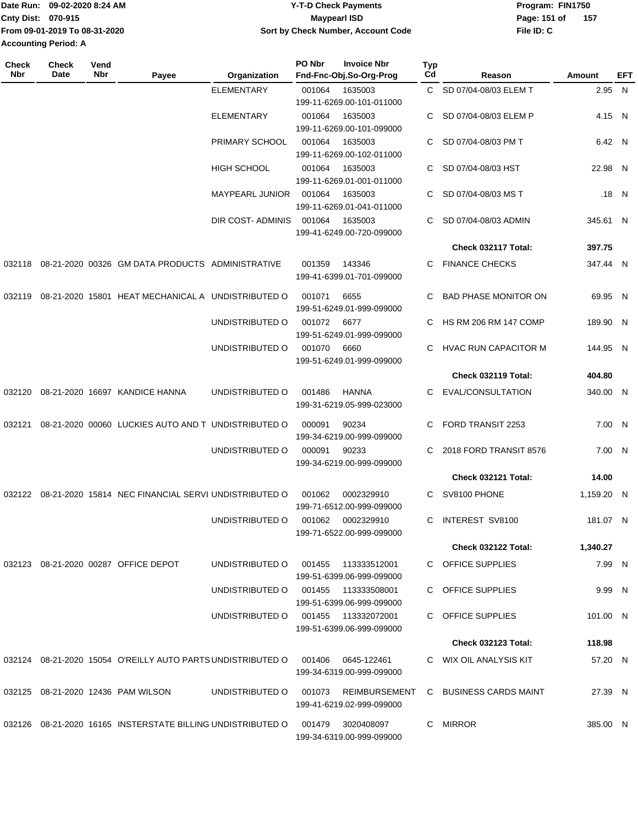| lDate Run:                    | 09-02-2020 8:24 AM | Y-T-D Check Payments               | Program: FIN1750    |  |  |
|-------------------------------|--------------------|------------------------------------|---------------------|--|--|
| <b>Cnty Dist: 070-915</b>     |                    | Maypearl ISD                       | 157<br>Page: 151 of |  |  |
| From 09-01-2019 To 08-31-2020 |                    | Sort by Check Number, Account Code | File ID: C          |  |  |
| <b>Accounting Period: A</b>   |                    |                                    |                     |  |  |
|                               |                    |                                    |                     |  |  |

**PO Nbr Invoice Nbr**

| <b>Check</b><br>Nbr | Check<br>Date | Vend<br><b>Nbr</b> | Payee                                                       | Organization       | PO Nbr | <b>Invoice Nbr</b><br>Fnd-Fnc-Obj.So-Org-Prog    | <b>Typ</b><br>Cd | Reason                       | <b>Amount</b> | EFT |
|---------------------|---------------|--------------------|-------------------------------------------------------------|--------------------|--------|--------------------------------------------------|------------------|------------------------------|---------------|-----|
|                     |               |                    |                                                             | <b>ELEMENTARY</b>  | 001064 | 1635003<br>199-11-6269.00-101-011000             |                  | C SD 07/04-08/03 ELEM T      | 2.95 N        |     |
|                     |               |                    |                                                             | <b>ELEMENTARY</b>  | 001064 | 1635003<br>199-11-6269.00-101-099000             | С                | SD 07/04-08/03 ELEM P        | 4.15 N        |     |
|                     |               |                    |                                                             | PRIMARY SCHOOL     | 001064 | 1635003<br>199-11-6269.00-102-011000             |                  | SD 07/04-08/03 PM T          | 6.42 N        |     |
|                     |               |                    |                                                             | <b>HIGH SCHOOL</b> | 001064 | 1635003<br>199-11-6269.01-001-011000             | C                | SD 07/04-08/03 HST           | 22.98 N       |     |
|                     |               |                    |                                                             | MAYPEARL JUNIOR    | 001064 | 1635003<br>199-11-6269.01-041-011000             | С                | SD 07/04-08/03 MS T          | .18 N         |     |
|                     |               |                    |                                                             | DIR COST-ADMINIS   | 001064 | 1635003<br>199-41-6249.00-720-099000             | С                | SD 07/04-08/03 ADMIN         | 345.61 N      |     |
|                     |               |                    |                                                             |                    |        |                                                  |                  | Check 032117 Total:          | 397.75        |     |
|                     |               |                    | 032118 08-21-2020 00326 GM DATA PRODUCTS ADMINISTRATIVE     |                    | 001359 | 143346<br>199-41-6399.01-701-099000              | С                | <b>FINANCE CHECKS</b>        | 347.44 N      |     |
|                     |               |                    | 032119 08-21-2020 15801 HEAT MECHANICAL A UNDISTRIBUTED O   |                    | 001071 | 6655<br>199-51-6249.01-999-099000                | C                | <b>BAD PHASE MONITOR ON</b>  | 69.95 N       |     |
|                     |               |                    |                                                             | UNDISTRIBUTED O    | 001072 | 6677<br>199-51-6249.01-999-099000                | C                | <b>HS RM 206 RM 147 COMP</b> | 189.90 N      |     |
|                     |               |                    |                                                             | UNDISTRIBUTED O    | 001070 | 6660<br>199-51-6249.01-999-099000                |                  | <b>HVAC RUN CAPACITOR M</b>  | 144.95 N      |     |
|                     |               |                    |                                                             |                    |        |                                                  |                  | Check 032119 Total:          | 404.80        |     |
|                     |               |                    | 032120 08-21-2020 16697 KANDICE HANNA                       | UNDISTRIBUTED O    | 001486 | <b>HANNA</b><br>199-31-6219.05-999-023000        | C                | EVAL/CONSULTATION            | 340.00 N      |     |
| 032121              |               |                    | 08-21-2020 00060 LUCKIES AUTO AND T UNDISTRIBUTED O         |                    | 000091 | 90234<br>199-34-6219.00-999-099000               | C                | FORD TRANSIT 2253            | 7.00 N        |     |
|                     |               |                    |                                                             | UNDISTRIBUTED O    | 000091 | 90233<br>199-34-6219.00-999-099000               | C                | 2018 FORD TRANSIT 8576       | 7.00 N        |     |
|                     |               |                    |                                                             |                    |        |                                                  |                  | Check 032121 Total:          | 14.00         |     |
|                     |               |                    | 032122 08-21-2020 15814 NEC FINANCIAL SERVI UNDISTRIBUTED O |                    | 001062 | 0002329910<br>199-71-6512.00-999-099000          | C.               | SV8100 PHONE                 | 1,159.20 N    |     |
|                     |               |                    |                                                             | UNDISTRIBUTED O    | 001062 | 0002329910<br>199-71-6522.00-999-099000          | C.               | INTEREST SV8100              | 181.07 N      |     |
|                     |               |                    |                                                             |                    |        |                                                  |                  | <b>Check 032122 Total:</b>   | 1,340.27      |     |
|                     |               |                    | 032123 08-21-2020 00287 OFFICE DEPOT                        | UNDISTRIBUTED O    |        | 199-51-6399.06-999-099000                        |                  | C OFFICE SUPPLIES            | 7.99 N        |     |
|                     |               |                    |                                                             | UNDISTRIBUTED O    |        | 199-51-6399.06-999-099000                        |                  | C OFFICE SUPPLIES            | 9.99 N        |     |
|                     |               |                    |                                                             | UNDISTRIBUTED O    |        | 001455 113332072001<br>199-51-6399.06-999-099000 |                  | C OFFICE SUPPLIES            | 101.00 N      |     |
|                     |               |                    |                                                             |                    |        |                                                  |                  | <b>Check 032123 Total:</b>   | 118.98        |     |
|                     |               |                    | 032124 08-21-2020 15054 O'REILLY AUTO PARTS UNDISTRIBUTED O |                    | 001406 | 0645-122461<br>199-34-6319.00-999-099000         |                  | C WIX OIL ANALYSIS KIT       | 57.20 N       |     |
|                     |               |                    | 032125 08-21-2020 12436 PAM WILSON                          | UNDISTRIBUTED O    | 001073 | REIMBURSEMENT<br>199-41-6219.02-999-099000       |                  | C BUSINESS CARDS MAINT       | 27.39 N       |     |
|                     |               |                    | 032126 08-21-2020 16165 INSTERSTATE BILLING UNDISTRIBUTED O |                    | 001479 | 3020408097<br>199-34-6319.00-999-099000          |                  | C MIRROR                     | 385.00 N      |     |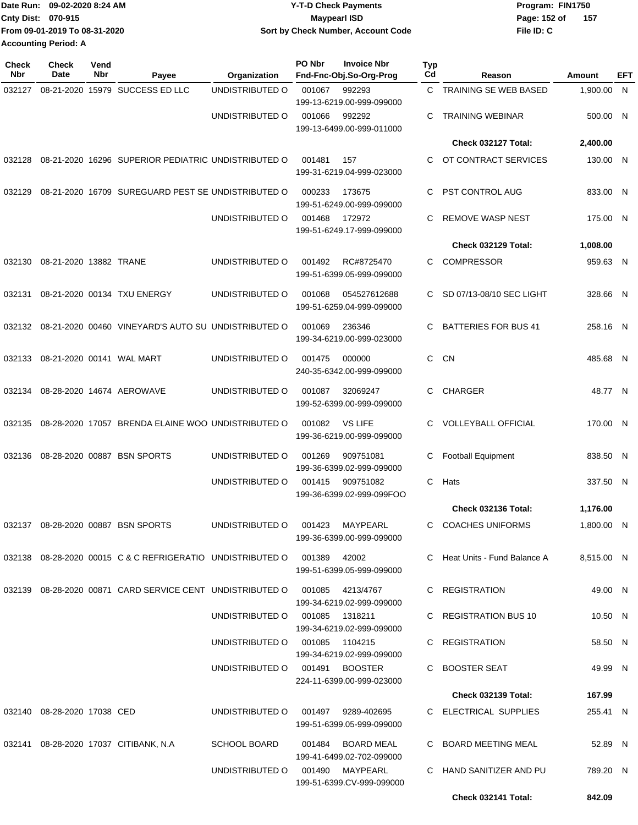| Date Run:                   | 09-02-2020 8:24 AM            | <b>Y-T-D Check Payments</b>        | Program: FIN1750      |  |  |  |  |
|-----------------------------|-------------------------------|------------------------------------|-----------------------|--|--|--|--|
| <b>Cnty Dist: 070-915</b>   |                               | Maypearl ISD                       | Page: 152 of<br>- 157 |  |  |  |  |
|                             | From 09-01-2019 To 08-31-2020 | Sort by Check Number, Account Code | File ID: C            |  |  |  |  |
| <b>Accounting Period: A</b> |                               |                                    |                       |  |  |  |  |

| <b>Check</b><br>Nbr | <b>Check</b><br>Date        | Vend<br>Nbr | Payee                                                                      | Organization                       | PO Nbr | <b>Invoice Nbr</b><br>Fnd-Fnc-Obj.So-Org-Prog | <b>Typ</b><br>Cd | Reason                        | Amount     | EFT |
|---------------------|-----------------------------|-------------|----------------------------------------------------------------------------|------------------------------------|--------|-----------------------------------------------|------------------|-------------------------------|------------|-----|
| 032127              |                             |             | 08-21-2020 15979 SUCCESS ED LLC                                            | UNDISTRIBUTED O                    | 001067 | 992293                                        | C.               | TRAINING SE WEB BASED         | 1,900.00   | N   |
|                     |                             |             |                                                                            |                                    |        | 199-13-6219.00-999-099000                     |                  |                               |            |     |
|                     |                             |             |                                                                            | UNDISTRIBUTED O                    | 001066 | 992292                                        | C                | <b>TRAINING WEBINAR</b>       | 500.00 N   |     |
|                     |                             |             |                                                                            |                                    |        | 199-13-6499.00-999-011000                     |                  | Check 032127 Total:           | 2,400.00   |     |
| 032128              |                             |             | 08-21-2020 16296 SUPERIOR PEDIATRIC UNDISTRIBUTED O                        |                                    | 001481 | 157                                           | C                | OT CONTRACT SERVICES          | 130.00 N   |     |
|                     |                             |             |                                                                            |                                    |        | 199-31-6219.04-999-023000                     |                  |                               |            |     |
| 032129              |                             |             | 08-21-2020 16709 SUREGUARD PEST SE UNDISTRIBUTED O                         |                                    | 000233 | 173675                                        | C                | PST CONTROL AUG               | 833.00 N   |     |
|                     |                             |             |                                                                            |                                    |        | 199-51-6249.00-999-099000                     |                  |                               |            |     |
|                     |                             |             |                                                                            | UNDISTRIBUTED O                    | 001468 | 172972<br>199-51-6249.17-999-099000           | С                | <b>REMOVE WASP NEST</b>       | 175.00 N   |     |
|                     |                             |             |                                                                            |                                    |        |                                               |                  | Check 032129 Total:           | 1,008.00   |     |
| 032130              | 08-21-2020 13882 TRANE      |             |                                                                            | UNDISTRIBUTED O                    | 001492 | RC#8725470                                    | C                | <b>COMPRESSOR</b>             | 959.63 N   |     |
|                     |                             |             |                                                                            |                                    |        | 199-51-6399.05-999-099000                     |                  |                               |            |     |
| 032131              |                             |             | 08-21-2020 00134 TXU ENERGY                                                | UNDISTRIBUTED O                    | 001068 | 054527612688                                  | C.               | SD 07/13-08/10 SEC LIGHT      | 328.66 N   |     |
|                     |                             |             |                                                                            |                                    |        | 199-51-6259.04-999-099000                     |                  |                               |            |     |
|                     |                             |             | 032132 08-21-2020 00460 VINEYARD'S AUTO SU UNDISTRIBUTED O                 |                                    | 001069 | 236346                                        | C                | <b>BATTERIES FOR BUS 41</b>   | 258.16 N   |     |
|                     |                             |             |                                                                            |                                    |        | 199-34-6219.00-999-023000                     |                  |                               |            |     |
| 032133              |                             |             | 08-21-2020 00141 WAL MART                                                  | UNDISTRIBUTED O                    | 001475 | 000000                                        | C                | <b>CN</b>                     | 485.68 N   |     |
|                     |                             |             |                                                                            |                                    |        | 240-35-6342.00-999-099000                     |                  |                               |            |     |
| 032134              |                             |             | 08-28-2020 14674 AEROWAVE                                                  | UNDISTRIBUTED O                    | 001087 | 32069247                                      | C                | <b>CHARGER</b>                | 48.77 N    |     |
|                     |                             |             |                                                                            |                                    |        | 199-52-6399.00-999-099000                     |                  |                               |            |     |
| 032135              |                             |             | 08-28-2020 17057 BRENDA ELAINE WOO UNDISTRIBUTED O                         |                                    | 001082 | <b>VS LIFE</b>                                | C                | <b>VOLLEYBALL OFFICIAL</b>    | 170.00 N   |     |
|                     |                             |             |                                                                            |                                    |        | 199-36-6219.00-999-099000                     |                  |                               |            |     |
| 032136              |                             |             | 08-28-2020 00887 BSN SPORTS                                                | UNDISTRIBUTED O                    | 001269 | 909751081                                     | С                | <b>Football Equipment</b>     | 838.50 N   |     |
|                     |                             |             |                                                                            | UNDISTRIBUTED O                    | 001415 | 199-36-6399.02-999-099000<br>909751082        | C                | Hats                          | 337.50 N   |     |
|                     |                             |             |                                                                            |                                    |        | 199-36-6399.02-999-099FOO                     |                  |                               |            |     |
|                     |                             |             |                                                                            |                                    |        |                                               |                  | Check 032136 Total:           | 1,176.00   |     |
|                     |                             |             | 032137 08-28-2020 00887 BSN SPORTS                                         | UNDISTRIBUTED O 001423 MAYPEARL    |        |                                               |                  | C COACHES UNIFORMS            | 1,800.00 N |     |
|                     |                             |             |                                                                            |                                    |        | 199-36-6399.00-999-099000                     |                  |                               |            |     |
|                     |                             |             | 032138  08-28-2020  00015  C & C REFRIGERATIO  UNDISTRIBUTED   001389      |                                    |        | 42002                                         |                  | C Heat Units - Fund Balance A | 8,515.00 N |     |
|                     |                             |             |                                                                            |                                    |        | 199-51-6399.05-999-099000                     |                  |                               |            |     |
|                     |                             |             | 032139 08-28-2020 00871 CARD SERVICE CENT UNDISTRIBUTED O 001085 4213/4767 |                                    |        |                                               |                  | C REGISTRATION                | 49.00 N    |     |
|                     |                             |             |                                                                            | UNDISTRIBUTED O 001085 1318211     |        | 199-34-6219.02-999-099000                     |                  | C REGISTRATION BUS 10         | 10.50 N    |     |
|                     |                             |             |                                                                            |                                    |        | 199-34-6219.02-999-099000                     |                  |                               |            |     |
|                     |                             |             |                                                                            | UNDISTRIBUTED O 001085 1104215     |        |                                               |                  | C REGISTRATION                | 58.50 N    |     |
|                     |                             |             |                                                                            |                                    |        | 199-34-6219.02-999-099000                     |                  |                               |            |     |
|                     |                             |             |                                                                            | UNDISTRIBUTED O 001491 BOOSTER     |        | 224-11-6399.00-999-023000                     |                  | C BOOSTER SEAT                | 49.99 N    |     |
|                     |                             |             |                                                                            |                                    |        |                                               |                  | Check 032139 Total:           | 167.99     |     |
|                     | 032140 08-28-2020 17038 CED |             |                                                                            | UNDISTRIBUTED O 001497 9289-402695 |        |                                               |                  | C ELECTRICAL SUPPLIES         | 255.41 N   |     |
|                     |                             |             |                                                                            |                                    |        | 199-51-6399.05-999-099000                     |                  |                               |            |     |
|                     |                             |             | 032141 08-28-2020 17037 CITIBANK, N.A                                      | <b>SCHOOL BOARD</b>                |        | 001484 BOARD MEAL                             |                  | C BOARD MEETING MEAL          | 52.89 N    |     |
|                     |                             |             |                                                                            |                                    |        | 199-41-6499.02-702-099000                     |                  |                               |            |     |
|                     |                             |             |                                                                            | UNDISTRIBUTED O 001490 MAYPEARL    |        | 199-51-6399.CV-999-099000                     |                  | C HAND SANITIZER AND PU       | 789.20 N   |     |
|                     |                             |             |                                                                            |                                    |        |                                               |                  | Check 032141 Total:           | 842.09     |     |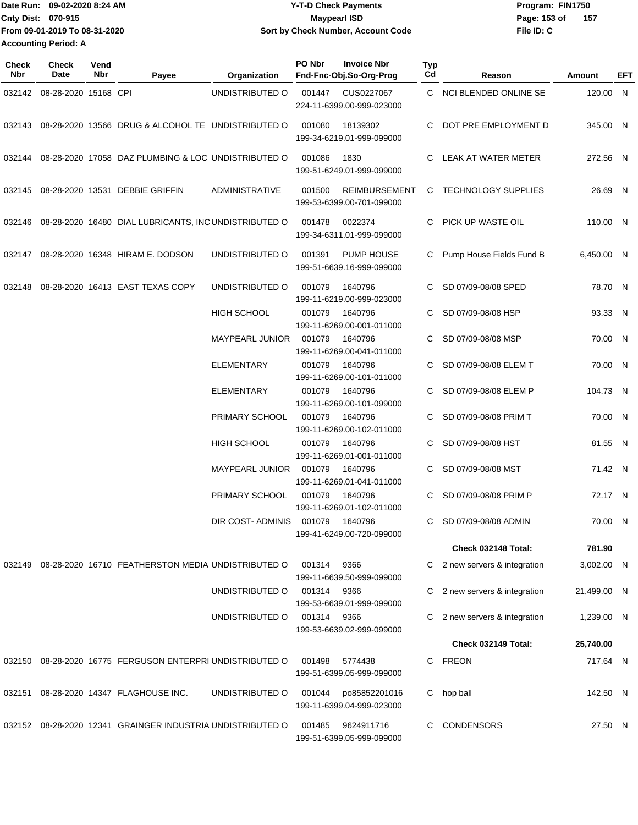Date Run: 09-02-2020 8:24 AM **Date Runity Controller State Payments** Program: FIN1750 **Cnty Dist:** 070-915 **Page: 153 of MaypearI ISD Page: 153 of File ID: C From 09-01-2019 To 08-31-2020 09-02-2020 8:24 AM Y-T-D Check Payments 070-915 Maypearl ISD Sort by Check Number, Account Code 157 Accounting Period: A**

| Check<br>Nbr | Check<br><b>Date</b>        | Vend<br>Nbr | Payee                                                      | Organization           | PO Nbr | <b>Invoice Nbr</b><br>Fnd-Fnc-Obj.So-Org-Prog | Typ<br>Cd | Reason                      | <b>Amount</b> | EFT |
|--------------|-----------------------------|-------------|------------------------------------------------------------|------------------------|--------|-----------------------------------------------|-----------|-----------------------------|---------------|-----|
|              | 032142 08-28-2020 15168 CPI |             |                                                            | UNDISTRIBUTED O        | 001447 | CUS0227067<br>224-11-6399.00-999-023000       |           | C NCI BLENDED ONLINE SE     | 120.00 N      |     |
| 032143       |                             |             | 08-28-2020 13566 DRUG & ALCOHOL TE UNDISTRIBUTED O         |                        | 001080 | 18139302<br>199-34-6219.01-999-099000         | C.        | DOT PRE EMPLOYMENT D        | 345.00 N      |     |
| 032144       |                             |             | 08-28-2020 17058 DAZ PLUMBING & LOC UNDISTRIBUTED O        |                        | 001086 | 1830<br>199-51-6249.01-999-099000             | C.        | LEAK AT WATER METER         | 272.56 N      |     |
| 032145       |                             |             | 08-28-2020 13531 DEBBIE GRIFFIN                            | <b>ADMINISTRATIVE</b>  | 001500 | REIMBURSEMENT<br>199-53-6399.00-701-099000    |           | C TECHNOLOGY SUPPLIES       | 26.69 N       |     |
| 032146       |                             |             | 08-28-2020 16480 DIAL LUBRICANTS, INCUNDISTRIBUTED O       |                        | 001478 | 0022374<br>199-34-6311.01-999-099000          |           | C PICK UP WASTE OIL         | 110.00 N      |     |
| 032147       |                             |             | 08-28-2020 16348 HIRAM E. DODSON                           | UNDISTRIBUTED O        | 001391 | PUMP HOUSE<br>199-51-6639.16-999-099000       |           | Pump House Fields Fund B    | 6,450.00 N    |     |
| 032148       |                             |             | 08-28-2020 16413 EAST TEXAS COPY                           | UNDISTRIBUTED O        | 001079 | 1640796<br>199-11-6219.00-999-023000          |           | C SD 07/09-08/08 SPED       | 78.70 N       |     |
|              |                             |             |                                                            | HIGH SCHOOL            | 001079 | 1640796<br>199-11-6269.00-001-011000          | C         | SD 07/09-08/08 HSP          | 93.33 N       |     |
|              |                             |             |                                                            | <b>MAYPEARL JUNIOR</b> | 001079 | 1640796<br>199-11-6269.00-041-011000          |           | SD 07/09-08/08 MSP          | 70.00 N       |     |
|              |                             |             |                                                            | ELEMENTARY             | 001079 | 1640796<br>199-11-6269.00-101-011000          | C         | SD 07/09-08/08 ELEM T       | 70.00 N       |     |
|              |                             |             |                                                            | ELEMENTARY             | 001079 | 1640796<br>199-11-6269.00-101-099000          |           | SD 07/09-08/08 ELEM P       | 104.73 N      |     |
|              |                             |             |                                                            | PRIMARY SCHOOL         | 001079 | 1640796<br>199-11-6269.00-102-011000          |           | SD 07/09-08/08 PRIM T       | 70.00 N       |     |
|              |                             |             |                                                            | <b>HIGH SCHOOL</b>     | 001079 | 1640796<br>199-11-6269.01-001-011000          | C         | SD 07/09-08/08 HST          | 81.55 N       |     |
|              |                             |             |                                                            | <b>MAYPEARL JUNIOR</b> | 001079 | 1640796<br>199-11-6269.01-041-011000          | C         | SD 07/09-08/08 MST          | 71.42 N       |     |
|              |                             |             |                                                            | PRIMARY SCHOOL         | 001079 | 1640796<br>199-11-6269.01-102-011000          |           | SD 07/09-08/08 PRIM P       | 72.17 N       |     |
|              |                             |             |                                                            | DIR COST- ADMINIS      | 001079 | 1640796<br>199-41-6249.00-720-099000          |           | C SD 07/09-08/08 ADMIN      | 70.00 N       |     |
|              |                             |             |                                                            |                        |        |                                               |           | <b>Check 032148 Total:</b>  | 781.90        |     |
| 032149       |                             |             | 08-28-2020 16710 FEATHERSTON MEDIA UNDISTRIBUTED O         |                        | 001314 | 9366<br>199-11-6639.50-999-099000             | C         | 2 new servers & integration | 3,002.00 N    |     |
|              |                             |             |                                                            | UNDISTRIBUTED O        | 001314 | 9366<br>199-53-6639.01-999-099000             | C         | 2 new servers & integration | 21,499.00 N   |     |
|              |                             |             |                                                            | UNDISTRIBUTED O        | 001314 | 9366<br>199-53-6639.02-999-099000             | C         | 2 new servers & integration | 1,239.00 N    |     |
|              |                             |             |                                                            |                        |        |                                               |           | Check 032149 Total:         | 25,740.00     |     |
| 032150       |                             |             | 08-28-2020 16775 FERGUSON ENTERPRI UNDISTRIBUTED O         |                        | 001498 | 5774438<br>199-51-6399.05-999-099000          |           | C FREON                     | 717.64 N      |     |
| 032151       |                             |             | 08-28-2020 14347 FLAGHOUSE INC.                            | UNDISTRIBUTED O        | 001044 | po85852201016<br>199-11-6399.04-999-023000    | C.        | hop ball                    | 142.50 N      |     |
|              |                             |             | 032152 08-28-2020 12341 GRAINGER INDUSTRIA UNDISTRIBUTED O |                        | 001485 | 9624911716<br>199-51-6399.05-999-099000       | C         | <b>CONDENSORS</b>           | 27.50 N       |     |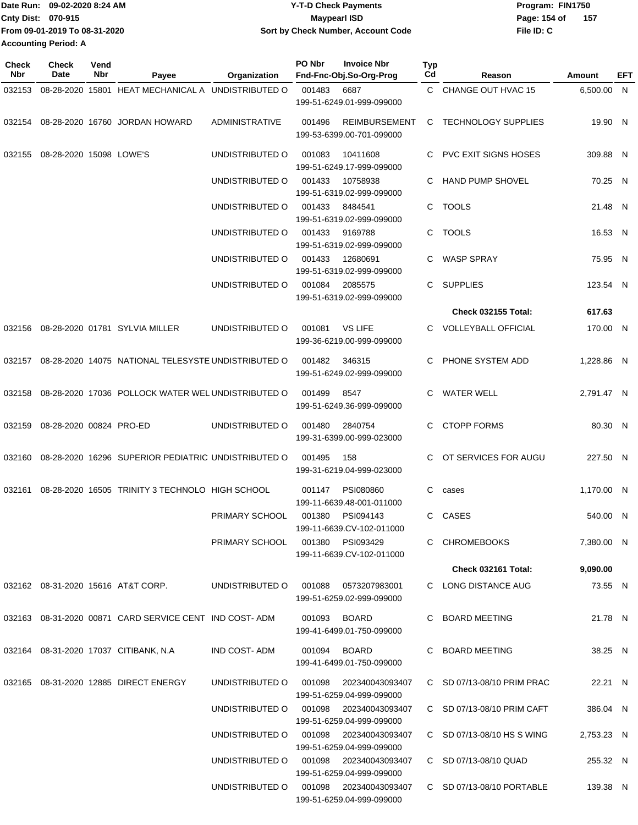| Date Run: 09-02-2020 8:24 AM  | <b>Y-T-D Check Payments</b>        | Program: FIN1750      |  |  |  |  |
|-------------------------------|------------------------------------|-----------------------|--|--|--|--|
| Cnty Dist: 070-915            | Maypearl ISD                       | Page: 154 of<br>- 157 |  |  |  |  |
| From 09-01-2019 To 08-31-2020 | Sort by Check Number, Account Code | File ID: C            |  |  |  |  |
| <b>Accounting Period: A</b>   |                                    |                       |  |  |  |  |

| <b>Check</b><br>Nbr | Check<br>Date           | Vend<br>Nbr | Payee                                               | Organization                           | PO Nbr | <b>Invoice Nbr</b><br>Fnd-Fnc-Obj.So-Org-Prog     | Typ<br>Cd    | Reason                      | Amount     | EFT |
|---------------------|-------------------------|-------------|-----------------------------------------------------|----------------------------------------|--------|---------------------------------------------------|--------------|-----------------------------|------------|-----|
| 032153              |                         |             | 08-28-2020 15801 HEAT MECHANICAL A UNDISTRIBUTED O  |                                        | 001483 | 6687                                              | $\mathbf{C}$ | CHANGE OUT HVAC 15          | 6,500.00 N |     |
|                     |                         |             |                                                     |                                        |        | 199-51-6249.01-999-099000                         |              |                             |            |     |
|                     |                         |             | 032154    08-28-2020    16760    JORDAN HOWARD      | <b>ADMINISTRATIVE</b>                  | 001496 | <b>REIMBURSEMENT</b><br>199-53-6399.00-701-099000 | C            | <b>TECHNOLOGY SUPPLIES</b>  | 19.90 N    |     |
| 032155              | 08-28-2020 15098 LOWE'S |             |                                                     | UNDISTRIBUTED O                        | 001083 | 10411608<br>199-51-6249.17-999-099000             | С            | <b>PVC EXIT SIGNS HOSES</b> | 309.88 N   |     |
|                     |                         |             |                                                     | UNDISTRIBUTED O                        | 001433 | 10758938<br>199-51-6319.02-999-099000             | С            | <b>HAND PUMP SHOVEL</b>     | 70.25 N    |     |
|                     |                         |             |                                                     | UNDISTRIBUTED O                        | 001433 | 8484541<br>199-51-6319.02-999-099000              |              | C TOOLS                     | 21.48 N    |     |
|                     |                         |             |                                                     | UNDISTRIBUTED O                        | 001433 | 9169788<br>199-51-6319.02-999-099000              |              | C TOOLS                     | 16.53 N    |     |
|                     |                         |             |                                                     | UNDISTRIBUTED O                        | 001433 | 12680691<br>199-51-6319.02-999-099000             | С            | <b>WASP SPRAY</b>           | 75.95 N    |     |
|                     |                         |             |                                                     | UNDISTRIBUTED O                        | 001084 | 2085575<br>199-51-6319.02-999-099000              | С            | <b>SUPPLIES</b>             | 123.54 N   |     |
|                     |                         |             |                                                     |                                        |        |                                                   |              | <b>Check 032155 Total:</b>  | 617.63     |     |
| 032156              |                         |             | 08-28-2020 01781 SYLVIA MILLER                      | UNDISTRIBUTED O                        | 001081 | <b>VS LIFE</b><br>199-36-6219.00-999-099000       | С            | <b>VOLLEYBALL OFFICIAL</b>  | 170.00 N   |     |
| 032157              |                         |             | 08-28-2020 14075 NATIONAL TELESYSTE UNDISTRIBUTED O |                                        | 001482 | 346315<br>199-51-6249.02-999-099000               | С            | PHONE SYSTEM ADD            | 1,228.86 N |     |
| 032158              |                         |             | 08-28-2020 17036 POLLOCK WATER WEL UNDISTRIBUTED O  |                                        | 001499 | 8547<br>199-51-6249.36-999-099000                 | С            | <b>WATER WELL</b>           | 2,791.47 N |     |
| 032159              | 08-28-2020 00824 PRO-ED |             |                                                     | UNDISTRIBUTED O                        | 001480 | 2840754<br>199-31-6399.00-999-023000              | С            | <b>CTOPP FORMS</b>          | 80.30 N    |     |
| 032160              |                         |             | 08-28-2020 16296 SUPERIOR PEDIATRIC UNDISTRIBUTED O |                                        | 001495 | 158<br>199-31-6219.04-999-023000                  | C.           | OT SERVICES FOR AUGU        | 227.50 N   |     |
| 032161              |                         |             | 08-28-2020 16505 TRINITY 3 TECHNOLO HIGH SCHOOL     |                                        | 001147 | PSI080860<br>199-11-6639.48-001-011000            | C            | cases                       | 1,170.00 N |     |
|                     |                         |             |                                                     | PRIMARY SCHOOL                         | 001380 | PSI094143<br>199-11-6639.CV-102-011000            |              | C CASES                     | 540.00 N   |     |
|                     |                         |             |                                                     | PRIMARY SCHOOL                         | 001380 | PSI093429<br>199-11-6639.CV-102-011000            |              | C CHROMEBOOKS               | 7,380.00 N |     |
|                     |                         |             |                                                     |                                        |        |                                                   |              | Check 032161 Total:         | 9,090.00   |     |
|                     |                         |             | 032162 08-31-2020 15616 AT&T CORP.                  | UNDISTRIBUTED O                        |        | 001088 0573207983001<br>199-51-6259.02-999-099000 |              | C LONG DISTANCE AUG         | 73.55 N    |     |
|                     |                         |             |                                                     |                                        |        | 001093 BOARD<br>199-41-6499.01-750-099000         |              | C BOARD MEETING             | 21.78 N    |     |
|                     |                         |             | 032164 08-31-2020 17037 CITIBANK, N.A               | IND COST- ADM                          |        | 001094 BOARD<br>199-41-6499.01-750-099000         |              | C BOARD MEETING             | 38.25 N    |     |
|                     |                         |             | 032165 08-31-2020 12885 DIRECT ENERGY               | UNDISTRIBUTED O                        |        | 199-51-6259.04-999-099000                         |              | C SD 07/13-08/10 PRIM PRAC  | 22.21 N    |     |
|                     |                         |             |                                                     | UNDISTRIBUTED O                        | 001098 | 202340043093407<br>199-51-6259.04-999-099000      |              | C SD 07/13-08/10 PRIM CAFT  | 386.04 N   |     |
|                     |                         |             |                                                     | UNDISTRIBUTED O                        | 001098 | 202340043093407<br>199-51-6259.04-999-099000      |              | C SD 07/13-08/10 HS S WING  | 2,753.23 N |     |
|                     |                         |             |                                                     | UNDISTRIBUTED O 001098 202340043093407 |        | 199-51-6259.04-999-099000                         |              | C SD 07/13-08/10 QUAD       | 255.32 N   |     |
|                     |                         |             |                                                     | UNDISTRIBUTED O 001098 202340043093407 |        | 199-51-6259.04-999-099000                         |              | C SD 07/13-08/10 PORTABLE   | 139.38 N   |     |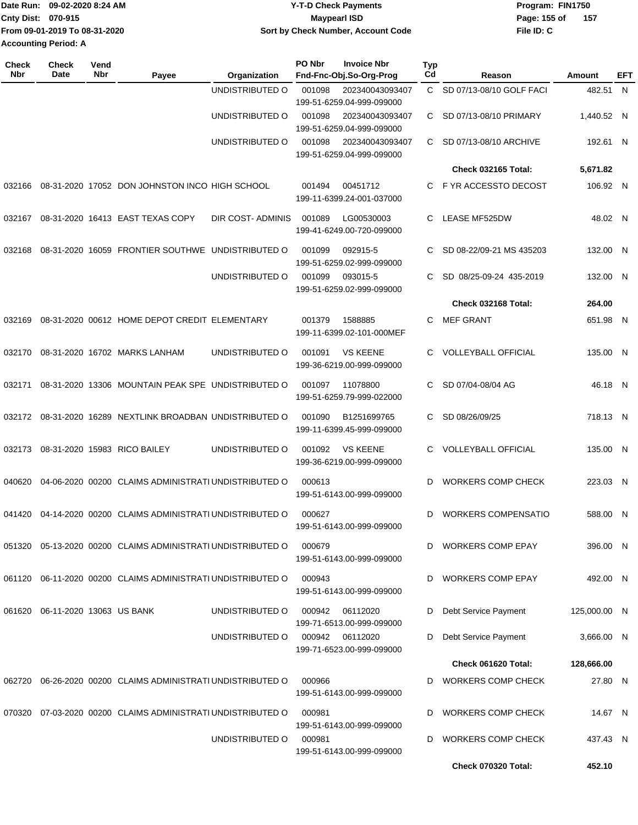|                             | Date Run: 09-02-2020 8:24 AM  | <b>Y-T-D Check Payments</b>               | Program: FIN1750    |  |  |  |  |
|-----------------------------|-------------------------------|-------------------------------------------|---------------------|--|--|--|--|
| Cnty Dist: 070-915          |                               | <b>Mavpearl ISD</b>                       | 157<br>Page: 155 of |  |  |  |  |
|                             | From 09-01-2019 To 08-31-2020 | <b>Sort by Check Number, Account Code</b> | File ID: C          |  |  |  |  |
| <b>Accounting Period: A</b> |                               |                                           |                     |  |  |  |  |

| Check<br><b>Nbr</b> | <b>Check</b><br>Date     | Vend<br>Nbr | Payee                                                       | Organization     | PO Nbr                                                 | <b>Invoice Nbr</b><br>Fnd-Fnc-Obj.So-Org-Prog | Typ<br>Cd    | Reason                     | Amount       | EFT |
|---------------------|--------------------------|-------------|-------------------------------------------------------------|------------------|--------------------------------------------------------|-----------------------------------------------|--------------|----------------------------|--------------|-----|
|                     |                          |             |                                                             | UNDISTRIBUTED O  | 001098<br>202340043093407<br>199-51-6259.04-999-099000 |                                               | $\mathsf{C}$ | SD 07/13-08/10 GOLF FACI   | 482.51 N     |     |
|                     |                          |             |                                                             | UNDISTRIBUTED O  | 001098                                                 | 202340043093407<br>199-51-6259.04-999-099000  | C.           | SD 07/13-08/10 PRIMARY     | 1.440.52 N   |     |
|                     |                          |             |                                                             | UNDISTRIBUTED O  | 001098                                                 | 202340043093407<br>199-51-6259.04-999-099000  | C.           | SD 07/13-08/10 ARCHIVE     | 192.61 N     |     |
|                     |                          |             |                                                             |                  |                                                        |                                               |              | <b>Check 032165 Total:</b> | 5,671.82     |     |
| 032166              |                          |             | 08-31-2020 17052 DON JOHNSTON INCO HIGH SCHOOL              |                  | 001494                                                 | 00451712<br>199-11-6399.24-001-037000         | C.           | F YR ACCESSTO DECOST       | 106.92 N     |     |
| 032167              |                          |             | 08-31-2020 16413 EAST TEXAS COPY                            | DIR COST-ADMINIS | 001089                                                 | LG00530003<br>199-41-6249.00-720-099000       | С            | <b>LEASE MF525DW</b>       | 48.02 N      |     |
| 032168              |                          |             | 08-31-2020 16059 FRONTIER SOUTHWE UNDISTRIBUTED O           |                  | 001099                                                 | 092915-5<br>199-51-6259.02-999-099000         | С            | SD 08-22/09-21 MS 435203   | 132.00 N     |     |
|                     |                          |             |                                                             | UNDISTRIBUTED O  | 001099                                                 | 093015-5<br>199-51-6259.02-999-099000         | С            | SD 08/25-09-24 435-2019    | 132.00 N     |     |
|                     |                          |             |                                                             |                  |                                                        |                                               |              | Check 032168 Total:        | 264.00       |     |
| 032169              |                          |             | 08-31-2020 00612 HOME DEPOT CREDIT ELEMENTARY               |                  | 001379                                                 | 1588885<br>199-11-6399.02-101-000MEF          | С            | <b>MEF GRANT</b>           | 651.98 N     |     |
| 032170              |                          |             | 08-31-2020 16702 MARKS LANHAM                               | UNDISTRIBUTED O  | 001091                                                 | <b>VS KEENE</b><br>199-36-6219.00-999-099000  | С            | <b>VOLLEYBALL OFFICIAL</b> | 135.00 N     |     |
| 032171              |                          |             | 08-31-2020 13306 MOUNTAIN PEAK SPE UNDISTRIBUTED O          |                  | 001097                                                 | 11078800<br>199-51-6259.79-999-022000         | С            | SD 07/04-08/04 AG          | 46.18 N      |     |
| 032172              |                          |             | 08-31-2020 16289 NEXTLINK BROADBAN UNDISTRIBUTED O          |                  | 001090                                                 | B1251699765<br>199-11-6399.45-999-099000      | C.           | SD 08/26/09/25             | 718.13 N     |     |
| 032173              |                          |             | 08-31-2020 15983 RICO BAILEY                                | UNDISTRIBUTED O  | 001092                                                 | <b>VS KEENE</b><br>199-36-6219.00-999-099000  | C.           | <b>VOLLEYBALL OFFICIAL</b> | 135.00 N     |     |
| 040620              |                          |             | 04-06-2020 00200 CLAIMS ADMINISTRATI UNDISTRIBUTED O        |                  | 000613                                                 | 199-51-6143.00-999-099000                     | D            | <b>WORKERS COMP CHECK</b>  | 223.03 N     |     |
| 041420              |                          |             | 04-14-2020 00200 CLAIMS ADMINISTRATI UNDISTRIBUTED O        |                  | 000627                                                 | 199-51-6143.00-999-099000                     | D            | <b>WORKERS COMPENSATIO</b> | 588.00 N     |     |
|                     |                          |             | 051320 05-13-2020 00200 CLAIMS ADMINISTRATI UNDISTRIBUTED O |                  | 000679                                                 | 199-51-6143.00-999-099000                     |              | <b>WORKERS COMP EPAY</b>   | 396.00 N     |     |
|                     |                          |             | 061120 06-11-2020 00200 CLAIMS ADMINISTRATI UNDISTRIBUTED O |                  | 000943                                                 | 199-51-6143.00-999-099000                     | D            | <b>WORKERS COMP EPAY</b>   | 492.00 N     |     |
| 061620              | 06-11-2020 13063 US BANK |             |                                                             | UNDISTRIBUTED O  | 000942                                                 | 06112020<br>199-71-6513.00-999-099000         | D            | Debt Service Payment       | 125,000.00 N |     |
|                     |                          |             |                                                             | UNDISTRIBUTED O  | 000942                                                 | 06112020<br>199-71-6523.00-999-099000         | D            | Debt Service Payment       | 3,666.00 N   |     |
|                     |                          |             |                                                             |                  |                                                        |                                               |              | Check 061620 Total:        | 128,666.00   |     |
| 062720              |                          |             | 06-26-2020 00200 CLAIMS ADMINISTRATI UNDISTRIBUTED O        |                  | 000966                                                 | 199-51-6143.00-999-099000                     | D            | <b>WORKERS COMP CHECK</b>  | 27.80 N      |     |
| 070320              |                          |             | 07-03-2020 00200 CLAIMS ADMINISTRATI UNDISTRIBUTED O        |                  | 000981                                                 | 199-51-6143.00-999-099000                     | D            | <b>WORKERS COMP CHECK</b>  | 14.67 N      |     |
|                     |                          |             |                                                             | UNDISTRIBUTED O  | 000981                                                 | 199-51-6143.00-999-099000                     | D            | <b>WORKERS COMP CHECK</b>  | 437.43 N     |     |
|                     |                          |             |                                                             |                  |                                                        |                                               |              | <b>Check 070320 Total:</b> | 452.10       |     |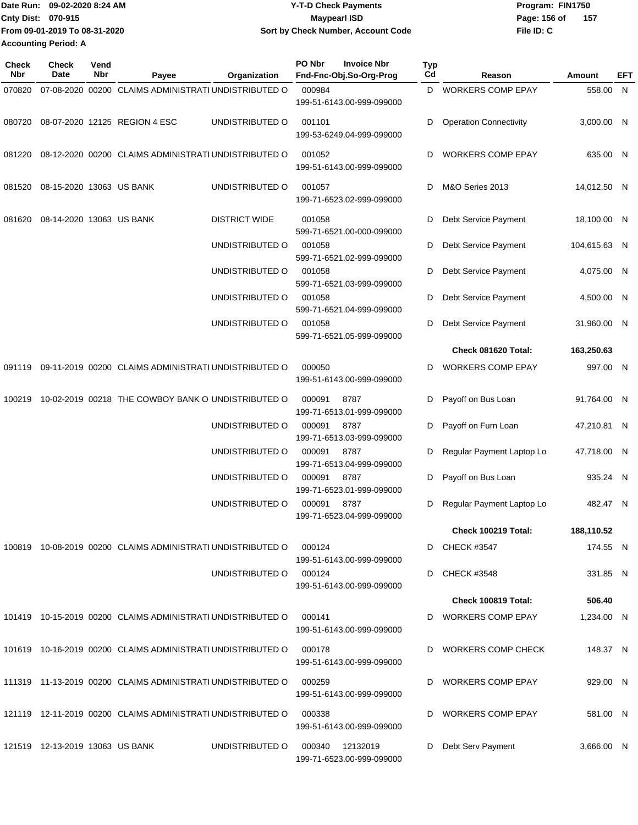| <b>Date Run:</b>            | 09-02-2020 8:24 AM            | <b>Y-T-D Check Payments</b>        | Program: FIN1750      |  |  |  |
|-----------------------------|-------------------------------|------------------------------------|-----------------------|--|--|--|
| <b>Cnty Dist: 070-915</b>   |                               | <b>Mavpearl ISD</b>                | - 157<br>Page: 156 of |  |  |  |
|                             | From 09-01-2019 To 08-31-2020 | Sort by Check Number, Account Code | File ID: C            |  |  |  |
| <b>Accounting Period: A</b> |                               |                                    |                       |  |  |  |

| Check<br>Nbr | <b>Check</b><br>Date            | Vend<br>Nbr | Payee                                                       | Organization         | PO Nbr | <b>Invoice Nbr</b><br>Fnd-Fnc-Obj.So-Org-Prog | <b>Typ</b><br>Cd | Reason                        | Amount       | EFT |
|--------------|---------------------------------|-------------|-------------------------------------------------------------|----------------------|--------|-----------------------------------------------|------------------|-------------------------------|--------------|-----|
| 070820       |                                 |             | 07-08-2020 00200 CLAIMS ADMINISTRATI UNDISTRIBUTED O        |                      | 000984 | 199-51-6143.00-999-099000                     | D                | <b>WORKERS COMP EPAY</b>      | 558.00 N     |     |
| 080720       |                                 |             | 08-07-2020 12125 REGION 4 ESC                               | UNDISTRIBUTED O      | 001101 | 199-53-6249.04-999-099000                     | D                | <b>Operation Connectivity</b> | 3,000.00 N   |     |
| 081220       |                                 |             | 08-12-2020 00200 CLAIMS ADMINISTRATI UNDISTRIBUTED O        |                      | 001052 | 199-51-6143.00-999-099000                     | D                | <b>WORKERS COMP EPAY</b>      | 635.00 N     |     |
| 081520       | 08-15-2020 13063 US BANK        |             |                                                             | UNDISTRIBUTED O      | 001057 | 199-71-6523.02-999-099000                     | D                | M&O Series 2013               | 14,012.50 N  |     |
| 081620       | 08-14-2020 13063 US BANK        |             |                                                             | <b>DISTRICT WIDE</b> | 001058 | 599-71-6521.00-000-099000                     | D                | Debt Service Payment          | 18,100.00 N  |     |
|              |                                 |             |                                                             | UNDISTRIBUTED O      | 001058 | 599-71-6521.02-999-099000                     | D                | Debt Service Payment          | 104,615.63 N |     |
|              |                                 |             |                                                             | UNDISTRIBUTED O      | 001058 | 599-71-6521.03-999-099000                     | D                | Debt Service Payment          | 4,075.00 N   |     |
|              |                                 |             |                                                             | UNDISTRIBUTED O      | 001058 | 599-71-6521.04-999-099000                     | D                | Debt Service Payment          | 4,500.00 N   |     |
|              |                                 |             |                                                             | UNDISTRIBUTED O      | 001058 | 599-71-6521.05-999-099000                     | D                | Debt Service Payment          | 31,960.00 N  |     |
|              |                                 |             |                                                             |                      |        |                                               |                  | Check 081620 Total:           | 163,250.63   |     |
| 091119       |                                 |             | 09-11-2019 00200 CLAIMS ADMINISTRATI UNDISTRIBUTED O        |                      | 000050 | 199-51-6143.00-999-099000                     | D                | <b>WORKERS COMP EPAY</b>      | 997.00 N     |     |
| 100219       |                                 |             | 10-02-2019 00218 THE COWBOY BANK O UNDISTRIBUTED O          |                      | 000091 | 8787<br>199-71-6513.01-999-099000             | D                | Payoff on Bus Loan            | 91,764.00 N  |     |
|              |                                 |             |                                                             | UNDISTRIBUTED O      | 000091 | 8787<br>199-71-6513.03-999-099000             | D                | Payoff on Furn Loan           | 47,210.81 N  |     |
|              |                                 |             |                                                             | UNDISTRIBUTED O      | 000091 | 8787<br>199-71-6513.04-999-099000             | D                | Regular Payment Laptop Lo     | 47,718.00 N  |     |
|              |                                 |             |                                                             | UNDISTRIBUTED O      | 000091 | 8787<br>199-71-6523.01-999-099000             | D                | Payoff on Bus Loan            | 935.24 N     |     |
|              |                                 |             |                                                             | UNDISTRIBUTED O      | 000091 | 8787<br>199-71-6523.04-999-099000             | D                | Regular Payment Laptop Lo     | 482.47 N     |     |
|              |                                 |             |                                                             |                      |        |                                               |                  | <b>Check 100219 Total:</b>    | 188,110.52   |     |
|              |                                 |             | 100819 10-08-2019 00200 CLAIMS ADMINISTRATI UNDISTRIBUTED O |                      | 000124 | 199-51-6143.00-999-099000                     | D                | CHECK #3547                   | 174.55 N     |     |
|              |                                 |             |                                                             | UNDISTRIBUTED O      | 000124 | 199-51-6143.00-999-099000                     | D                | <b>CHECK #3548</b>            | 331.85 N     |     |
|              |                                 |             |                                                             |                      |        |                                               |                  | Check 100819 Total:           | 506.40       |     |
|              |                                 |             | 101419 10-15-2019 00200 CLAIMS ADMINISTRATI UNDISTRIBUTED O |                      | 000141 | 199-51-6143.00-999-099000                     |                  | D WORKERS COMP EPAY           | 1,234.00 N   |     |
|              |                                 |             | 101619 10-16-2019 00200 CLAIMS ADMINISTRATI UNDISTRIBUTED O |                      | 000178 | 199-51-6143.00-999-099000                     | D                | <b>WORKERS COMP CHECK</b>     | 148.37 N     |     |
|              |                                 |             | 111319 11-13-2019 00200 CLAIMS ADMINISTRATI UNDISTRIBUTED O |                      | 000259 | 199-51-6143.00-999-099000                     | D                | <b>WORKERS COMP EPAY</b>      | 929.00 N     |     |
|              |                                 |             | 121119 12-11-2019 00200 CLAIMS ADMINISTRATI UNDISTRIBUTED O |                      | 000338 | 199-51-6143.00-999-099000                     | D                | WORKERS COMP EPAY             | 581.00 N     |     |
|              | 121519 12-13-2019 13063 US BANK |             |                                                             | UNDISTRIBUTED O      | 000340 | 12132019<br>199-71-6523.00-999-099000         | D                | Debt Serv Payment             | 3,666.00 N   |     |